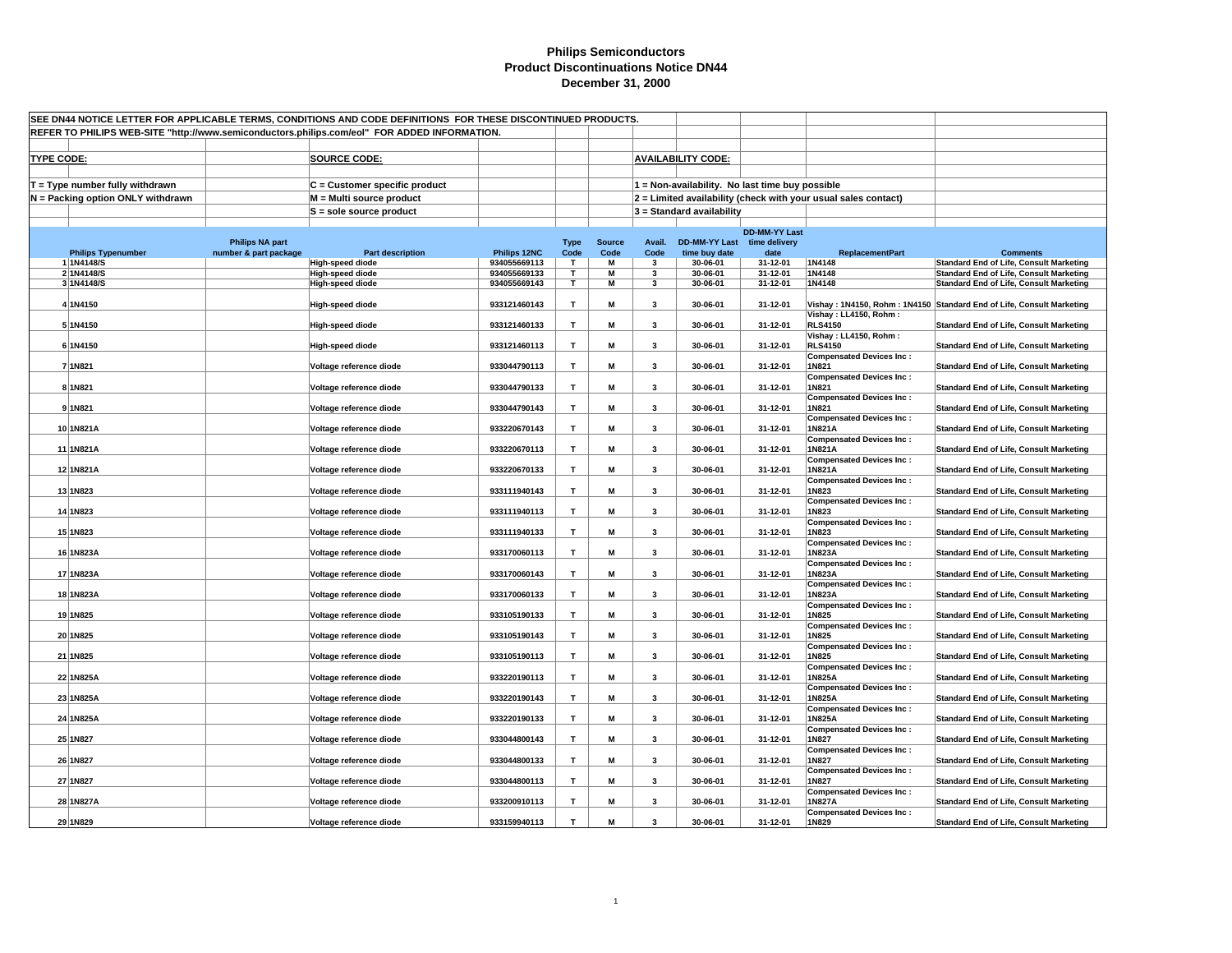| SEE DN44 NOTICE LETTER FOR APPLICABLE TERMS, CONDITIONS AND CODE DEFINITIONS FOR THESE DISCONTINUED PRODUCTS.<br>REFER TO PHILIPS WEB-SITE "http://www.semiconductors.philips.com/eol" FOR ADDED INFORMATION. |                                   |                        |                                                    |                              |              |               |                              |                                                 |                      |                                                                |                                                                                                  |
|---------------------------------------------------------------------------------------------------------------------------------------------------------------------------------------------------------------|-----------------------------------|------------------------|----------------------------------------------------|------------------------------|--------------|---------------|------------------------------|-------------------------------------------------|----------------------|----------------------------------------------------------------|--------------------------------------------------------------------------------------------------|
|                                                                                                                                                                                                               |                                   |                        |                                                    |                              |              |               |                              |                                                 |                      |                                                                |                                                                                                  |
|                                                                                                                                                                                                               |                                   |                        |                                                    |                              |              |               |                              |                                                 |                      |                                                                |                                                                                                  |
| <b>TYPE CODE:</b>                                                                                                                                                                                             |                                   |                        | <b>SOURCE CODE:</b>                                |                              |              |               |                              | <b>AVAILABILITY CODE:</b>                       |                      |                                                                |                                                                                                  |
|                                                                                                                                                                                                               |                                   |                        |                                                    |                              |              |               |                              |                                                 |                      |                                                                |                                                                                                  |
|                                                                                                                                                                                                               | $T = Type$ number fully withdrawn |                        | C = Customer specific product                      |                              |              |               |                              | 1 = Non-availability. No last time buy possible |                      |                                                                |                                                                                                  |
|                                                                                                                                                                                                               | N = Packing option ONLY withdrawn |                        | M = Multi source product                           |                              |              |               |                              |                                                 |                      | 2 = Limited availability (check with your usual sales contact) |                                                                                                  |
|                                                                                                                                                                                                               |                                   |                        | S = sole source product                            |                              |              |               |                              | 3 = Standard availability                       |                      |                                                                |                                                                                                  |
|                                                                                                                                                                                                               |                                   |                        |                                                    |                              |              |               |                              |                                                 | <b>DD-MM-YY Last</b> |                                                                |                                                                                                  |
|                                                                                                                                                                                                               |                                   | <b>Philips NA part</b> |                                                    |                              | <b>Type</b>  | <b>Source</b> | Avail.                       | <b>DD-MM-YY Last</b>                            | time delivery        |                                                                |                                                                                                  |
|                                                                                                                                                                                                               | <b>Philips Typenumber</b>         | number & part package  | <b>Part description</b>                            | Philips 12NC                 | Code         | Code          | Code                         | time buy date                                   | date                 | <b>ReplacementPart</b>                                         | <b>Comments</b>                                                                                  |
|                                                                                                                                                                                                               | 1 1N4148/S<br>2 1N4148/S          |                        | <b>High-speed diode</b><br><b>High-speed diode</b> | 934055669113<br>934055669133 | T<br>T       | М<br>M        | 3<br>$\overline{\mathbf{3}}$ | 30-06-01<br>30-06-01                            | 31-12-01<br>31-12-01 | 1N4148<br>1N4148                                               | <b>Standard End of Life, Consult Marketing</b><br><b>Standard End of Life, Consult Marketing</b> |
|                                                                                                                                                                                                               | 3 1N4148/S                        |                        | <b>High-speed diode</b>                            | 934055669143                 | Т            | M             | 3                            | 30-06-01                                        | 31-12-01             | 1N4148                                                         | <b>Standard End of Life, Consult Marketing</b>                                                   |
|                                                                                                                                                                                                               |                                   |                        |                                                    |                              |              |               |                              |                                                 |                      |                                                                |                                                                                                  |
|                                                                                                                                                                                                               | 4 1N4150                          |                        | <b>High-speed diode</b>                            | 933121460143                 | $\mathbf T$  | М             | 3                            | 30-06-01                                        | 31-12-01             |                                                                | Vishay: 1N4150, Rohm: 1N4150 Standard End of Life, Consult Marketing                             |
|                                                                                                                                                                                                               | 5 1N4150                          |                        | <b>High-speed diode</b>                            | 933121460133                 | $\mathbf{T}$ | M             | 3                            | 30-06-01                                        | 31-12-01             | Vishay: LL4150, Rohm:<br><b>RLS4150</b>                        | <b>Standard End of Life, Consult Marketing</b>                                                   |
|                                                                                                                                                                                                               |                                   |                        |                                                    |                              |              |               |                              |                                                 |                      | Vishay: LL4150, Rohm:                                          |                                                                                                  |
|                                                                                                                                                                                                               | 6 1N4150                          |                        | <b>High-speed diode</b>                            | 933121460113                 | $\mathsf T$  | М             | 3                            | 30-06-01                                        | 31-12-01             | <b>RLS4150</b>                                                 | <b>Standard End of Life, Consult Marketing</b>                                                   |
|                                                                                                                                                                                                               |                                   |                        |                                                    |                              |              |               |                              |                                                 |                      | <b>Compensated Devices Inc:</b>                                |                                                                                                  |
|                                                                                                                                                                                                               | 7 1N821                           |                        | Voltage reference diode                            | 933044790113                 | T            | М             | 3                            | 30-06-01                                        | 31-12-01             | 1N821<br><b>Compensated Devices Inc:</b>                       | <b>Standard End of Life, Consult Marketing</b>                                                   |
|                                                                                                                                                                                                               | 8 1N821                           |                        | Voltage reference diode                            | 933044790133                 | $\mathbf{T}$ | M             | 3                            | 30-06-01                                        | 31-12-01             | 1N821                                                          | <b>Standard End of Life, Consult Marketing</b>                                                   |
|                                                                                                                                                                                                               |                                   |                        |                                                    |                              |              |               |                              |                                                 |                      | <b>Compensated Devices Inc:</b>                                |                                                                                                  |
|                                                                                                                                                                                                               | 9 1N821                           |                        | Voltage reference diode                            | 933044790143                 | T            | M             | 3                            | 30-06-01                                        | 31-12-01             | 1N821                                                          | <b>Standard End of Life, Consult Marketing</b>                                                   |
|                                                                                                                                                                                                               | 10 1N821A                         |                        | Voltage reference diode                            | 933220670143                 | T            | M             | 3                            | 30-06-01                                        | 31-12-01             | <b>Compensated Devices Inc:</b><br>1N821A                      | <b>Standard End of Life, Consult Marketing</b>                                                   |
|                                                                                                                                                                                                               |                                   |                        |                                                    |                              |              |               |                              |                                                 |                      | <b>Compensated Devices Inc:</b>                                |                                                                                                  |
|                                                                                                                                                                                                               | 11 1N821A                         |                        | Voltage reference diode                            | 933220670113                 | T            | M             | 3                            | 30-06-01                                        | 31-12-01             | 1N821A                                                         | <b>Standard End of Life, Consult Marketing</b>                                                   |
|                                                                                                                                                                                                               |                                   |                        |                                                    |                              |              |               |                              |                                                 |                      | <b>Compensated Devices Inc:</b>                                |                                                                                                  |
|                                                                                                                                                                                                               | 12 1N821A                         |                        | Voltage reference diode                            | 933220670133                 | T            | M             | 3                            | 30-06-01                                        | 31-12-01             | 1N821A                                                         | <b>Standard End of Life, Consult Marketing</b>                                                   |
|                                                                                                                                                                                                               | 13 1N823                          |                        | Voltage reference diode                            | 933111940143                 | T            | М             | 3                            | 30-06-01                                        | 31-12-01             | <b>Compensated Devices Inc:</b><br>1N823                       | <b>Standard End of Life, Consult Marketing</b>                                                   |
|                                                                                                                                                                                                               |                                   |                        |                                                    |                              |              |               |                              |                                                 |                      | <b>Compensated Devices Inc:</b>                                |                                                                                                  |
|                                                                                                                                                                                                               | 14 1N823                          |                        | Voltage reference diode                            | 933111940113                 | $\mathsf T$  | М             | 3                            | 30-06-01                                        | 31-12-01             | 1N823                                                          | <b>Standard End of Life, Consult Marketing</b>                                                   |
|                                                                                                                                                                                                               | 15 1N823                          |                        | Voltage reference diode                            | 933111940133                 | $\mathsf T$  | M             | 3                            | 30-06-01                                        | 31-12-01             | <b>Compensated Devices Inc:</b><br>1N823                       | <b>Standard End of Life, Consult Marketing</b>                                                   |
|                                                                                                                                                                                                               |                                   |                        |                                                    |                              |              |               |                              |                                                 |                      | <b>Compensated Devices Inc:</b>                                |                                                                                                  |
|                                                                                                                                                                                                               | 16 1N823A                         |                        | Voltage reference diode                            | 933170060113                 | $\mathbf T$  | M             | 3                            | 30-06-01                                        | 31-12-01             | 1N823A                                                         | <b>Standard End of Life, Consult Marketing</b>                                                   |
|                                                                                                                                                                                                               |                                   |                        |                                                    |                              |              |               |                              |                                                 |                      | <b>Compensated Devices Inc:</b>                                |                                                                                                  |
|                                                                                                                                                                                                               | 17 1N823A                         |                        | Voltage reference diode                            | 933170060143                 | $\mathbf{T}$ | M             | $\overline{\mathbf{3}}$      | 30-06-01                                        | 31-12-01             | 1N823A<br><b>Compensated Devices Inc:</b>                      | <b>Standard End of Life, Consult Marketing</b>                                                   |
|                                                                                                                                                                                                               | 18 1N823A                         |                        | Voltage reference diode                            | 933170060133                 | T            | M             | 3                            | 30-06-01                                        | 31-12-01             | 1N823A                                                         | <b>Standard End of Life, Consult Marketing</b>                                                   |
|                                                                                                                                                                                                               |                                   |                        |                                                    |                              |              |               |                              |                                                 |                      | <b>Compensated Devices Inc:</b>                                |                                                                                                  |
|                                                                                                                                                                                                               | 19 1N825                          |                        | Voltage reference diode                            | 933105190133                 | T            | М             | 3                            | 30-06-01                                        | 31-12-01             | 1N825                                                          | <b>Standard End of Life, Consult Marketing</b>                                                   |
|                                                                                                                                                                                                               | 20 1N825                          |                        | Voltage reference diode                            | 933105190143                 | T            | М             | 3                            | 30-06-01                                        | 31-12-01             | <b>Compensated Devices Inc:</b><br>1N825                       | <b>Standard End of Life, Consult Marketing</b>                                                   |
|                                                                                                                                                                                                               |                                   |                        |                                                    |                              |              |               |                              |                                                 |                      | <b>Compensated Devices Inc:</b>                                |                                                                                                  |
|                                                                                                                                                                                                               | 21 1N825                          |                        | Voltage reference diode                            | 933105190113                 | $\mathbf{T}$ | M             | 3                            | 30-06-01                                        | 31-12-01             | 1N825                                                          | <b>Standard End of Life, Consult Marketing</b>                                                   |
|                                                                                                                                                                                                               |                                   |                        |                                                    |                              |              |               |                              |                                                 |                      | <b>Compensated Devices Inc:</b>                                |                                                                                                  |
|                                                                                                                                                                                                               | 22 1N825A                         |                        | Voltage reference diode                            | 933220190113                 | T            | M             | 3                            | 30-06-01                                        | 31-12-01             | 1N825A                                                         | <b>Standard End of Life, Consult Marketing</b>                                                   |
|                                                                                                                                                                                                               | 23 1N825A                         |                        | Voltage reference diode                            | 933220190143                 | $\mathbf{T}$ | M             | 3                            | 30-06-01                                        | 31-12-01             | <b>Compensated Devices Inc:</b><br>1N825A                      | <b>Standard End of Life, Consult Marketing</b>                                                   |
|                                                                                                                                                                                                               |                                   |                        |                                                    |                              |              |               |                              |                                                 |                      | <b>Compensated Devices Inc:</b>                                |                                                                                                  |
|                                                                                                                                                                                                               | 24 1N825A                         |                        | Voltage reference diode                            | 933220190133                 | т            | M             | 3                            | 30-06-01                                        | 31-12-01             | 1N825A                                                         | <b>Standard End of Life, Consult Marketing</b>                                                   |
|                                                                                                                                                                                                               |                                   |                        |                                                    |                              |              |               |                              |                                                 |                      | <b>Compensated Devices Inc:</b>                                |                                                                                                  |
|                                                                                                                                                                                                               | 25 1N827                          |                        | Voltage reference diode                            | 933044800143                 | $\mathbf T$  | M             | 3                            | 30-06-01                                        | 31-12-01             | 1N827<br><b>Compensated Devices Inc:</b>                       | <b>Standard End of Life, Consult Marketing</b>                                                   |
|                                                                                                                                                                                                               | 26 1N827                          |                        | Voltage reference diode                            | 933044800133                 | T            | M             | 3                            | 30-06-01                                        | 31-12-01             | 1N827                                                          | <b>Standard End of Life, Consult Marketing</b>                                                   |
|                                                                                                                                                                                                               |                                   |                        |                                                    |                              |              |               |                              |                                                 |                      | <b>Compensated Devices Inc:</b>                                |                                                                                                  |
|                                                                                                                                                                                                               | 27 1N827                          |                        | Voltage reference diode                            | 933044800113                 | T            | M             | 3                            | 30-06-01                                        | 31-12-01             | 1N827                                                          | <b>Standard End of Life, Consult Marketing</b>                                                   |
|                                                                                                                                                                                                               | 28 1N827A                         |                        | Voltage reference diode                            | 933200910113                 | T            | M             | 3                            | 30-06-01                                        | 31-12-01             | <b>Compensated Devices Inc:</b><br>1N827A                      | <b>Standard End of Life, Consult Marketing</b>                                                   |
|                                                                                                                                                                                                               |                                   |                        |                                                    |                              |              |               |                              |                                                 |                      | <b>Compensated Devices Inc:</b>                                |                                                                                                  |
|                                                                                                                                                                                                               | 29 1N829                          |                        | Voltage reference diode                            | 933159940113                 | T            | M             | $\mathbf{3}$                 | 30-06-01                                        | 31-12-01             | 1N829                                                          | <b>Standard End of Life, Consult Marketing</b>                                                   |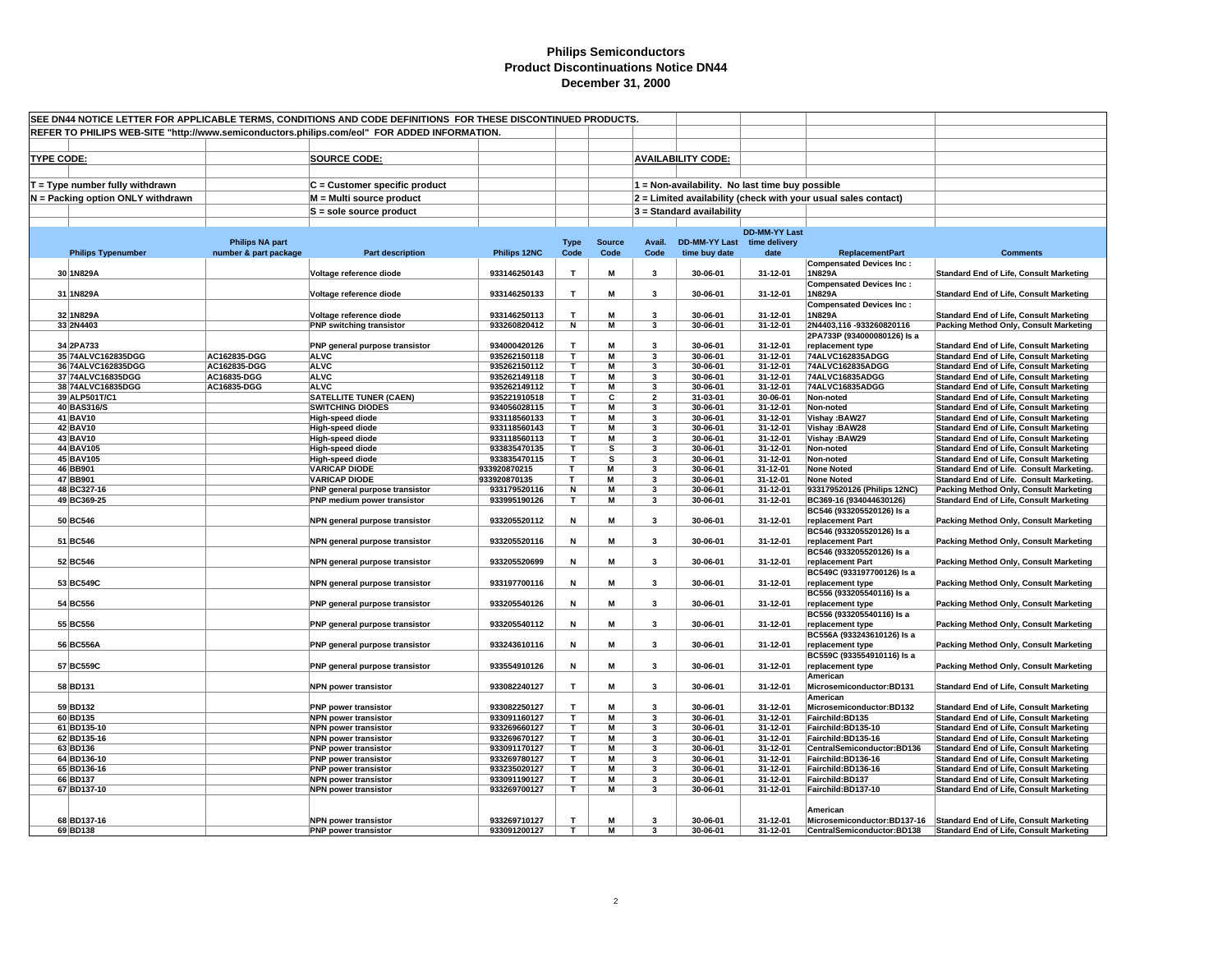|                                                                                              | SEE DN44 NOTICE LETTER FOR APPLICABLE TERMS, CONDITIONS AND CODE DEFINITIONS FOR THESE DISCONTINUED PRODUCTS. |                        |                                                            |                              |              |               |                         |                                                 |                      |                                                                |                                                                                                  |
|----------------------------------------------------------------------------------------------|---------------------------------------------------------------------------------------------------------------|------------------------|------------------------------------------------------------|------------------------------|--------------|---------------|-------------------------|-------------------------------------------------|----------------------|----------------------------------------------------------------|--------------------------------------------------------------------------------------------------|
| REFER TO PHILIPS WEB-SITE "http://www.semiconductors.philips.com/eol" FOR ADDED INFORMATION. |                                                                                                               |                        |                                                            |                              |              |               |                         |                                                 |                      |                                                                |                                                                                                  |
|                                                                                              |                                                                                                               |                        |                                                            |                              |              |               |                         |                                                 |                      |                                                                |                                                                                                  |
|                                                                                              |                                                                                                               |                        |                                                            |                              |              |               |                         |                                                 |                      |                                                                |                                                                                                  |
| <b>TYPE CODE:</b>                                                                            |                                                                                                               |                        | <b>SOURCE CODE:</b>                                        |                              |              |               |                         | <b>AVAILABILITY CODE:</b>                       |                      |                                                                |                                                                                                  |
|                                                                                              |                                                                                                               |                        |                                                            |                              |              |               |                         |                                                 |                      |                                                                |                                                                                                  |
|                                                                                              | $T = Type$ number fully withdrawn                                                                             |                        | C = Customer specific product                              |                              |              |               |                         | 1 = Non-availability. No last time buy possible |                      |                                                                |                                                                                                  |
|                                                                                              | N = Packing option ONLY withdrawn                                                                             |                        | M = Multi source product                                   |                              |              |               |                         |                                                 |                      | 2 = Limited availability (check with your usual sales contact) |                                                                                                  |
|                                                                                              |                                                                                                               |                        | S = sole source product                                    |                              |              |               |                         | 3 = Standard availability                       |                      |                                                                |                                                                                                  |
|                                                                                              |                                                                                                               |                        |                                                            |                              |              |               |                         |                                                 |                      |                                                                |                                                                                                  |
|                                                                                              |                                                                                                               |                        |                                                            |                              |              |               |                         |                                                 | <b>DD-MM-YY Last</b> |                                                                |                                                                                                  |
|                                                                                              |                                                                                                               | <b>Philips NA part</b> |                                                            |                              | <b>Type</b>  | <b>Source</b> | Avail.                  | DD-MM-YY Last time delivery                     |                      |                                                                |                                                                                                  |
|                                                                                              | <b>Philips Typenumber</b>                                                                                     | number & part package  | <b>Part description</b>                                    | Philips 12NC                 | Code         | Code          | Code                    | time buy date                                   | date                 | <b>ReplacementPart</b>                                         | <b>Comments</b>                                                                                  |
|                                                                                              |                                                                                                               |                        |                                                            |                              |              |               |                         |                                                 |                      | <b>Compensated Devices Inc:</b>                                |                                                                                                  |
|                                                                                              | 30 1N829A                                                                                                     |                        | Voltage reference diode                                    | 933146250143                 | T            | M             | $\mathbf{3}$            | 30-06-01                                        | 31-12-01             | 1N829A                                                         | <b>Standard End of Life, Consult Marketing</b>                                                   |
|                                                                                              |                                                                                                               |                        |                                                            |                              |              |               |                         |                                                 |                      | <b>Compensated Devices Inc:</b>                                |                                                                                                  |
|                                                                                              | 31 1N829A                                                                                                     |                        | Voltage reference diode                                    | 933146250133                 | T            | M             | 3                       | 30-06-01                                        | 31-12-01             | 1N829A                                                         | <b>Standard End of Life, Consult Marketing</b>                                                   |
|                                                                                              |                                                                                                               |                        |                                                            |                              |              |               |                         |                                                 |                      | <b>Compensated Devices Inc:</b>                                |                                                                                                  |
|                                                                                              | 32 1N829A                                                                                                     |                        | Voltage reference diode                                    | 933146250113                 | $\mathbf{T}$ | M             | 3                       | 30-06-01                                        | 31-12-01             | 1N829A                                                         | <b>Standard End of Life, Consult Marketing</b>                                                   |
|                                                                                              | 33 2N4403                                                                                                     |                        | <b>PNP switching transistor</b>                            | 933260820412                 | N            | M             | 3                       | 30-06-01                                        | 31-12-01             | 2N4403,116-933260820116                                        | Packing Method Only, Consult Marketing                                                           |
|                                                                                              | 34 2PA733                                                                                                     |                        |                                                            | 934000420126                 | T.           | M             | $\mathbf{3}$            | 30-06-01                                        | 31-12-01             | 2PA733P (934000080126) Is a<br>replacement type                |                                                                                                  |
|                                                                                              | 35 74ALVC162835DGG                                                                                            | AC162835-DGG           | PNP general purpose transistor<br><b>ALVC</b>              | 935262150118                 | $\mathbf T$  | M             | 3                       | 30-06-01                                        | 31-12-01             | 74ALVC162835ADGG                                               | <b>Standard End of Life, Consult Marketing</b><br><b>Standard End of Life, Consult Marketing</b> |
|                                                                                              | 36 74ALVC162835DGG                                                                                            | AC162835-DGG           | <b>ALVC</b>                                                | 935262150112                 | т            | M             | 3                       | 30-06-01                                        | 31-12-01             | 74ALVC162835ADGG                                               | <b>Standard End of Life, Consult Marketing</b>                                                   |
|                                                                                              | 37 74ALVC16835DGG                                                                                             | AC16835-DGG            | <b>ALVC</b>                                                | 935262149118                 | T.           | M             | 3                       | 30-06-01                                        | 31-12-01             | 74ALVC16835ADGG                                                | <b>Standard End of Life, Consult Marketing</b>                                                   |
|                                                                                              | 38 74ALVC16835DGG                                                                                             | AC16835-DGG            | <b>ALVC</b>                                                | 935262149112                 | т            | M             | 3                       | 30-06-01                                        | 31-12-01             | 74ALVC16835ADGG                                                | Standard End of Life, Consult Marketing                                                          |
|                                                                                              | 39 ALP501T/C1                                                                                                 |                        | <b>SATELLITE TUNER (CAEN)</b>                              | 935221910518                 | т            | C             | $\overline{\mathbf{2}}$ | 31-03-01                                        | 30-06-01             | Non-noted                                                      | <b>Standard End of Life, Consult Marketing</b>                                                   |
|                                                                                              | 40 BAS316/S                                                                                                   |                        | <b>SWITCHING DIODES</b>                                    | 934056028115                 | т            | м             | 3                       | 30-06-01                                        | 31-12-01             | Non-noted                                                      | <b>Standard End of Life, Consult Marketing</b>                                                   |
|                                                                                              | 41 BAV10                                                                                                      |                        | High-speed diode                                           | 933118560133                 | T.           | M             | 3                       | 30-06-01                                        | 31-12-01             | Vishay: BAW27                                                  | <b>Standard End of Life, Consult Marketing</b>                                                   |
|                                                                                              | 42 BAV10                                                                                                      |                        | <b>High-speed diode</b>                                    | 933118560143                 | т            | M             | 3                       | 30-06-01                                        | 31-12-01             | Vishay: BAW28                                                  | <b>Standard End of Life, Consult Marketing</b>                                                   |
|                                                                                              | 43 BAV10                                                                                                      |                        | High-speed diode                                           | 933118560113                 | T            | M             | 3                       | 30-06-01                                        | 31-12-01             | Vishay: BAW29                                                  | Standard End of Life, Consult Marketing                                                          |
|                                                                                              | 44 BAV105                                                                                                     |                        | <b>High-speed diode</b>                                    | 933835470135                 | т            | s             | 3                       | 30-06-01                                        | 31-12-01             | Non-noted                                                      | <b>Standard End of Life, Consult Marketing</b>                                                   |
|                                                                                              | 45 BAV105                                                                                                     |                        | <b>High-speed diode</b>                                    | 933835470115                 | T.           | s             | $\overline{\mathbf{3}}$ | 30-06-01                                        | 31-12-01             | Non-noted                                                      | <b>Standard End of Life, Consult Marketing</b>                                                   |
|                                                                                              | 46 BB901                                                                                                      |                        | <b>VARICAP DIODE</b>                                       | 933920870215                 | T            | M             | 3                       | 30-06-01                                        | 31-12-01             | <b>None Noted</b>                                              | Standard End of Life. Consult Marketing.                                                         |
|                                                                                              | 47 BB901                                                                                                      |                        | <b>VARICAP DIODE</b>                                       | 933920870135                 | T            | M             | 3                       | 30-06-01                                        | 31-12-01             | <b>None Noted</b>                                              | Standard End of Life. Consult Marketing.                                                         |
|                                                                                              | 48 BC327-16                                                                                                   |                        | PNP general purpose transistor                             | 933179520116                 | N<br>T.      | M             | 3<br>3                  | 30-06-01                                        | 31-12-01             | 933179520126 (Philips 12NC)                                    | Packing Method Only, Consult Marketing                                                           |
|                                                                                              | 49 BC369-25                                                                                                   |                        | PNP medium power transistor                                | 933995190126                 |              | М             |                         | 30-06-01                                        | 31-12-01             | BC369-16 (934044630126)<br>BC546 (933205520126) Is a           | <b>Standard End of Life, Consult Marketing</b>                                                   |
|                                                                                              | 50 BC546                                                                                                      |                        | NPN general purpose transistor                             | 933205520112                 | N            | M             | 3                       | 30-06-01                                        | 31-12-01             | replacement Part                                               | Packing Method Only, Consult Marketing                                                           |
|                                                                                              |                                                                                                               |                        |                                                            |                              |              |               |                         |                                                 |                      | BC546 (933205520126) Is a                                      |                                                                                                  |
|                                                                                              | 51 BC546                                                                                                      |                        | NPN general purpose transistor                             | 933205520116                 | N            | M             | 3                       | 30-06-01                                        | 31-12-01             | replacement Part                                               | Packing Method Only, Consult Marketing                                                           |
|                                                                                              |                                                                                                               |                        |                                                            |                              |              |               |                         |                                                 |                      | BC546 (933205520126) Is a                                      |                                                                                                  |
|                                                                                              | 52 BC546                                                                                                      |                        | NPN general purpose transistor                             | 933205520699                 | N            | M             | 3                       | 30-06-01                                        | 31-12-01             | replacement Part                                               | Packing Method Only, Consult Marketing                                                           |
|                                                                                              |                                                                                                               |                        |                                                            |                              |              |               |                         |                                                 |                      | BC549C (933197700126) Is a                                     |                                                                                                  |
|                                                                                              | 53 BC549C                                                                                                     |                        | NPN general purpose transistor                             | 933197700116                 | N            | M             | 3                       | 30-06-01                                        | 31-12-01             | replacement type                                               | Packing Method Only, Consult Marketing                                                           |
|                                                                                              |                                                                                                               |                        |                                                            |                              |              |               |                         |                                                 |                      | BC556 (933205540116) Is a                                      |                                                                                                  |
|                                                                                              | 54 BC556                                                                                                      |                        | PNP general purpose transistor                             | 933205540126                 | N            | M             | 3                       | 30-06-01                                        | 31-12-01             | replacement type                                               | Packing Method Only, Consult Marketing                                                           |
|                                                                                              |                                                                                                               |                        |                                                            |                              |              |               |                         |                                                 |                      | BC556 (933205540116) ls a                                      |                                                                                                  |
|                                                                                              | 55 BC556                                                                                                      |                        | PNP general purpose transistor                             | 933205540112                 | N            | M             | 3                       | 30-06-01                                        | 31-12-01             | replacement type                                               | Packing Method Only, Consult Marketing                                                           |
|                                                                                              |                                                                                                               |                        |                                                            |                              |              |               |                         |                                                 |                      | BC556A (933243610126) Is a                                     |                                                                                                  |
|                                                                                              | 56 BC556A                                                                                                     |                        | PNP general purpose transistor                             | 933243610116                 | N            | M             | 3                       | 30-06-01                                        | 31-12-01             | replacement type                                               | Packing Method Only, Consult Marketing                                                           |
|                                                                                              |                                                                                                               |                        |                                                            |                              |              |               |                         |                                                 |                      | BC559C (933554910116) Is a                                     |                                                                                                  |
|                                                                                              | 57 BC559C                                                                                                     |                        | PNP general purpose transistor                             | 933554910126                 | N            | М             | 3                       | 30-06-01                                        | 31-12-01             | replacement type                                               | Packing Method Only, Consult Marketing                                                           |
|                                                                                              |                                                                                                               |                        |                                                            |                              |              |               |                         |                                                 |                      | American                                                       |                                                                                                  |
|                                                                                              | 58 BD131                                                                                                      |                        | <b>NPN power transistor</b>                                | 933082240127                 | T            | M             | 3                       | 30-06-01                                        | 31-12-01             | Microsemiconductor:BD131                                       | <b>Standard End of Life, Consult Marketing</b>                                                   |
|                                                                                              |                                                                                                               |                        |                                                            |                              | T            | M             | 3                       |                                                 |                      | American                                                       |                                                                                                  |
|                                                                                              | 59 BD132<br>60 BD135                                                                                          |                        | <b>PNP power transistor</b><br><b>NPN power transistor</b> | 933082250127<br>933091160127 | T.           | M             | 3                       | 30-06-01<br>30-06-01                            | 31-12-01<br>31-12-01 | Microsemiconductor:BD132<br>Fairchild:BD135                    | <b>Standard End of Life, Consult Marketing</b><br><b>Standard End of Life, Consult Marketing</b> |
|                                                                                              | 61 BD135-10                                                                                                   |                        | <b>NPN power transistor</b>                                | 933269660127                 | T            | M             | 3                       | 30-06-01                                        | 31-12-01             | Fairchild:BD135-10                                             | Standard End of Life, Consult Marketing                                                          |
|                                                                                              | 62 BD135-16                                                                                                   |                        | <b>NPN power transistor</b>                                | 933269670127                 | т            | M             | 3                       | 30-06-01                                        | 31-12-01             | Fairchild:BD135-16                                             | Standard End of Life, Consult Marketing                                                          |
|                                                                                              | 63 BD136                                                                                                      |                        | <b>PNP power transistor</b>                                | 933091170127                 | T            | M             | 3                       | 30-06-01                                        | 31-12-01             | CentralSemiconductor:BD136                                     | <b>Standard End of Life, Consult Marketing</b>                                                   |
|                                                                                              | 64 BD136-10                                                                                                   |                        | <b>PNP</b> power transistor                                | 933269780127                 | T.           | M             | 3                       | 30-06-01                                        | 31-12-01             | Fairchild:BD136-16                                             | <b>Standard End of Life, Consult Marketing</b>                                                   |
|                                                                                              | 65 BD136-16                                                                                                   |                        | <b>PNP power transistor</b>                                | 933235020127                 | T            | M             | 3                       | 30-06-01                                        | 31-12-01             | Fairchild:BD136-16                                             | <b>Standard End of Life, Consult Marketing</b>                                                   |
|                                                                                              | 66 BD137                                                                                                      |                        | <b>NPN power transistor</b>                                | 933091190127                 | T            | M             | 3                       | 30-06-01                                        | 31-12-01             | Fairchild:BD137                                                | <b>Standard End of Life, Consult Marketing</b>                                                   |
|                                                                                              | 67 BD137-10                                                                                                   |                        | <b>NPN power transistor</b>                                | 933269700127                 | T.           | М             | 3                       | 30-06-01                                        | 31-12-01             | Fairchild:BD137-10                                             | <b>Standard End of Life, Consult Marketing</b>                                                   |
|                                                                                              |                                                                                                               |                        |                                                            |                              |              |               |                         |                                                 |                      |                                                                |                                                                                                  |
|                                                                                              |                                                                                                               |                        |                                                            |                              |              |               |                         |                                                 |                      | American                                                       |                                                                                                  |
|                                                                                              | 68 BD137-16                                                                                                   |                        | <b>NPN power transistor</b>                                | 933269710127                 | T            | M             | 3                       | 30-06-01                                        | 31-12-01             |                                                                | Microsemiconductor: BD137-16 Standard End of Life, Consult Marketing                             |
|                                                                                              | 69 BD138                                                                                                      |                        | <b>PNP</b> power transistor                                | 933091200127                 | T.           | м             | 3                       | 30-06-01                                        | 31-12-01             | CentralSemiconductor:BD138                                     | Standard End of Life, Consult Marketing                                                          |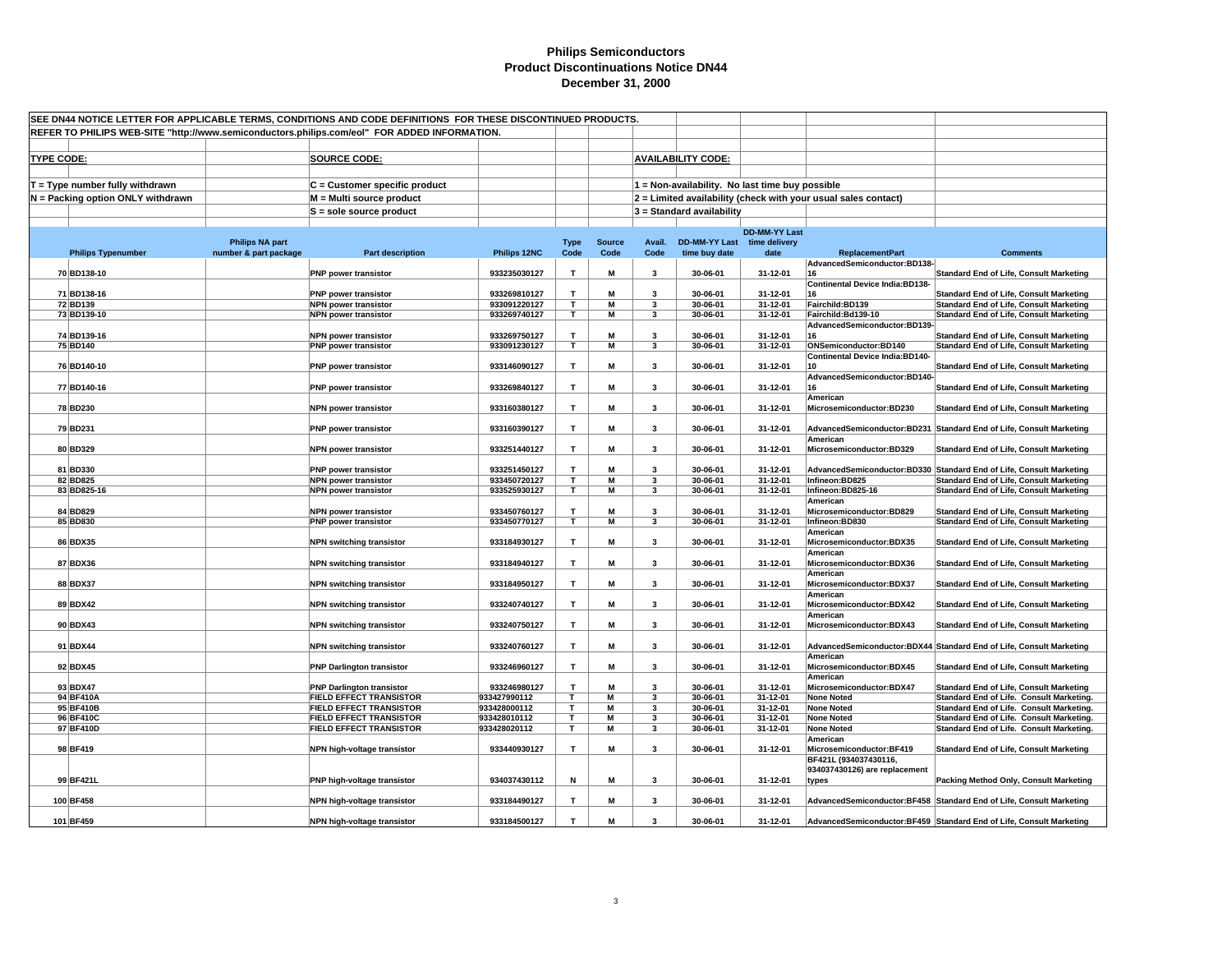| SEE DN44 NOTICE LETTER FOR APPLICABLE TERMS, CONDITIONS AND CODE DEFINITIONS FOR THESE DISCONTINUED PRODUCTS.<br>REFER TO PHILIPS WEB-SITE "http://www.semiconductors.philips.com/eol" FOR ADDED INFORMATION. |                        |                                                                  |                              |                         |                         |                         |                             |                                                 |                                                                |                                                                                                  |
|---------------------------------------------------------------------------------------------------------------------------------------------------------------------------------------------------------------|------------------------|------------------------------------------------------------------|------------------------------|-------------------------|-------------------------|-------------------------|-----------------------------|-------------------------------------------------|----------------------------------------------------------------|--------------------------------------------------------------------------------------------------|
|                                                                                                                                                                                                               |                        |                                                                  |                              |                         |                         |                         |                             |                                                 |                                                                |                                                                                                  |
|                                                                                                                                                                                                               |                        |                                                                  |                              |                         |                         |                         |                             |                                                 |                                                                |                                                                                                  |
| <b>TYPE CODE:</b>                                                                                                                                                                                             |                        | <b>SOURCE CODE:</b>                                              |                              |                         |                         |                         | <b>AVAILABILITY CODE:</b>   |                                                 |                                                                |                                                                                                  |
|                                                                                                                                                                                                               |                        |                                                                  |                              |                         |                         |                         |                             |                                                 |                                                                |                                                                                                  |
| $T = Type$ number fully withdrawn                                                                                                                                                                             |                        | C = Customer specific product                                    |                              |                         |                         |                         |                             | 1 = Non-availability. No last time buy possible |                                                                |                                                                                                  |
| N = Packing option ONLY withdrawn                                                                                                                                                                             |                        | M = Multi source product                                         |                              |                         |                         |                         |                             |                                                 | 2 = Limited availability (check with your usual sales contact) |                                                                                                  |
|                                                                                                                                                                                                               |                        | $S = sole source product$                                        |                              |                         |                         |                         | $3 =$ Standard availability |                                                 |                                                                |                                                                                                  |
|                                                                                                                                                                                                               |                        |                                                                  |                              |                         |                         |                         |                             | <b>DD-MM-YY Last</b>                            |                                                                |                                                                                                  |
|                                                                                                                                                                                                               | <b>Philips NA part</b> |                                                                  |                              | <b>Type</b>             | <b>Source</b>           | Avail.                  | DD-MM-YY Last time delivery |                                                 |                                                                |                                                                                                  |
| <b>Philips Typenumber</b>                                                                                                                                                                                     | number & part package  | Part description                                                 | Philips 12NC                 | Code                    | Code                    | Code                    | time buy date               | date                                            | <b>ReplacementPart</b><br>AdvancedSemiconductor:BD138-         | <b>Comments</b>                                                                                  |
| 70 BD138-10                                                                                                                                                                                                   |                        | <b>PNP</b> power transistor                                      | 933235030127                 | T                       | М                       | $\overline{\mathbf{3}}$ | 30-06-01                    | 31-12-01                                        | 16                                                             | <b>Standard End of Life, Consult Marketing</b>                                                   |
|                                                                                                                                                                                                               |                        |                                                                  |                              |                         |                         |                         |                             |                                                 | <b>Continental Device India:BD138-</b>                         |                                                                                                  |
| 71 BD138-16                                                                                                                                                                                                   |                        | <b>PNP</b> power transistor                                      | 933269810127                 | T                       | M                       | 3                       | 30-06-01                    | 31-12-01                                        | 16                                                             | <b>Standard End of Life, Consult Marketing</b>                                                   |
| 72 BD139<br>73 BD139-10                                                                                                                                                                                       |                        | <b>NPN power transistor</b><br><b>NPN power transistor</b>       | 933091220127<br>933269740127 | T.<br>T                 | M<br>М                  | 3<br>3                  | 30-06-01<br>30-06-01        | 31-12-01<br>31-12-01                            | Fairchild:BD139<br>Fairchild:Bd139-10                          | <b>Standard End of Life, Consult Marketing</b><br><b>Standard End of Life, Consult Marketing</b> |
|                                                                                                                                                                                                               |                        |                                                                  |                              |                         |                         |                         |                             |                                                 | AdvancedSemiconductor:BD139-                                   |                                                                                                  |
| 74 BD139-16                                                                                                                                                                                                   |                        | <b>NPN power transistor</b>                                      | 933269750127                 | T                       | М                       | 3                       | 30-06-01                    | 31-12-01                                        | 16                                                             | <b>Standard End of Life, Consult Marketing</b>                                                   |
| 75 BD140                                                                                                                                                                                                      |                        | <b>PNP power transistor</b>                                      | 933091230127                 | T.                      | M                       | $\mathbf{3}$            | 30-06-01                    | 31-12-01                                        | ONSemiconductor:BD140                                          | <b>Standard End of Life, Consult Marketing</b>                                                   |
|                                                                                                                                                                                                               |                        |                                                                  | 933146090127                 | T                       | M                       | $\overline{\mathbf{3}}$ |                             | 31-12-01                                        | <b>Continental Device India:BD140-</b><br>10                   | <b>Standard End of Life, Consult Marketing</b>                                                   |
| 76 BD140-10                                                                                                                                                                                                   |                        | <b>PNP</b> power transistor                                      |                              |                         |                         |                         | 30-06-01                    |                                                 | AdvancedSemiconductor:BD140-                                   |                                                                                                  |
| 77 BD140-16                                                                                                                                                                                                   |                        | <b>PNP</b> power transistor                                      | 933269840127                 | T                       | М                       | 3                       | 30-06-01                    | 31-12-01                                        | 16                                                             | <b>Standard End of Life, Consult Marketing</b>                                                   |
|                                                                                                                                                                                                               |                        |                                                                  |                              |                         |                         |                         |                             |                                                 | American                                                       |                                                                                                  |
| 78 BD230                                                                                                                                                                                                      |                        | <b>NPN power transistor</b>                                      | 933160380127                 | T                       | М                       | $\mathbf{3}$            | 30-06-01                    | 31-12-01                                        | Microsemiconductor:BD230                                       | <b>Standard End of Life, Consult Marketing</b>                                                   |
| 79 BD231                                                                                                                                                                                                      |                        | PNP power transistor                                             | 933160390127                 | T                       | М                       | 3                       | 30-06-01                    | 31-12-01                                        |                                                                | AdvancedSemiconductor:BD231 Standard End of Life, Consult Marketing                              |
|                                                                                                                                                                                                               |                        |                                                                  |                              |                         |                         |                         |                             |                                                 | American                                                       |                                                                                                  |
| 80 BD329                                                                                                                                                                                                      |                        | <b>NPN power transistor</b>                                      | 933251440127                 | $\mathbf T$             | М                       | $\mathbf{3}$            | 30-06-01                    | 31-12-01                                        | Microsemiconductor:BD329                                       | <b>Standard End of Life, Consult Marketing</b>                                                   |
|                                                                                                                                                                                                               |                        |                                                                  |                              |                         |                         |                         |                             |                                                 |                                                                |                                                                                                  |
| 81 BD330                                                                                                                                                                                                      |                        | <b>PNP</b> power transistor                                      | 933251450127                 | T.                      | M                       | $\overline{\mathbf{3}}$ | 30-06-01                    | 31-12-01                                        |                                                                | AdvancedSemiconductor:BD330 Standard End of Life, Consult Marketing                              |
| 82 BD825<br>83 BD825-16                                                                                                                                                                                       |                        | <b>NPN power transistor</b><br><b>NPN power transistor</b>       | 933450720127<br>933525930127 | T.<br>T.                | М<br>M                  | 3<br>3                  | 30-06-01<br>30-06-01        | 31-12-01<br>31-12-01                            | Infineon:BD825<br>Infineon:BD825-16                            | <b>Standard End of Life, Consult Marketing</b><br><b>Standard End of Life, Consult Marketing</b> |
|                                                                                                                                                                                                               |                        |                                                                  |                              |                         |                         |                         |                             |                                                 | American                                                       |                                                                                                  |
| 84 BD829                                                                                                                                                                                                      |                        | <b>NPN power transistor</b>                                      | 933450760127                 | T.                      | М                       | $\overline{\mathbf{3}}$ | 30-06-01                    | 31-12-01                                        | Microsemiconductor:BD829                                       | <b>Standard End of Life, Consult Marketing</b>                                                   |
| 85 BD830                                                                                                                                                                                                      |                        | <b>PNP power transistor</b>                                      | 933450770127                 | $\overline{\mathsf{r}}$ | $\overline{\mathsf{M}}$ | 3                       | 30-06-01                    | 31-12-01                                        | Infineon:BD830                                                 | <b>Standard End of Life, Consult Marketing</b>                                                   |
| 86 BDX35                                                                                                                                                                                                      |                        | <b>NPN switching transistor</b>                                  | 933184930127                 | $\mathbf T$             | М                       | $\mathbf{3}$            | 30-06-01                    | 31-12-01                                        | American<br>Microsemiconductor:BDX35                           | <b>Standard End of Life, Consult Marketing</b>                                                   |
|                                                                                                                                                                                                               |                        |                                                                  |                              |                         |                         |                         |                             |                                                 | American                                                       |                                                                                                  |
| 87 BDX36                                                                                                                                                                                                      |                        | <b>NPN switching transistor</b>                                  | 933184940127                 | T                       | M                       | $\mathbf{3}$            | 30-06-01                    | 31-12-01                                        | Microsemiconductor:BDX36                                       | <b>Standard End of Life, Consult Marketing</b>                                                   |
|                                                                                                                                                                                                               |                        |                                                                  |                              |                         |                         |                         |                             |                                                 | American                                                       |                                                                                                  |
| 88 BDX37                                                                                                                                                                                                      |                        | <b>NPN switching transistor</b>                                  | 933184950127                 | T                       | M                       | $\overline{\mathbf{3}}$ | 30-06-01                    | 31-12-01                                        | Microsemiconductor:BDX37                                       | <b>Standard End of Life, Consult Marketing</b>                                                   |
| 89 BDX42                                                                                                                                                                                                      |                        | <b>NPN switching transistor</b>                                  | 933240740127                 | T                       | M                       | $\mathbf{3}$            | 30-06-01                    | 31-12-01                                        | American<br>Microsemiconductor:BDX42                           | <b>Standard End of Life, Consult Marketing</b>                                                   |
|                                                                                                                                                                                                               |                        |                                                                  |                              |                         |                         |                         |                             |                                                 | American                                                       |                                                                                                  |
| 90 BDX43                                                                                                                                                                                                      |                        | <b>NPN switching transistor</b>                                  | 933240750127                 | T                       | M                       | 3                       | 30-06-01                    | 31-12-01                                        | Microsemiconductor:BDX43                                       | <b>Standard End of Life, Consult Marketing</b>                                                   |
|                                                                                                                                                                                                               |                        |                                                                  |                              |                         |                         |                         |                             |                                                 |                                                                |                                                                                                  |
| 91 BDX44                                                                                                                                                                                                      |                        | <b>NPN switching transistor</b>                                  | 933240760127                 | T                       | M                       | 3                       | 30-06-01                    | 31-12-01                                        | American                                                       | AdvancedSemiconductor:BDX44 Standard End of Life, Consult Marketing                              |
| 92 BDX45                                                                                                                                                                                                      |                        | <b>PNP Darlington transistor</b>                                 | 933246960127                 | T                       | М                       | 3                       | 30-06-01                    | 31-12-01                                        | Microsemiconductor:BDX45                                       | <b>Standard End of Life, Consult Marketing</b>                                                   |
|                                                                                                                                                                                                               |                        |                                                                  |                              |                         |                         |                         |                             |                                                 | American                                                       |                                                                                                  |
| 93 BDX47                                                                                                                                                                                                      |                        | <b>PNP Darlington transistor</b>                                 | 933246980127                 | $\mathbf{T}$            | M                       | $\overline{\mathbf{3}}$ | 30-06-01                    | 31-12-01                                        | Microsemiconductor:BDX47                                       | <b>Standard End of Life, Consult Marketing</b>                                                   |
| 94 BF410A                                                                                                                                                                                                     |                        | FIELD EFFECT TRANSISTOR                                          | 933427990112                 | T.                      | M                       | $\overline{\mathbf{3}}$ | 30-06-01                    | 31-12-01                                        | <b>None Noted</b>                                              | Standard End of Life. Consult Marketing.                                                         |
| 95 BF410B<br>96 BF410C                                                                                                                                                                                        |                        | <b>FIELD EFFECT TRANSISTOR</b><br><b>FIELD EFFECT TRANSISTOR</b> | 933428000112<br>933428010112 | T<br>Τ                  | M<br>М                  | 3<br>3                  | 30-06-01<br>30-06-01        | 31-12-01<br>31-12-01                            | <b>None Noted</b><br><b>None Noted</b>                         | Standard End of Life. Consult Marketing.<br>Standard End of Life. Consult Marketing.             |
| 97 BF410D                                                                                                                                                                                                     |                        | <b>FIELD EFFECT TRANSISTOR</b>                                   | 933428020112                 | T                       | M                       | $\mathbf{3}$            | 30-06-01                    | 31-12-01                                        | <b>None Noted</b>                                              | Standard End of Life. Consult Marketing.                                                         |
|                                                                                                                                                                                                               |                        |                                                                  |                              |                         |                         |                         |                             |                                                 | American                                                       |                                                                                                  |
| 98 BF419                                                                                                                                                                                                      |                        | NPN high-voltage transistor                                      | 933440930127                 | T                       | M                       | 3                       | 30-06-01                    | 31-12-01                                        | Microsemiconductor:BF419                                       | <b>Standard End of Life, Consult Marketing</b>                                                   |
|                                                                                                                                                                                                               |                        |                                                                  |                              |                         |                         |                         |                             |                                                 | BF421L (934037430116,                                          |                                                                                                  |
| 99 BF421L                                                                                                                                                                                                     |                        | PNP high-voltage transistor                                      | 934037430112                 | N                       | M                       | $\mathbf{3}$            | 30-06-01                    | 31-12-01                                        | 934037430126) are replacement<br>types                         | <b>Packing Method Only, Consult Marketing</b>                                                    |
|                                                                                                                                                                                                               |                        |                                                                  |                              |                         |                         |                         |                             |                                                 |                                                                |                                                                                                  |
| 100 BF458                                                                                                                                                                                                     |                        | NPN high-voltage transistor                                      | 933184490127                 | т                       | M                       | $\overline{\mathbf{3}}$ | 30-06-01                    | 31-12-01                                        |                                                                | AdvancedSemiconductor:BF458 Standard End of Life, Consult Marketing                              |
|                                                                                                                                                                                                               |                        |                                                                  |                              |                         |                         |                         |                             |                                                 |                                                                |                                                                                                  |
| 101 BF459                                                                                                                                                                                                     |                        | NPN high-voltage transistor                                      | 933184500127                 | T                       | М                       | $\overline{\mathbf{3}}$ | 30-06-01                    | 31-12-01                                        |                                                                | AdvancedSemiconductor:BF459 Standard End of Life, Consult Marketing                              |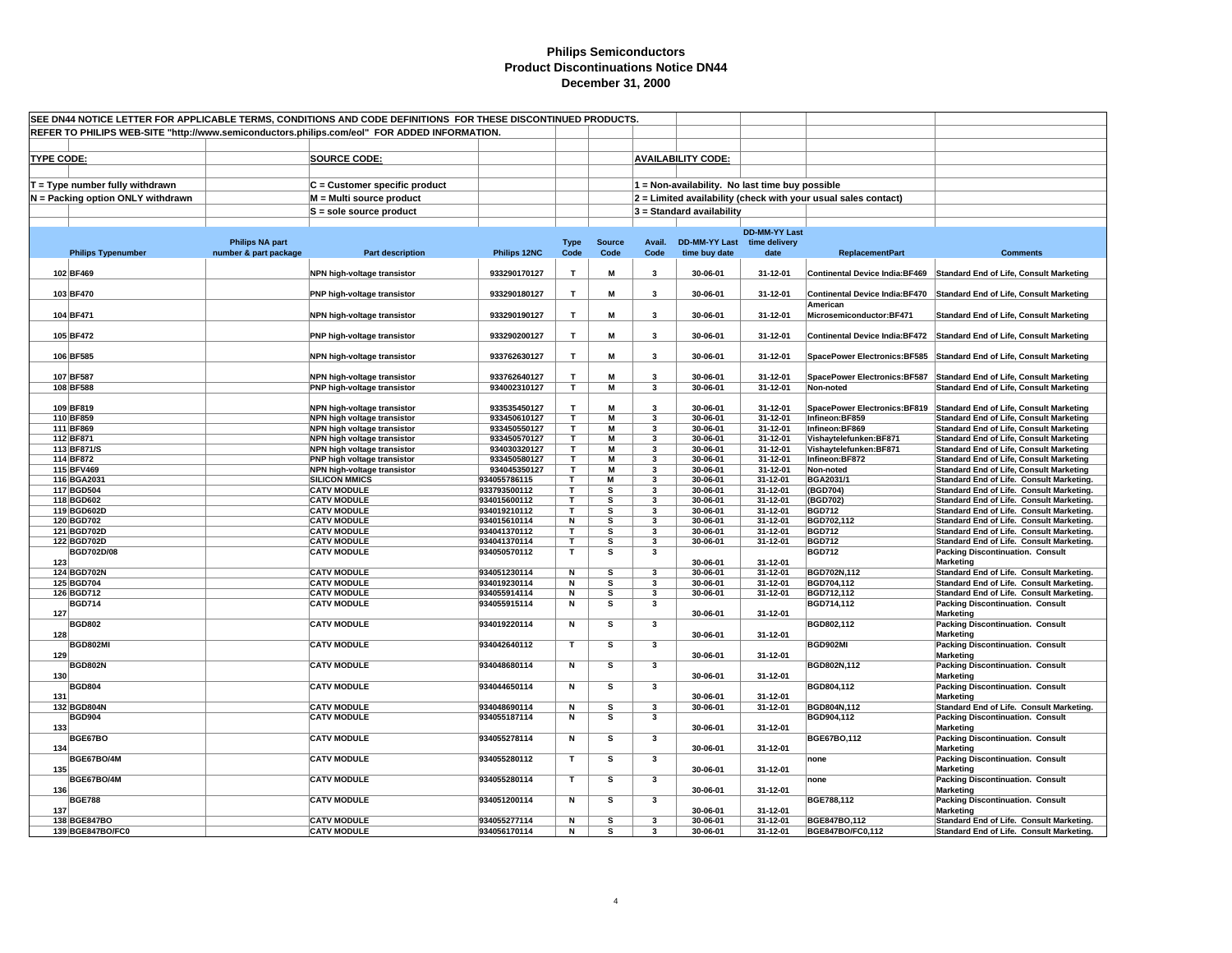| SEE DN44 NOTICE LETTER FOR APPLICABLE TERMS. CONDITIONS AND CODE DEFINITIONS FOR THESE DISCONTINUED PRODUCTS.<br>REFER TO PHILIPS WEB-SITE "http://www.semiconductors.philips.com/eol" FOR ADDED INFORMATION. |                                   |                                                 |                                                            |                              |                              |                         |                         |                                                 |                            |                                                                |                                                                                                                        |
|---------------------------------------------------------------------------------------------------------------------------------------------------------------------------------------------------------------|-----------------------------------|-------------------------------------------------|------------------------------------------------------------|------------------------------|------------------------------|-------------------------|-------------------------|-------------------------------------------------|----------------------------|----------------------------------------------------------------|------------------------------------------------------------------------------------------------------------------------|
|                                                                                                                                                                                                               |                                   |                                                 |                                                            |                              |                              |                         |                         |                                                 |                            |                                                                |                                                                                                                        |
|                                                                                                                                                                                                               |                                   |                                                 |                                                            |                              |                              |                         |                         |                                                 |                            |                                                                |                                                                                                                        |
| <b>TYPE CODE:</b>                                                                                                                                                                                             |                                   |                                                 | <b>SOURCE CODE:</b>                                        |                              |                              |                         |                         | <b>AVAILABILITY CODE:</b>                       |                            |                                                                |                                                                                                                        |
|                                                                                                                                                                                                               |                                   |                                                 |                                                            |                              |                              |                         |                         |                                                 |                            |                                                                |                                                                                                                        |
|                                                                                                                                                                                                               | T = Type number fully withdrawn   |                                                 | $C =$ Customer specific product                            |                              |                              |                         |                         | 1 = Non-availability. No last time buy possible |                            |                                                                |                                                                                                                        |
|                                                                                                                                                                                                               | N = Packing option ONLY withdrawn |                                                 | M = Multi source product                                   |                              |                              |                         |                         |                                                 |                            | 2 = Limited availability (check with your usual sales contact) |                                                                                                                        |
|                                                                                                                                                                                                               |                                   |                                                 | $S =$ sole source product                                  |                              |                              |                         |                         | 3 = Standard availability                       |                            |                                                                |                                                                                                                        |
|                                                                                                                                                                                                               |                                   |                                                 |                                                            |                              |                              |                         |                         |                                                 | <b>DD-MM-YY Last</b>       |                                                                |                                                                                                                        |
|                                                                                                                                                                                                               | <b>Philips Typenumber</b>         | <b>Philips NA part</b><br>number & part package | <b>Part description</b>                                    | Philips 12NC                 | <b>Type</b><br>Code          | <b>Source</b><br>Code   | Avail.<br>Code          | DD-MM-YY Last time delivery<br>time buy date    | date                       | <b>ReplacementPart</b>                                         | <b>Comments</b>                                                                                                        |
|                                                                                                                                                                                                               |                                   |                                                 |                                                            |                              |                              |                         |                         |                                                 |                            |                                                                |                                                                                                                        |
|                                                                                                                                                                                                               | 102 BF469                         |                                                 | NPN high-voltage transistor                                | 933290170127                 | T                            | M                       | 3                       | 30-06-01                                        | 31-12-01                   | <b>Continental Device India:BF469</b>                          | <b>Standard End of Life, Consult Marketing</b>                                                                         |
|                                                                                                                                                                                                               | 103 BF470                         |                                                 | PNP high-voltage transistor                                | 933290180127                 | $\mathbf{T}$                 | M                       | 3                       | 30-06-01                                        | 31-12-01                   | <b>Continental Device India:BF470</b>                          | <b>Standard End of Life, Consult Marketing</b>                                                                         |
|                                                                                                                                                                                                               |                                   |                                                 |                                                            |                              |                              |                         |                         |                                                 |                            | American                                                       |                                                                                                                        |
|                                                                                                                                                                                                               | 104 BF471                         |                                                 | NPN high-voltage transistor                                | 933290190127                 | $\mathbf{T}$                 | М                       | 3                       | 30-06-01                                        | 31-12-01                   | Microsemiconductor:BF471                                       | <b>Standard End of Life, Consult Marketing</b>                                                                         |
|                                                                                                                                                                                                               | 105 BF472                         |                                                 | PNP high-voltage transistor                                | 933290200127                 | T                            | M                       | 3                       | 30-06-01                                        | 31-12-01                   | <b>Continental Device India:BF472</b>                          | <b>Standard End of Life, Consult Marketing</b>                                                                         |
|                                                                                                                                                                                                               |                                   |                                                 |                                                            |                              |                              |                         |                         |                                                 |                            |                                                                |                                                                                                                        |
|                                                                                                                                                                                                               | 106 BF585                         |                                                 | NPN high-voltage transistor                                | 933762630127                 | T.                           | M                       | 3                       | 30-06-01                                        | 31-12-01                   | <b>SpacePower Electronics:BF585</b>                            | <b>Standard End of Life, Consult Marketing</b>                                                                         |
|                                                                                                                                                                                                               | 107 BF587                         |                                                 | NPN high-voltage transistor                                | 933762640127                 | T.                           | M                       | 3                       | 30-06-01                                        | 31-12-01                   | <b>SpacePower Electronics:BF587</b>                            | <b>Standard End of Life, Consult Marketing</b>                                                                         |
|                                                                                                                                                                                                               | 108 BF588                         |                                                 | PNP high-voltage transistor                                | 934002310127                 | $\overline{\mathsf{T}}$      | $\overline{M}$          | $\mathbf{3}$            | 30-06-01                                        | $31 - 12 - 01$             | Non-noted                                                      | <b>Standard End of Life, Consult Marketing</b>                                                                         |
|                                                                                                                                                                                                               |                                   |                                                 |                                                            |                              |                              |                         |                         |                                                 |                            |                                                                |                                                                                                                        |
|                                                                                                                                                                                                               | 109 BF819<br>110 BF859            |                                                 | NPN high-voltage transistor<br>NPN high voltage transistor | 933535450127<br>933450610127 | T.<br>T.                     | М<br>M                  | $\mathbf{3}$<br>3       | 30-06-01<br>30-06-01                            | 31-12-01<br>31-12-01       | Infineon:BF859                                                 | SpacePower Electronics:BF819 Standard End of Life, Consult Marketing<br><b>Standard End of Life, Consult Marketing</b> |
|                                                                                                                                                                                                               | 111 BF869                         |                                                 | NPN high voltage transistor                                | 933450550127                 | т                            | M                       | 3                       | 30-06-01                                        | 31-12-01                   | Infineon:BF869                                                 | <b>Standard End of Life, Consult Marketing</b>                                                                         |
|                                                                                                                                                                                                               | 112 BF871                         |                                                 | NPN high voltage transistor                                | 933450570127                 | т                            | М                       | 3                       | 30-06-01                                        | 31-12-01                   | Vishaytelefunken: BF871                                        | <b>Standard End of Life, Consult Marketing</b>                                                                         |
|                                                                                                                                                                                                               | 113 BF871/S                       |                                                 | NPN high voltage transistor                                | 934030320127                 | Τ                            | М                       | 3                       | 30-06-01                                        | 31-12-01                   | Vishaytelefunken:BF871                                         | <b>Standard End of Life, Consult Marketing</b>                                                                         |
|                                                                                                                                                                                                               | 114 BF872                         |                                                 | PNP high voltage transistor                                | 933450580127                 | T.                           | M                       | 3                       | 30-06-01                                        | 31-12-01                   | Infineon:BF872                                                 | <b>Standard End of Life, Consult Marketing</b>                                                                         |
|                                                                                                                                                                                                               | 115 BFV469<br>116 BGA2031         |                                                 | NPN high-voltage transistor<br><b>SILICON MMICS</b>        | 934045350127<br>934055786115 | $\overline{\mathsf{r}}$<br>T | $\overline{M}$<br>M     | 3<br>3                  | 30-06-01<br>30-06-01                            | $31 - 12 - 01$<br>31-12-01 | Non-noted<br>BGA2031/1                                         | <b>Standard End of Life, Consult Marketing</b><br>Standard End of Life. Consult Marketing.                             |
|                                                                                                                                                                                                               | 117 BGD504                        |                                                 | <b>CATV MODULE</b>                                         | 933793500112                 | T                            | s                       | 3                       | 30-06-01                                        | 31-12-01                   | (BGD704)                                                       | Standard End of Life. Consult Marketing.                                                                               |
|                                                                                                                                                                                                               | 118 BGD602                        |                                                 | <b>CATV MODULE</b>                                         | 934015600112                 | T                            | s                       | 3                       | 30-06-01                                        | 31-12-01                   | (BGD702)                                                       | Standard End of Life. Consult Marketing.                                                                               |
|                                                                                                                                                                                                               | 119 BGD602D                       |                                                 | <b>CATV MODULE</b>                                         | 934019210112                 | T                            | s                       | 3                       | 30-06-01                                        | 31-12-01                   | <b>BGD712</b>                                                  | Standard End of Life. Consult Marketing.                                                                               |
|                                                                                                                                                                                                               | 120 BGD702                        |                                                 | <b>CATV MODULE</b>                                         | 934015610114                 | N                            | s                       | 3                       | 30-06-01                                        | 31-12-01                   | BGD702,112                                                     | Standard End of Life. Consult Marketing.                                                                               |
|                                                                                                                                                                                                               | 121 BGD702D<br>122 BGD702D        |                                                 | <b>CATV MODULE</b><br><b>CATV MODULE</b>                   | 934041370112<br>934041370114 | T<br>T                       | s<br>s                  | 3<br>3                  | 30-06-01<br>30-06-01                            | 31-12-01<br>31-12-01       | <b>BGD712</b><br><b>BGD712</b>                                 | Standard End of Life. Consult Marketing.<br>Standard End of Life. Consult Marketing.                                   |
|                                                                                                                                                                                                               | <b>BGD702D/08</b>                 |                                                 | <b>CATV MODULE</b>                                         | 934050570112                 | T                            | s                       | 3                       |                                                 |                            | <b>BGD712</b>                                                  | <b>Packing Discontinuation. Consult</b>                                                                                |
| 123                                                                                                                                                                                                           |                                   |                                                 |                                                            |                              |                              |                         |                         | 30-06-01                                        | 31-12-01                   |                                                                | <b>Marketing</b>                                                                                                       |
|                                                                                                                                                                                                               | 124 BGD702N                       |                                                 | <b>CATV MODULE</b>                                         | 934051230114                 | N                            | s                       | $\overline{\mathbf{3}}$ | 30-06-01                                        | 31-12-01                   | BGD702N,112                                                    | Standard End of Life. Consult Marketing.                                                                               |
|                                                                                                                                                                                                               | 125 BGD704<br>126 BGD712          |                                                 | <b>CATV MODULE</b><br><b>CATV MODULE</b>                   | 934019230114<br>934055914114 | N<br>N                       | s<br>s                  | 3<br>3                  | 30-06-01<br>30-06-01                            | 31-12-01<br>31-12-01       | BGD704,112<br>BGD712,112                                       | Standard End of Life. Consult Marketing.<br>Standard End of Life. Consult Marketing.                                   |
|                                                                                                                                                                                                               | <b>BGD714</b>                     |                                                 | <b>CATV MODULE</b>                                         | 934055915114                 | N                            | s                       | $\mathbf{3}$            |                                                 |                            | BGD714,112                                                     | <b>Packing Discontinuation. Consult</b>                                                                                |
| 127                                                                                                                                                                                                           |                                   |                                                 |                                                            |                              |                              |                         |                         | 30-06-01                                        | 31-12-01                   |                                                                | <b>Marketing</b>                                                                                                       |
|                                                                                                                                                                                                               | <b>BGD802</b>                     |                                                 | <b>CATV MODULE</b>                                         | 934019220114                 | N                            | $\overline{\mathbf{s}}$ | 3                       |                                                 |                            | BGD802,112                                                     | <b>Packing Discontinuation. Consult</b>                                                                                |
| 128                                                                                                                                                                                                           | <b>BGD802MI</b>                   |                                                 | <b>CATV MODULE</b>                                         | 934042640112                 | T                            | s                       | 3                       | 30-06-01                                        | 31-12-01                   | BGD902MI                                                       | <b>Marketing</b><br><b>Packing Discontinuation. Consult</b>                                                            |
| 129                                                                                                                                                                                                           |                                   |                                                 |                                                            |                              |                              |                         |                         | 30-06-01                                        | 31-12-01                   |                                                                | <b>Marketing</b>                                                                                                       |
|                                                                                                                                                                                                               | <b>BGD802N</b>                    |                                                 | <b>CATV MODULE</b>                                         | 934048680114                 | N                            | $\overline{\mathbf{s}}$ | $\overline{\mathbf{3}}$ |                                                 |                            | BGD802N,112                                                    | <b>Packing Discontinuation. Consult</b>                                                                                |
| 130                                                                                                                                                                                                           | <b>BGD804</b>                     |                                                 | <b>CATV MODULE</b>                                         | 934044650114                 | N                            | $\overline{\mathbf{s}}$ | $\overline{\mathbf{3}}$ | 30-06-01                                        | 31-12-01                   | BGD804,112                                                     | <b>Marketing</b><br><b>Packing Discontinuation. Consult</b>                                                            |
| 131                                                                                                                                                                                                           |                                   |                                                 |                                                            |                              |                              |                         |                         | 30-06-01                                        | 31-12-01                   |                                                                | <b>Marketing</b>                                                                                                       |
|                                                                                                                                                                                                               | 132 BGD804N                       |                                                 | <b>CATV MODULE</b>                                         | 934048690114                 | N                            | s                       | 3                       | 30-06-01                                        | 31-12-01                   | BGD804N,112                                                    | Standard End of Life. Consult Marketing.                                                                               |
|                                                                                                                                                                                                               | <b>BGD904</b>                     |                                                 | <b>CATV MODULE</b>                                         | 934055187114                 | N                            | s                       | 3                       |                                                 |                            | BGD904,112                                                     | <b>Packing Discontinuation. Consult</b>                                                                                |
| 133                                                                                                                                                                                                           | BGE67BO                           |                                                 | <b>CATV MODULE</b>                                         | 934055278114                 | N                            | $\overline{\mathbf{s}}$ | $\mathbf{3}$            | 30-06-01                                        | 31-12-01                   | BGE67BO,112                                                    | <b>Marketing</b><br><b>Packing Discontinuation. Consult</b>                                                            |
| 134                                                                                                                                                                                                           |                                   |                                                 |                                                            |                              |                              |                         |                         | 30-06-01                                        | 31-12-01                   |                                                                | <b>Marketing</b>                                                                                                       |
|                                                                                                                                                                                                               | BGE67BO/4M                        |                                                 | <b>CATV MODULE</b>                                         | 934055280112                 | $\mathbf{T}$                 | s                       | $\mathbf{3}$            |                                                 |                            | none                                                           | <b>Packing Discontinuation. Consult</b>                                                                                |
| 135                                                                                                                                                                                                           |                                   |                                                 |                                                            |                              |                              |                         |                         | 30-06-01                                        | 31-12-01                   |                                                                | <b>Marketing</b>                                                                                                       |
| 136                                                                                                                                                                                                           | BGE67BO/4M                        |                                                 | <b>CATV MODULE</b>                                         | 934055280114                 | T                            | $\overline{\mathbf{s}}$ | $\mathbf{3}$            | 30-06-01                                        | 31-12-01                   | none                                                           | <b>Packing Discontinuation. Consult</b><br><b>Marketing</b>                                                            |
|                                                                                                                                                                                                               | <b>BGE788</b>                     |                                                 | <b>CATV MODULE</b>                                         | 934051200114                 | N                            | s                       | 3                       |                                                 |                            | BGE788,112                                                     | <b>Packing Discontinuation. Consult</b>                                                                                |
| 137                                                                                                                                                                                                           |                                   |                                                 |                                                            |                              |                              |                         |                         | 30-06-01                                        | 31-12-01                   |                                                                | <b>Marketing</b>                                                                                                       |
|                                                                                                                                                                                                               | 138 BGE847BO                      |                                                 | <b>CATV MODULE</b>                                         | 934055277114                 | N                            | $\overline{\mathbf{s}}$ | 3                       | 30-06-01                                        | 31-12-01                   | BGE847BO,112                                                   | Standard End of Life. Consult Marketing.                                                                               |
|                                                                                                                                                                                                               | 139 BGE847BO/FC0                  |                                                 | <b>CATV MODULE</b>                                         | 934056170114                 | N                            | s                       | 3                       | 30-06-01                                        | 31-12-01                   | BGE847BO/FC0,112                                               | Standard End of Life. Consult Marketing.                                                                               |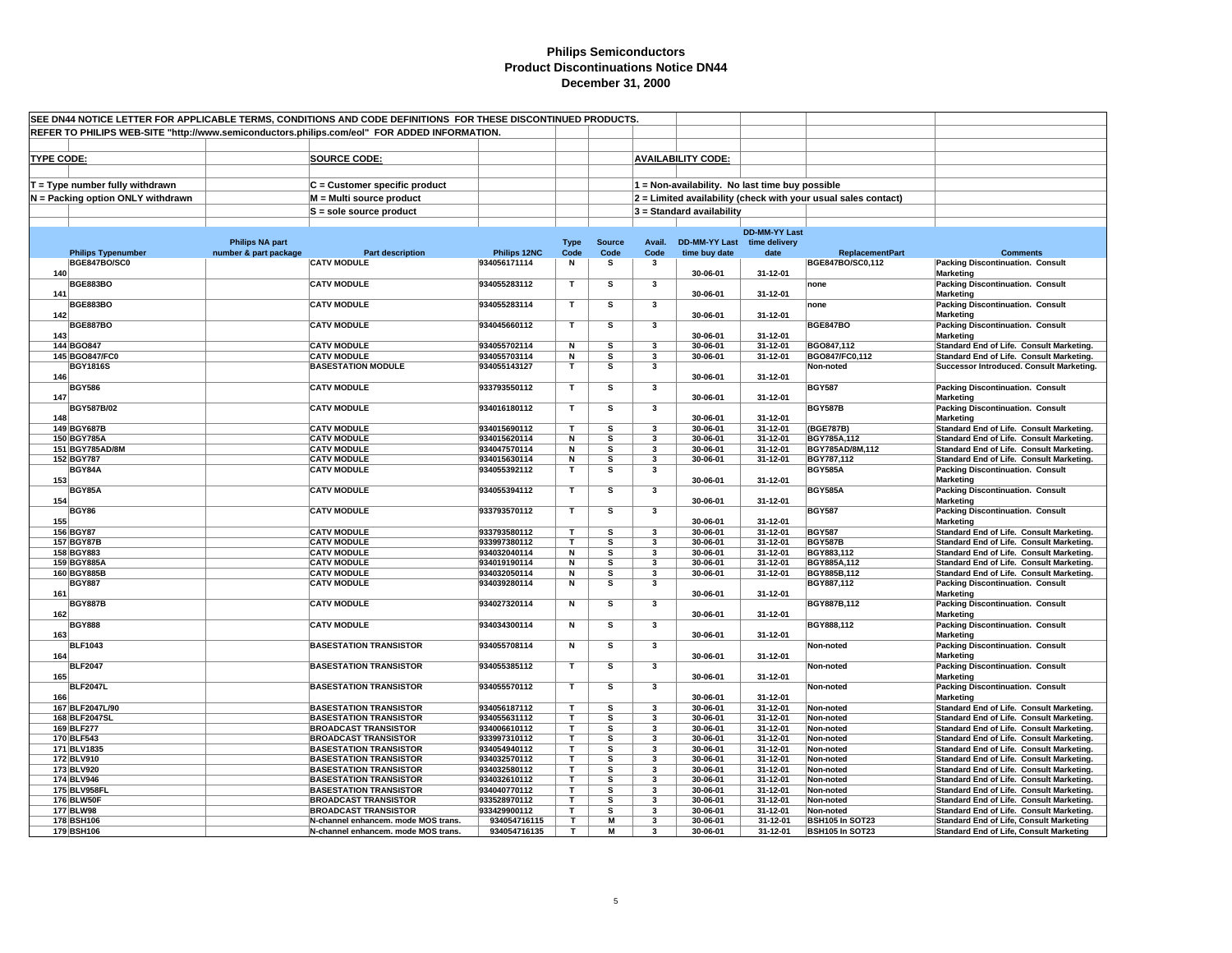| SEE DN44 NOTICE LETTER FOR APPLICABLE TERMS, CONDITIONS AND CODE DEFINITIONS FOR THESE DISCONTINUED PRODUCTS.<br>REFER TO PHILIPS WEB-SITE "http://www.semiconductors.philips.com/eol" FOR ADDED INFORMATION. |                        |                                                            |                              |                              |                       |                         |                           |                                                 |                                                                |                                                                                      |
|---------------------------------------------------------------------------------------------------------------------------------------------------------------------------------------------------------------|------------------------|------------------------------------------------------------|------------------------------|------------------------------|-----------------------|-------------------------|---------------------------|-------------------------------------------------|----------------------------------------------------------------|--------------------------------------------------------------------------------------|
|                                                                                                                                                                                                               |                        |                                                            |                              |                              |                       |                         |                           |                                                 |                                                                |                                                                                      |
|                                                                                                                                                                                                               |                        |                                                            |                              |                              |                       |                         |                           |                                                 |                                                                |                                                                                      |
| <b>TYPE CODE:</b>                                                                                                                                                                                             |                        | <b>SOURCE CODE:</b>                                        |                              |                              |                       |                         | <b>AVAILABILITY CODE:</b> |                                                 |                                                                |                                                                                      |
|                                                                                                                                                                                                               |                        |                                                            |                              |                              |                       |                         |                           |                                                 |                                                                |                                                                                      |
|                                                                                                                                                                                                               |                        |                                                            |                              |                              |                       |                         |                           |                                                 |                                                                |                                                                                      |
| $T = Type$ number fully withdrawn                                                                                                                                                                             |                        | C = Customer specific product                              |                              |                              |                       |                         |                           | 1 = Non-availability. No last time buy possible |                                                                |                                                                                      |
| N = Packing option ONLY withdrawn                                                                                                                                                                             |                        | M = Multi source product                                   |                              |                              |                       |                         |                           |                                                 | 2 = Limited availability (check with your usual sales contact) |                                                                                      |
|                                                                                                                                                                                                               |                        | $S =$ sole source product                                  |                              |                              |                       |                         | 3 = Standard availability |                                                 |                                                                |                                                                                      |
|                                                                                                                                                                                                               |                        |                                                            |                              |                              |                       |                         |                           |                                                 |                                                                |                                                                                      |
|                                                                                                                                                                                                               |                        |                                                            |                              |                              |                       |                         |                           | <b>DD-MM-YY Last</b>                            |                                                                |                                                                                      |
|                                                                                                                                                                                                               | <b>Philips NA part</b> |                                                            | Philips 12NC                 | <b>Type</b><br>Code          | <b>Source</b><br>Code | Avail.                  | <b>DD-MM-YY Last</b>      | time delivery                                   | <b>ReplacementPart</b>                                         | <b>Comments</b>                                                                      |
| <b>Philips Typenumber</b><br>BGE847BO/SC0                                                                                                                                                                     | number & part package  | <b>Part description</b><br><b>CATV MODULE</b>              | 934056171114                 | N                            | s                     | Code<br>3               | time buy date             | date                                            | BGE847BO/SC0,112                                               | <b>Packing Discontinuation. Consult</b>                                              |
| 140                                                                                                                                                                                                           |                        |                                                            |                              |                              |                       |                         | 30-06-01                  | 31-12-01                                        |                                                                | <b>Marketing</b>                                                                     |
| <b>BGE883BO</b>                                                                                                                                                                                               |                        | <b>CATV MODULE</b>                                         | 934055283112                 | $\mathbf{T}$                 | s                     | 3                       |                           |                                                 | none                                                           | <b>Packing Discontinuation. Consult</b>                                              |
| 141                                                                                                                                                                                                           |                        |                                                            |                              |                              |                       |                         | 30-06-01                  | 31-12-01                                        |                                                                | <b>Marketing</b>                                                                     |
| <b>BGE883BO</b>                                                                                                                                                                                               |                        | <b>CATV MODULE</b>                                         | 934055283114                 | т                            | s                     | 3                       |                           |                                                 | none                                                           | <b>Packing Discontinuation. Consult</b>                                              |
| 142                                                                                                                                                                                                           |                        |                                                            |                              |                              |                       |                         | 30-06-01                  | 31-12-01                                        |                                                                | <b>Marketing</b>                                                                     |
| <b>BGE887BO</b>                                                                                                                                                                                               |                        | <b>CATV MODULE</b>                                         | 934045660112                 | $\mathbf{T}$                 | s                     | 3                       |                           |                                                 | <b>BGE847BO</b>                                                | <b>Packing Discontinuation. Consult</b>                                              |
| 143                                                                                                                                                                                                           |                        |                                                            |                              |                              |                       |                         | 30-06-01                  | 31-12-01                                        |                                                                | <b>Marketing</b>                                                                     |
| 144 BGO847                                                                                                                                                                                                    |                        | <b>CATV MODULE</b>                                         | 934055702114                 | N                            | s                     | 3                       | 30-06-01                  | 31-12-01                                        | BGO847,112                                                     | Standard End of Life. Consult Marketing.                                             |
| 145 BGO847/FC0                                                                                                                                                                                                |                        | <b>CATV MODULE</b><br><b>BASESTATION MODULE</b>            | 934055703114<br>934055143127 | N<br>$\mathbf{T}$            | s                     | 3                       | 30-06-01                  | 31-12-01                                        | BGO847/FC0,112                                                 | Standard End of Life. Consult Marketing.                                             |
| <b>BGY1816S</b><br>146                                                                                                                                                                                        |                        |                                                            |                              |                              | s                     | 3                       | 30-06-01                  | 31-12-01                                        | Non-noted                                                      | Successor Introduced. Consult Marketing.                                             |
| <b>BGY586</b>                                                                                                                                                                                                 |                        | <b>CATV MODULE</b>                                         | 933793550112                 | T                            | s                     | 3                       |                           |                                                 | <b>BGY587</b>                                                  | <b>Packing Discontinuation. Consult</b>                                              |
| 147                                                                                                                                                                                                           |                        |                                                            |                              |                              |                       |                         | 30-06-01                  | 31-12-01                                        |                                                                | <b>Marketing</b>                                                                     |
| BGY587B/02                                                                                                                                                                                                    |                        | <b>CATV MODULE</b>                                         | 934016180112                 | $\mathbf T$                  | s                     | 3                       |                           |                                                 | <b>BGY587B</b>                                                 | <b>Packing Discontinuation. Consult</b>                                              |
| 148                                                                                                                                                                                                           |                        |                                                            |                              |                              |                       |                         | 30-06-01                  | 31-12-01                                        |                                                                | <b>Marketing</b>                                                                     |
| 149 BGY687B                                                                                                                                                                                                   |                        | <b>CATV MODULE</b>                                         | 934015690112                 | $\mathbf{T}$                 | s                     | 3                       | 30-06-01                  | 31-12-01                                        | (BGE787B)                                                      | Standard End of Life. Consult Marketing.                                             |
| 150 BGY785A                                                                                                                                                                                                   |                        | <b>CATV MODULE</b>                                         | 934015620114                 | N                            | s                     | 3                       | 30-06-01                  | 31-12-01                                        | BGY785A,112                                                    | Standard End of Life. Consult Marketing.                                             |
| 151 BGY785AD/8M                                                                                                                                                                                               |                        | <b>CATV MODULE</b>                                         | 934047570114                 | N                            | s                     | 3                       | 30-06-01                  | 31-12-01                                        | BGY785AD/8M,112                                                | Standard End of Life. Consult Marketing.                                             |
| 152 BGY787                                                                                                                                                                                                    |                        | <b>CATV MODULE</b>                                         | 934015630114                 | N                            | s                     | 3                       | 30-06-01                  | 31-12-01                                        | BGY787,112                                                     | Standard End of Life. Consult Marketing.                                             |
| BGY84A                                                                                                                                                                                                        |                        | <b>CATV MODULE</b>                                         | 934055392112                 | T                            | s                     | 3                       |                           |                                                 | <b>BGY585A</b>                                                 | <b>Packing Discontinuation. Consult</b>                                              |
| 153                                                                                                                                                                                                           |                        |                                                            |                              |                              |                       |                         | 30-06-01                  | 31-12-01                                        |                                                                | <b>Marketing</b>                                                                     |
| BGY85A<br>154                                                                                                                                                                                                 |                        | <b>CATV MODULE</b>                                         | 934055394112                 | $\mathbf T$                  | s                     | 3                       | 30-06-01                  | 31-12-01                                        | <b>BGY585A</b>                                                 | <b>Packing Discontinuation. Consult</b><br><b>Marketing</b>                          |
| <b>BGY86</b>                                                                                                                                                                                                  |                        | <b>CATV MODULE</b>                                         | 933793570112                 | T                            | s                     | 3                       |                           |                                                 | <b>BGY587</b>                                                  | <b>Packing Discontinuation. Consult</b>                                              |
| 155                                                                                                                                                                                                           |                        |                                                            |                              |                              |                       |                         | 30-06-01                  | 31-12-01                                        |                                                                | <b>Marketing</b>                                                                     |
| 156 BGY87                                                                                                                                                                                                     |                        | <b>CATV MODULE</b>                                         | 933793580112                 |                              | s                     | 3                       | 30-06-01                  | 31-12-01                                        | <b>BGY587</b>                                                  | Standard End of Life. Consult Marketing.                                             |
| 157 BGY87B                                                                                                                                                                                                    |                        | <b>CATV MODULE</b>                                         | 933997380112                 | т                            | s                     | 3                       | 30-06-01                  | 31-12-01                                        | <b>BGY587B</b>                                                 | Standard End of Life. Consult Marketing.                                             |
| 158 BGY883                                                                                                                                                                                                    |                        | <b>CATV MODULE</b>                                         | 934032040114                 | N                            | s                     | 3                       | 30-06-01                  | 31-12-01                                        | BGY883,112                                                     | Standard End of Life. Consult Marketing.                                             |
| 159 BGY885A                                                                                                                                                                                                   |                        | <b>CATV MODULE</b>                                         | 934019190114                 | N                            | s                     | $\mathbf{3}$            | 30-06-01                  | 31-12-01                                        | BGY885A,112                                                    | Standard End of Life. Consult Marketing.                                             |
| 160 BGY885B                                                                                                                                                                                                   |                        | <b>CATV MODULE</b>                                         | 934032050114                 | N                            | s                     | 3                       | 30-06-01                  | 31-12-01                                        | BGY885B,112                                                    | Standard End of Life. Consult Marketing.                                             |
| <b>BGY887</b>                                                                                                                                                                                                 |                        | <b>CATV MODULE</b>                                         | 934039280114                 | N                            | s                     | 3                       |                           |                                                 | BGY887,112                                                     | <b>Packing Discontinuation. Consult</b>                                              |
| 161                                                                                                                                                                                                           |                        |                                                            |                              |                              |                       |                         | 30-06-01                  | 31-12-01                                        |                                                                | <b>Marketing</b>                                                                     |
| <b>BGY887B</b><br>162                                                                                                                                                                                         |                        | <b>CATV MODULE</b>                                         | 934027320114                 | N                            | s                     | 3                       | 30-06-01                  | 31-12-01                                        | BGY887B,112                                                    | <b>Packing Discontinuation. Consult</b><br><b>Marketing</b>                          |
| <b>BGY888</b>                                                                                                                                                                                                 |                        | <b>CATV MODULE</b>                                         | 934034300114                 | N                            | s                     | 3                       |                           |                                                 | BGY888,112                                                     | <b>Packing Discontinuation. Consult</b>                                              |
| 163                                                                                                                                                                                                           |                        |                                                            |                              |                              |                       |                         | 30-06-01                  | 31-12-01                                        |                                                                | <b>Marketing</b>                                                                     |
| <b>BLF1043</b>                                                                                                                                                                                                |                        | <b>BASESTATION TRANSISTOR</b>                              | 934055708114                 | N                            | s                     | 3                       |                           |                                                 | Non-noted                                                      | <b>Packing Discontinuation. Consult</b>                                              |
| 164                                                                                                                                                                                                           |                        |                                                            |                              |                              |                       |                         | 30-06-01                  | 31-12-01                                        |                                                                | <b>Marketing</b>                                                                     |
| <b>BLF2047</b>                                                                                                                                                                                                |                        | <b>BASESTATION TRANSISTOR</b>                              | 934055385112                 | $\mathbf{T}$                 | s                     | 3                       |                           |                                                 | Non-noted                                                      | <b>Packing Discontinuation. Consult</b>                                              |
| 165                                                                                                                                                                                                           |                        |                                                            |                              |                              |                       |                         | 30-06-01                  | 31-12-01                                        |                                                                | <b>Marketing</b>                                                                     |
| <b>BLF2047L</b>                                                                                                                                                                                               |                        | <b>BASESTATION TRANSISTOR</b>                              | 934055570112                 | T                            | s                     | 3                       |                           |                                                 | Non-noted                                                      | <b>Packing Discontinuation. Consult</b>                                              |
| 166                                                                                                                                                                                                           |                        |                                                            |                              |                              |                       |                         | 30-06-01                  | 31-12-01                                        |                                                                | <b>Marketing</b>                                                                     |
| 167 BLF2047L/90                                                                                                                                                                                               |                        | <b>BASESTATION TRANSISTOR</b>                              | 934056187112                 | T                            | s                     | 3                       | 30-06-01                  | 31-12-01                                        | Non-noted                                                      | Standard End of Life. Consult Marketing.                                             |
| 168 BLF2047SL                                                                                                                                                                                                 |                        | <b>BASESTATION TRANSISTOR</b>                              | 934055631112                 | $\mathbf{r}$<br>$\mathbf{T}$ | s                     | $\overline{\mathbf{3}}$ | 30-06-01                  | 31-12-01                                        | Non-noted                                                      | Standard End of Life. Consult Marketing.                                             |
| 169 BLF277<br>170 BLF543                                                                                                                                                                                      |                        | <b>BROADCAST TRANSISTOR</b><br><b>BROADCAST TRANSISTOR</b> | 934006610112<br>933997310112 | $\mathbf T$                  | s<br>s                | 3<br>$\mathbf{3}$       | 30-06-01<br>30-06-01      | 31-12-01<br>31-12-01                            | Non-noted<br>Non-noted                                         | Standard End of Life. Consult Marketing.<br>Standard End of Life. Consult Marketing. |
| 171 BLV1835                                                                                                                                                                                                   |                        | <b>BASESTATION TRANSISTOR</b>                              | 934054940112                 | T.                           | s                     | 3                       | 30-06-01                  | 31-12-01                                        | Non-noted                                                      | Standard End of Life. Consult Marketing.                                             |
| 172 BLV910                                                                                                                                                                                                    |                        | <b>BASESTATION TRANSISTOR</b>                              | 934032570112                 | т                            | s                     | 3                       | 30-06-01                  | 31-12-01                                        | Non-noted                                                      | Standard End of Life. Consult Marketing.                                             |
| 173 BLV920                                                                                                                                                                                                    |                        | <b>BASESTATION TRANSISTOR</b>                              | 934032580112                 | T                            | s                     | 3                       | 30-06-01                  | 31-12-01                                        | Non-noted                                                      | Standard End of Life. Consult Marketing.                                             |
| 174 BLV946                                                                                                                                                                                                    |                        | <b>BASESTATION TRANSISTOR</b>                              | 934032610112                 | T                            | s                     | 3                       | 30-06-01                  | 31-12-01                                        | Non-noted                                                      | Standard End of Life. Consult Marketing.                                             |
| 175 BLV958FL                                                                                                                                                                                                  |                        | <b>BASESTATION TRANSISTOR</b>                              | 934040770112                 | T                            | s                     | 3                       | 30-06-01                  | 31-12-01                                        | Non-noted                                                      | Standard End of Life. Consult Marketing.                                             |
| 176 BLW50F                                                                                                                                                                                                    |                        | <b>BROADCAST TRANSISTOR</b>                                | 933528970112                 | $\mathbf{r}$                 | s                     | $\mathbf{3}$            | 30-06-01                  | 31-12-01                                        | Non-noted                                                      | Standard End of Life. Consult Marketing.                                             |
| 177 BLW98                                                                                                                                                                                                     |                        | <b>BROADCAST TRANSISTOR</b>                                | 933429900112                 | T                            | s                     | 3                       | 30-06-01                  | 31-12-01                                        | Non-noted                                                      | Standard End of Life. Consult Marketing.                                             |
| 178 BSH106                                                                                                                                                                                                    |                        | N-channel enhancem. mode MOS trans.                        | 934054716115                 | T                            | M                     | 3                       | 30-06-01                  | 31-12-01                                        | BSH105 In SOT23                                                | <b>Standard End of Life, Consult Marketing</b>                                       |
| 179 BSH106                                                                                                                                                                                                    |                        | N-channel enhancem. mode MOS trans.                        | 934054716135                 | т                            | м                     | $\overline{\mathbf{3}}$ | 30-06-01                  | 31-12-01                                        | <b>BSH105 In SOT23</b>                                         | <b>Standard End of Life, Consult Marketing</b>                                       |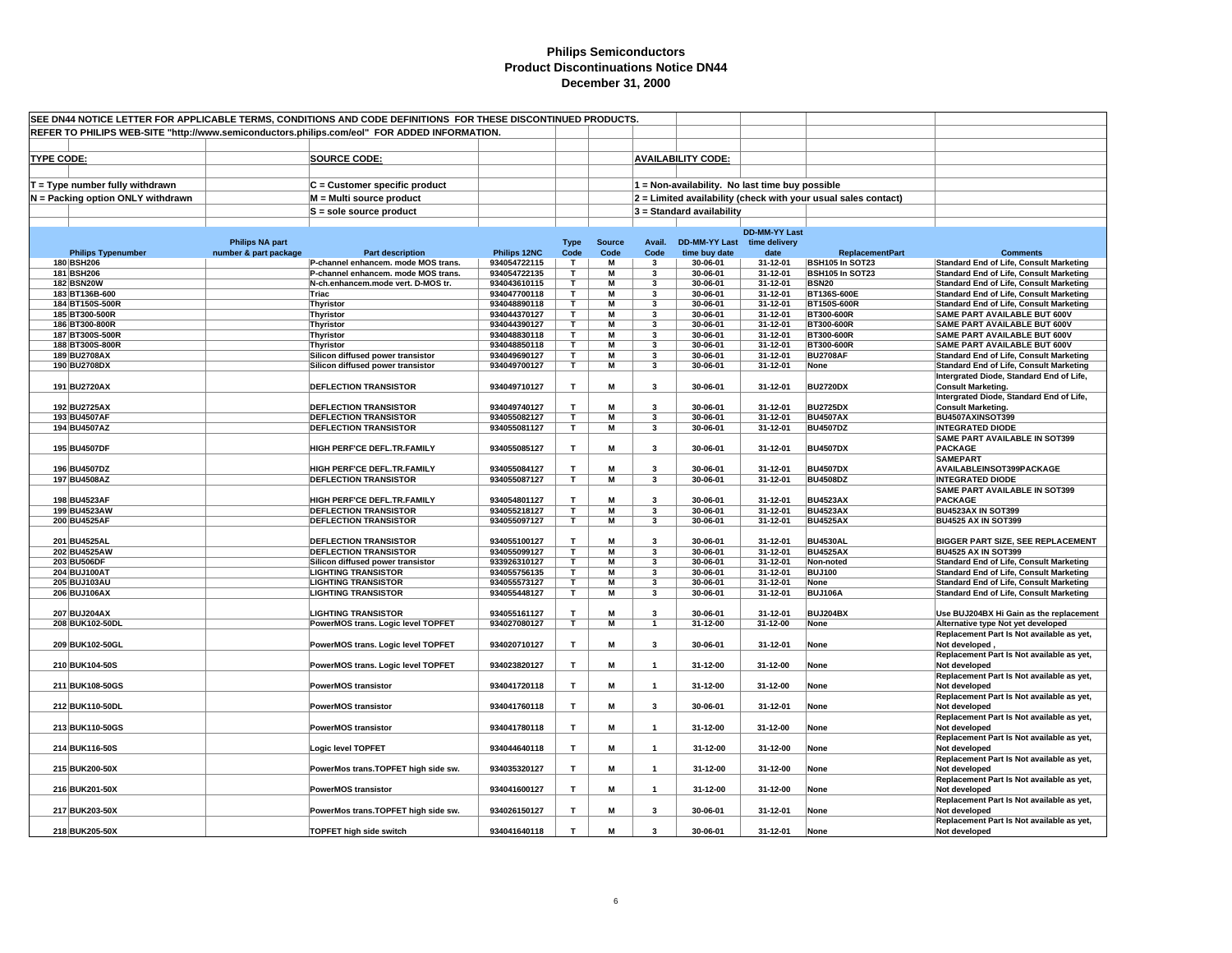| SEE DN44 NOTICE LETTER FOR APPLICABLE TERMS, CONDITIONS AND CODE DEFINITIONS FOR THESE DISCONTINUED PRODUCTS.<br>REFER TO PHILIPS WEB-SITE "http://www.semiconductors.philips.com/eol" FOR ADDED INFORMATION. |                                         |                        |                                                                 |                              |                         |                         |                              |                                                 |                      |                                                                |                                                                                       |
|---------------------------------------------------------------------------------------------------------------------------------------------------------------------------------------------------------------|-----------------------------------------|------------------------|-----------------------------------------------------------------|------------------------------|-------------------------|-------------------------|------------------------------|-------------------------------------------------|----------------------|----------------------------------------------------------------|---------------------------------------------------------------------------------------|
|                                                                                                                                                                                                               |                                         |                        |                                                                 |                              |                         |                         |                              |                                                 |                      |                                                                |                                                                                       |
|                                                                                                                                                                                                               |                                         |                        |                                                                 |                              |                         |                         |                              |                                                 |                      |                                                                |                                                                                       |
| <b>TYPE CODE:</b>                                                                                                                                                                                             |                                         |                        | <b>SOURCE CODE:</b>                                             |                              |                         |                         |                              | <b>AVAILABILITY CODE:</b>                       |                      |                                                                |                                                                                       |
|                                                                                                                                                                                                               |                                         |                        |                                                                 |                              |                         |                         |                              |                                                 |                      |                                                                |                                                                                       |
|                                                                                                                                                                                                               | T = Type number fully withdrawn         |                        | $C =$ Customer specific product                                 |                              |                         |                         |                              | 1 = Non-availability. No last time buy possible |                      |                                                                |                                                                                       |
|                                                                                                                                                                                                               | N = Packing option ONLY withdrawn       |                        | M = Multi source product                                        |                              |                         |                         |                              |                                                 |                      | 2 = Limited availability (check with your usual sales contact) |                                                                                       |
|                                                                                                                                                                                                               |                                         |                        | $S =$ sole source product                                       |                              |                         |                         |                              | 3 = Standard availability                       |                      |                                                                |                                                                                       |
|                                                                                                                                                                                                               |                                         |                        |                                                                 |                              |                         |                         |                              |                                                 | <b>DD-MM-YY Last</b> |                                                                |                                                                                       |
|                                                                                                                                                                                                               |                                         | <b>Philips NA part</b> |                                                                 |                              | <b>Type</b>             | <b>Source</b>           | Avail.                       | DD-MM-YY Last time delivery                     |                      |                                                                |                                                                                       |
|                                                                                                                                                                                                               | <b>Philips Typenumber</b><br>180 BSH206 | number & part package  | <b>Part description</b><br>P-channel enhancem. mode MOS trans.  | Philips 12NC<br>934054722115 | Code<br>T               | Code<br>M               | Code<br>$\mathbf{3}$         | time buy date<br>30-06-01                       | date<br>31-12-01     | <b>ReplacementPart</b><br>BSH105 In SOT23                      | <b>Comments</b><br><b>Standard End of Life, Consult Marketing</b>                     |
|                                                                                                                                                                                                               | 181 BSH206                              |                        | P-channel enhancem. mode MOS trans.                             | 934054722135                 | T.                      | М                       | 3                            | 30-06-01                                        | 31-12-01             | BSH105 In SOT23                                                | <b>Standard End of Life, Consult Marketing</b>                                        |
|                                                                                                                                                                                                               | <b>182 BSN20W</b>                       |                        | N-ch.enhancem.mode vert. D-MOS tr.                              | 934043610115                 | T                       | M                       | -3                           | 30-06-01                                        | 31-12-01             | <b>BSN20</b>                                                   | <b>Standard End of Life, Consult Marketing</b>                                        |
|                                                                                                                                                                                                               | 183 BT136B-600                          |                        | Triac                                                           | 934047700118                 | T                       | М                       | 3                            | 30-06-01                                        | 31-12-01             | BT136S-600E                                                    | <b>Standard End of Life, Consult Marketing</b>                                        |
|                                                                                                                                                                                                               | 184 BT150S-500R                         |                        | Thyristor                                                       | 934048890118                 | т                       | М                       | 3                            | 30-06-01                                        | 31-12-01             | BT150S-600R                                                    | <b>Standard End of Life, Consult Marketing</b>                                        |
|                                                                                                                                                                                                               | 185 BT300-500R                          |                        | Thyristor                                                       | 934044370127                 | T.                      | М                       | $\overline{\mathbf{3}}$      | 30-06-01                                        | 31-12-01             | BT300-600R                                                     | SAME PART AVAILABLE BUT 600V                                                          |
|                                                                                                                                                                                                               | 186 BT300-800R                          |                        | Thyristor                                                       | 934044390127                 | T.                      | M                       | 3                            | 30-06-01                                        | 31-12-01             | BT300-600R                                                     | SAME PART AVAILABLE BUT 600V                                                          |
|                                                                                                                                                                                                               | 187 BT300S-500R                         |                        | <b>Thyristor</b>                                                | 934048830118                 | т                       | М                       | 3                            | 30-06-01                                        | 31-12-01             | BT300-600R                                                     | SAME PART AVAILABLE BUT 600V                                                          |
|                                                                                                                                                                                                               | 188 BT300S-800R<br>189 BU2708AX         |                        | Thyristor<br>Silicon diffused power transistor                  | 934048850118<br>934049690127 | T.<br>T.                | М<br>М                  | 3<br>$\overline{\mathbf{3}}$ | 30-06-01<br>30-06-01                            | 31-12-01<br>31-12-01 | BT300-600R<br><b>BU2708AF</b>                                  | <b>SAME PART AVAILABLE BUT 600V</b><br><b>Standard End of Life, Consult Marketing</b> |
|                                                                                                                                                                                                               | 190 BU2708DX                            |                        | Silicon diffused power transistor                               | 934049700127                 | $\overline{\mathsf{r}}$ | $\overline{\mathsf{M}}$ | 3                            | 30-06-01                                        | 31-12-01             | None                                                           | <b>Standard End of Life, Consult Marketing</b>                                        |
|                                                                                                                                                                                                               |                                         |                        |                                                                 |                              |                         |                         |                              |                                                 |                      |                                                                | Intergrated Diode, Standard End of Life,                                              |
|                                                                                                                                                                                                               | 191 BU2720AX                            |                        | <b>DEFLECTION TRANSISTOR</b>                                    | 934049710127                 | T                       | М                       | 3                            | 30-06-01                                        | 31-12-01             | <b>BU2720DX</b>                                                | <b>Consult Marketing.</b>                                                             |
|                                                                                                                                                                                                               |                                         |                        |                                                                 |                              |                         |                         |                              |                                                 |                      |                                                                | Intergrated Diode, Standard End of Life,                                              |
|                                                                                                                                                                                                               | 192 BU2725AX                            |                        | <b>DEFLECTION TRANSISTOR</b>                                    | 934049740127                 | т                       | М                       | 3                            | 30-06-01                                        | 31-12-01             | <b>BU2725DX</b>                                                | <b>Consult Marketing.</b>                                                             |
|                                                                                                                                                                                                               | 193 BU4507AF                            |                        | <b>DEFLECTION TRANSISTOR</b>                                    | 934055082127                 | T.                      | М                       | 3                            | 30-06-01                                        | 31-12-01             | <b>BU4507AX</b>                                                | BU4507AXINSOT399                                                                      |
|                                                                                                                                                                                                               | 194 BU4507AZ                            |                        | <b>DEFLECTION TRANSISTOR</b>                                    | 934055081127                 | T                       | M                       | 3                            | 30-06-01                                        | 31-12-01             | <b>BU4507DZ</b>                                                | <b>INTEGRATED DIODE</b>                                                               |
|                                                                                                                                                                                                               |                                         |                        |                                                                 |                              |                         |                         |                              |                                                 |                      |                                                                | <b>SAME PART AVAILABLE IN SOT399</b>                                                  |
|                                                                                                                                                                                                               | 195 BU4507DF                            |                        | HIGH PERF'CE DEFL.TR.FAMILY                                     | 934055085127                 | T                       | M                       | $\mathbf{3}$                 | 30-06-01                                        | 31-12-01             | <b>BU4507DX</b>                                                | <b>PACKAGE</b>                                                                        |
|                                                                                                                                                                                                               | 196 BU4507DZ                            |                        | HIGH PERF'CE DEFL.TR.FAMILY                                     | 934055084127                 | T                       | М                       | $\mathbf{a}$                 | 30-06-01                                        | 31-12-01             | <b>BU4507DX</b>                                                | <b>SAMEPART</b><br>AVAILABLEINSOT399PACKAGE                                           |
|                                                                                                                                                                                                               | 197 BU4508AZ                            |                        | <b>DEFLECTION TRANSISTOR</b>                                    | 934055087127                 | T.                      | M                       | $\mathbf{3}$                 | 30-06-01                                        | 31-12-01             | <b>BU4508DZ</b>                                                | <b>INTEGRATED DIODE</b>                                                               |
|                                                                                                                                                                                                               |                                         |                        |                                                                 |                              |                         |                         |                              |                                                 |                      |                                                                | <b>SAME PART AVAILABLE IN SOT399</b>                                                  |
|                                                                                                                                                                                                               | 198 BU4523AF                            |                        | HIGH PERF'CE DEFL.TR.FAMILY                                     | 934054801127                 | T                       | М                       | 3                            | 30-06-01                                        | 31-12-01             | <b>BU4523AX</b>                                                | <b>PACKAGE</b>                                                                        |
|                                                                                                                                                                                                               | 199 BU4523AW                            |                        | <b>DEFLECTION TRANSISTOR</b>                                    | 934055218127                 | T                       | M                       | 3                            | 30-06-01                                        | 31-12-01             | <b>BU4523AX</b>                                                | <b>BU4523AX IN SOT399</b>                                                             |
|                                                                                                                                                                                                               | 200 BU4525AF                            |                        | <b>DEFLECTION TRANSISTOR</b>                                    | 934055097127                 | T                       | M                       | $\overline{\mathbf{3}}$      | 30-06-01                                        | 31-12-01             | <b>BU4525AX</b>                                                | <b>BU4525 AX IN SOT399</b>                                                            |
|                                                                                                                                                                                                               |                                         |                        |                                                                 |                              |                         |                         |                              |                                                 |                      |                                                                |                                                                                       |
|                                                                                                                                                                                                               | 201 BU4525AL                            |                        | <b>DEFLECTION TRANSISTOR</b>                                    | 934055100127                 | T.                      | М                       | 3                            | 30-06-01                                        | 31-12-01             | <b>BU4530AL</b>                                                | BIGGER PART SIZE, SEE REPLACEMENT                                                     |
|                                                                                                                                                                                                               | 202 BU4525AW<br>203 BU506DF             |                        | <b>DEFLECTION TRANSISTOR</b>                                    | 934055099127<br>933926310127 | T<br>T.                 | М<br>М                  | $\overline{\mathbf{3}}$<br>3 | 30-06-01<br>30-06-01                            | 31-12-01<br>31-12-01 | <b>BU4525AX</b><br>Non-noted                                   | <b>BU4525 AX IN SOT399</b><br><b>Standard End of Life, Consult Marketing</b>          |
|                                                                                                                                                                                                               | 204 BUJ100AT                            |                        | Silicon diffused power transistor<br><b>LIGHTING TRANSISTOR</b> | 934055756135                 | т                       | М                       | 3                            | 30-06-01                                        | 31-12-01             | <b>BUJ100</b>                                                  | <b>Standard End of Life, Consult Marketing</b>                                        |
|                                                                                                                                                                                                               | 205 BUJ103AU                            |                        | <b>LIGHTING TRANSISTOR</b>                                      | 934055573127                 | т                       | М                       | 3                            | 30-06-01                                        | 31-12-01             | None                                                           | <b>Standard End of Life, Consult Marketing</b>                                        |
|                                                                                                                                                                                                               | 206 BUJ106AX                            |                        | <b>LIGHTING TRANSISTOR</b>                                      | 934055448127                 | т                       | M                       | 3                            | 30-06-01                                        | 31-12-01             | <b>BUJ106A</b>                                                 | <b>Standard End of Life, Consult Marketing</b>                                        |
|                                                                                                                                                                                                               |                                         |                        |                                                                 |                              |                         |                         |                              |                                                 |                      |                                                                |                                                                                       |
|                                                                                                                                                                                                               | 207 BUJ204AX                            |                        | <b>LIGHTING TRANSISTOR</b>                                      | 934055161127                 | T                       | М                       | 3                            | 30-06-01                                        | 31-12-01             | BUJ204BX                                                       | Use BUJ204BX Hi Gain as the replacement                                               |
|                                                                                                                                                                                                               | 208 BUK102-50DL                         |                        | PowerMOS trans. Logic level TOPFET                              | 934027080127                 | T                       | M                       | $\mathbf{1}$                 | 31-12-00                                        | 31-12-00             | None                                                           | Alternative type Not yet developed                                                    |
|                                                                                                                                                                                                               |                                         |                        |                                                                 |                              |                         |                         |                              |                                                 |                      |                                                                | Replacement Part Is Not available as yet,                                             |
|                                                                                                                                                                                                               | 209 BUK102-50GL                         |                        | PowerMOS trans. Logic level TOPFET                              | 934020710127                 | T                       | M                       | 3                            | 30-06-01                                        | 31-12-01             | None                                                           | Not developed,                                                                        |
|                                                                                                                                                                                                               |                                         |                        |                                                                 |                              |                         |                         |                              |                                                 |                      |                                                                | Replacement Part Is Not available as yet,                                             |
|                                                                                                                                                                                                               | 210 BUK104-50S                          |                        | PowerMOS trans. Logic level TOPFET                              | 934023820127                 | T                       | М                       | $\mathbf{1}$                 | 31-12-00                                        | 31-12-00             | None                                                           | Not developed<br>Replacement Part Is Not available as yet,                            |
|                                                                                                                                                                                                               | 211 BUK108-50GS                         |                        | <b>PowerMOS transistor</b>                                      | 934041720118                 | $\mathbf{T}$            | M                       | $\mathbf{1}$                 | 31-12-00                                        | 31-12-00             | None                                                           | Not developed                                                                         |
|                                                                                                                                                                                                               |                                         |                        |                                                                 |                              |                         |                         |                              |                                                 |                      |                                                                | Replacement Part Is Not available as yet,                                             |
|                                                                                                                                                                                                               | 212 BUK110-50DL                         |                        | <b>PowerMOS transistor</b>                                      | 934041760118                 | T.                      | М                       | 3                            | 30-06-01                                        | 31-12-01             | None                                                           | Not developed                                                                         |
|                                                                                                                                                                                                               |                                         |                        |                                                                 |                              |                         |                         |                              |                                                 |                      |                                                                | Replacement Part Is Not available as yet,                                             |
|                                                                                                                                                                                                               | 213 BUK110-50GS                         |                        | <b>PowerMOS transistor</b>                                      | 934041780118                 | т                       | М                       | $\mathbf{1}$                 | 31-12-00                                        | 31-12-00             | None                                                           | Not developed                                                                         |
|                                                                                                                                                                                                               |                                         |                        |                                                                 |                              |                         |                         |                              |                                                 |                      |                                                                | Replacement Part Is Not available as yet,                                             |
|                                                                                                                                                                                                               | 214 BUK116-50S                          |                        | Logic level TOPFET                                              | 934044640118                 | T                       | M                       | $\mathbf{1}$                 | 31-12-00                                        | 31-12-00             | None                                                           | Not developed                                                                         |
|                                                                                                                                                                                                               |                                         |                        |                                                                 |                              |                         |                         |                              |                                                 |                      |                                                                | Replacement Part Is Not available as yet,                                             |
|                                                                                                                                                                                                               | 215 BUK200-50X                          |                        | PowerMos trans.TOPFET high side sw.                             | 934035320127                 | $\mathbf{T}$            | M                       | $\mathbf{1}$                 | 31-12-00                                        | 31-12-00             | None                                                           | Not developed                                                                         |
|                                                                                                                                                                                                               | 216 BUK201-50X                          |                        | <b>PowerMOS transistor</b>                                      | 934041600127                 | T                       | M                       | $\mathbf{1}$                 | 31-12-00                                        | 31-12-00             | None                                                           | Replacement Part Is Not available as yet,<br>Not developed                            |
|                                                                                                                                                                                                               |                                         |                        |                                                                 |                              |                         |                         |                              |                                                 |                      |                                                                | Replacement Part Is Not available as yet,                                             |
|                                                                                                                                                                                                               | 217 BUK203-50X                          |                        | PowerMos trans.TOPFET high side sw.                             | 934026150127                 | T                       | M                       | 3                            | 30-06-01                                        | 31-12-01             | None                                                           | Not developed                                                                         |
|                                                                                                                                                                                                               |                                         |                        |                                                                 |                              |                         |                         |                              |                                                 |                      |                                                                | Replacement Part Is Not available as yet,                                             |
|                                                                                                                                                                                                               | 218 BUK205-50X                          |                        | <b>TOPFET high side switch</b>                                  | 934041640118                 | T                       | М                       | $\mathbf{3}$                 | 30-06-01                                        | 31-12-01             | None                                                           | Not developed                                                                         |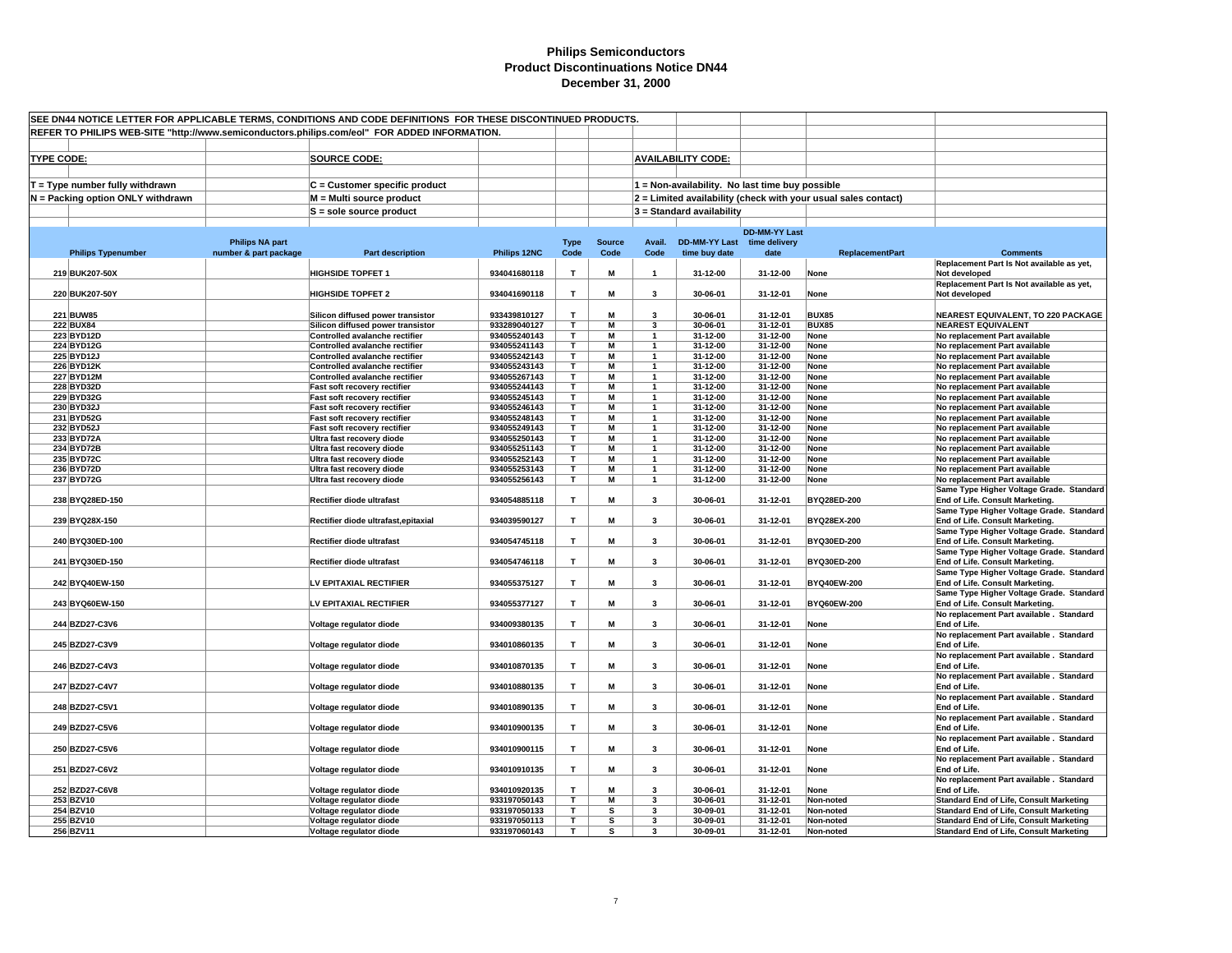| SEE DN44 NOTICE LETTER FOR APPLICABLE TERMS, CONDITIONS AND CODE DEFINITIONS FOR THESE DISCONTINUED PRODUCTS.<br>REFER TO PHILIPS WEB-SITE "http://www.semiconductors.philips.com/eol" FOR ADDED INFORMATION. |                        |                                                                |                              |                         |                     |                                |                                                 |                                                     |                                                                |                                                                             |
|---------------------------------------------------------------------------------------------------------------------------------------------------------------------------------------------------------------|------------------------|----------------------------------------------------------------|------------------------------|-------------------------|---------------------|--------------------------------|-------------------------------------------------|-----------------------------------------------------|----------------------------------------------------------------|-----------------------------------------------------------------------------|
|                                                                                                                                                                                                               |                        |                                                                |                              |                         |                     |                                |                                                 |                                                     |                                                                |                                                                             |
| <b>TYPE CODE:</b>                                                                                                                                                                                             |                        | <b>SOURCE CODE:</b>                                            |                              |                         |                     |                                | <b>AVAILABILITY CODE:</b>                       |                                                     |                                                                |                                                                             |
| T = Type number fully withdrawn                                                                                                                                                                               |                        | C = Customer specific product                                  |                              |                         |                     |                                | 1 = Non-availability. No last time buy possible |                                                     |                                                                |                                                                             |
| N = Packing option ONLY withdrawn                                                                                                                                                                             |                        | M = Multi source product                                       |                              |                         |                     |                                |                                                 |                                                     | 2 = Limited availability (check with your usual sales contact) |                                                                             |
|                                                                                                                                                                                                               |                        | $S =$ sole source product                                      |                              |                         |                     |                                | 3 = Standard availability                       |                                                     |                                                                |                                                                             |
|                                                                                                                                                                                                               |                        |                                                                |                              |                         |                     |                                |                                                 |                                                     |                                                                |                                                                             |
|                                                                                                                                                                                                               | <b>Philips NA part</b> |                                                                |                              |                         | <b>Source</b>       | Avail.                         |                                                 | <b>DD-MM-YY Last</b><br>DD-MM-YY Last time delivery |                                                                |                                                                             |
| <b>Philips Typenumber</b>                                                                                                                                                                                     | number & part package  | <b>Part description</b>                                        | Philips 12NC                 | <b>Type</b><br>Code     | Code                | Code                           | time buy date                                   | date                                                | <b>ReplacementPart</b>                                         | <b>Comments</b>                                                             |
|                                                                                                                                                                                                               |                        |                                                                |                              |                         |                     |                                |                                                 |                                                     |                                                                | Replacement Part Is Not available as yet,                                   |
| 219 BUK207-50X                                                                                                                                                                                                |                        | <b>HIGHSIDE TOPFET 1</b>                                       | 934041680118                 | T                       | M                   | $\mathbf{1}$                   | 31-12-00                                        | 31-12-00                                            | None                                                           | Not developed<br>Replacement Part Is Not available as yet,                  |
| 220 BUK207-50Y                                                                                                                                                                                                |                        | <b>HIGHSIDE TOPFET 2</b>                                       | 934041690118                 | T.                      | M                   | $\overline{\mathbf{3}}$        | 30-06-01                                        | 31-12-01                                            | None                                                           | Not developed                                                               |
| 221 BUW85                                                                                                                                                                                                     |                        | Silicon diffused power transistor                              | 933439810127                 | T.                      | M                   | 3                              | 30-06-01                                        | 31-12-01                                            | <b>BUX85</b>                                                   | <b>NEAREST EQUIVALENT, TO 220 PACKAGE</b>                                   |
| <b>222 BUX84</b>                                                                                                                                                                                              |                        | Silicon diffused power transistor                              | 933289040127                 | T.                      | M                   | 3                              | 30-06-01                                        | 31-12-01                                            | <b>BUX85</b>                                                   | <b>NEAREST EQUIVALENT</b>                                                   |
| 223 BYD12D                                                                                                                                                                                                    |                        | Controlled avalanche rectifier                                 | 934055240143                 | T.                      | М                   | 1                              | 31-12-00                                        | 31-12-00                                            | None                                                           | No replacement Part available                                               |
| 224 BYD12G                                                                                                                                                                                                    |                        | Controlled avalanche rectifier                                 | 934055241143                 | $\overline{\mathsf{T}}$ | $\overline{M}$      | $\overline{\mathbf{1}}$        | $31 - 12 - 00$                                  | 31-12-00                                            | None                                                           | No replacement Part available                                               |
| 225 BYD12J                                                                                                                                                                                                    |                        | Controlled avalanche rectifier                                 | 934055242143                 | т                       | М                   | $\mathbf{1}$                   | 31-12-00                                        | 31-12-00                                            | None                                                           | No replacement Part available                                               |
| 226 BYD12K<br><b>227 BYD12M</b>                                                                                                                                                                               |                        | Controlled avalanche rectifier                                 | 934055243143<br>934055267143 | T.<br>T.                | M<br>М              | $\mathbf{1}$                   | 31-12-00                                        | 31-12-00<br>31-12-00                                | None                                                           | No replacement Part available                                               |
| 228 BYD32D                                                                                                                                                                                                    |                        | Controlled avalanche rectifier<br>Fast soft recovery rectifier | 934055244143                 | Τ                       | M                   | $\mathbf{1}$<br>1              | 31-12-00<br>31-12-00                            | 31-12-00                                            | None<br>None                                                   | No replacement Part available<br>No replacement Part available              |
| 229 BYD32G                                                                                                                                                                                                    |                        | Fast soft recovery rectifier                                   | 934055245143                 | т                       | M                   | $\mathbf{1}$                   | 31-12-00                                        | 31-12-00                                            | None                                                           | No replacement Part available                                               |
| 230 BYD32J                                                                                                                                                                                                    |                        | Fast soft recovery rectifier                                   | 934055246143                 | T.                      | М                   | $\mathbf{1}$                   | 31-12-00                                        | 31-12-00                                            | None                                                           | No replacement Part available                                               |
| 231 BYD52G                                                                                                                                                                                                    |                        | Fast soft recovery rectifier                                   | 934055248143                 | T.                      | М                   | $\overline{1}$                 | 31-12-00                                        | 31-12-00                                            | None                                                           | No replacement Part available                                               |
| 232 BYD52J                                                                                                                                                                                                    |                        | Fast soft recovery rectifier                                   | 934055249143                 | T.                      | M                   | $\overline{\mathbf{1}}$        | 31-12-00                                        | 31-12-00                                            | None                                                           | No replacement Part available                                               |
| 233 BYD72A<br>234 BYD72B                                                                                                                                                                                      |                        | Ultra fast recovery diode<br>Ultra fast recovery diode         | 934055250143<br>934055251143 | T.<br>т                 | $\overline{M}$<br>M | $\overline{1}$<br>$\mathbf{1}$ | 31-12-00<br>31-12-00                            | 31-12-00<br>31-12-00                                | None<br>None                                                   | No replacement Part available<br>No replacement Part available              |
| 235 BYD72C                                                                                                                                                                                                    |                        | Ultra fast recovery diode                                      | 934055252143                 | T.                      | M                   | $\mathbf{1}$                   | 31-12-00                                        | 31-12-00                                            | None                                                           | No replacement Part available                                               |
| 236 BYD72D                                                                                                                                                                                                    |                        | Ultra fast recovery diode                                      | 934055253143                 | T                       | М                   | $\mathbf{1}$                   | 31-12-00                                        | 31-12-00                                            | None                                                           | No replacement Part available                                               |
| 237 BYD72G                                                                                                                                                                                                    |                        | Ultra fast recovery diode                                      | 934055256143                 | T.                      | М                   | $\mathbf{1}$                   | 31-12-00                                        | 31-12-00                                            | None                                                           | No replacement Part available                                               |
| 238 BYQ28ED-150                                                                                                                                                                                               |                        | Rectifier diode ultrafast                                      | 934054885118                 | т                       | М                   | $\mathbf{3}$                   | 30-06-01                                        | 31-12-01                                            | BYQ28ED-200                                                    | Same Type Higher Voltage Grade. Standard<br>End of Life. Consult Marketing. |
|                                                                                                                                                                                                               |                        |                                                                |                              |                         |                     |                                |                                                 |                                                     |                                                                | Same Type Higher Voltage Grade. Standard                                    |
| 239 BYQ28X-150                                                                                                                                                                                                |                        | Rectifier diode ultrafast, epitaxial                           | 934039590127                 | T                       | M                   | $\overline{\mathbf{3}}$        | 30-06-01                                        | 31-12-01                                            | BYQ28EX-200                                                    | End of Life. Consult Marketing.                                             |
| 240 BYQ30ED-100                                                                                                                                                                                               |                        | Rectifier diode ultrafast                                      | 934054745118                 | T.                      | M                   | $\mathbf{3}$                   | 30-06-01                                        | 31-12-01                                            | BYQ30ED-200                                                    | Same Type Higher Voltage Grade. Standard<br>End of Life. Consult Marketing. |
|                                                                                                                                                                                                               |                        |                                                                |                              |                         |                     |                                |                                                 |                                                     |                                                                | Same Type Higher Voltage Grade. Standard                                    |
| 241 BYQ30ED-150                                                                                                                                                                                               |                        | Rectifier diode ultrafast                                      | 934054746118                 | T                       | M                   | $\mathbf{3}$                   | 30-06-01                                        | 31-12-01                                            | BYQ30ED-200                                                    | End of Life. Consult Marketing.                                             |
| 242 BYQ40EW-150                                                                                                                                                                                               |                        | LV EPITAXIAL RECTIFIER                                         | 934055375127                 | T                       | M                   | $\overline{\mathbf{3}}$        | 30-06-01                                        | 31-12-01                                            | <b>BYQ40EW-200</b>                                             | Same Type Higher Voltage Grade. Standard<br>End of Life. Consult Marketing. |
|                                                                                                                                                                                                               |                        |                                                                |                              |                         |                     |                                |                                                 |                                                     |                                                                | Same Type Higher Voltage Grade. Standard                                    |
| 243 BYQ60EW-150                                                                                                                                                                                               |                        | LV EPITAXIAL RECTIFIER                                         | 934055377127                 | T.                      | M                   | $\mathbf{3}$                   | 30-06-01                                        | 31-12-01                                            | BYQ60EW-200                                                    | End of Life. Consult Marketing.                                             |
| 244 BZD27-C3V6                                                                                                                                                                                                |                        | Voltage regulator diode                                        | 934009380135                 | $\mathsf T$             | M                   | $\mathbf{3}$                   | 30-06-01                                        | 31-12-01                                            | None                                                           | No replacement Part available. Standard<br>End of Life.                     |
|                                                                                                                                                                                                               |                        |                                                                |                              |                         |                     |                                |                                                 |                                                     |                                                                | No replacement Part available. Standard                                     |
| 245 BZD27-C3V9                                                                                                                                                                                                |                        | Voltage regulator diode                                        | 934010860135                 | T.                      | M                   | 3                              | 30-06-01                                        | 31-12-01                                            | None                                                           | End of Life.<br>No replacement Part available . Standard                    |
| 246 BZD27-C4V3                                                                                                                                                                                                |                        | Voltage regulator diode                                        | 934010870135                 | T.                      | M                   | $\overline{\mathbf{3}}$        | 30-06-01                                        | 31-12-01                                            | None                                                           | End of Life.                                                                |
| 247 BZD27-C4V7                                                                                                                                                                                                |                        |                                                                | 934010880135                 | T.                      | M                   | $\mathbf{3}$                   |                                                 |                                                     |                                                                | No replacement Part available . Standard                                    |
|                                                                                                                                                                                                               |                        | Voltage regulator diode                                        |                              |                         |                     |                                | 30-06-01                                        | 31-12-01                                            | None                                                           | End of Life.<br>No replacement Part available. Standard                     |
| 248 BZD27-C5V1                                                                                                                                                                                                |                        | Voltage regulator diode                                        | 934010890135                 | T.                      | M                   | $\mathbf{3}$                   | 30-06-01                                        | 31-12-01                                            | None                                                           | End of Life.                                                                |
| 249 BZD27-C5V6                                                                                                                                                                                                |                        | Voltage regulator diode                                        | 934010900135                 | T.                      | М                   | $\mathbf{3}$                   | 30-06-01                                        | 31-12-01                                            | None                                                           | No replacement Part available. Standard<br>End of Life.                     |
|                                                                                                                                                                                                               |                        |                                                                |                              |                         |                     |                                |                                                 |                                                     |                                                                | No replacement Part available . Standard                                    |
| 250 BZD27-C5V6                                                                                                                                                                                                |                        | Voltage regulator diode                                        | 934010900115                 | $\mathbf{T}$            | M                   | $\mathbf{3}$                   | 30-06-01                                        | 31-12-01                                            | None                                                           | End of Life.<br>No replacement Part available . Standard                    |
| 251 BZD27-C6V2                                                                                                                                                                                                |                        | Voltage regulator diode                                        | 934010910135                 | T.                      | M                   | $\mathbf{3}$                   | 30-06-01                                        | 31-12-01                                            | None                                                           | End of Life.                                                                |
|                                                                                                                                                                                                               |                        |                                                                |                              |                         |                     |                                |                                                 |                                                     |                                                                | No replacement Part available. Standard                                     |
| 252 BZD27-C6V8<br>253 BZV10                                                                                                                                                                                   |                        | Voltage regulator diode<br>Voltage regulator diode             | 934010920135<br>933197050143 | T.<br>T.                | M<br>М              | 3<br>3                         | 30-06-01<br>30-06-01                            | 31-12-01<br>31-12-01                                | None<br>Non-noted                                              | End of Life.<br><b>Standard End of Life, Consult Marketing</b>              |
| 254 BZV10                                                                                                                                                                                                     |                        | Voltage regulator diode                                        | 933197050133                 | T.                      | s                   | 3                              | 30-09-01                                        | 31-12-01                                            | Non-noted                                                      | <b>Standard End of Life, Consult Marketing</b>                              |
| 255 BZV10                                                                                                                                                                                                     |                        | Voltage regulator diode                                        | 933197050113                 | T.                      | s                   | $\overline{\mathbf{3}}$        | 30-09-01                                        | 31-12-01                                            | Non-noted                                                      | <b>Standard End of Life, Consult Marketing</b>                              |
| 256 BZV11                                                                                                                                                                                                     |                        | Voltage regulator diode                                        | 933197060143                 | $\mathbf{r}$            | s                   | $\mathbf{a}$                   | 30-09-01                                        | 31-12-01                                            | Non-noted                                                      | <b>Standard End of Life, Consult Marketing</b>                              |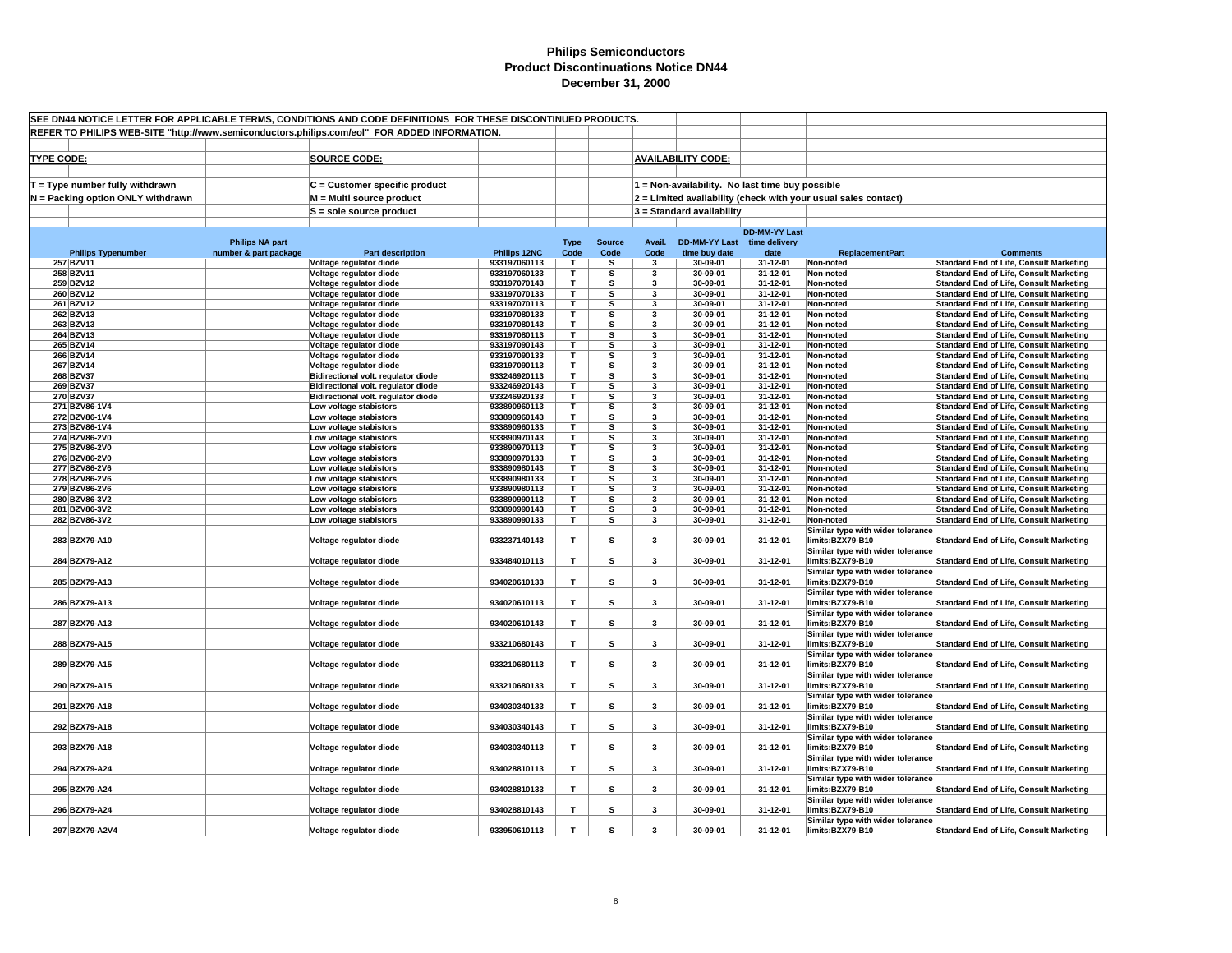| SEE DN44 NOTICE LETTER FOR APPLICABLE TERMS, CONDITIONS AND CODE DEFINITIONS FOR THESE DISCONTINUED PRODUCTS.<br>REFER TO PHILIPS WEB-SITE "http://www.semiconductors.philips.com/eol" FOR ADDED INFORMATION. |                                                 |                                                                            |                              |                     |                         |                         |                                              |                                                 |                                                                |                                                                                                  |
|---------------------------------------------------------------------------------------------------------------------------------------------------------------------------------------------------------------|-------------------------------------------------|----------------------------------------------------------------------------|------------------------------|---------------------|-------------------------|-------------------------|----------------------------------------------|-------------------------------------------------|----------------------------------------------------------------|--------------------------------------------------------------------------------------------------|
|                                                                                                                                                                                                               |                                                 |                                                                            |                              |                     |                         |                         |                                              |                                                 |                                                                |                                                                                                  |
| <b>TYPE CODE:</b>                                                                                                                                                                                             |                                                 | <b>SOURCE CODE:</b>                                                        |                              |                     |                         |                         | <b>AVAILABILITY CODE:</b>                    |                                                 |                                                                |                                                                                                  |
|                                                                                                                                                                                                               |                                                 |                                                                            |                              |                     |                         |                         |                                              |                                                 |                                                                |                                                                                                  |
| $T = Type$ number fully withdrawn                                                                                                                                                                             |                                                 | C = Customer specific product                                              |                              |                     |                         |                         |                                              | 1 = Non-availability. No last time buy possible |                                                                |                                                                                                  |
| N = Packing option ONLY withdrawn                                                                                                                                                                             |                                                 | M = Multi source product                                                   |                              |                     |                         |                         |                                              |                                                 | 2 = Limited availability (check with your usual sales contact) |                                                                                                  |
|                                                                                                                                                                                                               |                                                 | $S = sole source product$                                                  |                              |                     |                         |                         | 3 = Standard availability                    |                                                 |                                                                |                                                                                                  |
|                                                                                                                                                                                                               |                                                 |                                                                            |                              |                     |                         |                         |                                              |                                                 |                                                                |                                                                                                  |
|                                                                                                                                                                                                               |                                                 |                                                                            |                              |                     |                         |                         |                                              | <b>DD-MM-YY Last</b>                            |                                                                |                                                                                                  |
| <b>Philips Typenumber</b>                                                                                                                                                                                     | <b>Philips NA part</b><br>number & part package | <b>Part description</b>                                                    | Philips 12NC                 | <b>Type</b><br>Code | <b>Source</b><br>Code   | Avail.<br>Code          | DD-MM-YY Last time delivery<br>time buy date | date                                            | <b>ReplacementPart</b>                                         | <b>Comments</b>                                                                                  |
| 257 BZV11                                                                                                                                                                                                     |                                                 | Voltage regulator diode                                                    | 933197060113                 | T                   | s                       | $\mathbf{3}$            | 30-09-01                                     | 31-12-01                                        | Non-noted                                                      | <b>Standard End of Life, Consult Marketing</b>                                                   |
| 258 BZV11                                                                                                                                                                                                     |                                                 | Voltage regulator diode                                                    | 933197060133                 | т                   | s                       | 3                       | 30-09-01                                     | 31-12-01                                        | Non-noted                                                      | <b>Standard End of Life, Consult Marketing</b>                                                   |
| 259 BZV12                                                                                                                                                                                                     |                                                 | Voltage regulator diode                                                    | 933197070143                 | T                   | s                       | 3                       | 30-09-01                                     | 31-12-01                                        | Non-noted                                                      | Standard End of Life, Consult Marketing                                                          |
| 260 BZV12                                                                                                                                                                                                     |                                                 | Voltage regulator diode                                                    | 933197070133                 | T                   | s                       | 3                       | 30-09-01                                     | 31-12-01                                        | Non-noted                                                      | <b>Standard End of Life, Consult Marketing</b>                                                   |
| 261 BZV12<br>262 BZV13                                                                                                                                                                                        |                                                 | Voltage regulator diode<br>Voltage regulator diode                         | 933197070113<br>933197080133 | т<br>T.             | s<br>s                  | 3<br>3                  | 30-09-01<br>30-09-01                         | 31-12-01<br>31-12-01                            | Non-noted<br>Non-noted                                         | <b>Standard End of Life, Consult Marketing</b><br><b>Standard End of Life, Consult Marketing</b> |
| 263 BZV13                                                                                                                                                                                                     |                                                 | Voltage regulator diode                                                    | 933197080143                 | T.                  | s                       | 3                       | 30-09-01                                     | 31-12-01                                        | Non-noted                                                      | <b>Standard End of Life, Consult Marketing</b>                                                   |
| 264 BZV13                                                                                                                                                                                                     |                                                 | Voltage regulator diode                                                    | 933197080113                 | т                   | s                       | 3                       | 30-09-01                                     | 31-12-01                                        | Non-noted                                                      | <b>Standard End of Life, Consult Marketing</b>                                                   |
| 265 BZV14                                                                                                                                                                                                     |                                                 | Voltage regulator diode                                                    | 933197090143                 | T.                  | s                       | 3                       | 30-09-01                                     | 31-12-01                                        | Non-noted                                                      | <b>Standard End of Life, Consult Marketing</b>                                                   |
| 266 BZV14                                                                                                                                                                                                     |                                                 | Voltage regulator diode                                                    | 933197090133                 | T.                  | s                       | $\overline{\mathbf{3}}$ | 30-09-01                                     | 31-12-01                                        | Non-noted                                                      | <b>Standard End of Life, Consult Marketing</b>                                                   |
| 267 BZV14                                                                                                                                                                                                     |                                                 | Voltage regulator diode                                                    | 933197090113                 | T.                  | $\overline{\mathbf{s}}$ | 3                       | 30-09-01                                     | 31-12-01                                        | Non-noted                                                      | <b>Standard End of Life, Consult Marketing</b>                                                   |
| 268 BZV37<br>269 BZV37                                                                                                                                                                                        |                                                 | Bidirectional volt. regulator diode<br>Bidirectional volt. regulator diode | 933246920113<br>933246920143 | T.<br>Τ             | s<br>s                  | 3<br>3                  | 30-09-01<br>30-09-01                         | 31-12-01<br>31-12-01                            | Non-noted<br>Non-noted                                         | <b>Standard End of Life, Consult Marketing</b><br><b>Standard End of Life, Consult Marketing</b> |
| 270 BZV37                                                                                                                                                                                                     |                                                 | Bidirectional volt. regulator diode                                        | 933246920133                 | T.                  | s                       | 3                       | 30-09-01                                     | 31-12-01                                        | Non-noted                                                      | <b>Standard End of Life, Consult Marketing</b>                                                   |
| 271 BZV86-1V4                                                                                                                                                                                                 |                                                 | Low voltage stabistors                                                     | 933890960113                 | т                   | s                       | 3                       | 30-09-01                                     | 31-12-01                                        | Non-noted                                                      | <b>Standard End of Life, Consult Marketing</b>                                                   |
| 272 BZV86-1V4                                                                                                                                                                                                 |                                                 | Low voltage stabistors                                                     | 933890960143                 | т                   | s                       | 3                       | 30-09-01                                     | 31-12-01                                        | Non-noted                                                      | <b>Standard End of Life, Consult Marketing</b>                                                   |
| 273 BZV86-1V4                                                                                                                                                                                                 |                                                 | Low voltage stabistors                                                     | 933890960133                 | т                   | s                       | 3                       | 30-09-01                                     | 31-12-01                                        | Non-noted                                                      | <b>Standard End of Life, Consult Marketing</b>                                                   |
| 274 BZV86-2V0                                                                                                                                                                                                 |                                                 | Low voltage stabistors                                                     | 933890970143                 | T.<br>T.            | s<br>s                  | 3                       | 30-09-01                                     | 31-12-01                                        | Non-noted                                                      | <b>Standard End of Life, Consult Marketing</b>                                                   |
| 275 BZV86-2V0<br>276 BZV86-2V0                                                                                                                                                                                |                                                 | Low voltage stabistors<br>Low voltage stabistors                           | 933890970113<br>933890970133 | T                   | s                       | 3<br>$\mathbf{3}$       | 30-09-01<br>30-09-01                         | 31-12-01<br>31-12-01                            | Non-noted<br>Non-noted                                         | <b>Standard End of Life, Consult Marketing</b><br><b>Standard End of Life, Consult Marketing</b> |
| 277 BZV86-2V6                                                                                                                                                                                                 |                                                 | Low voltage stabistors                                                     | 933890980143                 | т                   | s                       | 3                       | 30-09-01                                     | 31-12-01                                        | Non-noted                                                      | <b>Standard End of Life, Consult Marketing</b>                                                   |
| 278 BZV86-2V6                                                                                                                                                                                                 |                                                 | Low voltage stabistors                                                     | 933890980133                 | T                   | s                       | 3                       | 30-09-01                                     | 31-12-01                                        | Non-noted                                                      | <b>Standard End of Life, Consult Marketing</b>                                                   |
| 279 BZV86-2V6                                                                                                                                                                                                 |                                                 | Low voltage stabistors                                                     | 933890980113                 | T.                  | s                       | $\overline{\mathbf{3}}$ | 30-09-01                                     | 31-12-01                                        | Non-noted                                                      | <b>Standard End of Life, Consult Marketing</b>                                                   |
| 280 BZV86-3V2                                                                                                                                                                                                 |                                                 | Low voltage stabistors                                                     | 933890990113                 | т                   | s                       | 3                       | 30-09-01                                     | 31-12-01                                        | Non-noted                                                      | <b>Standard End of Life, Consult Marketing</b>                                                   |
| 281 BZV86-3V2<br>282 BZV86-3V2                                                                                                                                                                                |                                                 | Low voltage stabistors<br>Low voltage stabistors                           | 933890990143<br>933890990133 | т<br>T.             | s<br>s                  | 3<br>3                  | 30-09-01<br>30-09-01                         | 31-12-01<br>31-12-01                            | Non-noted<br>Non-noted                                         | <b>Standard End of Life, Consult Marketing</b><br><b>Standard End of Life, Consult Marketing</b> |
|                                                                                                                                                                                                               |                                                 |                                                                            |                              |                     |                         |                         |                                              |                                                 | Similar type with wider tolerance                              |                                                                                                  |
| 283 BZX79-A10                                                                                                                                                                                                 |                                                 | Voltage regulator diode                                                    | 933237140143                 | T                   | s                       | 3                       | 30-09-01                                     | 31-12-01                                        | limits:BZX79-B10                                               | <b>Standard End of Life, Consult Marketing</b>                                                   |
|                                                                                                                                                                                                               |                                                 |                                                                            |                              |                     |                         |                         |                                              |                                                 | Similar type with wider tolerance                              |                                                                                                  |
| 284 BZX79-A12                                                                                                                                                                                                 |                                                 | Voltage regulator diode                                                    | 933484010113                 | т                   | s                       | $\overline{\mathbf{3}}$ | 30-09-01                                     | 31-12-01                                        | limits:BZX79-B10                                               | <b>Standard End of Life, Consult Marketing</b>                                                   |
|                                                                                                                                                                                                               |                                                 |                                                                            |                              |                     |                         |                         |                                              |                                                 | Similar type with wider tolerance                              |                                                                                                  |
| 285 BZX79-A13                                                                                                                                                                                                 |                                                 | Voltage regulator diode                                                    | 934020610133                 | T                   | s                       | 3                       | 30-09-01                                     | 31-12-01                                        | limits:BZX79-B10<br>Similar type with wider tolerance          | <b>Standard End of Life, Consult Marketing</b>                                                   |
| 286 BZX79-A13                                                                                                                                                                                                 |                                                 | Voltage regulator diode                                                    | 934020610113                 | T                   | s                       | 3                       | 30-09-01                                     | 31-12-01                                        | limits:BZX79-B10                                               | <b>Standard End of Life, Consult Marketing</b>                                                   |
|                                                                                                                                                                                                               |                                                 |                                                                            |                              |                     |                         |                         |                                              |                                                 | Similar type with wider tolerance                              |                                                                                                  |
| 287 BZX79-A13                                                                                                                                                                                                 |                                                 | Voltage regulator diode                                                    | 934020610143                 | $\mathbf T$         | s                       | $\mathbf{3}$            | 30-09-01                                     | 31-12-01                                        | limits:BZX79-B10                                               | <b>Standard End of Life, Consult Marketing</b>                                                   |
|                                                                                                                                                                                                               |                                                 |                                                                            |                              |                     |                         |                         |                                              |                                                 | Similar type with wider tolerance                              |                                                                                                  |
| 288 BZX79-A15                                                                                                                                                                                                 |                                                 | Voltage regulator diode                                                    | 933210680143                 | $\mathbf T$         | s                       | $\overline{\mathbf{3}}$ | 30-09-01                                     | 31-12-01                                        | limits:BZX79-B10                                               | <b>Standard End of Life, Consult Marketing</b>                                                   |
| 289 BZX79-A15                                                                                                                                                                                                 |                                                 | Voltage regulator diode                                                    | 933210680113                 | T                   | s                       | 3                       | 30-09-01                                     | 31-12-01                                        | Similar type with wider tolerance<br>limits:BZX79-B10          | <b>Standard End of Life, Consult Marketing</b>                                                   |
|                                                                                                                                                                                                               |                                                 |                                                                            |                              |                     |                         |                         |                                              |                                                 | Similar type with wider tolerance                              |                                                                                                  |
| 290 BZX79-A15                                                                                                                                                                                                 |                                                 | Voltage regulator diode                                                    | 933210680133                 | $\mathbf{T}$        | s                       | $\mathbf{3}$            | 30-09-01                                     | 31-12-01                                        | limits:BZX79-B10                                               | <b>Standard End of Life, Consult Marketing</b>                                                   |
|                                                                                                                                                                                                               |                                                 |                                                                            |                              |                     |                         |                         |                                              |                                                 | Similar type with wider tolerance                              |                                                                                                  |
| 291 BZX79-A18                                                                                                                                                                                                 |                                                 | Voltage regulator diode                                                    | 934030340133                 | T.                  | s                       | 3                       | 30-09-01                                     | 31-12-01                                        | limits:BZX79-B10                                               | <b>Standard End of Life, Consult Marketing</b>                                                   |
|                                                                                                                                                                                                               |                                                 |                                                                            |                              |                     |                         |                         |                                              |                                                 | Similar type with wider tolerance                              |                                                                                                  |
| 292 BZX79-A18                                                                                                                                                                                                 |                                                 | Voltage regulator diode                                                    | 934030340143                 | T                   | s                       | $\mathbf{3}$            | 30-09-01                                     | 31-12-01                                        | limits:BZX79-B10                                               | <b>Standard End of Life, Consult Marketing</b>                                                   |
| 293 BZX79-A18                                                                                                                                                                                                 |                                                 | Voltage regulator diode                                                    | 934030340113                 | T                   | s                       | $\mathbf{3}$            | 30-09-01                                     | 31-12-01                                        | Similar type with wider tolerance<br>limits:BZX79-B10          | <b>Standard End of Life, Consult Marketing</b>                                                   |
|                                                                                                                                                                                                               |                                                 |                                                                            |                              |                     |                         |                         |                                              |                                                 | Similar type with wider tolerance                              |                                                                                                  |
| 294 BZX79-A24                                                                                                                                                                                                 |                                                 | Voltage regulator diode                                                    | 934028810113                 | T                   | s                       | $\mathbf{3}$            | 30-09-01                                     | 31-12-01                                        | limits:BZX79-B10                                               | <b>Standard End of Life, Consult Marketing</b>                                                   |
|                                                                                                                                                                                                               |                                                 |                                                                            |                              |                     |                         |                         |                                              |                                                 | Similar type with wider tolerance                              |                                                                                                  |
| 295 BZX79-A24                                                                                                                                                                                                 |                                                 | Voltage regulator diode                                                    | 934028810133                 | T                   | s                       | $\mathbf{3}$            | 30-09-01                                     | 31-12-01                                        | limits:BZX79-B10                                               | <b>Standard End of Life, Consult Marketing</b>                                                   |
| 296 BZX79-A24                                                                                                                                                                                                 |                                                 | Voltage regulator diode                                                    | 934028810143                 | T                   | s                       | 3                       | 30-09-01                                     | 31-12-01                                        | Similar type with wider tolerance<br>limits:BZX79-B10          | <b>Standard End of Life, Consult Marketing</b>                                                   |
|                                                                                                                                                                                                               |                                                 |                                                                            |                              |                     |                         |                         |                                              |                                                 | Similar type with wider tolerance                              |                                                                                                  |
| 297 BZX79-A2V4                                                                                                                                                                                                |                                                 | Voltage regulator diode                                                    | 933950610113                 | T                   | S                       | 3                       | 30-09-01                                     | 31-12-01                                        | limits:BZX79-B10                                               | <b>Standard End of Life, Consult Marketing</b>                                                   |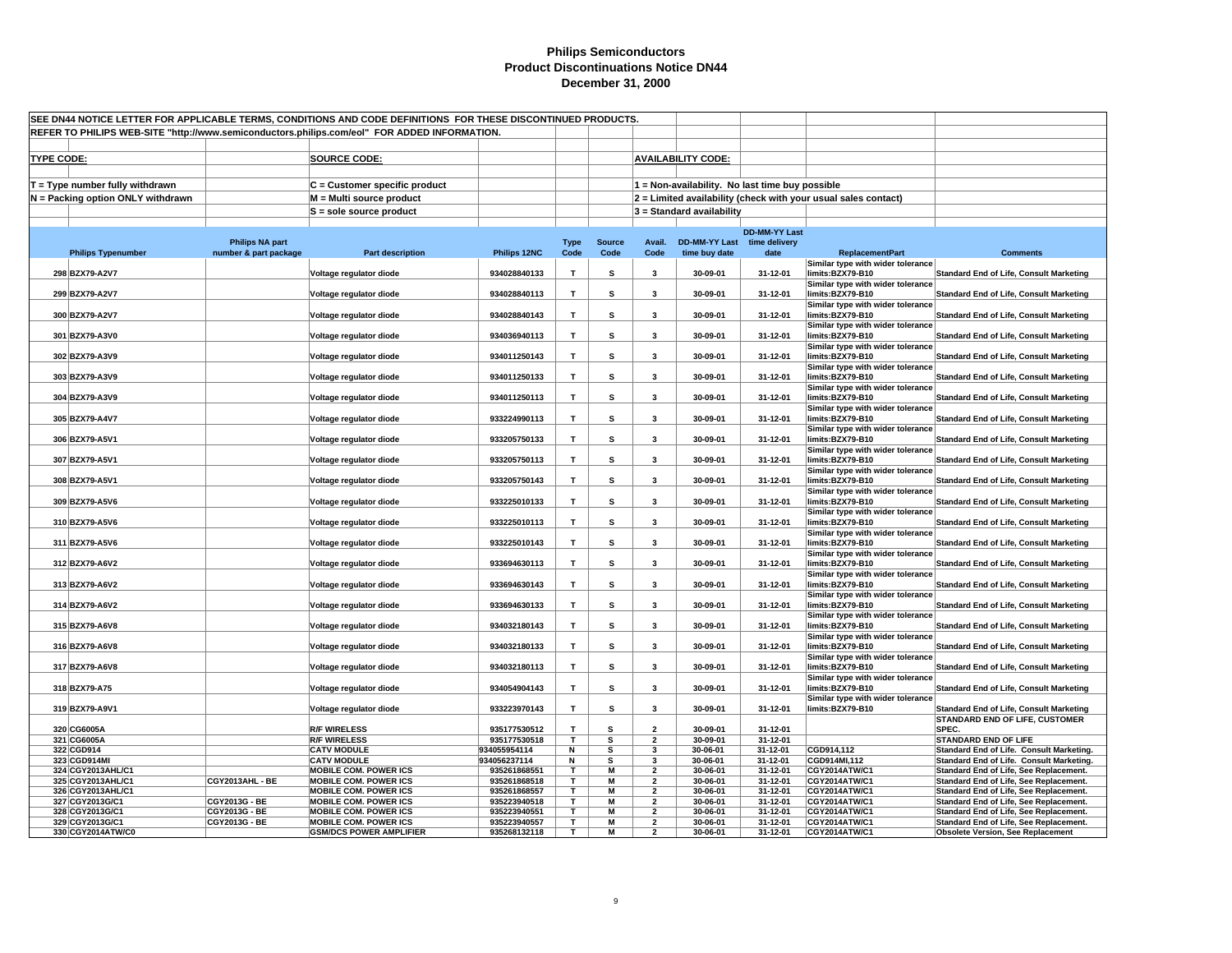| SEE DN44 NOTICE LETTER FOR APPLICABLE TERMS, CONDITIONS AND CODE DEFINITIONS FOR THESE DISCONTINUED PRODUCTS. |                                   |                        |                                          |                              |              |               |                          |                                                 |                      |                                                                |                                                                                    |
|---------------------------------------------------------------------------------------------------------------|-----------------------------------|------------------------|------------------------------------------|------------------------------|--------------|---------------|--------------------------|-------------------------------------------------|----------------------|----------------------------------------------------------------|------------------------------------------------------------------------------------|
| REFER TO PHILIPS WEB-SITE "http://www.semiconductors.philips.com/eol" FOR ADDED INFORMATION.                  |                                   |                        |                                          |                              |              |               |                          |                                                 |                      |                                                                |                                                                                    |
|                                                                                                               |                                   |                        |                                          |                              |              |               |                          |                                                 |                      |                                                                |                                                                                    |
|                                                                                                               |                                   |                        |                                          |                              |              |               |                          | <b>AVAILABILITY CODE:</b>                       |                      |                                                                |                                                                                    |
| <b>TYPE CODE:</b>                                                                                             |                                   |                        | <b>SOURCE CODE:</b>                      |                              |              |               |                          |                                                 |                      |                                                                |                                                                                    |
|                                                                                                               |                                   |                        |                                          |                              |              |               |                          |                                                 |                      |                                                                |                                                                                    |
|                                                                                                               | $T = Type$ number fully withdrawn |                        | C = Customer specific product            |                              |              |               |                          | 1 = Non-availability. No last time buy possible |                      |                                                                |                                                                                    |
|                                                                                                               | N = Packing option ONLY withdrawn |                        | M = Multi source product                 |                              |              |               |                          |                                                 |                      | 2 = Limited availability (check with your usual sales contact) |                                                                                    |
|                                                                                                               |                                   |                        | S = sole source product                  |                              |              |               |                          | $3$ = Standard availability                     |                      |                                                                |                                                                                    |
|                                                                                                               |                                   |                        |                                          |                              |              |               |                          |                                                 |                      |                                                                |                                                                                    |
|                                                                                                               |                                   |                        |                                          |                              |              |               |                          |                                                 | <b>DD-MM-YY Last</b> |                                                                |                                                                                    |
|                                                                                                               |                                   | <b>Philips NA part</b> |                                          |                              | <b>Type</b>  | <b>Source</b> | Avail.                   | DD-MM-YY Last time delivery                     |                      |                                                                |                                                                                    |
|                                                                                                               | <b>Philips Typenumber</b>         | number & part package  | <b>Part description</b>                  | Philips 12NC                 | Code         | Code          | Code                     | time buy date                                   | date                 | <b>ReplacementPart</b>                                         | <b>Comments</b>                                                                    |
|                                                                                                               |                                   |                        |                                          |                              |              |               |                          |                                                 |                      | Similar type with wider tolerance                              |                                                                                    |
|                                                                                                               | 298 BZX79-A2V7                    |                        | Voltage regulator diode                  | 934028840133                 | T            | s             | 3                        | 30-09-01                                        | 31-12-01             | limits:BZX79-B10                                               | <b>Standard End of Life, Consult Marketing</b>                                     |
|                                                                                                               |                                   |                        |                                          |                              |              |               |                          |                                                 |                      | Similar type with wider tolerance                              |                                                                                    |
|                                                                                                               | 299 BZX79-A2V7                    |                        | Voltage regulator diode                  | 934028840113                 | $\mathbf{T}$ | s             | 3                        | 30-09-01                                        | 31-12-01             | limits:BZX79-B10                                               | <b>Standard End of Life, Consult Marketing</b>                                     |
|                                                                                                               |                                   |                        |                                          |                              | $\mathsf T$  |               | $\overline{\mathbf{3}}$  |                                                 |                      | Similar type with wider tolerance                              |                                                                                    |
|                                                                                                               | 300 BZX79-A2V7                    |                        | Voltage regulator diode                  | 934028840143                 |              | s             |                          | 30-09-01                                        | 31-12-01             | limits:BZX79-B10<br>Similar type with wider tolerance          | <b>Standard End of Life, Consult Marketing</b>                                     |
|                                                                                                               | 301 BZX79-A3V0                    |                        | Voltage regulator diode                  | 934036940113                 | $\mathbf{T}$ | s             | 3                        | 30-09-01                                        | 31-12-01             | limits:BZX79-B10                                               | <b>Standard End of Life, Consult Marketing</b>                                     |
|                                                                                                               |                                   |                        |                                          |                              |              |               |                          |                                                 |                      | Similar type with wider tolerance                              |                                                                                    |
|                                                                                                               | 302 BZX79-A3V9                    |                        | Voltage regulator diode                  | 934011250143                 | T.           | s             | $\overline{\mathbf{3}}$  | 30-09-01                                        | 31-12-01             | limits:BZX79-B10                                               | <b>Standard End of Life, Consult Marketing</b>                                     |
|                                                                                                               |                                   |                        |                                          |                              |              |               |                          |                                                 |                      | Similar type with wider tolerance                              |                                                                                    |
|                                                                                                               | 303 BZX79-A3V9                    |                        | Voltage regulator diode                  | 934011250133                 | $\mathsf T$  | s             | 3                        | 30-09-01                                        | 31-12-01             | limits:BZX79-B10                                               | <b>Standard End of Life, Consult Marketing</b>                                     |
|                                                                                                               |                                   |                        |                                          |                              |              |               |                          |                                                 |                      | Similar type with wider tolerance                              |                                                                                    |
|                                                                                                               | 304 BZX79-A3V9                    |                        | Voltage regulator diode                  | 934011250113                 | $\mathbf{T}$ | s             | 3                        | 30-09-01                                        | 31-12-01             | limits:BZX79-B10                                               | <b>Standard End of Life, Consult Marketing</b>                                     |
|                                                                                                               |                                   |                        |                                          |                              |              |               |                          |                                                 |                      | Similar type with wider tolerance                              |                                                                                    |
|                                                                                                               | 305 BZX79-A4V7                    |                        | Voltage regulator diode                  | 933224990113                 | T            | s             | 3                        | 30-09-01                                        | 31-12-01             | limits:BZX79-B10                                               | <b>Standard End of Life, Consult Marketing</b>                                     |
|                                                                                                               |                                   |                        |                                          |                              |              |               |                          |                                                 |                      | Similar type with wider tolerance                              |                                                                                    |
|                                                                                                               | 306 BZX79-A5V1                    |                        | Voltage regulator diode                  | 933205750133                 | T            | s             | 3                        | 30-09-01                                        | 31-12-01             | limits:BZX79-B10                                               | <b>Standard End of Life, Consult Marketing</b>                                     |
|                                                                                                               |                                   |                        |                                          |                              |              |               |                          |                                                 |                      | Similar type with wider tolerance                              |                                                                                    |
|                                                                                                               | 307 BZX79-A5V1                    |                        | Voltage regulator diode                  | 933205750113                 | $\mathsf T$  | s             | $\overline{\mathbf{3}}$  | 30-09-01                                        | 31-12-01             | limits:BZX79-B10                                               | <b>Standard End of Life, Consult Marketing</b>                                     |
|                                                                                                               | 308 BZX79-A5V1                    |                        |                                          | 933205750143                 | T            | s             | 3                        | 30-09-01                                        | 31-12-01             | Similar type with wider tolerance<br>limits:BZX79-B10          |                                                                                    |
|                                                                                                               |                                   |                        | Voltage regulator diode                  |                              |              |               |                          |                                                 |                      | Similar type with wider tolerance                              | <b>Standard End of Life, Consult Marketing</b>                                     |
|                                                                                                               | 309 BZX79-A5V6                    |                        | Voltage regulator diode                  | 933225010133                 | T.           | s             | $\overline{\mathbf{3}}$  | 30-09-01                                        | 31-12-01             | limits:BZX79-B10                                               | <b>Standard End of Life, Consult Marketing</b>                                     |
|                                                                                                               |                                   |                        |                                          |                              |              |               |                          |                                                 |                      | Similar type with wider tolerance                              |                                                                                    |
|                                                                                                               | 310 BZX79-A5V6                    |                        | Voltage regulator diode                  | 933225010113                 | $\mathsf T$  | s             | 3                        | 30-09-01                                        | 31-12-01             | limits:BZX79-B10                                               | <b>Standard End of Life, Consult Marketing</b>                                     |
|                                                                                                               |                                   |                        |                                          |                              |              |               |                          |                                                 |                      | Similar type with wider tolerance                              |                                                                                    |
|                                                                                                               | 311 BZX79-A5V6                    |                        | Voltage regulator diode                  | 933225010143                 | T.           | s             | 3                        | 30-09-01                                        | 31-12-01             | limits:BZX79-B10                                               | <b>Standard End of Life, Consult Marketing</b>                                     |
|                                                                                                               |                                   |                        |                                          |                              |              |               |                          |                                                 |                      | Similar type with wider tolerance                              |                                                                                    |
|                                                                                                               | 312 BZX79-A6V2                    |                        | Voltage regulator diode                  | 933694630113                 | T.           | s             | 3                        | 30-09-01                                        | 31-12-01             | limits:BZX79-B10                                               | <b>Standard End of Life, Consult Marketing</b>                                     |
|                                                                                                               |                                   |                        |                                          |                              |              |               |                          |                                                 |                      | Similar type with wider tolerance                              |                                                                                    |
|                                                                                                               | 313 BZX79-A6V2                    |                        | Voltage regulator diode                  | 933694630143                 | T            | s             | $\overline{\mathbf{3}}$  | 30-09-01                                        | 31-12-01             | limits:BZX79-B10                                               | Standard End of Life, Consult Marketing                                            |
|                                                                                                               |                                   |                        |                                          |                              |              |               |                          |                                                 |                      | Similar type with wider tolerance                              |                                                                                    |
|                                                                                                               | 314 BZX79-A6V2                    |                        | Voltage regulator diode                  | 933694630133                 | T.           | s             | 3                        | 30-09-01                                        | 31-12-01             | limits:BZX79-B10                                               | <b>Standard End of Life, Consult Marketing</b>                                     |
|                                                                                                               | 315 BZX79-A6V8                    |                        | Voltage regulator diode                  | 934032180143                 | T            | s             | 3                        | 30-09-01                                        | 31-12-01             | Similar type with wider tolerance<br>limits:BZX79-B10          | <b>Standard End of Life, Consult Marketing</b>                                     |
|                                                                                                               |                                   |                        |                                          |                              |              |               |                          |                                                 |                      | Similar type with wider tolerance                              |                                                                                    |
|                                                                                                               | 316 BZX79-A6V8                    |                        | Voltage regulator diode                  | 934032180133                 | T.           | s             | $\overline{\mathbf{3}}$  | 30-09-01                                        | 31-12-01             | limits:BZX79-B10                                               | <b>Standard End of Life, Consult Marketing</b>                                     |
|                                                                                                               |                                   |                        |                                          |                              |              |               |                          |                                                 |                      | Similar type with wider tolerance                              |                                                                                    |
|                                                                                                               | 317 BZX79-A6V8                    |                        | Voltage regulator diode                  | 934032180113                 | T.           | s             | 3                        | 30-09-01                                        | 31-12-01             | limits:BZX79-B10                                               | <b>Standard End of Life, Consult Marketing</b>                                     |
|                                                                                                               |                                   |                        |                                          |                              |              |               |                          |                                                 |                      | Similar type with wider tolerance                              |                                                                                    |
|                                                                                                               | 318 BZX79-A75                     |                        | Voltage regulator diode                  | 934054904143                 | T.           | s             | 3                        | 30-09-01                                        | 31-12-01             | limits:BZX79-B10                                               | <b>Standard End of Life, Consult Marketing</b>                                     |
|                                                                                                               |                                   |                        |                                          |                              |              |               |                          |                                                 |                      | Similar type with wider tolerance                              |                                                                                    |
|                                                                                                               | 319 BZX79-A9V1                    |                        | Voltage regulator diode                  | 933223970143                 | T.           | s             | 3                        | 30-09-01                                        | 31-12-01             | limits:BZX79-B10                                               | <b>Standard End of Life, Consult Marketing</b>                                     |
|                                                                                                               |                                   |                        |                                          |                              |              |               |                          |                                                 |                      |                                                                | STANDARD END OF LIFE, CUSTOMER                                                     |
|                                                                                                               | 320 CG6005A                       |                        | <b>R/F WIRELESS</b>                      | 935177530512                 | T.           | s             | $\overline{\mathbf{2}}$  | 30-09-01                                        | 31-12-01             |                                                                | SPEC.                                                                              |
|                                                                                                               | 321 CG6005A                       |                        | <b>R/F WIRELESS</b>                      | 935177530518                 | T            | s             | $\overline{\mathbf{2}}$  | 30-09-01                                        | 31-12-01             |                                                                | STANDARD END OF LIFE                                                               |
|                                                                                                               | 322 CGD914<br>323 CGD914MI        |                        | <b>CATV MODULE</b><br><b>CATV MODULE</b> | 934055954114<br>934056237114 | N            | s<br>s        | 3<br>3                   | 30-06-01<br>30-06-01                            | 31-12-01<br>31-12-01 | CGD914,112<br>CGD914MI,112                                     | Standard End of Life. Consult Marketing.                                           |
|                                                                                                               | 324 CGY2013AHL/C1                 |                        | <b>MOBILE COM. POWER ICS</b>             | 935261868551                 | N<br>T.      | M             | $\overline{\mathbf{2}}$  | 30-06-01                                        | 31-12-01             | CGY2014ATW/C1                                                  | Standard End of Life. Consult Marketing.<br>Standard End of Life, See Replacement. |
|                                                                                                               | 325 CGY2013AHL/C1                 | <b>CGY2013AHL - BE</b> | <b>MOBILE COM. POWER ICS</b>             | 935261868518                 | T            | M             | $\overline{2}$           | 30-06-01                                        | 31-12-01             | <b>CGY2014ATW/C1</b>                                           | Standard End of Life, See Replacement.                                             |
|                                                                                                               | 326 CGY2013AHL/C1                 |                        | <b>MOBILE COM. POWER ICS</b>             | 935261868557                 | т            | M             | $\overline{\mathbf{2}}$  | 30-06-01                                        | 31-12-01             | CGY2014ATW/C1                                                  | Standard End of Life, See Replacement.                                             |
|                                                                                                               | 327 CGY2013G/C1                   | CGY2013G - BE          | <b>MOBILE COM. POWER ICS</b>             | 935223940518                 | т            | M             | $\overline{2}$           | 30-06-01                                        | 31-12-01             | <b>CGY2014ATW/C1</b>                                           | Standard End of Life. See Replacement.                                             |
|                                                                                                               | 328 CGY2013G/C1                   | CGY2013G - BE          | <b>MOBILE COM. POWER ICS</b>             | 935223940551                 | Τ            | M             | $\overline{2}$           | 30-06-01                                        | 31-12-01             | CGY2014ATW/C1                                                  | Standard End of Life, See Replacement.                                             |
|                                                                                                               | 329 CGY2013G/C1                   | CGY2013G - BE          | <b>MOBILE COM. POWER ICS</b>             | 935223940557                 | $\mathsf{T}$ | M             | $\overline{2}$           | 30-06-01                                        | 31-12-01             | CGY2014ATW/C1                                                  | Standard End of Life, See Replacement.                                             |
|                                                                                                               | 330 CGY2014ATW/C0                 |                        | <b>GSM/DCS POWER AMPLIFIER</b>           | 935268132118                 | T.           | M             | $\overline{\phantom{a}}$ | 30-06-01                                        | 31-12-01             | CGY2014ATW/C1                                                  | <b>Obsolete Version, See Replacement</b>                                           |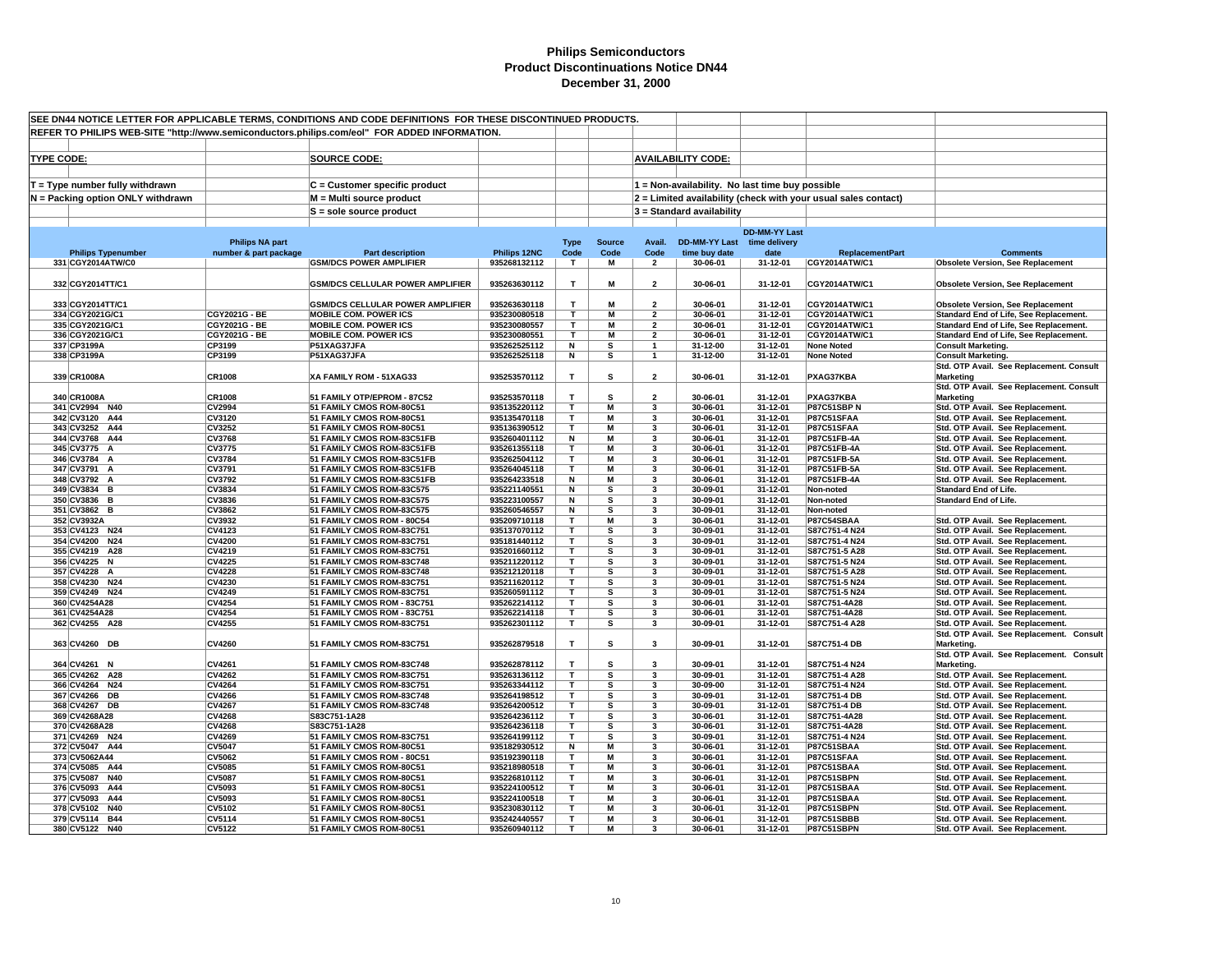| SEE DN44 NOTICE LETTER FOR APPLICABLE TERMS, CONDITIONS AND CODE DEFINITIONS FOR THESE DISCONTINUED PRODUCTS. |                                |                                                                                              |                              |                         |                         |                         |                                                 |                      |                                                                |                                                                                    |
|---------------------------------------------------------------------------------------------------------------|--------------------------------|----------------------------------------------------------------------------------------------|------------------------------|-------------------------|-------------------------|-------------------------|-------------------------------------------------|----------------------|----------------------------------------------------------------|------------------------------------------------------------------------------------|
|                                                                                                               |                                | REFER TO PHILIPS WEB-SITE "http://www.semiconductors.philips.com/eol" FOR ADDED INFORMATION. |                              |                         |                         |                         |                                                 |                      |                                                                |                                                                                    |
|                                                                                                               |                                |                                                                                              |                              |                         |                         |                         |                                                 |                      |                                                                |                                                                                    |
| <b>TYPE CODE:</b>                                                                                             |                                | <b>SOURCE CODE:</b>                                                                          |                              |                         |                         |                         | <b>AVAILABILITY CODE:</b>                       |                      |                                                                |                                                                                    |
|                                                                                                               |                                |                                                                                              |                              |                         |                         |                         |                                                 |                      |                                                                |                                                                                    |
| $T = Type$ number fully withdrawn                                                                             |                                | $C =$ Customer specific product                                                              |                              |                         |                         |                         | 1 = Non-availability. No last time buy possible |                      |                                                                |                                                                                    |
| N = Packing option ONLY withdrawn                                                                             |                                | M = Multi source product                                                                     |                              |                         |                         |                         |                                                 |                      | 2 = Limited availability (check with your usual sales contact) |                                                                                    |
|                                                                                                               |                                |                                                                                              |                              |                         |                         |                         |                                                 |                      |                                                                |                                                                                    |
|                                                                                                               |                                | $S =$ sole source product                                                                    |                              |                         |                         |                         | 3 = Standard availability                       |                      |                                                                |                                                                                    |
|                                                                                                               |                                |                                                                                              |                              |                         |                         |                         |                                                 | <b>DD-MM-YY Last</b> |                                                                |                                                                                    |
|                                                                                                               | <b>Philips NA part</b>         |                                                                                              |                              | <b>Type</b>             | <b>Source</b>           | Avail.                  | DD-MM-YY Last time delivery                     |                      |                                                                |                                                                                    |
| <b>Philips Typenumber</b>                                                                                     | number & part package          | <b>Part description</b>                                                                      | Philips 12NC                 | Code                    | Code                    | Code                    | time buy date                                   | date                 | <b>ReplacementPart</b>                                         | <b>Comments</b>                                                                    |
| 331 CGY2014ATW/C0                                                                                             |                                | <b>GSM/DCS POWER AMPLIFIER</b>                                                               | 935268132112                 | T.                      | $\overline{\mathsf{M}}$ | $\overline{2}$          | 30-06-01                                        | 31-12-01             | <b>CGY2014ATW/C1</b>                                           | <b>Obsolete Version, See Replacement</b>                                           |
|                                                                                                               |                                |                                                                                              |                              |                         |                         |                         |                                                 |                      |                                                                |                                                                                    |
| 332 CGY2014TT/C1                                                                                              |                                | <b>GSM/DCS CELLULAR POWER AMPLIFIER</b>                                                      | 935263630112                 | $\mathbf{T}$            | M                       | $\overline{2}$          | 30-06-01                                        | 31-12-01             | CGY2014ATW/C1                                                  | <b>Obsolete Version, See Replacement</b>                                           |
| 333 CGY2014TT/C1                                                                                              |                                | <b>GSM/DCS CELLULAR POWER AMPLIFIER</b>                                                      | 935263630118                 | T                       | М                       | $\overline{2}$          | 30-06-01                                        | 31-12-01             | <b>CGY2014ATW/C1</b>                                           |                                                                                    |
| 334 CGY2021G/C1                                                                                               | CGY2021G - BE                  | <b>MOBILE COM. POWER ICS</b>                                                                 | 935230080518                 | т                       | M                       | $\overline{2}$          | 30-06-01                                        | 31-12-01             | <b>CGY2014ATW/C1</b>                                           | <b>Obsolete Version, See Replacement</b><br>Standard End of Life, See Replacement. |
| 335 CGY2021G/C1                                                                                               | CGY2021G - BE                  | <b>MOBILE COM. POWER ICS</b>                                                                 | 935230080557                 | T                       | М                       | $\overline{2}$          | 30-06-01                                        | 31-12-01             | <b>CGY2014ATW/C1</b>                                           | Standard End of Life, See Replacement.                                             |
| 336 CGY2021G/C1                                                                                               | CGY2021G - BE                  | <b>MOBILE COM. POWER ICS</b>                                                                 | 935230080551                 | $\overline{\mathsf{T}}$ | M                       | $\overline{2}$          | 30-06-01                                        | 31-12-01             | CGY2014ATW/C1                                                  | Standard End of Life, See Replacement.                                             |
| 337 CP3199A                                                                                                   | CP3199                         | P51XAG37JFA                                                                                  | 935262525112                 | N                       | s                       | $\overline{1}$          | 31-12-00                                        | 31-12-01             | <b>None Noted</b>                                              | <b>Consult Marketing.</b>                                                          |
| 338 CP3199A                                                                                                   | CP3199                         | P51XAG37JFA                                                                                  | 935262525118                 | N                       | s                       | $\mathbf{1}$            | 31-12-00                                        | 31-12-01             | <b>None Noted</b>                                              | <b>Consult Marketing.</b>                                                          |
|                                                                                                               |                                |                                                                                              |                              |                         |                         |                         |                                                 |                      |                                                                | Std. OTP Avail. See Replacement. Consult                                           |
| 339 CR1008A                                                                                                   | CR1008                         | XA FAMILY ROM - 51XAG33                                                                      | 935253570112                 | Т                       | s                       | $\overline{2}$          | 30-06-01                                        | 31-12-01             | PXAG37KBA                                                      | <b>Marketing</b>                                                                   |
| 340 CR1008A                                                                                                   | <b>CR1008</b>                  | 51 FAMILY OTP/EPROM - 87C52                                                                  | 935253570118                 | T                       | s                       | $\overline{2}$          | 30-06-01                                        | 31-12-01             | PXAG37KBA                                                      | Std. OTP Avail. See Replacement. Consult                                           |
| 341 CV2994 N40                                                                                                | <b>CV2994</b>                  | 51 FAMILY CMOS ROM-80C51                                                                     | 935135220112                 | T.                      | М                       | 3                       | 30-06-01                                        | 31-12-01             | <b>P87C51SBPN</b>                                              | <b>Marketing</b><br>Std. OTP Avail. See Replacement.                               |
| 342 CV3120 A44                                                                                                | <b>CV3120</b>                  | 51 FAMILY CMOS ROM-80C51                                                                     | 935135470118                 | T                       | M                       | 3                       | 30-06-01                                        | 31-12-01             | P87C51SFAA                                                     | Std. OTP Avail. See Replacement.                                                   |
| 343 CV3252 A44                                                                                                | <b>CV3252</b>                  | 51 FAMILY CMOS ROM-80C51                                                                     | 935136390512                 | т                       | М                       | 3                       | 30-06-01                                        | 31-12-01             | P87C51SFAA                                                     | Std. OTP Avail. See Replacement.                                                   |
| 344 CV3768 A44                                                                                                | <b>CV3768</b>                  | 51 FAMILY CMOS ROM-83C51FB                                                                   | 935260401112                 | N                       | M                       | 3                       | 30-06-01                                        | 31-12-01             | P87C51FB-4A                                                    | Std. OTP Avail. See Replacement.                                                   |
| 345 CV3775 A                                                                                                  | <b>CV3775</b>                  | 51 FAMILY CMOS ROM-83C51FB                                                                   | 935261355118                 | T                       | M                       | 3                       | 30-06-01                                        | 31-12-01             | P87C51FB-4A                                                    | Std. OTP Avail. See Replacement.                                                   |
| 346 CV3784 A                                                                                                  | <b>CV3784</b>                  | 51 FAMILY CMOS ROM-83C51FB                                                                   | 935262504112                 | T                       | М                       | 3                       | 30-06-01                                        | 31-12-01             | P87C51FB-5A                                                    | Std. OTP Avail. See Replacement.                                                   |
| 347 CV3791 A                                                                                                  | CV3791                         | 51 FAMILY CMOS ROM-83C51FB                                                                   | 935264045118                 | Т                       | М                       | 3                       | 30-06-01                                        | 31-12-01             | P87C51FB-5A                                                    | Std. OTP Avail. See Replacement.                                                   |
| 348 CV3792 A                                                                                                  | <b>CV3792</b>                  | 51 FAMILY CMOS ROM-83C51FB                                                                   | 935264233518                 | N                       | М                       | 3                       | 30-06-01                                        | 31-12-01             | P87C51FB-4A                                                    | Std. OTP Avail. See Replacement.                                                   |
| 349 CV3834 B<br>350 CV3836 B                                                                                  | CV3834<br>CV3836               | 51 FAMILY CMOS ROM-83C575<br>51 FAMILY CMOS ROM-83C575                                       | 935221140551<br>935223100557 | N<br>N                  | s<br>s                  | 3<br>3                  | 30-09-01<br>30-09-01                            | 31-12-01<br>31-12-01 | Non-noted<br>Non-noted                                         | <b>Standard End of Life.</b><br><b>Standard End of Life.</b>                       |
| 351 CV3862 B                                                                                                  | <b>CV3862</b>                  | 51 FAMILY CMOS ROM-83C575                                                                    | 935260546557                 | N                       | s                       | 3                       | 30-09-01                                        | 31-12-01             | Non-noted                                                      |                                                                                    |
| 352 CV3932A                                                                                                   | CV3932                         | 51 FAMILY CMOS ROM - 80C54                                                                   | 935209710118                 | т                       | M                       | 3                       | 30-06-01                                        | 31-12-01             | P87C54SBAA                                                     | Std. OTP Avail. See Replacement.                                                   |
| 353 CV4123 N24                                                                                                | CV4123                         | 51 FAMILY CMOS ROM-83C751                                                                    | 935137070112                 | т                       | s                       | 3                       | 30-09-01                                        | 31-12-01             | S87C751-4 N24                                                  | Std. OTP Avail. See Replacement.                                                   |
| 354 CV4200 N24                                                                                                | <b>CV4200</b>                  | 51 FAMILY CMOS ROM-83C751                                                                    | 935181440112                 | т                       | s                       | 3                       | 30-09-01                                        | 31-12-01             | S87C751-4 N24                                                  | Std. OTP Avail. See Replacement.                                                   |
| 355 CV4219 A28                                                                                                | <b>CV4219</b>                  | 51 FAMILY CMOS ROM-83C751                                                                    | 935201660112                 | т                       | s                       | 3                       | 30-09-01                                        | 31-12-01             | S87C751-5 A28                                                  | Std. OTP Avail. See Replacement.                                                   |
| 356 CV4225 N                                                                                                  | <b>CV4225</b>                  | 51 FAMILY CMOS ROM-83C748                                                                    | 935211220112                 | T.                      | s                       | 3                       | 30-09-01                                        | 31-12-01             | S87C751-5 N24                                                  | Std. OTP Avail. See Replacement.                                                   |
| 357 CV4228 A                                                                                                  | <b>CV4228</b><br><b>CV4230</b> | 51 FAMILY CMOS ROM-83C748                                                                    | 935212120118                 | T<br>T                  | s                       | $\mathbf{3}$<br>3       | 30-09-01                                        | 31-12-01<br>31-12-01 | S87C751-5 A28                                                  | Std. OTP Avail. See Replacement.                                                   |
| 358 CV4230 N24<br>359 CV4249 N24                                                                              | CV4249                         | 51 FAMILY CMOS ROM-83C751<br>51 FAMILY CMOS ROM-83C751                                       | 935211620112<br>935260591112 | Т                       | s<br>s                  | 3                       | 30-09-01<br>30-09-01                            | 31-12-01             | S87C751-5 N24<br>S87C751-5 N24                                 | Std. OTP Avail. See Replacement.<br>Std. OTP Avail. See Replacement.               |
| 360 CV4254A28                                                                                                 | CV4254                         | 51 FAMILY CMOS ROM - 83C751                                                                  | 935262214112                 | T                       | s                       | 3                       | 30-06-01                                        | 31-12-01             | S87C751-4A28                                                   | Std. OTP Avail. See Replacement.                                                   |
| 361 CV4254A28                                                                                                 | <b>CV4254</b>                  | 51 FAMILY CMOS ROM - 83C751                                                                  | 935262214118                 | T                       | s                       | 3                       | 30-06-01                                        | 31-12-01             | S87C751-4A28                                                   | Std. OTP Avail. See Replacement.                                                   |
| 362 CV4255 A28                                                                                                | <b>CV4255</b>                  | 51 FAMILY CMOS ROM-83C751                                                                    | 935262301112                 | $\mathbf{T}$            | s                       | 3                       | 30-09-01                                        | 31-12-01             | S87C751-4 A28                                                  | Std. OTP Avail. See Replacement.                                                   |
|                                                                                                               |                                |                                                                                              |                              |                         |                         |                         |                                                 |                      |                                                                | Std. OTP Avail. See Replacement. Consult                                           |
| 363 CV4260 DB                                                                                                 | CV4260                         | 51 FAMILY CMOS ROM-83C751                                                                    | 935262879518                 | T                       | s                       | $\overline{\mathbf{3}}$ | 30-09-01                                        | 31-12-01             | S87C751-4 DB                                                   | Marketing.                                                                         |
|                                                                                                               |                                |                                                                                              |                              |                         |                         |                         |                                                 |                      |                                                                | Std. OTP Avail. See Replacement. Consult                                           |
| 364 CV4261 N                                                                                                  | CV4261<br><b>CV4262</b>        | 51 FAMILY CMOS ROM-83C748<br>51 FAMILY CMOS ROM-83C751                                       | 935262878112<br>935263136112 | T<br>T.                 | s<br>s                  | 3<br>3                  | 30-09-01<br>30-09-01                            | 31-12-01<br>31-12-01 | S87C751-4 N24                                                  | Marketing.                                                                         |
| 365 CV4262 A28<br>366 CV4264 N24                                                                              | CV4264                         | 51 FAMILY CMOS ROM-83C751                                                                    | 935263344112                 | T                       | s                       | 3                       | 30-09-00                                        | 31-12-01             | S87C751-4 A28<br>S87C751-4 N24                                 | Std. OTP Avail. See Replacement.<br>Std. OTP Avail. See Replacement.               |
| 367 CV4266 DB                                                                                                 | <b>CV4266</b>                  | 51 FAMILY CMOS ROM-83C748                                                                    | 935264198512                 | т                       | s                       | 3                       | 30-09-01                                        | 31-12-01             | S87C751-4 DB                                                   | Std. OTP Avail. See Replacement.                                                   |
| 368 CV4267 DB                                                                                                 | <b>CV4267</b>                  | 51 FAMILY CMOS ROM-83C748                                                                    | 935264200512                 | т                       | s                       | 3                       | 30-09-01                                        | 31-12-01             | S87C751-4 DB                                                   | Std. OTP Avail. See Replacement.                                                   |
| 369 CV4268A28                                                                                                 | <b>CV4268</b>                  | S83C751-1A28                                                                                 | 935264236112                 | т                       | s                       | 3                       | 30-06-01                                        | 31-12-01             | S87C751-4A28                                                   | Std. OTP Avail. See Replacement.                                                   |
| 370 CV4268A28                                                                                                 | <b>CV4268</b>                  | S83C751-1A28                                                                                 | 935264236118                 | T                       | s                       | 3                       | 30-06-01                                        | 31-12-01             | S87C751-4A28                                                   | Std. OTP Avail. See Replacement.                                                   |
| 371 CV4269 N24                                                                                                | CV4269                         | 51 FAMILY CMOS ROM-83C751                                                                    | 935264199112                 | T                       | s                       | 3                       | 30-09-01                                        | 31-12-01             | S87C751-4 N24                                                  | Std. OTP Avail. See Replacement.                                                   |
| 372 CV5047 A44                                                                                                | <b>CV5047</b>                  | 51 FAMILY CMOS ROM-80C51                                                                     | 935182930512                 | N                       | М                       | 3                       | 30-06-01                                        | 31-12-01             | P87C51SBAA                                                     | Std. OTP Avail. See Replacement.                                                   |
| 373 CV5062A44<br>374 CV5085 A44                                                                               | <b>CV5062</b><br><b>CV5085</b> | 51 FAMILY CMOS ROM - 80C51                                                                   | 935192390118                 | T.<br>T                 | М<br>M                  | 3<br>$\mathbf{3}$       | 30-06-01<br>30-06-01                            | 31-12-01<br>31-12-01 | P87C51SFAA<br>P87C51SBAA                                       | Std. OTP Avail. See Replacement.                                                   |
| 375 CV5087 N40                                                                                                | <b>CV5087</b>                  | 51 FAMILY CMOS ROM-80C51<br>51 FAMILY CMOS ROM-80C51                                         | 935218980518<br>935226810112 | $\mathbf{r}$            | М                       | 3                       | 30-06-01                                        | 31-12-01             | P87C51SBPN                                                     | Std. OTP Avail. See Replacement.<br>Std. OTP Avail. See Replacement.               |
| 376 CV5093 A44                                                                                                | <b>CV5093</b>                  | 51 FAMILY CMOS ROM-80C51                                                                     | 935224100512                 | T                       | M                       | 3                       | 30-06-01                                        | 31-12-01             | P87C51SBAA                                                     | Std. OTP Avail. See Replacement.                                                   |
| 377 CV5093 A44                                                                                                | CV5093                         | 51 FAMILY CMOS ROM-80C51                                                                     | 935224100518                 | т                       | M                       | 3                       | 30-06-01                                        | 31-12-01             | P87C51SBAA                                                     | Std. OTP Avail. See Replacement.                                                   |
| 378 CV5102 N40                                                                                                | CV5102                         | 51 FAMILY CMOS ROM-80C51                                                                     | 935230830112                 | T                       | M                       | 3                       | 30-06-01                                        | 31-12-01             | P87C51SBPN                                                     | Std. OTP Avail. See Replacement.                                                   |
| 379 CV5114 B44                                                                                                | CV5114                         | 51 FAMILY CMOS ROM-80C51                                                                     | 935242440557                 | T                       | M                       | 3                       | 30-06-01                                        | 31-12-01             | <b>P87C51SBBB</b>                                              | Std. OTP Avail. See Replacement.                                                   |
| 380 CV5122 N40                                                                                                | <b>CV5122</b>                  | 51 FAMILY CMOS ROM-80C51                                                                     | 935260940112                 | т                       | M                       | 3                       | 30-06-01                                        | 31-12-01             | P87C51SBPN                                                     | Std. OTP Avail. See Replacement.                                                   |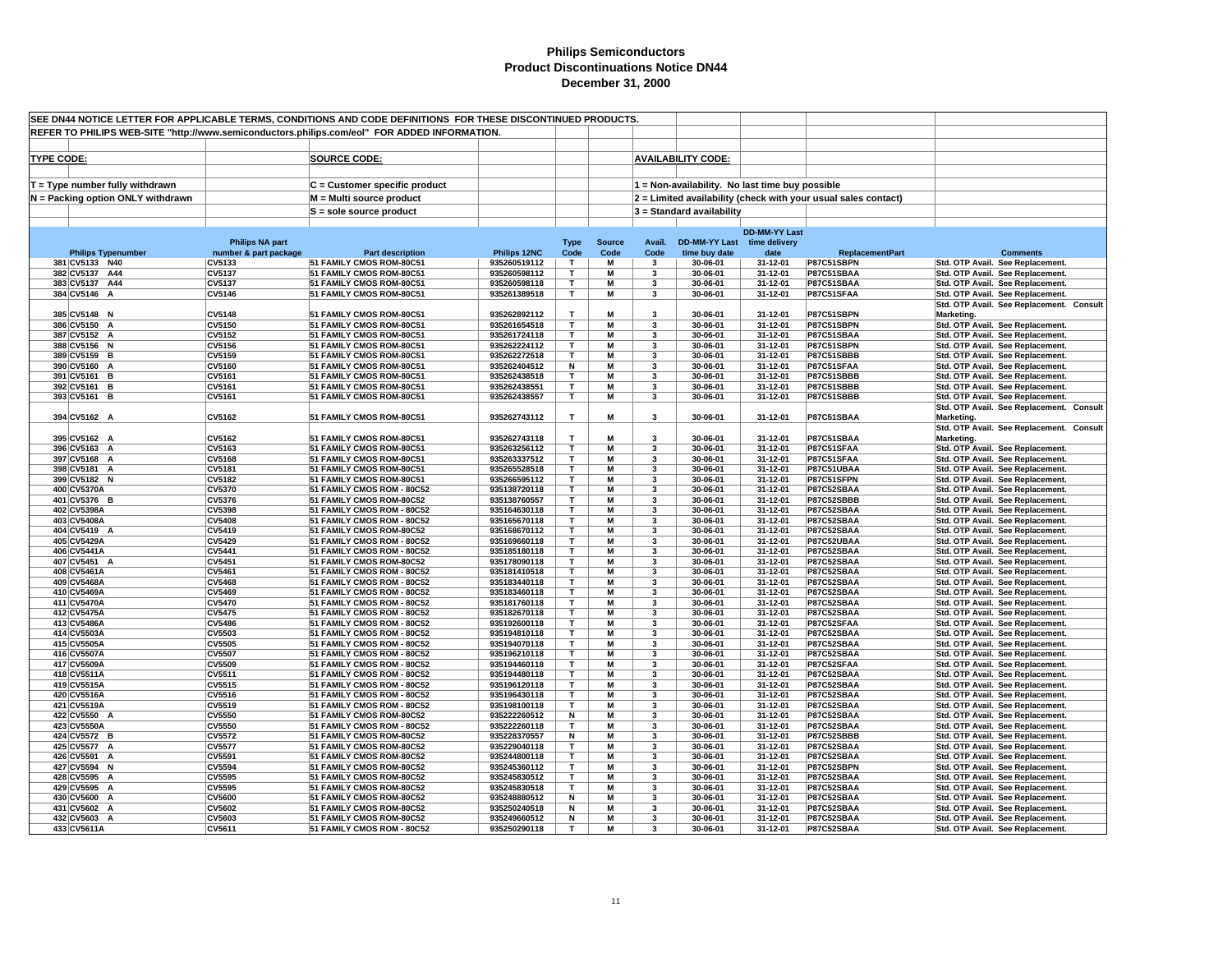| SEE DN44 NOTICE LETTER FOR APPLICABLE TERMS, CONDITIONS AND CODE DEFINITIONS FOR THESE DISCONTINUED PRODUCTS.<br>REFER TO PHILIPS WEB-SITE "http://www.semiconductors.philips.com/eol" FOR ADDED INFORMATION. |                                 |                                                          |                              |                   |                       |                         |                           |                                                 |                                                                |                                                                      |
|---------------------------------------------------------------------------------------------------------------------------------------------------------------------------------------------------------------|---------------------------------|----------------------------------------------------------|------------------------------|-------------------|-----------------------|-------------------------|---------------------------|-------------------------------------------------|----------------------------------------------------------------|----------------------------------------------------------------------|
|                                                                                                                                                                                                               |                                 |                                                          |                              |                   |                       |                         |                           |                                                 |                                                                |                                                                      |
|                                                                                                                                                                                                               |                                 |                                                          |                              |                   |                       |                         |                           |                                                 |                                                                |                                                                      |
|                                                                                                                                                                                                               |                                 |                                                          |                              |                   |                       |                         | <b>AVAILABILITY CODE:</b> |                                                 |                                                                |                                                                      |
| <b>TYPE CODE:</b>                                                                                                                                                                                             |                                 | <b>SOURCE CODE:</b>                                      |                              |                   |                       |                         |                           |                                                 |                                                                |                                                                      |
|                                                                                                                                                                                                               |                                 |                                                          |                              |                   |                       |                         |                           |                                                 |                                                                |                                                                      |
| $T = Type$ number fully withdrawn                                                                                                                                                                             |                                 | C = Customer specific product                            |                              |                   |                       |                         |                           | 1 = Non-availability. No last time buy possible |                                                                |                                                                      |
| N = Packing option ONLY withdrawn                                                                                                                                                                             |                                 | M = Multi source product                                 |                              |                   |                       |                         |                           |                                                 | 2 = Limited availability (check with your usual sales contact) |                                                                      |
|                                                                                                                                                                                                               |                                 | $S =$ sole source product                                |                              |                   |                       |                         | 3 = Standard availability |                                                 |                                                                |                                                                      |
|                                                                                                                                                                                                               |                                 |                                                          |                              |                   |                       |                         |                           |                                                 |                                                                |                                                                      |
|                                                                                                                                                                                                               |                                 |                                                          |                              |                   |                       |                         |                           | <b>DD-MM-YY Last</b>                            |                                                                |                                                                      |
|                                                                                                                                                                                                               | <b>Philips NA part</b>          |                                                          | Philips 12NC                 | <b>Type</b>       | <b>Source</b><br>Code | Avail.                  | <b>DD-MM-YY Last</b>      | time delivery                                   |                                                                | <b>Comments</b>                                                      |
| <b>Philips Typenumber</b><br>381 CV5133 N40                                                                                                                                                                   | number & part package<br>CV5133 | <b>Part description</b><br>51 FAMILY CMOS ROM-80C51      | 935260519112                 | Code<br>T         | M                     | Code<br>3               | time buy date<br>30-06-01 | date<br>31-12-01                                | <b>ReplacementPart</b><br>P87C51SBPN                           | Std. OTP Avail. See Replacement.                                     |
| 382 CV5137 A44                                                                                                                                                                                                | CV5137                          | 51 FAMILY CMOS ROM-80C51                                 | 935260598112                 | $\mathbf T$       | М                     | 3                       | 30-06-01                  | 31-12-01                                        | P87C51SBAA                                                     | Std. OTP Avail. See Replacement.                                     |
| 383 CV5137 A44                                                                                                                                                                                                | CV5137                          | 51 FAMILY CMOS ROM-80C51                                 | 935260598118                 | T                 | M                     | 3                       | 30-06-01                  | 31-12-01                                        | P87C51SBAA                                                     | Std. OTP Avail. See Replacement.                                     |
| 384 CV5146 A                                                                                                                                                                                                  | CV5146                          | 51 FAMILY CMOS ROM-80C51                                 | 935261389518                 | T                 | M                     | 3                       | 30-06-01                  | 31-12-01                                        | P87C51SFAA                                                     | Std. OTP Avail. See Replacement.                                     |
|                                                                                                                                                                                                               |                                 |                                                          |                              |                   |                       |                         |                           |                                                 |                                                                | Std. OTP Avail. See Replacement. Consult                             |
| 385 CV5148 N                                                                                                                                                                                                  | <b>CV5148</b>                   | 51 FAMILY CMOS ROM-80C51                                 | 935262892112                 | T                 | M                     | 3                       | 30-06-01                  | 31-12-01                                        | P87C51SBPN                                                     | Marketing.                                                           |
| 386 CV5150 A                                                                                                                                                                                                  | <b>CV5150</b>                   | 51 FAMILY CMOS ROM-80C51                                 | 935261654518                 | T                 | М                     | 3                       | 30-06-01                  | 31-12-01                                        | P87C51SBPN                                                     | Std. OTP Avail. See Replacement.                                     |
| 387 CV5152 A                                                                                                                                                                                                  | CV5152                          | 51 FAMILY CMOS ROM-80C51                                 | 935261724118                 | $\mathbf{T}$      | M<br>M                | $\overline{\mathbf{3}}$ | 30-06-01                  | 31-12-01                                        | P87C51SBAA                                                     | Std. OTP Avail. See Replacement.                                     |
| 388 CV5156 N<br>389 CV5159 B                                                                                                                                                                                  | CV5156<br>CV5159                | 51 FAMILY CMOS ROM-80C51<br>51 FAMILY CMOS ROM-80C51     | 935262224112<br>935262272518 | $\mathbf{T}$<br>T | M                     | 3<br>3                  | 30-06-01<br>30-06-01      | 31-12-01<br>31-12-01                            | P87C51SBPN<br><b>P87C51SBBB</b>                                | Std. OTP Avail. See Replacement.<br>Std. OTP Avail. See Replacement. |
| 390 CV5160 A                                                                                                                                                                                                  | CV5160                          | 51 FAMILY CMOS ROM-80C51                                 | 935262404512                 | Ν                 | M                     | 3                       | 30-06-01                  | 31-12-01                                        | P87C51SFAA                                                     | Std. OTP Avail. See Replacement.                                     |
| 391 CV5161 B                                                                                                                                                                                                  | CV5161                          | 51 FAMILY CMOS ROM-80C51                                 | 935262438518                 | T                 | M                     | 3                       | 30-06-01                  | 31-12-01                                        | P87C51SBBB                                                     | Std. OTP Avail. See Replacement.                                     |
| 392 CV5161 B                                                                                                                                                                                                  | CV5161                          | 51 FAMILY CMOS ROM-80C51                                 | 935262438551                 | т                 | M                     | 3                       | 30-06-01                  | 31-12-01                                        | P87C51SBBB                                                     | Std. OTP Avail. See Replacement.                                     |
| 393 CV5161 B                                                                                                                                                                                                  | CV5161                          | 51 FAMILY CMOS ROM-80C51                                 | 935262438557                 | T                 | М                     | 3                       | 30-06-01                  | 31-12-01                                        | <b>P87C51SBBB</b>                                              | Std. OTP Avail. See Replacement.                                     |
|                                                                                                                                                                                                               |                                 |                                                          |                              |                   |                       |                         |                           |                                                 |                                                                | Std. OTP Avail. See Replacement. Consult                             |
| 394 CV5162 A                                                                                                                                                                                                  | CV5162                          | 51 FAMILY CMOS ROM-80C51                                 | 935262743112                 | $\mathbf{T}$      | M                     | 3                       | 30-06-01                  | 31-12-01                                        | P87C51SBAA                                                     | Marketing.                                                           |
|                                                                                                                                                                                                               |                                 |                                                          |                              |                   |                       |                         |                           |                                                 |                                                                | Std. OTP Avail. See Replacement. Consult                             |
| 395 CV5162 A                                                                                                                                                                                                  | CV5162                          | 51 FAMILY CMOS ROM-80C51                                 | 935262743118                 | $\mathbf{T}$      | M                     | $\overline{\mathbf{3}}$ | 30-06-01                  | 31-12-01                                        | P87C51SBAA                                                     | Marketing.                                                           |
| 396 CV5163 A                                                                                                                                                                                                  | CV5163<br><b>CV5168</b>         | 51 FAMILY CMOS ROM-80C51                                 | 935263256112                 | T<br>т            | M<br>M                | 3                       | 30-06-01<br>30-06-01      | 31-12-01<br>31-12-01                            | P87C51SFAA                                                     | Std. OTP Avail. See Replacement.                                     |
| 397 CV5168 A<br>398 CV5181 A                                                                                                                                                                                  | CV5181                          | 51 FAMILY CMOS ROM-80C51<br>51 FAMILY CMOS ROM-80C51     | 935263337512<br>935265528518 | т                 | М                     | 3<br>3                  | 30-06-01                  | 31-12-01                                        | P87C51SFAA<br>P87C51UBAA                                       | Std. OTP Avail. See Replacement.<br>Std. OTP Avail. See Replacement. |
| 399 CV5182 N                                                                                                                                                                                                  | <b>CV5182</b>                   | 51 FAMILY CMOS ROM-80C51                                 | 935266595112                 | T                 | M                     | 3                       | 30-06-01                  | 31-12-01                                        | P87C51SFPN                                                     | Std. OTP Avail. See Replacement.                                     |
| 400 CV5370A                                                                                                                                                                                                   | <b>CV5370</b>                   | 51 FAMILY CMOS ROM - 80C52                               | 935138720118                 | T                 | M                     | $\overline{\mathbf{3}}$ | 30-06-01                  | 31-12-01                                        | P87C52SBAA                                                     | Std. OTP Avail. See Replacement.                                     |
| 401 CV5376 B                                                                                                                                                                                                  | <b>CV5376</b>                   | 51 FAMILY CMOS ROM-80C52                                 | 935138760557                 | T                 | M                     | $\overline{\mathbf{3}}$ | 30-06-01                  | 31-12-01                                        | P87C52SBBB                                                     | Std. OTP Avail. See Replacement.                                     |
| 402 CV5398A                                                                                                                                                                                                   | <b>CV5398</b>                   | 51 FAMILY CMOS ROM - 80C52                               | 935164630118                 | $\mathbf T$       | M                     | 3                       | 30-06-01                  | 31-12-01                                        | P87C52SBAA                                                     | Std. OTP Avail. See Replacement.                                     |
| 403 CV5408A                                                                                                                                                                                                   | <b>CV5408</b>                   | 51 FAMILY CMOS ROM - 80C52                               | 935165670118                 | т                 | M                     | 3                       | 30-06-01                  | 31-12-01                                        | P87C52SBAA                                                     | Std. OTP Avail. See Replacement.                                     |
| 404 CV5419 A                                                                                                                                                                                                  | CV5419                          | 51 FAMILY CMOS ROM-80C52                                 | 935168670112                 | T                 | M                     | 3                       | 30-06-01                  | 31-12-01                                        | P87C52SBAA                                                     | Std. OTP Avail. See Replacement.                                     |
| 405 CV5429A<br>406 CV5441A                                                                                                                                                                                    | <b>CV5429</b><br><b>CV5441</b>  | 51 FAMILY CMOS ROM - 80C52<br>51 FAMILY CMOS ROM - 80C52 | 935169660118<br>935185180118 | т<br>т            | M<br>М                | 3<br>3                  | 30-06-01<br>30-06-01      | 31-12-01<br>31-12-01                            | P87C52UBAA<br>P87C52SBAA                                       | Std. OTP Avail. See Replacement.<br>Std. OTP Avail. See Replacement. |
| 407 CV5451 A                                                                                                                                                                                                  | CV5451                          | 51 FAMILY CMOS ROM-80C52                                 | 935178090118                 | т                 | м                     | 3                       | 30-06-01                  | 31-12-01                                        | P87C52SBAA                                                     | Std. OTP Avail. See Replacement.                                     |
| 408 CV5461A                                                                                                                                                                                                   | CV5461                          | 51 FAMILY CMOS ROM - 80C52                               | 935181410518                 | T                 | M                     | $\overline{\mathbf{3}}$ | 30-06-01                  | 31-12-01                                        | P87C52SBAA                                                     | Std. OTP Avail. See Replacement.                                     |
| 409 CV5468A                                                                                                                                                                                                   | <b>CV5468</b>                   | 51 FAMILY CMOS ROM - 80C52                               | 935183440118                 | T                 | M                     | 3                       | 30-06-01                  | 31-12-01                                        | P87C52SBAA                                                     | Std. OTP Avail. See Replacement.                                     |
| 410 CV5469A                                                                                                                                                                                                   | <b>CV5469</b>                   | 51 FAMILY CMOS ROM - 80C52                               | 935183460118                 | T                 | M                     | 3                       | 30-06-01                  | 31-12-01                                        | P87C52SBAA                                                     | Std. OTP Avail. See Replacement.                                     |
| 411 CV5470A                                                                                                                                                                                                   | <b>CV5470</b>                   | 51 FAMILY CMOS ROM - 80C52                               | 935181760118                 | T                 | M                     | 3                       | 30-06-01                  | 31-12-01                                        | P87C52SBAA                                                     | Std. OTP Avail. See Replacement.                                     |
| 412 CV5475A                                                                                                                                                                                                   | <b>CV5475</b>                   | 51 FAMILY CMOS ROM - 80C52                               | 935182670118                 | T                 | M                     | $\overline{\mathbf{3}}$ | 30-06-01                  | 31-12-01                                        | P87C52SBAA                                                     | Std. OTP Avail. See Replacement.                                     |
| 413 CV5486A                                                                                                                                                                                                   | <b>CV5486</b>                   | 51 FAMILY CMOS ROM - 80C52                               | 935192600118                 | $\mathbf{T}$      | M                     | 3                       | 30-06-01                  | 31-12-01                                        | P87C52SFAA                                                     | Std. OTP Avail. See Replacement.                                     |
| 414 CV5503A                                                                                                                                                                                                   | <b>CV5503</b><br><b>CV5505</b>  | 51 FAMILY CMOS ROM - 80C52                               | 935194810118                 | T<br>T            | M<br>M                | 3<br>3                  | 30-06-01<br>30-06-01      | 31-12-01<br>31-12-01                            | P87C52SBAA                                                     | Std. OTP Avail. See Replacement.                                     |
| 415 CV5505A<br>416 CV5507A                                                                                                                                                                                    | <b>CV5507</b>                   | 51 FAMILY CMOS ROM - 80C52<br>51 FAMILY CMOS ROM - 80C52 | 935194070118<br>935196210118 | T                 | M                     | 3                       | 30-06-01                  | 31-12-01                                        | P87C52SBAA<br>P87C52SBAA                                       | Std. OTP Avail. See Replacement.<br>Std. OTP Avail. See Replacement. |
| 417 CV5509A                                                                                                                                                                                                   | <b>CV5509</b>                   | 51 FAMILY CMOS ROM - 80C52                               | 935194460118                 | T                 | $\overline{M}$        | 3                       | 30-06-01                  | 31-12-01                                        | P87C52SFAA                                                     | Std. OTP Avail. See Replacement.                                     |
| 418 CV5511A                                                                                                                                                                                                   | CV5511                          | 51 FAMILY CMOS ROM - 80C52                               | 935194480118                 | T                 | M                     | 3                       | 30-06-01                  | 31-12-01                                        | P87C52SBAA                                                     | Std. OTP Avail. See Replacement.                                     |
| 419 CV5515A                                                                                                                                                                                                   | <b>CV5515</b>                   | 51 FAMILY CMOS ROM - 80C52                               | 935196120118                 | T.                | M                     | 3                       | 30-06-01                  | 31-12-01                                        | P87C52SBAA                                                     | Std. OTP Avail. See Replacement.                                     |
| 420 CV5516A                                                                                                                                                                                                   | CV5516                          | 51 FAMILY CMOS ROM - 80C52                               | 935196430118                 | т                 | M                     | 3                       | 30-06-01                  | 31-12-01                                        | P87C52SBAA                                                     | Std. OTP Avail. See Replacement.                                     |
| 421 CV5519A                                                                                                                                                                                                   | <b>CV5519</b>                   | 51 FAMILY CMOS ROM - 80C52                               | 935198100118                 | т                 | M                     | 3                       | 30-06-01                  | 31-12-01                                        | P87C52SBAA                                                     | Std. OTP Avail. See Replacement.                                     |
| 422 CV5550 A                                                                                                                                                                                                  | <b>CV5550</b>                   | 51 FAMILY CMOS ROM-80C52                                 | 935222260512                 | N                 | М                     | 3                       | 30-06-01                  | 31-12-01                                        | P87C52SBAA                                                     | Std. OTP Avail. See Replacement.                                     |
| 423 CV5550A                                                                                                                                                                                                   | <b>CV5550</b>                   | 51 FAMILY CMOS ROM - 80C52                               | 935222260118                 | т                 | M                     | 3                       | 30-06-01                  | 31-12-01                                        | P87C52SBAA                                                     | Std. OTP Avail. See Replacement.                                     |
| 424 CV5572 B<br>425 CV5577 A                                                                                                                                                                                  | <b>CV5572</b><br><b>CV5577</b>  | 51 FAMILY CMOS ROM-80C52<br>51 FAMILY CMOS ROM-80C52     | 935228370557<br>935229040118 | N<br>$\mathbf{T}$ | M<br>M                | 3<br>3                  | 30-06-01<br>30-06-01      | 31-12-01<br>31-12-01                            | P87C52SBBB<br>P87C52SBAA                                       | Std. OTP Avail. See Replacement.                                     |
| 426 CV5591 A                                                                                                                                                                                                  | CV5591                          | 51 FAMILY CMOS ROM-80C52                                 | 935244800118                 | $\mathbf{T}$      | M                     | 3                       | 30-06-01                  | 31-12-01                                        | P87C52SBAA                                                     | Std. OTP Avail. See Replacement.<br>Std. OTP Avail. See Replacement. |
| 427 CV5594 N                                                                                                                                                                                                  | CV5594                          | 51 FAMILY CMOS ROM-80C52                                 | 935245360112                 | T                 | M                     | 3                       | 30-06-01                  | 31-12-01                                        | P87C52SBPN                                                     | Std. OTP Avail. See Replacement.                                     |
| 428 CV5595 A                                                                                                                                                                                                  | <b>CV5595</b>                   | 51 FAMILY CMOS ROM-80C52                                 | 935245830512                 | T                 | M                     | 3                       | 30-06-01                  | 31-12-01                                        | P87C52SBAA                                                     | Std. OTP Avail. See Replacement.                                     |
| 429 CV5595 A                                                                                                                                                                                                  | <b>CV5595</b>                   | 51 FAMILY CMOS ROM-80C52                                 | 935245830518                 | т                 | M                     | 3                       | 30-06-01                  | 31-12-01                                        | P87C52SBAA                                                     | Std. OTP Avail. See Replacement.                                     |
| 430 CV5600 A                                                                                                                                                                                                  | <b>CV5600</b>                   | 51 FAMILY CMOS ROM-80C52                                 | 935248880512                 | N                 | М                     | 3                       | 30-06-01                  | 31-12-01                                        | P87C52SBAA                                                     | Std. OTP Avail. See Replacement.                                     |
| 431 CV5602 A                                                                                                                                                                                                  | <b>CV5602</b>                   | 51 FAMILY CMOS ROM-80C52                                 | 935250240518                 | N                 | M                     | 3                       | 30-06-01                  | 31-12-01                                        | P87C52SBAA                                                     | Std. OTP Avail. See Replacement.                                     |
| 432 CV5603 A                                                                                                                                                                                                  | CV5603                          | 51 FAMILY CMOS ROM-80C52                                 | 935249660512                 | N<br>$\mathbf{r}$ | M                     | $\overline{\mathbf{3}}$ | 30-06-01                  | 31-12-01                                        | P87C52SBAA                                                     | Std. OTP Avail. See Replacement.                                     |
| 433 CV5611A                                                                                                                                                                                                   | CV5611                          | 51 FAMILY CMOS ROM - 80C52                               | 935250290118                 |                   | M                     | $\mathbf{3}$            | 30-06-01                  | 31-12-01                                        | P87C52SBAA                                                     | Std. OTP Avail. See Replacement.                                     |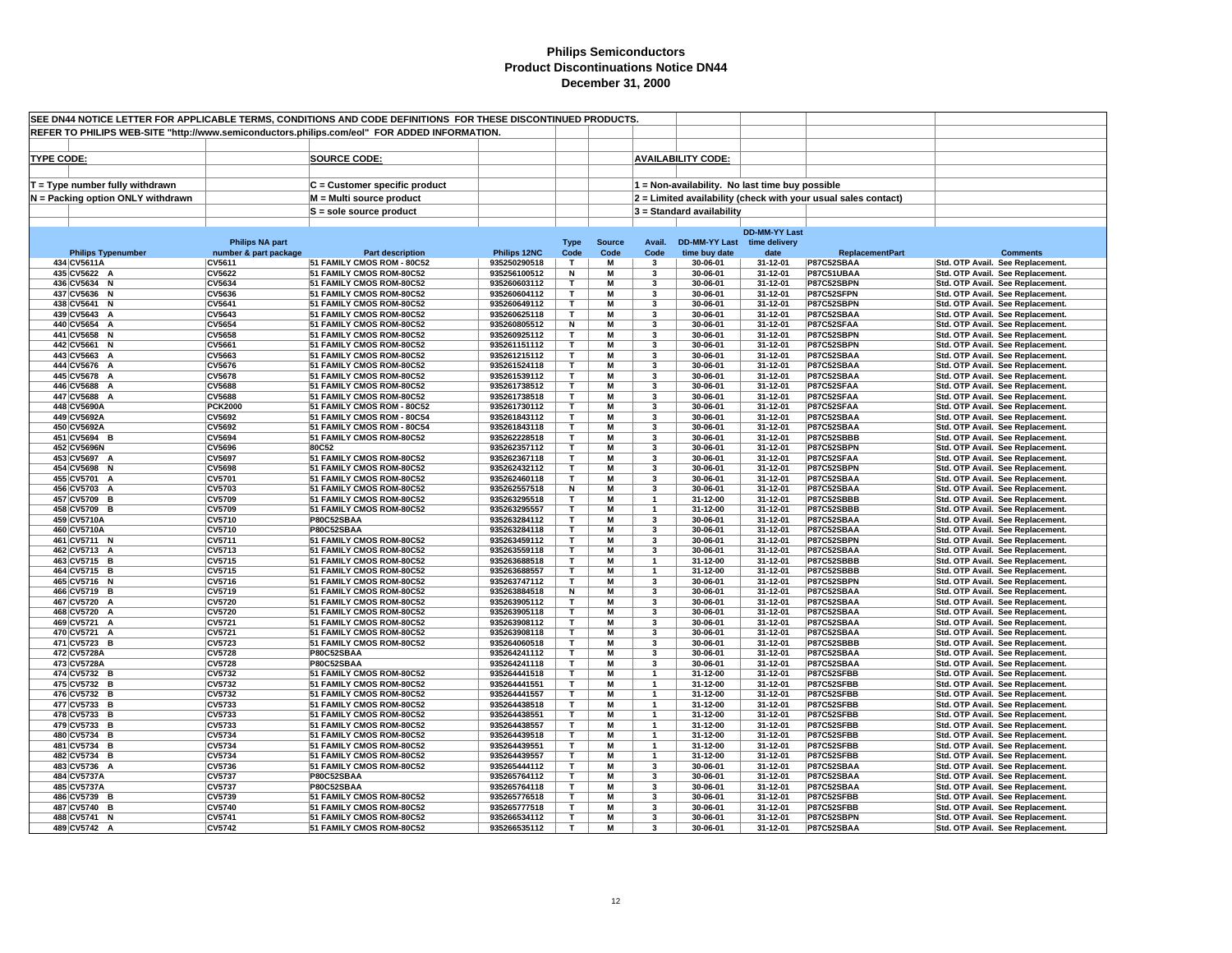| SEE DN44 NOTICE LETTER FOR APPLICABLE TERMS, CONDITIONS AND CODE DEFINITIONS FOR THESE DISCONTINUED PRODUCTS. |                                 |                                                        |                              |                   |               |                         |                                                 |                      |                                                                |                                                                      |
|---------------------------------------------------------------------------------------------------------------|---------------------------------|--------------------------------------------------------|------------------------------|-------------------|---------------|-------------------------|-------------------------------------------------|----------------------|----------------------------------------------------------------|----------------------------------------------------------------------|
| REFER TO PHILIPS WEB-SITE "http://www.semiconductors.philips.com/eol" FOR ADDED INFORMATION.                  |                                 |                                                        |                              |                   |               |                         |                                                 |                      |                                                                |                                                                      |
|                                                                                                               |                                 |                                                        |                              |                   |               |                         |                                                 |                      |                                                                |                                                                      |
|                                                                                                               |                                 |                                                        |                              |                   |               |                         |                                                 |                      |                                                                |                                                                      |
| <b>TYPE CODE:</b>                                                                                             |                                 | <b>SOURCE CODE:</b>                                    |                              |                   |               |                         | <b>AVAILABILITY CODE:</b>                       |                      |                                                                |                                                                      |
|                                                                                                               |                                 |                                                        |                              |                   |               |                         |                                                 |                      |                                                                |                                                                      |
| $T = Type$ number fully withdrawn                                                                             |                                 | C = Customer specific product                          |                              |                   |               |                         | 1 = Non-availability. No last time buy possible |                      |                                                                |                                                                      |
| N = Packing option ONLY withdrawn                                                                             |                                 | M = Multi source product                               |                              |                   |               |                         |                                                 |                      | 2 = Limited availability (check with your usual sales contact) |                                                                      |
|                                                                                                               |                                 |                                                        |                              |                   |               |                         |                                                 |                      |                                                                |                                                                      |
|                                                                                                               |                                 | $S =$ sole source product                              |                              |                   |               |                         | 3 = Standard availability                       |                      |                                                                |                                                                      |
|                                                                                                               |                                 |                                                        |                              |                   |               |                         |                                                 | <b>DD-MM-YY Last</b> |                                                                |                                                                      |
|                                                                                                               | <b>Philips NA part</b>          |                                                        |                              | <b>Type</b>       | <b>Source</b> | Avail.                  | DD-MM-YY Last time delivery                     |                      |                                                                |                                                                      |
| <b>Philips Typenumber</b>                                                                                     | number & part package           | <b>Part description</b>                                | Philips 12NC                 | Code              | Code          | Code                    | time buy date                                   | date                 | <b>ReplacementPart</b>                                         | <b>Comments</b>                                                      |
| 434 CV5611A                                                                                                   | CV5611                          | 51 FAMILY CMOS ROM - 80C52                             | 935250290518                 | T                 | М             | $\mathbf{3}$            | 30-06-01                                        | 31-12-01             | P87C52SBAA                                                     | Std. OTP Avail. See Replacement.                                     |
| 435 CV5622 A                                                                                                  | CV5622                          | 51 FAMILY CMOS ROM-80C52                               | 935256100512                 | N                 | M             | 3                       | 30-06-01                                        | 31-12-01             | P87C51UBAA                                                     | Std. OTP Avail. See Replacement.                                     |
| 436 CV5634 N                                                                                                  | CV5634                          | 51 FAMILY CMOS ROM-80C52                               | 935260603112                 | Т                 | М             | 3                       | 30-06-01                                        | 31-12-01             | P87C52SBPN                                                     | Std. OTP Avail. See Replacement.                                     |
| 437 CV5636 N                                                                                                  | CV5636                          | 51 FAMILY CMOS ROM-80C52                               | 935260604112                 | T                 | M             | 3                       | 30-06-01                                        | 31-12-01             | P87C52SFPN                                                     | Std. OTP Avail. See Replacement.                                     |
| 438 CV5641 N                                                                                                  | CV5641                          | 51 FAMILY CMOS ROM-80C52                               | 935260649112                 | T                 | M             | $\overline{\mathbf{3}}$ | 30-06-01                                        | 31-12-01             | P87C52SBPN                                                     | Std. OTP Avail. See Replacement.                                     |
| 439 CV5643 A                                                                                                  | CV5643                          | 51 FAMILY CMOS ROM-80C52                               | 935260625118                 | $\mathbf{r}$      | M             | 3                       | 30-06-01                                        | 31-12-01             | P87C52SBAA                                                     | Std. OTP Avail. See Replacement.                                     |
| 440 CV5654 A                                                                                                  | CV5654                          | 51 FAMILY CMOS ROM-80C52                               | 935260805512                 | N                 | M             | 3                       | 30-06-01                                        | 31-12-01             | P87C52SFAA                                                     | Std. OTP Avail. See Replacement.                                     |
| 441 CV5658 N                                                                                                  | <b>CV5658</b>                   | 51 FAMILY CMOS ROM-80C52                               | 935260925112                 | T.                | M             | 3                       | 30-06-01                                        | 31-12-01             | P87C52SBPN                                                     | Std. OTP Avail. See Replacement.                                     |
| 442 CV5661 N                                                                                                  | <b>CV5661</b>                   | 51 FAMILY CMOS ROM-80C52                               | 935261151112                 | т                 | M             | 3                       | 30-06-01                                        | 31-12-01             | P87C52SBPN                                                     | Std. OTP Avail. See Replacement.                                     |
| 443 CV5663 A                                                                                                  | CV5663                          | 51 FAMILY CMOS ROM-80C52                               | 935261215112                 | т                 | M             | 3                       | 30-06-01                                        | 31-12-01             | P87C52SBAA                                                     | Std. OTP Avail. See Replacement.                                     |
| 444 CV5676 A                                                                                                  | <b>CV5676</b>                   | 51 FAMILY CMOS ROM-80C52                               | 935261524118                 | T.                | M             | 3                       | 30-06-01                                        | 31-12-01             | P87C52SBAA                                                     | Std. OTP Avail. See Replacement.                                     |
| 445 CV5678 A                                                                                                  | <b>CV5678</b>                   | 51 FAMILY CMOS ROM-80C52                               | 935261539112                 | т                 | M<br>M        | 3                       | 30-06-01                                        | 31-12-01             | P87C52SBAA                                                     | Std. OTP Avail. See Replacement.                                     |
| 446 CV5688 A                                                                                                  | CV5688                          | 51 FAMILY CMOS ROM-80C52                               | 935261738512                 | т<br>т            | M             | 3                       | 30-06-01                                        | 31-12-01             | P87C52SFAA                                                     | Std. OTP Avail. See Replacement.                                     |
| 447 CV5688 A<br>448 CV5690A                                                                                   | <b>CV5688</b><br><b>PCK2000</b> | 51 FAMILY CMOS ROM-80C52<br>51 FAMILY CMOS ROM - 80C52 | 935261738518<br>935261730112 | т                 | М             | 3<br>3                  | 30-06-01<br>30-06-01                            | 31-12-01<br>31-12-01 | P87C52SFAA<br>P87C52SFAA                                       | Std. OTP Avail. See Replacement.<br>Std. OTP Avail. See Replacement. |
| 449 CV5692A                                                                                                   | CV5692                          | 51 FAMILY CMOS ROM - 80C54                             | 935261843112                 | т                 | M             | 3                       | 30-06-01                                        | 31-12-01             | P87C52SBAA                                                     | Std. OTP Avail. See Replacement.                                     |
| 450 CV5692A                                                                                                   | CV5692                          | 51 FAMILY CMOS ROM - 80C54                             | 935261843118                 | т                 | M             | 3                       | 30-06-01                                        | 31-12-01             | P87C52SBAA                                                     | Std. OTP Avail. See Replacement.                                     |
| 451 CV5694 B                                                                                                  | <b>CV5694</b>                   | 51 FAMILY CMOS ROM-80C52                               | 935262228518                 | T                 | M             | 3                       | 30-06-01                                        | 31-12-01             | P87C52SBBB                                                     | Std. OTP Avail. See Replacement.                                     |
| 452 CV5696N                                                                                                   | <b>CV5696</b>                   | 80C52                                                  | 935262357112                 | T                 | M             | 3                       | 30-06-01                                        | 31-12-01             | P87C52SBPN                                                     | Std. OTP Avail. See Replacement.                                     |
| 453 CV5697 A                                                                                                  | CV5697                          | 51 FAMILY CMOS ROM-80C52                               | 935262367118                 | $\mathbf{r}$      | M             | 3                       | 30-06-01                                        | 31-12-01             | P87C52SFAA                                                     | Std. OTP Avail. See Replacement.                                     |
| 454 CV5698 N                                                                                                  | <b>CV5698</b>                   | 51 FAMILY CMOS ROM-80C52                               | 935262432112                 | T                 | M             | 3                       | 30-06-01                                        | 31-12-01             | P87C52SBPN                                                     | Std. OTP Avail. See Replacement.                                     |
| 455 CV5701 A                                                                                                  | CV5701                          | 51 FAMILY CMOS ROM-80C52                               | 935262460118                 | $\mathbf{r}$      | M             | 3                       | 30-06-01                                        | 31-12-01             | P87C52SBAA                                                     | Std. OTP Avail. See Replacement.                                     |
| 456 CV5703 A                                                                                                  | <b>CV5703</b>                   | 51 FAMILY CMOS ROM-80C52                               | 935262557518                 | N                 | M             | 3                       | 30-06-01                                        | 31-12-01             | P87C52SBAA                                                     | Std. OTP Avail. See Replacement.                                     |
| 457 CV5709 B                                                                                                  | CV5709                          | 51 FAMILY CMOS ROM-80C52                               | 935263295518                 | т                 | M             |                         | 31-12-00                                        | 31-12-01             | P87C52SBBB                                                     | Std. OTP Avail. See Replacement.                                     |
| 458 CV5709 B                                                                                                  | CV5709                          | 51 FAMILY CMOS ROM-80C52                               | 935263295557                 | T                 | M             | $\mathbf{1}$            | 31-12-00                                        | 31-12-01             | P87C52SBBB                                                     | Std. OTP Avail. See Replacement.                                     |
| 459 CV5710A                                                                                                   | CV5710                          | P80C52SBAA                                             | 935263284112                 | т                 | M             | 3                       | 30-06-01                                        | 31-12-01             | P87C52SBAA                                                     | Std. OTP Avail. See Replacement.                                     |
| 460 CV5710A                                                                                                   | CV5710                          | P80C52SBAA                                             | 935263284118                 | т                 | M             | 3                       | 30-06-01                                        | 31-12-01             | P87C52SBAA                                                     | Std. OTP Avail. See Replacement.                                     |
| 461 CV5711 N                                                                                                  | CV5711                          | 51 FAMILY CMOS ROM-80C52                               | 935263459112                 | т                 | M             | 3                       | 30-06-01                                        | 31-12-01             | P87C52SBPN                                                     | Std. OTP Avail. See Replacement.                                     |
| 462 CV5713 A                                                                                                  | CV5713                          | 51 FAMILY CMOS ROM-80C52                               | 935263559118                 | т                 | M             | 3                       | 30-06-01                                        | 31-12-01             | P87C52SBAA                                                     | Std. OTP Avail. See Replacement.                                     |
| 463 CV5715 B                                                                                                  | CV5715                          | 51 FAMILY CMOS ROM-80C52                               | 935263688518                 | т                 | M             | $\mathbf{1}$            | 31-12-00                                        | 31-12-01             | P87C52SBBB                                                     | Std. OTP Avail. See Replacement.                                     |
| 464 CV5715 B                                                                                                  | CV5715                          | 51 FAMILY CMOS ROM-80C52                               | 935263688557                 | т                 | M             | $\overline{\mathbf{1}}$ | 31-12-00                                        | 31-12-01             | P87C52SBBB                                                     | Std. OTP Avail. See Replacement.                                     |
| 465 CV5716 N<br>466 CV5719 B                                                                                  | CV5716<br>CV5719                | 51 FAMILY CMOS ROM-80C52<br>51 FAMILY CMOS ROM-80C52   | 935263747112<br>935263884518 | T<br>N            | M<br>M        | 3<br>3                  | 30-06-01<br>30-06-01                            | 31-12-01<br>31-12-01 | P87C52SBPN<br>P87C52SBAA                                       | Std. OTP Avail. See Replacement.<br>Std. OTP Avail. See Replacement. |
| 467 CV5720 A                                                                                                  | <b>CV5720</b>                   | 51 FAMILY CMOS ROM-80C52                               | 935263905112                 | T                 | M             | 3                       | 30-06-01                                        | 31-12-01             | P87C52SBAA                                                     | Std. OTP Avail. See Replacement.                                     |
| 468 CV5720 A                                                                                                  | <b>CV5720</b>                   | 51 FAMILY CMOS ROM-80C52                               | 935263905118                 | т                 | M             | 3                       | 30-06-01                                        | 31-12-01             | P87C52SBAA                                                     | Std. OTP Avail. See Replacement.                                     |
| 469 CV5721 A                                                                                                  | <b>CV5721</b>                   | 51 FAMILY CMOS ROM-80C52                               | 935263908112                 | т                 | M             | 3                       | 30-06-01                                        | 31-12-01             | P87C52SBAA                                                     | Std. OTP Avail. See Replacement.                                     |
| 470 CV5721 A                                                                                                  | CV5721                          | 51 FAMILY CMOS ROM-80C52                               | 935263908118                 | $\mathbf{r}$      | M             | 3                       | 30-06-01                                        | 31-12-01             | P87C52SBAA                                                     | Std. OTP Avail. See Replacement.                                     |
| 471 CV5723 B                                                                                                  | <b>CV5723</b>                   | 51 FAMILY CMOS ROM-80C52                               | 935264060518                 | т                 | M             | 3                       | 30-06-01                                        | 31-12-01             | P87C52SBBB                                                     | Std. OTP Avail. See Replacement.                                     |
| 472 CV5728A                                                                                                   | <b>CV5728</b>                   | P80C52SBAA                                             | 935264241112                 | T                 | M             | 3                       | 30-06-01                                        | 31-12-01             | P87C52SBAA                                                     | Std. OTP Avail. See Replacement.                                     |
| 473 CV5728A                                                                                                   | <b>CV5728</b>                   | P80C52SBAA                                             | 935264241118                 | т                 | M             | 3                       | 30-06-01                                        | 31-12-01             | P87C52SBAA                                                     | Std. OTP Avail. See Replacement.                                     |
| 474 CV5732 B                                                                                                  | CV5732                          | 51 FAMILY CMOS ROM-80C52                               | 935264441518                 | т                 | M             |                         | 31-12-00                                        | 31-12-01             | P87C52SFBB                                                     | Std. OTP Avail. See Replacement.                                     |
| 475 CV5732 B                                                                                                  | CV5732                          | 51 FAMILY CMOS ROM-80C52                               | 935264441551                 | т                 | M             |                         | 31-12-00                                        | 31-12-01             | P87C52SFBB                                                     | Std. OTP Avail. See Replacement.                                     |
| 476 CV5732 B                                                                                                  | CV5732                          | 51 FAMILY CMOS ROM-80C52                               | 935264441557                 | т                 | M             | $\mathbf{1}$            | 31-12-00                                        | 31-12-01             | P87C52SFBB                                                     | Std. OTP Avail. See Replacement.                                     |
| 477 CV5733 B                                                                                                  | CV5733                          | 51 FAMILY CMOS ROM-80C52                               | 935264438518                 | т                 | M             |                         | 31-12-00                                        | 31-12-01             | P87C52SFBB                                                     | Std. OTP Avail. See Replacement.                                     |
| 478 CV5733 B                                                                                                  | CV5733                          | 51 FAMILY CMOS ROM-80C52                               | 935264438551                 | т                 | M             | $\mathbf{1}$            | 31-12-00                                        | 31-12-01             | P87C52SFBB                                                     | Std. OTP Avail. See Replacement.                                     |
| 479 CV5733 B                                                                                                  | CV5733                          | 51 FAMILY CMOS ROM-80C52                               | 935264438557                 | т                 | M             | $\mathbf{1}$            | 31-12-00                                        | 31-12-01             | P87C52SFBB                                                     | Std. OTP Avail. See Replacement.                                     |
| 480 CV5734 B                                                                                                  | CV5734                          | 51 FAMILY CMOS ROM-80C52                               | 935264439518                 | T                 | M             | 1                       | 31-12-00                                        | 31-12-01             | P87C52SFBB                                                     | Std. OTP Avail. See Replacement.                                     |
| 481 CV5734 B                                                                                                  | CV5734                          | 51 FAMILY CMOS ROM-80C52                               | 935264439551                 | T                 | M             | 1                       | 31-12-00                                        | 31-12-01             | P87C52SFBB                                                     | Std. OTP Avail. See Replacement.                                     |
| 482 CV5734 B                                                                                                  | CV5734                          | 51 FAMILY CMOS ROM-80C52                               | 935264439557                 | T<br>$\mathbf{r}$ | M             | $\mathbf{1}$            | 31-12-00                                        | 31-12-01             | P87C52SFBB                                                     | Std. OTP Avail. See Replacement.                                     |
| 483 CV5736 A                                                                                                  | CV5736                          | 51 FAMILY CMOS ROM-80C52                               | 935265444112                 | т                 | M<br>M        | 3<br>3                  | 30-06-01<br>30-06-01                            | 31-12-01<br>31-12-01 | P87C52SBAA                                                     | Std. OTP Avail. See Replacement.                                     |
| 484 CV5737A<br>485 CV5737A                                                                                    | CV5737<br>CV5737                | P80C52SBAA<br>P80C52SBAA                               | 935265764112<br>935265764118 | т                 | M             | 3                       | 30-06-01                                        | 31-12-01             | P87C52SBAA<br>P87C52SBAA                                       | Std. OTP Avail. See Replacement.<br>Std. OTP Avail. See Replacement. |
| 486 CV5739 B                                                                                                  | CV5739                          | 51 FAMILY CMOS ROM-80C52                               | 935265776518                 | т                 | M             | $\overline{\mathbf{3}}$ | 30-06-01                                        | 31-12-01             | P87C52SFBB                                                     | Std. OTP Avail. See Replacement.                                     |
| 487 CV5740 B                                                                                                  | <b>CV5740</b>                   | 51 FAMILY CMOS ROM-80C52                               | 935265777518                 | T                 | M             | 3                       | 30-06-01                                        | 31-12-01             | P87C52SFBB                                                     | Std. OTP Avail. See Replacement.                                     |
| 488 CV5741 N                                                                                                  | <b>CV5741</b>                   | 51 FAMILY CMOS ROM-80C52                               | 935266534112                 | т                 | M             | 3                       | 30-06-01                                        | 31-12-01             | P87C52SBPN                                                     | Std. OTP Avail. See Replacement.                                     |
| 489 CV5742 A                                                                                                  | <b>CV5742</b>                   | 51 FAMILY CMOS ROM-80C52                               | 935266535112                 | T.                | M             | 3                       | 30-06-01                                        | 31-12-01             | P87C52SBAA                                                     | Std. OTP Avail. See Replacement.                                     |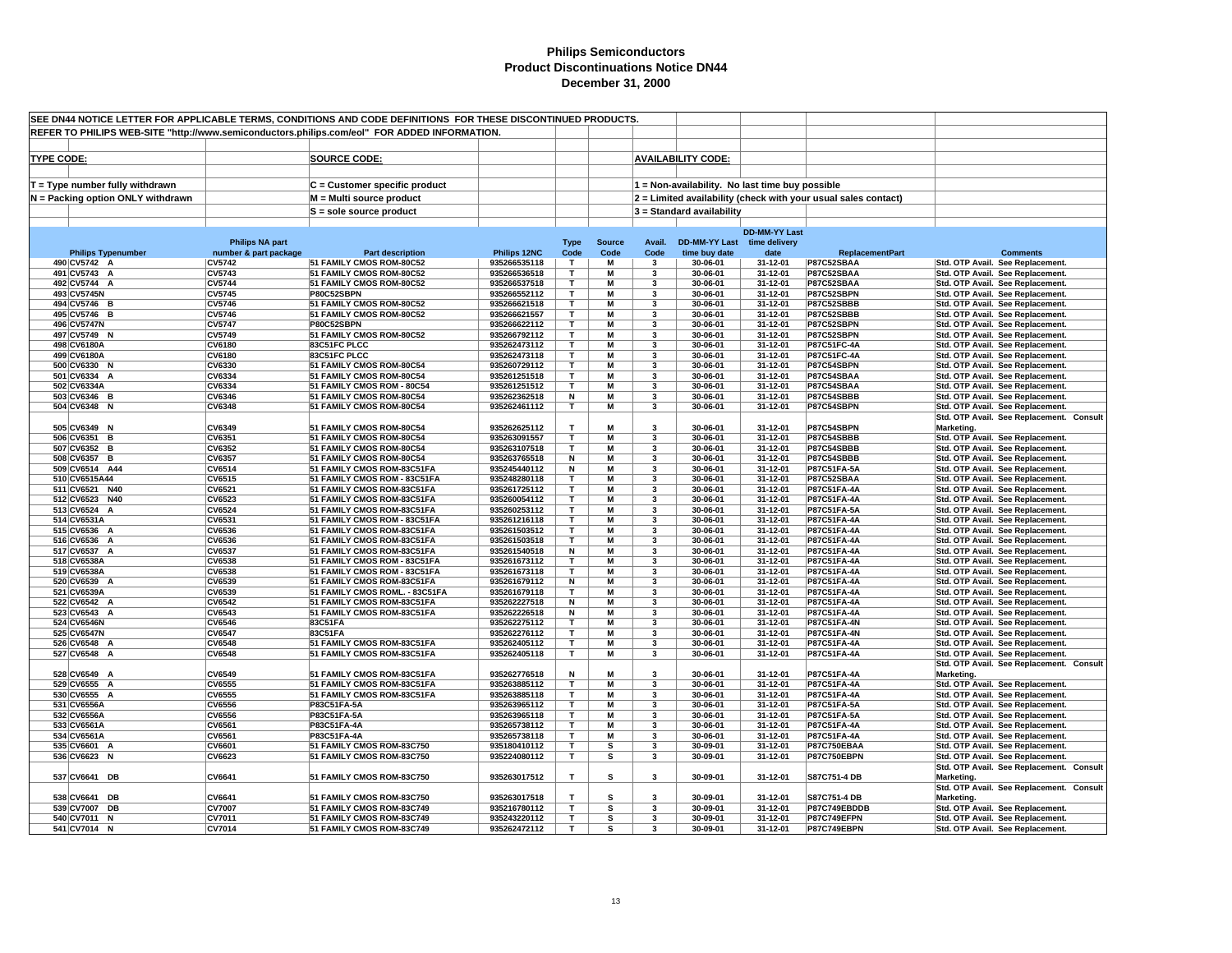|                   |                                                                      |                                                 | SEE DN44 NOTICE LETTER FOR APPLICABLE TERMS, CONDITIONS AND CODE DEFINITIONS FOR THESE DISCONTINUED PRODUCTS. |                              |                              |                       |                         |                                                 |                      |                                                                |                                                                      |                                          |
|-------------------|----------------------------------------------------------------------|-------------------------------------------------|---------------------------------------------------------------------------------------------------------------|------------------------------|------------------------------|-----------------------|-------------------------|-------------------------------------------------|----------------------|----------------------------------------------------------------|----------------------------------------------------------------------|------------------------------------------|
|                   |                                                                      |                                                 | REFER TO PHILIPS WEB-SITE "http://www.semiconductors.philips.com/eol" FOR ADDED INFORMATION.                  |                              |                              |                       |                         |                                                 |                      |                                                                |                                                                      |                                          |
|                   |                                                                      |                                                 |                                                                                                               |                              |                              |                       |                         |                                                 |                      |                                                                |                                                                      |                                          |
| <b>TYPE CODE:</b> |                                                                      |                                                 | <b>SOURCE CODE:</b>                                                                                           |                              |                              |                       |                         | <b>AVAILABILITY CODE:</b>                       |                      |                                                                |                                                                      |                                          |
|                   |                                                                      |                                                 |                                                                                                               |                              |                              |                       |                         |                                                 |                      |                                                                |                                                                      |                                          |
|                   | T = Type number fully withdrawn<br>N = Packing option ONLY withdrawn |                                                 | C = Customer specific product<br>M = Multi source product                                                     |                              |                              |                       |                         | 1 = Non-availability. No last time buy possible |                      | 2 = Limited availability (check with your usual sales contact) |                                                                      |                                          |
|                   |                                                                      |                                                 | S = sole source product                                                                                       |                              |                              |                       |                         | 3 = Standard availability                       |                      |                                                                |                                                                      |                                          |
|                   |                                                                      |                                                 |                                                                                                               |                              |                              |                       |                         |                                                 |                      |                                                                |                                                                      |                                          |
|                   |                                                                      |                                                 |                                                                                                               |                              |                              |                       |                         |                                                 | <b>DD-MM-YY Last</b> |                                                                |                                                                      |                                          |
|                   | <b>Philips Typenumber</b>                                            | <b>Philips NA part</b><br>number & part package | <b>Part description</b>                                                                                       | Philips 12NC                 | <b>Type</b><br>Code          | <b>Source</b><br>Code | Avail.<br>Code          | DD-MM-YY Last time delivery<br>time buy date    | date                 | <b>ReplacementPart</b>                                         |                                                                      | <b>Comments</b>                          |
|                   | 490 CV5742 A                                                         | <b>CV5742</b>                                   | 51 FAMILY CMOS ROM-80C52                                                                                      | 935266535118                 | T.                           | M                     | $\mathbf{3}$            | 30-06-01                                        | 31-12-01             | P87C52SBAA                                                     | Std. OTP Avail. See Replacement.                                     |                                          |
|                   | 491 CV5743 A                                                         | CV5743                                          | 51 FAMILY CMOS ROM-80C52                                                                                      | 935266536518                 | $\mathbf{r}$                 | M                     | 3                       | 30-06-01                                        | 31-12-01             | P87C52SBAA                                                     | Std. OTP Avail. See Replacement.                                     |                                          |
|                   | 492 CV5744 A                                                         | <b>CV5744</b>                                   | 51 FAMILY CMOS ROM-80C52                                                                                      | 935266537518                 | T                            | M                     | 3                       | 30-06-01                                        | 31-12-01             | P87C52SBAA                                                     | Std. OTP Avail. See Replacement.                                     |                                          |
|                   | 493 CV5745N                                                          | <b>CV5745</b>                                   | P80C52SBPN                                                                                                    | 935266552112                 | т                            | M<br>м                | 3                       | 30-06-01                                        | 31-12-01             | P87C52SBPN                                                     | Std. OTP Avail. See Replacement.                                     |                                          |
|                   | 494 CV5746 B<br>495 CV5746 B                                         | <b>CV5746</b><br><b>CV5746</b>                  | 51 FAMILY CMOS ROM-80C52<br>51 FAMILY CMOS ROM-80C52                                                          | 935266621518<br>935266621557 | т<br>T                       | M                     | 3<br>3                  | 30-06-01<br>30-06-01                            | 31-12-01<br>31-12-01 | P87C52SBBB<br>P87C52SBBB                                       | Std. OTP Avail. See Replacement.<br>Std. OTP Avail. See Replacement. |                                          |
|                   | 496 CV5747N                                                          | <b>CV5747</b>                                   | P80C52SBPN                                                                                                    | 935266622112                 | T                            | M                     | 3                       | 30-06-01                                        | 31-12-01             | P87C52SBPN                                                     | Std. OTP Avail. See Replacement.                                     |                                          |
|                   | 497 CV5749 N                                                         | <b>CV5749</b>                                   | 51 FAMILY CMOS ROM-80C52                                                                                      | 935266792112                 | T                            | M                     | 3                       | 30-06-01                                        | 31-12-01             | P87C52SBPN                                                     | Std. OTP Avail. See Replacement.                                     |                                          |
|                   | 498 CV6180A                                                          | <b>CV6180</b>                                   | 83C51FC PLCC                                                                                                  | 935262473112                 | T.                           | M                     | $\overline{\mathbf{3}}$ | 30-06-01                                        | 31-12-01             | P87C51FC-4A                                                    | Std. OTP Avail. See Replacement.                                     |                                          |
|                   | 499 CV6180A                                                          | <b>CV6180</b>                                   | 83C51FC PLCC                                                                                                  | 935262473118                 | $\mathbf{r}$                 | М                     | 3                       | 30-06-01                                        | 31-12-01             | P87C51FC-4A                                                    | Std. OTP Avail. See Replacement.                                     |                                          |
|                   | 500 CV6330 N<br>501 CV6334 A                                         | <b>CV6330</b><br>CV6334                         | 51 FAMILY CMOS ROM-80C54<br>51 FAMILY CMOS ROM-80C54                                                          | 935260729112<br>935261251518 | т<br>T                       | M<br>М                | 3<br>3                  | 30-06-01<br>30-06-01                            | 31-12-01<br>31-12-01 | P87C54SBPN<br>P87C54SBAA                                       | Std. OTP Avail. See Replacement.<br>Std. OTP Avail. See Replacement. |                                          |
|                   | 502 CV6334A                                                          | CV6334                                          | 51 FAMILY CMOS ROM - 80C54                                                                                    | 935261251512                 | T                            | M                     | 3                       | 30-06-01                                        | 31-12-01             | P87C54SBAA                                                     | Std. OTP Avail. See Replacement.                                     |                                          |
|                   | 503 CV6346 B                                                         | <b>CV6346</b>                                   | 51 FAMILY CMOS ROM-80C54                                                                                      | 935262362518                 | N                            | M                     | 3                       | 30-06-01                                        | 31-12-01             | P87C54SBBB                                                     | Std. OTP Avail. See Replacement.                                     |                                          |
|                   | 504 CV6348 N                                                         | <b>CV6348</b>                                   | 51 FAMILY CMOS ROM-80C54                                                                                      | 935262461112                 | т                            | M                     | 3                       | 30-06-01                                        | 31-12-01             | P87C54SBPN                                                     | Std. OTP Avail. See Replacement.                                     |                                          |
|                   |                                                                      |                                                 |                                                                                                               |                              |                              |                       |                         |                                                 |                      |                                                                |                                                                      | Std. OTP Avail. See Replacement. Consult |
|                   | 505 CV6349 N                                                         | CV6349                                          | 51 FAMILY CMOS ROM-80C54                                                                                      | 935262625112                 | $\mathbf{r}$<br>$\mathbf{r}$ | М                     | $\overline{\mathbf{3}}$ | 30-06-01                                        | 31-12-01             | P87C54SBPN                                                     | Marketing.                                                           |                                          |
|                   | 506 CV6351 B<br>507 CV6352 B                                         | CV6351<br><b>CV6352</b>                         | 51 FAMILY CMOS ROM-80C54<br>51 FAMILY CMOS ROM-80C54                                                          | 935263091557<br>935263107518 | T                            | M<br>M                | 3<br>3                  | 30-06-01<br>30-06-01                            | 31-12-01<br>31-12-01 | P87C54SBBB<br>P87C54SBBB                                       | Std. OTP Avail. See Replacement.<br>Std. OTP Avail. See Replacement. |                                          |
|                   | 508 CV6357 B                                                         | CV6357                                          | 51 FAMILY CMOS ROM-80C54                                                                                      | 935263765518                 | N                            | М                     | 3                       | 30-06-01                                        | 31-12-01             | P87C54SBBB                                                     | Std. OTP Avail. See Replacement.                                     |                                          |
|                   | 509 CV6514 A44                                                       | <b>CV6514</b>                                   | 51 FAMILY CMOS ROM-83C51FA                                                                                    | 935245440112                 | N                            | М                     | 3                       | 30-06-01                                        | 31-12-01             | P87C51FA-5A                                                    | Std. OTP Avail. See Replacement.                                     |                                          |
|                   | 510 CV6515A44                                                        | CV6515                                          | 51 FAMILY CMOS ROM - 83C51FA                                                                                  | 935248280118                 | $\mathbf{T}$                 | M                     | 3                       | 30-06-01                                        | 31-12-01             | P87C52SBAA                                                     | Std. OTP Avail. See Replacement.                                     |                                          |
|                   | 511 CV6521 N40                                                       | CV6521                                          | 51 FAMILY CMOS ROM-83C51FA                                                                                    | 935261725112                 | T<br>т                       | М<br>M                | 3<br>3                  | 30-06-01                                        | 31-12-01             | P87C51FA-4A                                                    | Std. OTP Avail. See Replacement.                                     |                                          |
|                   | 512 CV6523 N40<br>513 CV6524 A                                       | CV6523<br>CV6524                                | 51 FAMILY CMOS ROM-83C51FA<br>51 FAMILY CMOS ROM-83C51FA                                                      | 935260054112<br>935260253112 | T.                           | М                     | $\mathbf{3}$            | 30-06-01<br>30-06-01                            | 31-12-01<br>31-12-01 | P87C51FA-4A<br>P87C51FA-5A                                     | Std. OTP Avail. See Replacement.<br>Std. OTP Avail. See Replacement. |                                          |
|                   | 514 CV6531A                                                          | CV6531                                          | 51 FAMILY CMOS ROM - 83C51FA                                                                                  | 935261216118                 | $\mathbf{r}$                 | M                     | 3                       | 30-06-01                                        | 31-12-01             | P87C51FA-4A                                                    | Std. OTP Avail. See Replacement.                                     |                                          |
|                   | 515 CV6536 A                                                         | CV6536                                          | 51 FAMILY CMOS ROM-83C51FA                                                                                    | 935261503512                 | т                            | M                     | 3                       | 30-06-01                                        | 31-12-01             | P87C51FA-4A                                                    | Std. OTP Avail. See Replacement.                                     |                                          |
|                   | 516 CV6536 A                                                         | CV6536                                          | 51 FAMILY CMOS ROM-83C51FA                                                                                    | 935261503518                 | т                            | м                     | 3                       | 30-06-01                                        | 31-12-01             | P87C51FA-4A                                                    | Std. OTP Avail. See Replacement.                                     |                                          |
|                   | 517 CV6537 A                                                         | CV6537                                          | 51 FAMILY CMOS ROM-83C51FA                                                                                    | 935261540518                 | N                            | M<br>M                | $\overline{\mathbf{3}}$ | 30-06-01                                        | 31-12-01             | P87C51FA-4A                                                    | Std. OTP Avail. See Replacement.                                     |                                          |
|                   | 518 CV6538A<br>519 CV6538A                                           | CV6538<br>CV6538                                | 51 FAMILY CMOS ROM - 83C51FA<br>51 FAMILY CMOS ROM - 83C51FA                                                  | 935261673112<br>935261673118 | т<br>т                       | М                     | $\mathbf{3}$<br>3       | 30-06-01<br>30-06-01                            | 31-12-01<br>31-12-01 | P87C51FA-4A<br>P87C51FA-4A                                     | Std. OTP Avail. See Replacement.<br>Std. OTP Avail. See Replacement. |                                          |
|                   | 520 CV6539 A                                                         | CV6539                                          | 51 FAMILY CMOS ROM-83C51FA                                                                                    | 935261679112                 | Ν                            | M                     | 3                       | 30-06-01                                        | 31-12-01             | P87C51FA-4A                                                    | Std. OTP Avail. See Replacement.                                     |                                          |
|                   | 521 CV6539A                                                          | CV6539                                          | 51 FAMILY CMOS ROML. - 83C51FA                                                                                | 935261679118                 | т                            | M                     | 3                       | 30-06-01                                        | 31-12-01             | P87C51FA-4A                                                    | Std. OTP Avail. See Replacement.                                     |                                          |
|                   | 522 CV6542 A                                                         | <b>CV6542</b>                                   | 51 FAMILY CMOS ROM-83C51FA                                                                                    | 935262227518                 | N                            | $\overline{M}$        | 3                       | 30-06-01                                        | $31 - 12 - 01$       | P87C51FA-4A                                                    | Std. OTP Avail. See Replacement.                                     |                                          |
|                   | 523 CV6543<br>A                                                      | CV6543                                          | 51 FAMILY CMOS ROM-83C51FA                                                                                    | 935262226518                 | N                            | M                     | 3<br>3                  | 30-06-01                                        | 31-12-01             | P87C51FA-4A                                                    | Std. OTP Avail. See Replacement.                                     |                                          |
|                   | 524 CV6546N<br>525 CV6547N                                           | <b>CV6546</b><br><b>CV6547</b>                  | 83C51FA<br>83C51FA                                                                                            | 935262275112<br>935262276112 | т<br>T                       | М<br>M                | $\overline{\mathbf{3}}$ | 30-06-01<br>30-06-01                            | 31-12-01<br>31-12-01 | P87C51FA-4N<br>P87C51FA-4N                                     | Std. OTP Avail. See Replacement.<br>Std. OTP Avail. See Replacement. |                                          |
|                   | 526 CV6548 A                                                         | <b>CV6548</b>                                   | 51 FAMILY CMOS ROM-83C51FA                                                                                    | 935262405112                 | $\mathbf{T}$                 | M                     | $\mathbf{3}$            | 30-06-01                                        | 31-12-01             | P87C51FA-4A                                                    | Std. OTP Avail. See Replacement.                                     |                                          |
|                   | 527 CV6548 A                                                         | <b>CV6548</b>                                   | 51 FAMILY CMOS ROM-83C51FA                                                                                    | 935262405118                 | $\mathbf T$                  | M                     | 3                       | $30 - 06 - 01$                                  | $31 - 12 - 01$       | <b>P87C51FA-4A</b>                                             | Std. OTP Avail. See Replacement.                                     |                                          |
|                   |                                                                      |                                                 |                                                                                                               |                              |                              |                       |                         |                                                 |                      |                                                                |                                                                      | Std. OTP Avail. See Replacement. Consult |
|                   | 528 CV6549 A                                                         | <b>CV6549</b>                                   | 51 FAMILY CMOS ROM-83C51FA                                                                                    | 935262776518                 | N<br>т                       | М<br>$\overline{M}$   | $\mathbf{3}$            | 30-06-01                                        | 31-12-01             | P87C51FA-4A                                                    | Marketing.                                                           |                                          |
|                   | 529 CV6555 A<br>530 CV6555 A                                         | <b>CV6555</b><br><b>CV6555</b>                  | 51 FAMILY CMOS ROM-83C51FA<br>51 FAMILY CMOS ROM-83C51FA                                                      | 935263885112<br>935263885118 | т                            | М                     | 3<br>3                  | 30-06-01<br>30-06-01                            | 31-12-01<br>31-12-01 | P87C51FA-4A<br>P87C51FA-4A                                     | Std. OTP Avail. See Replacement.<br>Std. OTP Avail. See Replacement. |                                          |
|                   | 531 CV6556A                                                          | <b>CV6556</b>                                   | P83C51FA-5A                                                                                                   | 935263965112                 | Τ                            | М                     | 3                       | 30-06-01                                        | 31-12-01             | P87C51FA-5A                                                    | Std. OTP Avail. See Replacement.                                     |                                          |
|                   | 532 CV6556A                                                          | CV6556                                          | P83C51FA-5A                                                                                                   | 935263965118                 | т                            | M                     | 3                       | 30-06-01                                        | 31-12-01             | P87C51FA-5A                                                    | Std. OTP Avail. See Replacement.                                     |                                          |
|                   | 533 CV6561A                                                          | CV6561                                          | P83C51FA-4A                                                                                                   | 935265738112                 | т                            | M                     | 3                       | 30-06-01                                        | 31-12-01             | P87C51FA-4A                                                    | Std. OTP Avail. See Replacement.                                     |                                          |
|                   | 534 CV6561A                                                          | CV6561                                          | P83C51FA-4A                                                                                                   | 935265738118                 | т                            | M                     | 3                       | 30-06-01                                        | 31-12-01             | P87C51FA-4A                                                    | Std. OTP Avail. See Replacement.                                     |                                          |
|                   | 535 CV6601 A<br>536 CV6623 N                                         | CV6601<br><b>CV6623</b>                         | 51 FAMILY CMOS ROM-83C750<br>51 FAMILY CMOS ROM-83C750                                                        | 935180410112<br>935224080112 | т<br>T.                      | s<br>s                | 3<br>3                  | 30-09-01<br>30-09-01                            | 31-12-01<br>31-12-01 | <b>P87C750EBAA</b><br><b>P87C750EBPN</b>                       | Std. OTP Avail. See Replacement.<br>Std. OTP Avail. See Replacement. |                                          |
|                   |                                                                      |                                                 |                                                                                                               |                              |                              |                       |                         |                                                 |                      |                                                                |                                                                      | Std. OTP Avail. See Replacement. Consult |
|                   | 537 CV6641 DB                                                        | CV6641                                          | 51 FAMILY CMOS ROM-83C750                                                                                     | 935263017512                 | T                            | s                     | 3                       | 30-09-01                                        | 31-12-01             | S87C751-4 DB                                                   | Marketing.                                                           |                                          |
|                   |                                                                      |                                                 |                                                                                                               |                              |                              |                       |                         |                                                 |                      |                                                                |                                                                      | Std. OTP Avail. See Replacement. Consult |
|                   | 538 CV6641 DB                                                        | CV6641                                          | 51 FAMILY CMOS ROM-83C750                                                                                     | 935263017518                 | T                            | s                     | $\overline{\mathbf{3}}$ | 30-09-01                                        | 31-12-01             | S87C751-4 DB                                                   | Marketing.                                                           |                                          |
|                   | 539 CV7007 DB                                                        | <b>CV7007</b>                                   | 51 FAMILY CMOS ROM-83C749                                                                                     | 935216780112                 | $\mathbf{T}$<br>T            | s                     | 3<br>3                  | 30-09-01                                        | 31-12-01             | P87C749EBDDB                                                   | Std. OTP Avail. See Replacement.                                     |                                          |
|                   | 540 CV7011 N<br>541 CV7014 N                                         | CV7011<br><b>CV7014</b>                         | 51 FAMILY CMOS ROM-83C749<br>51 FAMILY CMOS ROM-83C749                                                        | 935243220112<br>935262472112 | T.                           | s<br>s                | 3                       | 30-09-01<br>30-09-01                            | 31-12-01<br>31-12-01 | P87C749EFPN<br><b>P87C749EBPN</b>                              | Std. OTP Avail. See Replacement.<br>Std. OTP Avail. See Replacement. |                                          |
|                   |                                                                      |                                                 |                                                                                                               |                              |                              |                       |                         |                                                 |                      |                                                                |                                                                      |                                          |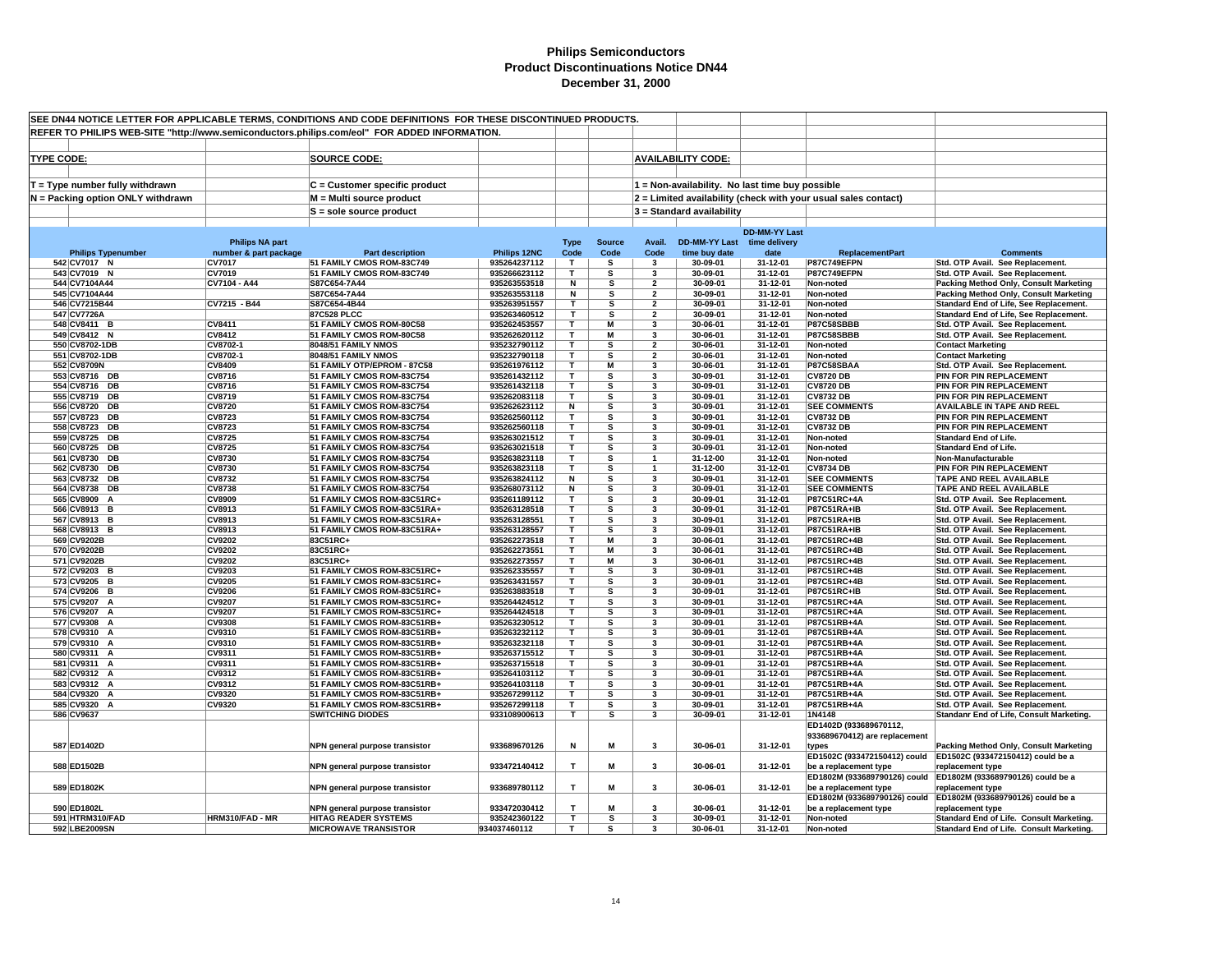| SEE DN44 NOTICE LETTER FOR APPLICABLE TERMS, CONDITIONS AND CODE DEFINITIONS FOR THESE DISCONTINUED PRODUCTS. |                                   |                                                 |                                                            |                              |                     |                       |                         |                                              |                                                 |                                                                |                                                                                    |
|---------------------------------------------------------------------------------------------------------------|-----------------------------------|-------------------------------------------------|------------------------------------------------------------|------------------------------|---------------------|-----------------------|-------------------------|----------------------------------------------|-------------------------------------------------|----------------------------------------------------------------|------------------------------------------------------------------------------------|
| REFER TO PHILIPS WEB-SITE "http://www.semiconductors.philips.com/eol" FOR ADDED INFORMATION.                  |                                   |                                                 |                                                            |                              |                     |                       |                         |                                              |                                                 |                                                                |                                                                                    |
|                                                                                                               |                                   |                                                 |                                                            |                              |                     |                       |                         |                                              |                                                 |                                                                |                                                                                    |
| <b>TYPE CODE:</b>                                                                                             |                                   |                                                 | <b>SOURCE CODE:</b>                                        |                              |                     |                       |                         | <b>AVAILABILITY CODE:</b>                    |                                                 |                                                                |                                                                                    |
|                                                                                                               |                                   |                                                 |                                                            |                              |                     |                       |                         |                                              |                                                 |                                                                |                                                                                    |
|                                                                                                               |                                   |                                                 |                                                            |                              |                     |                       |                         |                                              |                                                 |                                                                |                                                                                    |
|                                                                                                               | $T = Type$ number fully withdrawn |                                                 | C = Customer specific product                              |                              |                     |                       |                         |                                              | 1 = Non-availability. No last time buy possible |                                                                |                                                                                    |
|                                                                                                               | N = Packing option ONLY withdrawn |                                                 | M = Multi source product                                   |                              |                     |                       |                         |                                              |                                                 | 2 = Limited availability (check with your usual sales contact) |                                                                                    |
|                                                                                                               |                                   |                                                 | $S =$ sole source product                                  |                              |                     |                       |                         | $3$ = Standard availability                  |                                                 |                                                                |                                                                                    |
|                                                                                                               |                                   |                                                 |                                                            |                              |                     |                       |                         |                                              |                                                 |                                                                |                                                                                    |
|                                                                                                               |                                   |                                                 |                                                            |                              |                     |                       |                         |                                              | <b>DD-MM-YY Last</b>                            |                                                                |                                                                                    |
|                                                                                                               | <b>Philips Typenumber</b>         | <b>Philips NA part</b><br>number & part package | <b>Part description</b>                                    | Philips 12NC                 | <b>Type</b><br>Code | <b>Source</b><br>Code | Avail.<br>Code          | DD-MM-YY Last time delivery<br>time buy date | date                                            | <b>ReplacementPart</b>                                         | <b>Comments</b>                                                                    |
|                                                                                                               | 542 CV7017 N                      | CV7017                                          | 51 FAMILY CMOS ROM-83C749                                  | 935264237112                 | T                   | s                     | 3                       | 30-09-01                                     | 31-12-01                                        | P87C749EFPN                                                    | Std. OTP Avail. See Replacement.                                                   |
|                                                                                                               | 543 CV7019 N                      | CV7019                                          | 51 FAMILY CMOS ROM-83C749                                  | 935266623112                 | T                   | s                     | 3                       | 30-09-01                                     | 31-12-01                                        | P87C749EFPN                                                    | Std. OTP Avail. See Replacement.                                                   |
|                                                                                                               | 544 CV7104A44                     | CV7104 - A44                                    | S87C654-7A44                                               | 935263553518                 | N                   | s                     | $\overline{\mathbf{2}}$ | 30-09-01                                     | 31-12-01                                        | Non-noted                                                      | Packing Method Only, Consult Marketing                                             |
|                                                                                                               | 545 CV7104A44                     |                                                 | S87C654-7A44                                               | 935263553118                 | N                   | s                     | $\overline{2}$          | 30-09-01                                     | 31-12-01                                        | Non-noted                                                      | Packing Method Only, Consult Marketing                                             |
|                                                                                                               | 546 CV7215B44                     | CV7215 - B44                                    | S87C654-4B44                                               | 935263951557                 | T                   | s                     | $\overline{2}$          | 30-09-01                                     | 31-12-01                                        | Non-noted                                                      | Standard End of Life, See Replacement.                                             |
|                                                                                                               | 547 CV7726A                       |                                                 | 87C528 PLCC                                                | 935263460512                 | Т                   | s                     | $\overline{\mathbf{2}}$ | 30-09-01                                     | 31-12-01                                        | Non-noted                                                      | Standard End of Life, See Replacement.                                             |
|                                                                                                               | 548 CV8411 B                      | <b>CV8411</b>                                   | 51 FAMILY CMOS ROM-80C58                                   | 935262453557                 | T                   | М                     | 3                       | 30-06-01                                     | 31-12-01                                        | <b>P87C58SBBB</b>                                              | Std. OTP Avail. See Replacement.                                                   |
|                                                                                                               | 549 CV8412 N                      | CV8412                                          | 51 FAMILY CMOS ROM-80C58                                   | 935262620112                 | T<br>$\mathbf{r}$   | М<br>s                | 3<br>$\mathbf{z}$       | 30-06-01                                     | 31-12-01                                        | P87C58SBBB                                                     | Std. OTP Avail. See Replacement.                                                   |
|                                                                                                               | 550 CV8702-1DB<br>551 CV8702-1DB  | CV8702-1<br>CV8702-1                            | 8048/51 FAMILY NMOS<br>8048/51 FAMILY NMOS                 | 935232790112                 | T                   | s                     | $\overline{\mathbf{2}}$ | 30-06-01<br>30-06-01                         | 31-12-01<br>31-12-01                            | Non-noted                                                      | <b>Contact Marketing</b>                                                           |
|                                                                                                               | 552 CV8709N                       | <b>CV8409</b>                                   | 51 FAMILY OTP/EPROM - 87C58                                | 935232790118<br>935261976112 | T                   | M                     | 3                       | 30-06-01                                     | 31-12-01                                        | Non-noted<br>P87C58SBAA                                        | <b>Contact Marketing</b><br>Std. OTP Avail. See Replacement.                       |
|                                                                                                               | 553 CV8716 DB                     | CV8716                                          | 51 FAMILY CMOS ROM-83C754                                  | 935261432112                 | T.                  | s                     | 3                       | 30-09-01                                     | 31-12-01                                        | <b>CV8720 DB</b>                                               | PIN FOR PIN REPLACEMENT                                                            |
|                                                                                                               | 554 CV8716 DB                     | CV8716                                          | 51 FAMILY CMOS ROM-83C754                                  | 935261432118                 | T                   | s                     | $\overline{\mathbf{3}}$ | 30-09-01                                     | 31-12-01                                        | <b>CV8720 DB</b>                                               | PIN FOR PIN REPLACEMENT                                                            |
|                                                                                                               | 555 CV8719 DB                     | CV8719                                          | 51 FAMILY CMOS ROM-83C754                                  | 935262083118                 | т                   | s                     | 3                       | 30-09-01                                     | 31-12-01                                        | <b>CV8732 DB</b>                                               | PIN FOR PIN REPLACEMENT                                                            |
|                                                                                                               | 556 CV8720 DB                     | <b>CV8720</b>                                   | 51 FAMILY CMOS ROM-83C754                                  | 935262623112                 | N                   | s                     | 3                       | 30-09-01                                     | 31-12-01                                        | <b>SEE COMMENTS</b>                                            | <b>AVAILABLE IN TAPE AND REEL</b>                                                  |
|                                                                                                               | 557 CV8723 DB                     | <b>CV8723</b>                                   | 51 FAMILY CMOS ROM-83C754                                  | 935262560112                 | т                   | s                     | $\mathbf{3}$            | 30-09-01                                     | 31-12-01                                        | <b>CV8732 DB</b>                                               | PIN FOR PIN REPLACEMENT                                                            |
|                                                                                                               | 558 CV8723 DB                     | CV8723                                          | 51 FAMILY CMOS ROM-83C754                                  | 935262560118                 | $\mathbf{r}$        | s                     | 3                       | 30-09-01                                     | 31-12-01                                        | <b>CV8732 DB</b>                                               | PIN FOR PIN REPLACEMENT                                                            |
|                                                                                                               | 559 CV8725<br>DB                  | <b>CV8725</b>                                   | 51 FAMILY CMOS ROM-83C754                                  | 935263021512                 | $\mathbf{T}$        | s                     | 3                       | 30-09-01                                     | 31-12-01                                        | Non-noted                                                      | <b>Standard End of Life.</b>                                                       |
|                                                                                                               | 560 CV8725 DB<br>561 CV8730 DB    | <b>CV8725</b><br>CV8730                         | 51 FAMILY CMOS ROM-83C754<br>51 FAMILY CMOS ROM-83C754     | 935263021518<br>935263823118 | $\mathbf{T}$<br>T   | s<br>s                | 3                       | 30-09-01<br>31-12-00                         | 31-12-01<br>31-12-01                            | Non-noted                                                      | <b>Standard End of Life.</b><br>Non-Manufacturable                                 |
|                                                                                                               | 562 CV8730 DB                     | CV8730                                          | 51 FAMILY CMOS ROM-83C754                                  | 935263823118                 | T                   | s                     | $\mathbf{1}$            | 31-12-00                                     | 31-12-01                                        | Non-noted<br><b>CV8734 DB</b>                                  | PIN FOR PIN REPLACEMENT                                                            |
|                                                                                                               | 563 CV8732 DB                     | <b>CV8732</b>                                   | 51 FAMILY CMOS ROM-83C754                                  | 935263824112                 | N                   | s                     | 3                       | 30-09-01                                     | 31-12-01                                        | <b>SEE COMMENTS</b>                                            | <b>TAPE AND REEL AVAILABLE</b>                                                     |
|                                                                                                               | 564 CV8738 DB                     | <b>CV8738</b>                                   | 51 FAMILY CMOS ROM-83C754                                  | 935268073112                 | N                   | s                     | 3                       | 30-09-01                                     | 31-12-01                                        | <b>SEE COMMENTS</b>                                            | TAPE AND REEL AVAILABLE                                                            |
|                                                                                                               | 565 CV8909 A                      | <b>CV8909</b>                                   | 51 FAMILY CMOS ROM-83C51RC+                                | 935261189112                 | $\mathbf{T}$        | s                     | $\mathbf{3}$            | 30-09-01                                     | 31-12-01                                        | P87C51RC+4A                                                    | Std. OTP Avail. See Replacement.                                                   |
|                                                                                                               | 566 CV8913 B                      | CV8913                                          | 51 FAMILY CMOS ROM-83C51RA+                                | 935263128518                 | $\mathbf{T}$        | s                     | 3                       | 30-09-01                                     | 31-12-01                                        | <b>P87C51RA+IB</b>                                             | Std. OTP Avail. See Replacement.                                                   |
|                                                                                                               | 567 CV8913 B                      | CV8913                                          | 51 FAMILY CMOS ROM-83C51RA+                                | 935263128551                 | $\mathbf{r}$        | s                     | $\overline{\mathbf{3}}$ | 30-09-01                                     | 31-12-01                                        | <b>P87C51RA+IB</b>                                             | Std. OTP Avail. See Replacement.                                                   |
|                                                                                                               | 568 CV8913 B                      | CV8913                                          | 51 FAMILY CMOS ROM-83C51RA+                                | 935263128557                 | $\mathbf{T}$        | s                     | 3                       | 30-09-01                                     | 31-12-01                                        | <b>P87C51RA+IB</b>                                             | Std. OTP Avail. See Replacement.                                                   |
|                                                                                                               | 569 CV9202B                       | CV9202                                          | 83C51RC+                                                   | 935262273518                 | т                   | M                     | 3                       | 30-06-01                                     | 31-12-01                                        | P87C51RC+4B                                                    | Std. OTP Avail. See Replacement.                                                   |
|                                                                                                               | 570 CV9202B                       | CV9202                                          | 83C51RC+                                                   | 935262273551                 | т<br>т              | M<br>M                | 3                       | 30-06-01                                     | 31-12-01<br>31-12-01                            | P87C51RC+4B                                                    | Std. OTP Avail. See Replacement.                                                   |
|                                                                                                               | 571 CV9202B<br>572 CV9203 B       | CV9202<br><b>CV9203</b>                         | 83C51RC+<br>51 FAMILY CMOS ROM-83C51RC+                    | 935262273557<br>935262335557 | т                   | s                     | 3<br>3                  | 30-06-01<br>30-09-01                         | 31-12-01                                        | P87C51RC+4B<br>P87C51RC+4B                                     | Std. OTP Avail. See Replacement.<br>Std. OTP Avail. See Replacement.               |
|                                                                                                               | 573 CV9205 B                      | <b>CV9205</b>                                   | 51 FAMILY CMOS ROM-83C51RC+                                | 935263431557                 | T.                  | s                     | 3                       | 30-09-01                                     | 31-12-01                                        | P87C51RC+4B                                                    | Std. OTP Avail. See Replacement.                                                   |
|                                                                                                               | 574 CV9206 B                      | CV9206                                          | 51 FAMILY CMOS ROM-83C51RC+                                | 935263883518                 | T                   | s                     | $\overline{\mathbf{3}}$ | 30-09-01                                     | 31-12-01                                        | <b>P87C51RC+IB</b>                                             | Std. OTP Avail. See Replacement.                                                   |
|                                                                                                               | 575 CV9207 A                      | CV9207                                          | 51 FAMILY CMOS ROM-83C51RC+                                | 935264424512                 | T                   | s                     | 3                       | 30-09-01                                     | 31-12-01                                        | P87C51RC+4A                                                    | Std. OTP Avail. See Replacement.                                                   |
|                                                                                                               | 576 CV9207 A                      | CV9207                                          | 51 FAMILY CMOS ROM-83C51RC+                                | 935264424518                 | T                   | s                     | 3                       | 30-09-01                                     | 31-12-01                                        | P87C51RC+4A                                                    | Std. OTP Avail. See Replacement.                                                   |
|                                                                                                               | 577 CV9308 A                      | <b>CV9308</b>                                   | 51 FAMILY CMOS ROM-83C51RB+                                | 935263230512                 | T                   | s                     | 3                       | 30-09-01                                     | 31-12-01                                        | P87C51RB+4A                                                    | Std. OTP Avail. See Replacement.                                                   |
|                                                                                                               | 578 CV9310 A                      | CV9310                                          | 51 FAMILY CMOS ROM-83C51RB+                                | 935263232112                 | $\mathbf{T}$        | s                     | 3                       | 30-09-01                                     | 31-12-01                                        | P87C51RB+4A                                                    | Std. OTP Avail. See Replacement                                                    |
|                                                                                                               | 579 CV9310 A                      | CV9310                                          | 51 FAMILY CMOS ROM-83C51RB+                                | 935263232118                 | T                   | s                     | 3                       | 30-09-01                                     | 31-12-01                                        | P87C51RB+4A                                                    | Std. OTP Avail. See Replacement.                                                   |
|                                                                                                               | 580 CV9311 A                      | CV9311                                          | 51 FAMILY CMOS ROM-83C51RB+                                | 935263715512                 | T<br>T              | s                     | 3<br>3                  | 30-09-01                                     | 31-12-01                                        | P87C51RB+4A                                                    | Std. OTP Avail. See Replacement.                                                   |
|                                                                                                               | 581 CV9311 A<br>582 CV9312 A      | CV9311<br>CV9312                                | 51 FAMILY CMOS ROM-83C51RB+<br>51 FAMILY CMOS ROM-83C51RB+ | 935263715518<br>935264103112 | T                   | s<br>s                | $\mathbf{3}$            | 30-09-01<br>30-09-01                         | 31-12-01<br>31-12-01                            | P87C51RB+4A<br>P87C51RB+4A                                     | Std. OTP Avail. See Replacement.<br>Std. OTP Avail. See Replacement.               |
|                                                                                                               | 583 CV9312 A                      | CV9312                                          | 51 FAMILY CMOS ROM-83C51RB+                                | 935264103118                 | T                   | s                     | 3                       | 30-09-01                                     | 31-12-01                                        | P87C51RB+4A                                                    | Std. OTP Avail. See Replacement.                                                   |
|                                                                                                               | 584 CV9320 A                      | <b>CV9320</b>                                   | 51 FAMILY CMOS ROM-83C51RB+                                | 935267299112                 | т                   | s                     | 3                       | 30-09-01                                     | 31-12-01                                        | P87C51RB+4A                                                    | Std. OTP Avail. See Replacement.                                                   |
|                                                                                                               | 585 CV9320 A                      | CV9320                                          | 51 FAMILY CMOS ROM-83C51RB+                                | 935267299118                 | T.                  | s                     | 3                       | 30-09-01                                     | 31-12-01                                        | P87C51RB+4A                                                    | Std. OTP Avail. See Replacement.                                                   |
|                                                                                                               | 586 CV9637                        |                                                 | <b>SWITCHING DIODES</b>                                    | 933108900613                 | T.                  | s                     | 3                       | 30-09-01                                     | 31-12-01                                        | 1N4148                                                         | Standanr End of Life, Consult Marketing.                                           |
|                                                                                                               |                                   |                                                 |                                                            |                              |                     |                       |                         |                                              |                                                 | ED1402D (933689670112,                                         |                                                                                    |
|                                                                                                               |                                   |                                                 |                                                            |                              |                     |                       |                         |                                              |                                                 | 933689670412) are replacement                                  |                                                                                    |
|                                                                                                               | 587 ED1402D                       |                                                 | NPN general purpose transistor                             | 933689670126                 | N                   | M                     | 3                       | 30-06-01                                     | 31-12-01                                        | types                                                          | Packing Method Only, Consult Marketing                                             |
|                                                                                                               |                                   |                                                 |                                                            |                              |                     |                       |                         |                                              |                                                 | ED1502C (933472150412) could                                   | ED1502C (933472150412) could be a                                                  |
|                                                                                                               | 588 ED1502B                       |                                                 | NPN general purpose transistor                             | 933472140412                 | $\mathbf{T}$        | M                     | 3                       | 30-06-01                                     | 31-12-01                                        | be a replacement type                                          | replacement type                                                                   |
|                                                                                                               |                                   |                                                 |                                                            |                              |                     |                       |                         |                                              |                                                 | ED1802M (933689790126) could                                   | ED1802M (933689790126) could be a                                                  |
|                                                                                                               | 589 ED1802K                       |                                                 | NPN general purpose transistor                             | 933689780112                 | T                   | M                     | 3                       | 30-06-01                                     | 31-12-01                                        | be a replacement type                                          | replacement type<br>ED1802M (933689790126) could ED1802M (933689790126) could be a |
|                                                                                                               | 590 ED1802L                       |                                                 | NPN general purpose transistor                             | 933472030412                 | т                   | M                     | 3                       | 30-06-01                                     | 31-12-01                                        | be a replacement type                                          | replacement type                                                                   |
|                                                                                                               | 591 HTRM310/FAD                   | HRM310/FAD - MR                                 | <b>HITAG READER SYSTEMS</b>                                | 935242360122                 | T                   | s                     | $\mathbf{3}$            | 30-09-01                                     | 31-12-01                                        | Non-noted                                                      | Standard End of Life. Consult Marketing.                                           |
|                                                                                                               | 592 LBE2009SN                     |                                                 | <b>MICROWAVE TRANSISTOR</b>                                | 934037460112                 | T.                  | s                     | $\mathbf{3}$            | 30-06-01                                     | 31-12-01                                        | Non-noted                                                      | Standard End of Life. Consult Marketing.                                           |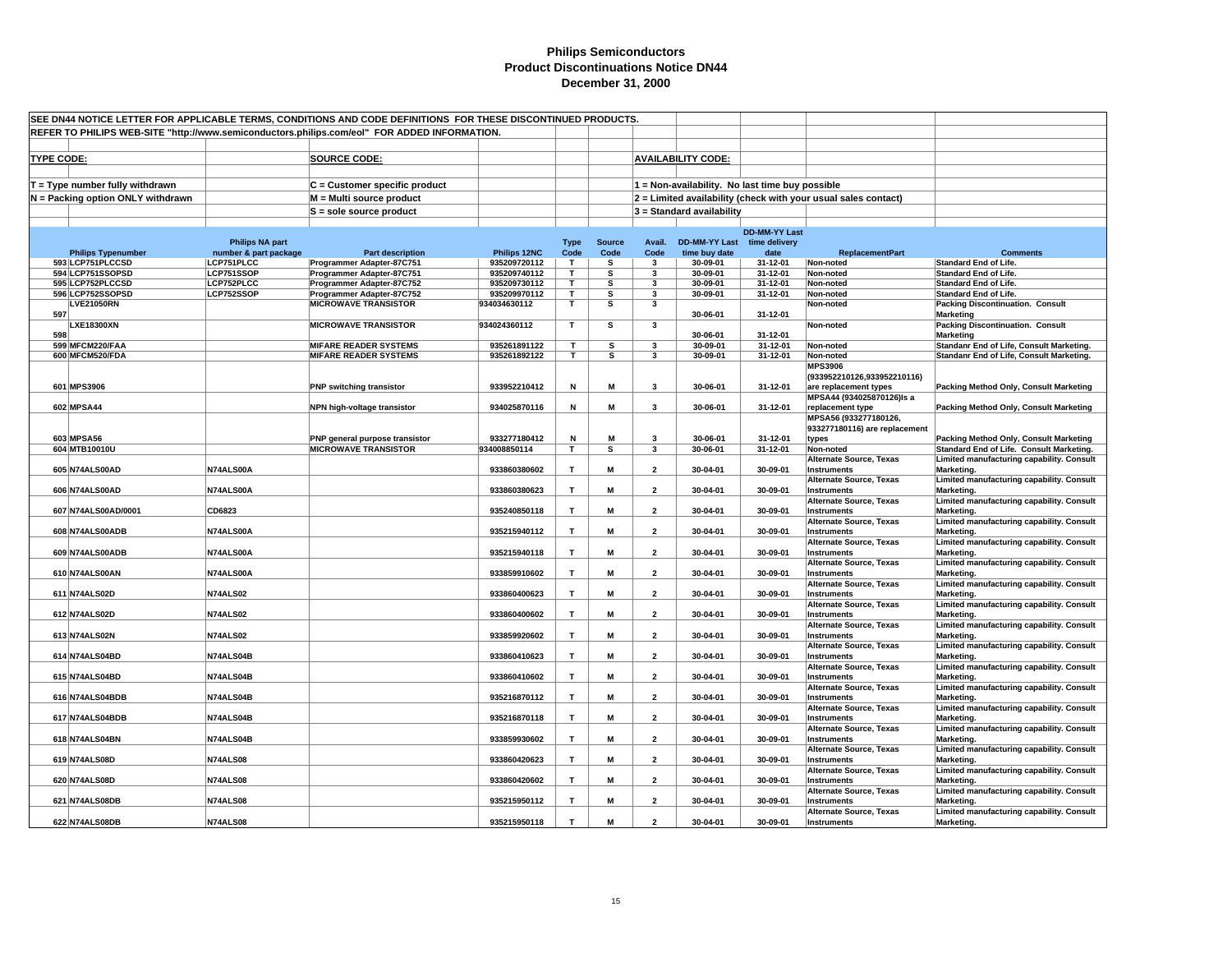| SEE DN44 NOTICE LETTER FOR APPLICABLE TERMS, CONDITIONS AND CODE DEFINITIONS FOR THESE DISCONTINUED PRODUCTS. |                        |                                                          |                              |                         |                         |                              |                                                 |                      |                                                                |                                                             |
|---------------------------------------------------------------------------------------------------------------|------------------------|----------------------------------------------------------|------------------------------|-------------------------|-------------------------|------------------------------|-------------------------------------------------|----------------------|----------------------------------------------------------------|-------------------------------------------------------------|
| REFER TO PHILIPS WEB-SITE "http://www.semiconductors.philips.com/eol" FOR ADDED INFORMATION.                  |                        |                                                          |                              |                         |                         |                              |                                                 |                      |                                                                |                                                             |
|                                                                                                               |                        |                                                          |                              |                         |                         |                              |                                                 |                      |                                                                |                                                             |
| <b>TYPE CODE:</b>                                                                                             |                        | <b>SOURCE CODE:</b>                                      |                              |                         |                         |                              | <b>AVAILABILITY CODE:</b>                       |                      |                                                                |                                                             |
|                                                                                                               |                        |                                                          |                              |                         |                         |                              |                                                 |                      |                                                                |                                                             |
| $T = Type$ number fully withdrawn                                                                             |                        | C = Customer specific product                            |                              |                         |                         |                              | 1 = Non-availability. No last time buy possible |                      |                                                                |                                                             |
|                                                                                                               |                        | M = Multi source product                                 |                              |                         |                         |                              |                                                 |                      |                                                                |                                                             |
| N = Packing option ONLY withdrawn                                                                             |                        |                                                          |                              |                         |                         |                              |                                                 |                      | 2 = Limited availability (check with your usual sales contact) |                                                             |
|                                                                                                               |                        | S = sole source product                                  |                              |                         |                         |                              | $3$ = Standard availability                     |                      |                                                                |                                                             |
|                                                                                                               |                        |                                                          |                              |                         |                         |                              |                                                 | <b>DD-MM-YY Last</b> |                                                                |                                                             |
|                                                                                                               | <b>Philips NA part</b> |                                                          |                              | <b>Type</b>             | <b>Source</b>           | Avail.                       | <b>DD-MM-YY Last</b>                            | time delivery        |                                                                |                                                             |
| <b>Philips Typenumber</b>                                                                                     | number & part package  | <b>Part description</b>                                  | Philips 12NC                 | Code                    | Code                    | Code                         | time buy date                                   | date                 | <b>ReplacementPart</b>                                         | <b>Comments</b>                                             |
| 593 LCP751PLCCSD                                                                                              | LCP751PLCC             | Programmer Adapter-87C751                                | 935209720112                 | T                       | s                       | $\mathbf{3}$                 | 30-09-01                                        | 31-12-01             | Non-noted                                                      | <b>Standard End of Life.</b>                                |
| 594 LCP751SSOPSD                                                                                              | LCP751SSOP             | Programmer Adapter-87C751                                | 935209740112                 | T                       | s                       | 3                            | 30-09-01                                        | 31-12-01             | Non-noted                                                      | <b>Standard End of Life.</b>                                |
| 595 LCP752PLCCSD                                                                                              | LCP752PLCC             | Programmer Adapter-87C752                                | 935209730112                 | T                       | s                       | $\overline{\mathbf{3}}$      | 30-09-01                                        | 31-12-01             | Non-noted                                                      | <b>Standard End of Life.</b>                                |
| 596 LCP752SSOPSD<br><b>LVE21050RN</b>                                                                         | LCP752SSOP             | Programmer Adapter-87C752<br><b>MICROWAVE TRANSISTOR</b> | 935209970112<br>934034630112 | T<br>T                  | s<br>s                  | 3<br>$\overline{\mathbf{3}}$ | 30-09-01                                        | 31-12-01             | Non-noted<br>Non-noted                                         | <b>Standard End of Life.</b>                                |
| 597                                                                                                           |                        |                                                          |                              |                         |                         |                              | 30-06-01                                        | 31-12-01             |                                                                | <b>Packing Discontinuation. Consult</b><br><b>Marketing</b> |
| <b>LXE18300XN</b>                                                                                             |                        | <b>MICROWAVE TRANSISTOR</b>                              | 934024360112                 | T                       | s                       | 3                            |                                                 |                      | Non-noted                                                      | <b>Packing Discontinuation. Consult</b>                     |
| 598                                                                                                           |                        |                                                          |                              |                         |                         |                              | 30-06-01                                        | $31 - 12 - 01$       |                                                                | Marketing                                                   |
| 599 MFCM220/FAA                                                                                               |                        | <b>MIFARE READER SYSTEMS</b>                             | 935261891122                 | т                       | s                       | $\overline{\mathbf{3}}$      | 30-09-01                                        | 31-12-01             | Non-noted                                                      | Standanr End of Life, Consult Marketing.                    |
| 600 MFCM520/FDA                                                                                               |                        | <b>MIFARE READER SYSTEMS</b>                             | 935261892122                 | T.                      | s                       | 3                            | 30-09-01                                        | 31-12-01             | Non-noted                                                      | Standanr End of Life, Consult Marketing.                    |
|                                                                                                               |                        |                                                          |                              |                         |                         |                              |                                                 |                      | <b>MPS3906</b>                                                 |                                                             |
|                                                                                                               |                        |                                                          |                              |                         |                         |                              |                                                 |                      | (933952210126,933952210116)                                    |                                                             |
| 601 MPS3906                                                                                                   |                        | <b>PNP switching transistor</b>                          | 933952210412                 | N                       | M                       | $\mathbf{3}$                 | 30-06-01                                        | 31-12-01             | are replacement types                                          | Packing Method Only, Consult Marketing                      |
|                                                                                                               |                        |                                                          |                              |                         |                         |                              |                                                 |                      | MPSA44 (934025870126)Is a                                      |                                                             |
| 602 MPSA44                                                                                                    |                        | NPN high-voltage transistor                              | 934025870116                 | N                       | М                       | 3                            | 30-06-01                                        | 31-12-01             | replacement type<br>MPSA56 (933277180126,                      | Packing Method Only, Consult Marketing                      |
|                                                                                                               |                        |                                                          |                              |                         |                         |                              |                                                 |                      | 933277180116) are replacement                                  |                                                             |
| 603 MPSA56                                                                                                    |                        | PNP general purpose transistor                           | 933277180412                 | N                       | M                       | $\overline{\mathbf{3}}$      | 30-06-01                                        | 31-12-01             | types                                                          | Packing Method Only, Consult Marketing                      |
| 604 MTB10010U                                                                                                 |                        | <b>MICROWAVE TRANSISTOR</b>                              | 934008850114                 | $\overline{\mathsf{r}}$ | $\overline{\mathbf{s}}$ | $\overline{\mathbf{3}}$      | 30-06-01                                        | 31-12-01             | Non-noted                                                      | Standard End of Life. Consult Marketing.                    |
|                                                                                                               |                        |                                                          |                              |                         |                         |                              |                                                 |                      | Alternate Source, Texas                                        | Limited manufacturing capability. Consult                   |
| 605 N74ALS00AD                                                                                                | N74ALS00A              |                                                          | 933860380602                 | $\mathbf{T}$            | M                       | $\overline{2}$               | 30-04-01                                        | 30-09-01             | Instruments                                                    | Marketing.                                                  |
|                                                                                                               |                        |                                                          |                              |                         |                         |                              |                                                 |                      | <b>Alternate Source, Texas</b>                                 | Limited manufacturing capability. Consult                   |
| 606 N74ALS00AD                                                                                                | N74ALS00A              |                                                          | 933860380623                 | T                       | M                       | $\overline{2}$               | 30-04-01                                        | 30-09-01             | Instruments                                                    | Marketing.                                                  |
|                                                                                                               |                        |                                                          |                              |                         |                         |                              |                                                 |                      | <b>Alternate Source, Texas</b>                                 | Limited manufacturing capability. Consult                   |
| 607 N74ALS00AD/0001                                                                                           | CD6823                 |                                                          | 935240850118                 | T                       | M                       | $\overline{2}$               | 30-04-01                                        | 30-09-01             | Instruments<br><b>Alternate Source, Texas</b>                  | Marketing.<br>Limited manufacturing capability. Consult     |
| 608 N74ALS00ADB                                                                                               | N74ALS00A              |                                                          | 935215940112                 | T                       | М                       | $\overline{2}$               | 30-04-01                                        | 30-09-01             | <b>Instruments</b>                                             | Marketing.                                                  |
|                                                                                                               |                        |                                                          |                              |                         |                         |                              |                                                 |                      | Alternate Source, Texas                                        | Limited manufacturing capability. Consult                   |
| 609 N74ALS00ADB                                                                                               | N74ALS00A              |                                                          | 935215940118                 | $\mathbf{T}$            | М                       | $\overline{2}$               | 30-04-01                                        | 30-09-01             | <b>Instruments</b>                                             | Marketing.                                                  |
|                                                                                                               |                        |                                                          |                              |                         |                         |                              |                                                 |                      | <b>Alternate Source, Texas</b>                                 | Limited manufacturing capability. Consult                   |
| 610 N74ALS00AN                                                                                                | N74ALS00A              |                                                          | 933859910602                 | $\mathbf{r}$            | M                       | $\overline{2}$               | 30-04-01                                        | 30-09-01             | <b>Instruments</b>                                             | Marketing.                                                  |
|                                                                                                               |                        |                                                          |                              |                         |                         |                              |                                                 |                      | <b>Alternate Source, Texas</b>                                 | Limited manufacturing capability. Consult                   |
| 611 N74ALS02D                                                                                                 | <b>N74ALS02</b>        |                                                          | 933860400623                 | T                       | М                       | $\overline{2}$               | 30-04-01                                        | 30-09-01             | <b>Instruments</b>                                             | Marketing.                                                  |
|                                                                                                               | <b>N74ALS02</b>        |                                                          | 933860400602                 | T                       | М                       | $\overline{\mathbf{2}}$      | 30-04-01                                        | 30-09-01             | <b>Alternate Source, Texas</b>                                 | Limited manufacturing capability. Consult                   |
| 612 N74ALS02D                                                                                                 |                        |                                                          |                              |                         |                         |                              |                                                 |                      | <b>Instruments</b><br><b>Alternate Source, Texas</b>           | Marketing.<br>Limited manufacturing capability. Consult     |
| 613 N74ALS02N                                                                                                 | <b>N74ALS02</b>        |                                                          | 933859920602                 | T                       | M                       | $\overline{2}$               | 30-04-01                                        | 30-09-01             | <b>Instruments</b>                                             | Marketing.                                                  |
|                                                                                                               |                        |                                                          |                              |                         |                         |                              |                                                 |                      | <b>Alternate Source, Texas</b>                                 | Limited manufacturing capability. Consult                   |
| 614 N74ALS04BD                                                                                                | N74ALS04B              |                                                          | 933860410623                 | T                       | М                       | $\overline{2}$               | 30-04-01                                        | 30-09-01             | <b>Instruments</b>                                             | Marketing.                                                  |
|                                                                                                               |                        |                                                          |                              |                         |                         |                              |                                                 |                      | <b>Alternate Source, Texas</b>                                 | Limited manufacturing capability. Consult                   |
| 615 N74ALS04BD                                                                                                | N74ALS04B              |                                                          | 933860410602                 | $\mathbf T$             | M                       | $\overline{\mathbf{2}}$      | 30-04-01                                        | 30-09-01             | Instruments                                                    | Marketing.                                                  |
|                                                                                                               |                        |                                                          |                              |                         |                         |                              |                                                 |                      | <b>Alternate Source, Texas</b>                                 | Limited manufacturing capability. Consult                   |
| 616 N74ALS04BDB                                                                                               | N74ALS04B              |                                                          | 935216870112                 | T                       | M                       | $\overline{2}$               | 30-04-01                                        | 30-09-01             | <b>Instruments</b>                                             | Marketing.                                                  |
| 617 N74ALS04BDB                                                                                               | N74ALS04B              |                                                          | 935216870118                 | $\mathbf{T}$            | M                       | $\overline{\mathbf{2}}$      | 30-04-01                                        | 30-09-01             | <b>Alternate Source, Texas</b><br>Instruments                  | Limited manufacturing capability. Consult<br>Marketing.     |
|                                                                                                               |                        |                                                          |                              |                         |                         |                              |                                                 |                      | <b>Alternate Source, Texas</b>                                 | Limited manufacturing capability. Consult                   |
| 618 N74ALS04BN                                                                                                | N74ALS04B              |                                                          | 933859930602                 | т                       | M                       | $\overline{2}$               | 30-04-01                                        | 30-09-01             | <b>Instruments</b>                                             | Marketing.                                                  |
|                                                                                                               |                        |                                                          |                              |                         |                         |                              |                                                 |                      | <b>Alternate Source, Texas</b>                                 | Limited manufacturing capability. Consult                   |
| 619 N74ALS08D                                                                                                 | <b>N74ALS08</b>        |                                                          | 933860420623                 | T                       | М                       | $\overline{2}$               | 30-04-01                                        | 30-09-01             | <b>Instruments</b>                                             | Marketing.                                                  |
|                                                                                                               |                        |                                                          |                              |                         |                         |                              |                                                 |                      | <b>Alternate Source, Texas</b>                                 | Limited manufacturing capability. Consult                   |
| 620 N74ALS08D                                                                                                 | <b>N74ALS08</b>        |                                                          | 933860420602                 | $\mathbf{T}$            | M                       | $\overline{2}$               | 30-04-01                                        | 30-09-01             | <b>Instruments</b>                                             | Marketing.                                                  |
|                                                                                                               |                        |                                                          |                              |                         |                         |                              |                                                 |                      | Alternate Source, Texas                                        | Limited manufacturing capability. Consult                   |
| 621 N74ALS08DB                                                                                                | <b>N74ALS08</b>        |                                                          | 935215950112                 | $\mathbf{T}$            | M                       | $\overline{2}$               | 30-04-01                                        | 30-09-01             | Instruments<br><b>Alternate Source, Texas</b>                  | Marketing.<br>Limited manufacturing capability. Consult     |
| 622 N74ALS08DB                                                                                                | <b>N74ALS08</b>        |                                                          | 935215950118                 | T                       | М                       | $\overline{\phantom{a}}$     | 30-04-01                                        | 30-09-01             | <b>Instruments</b>                                             | Marketing.                                                  |
|                                                                                                               |                        |                                                          |                              |                         |                         |                              |                                                 |                      |                                                                |                                                             |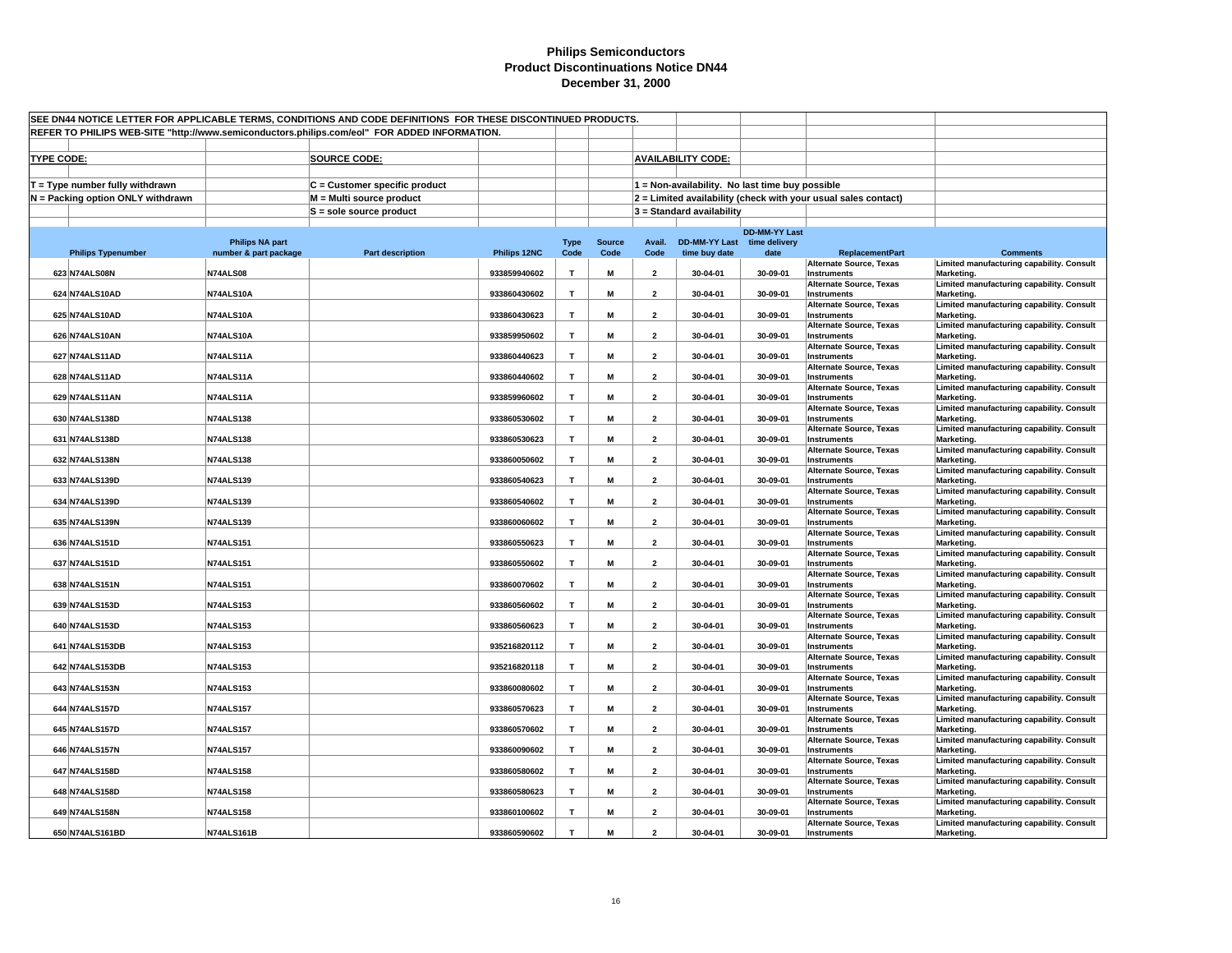| SEE DN44 NOTICE LETTER FOR APPLICABLE TERMS, CONDITIONS AND CODE DEFINITIONS FOR THESE DISCONTINUED PRODUCTS.<br>REFER TO PHILIPS WEB-SITE "http://www.semiconductors.philips.com/eol" FOR ADDED INFORMATION. |                        |                               |              |              |               |                         |                                                 |                      |                                                                |                                                         |  |
|---------------------------------------------------------------------------------------------------------------------------------------------------------------------------------------------------------------|------------------------|-------------------------------|--------------|--------------|---------------|-------------------------|-------------------------------------------------|----------------------|----------------------------------------------------------------|---------------------------------------------------------|--|
|                                                                                                                                                                                                               |                        |                               |              |              |               |                         |                                                 |                      |                                                                |                                                         |  |
|                                                                                                                                                                                                               |                        |                               |              |              |               |                         |                                                 |                      |                                                                |                                                         |  |
| <b>TYPE CODE:</b>                                                                                                                                                                                             |                        | <b>SOURCE CODE:</b>           |              |              |               |                         | <b>AVAILABILITY CODE:</b>                       |                      |                                                                |                                                         |  |
| $T = Type$ number fully withdrawn                                                                                                                                                                             |                        | C = Customer specific product |              |              |               |                         | 1 = Non-availability. No last time buy possible |                      |                                                                |                                                         |  |
| N = Packing option ONLY withdrawn                                                                                                                                                                             |                        | M = Multi source product      |              |              |               |                         |                                                 |                      | 2 = Limited availability (check with your usual sales contact) |                                                         |  |
|                                                                                                                                                                                                               |                        | $S =$ sole source product     |              |              |               |                         | $3 =$ Standard availability                     |                      |                                                                |                                                         |  |
|                                                                                                                                                                                                               |                        |                               |              |              |               |                         |                                                 |                      |                                                                |                                                         |  |
|                                                                                                                                                                                                               | <b>Philips NA part</b> |                               |              | <b>Type</b>  | <b>Source</b> | Avail.                  | DD-MM-YY Last time delivery                     | <b>DD-MM-YY Last</b> |                                                                |                                                         |  |
| <b>Philips Typenumber</b>                                                                                                                                                                                     | number & part package  | <b>Part description</b>       | Philips 12NC | Code         | Code          | Code                    | time buy date                                   | date                 | <b>ReplacementPart</b>                                         | <b>Comments</b>                                         |  |
| 623 N74ALS08N                                                                                                                                                                                                 | <b>N74ALS08</b>        |                               | 933859940602 | T            | M             | $\overline{2}$          | 30-04-01                                        | 30-09-01             | <b>Alternate Source, Texas</b><br>Instruments                  | Limited manufacturing capability. Consult<br>Marketing. |  |
| 624 N74ALS10AD                                                                                                                                                                                                | N74ALS10A              |                               | 933860430602 | T            | M             | $\overline{2}$          | 30-04-01                                        | 30-09-01             | <b>Alternate Source, Texas</b><br>Instruments                  | Limited manufacturing capability. Consult<br>Marketing. |  |
|                                                                                                                                                                                                               |                        |                               |              |              |               |                         |                                                 |                      | <b>Alternate Source, Texas</b>                                 | Limited manufacturing capability. Consult               |  |
| 625 N74ALS10AD                                                                                                                                                                                                | N74ALS10A              |                               | 933860430623 | $\mathbf{T}$ | M             | $\overline{2}$          | 30-04-01                                        | 30-09-01             | Instruments<br><b>Alternate Source, Texas</b>                  | Marketing.<br>Limited manufacturing capability. Consult |  |
| 626 N74ALS10AN                                                                                                                                                                                                | N74ALS10A              |                               | 933859950602 | T            | M             | $\overline{\mathbf{2}}$ | 30-04-01                                        | 30-09-01             | <b>Instruments</b>                                             | Marketing.                                              |  |
| 627 N74ALS11AD                                                                                                                                                                                                | N74ALS11A              |                               | 933860440623 | T            | M             | $\overline{2}$          | 30-04-01                                        | 30-09-01             | <b>Alternate Source, Texas</b><br><b>Instruments</b>           | Limited manufacturing capability. Consult<br>Marketing. |  |
|                                                                                                                                                                                                               |                        |                               |              |              |               |                         |                                                 |                      | <b>Alternate Source, Texas</b>                                 | Limited manufacturing capability. Consult               |  |
| 628 N74ALS11AD                                                                                                                                                                                                | N74ALS11A              |                               | 933860440602 | $\mathbf{T}$ | M             | $\overline{2}$          | 30-04-01                                        | 30-09-01             | <b>Instruments</b><br><b>Alternate Source, Texas</b>           | Marketing.<br>Limited manufacturing capability. Consult |  |
| 629 N74ALS11AN                                                                                                                                                                                                | N74ALS11A              |                               | 933859960602 | T            | M             | $\overline{\mathbf{2}}$ | 30-04-01                                        | 30-09-01             | Instruments                                                    | Marketing.                                              |  |
| 630 N74ALS138D                                                                                                                                                                                                | <b>N74ALS138</b>       |                               | 933860530602 | T            | М             | $\overline{2}$          | 30-04-01                                        | 30-09-01             | <b>Alternate Source, Texas</b><br>Instruments                  | Limited manufacturing capability. Consult<br>Marketing. |  |
| 631 N74ALS138D                                                                                                                                                                                                | <b>N74ALS138</b>       |                               | 933860530623 | T            | M             |                         | 30-04-01                                        | 30-09-01             | <b>Alternate Source, Texas</b>                                 | Limited manufacturing capability. Consult               |  |
|                                                                                                                                                                                                               |                        |                               |              |              |               | $\overline{2}$          |                                                 |                      | Instruments<br><b>Alternate Source, Texas</b>                  | Marketing.<br>Limited manufacturing capability. Consult |  |
| 632 N74ALS138N                                                                                                                                                                                                | <b>N74ALS138</b>       |                               | 933860050602 | $\mathbf{T}$ | M             | $\overline{\mathbf{2}}$ | 30-04-01                                        | 30-09-01             | Instruments                                                    | Marketing.                                              |  |
| 633 N74ALS139D                                                                                                                                                                                                | <b>N74ALS139</b>       |                               | 933860540623 | T            | M             | $\overline{2}$          | 30-04-01                                        | 30-09-01             | <b>Alternate Source, Texas</b><br>Instruments                  | Limited manufacturing capability. Consult<br>Marketing. |  |
| 634 N74ALS139D                                                                                                                                                                                                | <b>N74ALS139</b>       |                               | 933860540602 | T            | M             | $\overline{2}$          | 30-04-01                                        | 30-09-01             | <b>Alternate Source, Texas</b><br><b>Instruments</b>           | Limited manufacturing capability. Consult<br>Marketing. |  |
|                                                                                                                                                                                                               |                        |                               |              |              |               |                         |                                                 |                      | <b>Alternate Source, Texas</b>                                 | Limited manufacturing capability. Consult               |  |
| 635 N74ALS139N                                                                                                                                                                                                | <b>N74ALS139</b>       |                               | 933860060602 | $\mathbf{T}$ | M             | $\overline{\mathbf{2}}$ | 30-04-01                                        | 30-09-01             | <b>Instruments</b><br><b>Alternate Source, Texas</b>           | Marketing.<br>Limited manufacturing capability. Consult |  |
| 636 N74ALS151D                                                                                                                                                                                                | <b>N74ALS151</b>       |                               | 933860550623 | T            | M             | $\overline{2}$          | 30-04-01                                        | 30-09-01             | Instruments                                                    | Marketing.                                              |  |
| 637 N74ALS151D                                                                                                                                                                                                | <b>N74ALS151</b>       |                               | 933860550602 | T            | M             | $\overline{\mathbf{2}}$ | 30-04-01                                        | 30-09-01             | <b>Alternate Source, Texas</b><br><b>Instruments</b>           | Limited manufacturing capability. Consult<br>Marketing. |  |
| 638 N74ALS151N                                                                                                                                                                                                | <b>N74ALS151</b>       |                               | 933860070602 | T            | M             | $\overline{\mathbf{2}}$ | 30-04-01                                        | 30-09-01             | <b>Alternate Source, Texas</b><br><b>Instruments</b>           | Limited manufacturing capability. Consult<br>Marketing. |  |
|                                                                                                                                                                                                               |                        |                               |              |              |               |                         |                                                 |                      | <b>Alternate Source, Texas</b>                                 | Limited manufacturing capability. Consult               |  |
| 639 N74ALS153D                                                                                                                                                                                                | <b>N74ALS153</b>       |                               | 933860560602 | T            | M             | $\overline{2}$          | 30-04-01                                        | 30-09-01             | Instruments<br><b>Alternate Source, Texas</b>                  | Marketing.<br>Limited manufacturing capability. Consult |  |
| 640 N74ALS153D                                                                                                                                                                                                | <b>N74ALS153</b>       |                               | 933860560623 | $\mathbf{T}$ | M             | $\overline{2}$          | 30-04-01                                        | 30-09-01             | Instruments                                                    | Marketing.                                              |  |
| 641 N74ALS153DB                                                                                                                                                                                               | <b>N74ALS153</b>       |                               | 935216820112 | $\mathbf{T}$ | M             | $\overline{2}$          | 30-04-01                                        | 30-09-01             | Alternate Source, Texas<br>Instruments                         | Limited manufacturing capability. Consult<br>Marketing. |  |
|                                                                                                                                                                                                               |                        |                               |              |              |               | $\overline{2}$          |                                                 |                      | <b>Alternate Source, Texas</b>                                 | Limited manufacturing capability. Consult               |  |
| 642 N74ALS153DB                                                                                                                                                                                               | <b>N74ALS153</b>       |                               | 935216820118 | T            | M             |                         | 30-04-01                                        | 30-09-01             | <b>Instruments</b><br><b>Alternate Source, Texas</b>           | Marketing.<br>Limited manufacturing capability. Consult |  |
| 643 N74ALS153N                                                                                                                                                                                                | <b>N74ALS153</b>       |                               | 933860080602 | T            | M             | $\overline{2}$          | 30-04-01                                        | 30-09-01             | Instruments<br><b>Alternate Source, Texas</b>                  | Marketing.<br>Limited manufacturing capability. Consult |  |
| 644 N74ALS157D                                                                                                                                                                                                | <b>N74ALS157</b>       |                               | 933860570623 | $\mathbf T$  | M             | $\overline{\mathbf{2}}$ | 30-04-01                                        | 30-09-01             | Instruments                                                    | Marketing.                                              |  |
| 645 N74ALS157D                                                                                                                                                                                                | <b>N74ALS157</b>       |                               | 933860570602 | $\mathbf{T}$ | M             | $\overline{2}$          | 30-04-01                                        | 30-09-01             | <b>Alternate Source, Texas</b><br>Instruments                  | Limited manufacturing capability. Consult<br>Marketing. |  |
| 646 N74ALS157N                                                                                                                                                                                                | <b>N74ALS157</b>       |                               | 933860090602 | $\mathbf{T}$ | M             | $\overline{2}$          | 30-04-01                                        | 30-09-01             | <b>Alternate Source, Texas</b><br>Instruments                  | Limited manufacturing capability. Consult<br>Marketing. |  |
|                                                                                                                                                                                                               |                        |                               |              |              |               |                         |                                                 |                      | <b>Alternate Source, Texas</b>                                 | Limited manufacturing capability. Consult               |  |
| 647 N74ALS158D                                                                                                                                                                                                | <b>N74ALS158</b>       |                               | 933860580602 | T            | M             | $\overline{2}$          | 30-04-01                                        | 30-09-01             | Instruments<br><b>Alternate Source, Texas</b>                  | Marketing.<br>Limited manufacturing capability. Consult |  |
| 648 N74ALS158D                                                                                                                                                                                                | <b>N74ALS158</b>       |                               | 933860580623 | $\mathbf{T}$ | M             | $\overline{2}$          | 30-04-01                                        | 30-09-01             | Instruments                                                    | Marketing.                                              |  |
| 649 N74ALS158N                                                                                                                                                                                                | <b>N74ALS158</b>       |                               | 933860100602 | T            | M             | $\overline{2}$          | 30-04-01                                        | 30-09-01             | Alternate Source, Texas<br>Instruments                         | Limited manufacturing capability. Consult<br>Marketing. |  |
|                                                                                                                                                                                                               |                        |                               |              | T            | M             | $\mathbf{z}$            |                                                 |                      | <b>Alternate Source, Texas</b>                                 | Limited manufacturing capability. Consult               |  |
| 650 N74ALS161BD                                                                                                                                                                                               | N74ALS161B             |                               | 933860590602 |              |               |                         | 30-04-01                                        | 30-09-01             | Instruments                                                    | Marketing.                                              |  |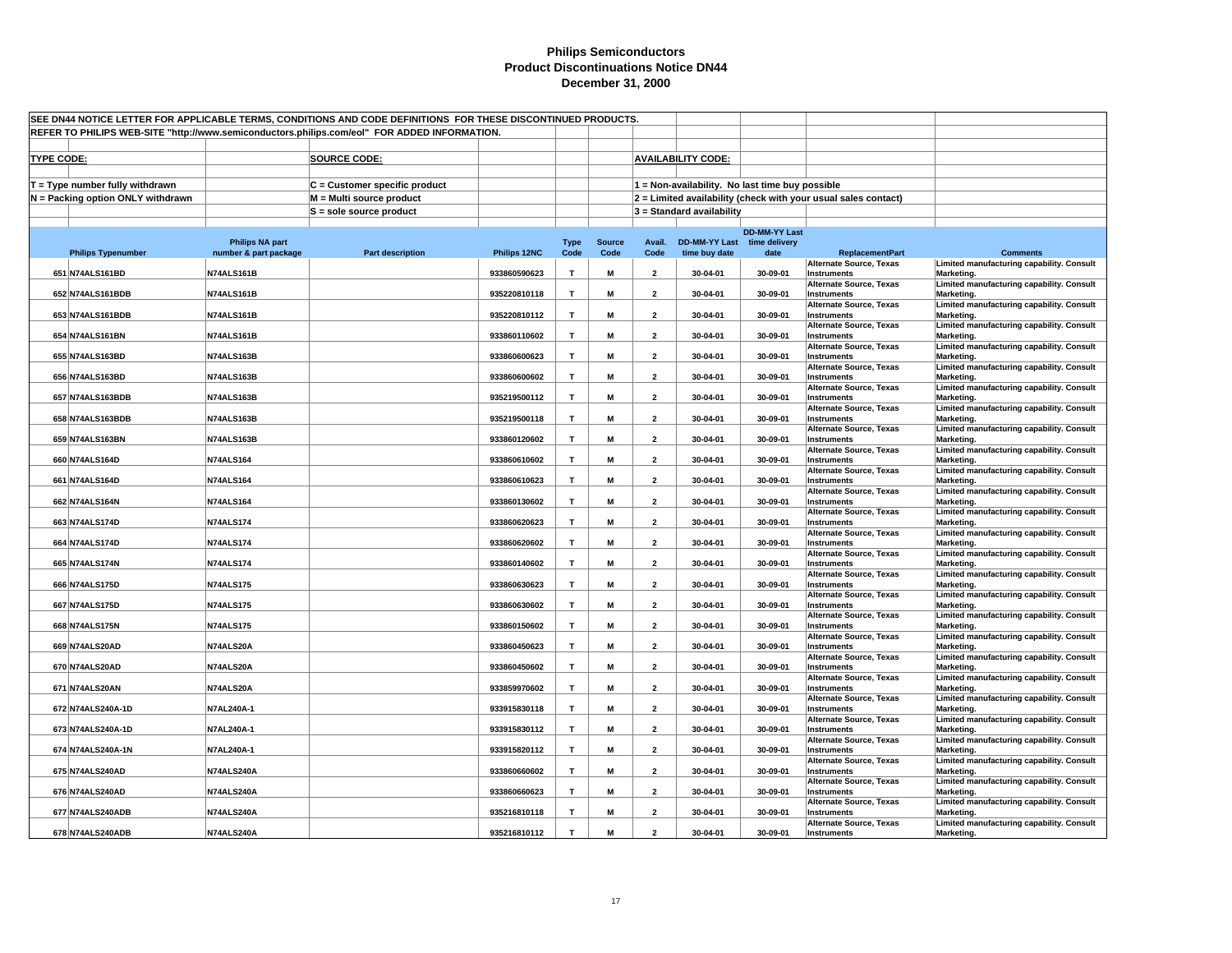| REFER TO PHILIPS WEB-SITE "http://www.semiconductors.philips.com/eol" FOR ADDED INFORMATION.<br><b>AVAILABILITY CODE:</b><br><b>TYPE CODE:</b><br><b>SOURCE CODE:</b><br>$T = Type$ number fully withdrawn<br>C = Customer specific product<br>1 = Non-availability. No last time buy possible<br>2 = Limited availability (check with your usual sales contact)<br>N = Packing option ONLY withdrawn<br>M = Multi source product<br>$S =$ sole source product<br>$3 =$ Standard availability<br><b>DD-MM-YY Last</b><br>DD-MM-YY Last time delivery<br><b>Philips NA part</b><br><b>Source</b><br>Avail.<br><b>Type</b><br>number & part package<br><b>Part description</b><br>Philips 12NC<br>Code<br>Code<br>Code<br>time buy date<br>date<br><b>ReplacementPart</b><br><b>Philips Typenumber</b><br><b>Comments</b><br>Limited manufacturing capability. Consult<br><b>Alternate Source, Texas</b><br>651 N74ALS161BD<br>N74ALS161B<br>933860590623<br>$\mathbf{T}$<br>M<br>$\overline{2}$<br>30-04-01<br>30-09-01<br>Instruments<br>Marketing.<br><b>Alternate Source, Texas</b><br>Limited manufacturing capability. Consult<br>652 N74ALS161BDB<br>N74ALS161B<br>935220810118<br>$\mathbf{T}$<br>M<br>$\overline{2}$<br>30-04-01<br>30-09-01<br>Instruments<br>Marketing.<br>Limited manufacturing capability. Consult<br><b>Alternate Source, Texas</b><br>$\mathbf{T}$<br>653 N74ALS161BDB<br>N74ALS161B<br>935220810112<br>M<br>$\overline{2}$<br>30-04-01<br>30-09-01<br>Instruments<br>Marketing.<br><b>Alternate Source, Texas</b><br>Limited manufacturing capability. Consult<br>N74ALS161B<br>933860110602<br>$\mathbf{T}$<br>M<br>654 N74ALS161BN<br>$\overline{2}$<br>30-04-01<br>30-09-01<br>Instruments<br>Marketing.<br>Limited manufacturing capability. Consult<br><b>Alternate Source, Texas</b><br>655 N74ALS163BD<br>N74ALS163B<br>933860600623<br>T<br>M<br>$\overline{2}$<br>30-04-01<br>30-09-01<br><b>Instruments</b><br>Marketing.<br>Limited manufacturing capability. Consult<br><b>Alternate Source, Texas</b><br>$\mathbf{T}$<br>M<br>30-09-01<br>656 N74ALS163BD<br>N74ALS163B<br>933860600602<br>$\overline{2}$<br>30-04-01<br>Instruments<br>Marketing.<br>Limited manufacturing capability. Consult<br><b>Alternate Source, Texas</b><br>657 N74ALS163BDB<br>N74ALS163B<br>935219500112<br>$\mathbf \tau$<br>M<br>$\overline{2}$<br>30-04-01<br>30-09-01<br>Instruments<br>Marketing.<br><b>Alternate Source, Texas</b><br>Limited manufacturing capability. Consult<br>658 N74ALS163BDB<br>N74ALS163B<br>935219500118<br>T<br>30-04-01<br>30-09-01<br>М<br>$\overline{2}$<br>Instruments<br>Marketing.<br><b>Alternate Source, Texas</b><br>Limited manufacturing capability. Consult<br>659 N74ALS163BN<br>N74ALS163B<br>933860120602<br>T<br>M<br>30-04-01<br>30-09-01<br>$\overline{2}$<br>Instruments<br>Marketing.<br><b>Alternate Source, Texas</b><br>Limited manufacturing capability. Consult<br>$\mathbf{T}$<br><b>N74ALS164</b><br>933860610602<br>M<br>$\overline{2}$<br>30-09-01<br>660 N74ALS164D<br>30-04-01<br>Instruments<br>Marketing.<br>Limited manufacturing capability. Consult<br><b>Alternate Source, Texas</b><br>$\mathbf{T}$<br>661 N74ALS164D<br><b>N74ALS164</b><br>933860610623<br>M<br>$\overline{2}$<br>30-04-01<br>30-09-01<br>Marketing.<br>Instruments<br>Limited manufacturing capability. Consult<br><b>Alternate Source, Texas</b><br>T<br>662 N74ALS164N<br><b>N74ALS164</b><br>933860130602<br>M<br>$\overline{2}$<br>30-04-01<br>30-09-01<br>Instruments<br>Marketing.<br><b>Alternate Source, Texas</b><br>Limited manufacturing capability. Consult<br>$\mathbf{T}$<br>663 N74ALS174D<br><b>N74ALS174</b><br>933860620623<br>M<br>$\overline{\mathbf{2}}$<br>30-04-01<br>30-09-01<br>Instruments<br>Marketing.<br>Limited manufacturing capability. Consult<br><b>Alternate Source, Texas</b><br>T<br>933860620602<br>M<br>664 N74ALS174D<br><b>N74ALS174</b><br>$\overline{2}$<br>30-04-01<br>30-09-01<br>Instruments<br>Marketing.<br><b>Alternate Source, Texas</b><br>Limited manufacturing capability. Consult<br>665 N74ALS174N<br><b>N74ALS174</b><br>933860140602<br>T<br>M<br>$\overline{\mathbf{2}}$<br>30-04-01<br>30-09-01<br>Instruments<br>Marketing.<br>Limited manufacturing capability. Consult<br><b>Alternate Source, Texas</b><br>666 N74ALS175D<br><b>N74ALS175</b><br>933860630623<br>$\mathbf{T}$<br>M<br>$\overline{\mathbf{2}}$<br>30-04-01<br>30-09-01<br>Instruments<br>Marketing.<br>Limited manufacturing capability. Consult<br><b>Alternate Source, Texas</b><br>667 N74ALS175D<br><b>N74ALS175</b><br>933860630602<br>T<br>M<br>$\overline{2}$<br>30-04-01<br>30-09-01<br>Marketing.<br>Instruments<br>Limited manufacturing capability. Consult<br><b>Alternate Source, Texas</b><br>$\mathbf{T}$<br>668 N74ALS175N<br><b>N74ALS175</b><br>933860150602<br>M<br>$\overline{2}$<br>30-04-01<br>30-09-01<br>Instruments<br>Marketing.<br>Limited manufacturing capability. Consult<br><b>Alternate Source, Texas</b><br>669 N74ALS20AD<br>N74ALS20A<br>$\mathbf{T}$<br>M<br>933860450623<br>$\overline{2}$<br>30-04-01<br>30-09-01<br>Instruments<br>Marketing.<br>Limited manufacturing capability. Consult<br><b>Alternate Source, Texas</b><br>670 N74ALS20AD<br>N74ALS20A<br>933860450602<br>T<br>M<br>$\overline{2}$<br>30-04-01<br>30-09-01<br><b>Instruments</b><br>Marketing.<br><b>Alternate Source, Texas</b><br>Limited manufacturing capability. Consult<br>933859970602<br>T<br>M<br>30-09-01<br>671 N74ALS20AN<br>N74ALS20A<br>$\overline{2}$<br>30-04-01<br>Instruments<br>Marketing.<br>Limited manufacturing capability. Consult<br><b>Alternate Source, Texas</b><br>672 N74ALS240A-1D<br>N7AL240A-1<br>933915830118<br>T<br>30-04-01<br>30-09-01<br>M<br>$\overline{\mathbf{2}}$<br>Instruments<br>Marketing.<br><b>Alternate Source, Texas</b><br>Limited manufacturing capability. Consult<br>N7AL240A-1<br>933915830112<br>$\mathbf{T}$<br>M<br>$\overline{2}$<br>30-04-01<br>30-09-01<br>673 N74ALS240A-1D<br>Instruments<br>Marketing.<br><b>Alternate Source, Texas</b><br>Limited manufacturing capability. Consult<br>30-04-01<br>30-09-01<br>674 N74ALS240A-1N<br>N7AL240A-1<br>933915820112<br>$\mathbf{T}$<br>M<br>$\overline{2}$<br>Instruments<br>Marketing.<br>Limited manufacturing capability. Consult<br><b>Alternate Source, Texas</b><br>T<br>N74ALS240A<br>933860660602<br>M<br>$\overline{2}$<br>30-09-01<br>675 N74ALS240AD<br>30-04-01<br>Instruments<br>Marketing.<br><b>Alternate Source, Texas</b><br>Limited manufacturing capability. Consult<br>676 N74ALS240AD<br>N74ALS240A<br>933860660623<br>$\mathbf{T}$<br>M<br>$\overline{2}$<br>30-04-01<br>30-09-01<br>Marketing.<br>Instruments<br>Limited manufacturing capability. Consult<br>Alternate Source, Texas<br>677 N74ALS240ADB<br>N74ALS240A<br>935216810118<br>T<br>M<br>$\overline{2}$<br>30-04-01<br>30-09-01<br>Instruments<br>Marketing.<br>Limited manufacturing capability. Consult<br><b>Alternate Source, Texas</b><br>678 N74ALS240ADB<br>T<br>N74ALS240A<br>935216810112<br>M<br>$\mathbf{z}$<br>30-04-01<br>30-09-01<br>Instruments<br>Marketing. | SEE DN44 NOTICE LETTER FOR APPLICABLE TERMS, CONDITIONS AND CODE DEFINITIONS FOR THESE DISCONTINUED PRODUCTS. |  |  |  |  |  |  |  |  |  |  |  |
|----------------------------------------------------------------------------------------------------------------------------------------------------------------------------------------------------------------------------------------------------------------------------------------------------------------------------------------------------------------------------------------------------------------------------------------------------------------------------------------------------------------------------------------------------------------------------------------------------------------------------------------------------------------------------------------------------------------------------------------------------------------------------------------------------------------------------------------------------------------------------------------------------------------------------------------------------------------------------------------------------------------------------------------------------------------------------------------------------------------------------------------------------------------------------------------------------------------------------------------------------------------------------------------------------------------------------------------------------------------------------------------------------------------------------------------------------------------------------------------------------------------------------------------------------------------------------------------------------------------------------------------------------------------------------------------------------------------------------------------------------------------------------------------------------------------------------------------------------------------------------------------------------------------------------------------------------------------------------------------------------------------------------------------------------------------------------------------------------------------------------------------------------------------------------------------------------------------------------------------------------------------------------------------------------------------------------------------------------------------------------------------------------------------------------------------------------------------------------------------------------------------------------------------------------------------------------------------------------------------------------------------------------------------------------------------------------------------------------------------------------------------------------------------------------------------------------------------------------------------------------------------------------------------------------------------------------------------------------------------------------------------------------------------------------------------------------------------------------------------------------------------------------------------------------------------------------------------------------------------------------------------------------------------------------------------------------------------------------------------------------------------------------------------------------------------------------------------------------------------------------------------------------------------------------------------------------------------------------------------------------------------------------------------------------------------------------------------------------------------------------------------------------------------------------------------------------------------------------------------------------------------------------------------------------------------------------------------------------------------------------------------------------------------------------------------------------------------------------------------------------------------------------------------------------------------------------------------------------------------------------------------------------------------------------------------------------------------------------------------------------------------------------------------------------------------------------------------------------------------------------------------------------------------------------------------------------------------------------------------------------------------------------------------------------------------------------------------------------------------------------------------------------------------------------------------------------------------------------------------------------------------------------------------------------------------------------------------------------------------------------------------------------------------------------------------------------------------------------------------------------------------------------------------------------------------------------------------------------------------------------------------------------------------------------------------------------------------------------------------------------------------------------------------------------------------------------------------------------------------------------------------------------------------------------------------------------------------------------------------------------------------------------------------------------------------------------------------------------------------------------------------------------------------------------------------------------------------------------------------------------------------------------------------------------------------------------------------------------------------------------------------------------------------------------------------------------------------------------------------------------------------------------------------------------------------------------------------------------------------------------------------------------------------------------------------------------------------------------------------------------------------------------------------------------------------------------------------------------------------------------------------------------------------------------------------------------------------------------------------------------------------------------------------------------------------------------------------------------------------------------------------------------------------------------------------------------------------------------------------------------------------------------------------------------------------------------------------------------------------------------------------------------------------------------------------------------------------------------------------------------------------------------------------------------------------|---------------------------------------------------------------------------------------------------------------|--|--|--|--|--|--|--|--|--|--|--|
|                                                                                                                                                                                                                                                                                                                                                                                                                                                                                                                                                                                                                                                                                                                                                                                                                                                                                                                                                                                                                                                                                                                                                                                                                                                                                                                                                                                                                                                                                                                                                                                                                                                                                                                                                                                                                                                                                                                                                                                                                                                                                                                                                                                                                                                                                                                                                                                                                                                                                                                                                                                                                                                                                                                                                                                                                                                                                                                                                                                                                                                                                                                                                                                                                                                                                                                                                                                                                                                                                                                                                                                                                                                                                                                                                                                                                                                                                                                                                                                                                                                                                                                                                                                                                                                                                                                                                                                                                                                                                                                                                                                                                                                                                                                                                                                                                                                                                                                                                                                                                                                                                                                                                                                                                                                                                                                                                                                                                                                                                                                                                                                                                                                                                                                                                                                                                                                                                                                                                                                                                                                                                                                                                                                                                                                                                                                                                                                                                                                                                                                                                                                                                                                                                                                                                                                                                                                                                                                                                                                                                                                                                                                                                                                        |                                                                                                               |  |  |  |  |  |  |  |  |  |  |  |
|                                                                                                                                                                                                                                                                                                                                                                                                                                                                                                                                                                                                                                                                                                                                                                                                                                                                                                                                                                                                                                                                                                                                                                                                                                                                                                                                                                                                                                                                                                                                                                                                                                                                                                                                                                                                                                                                                                                                                                                                                                                                                                                                                                                                                                                                                                                                                                                                                                                                                                                                                                                                                                                                                                                                                                                                                                                                                                                                                                                                                                                                                                                                                                                                                                                                                                                                                                                                                                                                                                                                                                                                                                                                                                                                                                                                                                                                                                                                                                                                                                                                                                                                                                                                                                                                                                                                                                                                                                                                                                                                                                                                                                                                                                                                                                                                                                                                                                                                                                                                                                                                                                                                                                                                                                                                                                                                                                                                                                                                                                                                                                                                                                                                                                                                                                                                                                                                                                                                                                                                                                                                                                                                                                                                                                                                                                                                                                                                                                                                                                                                                                                                                                                                                                                                                                                                                                                                                                                                                                                                                                                                                                                                                                                        |                                                                                                               |  |  |  |  |  |  |  |  |  |  |  |
|                                                                                                                                                                                                                                                                                                                                                                                                                                                                                                                                                                                                                                                                                                                                                                                                                                                                                                                                                                                                                                                                                                                                                                                                                                                                                                                                                                                                                                                                                                                                                                                                                                                                                                                                                                                                                                                                                                                                                                                                                                                                                                                                                                                                                                                                                                                                                                                                                                                                                                                                                                                                                                                                                                                                                                                                                                                                                                                                                                                                                                                                                                                                                                                                                                                                                                                                                                                                                                                                                                                                                                                                                                                                                                                                                                                                                                                                                                                                                                                                                                                                                                                                                                                                                                                                                                                                                                                                                                                                                                                                                                                                                                                                                                                                                                                                                                                                                                                                                                                                                                                                                                                                                                                                                                                                                                                                                                                                                                                                                                                                                                                                                                                                                                                                                                                                                                                                                                                                                                                                                                                                                                                                                                                                                                                                                                                                                                                                                                                                                                                                                                                                                                                                                                                                                                                                                                                                                                                                                                                                                                                                                                                                                                                        |                                                                                                               |  |  |  |  |  |  |  |  |  |  |  |
|                                                                                                                                                                                                                                                                                                                                                                                                                                                                                                                                                                                                                                                                                                                                                                                                                                                                                                                                                                                                                                                                                                                                                                                                                                                                                                                                                                                                                                                                                                                                                                                                                                                                                                                                                                                                                                                                                                                                                                                                                                                                                                                                                                                                                                                                                                                                                                                                                                                                                                                                                                                                                                                                                                                                                                                                                                                                                                                                                                                                                                                                                                                                                                                                                                                                                                                                                                                                                                                                                                                                                                                                                                                                                                                                                                                                                                                                                                                                                                                                                                                                                                                                                                                                                                                                                                                                                                                                                                                                                                                                                                                                                                                                                                                                                                                                                                                                                                                                                                                                                                                                                                                                                                                                                                                                                                                                                                                                                                                                                                                                                                                                                                                                                                                                                                                                                                                                                                                                                                                                                                                                                                                                                                                                                                                                                                                                                                                                                                                                                                                                                                                                                                                                                                                                                                                                                                                                                                                                                                                                                                                                                                                                                                                        |                                                                                                               |  |  |  |  |  |  |  |  |  |  |  |
|                                                                                                                                                                                                                                                                                                                                                                                                                                                                                                                                                                                                                                                                                                                                                                                                                                                                                                                                                                                                                                                                                                                                                                                                                                                                                                                                                                                                                                                                                                                                                                                                                                                                                                                                                                                                                                                                                                                                                                                                                                                                                                                                                                                                                                                                                                                                                                                                                                                                                                                                                                                                                                                                                                                                                                                                                                                                                                                                                                                                                                                                                                                                                                                                                                                                                                                                                                                                                                                                                                                                                                                                                                                                                                                                                                                                                                                                                                                                                                                                                                                                                                                                                                                                                                                                                                                                                                                                                                                                                                                                                                                                                                                                                                                                                                                                                                                                                                                                                                                                                                                                                                                                                                                                                                                                                                                                                                                                                                                                                                                                                                                                                                                                                                                                                                                                                                                                                                                                                                                                                                                                                                                                                                                                                                                                                                                                                                                                                                                                                                                                                                                                                                                                                                                                                                                                                                                                                                                                                                                                                                                                                                                                                                                        |                                                                                                               |  |  |  |  |  |  |  |  |  |  |  |
|                                                                                                                                                                                                                                                                                                                                                                                                                                                                                                                                                                                                                                                                                                                                                                                                                                                                                                                                                                                                                                                                                                                                                                                                                                                                                                                                                                                                                                                                                                                                                                                                                                                                                                                                                                                                                                                                                                                                                                                                                                                                                                                                                                                                                                                                                                                                                                                                                                                                                                                                                                                                                                                                                                                                                                                                                                                                                                                                                                                                                                                                                                                                                                                                                                                                                                                                                                                                                                                                                                                                                                                                                                                                                                                                                                                                                                                                                                                                                                                                                                                                                                                                                                                                                                                                                                                                                                                                                                                                                                                                                                                                                                                                                                                                                                                                                                                                                                                                                                                                                                                                                                                                                                                                                                                                                                                                                                                                                                                                                                                                                                                                                                                                                                                                                                                                                                                                                                                                                                                                                                                                                                                                                                                                                                                                                                                                                                                                                                                                                                                                                                                                                                                                                                                                                                                                                                                                                                                                                                                                                                                                                                                                                                                        |                                                                                                               |  |  |  |  |  |  |  |  |  |  |  |
|                                                                                                                                                                                                                                                                                                                                                                                                                                                                                                                                                                                                                                                                                                                                                                                                                                                                                                                                                                                                                                                                                                                                                                                                                                                                                                                                                                                                                                                                                                                                                                                                                                                                                                                                                                                                                                                                                                                                                                                                                                                                                                                                                                                                                                                                                                                                                                                                                                                                                                                                                                                                                                                                                                                                                                                                                                                                                                                                                                                                                                                                                                                                                                                                                                                                                                                                                                                                                                                                                                                                                                                                                                                                                                                                                                                                                                                                                                                                                                                                                                                                                                                                                                                                                                                                                                                                                                                                                                                                                                                                                                                                                                                                                                                                                                                                                                                                                                                                                                                                                                                                                                                                                                                                                                                                                                                                                                                                                                                                                                                                                                                                                                                                                                                                                                                                                                                                                                                                                                                                                                                                                                                                                                                                                                                                                                                                                                                                                                                                                                                                                                                                                                                                                                                                                                                                                                                                                                                                                                                                                                                                                                                                                                                        |                                                                                                               |  |  |  |  |  |  |  |  |  |  |  |
|                                                                                                                                                                                                                                                                                                                                                                                                                                                                                                                                                                                                                                                                                                                                                                                                                                                                                                                                                                                                                                                                                                                                                                                                                                                                                                                                                                                                                                                                                                                                                                                                                                                                                                                                                                                                                                                                                                                                                                                                                                                                                                                                                                                                                                                                                                                                                                                                                                                                                                                                                                                                                                                                                                                                                                                                                                                                                                                                                                                                                                                                                                                                                                                                                                                                                                                                                                                                                                                                                                                                                                                                                                                                                                                                                                                                                                                                                                                                                                                                                                                                                                                                                                                                                                                                                                                                                                                                                                                                                                                                                                                                                                                                                                                                                                                                                                                                                                                                                                                                                                                                                                                                                                                                                                                                                                                                                                                                                                                                                                                                                                                                                                                                                                                                                                                                                                                                                                                                                                                                                                                                                                                                                                                                                                                                                                                                                                                                                                                                                                                                                                                                                                                                                                                                                                                                                                                                                                                                                                                                                                                                                                                                                                                        |                                                                                                               |  |  |  |  |  |  |  |  |  |  |  |
|                                                                                                                                                                                                                                                                                                                                                                                                                                                                                                                                                                                                                                                                                                                                                                                                                                                                                                                                                                                                                                                                                                                                                                                                                                                                                                                                                                                                                                                                                                                                                                                                                                                                                                                                                                                                                                                                                                                                                                                                                                                                                                                                                                                                                                                                                                                                                                                                                                                                                                                                                                                                                                                                                                                                                                                                                                                                                                                                                                                                                                                                                                                                                                                                                                                                                                                                                                                                                                                                                                                                                                                                                                                                                                                                                                                                                                                                                                                                                                                                                                                                                                                                                                                                                                                                                                                                                                                                                                                                                                                                                                                                                                                                                                                                                                                                                                                                                                                                                                                                                                                                                                                                                                                                                                                                                                                                                                                                                                                                                                                                                                                                                                                                                                                                                                                                                                                                                                                                                                                                                                                                                                                                                                                                                                                                                                                                                                                                                                                                                                                                                                                                                                                                                                                                                                                                                                                                                                                                                                                                                                                                                                                                                                                        |                                                                                                               |  |  |  |  |  |  |  |  |  |  |  |
|                                                                                                                                                                                                                                                                                                                                                                                                                                                                                                                                                                                                                                                                                                                                                                                                                                                                                                                                                                                                                                                                                                                                                                                                                                                                                                                                                                                                                                                                                                                                                                                                                                                                                                                                                                                                                                                                                                                                                                                                                                                                                                                                                                                                                                                                                                                                                                                                                                                                                                                                                                                                                                                                                                                                                                                                                                                                                                                                                                                                                                                                                                                                                                                                                                                                                                                                                                                                                                                                                                                                                                                                                                                                                                                                                                                                                                                                                                                                                                                                                                                                                                                                                                                                                                                                                                                                                                                                                                                                                                                                                                                                                                                                                                                                                                                                                                                                                                                                                                                                                                                                                                                                                                                                                                                                                                                                                                                                                                                                                                                                                                                                                                                                                                                                                                                                                                                                                                                                                                                                                                                                                                                                                                                                                                                                                                                                                                                                                                                                                                                                                                                                                                                                                                                                                                                                                                                                                                                                                                                                                                                                                                                                                                                        |                                                                                                               |  |  |  |  |  |  |  |  |  |  |  |
|                                                                                                                                                                                                                                                                                                                                                                                                                                                                                                                                                                                                                                                                                                                                                                                                                                                                                                                                                                                                                                                                                                                                                                                                                                                                                                                                                                                                                                                                                                                                                                                                                                                                                                                                                                                                                                                                                                                                                                                                                                                                                                                                                                                                                                                                                                                                                                                                                                                                                                                                                                                                                                                                                                                                                                                                                                                                                                                                                                                                                                                                                                                                                                                                                                                                                                                                                                                                                                                                                                                                                                                                                                                                                                                                                                                                                                                                                                                                                                                                                                                                                                                                                                                                                                                                                                                                                                                                                                                                                                                                                                                                                                                                                                                                                                                                                                                                                                                                                                                                                                                                                                                                                                                                                                                                                                                                                                                                                                                                                                                                                                                                                                                                                                                                                                                                                                                                                                                                                                                                                                                                                                                                                                                                                                                                                                                                                                                                                                                                                                                                                                                                                                                                                                                                                                                                                                                                                                                                                                                                                                                                                                                                                                                        |                                                                                                               |  |  |  |  |  |  |  |  |  |  |  |
|                                                                                                                                                                                                                                                                                                                                                                                                                                                                                                                                                                                                                                                                                                                                                                                                                                                                                                                                                                                                                                                                                                                                                                                                                                                                                                                                                                                                                                                                                                                                                                                                                                                                                                                                                                                                                                                                                                                                                                                                                                                                                                                                                                                                                                                                                                                                                                                                                                                                                                                                                                                                                                                                                                                                                                                                                                                                                                                                                                                                                                                                                                                                                                                                                                                                                                                                                                                                                                                                                                                                                                                                                                                                                                                                                                                                                                                                                                                                                                                                                                                                                                                                                                                                                                                                                                                                                                                                                                                                                                                                                                                                                                                                                                                                                                                                                                                                                                                                                                                                                                                                                                                                                                                                                                                                                                                                                                                                                                                                                                                                                                                                                                                                                                                                                                                                                                                                                                                                                                                                                                                                                                                                                                                                                                                                                                                                                                                                                                                                                                                                                                                                                                                                                                                                                                                                                                                                                                                                                                                                                                                                                                                                                                                        |                                                                                                               |  |  |  |  |  |  |  |  |  |  |  |
|                                                                                                                                                                                                                                                                                                                                                                                                                                                                                                                                                                                                                                                                                                                                                                                                                                                                                                                                                                                                                                                                                                                                                                                                                                                                                                                                                                                                                                                                                                                                                                                                                                                                                                                                                                                                                                                                                                                                                                                                                                                                                                                                                                                                                                                                                                                                                                                                                                                                                                                                                                                                                                                                                                                                                                                                                                                                                                                                                                                                                                                                                                                                                                                                                                                                                                                                                                                                                                                                                                                                                                                                                                                                                                                                                                                                                                                                                                                                                                                                                                                                                                                                                                                                                                                                                                                                                                                                                                                                                                                                                                                                                                                                                                                                                                                                                                                                                                                                                                                                                                                                                                                                                                                                                                                                                                                                                                                                                                                                                                                                                                                                                                                                                                                                                                                                                                                                                                                                                                                                                                                                                                                                                                                                                                                                                                                                                                                                                                                                                                                                                                                                                                                                                                                                                                                                                                                                                                                                                                                                                                                                                                                                                                                        |                                                                                                               |  |  |  |  |  |  |  |  |  |  |  |
|                                                                                                                                                                                                                                                                                                                                                                                                                                                                                                                                                                                                                                                                                                                                                                                                                                                                                                                                                                                                                                                                                                                                                                                                                                                                                                                                                                                                                                                                                                                                                                                                                                                                                                                                                                                                                                                                                                                                                                                                                                                                                                                                                                                                                                                                                                                                                                                                                                                                                                                                                                                                                                                                                                                                                                                                                                                                                                                                                                                                                                                                                                                                                                                                                                                                                                                                                                                                                                                                                                                                                                                                                                                                                                                                                                                                                                                                                                                                                                                                                                                                                                                                                                                                                                                                                                                                                                                                                                                                                                                                                                                                                                                                                                                                                                                                                                                                                                                                                                                                                                                                                                                                                                                                                                                                                                                                                                                                                                                                                                                                                                                                                                                                                                                                                                                                                                                                                                                                                                                                                                                                                                                                                                                                                                                                                                                                                                                                                                                                                                                                                                                                                                                                                                                                                                                                                                                                                                                                                                                                                                                                                                                                                                                        |                                                                                                               |  |  |  |  |  |  |  |  |  |  |  |
|                                                                                                                                                                                                                                                                                                                                                                                                                                                                                                                                                                                                                                                                                                                                                                                                                                                                                                                                                                                                                                                                                                                                                                                                                                                                                                                                                                                                                                                                                                                                                                                                                                                                                                                                                                                                                                                                                                                                                                                                                                                                                                                                                                                                                                                                                                                                                                                                                                                                                                                                                                                                                                                                                                                                                                                                                                                                                                                                                                                                                                                                                                                                                                                                                                                                                                                                                                                                                                                                                                                                                                                                                                                                                                                                                                                                                                                                                                                                                                                                                                                                                                                                                                                                                                                                                                                                                                                                                                                                                                                                                                                                                                                                                                                                                                                                                                                                                                                                                                                                                                                                                                                                                                                                                                                                                                                                                                                                                                                                                                                                                                                                                                                                                                                                                                                                                                                                                                                                                                                                                                                                                                                                                                                                                                                                                                                                                                                                                                                                                                                                                                                                                                                                                                                                                                                                                                                                                                                                                                                                                                                                                                                                                                                        |                                                                                                               |  |  |  |  |  |  |  |  |  |  |  |
|                                                                                                                                                                                                                                                                                                                                                                                                                                                                                                                                                                                                                                                                                                                                                                                                                                                                                                                                                                                                                                                                                                                                                                                                                                                                                                                                                                                                                                                                                                                                                                                                                                                                                                                                                                                                                                                                                                                                                                                                                                                                                                                                                                                                                                                                                                                                                                                                                                                                                                                                                                                                                                                                                                                                                                                                                                                                                                                                                                                                                                                                                                                                                                                                                                                                                                                                                                                                                                                                                                                                                                                                                                                                                                                                                                                                                                                                                                                                                                                                                                                                                                                                                                                                                                                                                                                                                                                                                                                                                                                                                                                                                                                                                                                                                                                                                                                                                                                                                                                                                                                                                                                                                                                                                                                                                                                                                                                                                                                                                                                                                                                                                                                                                                                                                                                                                                                                                                                                                                                                                                                                                                                                                                                                                                                                                                                                                                                                                                                                                                                                                                                                                                                                                                                                                                                                                                                                                                                                                                                                                                                                                                                                                                                        |                                                                                                               |  |  |  |  |  |  |  |  |  |  |  |
|                                                                                                                                                                                                                                                                                                                                                                                                                                                                                                                                                                                                                                                                                                                                                                                                                                                                                                                                                                                                                                                                                                                                                                                                                                                                                                                                                                                                                                                                                                                                                                                                                                                                                                                                                                                                                                                                                                                                                                                                                                                                                                                                                                                                                                                                                                                                                                                                                                                                                                                                                                                                                                                                                                                                                                                                                                                                                                                                                                                                                                                                                                                                                                                                                                                                                                                                                                                                                                                                                                                                                                                                                                                                                                                                                                                                                                                                                                                                                                                                                                                                                                                                                                                                                                                                                                                                                                                                                                                                                                                                                                                                                                                                                                                                                                                                                                                                                                                                                                                                                                                                                                                                                                                                                                                                                                                                                                                                                                                                                                                                                                                                                                                                                                                                                                                                                                                                                                                                                                                                                                                                                                                                                                                                                                                                                                                                                                                                                                                                                                                                                                                                                                                                                                                                                                                                                                                                                                                                                                                                                                                                                                                                                                                        |                                                                                                               |  |  |  |  |  |  |  |  |  |  |  |
|                                                                                                                                                                                                                                                                                                                                                                                                                                                                                                                                                                                                                                                                                                                                                                                                                                                                                                                                                                                                                                                                                                                                                                                                                                                                                                                                                                                                                                                                                                                                                                                                                                                                                                                                                                                                                                                                                                                                                                                                                                                                                                                                                                                                                                                                                                                                                                                                                                                                                                                                                                                                                                                                                                                                                                                                                                                                                                                                                                                                                                                                                                                                                                                                                                                                                                                                                                                                                                                                                                                                                                                                                                                                                                                                                                                                                                                                                                                                                                                                                                                                                                                                                                                                                                                                                                                                                                                                                                                                                                                                                                                                                                                                                                                                                                                                                                                                                                                                                                                                                                                                                                                                                                                                                                                                                                                                                                                                                                                                                                                                                                                                                                                                                                                                                                                                                                                                                                                                                                                                                                                                                                                                                                                                                                                                                                                                                                                                                                                                                                                                                                                                                                                                                                                                                                                                                                                                                                                                                                                                                                                                                                                                                                                        |                                                                                                               |  |  |  |  |  |  |  |  |  |  |  |
|                                                                                                                                                                                                                                                                                                                                                                                                                                                                                                                                                                                                                                                                                                                                                                                                                                                                                                                                                                                                                                                                                                                                                                                                                                                                                                                                                                                                                                                                                                                                                                                                                                                                                                                                                                                                                                                                                                                                                                                                                                                                                                                                                                                                                                                                                                                                                                                                                                                                                                                                                                                                                                                                                                                                                                                                                                                                                                                                                                                                                                                                                                                                                                                                                                                                                                                                                                                                                                                                                                                                                                                                                                                                                                                                                                                                                                                                                                                                                                                                                                                                                                                                                                                                                                                                                                                                                                                                                                                                                                                                                                                                                                                                                                                                                                                                                                                                                                                                                                                                                                                                                                                                                                                                                                                                                                                                                                                                                                                                                                                                                                                                                                                                                                                                                                                                                                                                                                                                                                                                                                                                                                                                                                                                                                                                                                                                                                                                                                                                                                                                                                                                                                                                                                                                                                                                                                                                                                                                                                                                                                                                                                                                                                                        |                                                                                                               |  |  |  |  |  |  |  |  |  |  |  |
|                                                                                                                                                                                                                                                                                                                                                                                                                                                                                                                                                                                                                                                                                                                                                                                                                                                                                                                                                                                                                                                                                                                                                                                                                                                                                                                                                                                                                                                                                                                                                                                                                                                                                                                                                                                                                                                                                                                                                                                                                                                                                                                                                                                                                                                                                                                                                                                                                                                                                                                                                                                                                                                                                                                                                                                                                                                                                                                                                                                                                                                                                                                                                                                                                                                                                                                                                                                                                                                                                                                                                                                                                                                                                                                                                                                                                                                                                                                                                                                                                                                                                                                                                                                                                                                                                                                                                                                                                                                                                                                                                                                                                                                                                                                                                                                                                                                                                                                                                                                                                                                                                                                                                                                                                                                                                                                                                                                                                                                                                                                                                                                                                                                                                                                                                                                                                                                                                                                                                                                                                                                                                                                                                                                                                                                                                                                                                                                                                                                                                                                                                                                                                                                                                                                                                                                                                                                                                                                                                                                                                                                                                                                                                                                        |                                                                                                               |  |  |  |  |  |  |  |  |  |  |  |
|                                                                                                                                                                                                                                                                                                                                                                                                                                                                                                                                                                                                                                                                                                                                                                                                                                                                                                                                                                                                                                                                                                                                                                                                                                                                                                                                                                                                                                                                                                                                                                                                                                                                                                                                                                                                                                                                                                                                                                                                                                                                                                                                                                                                                                                                                                                                                                                                                                                                                                                                                                                                                                                                                                                                                                                                                                                                                                                                                                                                                                                                                                                                                                                                                                                                                                                                                                                                                                                                                                                                                                                                                                                                                                                                                                                                                                                                                                                                                                                                                                                                                                                                                                                                                                                                                                                                                                                                                                                                                                                                                                                                                                                                                                                                                                                                                                                                                                                                                                                                                                                                                                                                                                                                                                                                                                                                                                                                                                                                                                                                                                                                                                                                                                                                                                                                                                                                                                                                                                                                                                                                                                                                                                                                                                                                                                                                                                                                                                                                                                                                                                                                                                                                                                                                                                                                                                                                                                                                                                                                                                                                                                                                                                                        |                                                                                                               |  |  |  |  |  |  |  |  |  |  |  |
|                                                                                                                                                                                                                                                                                                                                                                                                                                                                                                                                                                                                                                                                                                                                                                                                                                                                                                                                                                                                                                                                                                                                                                                                                                                                                                                                                                                                                                                                                                                                                                                                                                                                                                                                                                                                                                                                                                                                                                                                                                                                                                                                                                                                                                                                                                                                                                                                                                                                                                                                                                                                                                                                                                                                                                                                                                                                                                                                                                                                                                                                                                                                                                                                                                                                                                                                                                                                                                                                                                                                                                                                                                                                                                                                                                                                                                                                                                                                                                                                                                                                                                                                                                                                                                                                                                                                                                                                                                                                                                                                                                                                                                                                                                                                                                                                                                                                                                                                                                                                                                                                                                                                                                                                                                                                                                                                                                                                                                                                                                                                                                                                                                                                                                                                                                                                                                                                                                                                                                                                                                                                                                                                                                                                                                                                                                                                                                                                                                                                                                                                                                                                                                                                                                                                                                                                                                                                                                                                                                                                                                                                                                                                                                                        |                                                                                                               |  |  |  |  |  |  |  |  |  |  |  |
|                                                                                                                                                                                                                                                                                                                                                                                                                                                                                                                                                                                                                                                                                                                                                                                                                                                                                                                                                                                                                                                                                                                                                                                                                                                                                                                                                                                                                                                                                                                                                                                                                                                                                                                                                                                                                                                                                                                                                                                                                                                                                                                                                                                                                                                                                                                                                                                                                                                                                                                                                                                                                                                                                                                                                                                                                                                                                                                                                                                                                                                                                                                                                                                                                                                                                                                                                                                                                                                                                                                                                                                                                                                                                                                                                                                                                                                                                                                                                                                                                                                                                                                                                                                                                                                                                                                                                                                                                                                                                                                                                                                                                                                                                                                                                                                                                                                                                                                                                                                                                                                                                                                                                                                                                                                                                                                                                                                                                                                                                                                                                                                                                                                                                                                                                                                                                                                                                                                                                                                                                                                                                                                                                                                                                                                                                                                                                                                                                                                                                                                                                                                                                                                                                                                                                                                                                                                                                                                                                                                                                                                                                                                                                                                        |                                                                                                               |  |  |  |  |  |  |  |  |  |  |  |
|                                                                                                                                                                                                                                                                                                                                                                                                                                                                                                                                                                                                                                                                                                                                                                                                                                                                                                                                                                                                                                                                                                                                                                                                                                                                                                                                                                                                                                                                                                                                                                                                                                                                                                                                                                                                                                                                                                                                                                                                                                                                                                                                                                                                                                                                                                                                                                                                                                                                                                                                                                                                                                                                                                                                                                                                                                                                                                                                                                                                                                                                                                                                                                                                                                                                                                                                                                                                                                                                                                                                                                                                                                                                                                                                                                                                                                                                                                                                                                                                                                                                                                                                                                                                                                                                                                                                                                                                                                                                                                                                                                                                                                                                                                                                                                                                                                                                                                                                                                                                                                                                                                                                                                                                                                                                                                                                                                                                                                                                                                                                                                                                                                                                                                                                                                                                                                                                                                                                                                                                                                                                                                                                                                                                                                                                                                                                                                                                                                                                                                                                                                                                                                                                                                                                                                                                                                                                                                                                                                                                                                                                                                                                                                                        |                                                                                                               |  |  |  |  |  |  |  |  |  |  |  |
|                                                                                                                                                                                                                                                                                                                                                                                                                                                                                                                                                                                                                                                                                                                                                                                                                                                                                                                                                                                                                                                                                                                                                                                                                                                                                                                                                                                                                                                                                                                                                                                                                                                                                                                                                                                                                                                                                                                                                                                                                                                                                                                                                                                                                                                                                                                                                                                                                                                                                                                                                                                                                                                                                                                                                                                                                                                                                                                                                                                                                                                                                                                                                                                                                                                                                                                                                                                                                                                                                                                                                                                                                                                                                                                                                                                                                                                                                                                                                                                                                                                                                                                                                                                                                                                                                                                                                                                                                                                                                                                                                                                                                                                                                                                                                                                                                                                                                                                                                                                                                                                                                                                                                                                                                                                                                                                                                                                                                                                                                                                                                                                                                                                                                                                                                                                                                                                                                                                                                                                                                                                                                                                                                                                                                                                                                                                                                                                                                                                                                                                                                                                                                                                                                                                                                                                                                                                                                                                                                                                                                                                                                                                                                                                        |                                                                                                               |  |  |  |  |  |  |  |  |  |  |  |
|                                                                                                                                                                                                                                                                                                                                                                                                                                                                                                                                                                                                                                                                                                                                                                                                                                                                                                                                                                                                                                                                                                                                                                                                                                                                                                                                                                                                                                                                                                                                                                                                                                                                                                                                                                                                                                                                                                                                                                                                                                                                                                                                                                                                                                                                                                                                                                                                                                                                                                                                                                                                                                                                                                                                                                                                                                                                                                                                                                                                                                                                                                                                                                                                                                                                                                                                                                                                                                                                                                                                                                                                                                                                                                                                                                                                                                                                                                                                                                                                                                                                                                                                                                                                                                                                                                                                                                                                                                                                                                                                                                                                                                                                                                                                                                                                                                                                                                                                                                                                                                                                                                                                                                                                                                                                                                                                                                                                                                                                                                                                                                                                                                                                                                                                                                                                                                                                                                                                                                                                                                                                                                                                                                                                                                                                                                                                                                                                                                                                                                                                                                                                                                                                                                                                                                                                                                                                                                                                                                                                                                                                                                                                                                                        |                                                                                                               |  |  |  |  |  |  |  |  |  |  |  |
|                                                                                                                                                                                                                                                                                                                                                                                                                                                                                                                                                                                                                                                                                                                                                                                                                                                                                                                                                                                                                                                                                                                                                                                                                                                                                                                                                                                                                                                                                                                                                                                                                                                                                                                                                                                                                                                                                                                                                                                                                                                                                                                                                                                                                                                                                                                                                                                                                                                                                                                                                                                                                                                                                                                                                                                                                                                                                                                                                                                                                                                                                                                                                                                                                                                                                                                                                                                                                                                                                                                                                                                                                                                                                                                                                                                                                                                                                                                                                                                                                                                                                                                                                                                                                                                                                                                                                                                                                                                                                                                                                                                                                                                                                                                                                                                                                                                                                                                                                                                                                                                                                                                                                                                                                                                                                                                                                                                                                                                                                                                                                                                                                                                                                                                                                                                                                                                                                                                                                                                                                                                                                                                                                                                                                                                                                                                                                                                                                                                                                                                                                                                                                                                                                                                                                                                                                                                                                                                                                                                                                                                                                                                                                                                        |                                                                                                               |  |  |  |  |  |  |  |  |  |  |  |
|                                                                                                                                                                                                                                                                                                                                                                                                                                                                                                                                                                                                                                                                                                                                                                                                                                                                                                                                                                                                                                                                                                                                                                                                                                                                                                                                                                                                                                                                                                                                                                                                                                                                                                                                                                                                                                                                                                                                                                                                                                                                                                                                                                                                                                                                                                                                                                                                                                                                                                                                                                                                                                                                                                                                                                                                                                                                                                                                                                                                                                                                                                                                                                                                                                                                                                                                                                                                                                                                                                                                                                                                                                                                                                                                                                                                                                                                                                                                                                                                                                                                                                                                                                                                                                                                                                                                                                                                                                                                                                                                                                                                                                                                                                                                                                                                                                                                                                                                                                                                                                                                                                                                                                                                                                                                                                                                                                                                                                                                                                                                                                                                                                                                                                                                                                                                                                                                                                                                                                                                                                                                                                                                                                                                                                                                                                                                                                                                                                                                                                                                                                                                                                                                                                                                                                                                                                                                                                                                                                                                                                                                                                                                                                                        |                                                                                                               |  |  |  |  |  |  |  |  |  |  |  |
|                                                                                                                                                                                                                                                                                                                                                                                                                                                                                                                                                                                                                                                                                                                                                                                                                                                                                                                                                                                                                                                                                                                                                                                                                                                                                                                                                                                                                                                                                                                                                                                                                                                                                                                                                                                                                                                                                                                                                                                                                                                                                                                                                                                                                                                                                                                                                                                                                                                                                                                                                                                                                                                                                                                                                                                                                                                                                                                                                                                                                                                                                                                                                                                                                                                                                                                                                                                                                                                                                                                                                                                                                                                                                                                                                                                                                                                                                                                                                                                                                                                                                                                                                                                                                                                                                                                                                                                                                                                                                                                                                                                                                                                                                                                                                                                                                                                                                                                                                                                                                                                                                                                                                                                                                                                                                                                                                                                                                                                                                                                                                                                                                                                                                                                                                                                                                                                                                                                                                                                                                                                                                                                                                                                                                                                                                                                                                                                                                                                                                                                                                                                                                                                                                                                                                                                                                                                                                                                                                                                                                                                                                                                                                                                        |                                                                                                               |  |  |  |  |  |  |  |  |  |  |  |
|                                                                                                                                                                                                                                                                                                                                                                                                                                                                                                                                                                                                                                                                                                                                                                                                                                                                                                                                                                                                                                                                                                                                                                                                                                                                                                                                                                                                                                                                                                                                                                                                                                                                                                                                                                                                                                                                                                                                                                                                                                                                                                                                                                                                                                                                                                                                                                                                                                                                                                                                                                                                                                                                                                                                                                                                                                                                                                                                                                                                                                                                                                                                                                                                                                                                                                                                                                                                                                                                                                                                                                                                                                                                                                                                                                                                                                                                                                                                                                                                                                                                                                                                                                                                                                                                                                                                                                                                                                                                                                                                                                                                                                                                                                                                                                                                                                                                                                                                                                                                                                                                                                                                                                                                                                                                                                                                                                                                                                                                                                                                                                                                                                                                                                                                                                                                                                                                                                                                                                                                                                                                                                                                                                                                                                                                                                                                                                                                                                                                                                                                                                                                                                                                                                                                                                                                                                                                                                                                                                                                                                                                                                                                                                                        |                                                                                                               |  |  |  |  |  |  |  |  |  |  |  |
|                                                                                                                                                                                                                                                                                                                                                                                                                                                                                                                                                                                                                                                                                                                                                                                                                                                                                                                                                                                                                                                                                                                                                                                                                                                                                                                                                                                                                                                                                                                                                                                                                                                                                                                                                                                                                                                                                                                                                                                                                                                                                                                                                                                                                                                                                                                                                                                                                                                                                                                                                                                                                                                                                                                                                                                                                                                                                                                                                                                                                                                                                                                                                                                                                                                                                                                                                                                                                                                                                                                                                                                                                                                                                                                                                                                                                                                                                                                                                                                                                                                                                                                                                                                                                                                                                                                                                                                                                                                                                                                                                                                                                                                                                                                                                                                                                                                                                                                                                                                                                                                                                                                                                                                                                                                                                                                                                                                                                                                                                                                                                                                                                                                                                                                                                                                                                                                                                                                                                                                                                                                                                                                                                                                                                                                                                                                                                                                                                                                                                                                                                                                                                                                                                                                                                                                                                                                                                                                                                                                                                                                                                                                                                                                        |                                                                                                               |  |  |  |  |  |  |  |  |  |  |  |
|                                                                                                                                                                                                                                                                                                                                                                                                                                                                                                                                                                                                                                                                                                                                                                                                                                                                                                                                                                                                                                                                                                                                                                                                                                                                                                                                                                                                                                                                                                                                                                                                                                                                                                                                                                                                                                                                                                                                                                                                                                                                                                                                                                                                                                                                                                                                                                                                                                                                                                                                                                                                                                                                                                                                                                                                                                                                                                                                                                                                                                                                                                                                                                                                                                                                                                                                                                                                                                                                                                                                                                                                                                                                                                                                                                                                                                                                                                                                                                                                                                                                                                                                                                                                                                                                                                                                                                                                                                                                                                                                                                                                                                                                                                                                                                                                                                                                                                                                                                                                                                                                                                                                                                                                                                                                                                                                                                                                                                                                                                                                                                                                                                                                                                                                                                                                                                                                                                                                                                                                                                                                                                                                                                                                                                                                                                                                                                                                                                                                                                                                                                                                                                                                                                                                                                                                                                                                                                                                                                                                                                                                                                                                                                                        |                                                                                                               |  |  |  |  |  |  |  |  |  |  |  |
|                                                                                                                                                                                                                                                                                                                                                                                                                                                                                                                                                                                                                                                                                                                                                                                                                                                                                                                                                                                                                                                                                                                                                                                                                                                                                                                                                                                                                                                                                                                                                                                                                                                                                                                                                                                                                                                                                                                                                                                                                                                                                                                                                                                                                                                                                                                                                                                                                                                                                                                                                                                                                                                                                                                                                                                                                                                                                                                                                                                                                                                                                                                                                                                                                                                                                                                                                                                                                                                                                                                                                                                                                                                                                                                                                                                                                                                                                                                                                                                                                                                                                                                                                                                                                                                                                                                                                                                                                                                                                                                                                                                                                                                                                                                                                                                                                                                                                                                                                                                                                                                                                                                                                                                                                                                                                                                                                                                                                                                                                                                                                                                                                                                                                                                                                                                                                                                                                                                                                                                                                                                                                                                                                                                                                                                                                                                                                                                                                                                                                                                                                                                                                                                                                                                                                                                                                                                                                                                                                                                                                                                                                                                                                                                        |                                                                                                               |  |  |  |  |  |  |  |  |  |  |  |
|                                                                                                                                                                                                                                                                                                                                                                                                                                                                                                                                                                                                                                                                                                                                                                                                                                                                                                                                                                                                                                                                                                                                                                                                                                                                                                                                                                                                                                                                                                                                                                                                                                                                                                                                                                                                                                                                                                                                                                                                                                                                                                                                                                                                                                                                                                                                                                                                                                                                                                                                                                                                                                                                                                                                                                                                                                                                                                                                                                                                                                                                                                                                                                                                                                                                                                                                                                                                                                                                                                                                                                                                                                                                                                                                                                                                                                                                                                                                                                                                                                                                                                                                                                                                                                                                                                                                                                                                                                                                                                                                                                                                                                                                                                                                                                                                                                                                                                                                                                                                                                                                                                                                                                                                                                                                                                                                                                                                                                                                                                                                                                                                                                                                                                                                                                                                                                                                                                                                                                                                                                                                                                                                                                                                                                                                                                                                                                                                                                                                                                                                                                                                                                                                                                                                                                                                                                                                                                                                                                                                                                                                                                                                                                                        |                                                                                                               |  |  |  |  |  |  |  |  |  |  |  |
|                                                                                                                                                                                                                                                                                                                                                                                                                                                                                                                                                                                                                                                                                                                                                                                                                                                                                                                                                                                                                                                                                                                                                                                                                                                                                                                                                                                                                                                                                                                                                                                                                                                                                                                                                                                                                                                                                                                                                                                                                                                                                                                                                                                                                                                                                                                                                                                                                                                                                                                                                                                                                                                                                                                                                                                                                                                                                                                                                                                                                                                                                                                                                                                                                                                                                                                                                                                                                                                                                                                                                                                                                                                                                                                                                                                                                                                                                                                                                                                                                                                                                                                                                                                                                                                                                                                                                                                                                                                                                                                                                                                                                                                                                                                                                                                                                                                                                                                                                                                                                                                                                                                                                                                                                                                                                                                                                                                                                                                                                                                                                                                                                                                                                                                                                                                                                                                                                                                                                                                                                                                                                                                                                                                                                                                                                                                                                                                                                                                                                                                                                                                                                                                                                                                                                                                                                                                                                                                                                                                                                                                                                                                                                                                        |                                                                                                               |  |  |  |  |  |  |  |  |  |  |  |
|                                                                                                                                                                                                                                                                                                                                                                                                                                                                                                                                                                                                                                                                                                                                                                                                                                                                                                                                                                                                                                                                                                                                                                                                                                                                                                                                                                                                                                                                                                                                                                                                                                                                                                                                                                                                                                                                                                                                                                                                                                                                                                                                                                                                                                                                                                                                                                                                                                                                                                                                                                                                                                                                                                                                                                                                                                                                                                                                                                                                                                                                                                                                                                                                                                                                                                                                                                                                                                                                                                                                                                                                                                                                                                                                                                                                                                                                                                                                                                                                                                                                                                                                                                                                                                                                                                                                                                                                                                                                                                                                                                                                                                                                                                                                                                                                                                                                                                                                                                                                                                                                                                                                                                                                                                                                                                                                                                                                                                                                                                                                                                                                                                                                                                                                                                                                                                                                                                                                                                                                                                                                                                                                                                                                                                                                                                                                                                                                                                                                                                                                                                                                                                                                                                                                                                                                                                                                                                                                                                                                                                                                                                                                                                                        |                                                                                                               |  |  |  |  |  |  |  |  |  |  |  |
|                                                                                                                                                                                                                                                                                                                                                                                                                                                                                                                                                                                                                                                                                                                                                                                                                                                                                                                                                                                                                                                                                                                                                                                                                                                                                                                                                                                                                                                                                                                                                                                                                                                                                                                                                                                                                                                                                                                                                                                                                                                                                                                                                                                                                                                                                                                                                                                                                                                                                                                                                                                                                                                                                                                                                                                                                                                                                                                                                                                                                                                                                                                                                                                                                                                                                                                                                                                                                                                                                                                                                                                                                                                                                                                                                                                                                                                                                                                                                                                                                                                                                                                                                                                                                                                                                                                                                                                                                                                                                                                                                                                                                                                                                                                                                                                                                                                                                                                                                                                                                                                                                                                                                                                                                                                                                                                                                                                                                                                                                                                                                                                                                                                                                                                                                                                                                                                                                                                                                                                                                                                                                                                                                                                                                                                                                                                                                                                                                                                                                                                                                                                                                                                                                                                                                                                                                                                                                                                                                                                                                                                                                                                                                                                        |                                                                                                               |  |  |  |  |  |  |  |  |  |  |  |
|                                                                                                                                                                                                                                                                                                                                                                                                                                                                                                                                                                                                                                                                                                                                                                                                                                                                                                                                                                                                                                                                                                                                                                                                                                                                                                                                                                                                                                                                                                                                                                                                                                                                                                                                                                                                                                                                                                                                                                                                                                                                                                                                                                                                                                                                                                                                                                                                                                                                                                                                                                                                                                                                                                                                                                                                                                                                                                                                                                                                                                                                                                                                                                                                                                                                                                                                                                                                                                                                                                                                                                                                                                                                                                                                                                                                                                                                                                                                                                                                                                                                                                                                                                                                                                                                                                                                                                                                                                                                                                                                                                                                                                                                                                                                                                                                                                                                                                                                                                                                                                                                                                                                                                                                                                                                                                                                                                                                                                                                                                                                                                                                                                                                                                                                                                                                                                                                                                                                                                                                                                                                                                                                                                                                                                                                                                                                                                                                                                                                                                                                                                                                                                                                                                                                                                                                                                                                                                                                                                                                                                                                                                                                                                                        |                                                                                                               |  |  |  |  |  |  |  |  |  |  |  |
|                                                                                                                                                                                                                                                                                                                                                                                                                                                                                                                                                                                                                                                                                                                                                                                                                                                                                                                                                                                                                                                                                                                                                                                                                                                                                                                                                                                                                                                                                                                                                                                                                                                                                                                                                                                                                                                                                                                                                                                                                                                                                                                                                                                                                                                                                                                                                                                                                                                                                                                                                                                                                                                                                                                                                                                                                                                                                                                                                                                                                                                                                                                                                                                                                                                                                                                                                                                                                                                                                                                                                                                                                                                                                                                                                                                                                                                                                                                                                                                                                                                                                                                                                                                                                                                                                                                                                                                                                                                                                                                                                                                                                                                                                                                                                                                                                                                                                                                                                                                                                                                                                                                                                                                                                                                                                                                                                                                                                                                                                                                                                                                                                                                                                                                                                                                                                                                                                                                                                                                                                                                                                                                                                                                                                                                                                                                                                                                                                                                                                                                                                                                                                                                                                                                                                                                                                                                                                                                                                                                                                                                                                                                                                                                        |                                                                                                               |  |  |  |  |  |  |  |  |  |  |  |
|                                                                                                                                                                                                                                                                                                                                                                                                                                                                                                                                                                                                                                                                                                                                                                                                                                                                                                                                                                                                                                                                                                                                                                                                                                                                                                                                                                                                                                                                                                                                                                                                                                                                                                                                                                                                                                                                                                                                                                                                                                                                                                                                                                                                                                                                                                                                                                                                                                                                                                                                                                                                                                                                                                                                                                                                                                                                                                                                                                                                                                                                                                                                                                                                                                                                                                                                                                                                                                                                                                                                                                                                                                                                                                                                                                                                                                                                                                                                                                                                                                                                                                                                                                                                                                                                                                                                                                                                                                                                                                                                                                                                                                                                                                                                                                                                                                                                                                                                                                                                                                                                                                                                                                                                                                                                                                                                                                                                                                                                                                                                                                                                                                                                                                                                                                                                                                                                                                                                                                                                                                                                                                                                                                                                                                                                                                                                                                                                                                                                                                                                                                                                                                                                                                                                                                                                                                                                                                                                                                                                                                                                                                                                                                                        |                                                                                                               |  |  |  |  |  |  |  |  |  |  |  |
|                                                                                                                                                                                                                                                                                                                                                                                                                                                                                                                                                                                                                                                                                                                                                                                                                                                                                                                                                                                                                                                                                                                                                                                                                                                                                                                                                                                                                                                                                                                                                                                                                                                                                                                                                                                                                                                                                                                                                                                                                                                                                                                                                                                                                                                                                                                                                                                                                                                                                                                                                                                                                                                                                                                                                                                                                                                                                                                                                                                                                                                                                                                                                                                                                                                                                                                                                                                                                                                                                                                                                                                                                                                                                                                                                                                                                                                                                                                                                                                                                                                                                                                                                                                                                                                                                                                                                                                                                                                                                                                                                                                                                                                                                                                                                                                                                                                                                                                                                                                                                                                                                                                                                                                                                                                                                                                                                                                                                                                                                                                                                                                                                                                                                                                                                                                                                                                                                                                                                                                                                                                                                                                                                                                                                                                                                                                                                                                                                                                                                                                                                                                                                                                                                                                                                                                                                                                                                                                                                                                                                                                                                                                                                                                        |                                                                                                               |  |  |  |  |  |  |  |  |  |  |  |
|                                                                                                                                                                                                                                                                                                                                                                                                                                                                                                                                                                                                                                                                                                                                                                                                                                                                                                                                                                                                                                                                                                                                                                                                                                                                                                                                                                                                                                                                                                                                                                                                                                                                                                                                                                                                                                                                                                                                                                                                                                                                                                                                                                                                                                                                                                                                                                                                                                                                                                                                                                                                                                                                                                                                                                                                                                                                                                                                                                                                                                                                                                                                                                                                                                                                                                                                                                                                                                                                                                                                                                                                                                                                                                                                                                                                                                                                                                                                                                                                                                                                                                                                                                                                                                                                                                                                                                                                                                                                                                                                                                                                                                                                                                                                                                                                                                                                                                                                                                                                                                                                                                                                                                                                                                                                                                                                                                                                                                                                                                                                                                                                                                                                                                                                                                                                                                                                                                                                                                                                                                                                                                                                                                                                                                                                                                                                                                                                                                                                                                                                                                                                                                                                                                                                                                                                                                                                                                                                                                                                                                                                                                                                                                                        |                                                                                                               |  |  |  |  |  |  |  |  |  |  |  |
|                                                                                                                                                                                                                                                                                                                                                                                                                                                                                                                                                                                                                                                                                                                                                                                                                                                                                                                                                                                                                                                                                                                                                                                                                                                                                                                                                                                                                                                                                                                                                                                                                                                                                                                                                                                                                                                                                                                                                                                                                                                                                                                                                                                                                                                                                                                                                                                                                                                                                                                                                                                                                                                                                                                                                                                                                                                                                                                                                                                                                                                                                                                                                                                                                                                                                                                                                                                                                                                                                                                                                                                                                                                                                                                                                                                                                                                                                                                                                                                                                                                                                                                                                                                                                                                                                                                                                                                                                                                                                                                                                                                                                                                                                                                                                                                                                                                                                                                                                                                                                                                                                                                                                                                                                                                                                                                                                                                                                                                                                                                                                                                                                                                                                                                                                                                                                                                                                                                                                                                                                                                                                                                                                                                                                                                                                                                                                                                                                                                                                                                                                                                                                                                                                                                                                                                                                                                                                                                                                                                                                                                                                                                                                                                        |                                                                                                               |  |  |  |  |  |  |  |  |  |  |  |
|                                                                                                                                                                                                                                                                                                                                                                                                                                                                                                                                                                                                                                                                                                                                                                                                                                                                                                                                                                                                                                                                                                                                                                                                                                                                                                                                                                                                                                                                                                                                                                                                                                                                                                                                                                                                                                                                                                                                                                                                                                                                                                                                                                                                                                                                                                                                                                                                                                                                                                                                                                                                                                                                                                                                                                                                                                                                                                                                                                                                                                                                                                                                                                                                                                                                                                                                                                                                                                                                                                                                                                                                                                                                                                                                                                                                                                                                                                                                                                                                                                                                                                                                                                                                                                                                                                                                                                                                                                                                                                                                                                                                                                                                                                                                                                                                                                                                                                                                                                                                                                                                                                                                                                                                                                                                                                                                                                                                                                                                                                                                                                                                                                                                                                                                                                                                                                                                                                                                                                                                                                                                                                                                                                                                                                                                                                                                                                                                                                                                                                                                                                                                                                                                                                                                                                                                                                                                                                                                                                                                                                                                                                                                                                                        |                                                                                                               |  |  |  |  |  |  |  |  |  |  |  |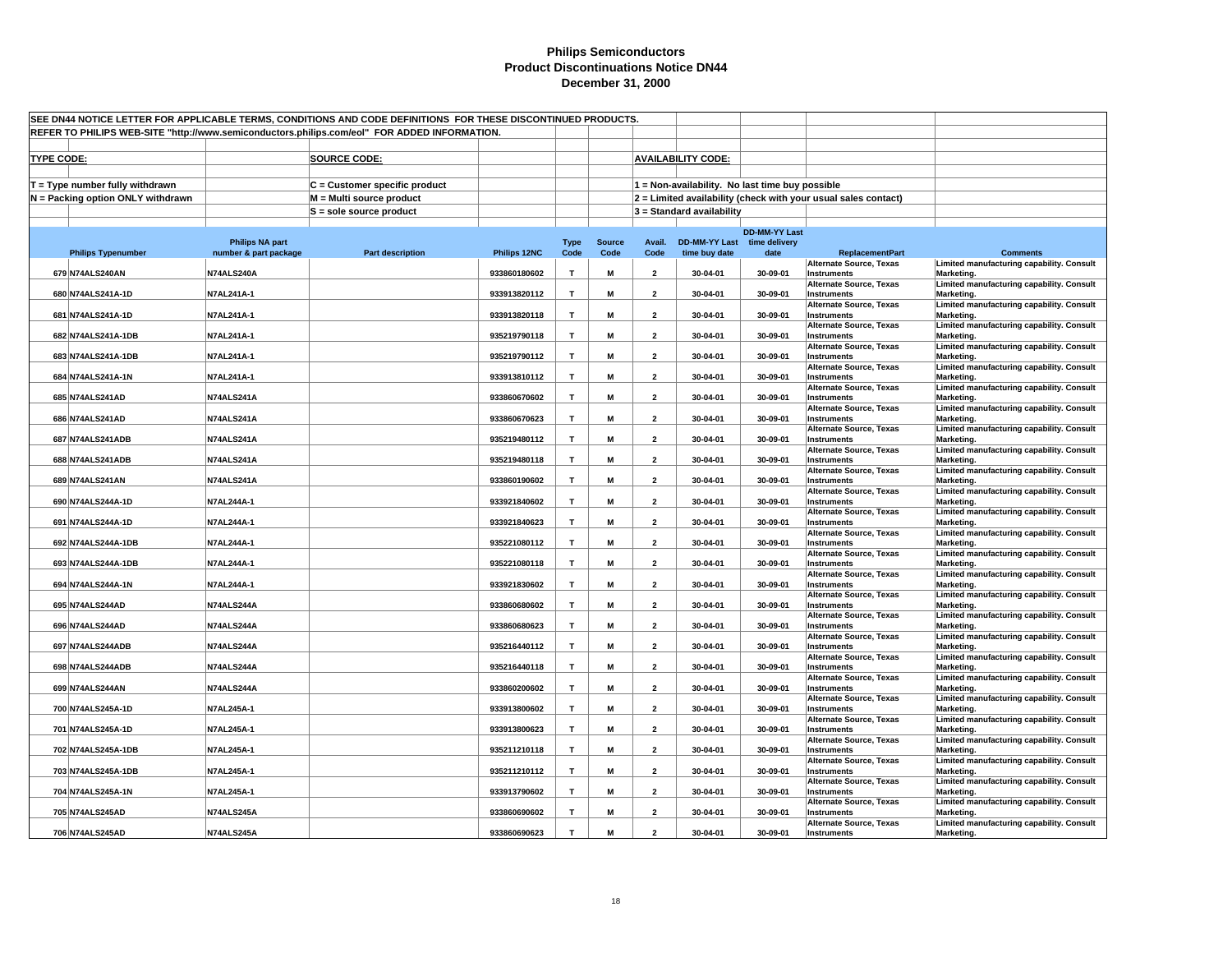| SEE DN44 NOTICE LETTER FOR APPLICABLE TERMS, CONDITIONS AND CODE DEFINITIONS FOR THESE DISCONTINUED PRODUCTS.<br>REFER TO PHILIPS WEB-SITE "http://www.semiconductors.philips.com/eol" FOR ADDED INFORMATION. |                        |                               |              |                     |               |                         |                                                 |                      |                                                                |                                                         |  |
|---------------------------------------------------------------------------------------------------------------------------------------------------------------------------------------------------------------|------------------------|-------------------------------|--------------|---------------------|---------------|-------------------------|-------------------------------------------------|----------------------|----------------------------------------------------------------|---------------------------------------------------------|--|
|                                                                                                                                                                                                               |                        |                               |              |                     |               |                         |                                                 |                      |                                                                |                                                         |  |
|                                                                                                                                                                                                               |                        |                               |              |                     |               |                         |                                                 |                      |                                                                |                                                         |  |
| <b>TYPE CODE:</b>                                                                                                                                                                                             |                        | <b>SOURCE CODE:</b>           |              |                     |               |                         | <b>AVAILABILITY CODE:</b>                       |                      |                                                                |                                                         |  |
| $T = Type$ number fully withdrawn                                                                                                                                                                             |                        | C = Customer specific product |              |                     |               |                         | 1 = Non-availability. No last time buy possible |                      |                                                                |                                                         |  |
| N = Packing option ONLY withdrawn                                                                                                                                                                             |                        | M = Multi source product      |              |                     |               |                         |                                                 |                      | 2 = Limited availability (check with your usual sales contact) |                                                         |  |
|                                                                                                                                                                                                               |                        | $S =$ sole source product     |              |                     |               |                         | $3 =$ Standard availability                     |                      |                                                                |                                                         |  |
|                                                                                                                                                                                                               |                        |                               |              |                     |               |                         |                                                 |                      |                                                                |                                                         |  |
|                                                                                                                                                                                                               | <b>Philips NA part</b> |                               |              |                     | <b>Source</b> | Avail.                  | DD-MM-YY Last time delivery                     | <b>DD-MM-YY Last</b> |                                                                |                                                         |  |
| <b>Philips Typenumber</b>                                                                                                                                                                                     | number & part package  | <b>Part description</b>       | Philips 12NC | <b>Type</b><br>Code | Code          | Code                    | time buy date                                   | date                 | <b>ReplacementPart</b>                                         | <b>Comments</b>                                         |  |
| 679 N74ALS240AN                                                                                                                                                                                               | N74ALS240A             |                               | 933860180602 | $\mathbf{T}$        | M             | $\overline{2}$          | 30-04-01                                        | 30-09-01             | <b>Alternate Source, Texas</b><br>Instruments                  | Limited manufacturing capability. Consult<br>Marketing. |  |
|                                                                                                                                                                                                               |                        |                               |              |                     |               |                         |                                                 |                      | <b>Alternate Source, Texas</b>                                 | Limited manufacturing capability. Consult               |  |
| 680 N74ALS241A-1D                                                                                                                                                                                             | N7AL241A-1             |                               | 933913820112 | T                   | M             | $\overline{2}$          | 30-04-01                                        | 30-09-01             | Instruments<br><b>Alternate Source, Texas</b>                  | Marketing.<br>Limited manufacturing capability. Consult |  |
| 681 N74ALS241A-1D                                                                                                                                                                                             | <b>N7AL241A-1</b>      |                               | 933913820118 | $\mathbf{T}$        | M             | $\overline{2}$          | 30-04-01                                        | 30-09-01             | Instruments                                                    | Marketing.                                              |  |
| 682 N74ALS241A-1DB                                                                                                                                                                                            | N7AL241A-1             |                               | 935219790118 | T                   | M             | $\overline{\mathbf{2}}$ | 30-04-01                                        | 30-09-01             | <b>Alternate Source, Texas</b><br>Instruments                  | Limited manufacturing capability. Consult<br>Marketing. |  |
| 683 N74ALS241A-1DB                                                                                                                                                                                            | <b>N7AL241A-1</b>      |                               | 935219790112 | T                   | M             | $\overline{2}$          | 30-04-01                                        | 30-09-01             | <b>Alternate Source, Texas</b><br><b>Instruments</b>           | Limited manufacturing capability. Consult<br>Marketing. |  |
|                                                                                                                                                                                                               |                        |                               |              |                     |               |                         |                                                 |                      | <b>Alternate Source, Texas</b>                                 | Limited manufacturing capability. Consult               |  |
| 684 N74ALS241A-1N                                                                                                                                                                                             | N7AL241A-1             |                               | 933913810112 | $\mathbf{T}$        | M             | $\overline{\mathbf{2}}$ | 30-04-01                                        | 30-09-01             | Instruments<br><b>Alternate Source, Texas</b>                  | Marketing.<br>Limited manufacturing capability. Consult |  |
| 685 N74ALS241AD                                                                                                                                                                                               | N74ALS241A             |                               | 933860670602 | $\mathbf \tau$      | M             | $\overline{2}$          | 30-04-01                                        | 30-09-01             | Instruments                                                    | Marketing.                                              |  |
| 686 N74ALS241AD                                                                                                                                                                                               | N74ALS241A             |                               | 933860670623 | T                   | М             | $\overline{2}$          | 30-04-01                                        | 30-09-01             | <b>Alternate Source, Texas</b><br>Instruments                  | Limited manufacturing capability. Consult<br>Marketing. |  |
|                                                                                                                                                                                                               |                        |                               |              |                     |               |                         |                                                 |                      | <b>Alternate Source, Texas</b>                                 | Limited manufacturing capability. Consult               |  |
| 687 N74ALS241ADB                                                                                                                                                                                              | N74ALS241A             |                               | 935219480112 | T                   | M             | $\overline{2}$          | 30-04-01                                        | 30-09-01             | Instruments<br><b>Alternate Source, Texas</b>                  | Marketing.<br>Limited manufacturing capability. Consult |  |
| 688 N74ALS241ADB                                                                                                                                                                                              | N74ALS241A             |                               | 935219480118 | $\mathbf{T}$        | M             | $\overline{2}$          | 30-04-01                                        | 30-09-01             | Instruments                                                    | Marketing.                                              |  |
| 689 N74ALS241AN                                                                                                                                                                                               | N74ALS241A             |                               | 933860190602 | T                   | M             | $\overline{2}$          | 30-04-01                                        | 30-09-01             | <b>Alternate Source, Texas</b><br>Instruments                  | Limited manufacturing capability. Consult<br>Marketing. |  |
| 690 N74ALS244A-1D                                                                                                                                                                                             | N7AL244A-1             |                               | 933921840602 | T                   | M             | $\overline{2}$          | 30-04-01                                        | 30-09-01             | <b>Alternate Source, Texas</b><br>Instruments                  | Limited manufacturing capability. Consult<br>Marketing. |  |
|                                                                                                                                                                                                               |                        |                               |              |                     |               |                         |                                                 |                      | <b>Alternate Source, Texas</b>                                 | Limited manufacturing capability. Consult               |  |
| 691 N74ALS244A-1D                                                                                                                                                                                             | <b>N7AL244A-1</b>      |                               | 933921840623 | $\mathbf{T}$        | M             | $\overline{2}$          | 30-04-01                                        | 30-09-01             | Instruments<br><b>Alternate Source, Texas</b>                  | Marketing.<br>Limited manufacturing capability. Consult |  |
| 692 N74ALS244A-1DB                                                                                                                                                                                            | <b>N7AL244A-1</b>      |                               | 935221080112 | T                   | M             | $\overline{2}$          | 30-04-01                                        | 30-09-01             | Instruments                                                    | Marketing.                                              |  |
| 693 N74ALS244A-1DB                                                                                                                                                                                            | N7AL244A-1             |                               | 935221080118 | T                   | M             | $\overline{\mathbf{2}}$ | 30-04-01                                        | 30-09-01             | <b>Alternate Source, Texas</b><br>Instruments                  | Limited manufacturing capability. Consult<br>Marketing. |  |
| 694 N74ALS244A-1N                                                                                                                                                                                             | N7AL244A-1             |                               | 933921830602 | T                   | M             | $\overline{\mathbf{2}}$ | 30-04-01                                        | 30-09-01             | <b>Alternate Source, Texas</b><br>Instruments                  | Limited manufacturing capability. Consult<br>Marketing. |  |
|                                                                                                                                                                                                               |                        |                               |              |                     |               |                         |                                                 |                      | <b>Alternate Source, Texas</b>                                 | Limited manufacturing capability. Consult               |  |
| 695 N74ALS244AD                                                                                                                                                                                               | N74ALS244A             |                               | 933860680602 | T                   | M             | $\overline{2}$          | 30-04-01                                        | 30-09-01             | Instruments<br><b>Alternate Source, Texas</b>                  | Marketing.<br>Limited manufacturing capability. Consult |  |
| 696 N74ALS244AD                                                                                                                                                                                               | N74ALS244A             |                               | 933860680623 | $\mathbf{T}$        | M             | $\overline{2}$          | 30-04-01                                        | 30-09-01             | Instruments                                                    | Marketing.                                              |  |
| 697 N74ALS244ADB                                                                                                                                                                                              | N74ALS244A             |                               | 935216440112 | T                   | M             | $\overline{2}$          | 30-04-01                                        | 30-09-01             | Alternate Source, Texas<br>Instruments                         | Limited manufacturing capability. Consult<br>Marketing. |  |
|                                                                                                                                                                                                               |                        |                               |              |                     |               |                         |                                                 |                      | <b>Alternate Source, Texas</b>                                 | Limited manufacturing capability. Consult               |  |
| 698 N74ALS244ADB                                                                                                                                                                                              | N74ALS244A             |                               | 935216440118 | T                   | M             | $\overline{2}$          | 30-04-01                                        | 30-09-01             | <b>Instruments</b><br><b>Alternate Source, Texas</b>           | Marketing.<br>Limited manufacturing capability. Consult |  |
| 699 N74ALS244AN                                                                                                                                                                                               | N74ALS244A             |                               | 933860200602 | T                   | M             | $\overline{2}$          | 30-04-01                                        | 30-09-01             | Instruments<br><b>Alternate Source, Texas</b>                  | Marketing.<br>Limited manufacturing capability. Consult |  |
| 700 N74ALS245A-1D                                                                                                                                                                                             | N7AL245A-1             |                               | 933913800602 | $\mathbf{T}$        | M             | $\overline{\mathbf{2}}$ | 30-04-01                                        | 30-09-01             | Instruments                                                    | Marketing.                                              |  |
| 701 N74ALS245A-1D                                                                                                                                                                                             | N7AL245A-1             |                               | 933913800623 | T                   | M             | $\overline{2}$          | 30-04-01                                        | 30-09-01             | <b>Alternate Source, Texas</b><br>Instruments                  | Limited manufacturing capability. Consult<br>Marketing. |  |
|                                                                                                                                                                                                               |                        |                               |              |                     |               |                         |                                                 |                      | <b>Alternate Source, Texas</b>                                 | Limited manufacturing capability. Consult               |  |
| 702 N74ALS245A-1DB                                                                                                                                                                                            | N7AL245A-1             |                               | 935211210118 | T                   | M             | $\overline{2}$          | 30-04-01                                        | 30-09-01             | Instruments<br><b>Alternate Source, Texas</b>                  | Marketing.<br>Limited manufacturing capability. Consult |  |
| 703 N74ALS245A-1DB                                                                                                                                                                                            | N7AL245A-1             |                               | 935211210112 | T                   | M             | $\overline{2}$          | 30-04-01                                        | 30-09-01             | Instruments<br><b>Alternate Source, Texas</b>                  | Marketing.<br>Limited manufacturing capability. Consult |  |
| 704 N74ALS245A-1N                                                                                                                                                                                             | N7AL245A-1             |                               | 933913790602 | T                   | M             | $\overline{2}$          | 30-04-01                                        | 30-09-01             | Instruments                                                    | Marketing.                                              |  |
| 705 N74ALS245AD                                                                                                                                                                                               | N74ALS245A             |                               | 933860690602 | $\mathbf{T}$        | M             | $\overline{2}$          | 30-04-01                                        | 30-09-01             | Alternate Source, Texas<br>Instruments                         | Limited manufacturing capability. Consult<br>Marketing. |  |
|                                                                                                                                                                                                               |                        |                               |              |                     |               |                         |                                                 |                      | <b>Alternate Source, Texas</b>                                 | Limited manufacturing capability. Consult               |  |
| 706 N74ALS245AD                                                                                                                                                                                               | N74ALS245A             |                               | 933860690623 | T                   | M             | $\mathbf{z}$            | 30-04-01                                        | 30-09-01             | <b>Instruments</b>                                             | Marketing.                                              |  |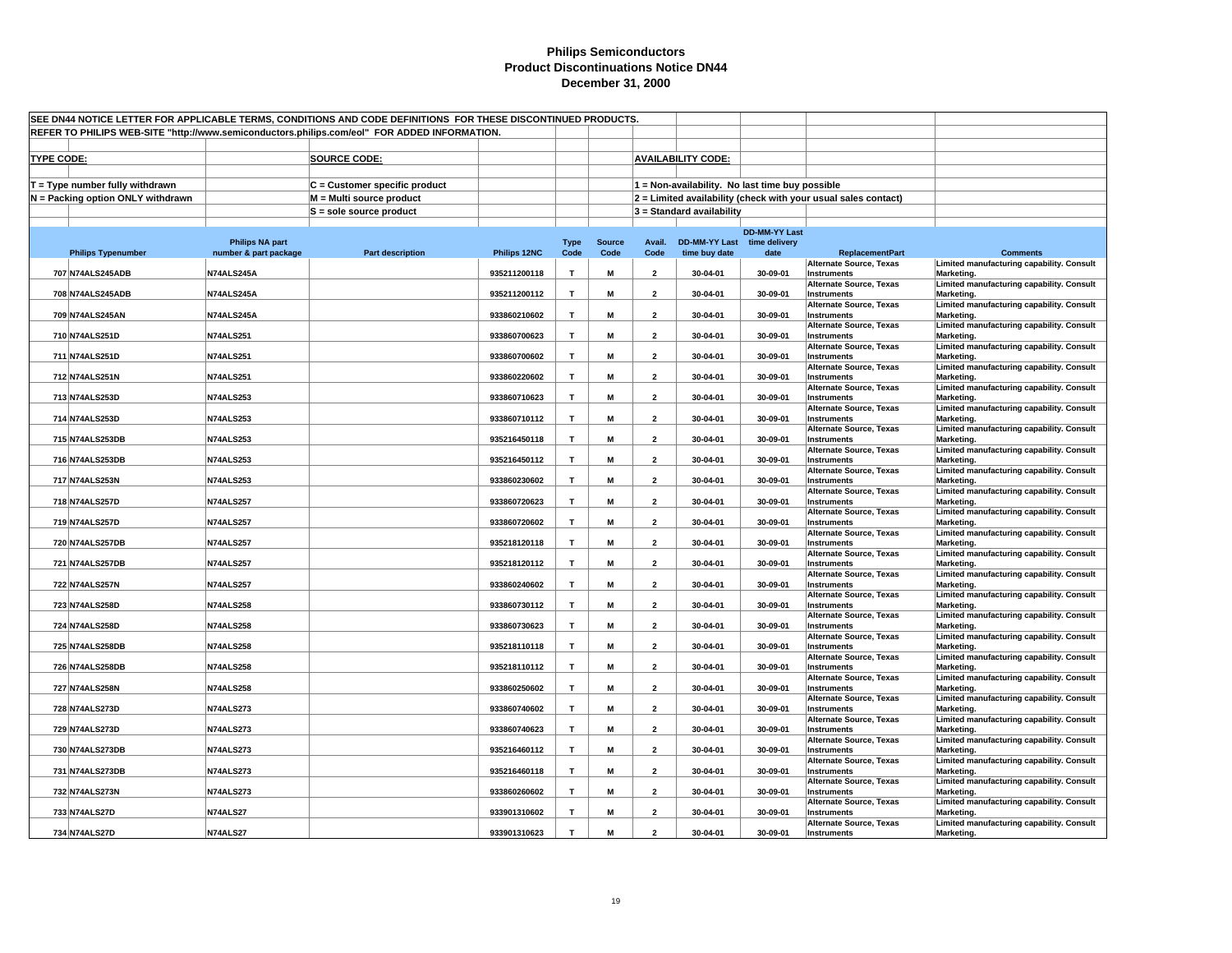| SEE DN44 NOTICE LETTER FOR APPLICABLE TERMS, CONDITIONS AND CODE DEFINITIONS FOR THESE DISCONTINUED PRODUCTS. |                        |                               |              |                |               |                         |                                                 |                      |                                                                |                                                         |  |
|---------------------------------------------------------------------------------------------------------------|------------------------|-------------------------------|--------------|----------------|---------------|-------------------------|-------------------------------------------------|----------------------|----------------------------------------------------------------|---------------------------------------------------------|--|
| REFER TO PHILIPS WEB-SITE "http://www.semiconductors.philips.com/eol" FOR ADDED INFORMATION.                  |                        |                               |              |                |               |                         |                                                 |                      |                                                                |                                                         |  |
|                                                                                                               |                        |                               |              |                |               |                         |                                                 |                      |                                                                |                                                         |  |
| <b>TYPE CODE:</b>                                                                                             |                        | <b>SOURCE CODE:</b>           |              |                |               |                         | <b>AVAILABILITY CODE:</b>                       |                      |                                                                |                                                         |  |
| $T = Type$ number fully withdrawn                                                                             |                        | C = Customer specific product |              |                |               |                         | 1 = Non-availability. No last time buy possible |                      |                                                                |                                                         |  |
| N = Packing option ONLY withdrawn                                                                             |                        | M = Multi source product      |              |                |               |                         |                                                 |                      | 2 = Limited availability (check with your usual sales contact) |                                                         |  |
|                                                                                                               |                        | $S =$ sole source product     |              |                |               |                         | $3 =$ Standard availability                     |                      |                                                                |                                                         |  |
|                                                                                                               |                        |                               |              |                |               |                         |                                                 |                      |                                                                |                                                         |  |
|                                                                                                               | <b>Philips NA part</b> |                               |              | <b>Type</b>    | <b>Source</b> | Avail.                  | DD-MM-YY Last time delivery                     | <b>DD-MM-YY Last</b> |                                                                |                                                         |  |
| <b>Philips Typenumber</b>                                                                                     | number & part package  | <b>Part description</b>       | Philips 12NC | Code           | Code          | Code                    | time buy date                                   | date                 | <b>ReplacementPart</b>                                         | <b>Comments</b>                                         |  |
| 707 N74ALS245ADB                                                                                              | N74ALS245A             |                               | 935211200118 | T              | M             | $\overline{2}$          | 30-04-01                                        | 30-09-01             | <b>Alternate Source, Texas</b><br>Instruments                  | Limited manufacturing capability. Consult<br>Marketing. |  |
| 708 N74ALS245ADB                                                                                              | N74ALS245A             |                               | 935211200112 | T              | M             | $\overline{2}$          | 30-04-01                                        | 30-09-01             | <b>Alternate Source, Texas</b><br>Instruments                  | Limited manufacturing capability. Consult<br>Marketing. |  |
|                                                                                                               |                        |                               |              |                |               |                         |                                                 |                      | <b>Alternate Source, Texas</b>                                 | Limited manufacturing capability. Consult               |  |
| 709 N74ALS245AN                                                                                               | N74ALS245A             |                               | 933860210602 | $\mathbf{T}$   | M             | $\overline{2}$          | 30-04-01                                        | 30-09-01             | Instruments<br><b>Alternate Source, Texas</b>                  | Marketing.<br>Limited manufacturing capability. Consult |  |
| 710 N74ALS251D                                                                                                | <b>N74ALS251</b>       |                               | 933860700623 | T              | M             | $\overline{\mathbf{2}}$ | 30-04-01                                        | 30-09-01             | Instruments                                                    | Marketing.                                              |  |
| 711 N74ALS251D                                                                                                | <b>N74ALS251</b>       |                               | 933860700602 | T              | M             | $\overline{2}$          | 30-04-01                                        | 30-09-01             | <b>Alternate Source, Texas</b><br><b>Instruments</b>           | Limited manufacturing capability. Consult<br>Marketing. |  |
|                                                                                                               |                        |                               |              |                |               |                         |                                                 |                      | <b>Alternate Source, Texas</b>                                 | Limited manufacturing capability. Consult               |  |
| 712 N74ALS251N                                                                                                | <b>N74ALS251</b>       |                               | 933860220602 | $\mathbf{T}$   | M             | $\overline{\mathbf{2}}$ | 30-04-01                                        | 30-09-01             | <b>Instruments</b><br><b>Alternate Source, Texas</b>           | Marketing.<br>Limited manufacturing capability. Consult |  |
| 713 N74ALS253D                                                                                                | <b>N74ALS253</b>       |                               | 933860710623 | $\mathbf \tau$ | M             | $\overline{2}$          | 30-04-01                                        | 30-09-01             | Instruments                                                    | Marketing.                                              |  |
| 714 N74ALS253D                                                                                                | <b>N74ALS253</b>       |                               | 933860710112 | T.             | М             | $\overline{2}$          | 30-04-01                                        | 30-09-01             | <b>Alternate Source, Texas</b><br>Instruments                  | Limited manufacturing capability. Consult<br>Marketing. |  |
|                                                                                                               |                        |                               |              |                |               |                         |                                                 |                      | <b>Alternate Source, Texas</b>                                 | Limited manufacturing capability. Consult               |  |
| 715 N74ALS253DB                                                                                               | <b>N74ALS253</b>       |                               | 935216450118 | T              | M             | $\overline{2}$          | 30-04-01                                        | 30-09-01             | Instruments<br><b>Alternate Source, Texas</b>                  | Marketing.<br>Limited manufacturing capability. Consult |  |
| 716 N74ALS253DB                                                                                               | <b>N74ALS253</b>       |                               | 935216450112 | $\mathbf{T}$   | M             | $\overline{2}$          | 30-04-01                                        | 30-09-01             | Instruments                                                    | Marketing.                                              |  |
| 717 N74ALS253N                                                                                                | <b>N74ALS253</b>       |                               | 933860230602 | T              | M             | $\overline{2}$          | 30-04-01                                        | 30-09-01             | <b>Alternate Source, Texas</b><br>Instruments                  | Limited manufacturing capability. Consult<br>Marketing. |  |
| 718 N74ALS257D                                                                                                | <b>N74ALS257</b>       |                               | 933860720623 | T              | M             | $\overline{2}$          | 30-04-01                                        | 30-09-01             | <b>Alternate Source, Texas</b><br><b>Instruments</b>           | Limited manufacturing capability. Consult<br>Marketing. |  |
|                                                                                                               |                        |                               |              | $\mathbf{T}$   |               |                         |                                                 |                      | <b>Alternate Source, Texas</b>                                 | Limited manufacturing capability. Consult               |  |
| 719 N74ALS257D                                                                                                | <b>N74ALS257</b>       |                               | 933860720602 |                | M             | $\overline{2}$          | 30-04-01                                        | 30-09-01             | <b>Instruments</b><br><b>Alternate Source, Texas</b>           | Marketing.<br>Limited manufacturing capability. Consult |  |
| 720 N74ALS257DB                                                                                               | <b>N74ALS257</b>       |                               | 935218120118 | T              | M             | $\overline{2}$          | 30-04-01                                        | 30-09-01             | Instruments<br><b>Alternate Source, Texas</b>                  | Marketing.<br>Limited manufacturing capability. Consult |  |
| 721 N74ALS257DB                                                                                               | <b>N74ALS257</b>       |                               | 935218120112 | T              | M             | $\overline{\mathbf{2}}$ | 30-04-01                                        | 30-09-01             | <b>Instruments</b>                                             | Marketing.                                              |  |
| 722 N74ALS257N                                                                                                | <b>N74ALS257</b>       |                               | 933860240602 | T              | M             | $\overline{\mathbf{2}}$ | 30-04-01                                        | 30-09-01             | <b>Alternate Source, Texas</b><br><b>Instruments</b>           | Limited manufacturing capability. Consult<br>Marketing. |  |
|                                                                                                               |                        |                               |              |                |               |                         |                                                 |                      | <b>Alternate Source, Texas</b>                                 | Limited manufacturing capability. Consult               |  |
| 723 N74ALS258D                                                                                                | <b>N74ALS258</b>       |                               | 933860730112 | T              | M             | $\overline{2}$          | 30-04-01                                        | 30-09-01             | Instruments<br><b>Alternate Source, Texas</b>                  | Marketing.<br>Limited manufacturing capability. Consult |  |
| 724 N74ALS258D                                                                                                | <b>N74ALS258</b>       |                               | 933860730623 | $\mathbf{T}$   | M             | $\overline{2}$          | 30-04-01                                        | 30-09-01             | Instruments                                                    | Marketing.                                              |  |
| 725 N74ALS258DB                                                                                               | <b>N74ALS258</b>       |                               | 935218110118 | T              | M             | $\overline{2}$          | 30-04-01                                        | 30-09-01             | Alternate Source, Texas<br>Instruments                         | Limited manufacturing capability. Consult<br>Marketing. |  |
| 726 N74ALS258DB                                                                                               | <b>N74ALS258</b>       |                               | 935218110112 | T              | M             | $\overline{2}$          | 30-04-01                                        | 30-09-01             | <b>Alternate Source, Texas</b><br><b>Instruments</b>           | Limited manufacturing capability. Consult<br>Marketing. |  |
|                                                                                                               |                        |                               |              |                |               |                         |                                                 |                      | <b>Alternate Source, Texas</b>                                 | Limited manufacturing capability. Consult               |  |
| 727 N74ALS258N                                                                                                | <b>N74ALS258</b>       |                               | 933860250602 | T              | M             | $\overline{2}$          | 30-04-01                                        | 30-09-01             | Instruments<br><b>Alternate Source, Texas</b>                  | Marketing.<br>Limited manufacturing capability. Consult |  |
| 728 N74ALS273D                                                                                                | <b>N74ALS273</b>       |                               | 933860740602 | $\mathbf T$    | M             | $\overline{\mathbf{2}}$ | 30-04-01                                        | 30-09-01             | Instruments<br><b>Alternate Source, Texas</b>                  | Marketing.<br>Limited manufacturing capability. Consult |  |
| 729 N74ALS273D                                                                                                | <b>N74ALS273</b>       |                               | 933860740623 | $\mathbf{T}$   | M             | $\overline{2}$          | 30-04-01                                        | 30-09-01             | <b>Instruments</b>                                             | Marketing.                                              |  |
| 730 N74ALS273DB                                                                                               | <b>N74ALS273</b>       |                               | 935216460112 | T              | M             | $\overline{2}$          | 30-04-01                                        | 30-09-01             | <b>Alternate Source, Texas</b><br>Instruments                  | Limited manufacturing capability. Consult<br>Marketing. |  |
| 731 N74ALS273DB                                                                                               | <b>N74ALS273</b>       |                               | 935216460118 | T              | M             | $\overline{2}$          | 30-04-01                                        | 30-09-01             | <b>Alternate Source, Texas</b><br>Instruments                  | Limited manufacturing capability. Consult<br>Marketing. |  |
|                                                                                                               |                        |                               |              |                |               |                         |                                                 |                      | <b>Alternate Source, Texas</b>                                 | Limited manufacturing capability. Consult               |  |
| 732 N74ALS273N                                                                                                | <b>N74ALS273</b>       |                               | 933860260602 | $\mathbf{T}$   | M             | $\overline{2}$          | 30-04-01                                        | 30-09-01             | Instruments<br>Alternate Source, Texas                         | Marketing.<br>Limited manufacturing capability. Consult |  |
| 733 N74ALS27D                                                                                                 | <b>N74ALS27</b>        |                               | 933901310602 | $\mathbf{T}$   | M             | $\overline{2}$          | 30-04-01                                        | 30-09-01             | Instruments                                                    | Marketing.                                              |  |
| 734 N74ALS27D                                                                                                 | <b>N74ALS27</b>        |                               | 933901310623 | T              | M             | $\mathbf{z}$            | 30-04-01                                        | 30-09-01             | <b>Alternate Source, Texas</b><br><b>Instruments</b>           | Limited manufacturing capability. Consult<br>Marketing. |  |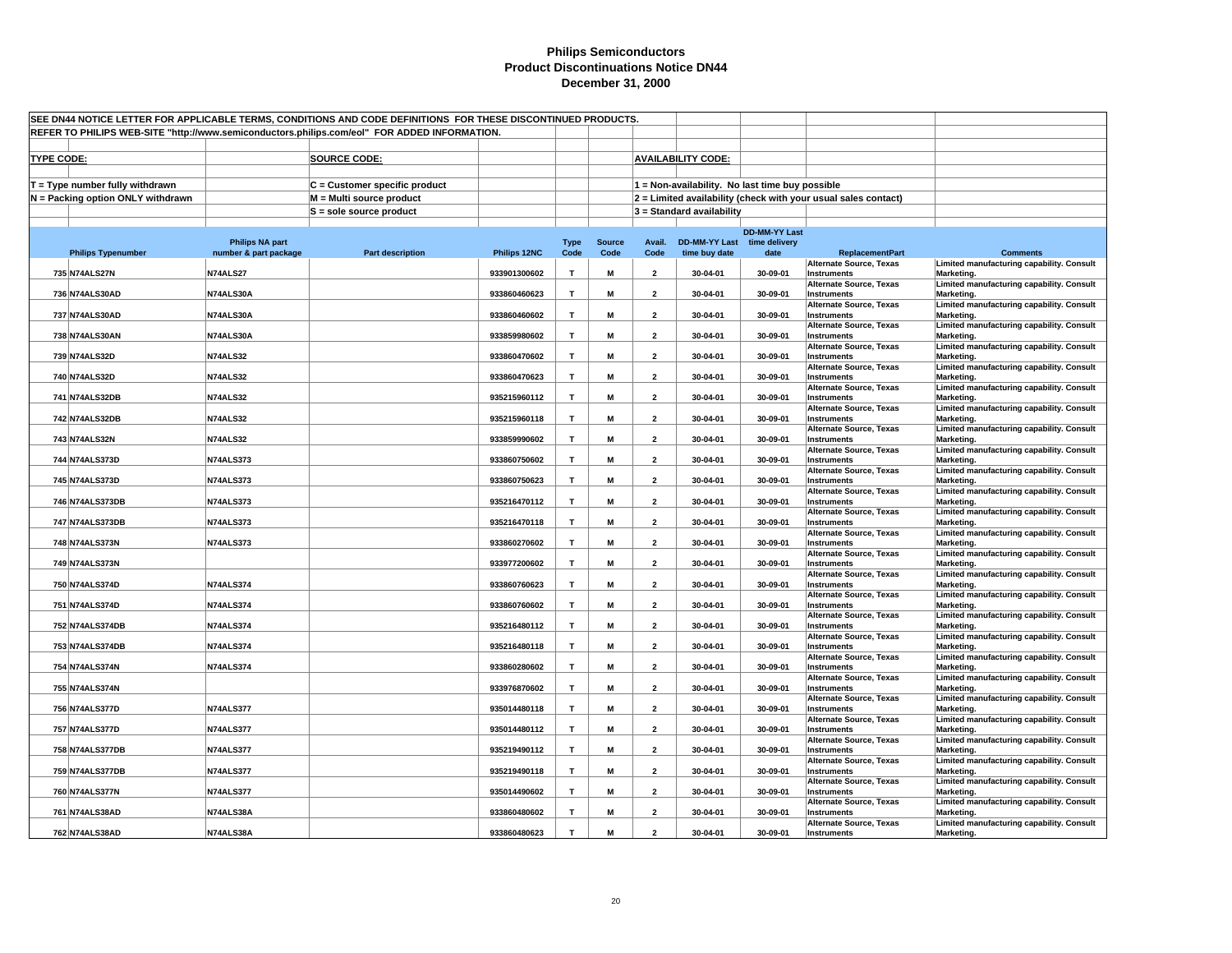| SEE DN44 NOTICE LETTER FOR APPLICABLE TERMS, CONDITIONS AND CODE DEFINITIONS FOR THESE DISCONTINUED PRODUCTS. |                        |                               |              |              |               |                         |                                                 |                      |                                                                |                                                         |  |
|---------------------------------------------------------------------------------------------------------------|------------------------|-------------------------------|--------------|--------------|---------------|-------------------------|-------------------------------------------------|----------------------|----------------------------------------------------------------|---------------------------------------------------------|--|
| REFER TO PHILIPS WEB-SITE "http://www.semiconductors.philips.com/eol" FOR ADDED INFORMATION.                  |                        |                               |              |              |               |                         |                                                 |                      |                                                                |                                                         |  |
|                                                                                                               |                        |                               |              |              |               |                         |                                                 |                      |                                                                |                                                         |  |
| <b>TYPE CODE:</b>                                                                                             |                        | <b>SOURCE CODE:</b>           |              |              |               |                         | <b>AVAILABILITY CODE:</b>                       |                      |                                                                |                                                         |  |
| $T = Type$ number fully withdrawn                                                                             |                        | C = Customer specific product |              |              |               |                         | 1 = Non-availability. No last time buy possible |                      |                                                                |                                                         |  |
| N = Packing option ONLY withdrawn                                                                             |                        | M = Multi source product      |              |              |               |                         |                                                 |                      | 2 = Limited availability (check with your usual sales contact) |                                                         |  |
|                                                                                                               |                        | $S =$ sole source product     |              |              |               |                         | $3 =$ Standard availability                     |                      |                                                                |                                                         |  |
|                                                                                                               |                        |                               |              |              |               |                         |                                                 |                      |                                                                |                                                         |  |
|                                                                                                               | <b>Philips NA part</b> |                               |              | <b>Type</b>  | <b>Source</b> | Avail.                  | DD-MM-YY Last time delivery                     | <b>DD-MM-YY Last</b> |                                                                |                                                         |  |
| <b>Philips Typenumber</b>                                                                                     | number & part package  | <b>Part description</b>       | Philips 12NC | Code         | Code          | Code                    | time buy date                                   | date                 | <b>ReplacementPart</b>                                         | <b>Comments</b>                                         |  |
| 735 N74ALS27N                                                                                                 | <b>N74ALS27</b>        |                               | 933901300602 | T            | M             | $\overline{2}$          | 30-04-01                                        | 30-09-01             | <b>Alternate Source, Texas</b><br>Instruments                  | Limited manufacturing capability. Consult<br>Marketing. |  |
| 736 N74ALS30AD                                                                                                | N74ALS30A              |                               | 933860460623 | T            | M             | $\overline{2}$          | 30-04-01                                        | 30-09-01             | <b>Alternate Source, Texas</b><br>Instruments                  | Limited manufacturing capability. Consult<br>Marketing. |  |
|                                                                                                               |                        |                               |              |              |               |                         |                                                 |                      | <b>Alternate Source, Texas</b>                                 | Limited manufacturing capability. Consult               |  |
| 737 N74ALS30AD                                                                                                | N74ALS30A              |                               | 933860460602 | $\mathbf{T}$ | M             | $\overline{2}$          | 30-04-01                                        | 30-09-01             | Instruments<br><b>Alternate Source, Texas</b>                  | Marketing.<br>Limited manufacturing capability. Consult |  |
| 738 N74ALS30AN                                                                                                | N74ALS30A              |                               | 933859980602 | T            | M             | $\overline{\mathbf{2}}$ | 30-04-01                                        | 30-09-01             | Instruments                                                    | Marketing.                                              |  |
| 739 N74ALS32D                                                                                                 | <b>N74ALS32</b>        |                               | 933860470602 | T            | M             | $\overline{2}$          | 30-04-01                                        | 30-09-01             | <b>Alternate Source, Texas</b><br><b>Instruments</b>           | Limited manufacturing capability. Consult<br>Marketing. |  |
|                                                                                                               |                        |                               |              |              |               |                         |                                                 |                      | <b>Alternate Source, Texas</b>                                 | Limited manufacturing capability. Consult               |  |
| 740 N74ALS32D                                                                                                 | <b>N74ALS32</b>        |                               | 933860470623 | $\mathbf{T}$ | M             | $\overline{\mathbf{2}}$ | 30-04-01                                        | 30-09-01             | <b>Instruments</b><br><b>Alternate Source, Texas</b>           | Marketing.<br>Limited manufacturing capability. Consult |  |
| 741 N74ALS32DB                                                                                                | <b>N74ALS32</b>        |                               | 935215960112 | T            | M             | $\overline{\mathbf{2}}$ | 30-04-01                                        | 30-09-01             | Instruments<br><b>Alternate Source, Texas</b>                  | Marketing.<br>Limited manufacturing capability. Consult |  |
| 742 N74ALS32DB                                                                                                | <b>N74ALS32</b>        |                               | 935215960118 | T            | М             | $\overline{2}$          | 30-04-01                                        | 30-09-01             | Instruments                                                    | Marketing.                                              |  |
| 743 N74ALS32N                                                                                                 | <b>N74ALS32</b>        |                               | 933859990602 | T            | M             | $\overline{2}$          | 30-04-01                                        | 30-09-01             | <b>Alternate Source, Texas</b><br>Instruments                  | Limited manufacturing capability. Consult<br>Marketing. |  |
|                                                                                                               |                        |                               |              |              |               |                         |                                                 |                      | <b>Alternate Source, Texas</b>                                 | Limited manufacturing capability. Consult               |  |
| 744 N74ALS373D                                                                                                | <b>N74ALS373</b>       |                               | 933860750602 | $\mathbf{T}$ | M             | $\overline{\mathbf{2}}$ | 30-04-01                                        | 30-09-01             | Instruments<br><b>Alternate Source, Texas</b>                  | Marketing.<br>Limited manufacturing capability. Consult |  |
| 745 N74ALS373D                                                                                                | <b>N74ALS373</b>       |                               | 933860750623 | $\mathbf{T}$ | M             | $\overline{2}$          | 30-04-01                                        | 30-09-01             | Instruments                                                    | Marketing.                                              |  |
| 746 N74ALS373DB                                                                                               | <b>N74ALS373</b>       |                               | 935216470112 | T            | M             | $\overline{2}$          | 30-04-01                                        | 30-09-01             | <b>Alternate Source, Texas</b><br>Instruments                  | Limited manufacturing capability. Consult<br>Marketing. |  |
| 747 N74ALS373DB                                                                                               | <b>N74ALS373</b>       |                               | 935216470118 | $\mathbf{T}$ | M             | $\overline{\mathbf{2}}$ | 30-04-01                                        | 30-09-01             | <b>Alternate Source, Texas</b><br>Instruments                  | Limited manufacturing capability. Consult<br>Marketing. |  |
|                                                                                                               |                        |                               |              |              |               |                         |                                                 |                      | <b>Alternate Source, Texas</b>                                 | Limited manufacturing capability. Consult               |  |
| 748 N74ALS373N                                                                                                | <b>N74ALS373</b>       |                               | 933860270602 | T            | M             | $\overline{2}$          | 30-04-01                                        | 30-09-01             | Instruments<br><b>Alternate Source, Texas</b>                  | Marketing.<br>Limited manufacturing capability. Consult |  |
| 749 N74ALS373N                                                                                                |                        |                               | 933977200602 | T            | M             | $\overline{\mathbf{2}}$ | 30-04-01                                        | 30-09-01             | Instruments                                                    | Marketing.                                              |  |
| 750 N74ALS374D                                                                                                | <b>N74ALS374</b>       |                               | 933860760623 | $\mathbf{T}$ | M             | $\overline{\mathbf{2}}$ | 30-04-01                                        | 30-09-01             | <b>Alternate Source, Texas</b><br>Instruments                  | Limited manufacturing capability. Consult<br>Marketing. |  |
| 751 N74ALS374D                                                                                                | <b>N74ALS374</b>       |                               | 933860760602 | T            | M             | $\overline{2}$          | 30-04-01                                        | 30-09-01             | <b>Alternate Source, Texas</b>                                 | Limited manufacturing capability. Consult               |  |
|                                                                                                               |                        |                               |              |              |               |                         |                                                 |                      | Instruments<br><b>Alternate Source, Texas</b>                  | Marketing.<br>Limited manufacturing capability. Consult |  |
| 752 N74ALS374DB                                                                                               | <b>N74ALS374</b>       |                               | 935216480112 | $\mathbf{T}$ | M             | $\overline{2}$          | 30-04-01                                        | 30-09-01             | Instruments<br>Alternate Source, Texas                         | Marketing.<br>Limited manufacturing capability. Consult |  |
| 753 N74ALS374DB                                                                                               | <b>N74ALS374</b>       |                               | 935216480118 | $\mathbf{T}$ | M             | $\overline{2}$          | 30-04-01                                        | 30-09-01             | Instruments                                                    | Marketing.                                              |  |
| 754 N74ALS374N                                                                                                | <b>N74ALS374</b>       |                               | 933860280602 | T            | M             | $\overline{2}$          | 30-04-01                                        | 30-09-01             | <b>Alternate Source, Texas</b><br><b>Instruments</b>           | Limited manufacturing capability. Consult<br>Marketing. |  |
|                                                                                                               |                        |                               | 933976870602 | T            | M             | $\overline{2}$          |                                                 | 30-09-01             | <b>Alternate Source, Texas</b>                                 | Limited manufacturing capability. Consult               |  |
| 755 N74ALS374N                                                                                                |                        |                               |              |              |               |                         | 30-04-01                                        |                      | Instruments<br><b>Alternate Source, Texas</b>                  | Marketing.<br>Limited manufacturing capability. Consult |  |
| 756 N74ALS377D                                                                                                | <b>N74ALS377</b>       |                               | 935014480118 | $\mathbf T$  | M             | $\overline{\mathbf{2}}$ | 30-04-01                                        | 30-09-01             | Instruments<br><b>Alternate Source, Texas</b>                  | Marketing.<br>Limited manufacturing capability. Consult |  |
| 757 N74ALS377D                                                                                                | <b>N74ALS377</b>       |                               | 935014480112 | $\mathbf{T}$ | M             | $\overline{2}$          | 30-04-01                                        | 30-09-01             | Instruments                                                    | Marketing.                                              |  |
| 758 N74ALS377DB                                                                                               | <b>N74ALS377</b>       |                               | 935219490112 | $\mathbf{T}$ | M             | $\overline{2}$          | 30-04-01                                        | 30-09-01             | <b>Alternate Source, Texas</b><br>Instruments                  | Limited manufacturing capability. Consult<br>Marketing. |  |
| 759 N74ALS377DB                                                                                               | <b>N74ALS377</b>       |                               | 935219490118 | T            | M             | $\overline{2}$          | 30-04-01                                        | 30-09-01             | <b>Alternate Source, Texas</b><br>Instruments                  | Limited manufacturing capability. Consult<br>Marketing. |  |
|                                                                                                               |                        |                               |              |              |               |                         |                                                 |                      | <b>Alternate Source, Texas</b>                                 | Limited manufacturing capability. Consult               |  |
| 760 N74ALS377N                                                                                                | <b>N74ALS377</b>       |                               | 935014490602 | $\mathbf{T}$ | M             | $\overline{2}$          | 30-04-01                                        | 30-09-01             | Instruments<br>Alternate Source, Texas                         | Marketing.<br>Limited manufacturing capability. Consult |  |
| 761 N74ALS38AD                                                                                                | N74ALS38A              |                               | 933860480602 | $\mathbf{T}$ | M             | $\overline{2}$          | 30-04-01                                        | 30-09-01             | Instruments                                                    | Marketing.                                              |  |
| 762 N74ALS38AD                                                                                                | N74ALS38A              |                               | 933860480623 | T            | M             | $\mathbf{z}$            | 30-04-01                                        | 30-09-01             | <b>Alternate Source, Texas</b><br>Instruments                  | Limited manufacturing capability. Consult<br>Marketing. |  |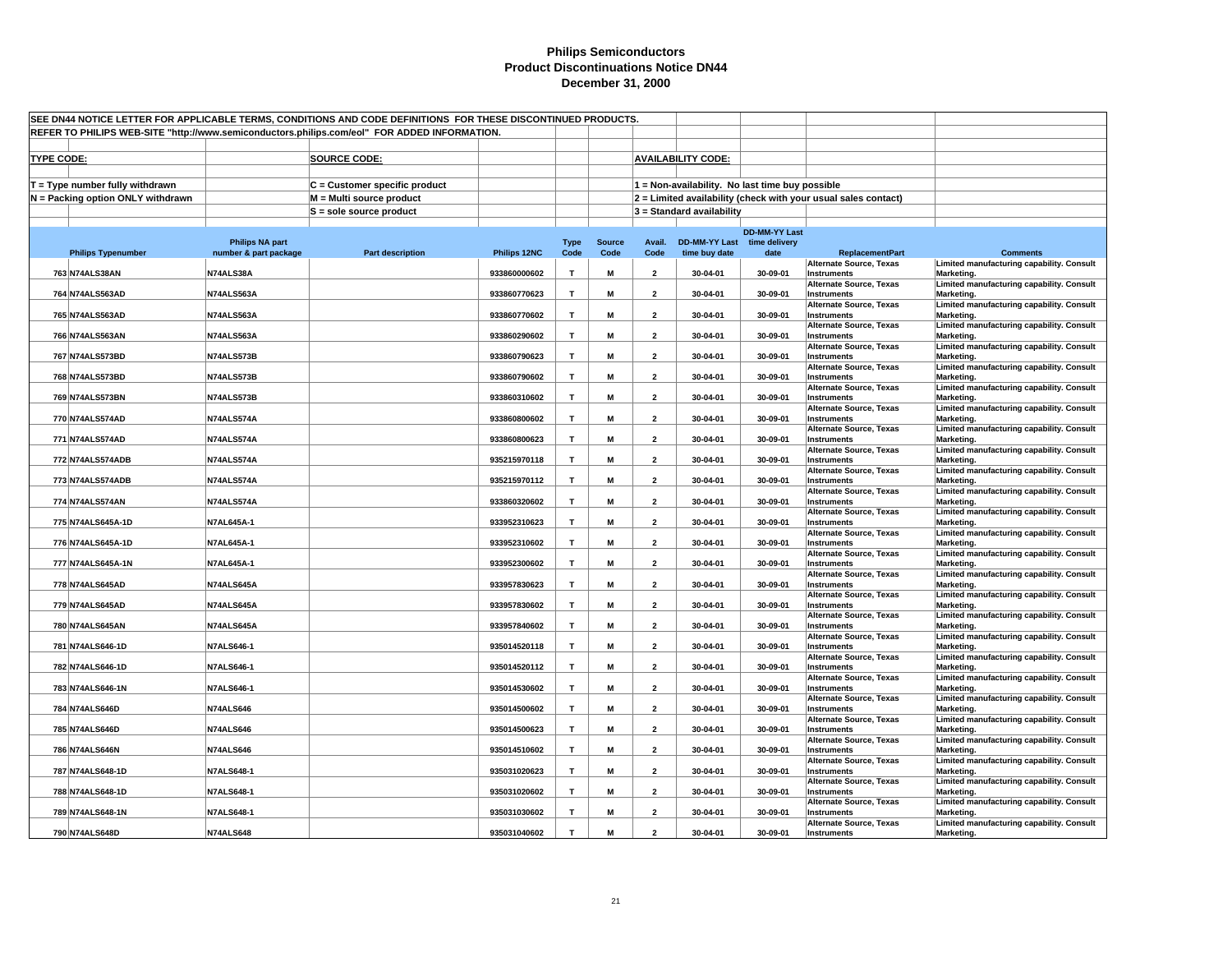| SEE DN44 NOTICE LETTER FOR APPLICABLE TERMS, CONDITIONS AND CODE DEFINITIONS FOR THESE DISCONTINUED PRODUCTS.<br>REFER TO PHILIPS WEB-SITE "http://www.semiconductors.philips.com/eol" FOR ADDED INFORMATION. |                        |                               |              |                |               |                          |                                                 |                      |                                                                |                                                         |  |
|---------------------------------------------------------------------------------------------------------------------------------------------------------------------------------------------------------------|------------------------|-------------------------------|--------------|----------------|---------------|--------------------------|-------------------------------------------------|----------------------|----------------------------------------------------------------|---------------------------------------------------------|--|
|                                                                                                                                                                                                               |                        |                               |              |                |               |                          |                                                 |                      |                                                                |                                                         |  |
|                                                                                                                                                                                                               |                        |                               |              |                |               |                          |                                                 |                      |                                                                |                                                         |  |
| <b>TYPE CODE:</b>                                                                                                                                                                                             |                        | <b>SOURCE CODE:</b>           |              |                |               |                          | <b>AVAILABILITY CODE:</b>                       |                      |                                                                |                                                         |  |
| $T = Type$ number fully withdrawn                                                                                                                                                                             |                        | C = Customer specific product |              |                |               |                          | 1 = Non-availability. No last time buy possible |                      |                                                                |                                                         |  |
| N = Packing option ONLY withdrawn                                                                                                                                                                             |                        | M = Multi source product      |              |                |               |                          |                                                 |                      | 2 = Limited availability (check with your usual sales contact) |                                                         |  |
|                                                                                                                                                                                                               |                        | $S =$ sole source product     |              |                |               |                          | $3 =$ Standard availability                     |                      |                                                                |                                                         |  |
|                                                                                                                                                                                                               |                        |                               |              |                |               |                          |                                                 |                      |                                                                |                                                         |  |
|                                                                                                                                                                                                               | <b>Philips NA part</b> |                               |              | <b>Type</b>    | <b>Source</b> | Avail.                   | DD-MM-YY Last time delivery                     | <b>DD-MM-YY Last</b> |                                                                |                                                         |  |
| <b>Philips Typenumber</b>                                                                                                                                                                                     | number & part package  | <b>Part description</b>       | Philips 12NC | Code           | Code          | Code                     | time buy date                                   | date                 | <b>ReplacementPart</b>                                         | <b>Comments</b>                                         |  |
| 763 N74ALS38AN                                                                                                                                                                                                | N74ALS38A              |                               | 933860000602 | $\mathbf{T}$   | M             | $\overline{2}$           | 30-04-01                                        | 30-09-01             | <b>Alternate Source, Texas</b><br>Instruments                  | Limited manufacturing capability. Consult<br>Marketing. |  |
| 764 N74ALS563AD                                                                                                                                                                                               | N74ALS563A             |                               | 933860770623 | T              | M             | $\overline{2}$           | 30-04-01                                        | 30-09-01             | <b>Alternate Source, Texas</b><br>Instruments                  | Limited manufacturing capability. Consult<br>Marketing. |  |
|                                                                                                                                                                                                               |                        |                               |              |                |               |                          |                                                 |                      | <b>Alternate Source, Texas</b>                                 | Limited manufacturing capability. Consult               |  |
| 765 N74ALS563AD                                                                                                                                                                                               | N74ALS563A             |                               | 933860770602 | $\mathbf{T}$   | M             | $\overline{2}$           | 30-04-01                                        | 30-09-01             | Instruments<br><b>Alternate Source, Texas</b>                  | Marketing.<br>Limited manufacturing capability. Consult |  |
| 766 N74ALS563AN                                                                                                                                                                                               | N74ALS563A             |                               | 933860290602 | $\mathbf{T}$   | M             | $\overline{\mathbf{2}}$  | 30-04-01                                        | 30-09-01             | Instruments                                                    | Marketing.                                              |  |
| 767 N74ALS573BD                                                                                                                                                                                               | N74ALS573B             |                               | 933860790623 | T              | M             | $\overline{2}$           | 30-04-01                                        | 30-09-01             | <b>Alternate Source, Texas</b><br><b>Instruments</b>           | Limited manufacturing capability. Consult<br>Marketing. |  |
|                                                                                                                                                                                                               |                        |                               |              |                |               |                          |                                                 |                      | <b>Alternate Source, Texas</b>                                 | Limited manufacturing capability. Consult               |  |
| 768 N74ALS573BD                                                                                                                                                                                               | N74ALS573B             |                               | 933860790602 | $\mathbf{T}$   | M             | $\overline{\mathbf{2}}$  | 30-04-01                                        | 30-09-01             | Instruments<br><b>Alternate Source, Texas</b>                  | Marketing.<br>Limited manufacturing capability. Consult |  |
| 769 N74ALS573BN                                                                                                                                                                                               | N74ALS573B             |                               | 933860310602 | $\mathbf \tau$ | M             | $\overline{2}$           | 30-04-01                                        | 30-09-01             | Instruments                                                    | Marketing.                                              |  |
| 770 N74ALS574AD                                                                                                                                                                                               | N74ALS574A             |                               | 933860800602 | T              | М             | $\overline{2}$           | 30-04-01                                        | 30-09-01             | <b>Alternate Source, Texas</b><br>Instruments                  | Limited manufacturing capability. Consult<br>Marketing. |  |
|                                                                                                                                                                                                               |                        |                               |              |                |               |                          |                                                 |                      | <b>Alternate Source, Texas</b>                                 | Limited manufacturing capability. Consult               |  |
| 771 N74ALS574AD                                                                                                                                                                                               | N74ALS574A             |                               | 933860800623 | T              | M             | $\overline{2}$           | 30-04-01                                        | 30-09-01             | Instruments<br><b>Alternate Source, Texas</b>                  | Marketing.<br>Limited manufacturing capability. Consult |  |
| 772 N74ALS574ADB                                                                                                                                                                                              | N74ALS574A             |                               | 935215970118 | $\mathbf{T}$   | M             | $\overline{2}$           | 30-04-01                                        | 30-09-01             | Instruments                                                    | Marketing.                                              |  |
| 773 N74ALS574ADB                                                                                                                                                                                              | N74ALS574A             |                               | 935215970112 | $\mathbf{T}$   | M             | $\overline{2}$           | 30-04-01                                        | 30-09-01             | <b>Alternate Source, Texas</b><br>Instruments                  | Limited manufacturing capability. Consult<br>Marketing. |  |
| 774 N74ALS574AN                                                                                                                                                                                               | N74ALS574A             |                               | 933860320602 | T              | M             | $\overline{2}$           | 30-04-01                                        | 30-09-01             | <b>Alternate Source, Texas</b><br>Instruments                  | Limited manufacturing capability. Consult<br>Marketing. |  |
|                                                                                                                                                                                                               |                        |                               |              | $\mathbf{T}$   |               |                          |                                                 |                      | <b>Alternate Source, Texas</b>                                 | Limited manufacturing capability. Consult               |  |
| 775 N74ALS645A-1D                                                                                                                                                                                             | <b>N7AL645A-1</b>      |                               | 933952310623 |                | M             | $\overline{2}$           | 30-04-01                                        | 30-09-01             | Instruments<br><b>Alternate Source, Texas</b>                  | Marketing.<br>Limited manufacturing capability. Consult |  |
| 776 N74ALS645A-1D                                                                                                                                                                                             | N7AL645A-1             |                               | 933952310602 | T              | M             | $\overline{2}$           | 30-04-01                                        | 30-09-01             | Instruments<br><b>Alternate Source, Texas</b>                  | Marketing.<br>Limited manufacturing capability. Consult |  |
| 777 N74ALS645A-1N                                                                                                                                                                                             | N7AL645A-1             |                               | 933952300602 | T              | M             | $\overline{\mathbf{2}}$  | 30-04-01                                        | 30-09-01             | Instruments                                                    | Marketing.                                              |  |
| 778 N74ALS645AD                                                                                                                                                                                               | N74ALS645A             |                               | 933957830623 | T              | M             | $\overline{\mathbf{2}}$  | 30-04-01                                        | 30-09-01             | <b>Alternate Source, Texas</b><br>Instruments                  | Limited manufacturing capability. Consult<br>Marketing. |  |
|                                                                                                                                                                                                               |                        |                               |              |                |               |                          |                                                 |                      | <b>Alternate Source, Texas</b>                                 | Limited manufacturing capability. Consult               |  |
| 779 N74ALS645AD                                                                                                                                                                                               | N74ALS645A             |                               | 933957830602 | T              | M             | $\overline{2}$           | 30-04-01                                        | 30-09-01             | Instruments<br><b>Alternate Source, Texas</b>                  | Marketing.<br>Limited manufacturing capability. Consult |  |
| 780 N74ALS645AN                                                                                                                                                                                               | N74ALS645A             |                               | 933957840602 | $\mathbf{T}$   | M             | $\overline{2}$           | 30-04-01                                        | 30-09-01             | Instruments                                                    | Marketing.                                              |  |
| 781 N74ALS646-1D                                                                                                                                                                                              | <b>N7ALS646-1</b>      |                               | 935014520118 | T              | M             | $\overline{2}$           | 30-04-01                                        | 30-09-01             | Alternate Source, Texas<br>Instruments                         | Limited manufacturing capability. Consult<br>Marketing. |  |
| 782 N74ALS646-1D                                                                                                                                                                                              | <b>N7ALS646-1</b>      |                               | 935014520112 | T              | M             | $\overline{2}$           | 30-04-01                                        | 30-09-01             | <b>Alternate Source, Texas</b><br><b>Instruments</b>           | Limited manufacturing capability. Consult<br>Marketing. |  |
|                                                                                                                                                                                                               |                        |                               |              |                |               |                          |                                                 |                      | <b>Alternate Source, Texas</b>                                 | Limited manufacturing capability. Consult               |  |
| 783 N74ALS646-1N                                                                                                                                                                                              | <b>N7ALS646-1</b>      |                               | 935014530602 | T              | M             | $\overline{2}$           | 30-04-01                                        | 30-09-01             | Instruments<br><b>Alternate Source, Texas</b>                  | Marketing.<br>Limited manufacturing capability. Consult |  |
| 784 N74ALS646D                                                                                                                                                                                                | <b>N74ALS646</b>       |                               | 935014500602 | $\mathbf T$    | M             | $\overline{\mathbf{2}}$  | 30-04-01                                        | 30-09-01             | Instruments<br><b>Alternate Source, Texas</b>                  | Marketing.<br>Limited manufacturing capability. Consult |  |
| 785 N74ALS646D                                                                                                                                                                                                | <b>N74ALS646</b>       |                               | 935014500623 | $\mathbf{T}$   | M             | $\overline{2}$           | 30-04-01                                        | 30-09-01             | Instruments                                                    | Marketing.                                              |  |
| 786 N74ALS646N                                                                                                                                                                                                | <b>N74ALS646</b>       |                               | 935014510602 | $\mathbf{T}$   | M             | $\overline{2}$           | 30-04-01                                        | 30-09-01             | <b>Alternate Source, Texas</b><br>Instruments                  | Limited manufacturing capability. Consult<br>Marketing. |  |
| 787 N74ALS648-1D                                                                                                                                                                                              | <b>N7ALS648-1</b>      |                               | 935031020623 | T              | M             | $\overline{2}$           | 30-04-01                                        | 30-09-01             | <b>Alternate Source, Texas</b><br>Instruments                  | Limited manufacturing capability. Consult<br>Marketing. |  |
|                                                                                                                                                                                                               |                        |                               |              |                |               |                          |                                                 |                      | <b>Alternate Source, Texas</b>                                 | Limited manufacturing capability. Consult               |  |
| 788 N74ALS648-1D                                                                                                                                                                                              | <b>N7ALS648-1</b>      |                               | 935031020602 | T              | M             | $\overline{2}$           | 30-04-01                                        | 30-09-01             | Instruments<br>Alternate Source, Texas                         | Marketing.<br>Limited manufacturing capability. Consult |  |
| 789 N74ALS648-1N                                                                                                                                                                                              | <b>N7ALS648-1</b>      |                               | 935031030602 | $\mathbf{T}$   | M             | $\overline{2}$           | 30-04-01                                        | 30-09-01             | Instruments<br><b>Alternate Source, Texas</b>                  | Marketing.<br>Limited manufacturing capability. Consult |  |
| 790 N74ALS648D                                                                                                                                                                                                | <b>N74ALS648</b>       |                               | 935031040602 | T              | M             | $\overline{\phantom{a}}$ | 30-04-01                                        | 30-09-01             | Instruments                                                    | Marketing.                                              |  |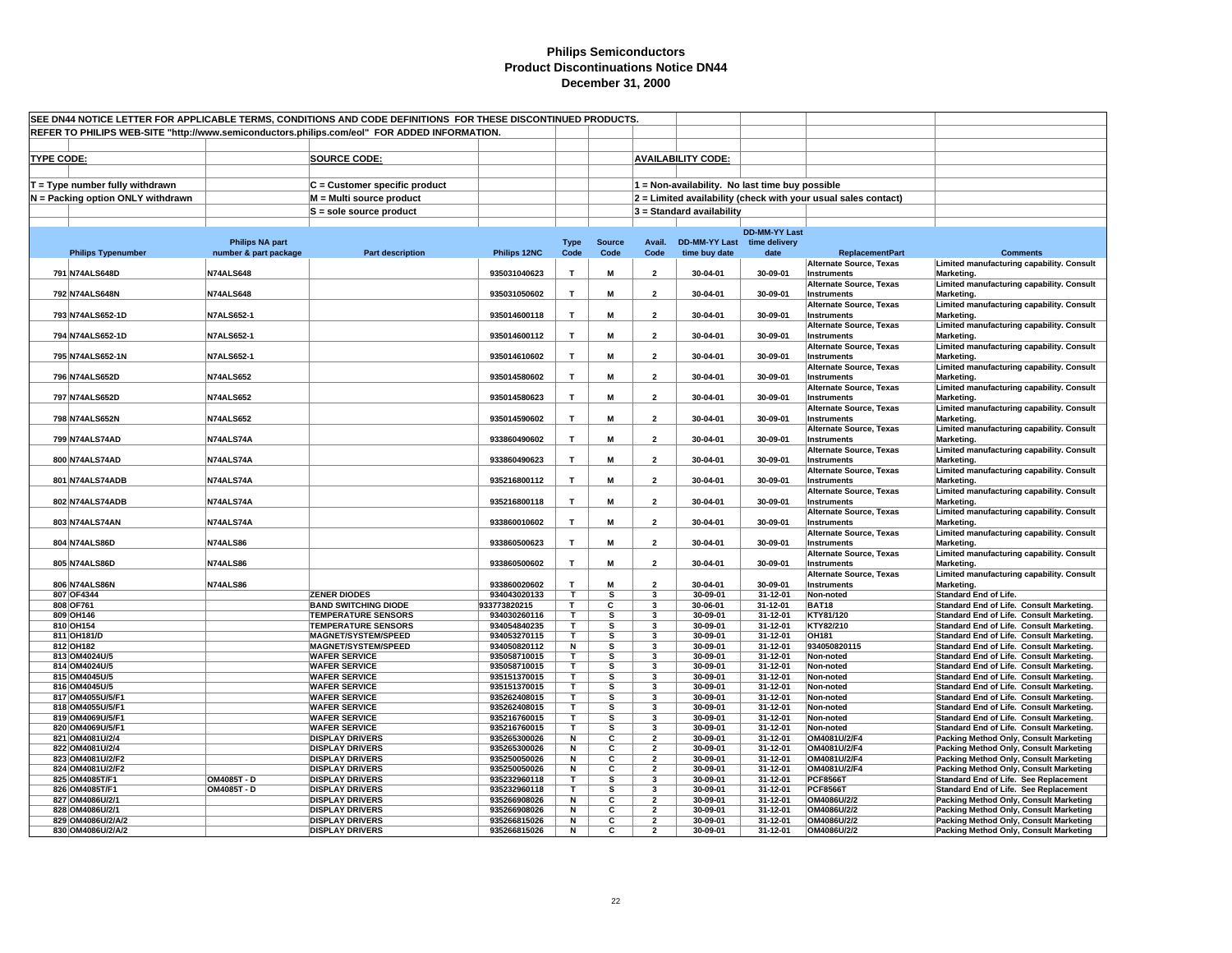| SEE DN44 NOTICE LETTER FOR APPLICABLE TERMS, CONDITIONS AND CODE DEFINITIONS FOR THESE DISCONTINUED PRODUCTS. |                                    |                                                 |                                                          |                              |                         |                         |                                           |                                                 |                      |                                                                |                                                                                      |
|---------------------------------------------------------------------------------------------------------------|------------------------------------|-------------------------------------------------|----------------------------------------------------------|------------------------------|-------------------------|-------------------------|-------------------------------------------|-------------------------------------------------|----------------------|----------------------------------------------------------------|--------------------------------------------------------------------------------------|
| REFER TO PHILIPS WEB-SITE "http://www.semiconductors.philips.com/eol" FOR ADDED INFORMATION.                  |                                    |                                                 |                                                          |                              |                         |                         |                                           |                                                 |                      |                                                                |                                                                                      |
|                                                                                                               |                                    |                                                 |                                                          |                              |                         |                         |                                           |                                                 |                      |                                                                |                                                                                      |
| <b>TYPE CODE:</b>                                                                                             |                                    |                                                 | <b>SOURCE CODE:</b>                                      |                              |                         |                         |                                           | <b>AVAILABILITY CODE:</b>                       |                      |                                                                |                                                                                      |
|                                                                                                               |                                    |                                                 |                                                          |                              |                         |                         |                                           |                                                 |                      |                                                                |                                                                                      |
|                                                                                                               |                                    |                                                 |                                                          |                              |                         |                         |                                           |                                                 |                      |                                                                |                                                                                      |
|                                                                                                               | $T = Type$ number fully withdrawn  |                                                 | $C =$ Customer specific product                          |                              |                         |                         |                                           | 1 = Non-availability. No last time buy possible |                      |                                                                |                                                                                      |
|                                                                                                               | N = Packing option ONLY withdrawn  |                                                 | M = Multi source product                                 |                              |                         |                         |                                           |                                                 |                      | 2 = Limited availability (check with your usual sales contact) |                                                                                      |
|                                                                                                               |                                    |                                                 | S = sole source product                                  |                              |                         |                         |                                           | 3 = Standard availability                       |                      |                                                                |                                                                                      |
|                                                                                                               |                                    |                                                 |                                                          |                              |                         |                         |                                           |                                                 |                      |                                                                |                                                                                      |
|                                                                                                               |                                    |                                                 |                                                          |                              |                         |                         |                                           | DD-MM-YY Last time delivery                     | <b>DD-MM-YY Last</b> |                                                                |                                                                                      |
|                                                                                                               | <b>Philips Typenumber</b>          | <b>Philips NA part</b><br>number & part package | <b>Part description</b>                                  | Philips 12NC                 | <b>Type</b><br>Code     | <b>Source</b><br>Code   | Avail.<br>Code                            | time buy date                                   | date                 | <b>ReplacementPart</b>                                         | <b>Comments</b>                                                                      |
|                                                                                                               |                                    |                                                 |                                                          |                              |                         |                         |                                           |                                                 |                      | <b>Alternate Source, Texas</b>                                 | Limited manufacturing capability. Consult                                            |
|                                                                                                               | 791 N74ALS648D                     | <b>N74ALS648</b>                                |                                                          | 935031040623                 | $\mathbf{T}$            | M                       | $\overline{2}$                            | 30-04-01                                        | 30-09-01             | <b>Instruments</b>                                             | Marketing.                                                                           |
|                                                                                                               |                                    |                                                 |                                                          |                              |                         |                         |                                           |                                                 |                      | <b>Alternate Source, Texas</b>                                 | Limited manufacturing capability. Consult                                            |
|                                                                                                               | 792 N74ALS648N                     | <b>N74ALS648</b>                                |                                                          | 935031050602                 | T                       | М                       | $\overline{2}$                            | 30-04-01                                        | 30-09-01             | <b>Instruments</b>                                             | Marketing.                                                                           |
|                                                                                                               |                                    |                                                 |                                                          |                              |                         |                         |                                           |                                                 |                      | Alternate Source, Texas                                        | Limited manufacturing capability. Consult                                            |
|                                                                                                               | 793 N74ALS652-1D                   | <b>N7ALS652-1</b>                               |                                                          | 935014600118                 | $\mathbf{T}$            | M                       | $\overline{\mathbf{2}}$                   | 30-04-01                                        | 30-09-01             | Instruments                                                    | Marketing.                                                                           |
|                                                                                                               |                                    |                                                 |                                                          |                              |                         |                         |                                           |                                                 |                      | Alternate Source, Texas                                        | Limited manufacturing capability. Consult                                            |
|                                                                                                               | 794 N74ALS652-1D                   | <b>N7ALS652-1</b>                               |                                                          | 935014600112                 | T                       | M                       | $\overline{2}$                            | 30-04-01                                        | 30-09-01             | <b>Instruments</b><br><b>Alternate Source, Texas</b>           | Marketing.<br>Limited manufacturing capability. Consult                              |
|                                                                                                               | 795 N74ALS652-1N                   | <b>N7ALS652-1</b>                               |                                                          | 935014610602                 | $\mathbf{T}$            | M                       | $\overline{\mathbf{2}}$                   | 30-04-01                                        | 30-09-01             | Instruments                                                    | Marketing.                                                                           |
|                                                                                                               |                                    |                                                 |                                                          |                              |                         |                         |                                           |                                                 |                      | Alternate Source, Texas                                        | Limited manufacturing capability. Consult                                            |
|                                                                                                               | 796 N74ALS652D                     | <b>N74ALS652</b>                                |                                                          | 935014580602                 | $\mathbf{T}$            | M                       | $\overline{2}$                            | 30-04-01                                        | 30-09-01             | Instruments                                                    | Marketing.                                                                           |
|                                                                                                               |                                    |                                                 |                                                          |                              |                         |                         |                                           |                                                 |                      | <b>Alternate Source, Texas</b>                                 | Limited manufacturing capability. Consult                                            |
|                                                                                                               | 797 N74ALS652D                     | <b>N74ALS652</b>                                |                                                          | 935014580623                 | $\mathbf T$             | M                       | $\overline{\mathbf{2}}$                   | 30-04-01                                        | 30-09-01             | <b>Instruments</b>                                             | Marketing.                                                                           |
|                                                                                                               |                                    |                                                 |                                                          |                              |                         |                         |                                           |                                                 |                      | <b>Alternate Source, Texas</b>                                 | Limited manufacturing capability. Consult                                            |
|                                                                                                               | 798 N74ALS652N                     | <b>N74ALS652</b>                                |                                                          | 935014590602                 | T                       | M                       | $\overline{2}$                            | 30-04-01                                        | 30-09-01             | <b>Instruments</b>                                             | Marketing.                                                                           |
|                                                                                                               |                                    |                                                 |                                                          |                              |                         |                         |                                           |                                                 |                      | <b>Alternate Source, Texas</b>                                 | Limited manufacturing capability. Consult                                            |
|                                                                                                               | 799 N74ALS74AD                     | N74ALS74A                                       |                                                          | 933860490602                 | T                       | М                       | $\overline{2}$                            | 30-04-01                                        | 30-09-01             | <b>Instruments</b>                                             | Marketing.<br>Limited manufacturing capability. Consult                              |
|                                                                                                               | 800 N74ALS74AD                     | N74ALS74A                                       |                                                          | 933860490623                 | T                       | M                       | $\overline{\mathbf{2}}$                   | 30-04-01                                        | 30-09-01             | Alternate Source, Texas<br>Instruments                         | Marketing.                                                                           |
|                                                                                                               |                                    |                                                 |                                                          |                              |                         |                         |                                           |                                                 |                      | <b>Alternate Source, Texas</b>                                 | Limited manufacturing capability. Consult                                            |
|                                                                                                               | 801 N74ALS74ADB                    | N74ALS74A                                       |                                                          | 935216800112                 | T                       | M                       | $\overline{2}$                            | 30-04-01                                        | 30-09-01             | <b>Instruments</b>                                             | Marketing.                                                                           |
|                                                                                                               |                                    |                                                 |                                                          |                              |                         |                         |                                           |                                                 |                      | <b>Alternate Source, Texas</b>                                 | Limited manufacturing capability. Consult                                            |
|                                                                                                               | 802 N74ALS74ADB                    | N74ALS74A                                       |                                                          | 935216800118                 | $\mathbf{r}$            | M                       | $\overline{2}$                            | 30-04-01                                        | 30-09-01             | <b>Instruments</b>                                             | Marketing.                                                                           |
|                                                                                                               |                                    |                                                 |                                                          |                              |                         |                         |                                           |                                                 |                      | Alternate Source, Texas                                        | Limited manufacturing capability. Consult                                            |
|                                                                                                               | 803 N74ALS74AN                     | N74ALS74A                                       |                                                          | 933860010602                 | $\mathbf{T}$            | M                       | $\overline{2}$                            | 30-04-01                                        | 30-09-01             | Instruments                                                    | Marketing.                                                                           |
|                                                                                                               |                                    |                                                 |                                                          |                              |                         |                         |                                           |                                                 |                      | <b>Alternate Source, Texas</b>                                 | Limited manufacturing capability. Consult                                            |
|                                                                                                               | 804 N74ALS86D                      | <b>N74ALS86</b>                                 |                                                          | 933860500623                 | Т                       | M                       | $\overline{2}$                            | 30-04-01                                        | 30-09-01             | Instruments<br><b>Alternate Source, Texas</b>                  | Marketing.<br>Limited manufacturing capability. Consult                              |
|                                                                                                               | 805 N74ALS86D                      | <b>N74ALS86</b>                                 |                                                          | 933860500602                 | T                       | М                       | $\overline{2}$                            | 30-04-01                                        | 30-09-01             | <b>Instruments</b>                                             | Marketing.                                                                           |
|                                                                                                               |                                    |                                                 |                                                          |                              |                         |                         |                                           |                                                 |                      | <b>Alternate Source, Texas</b>                                 | Limited manufacturing capability. Consult                                            |
|                                                                                                               | 806 N74ALS86N                      | <b>N74ALS86</b>                                 |                                                          | 933860020602                 | T                       | M                       | $\overline{2}$                            | 30-04-01                                        | 30-09-01             | <b>Instruments</b>                                             | Marketing.                                                                           |
|                                                                                                               | 807 OF4344                         |                                                 | <b>ZENER DIODES</b>                                      | 934043020133                 | т                       | s                       | $\overline{\mathbf{3}}$                   | 30-09-01                                        | 31-12-01             | Non-noted                                                      | <b>Standard End of Life.</b>                                                         |
|                                                                                                               | 808 OF761                          |                                                 | <b>BAND SWITCHING DIODE</b>                              | 933773820215                 | T.                      | С                       | $\overline{\mathbf{3}}$                   | 30-06-01                                        | 31-12-01             | <b>BAT18</b>                                                   | Standard End of Life. Consult Marketing.                                             |
|                                                                                                               | 809 OH146                          |                                                 | <b>TEMPERATURE SENSORS</b>                               | 934030260116                 | T.                      | s                       | 3                                         | 30-09-01                                        | 31-12-01             | KTY81/120                                                      | Standard End of Life. Consult Marketing.                                             |
|                                                                                                               | 810 OH154                          |                                                 | <b>TEMPERATURE SENSORS</b>                               | 934054840235                 | т                       | s                       | 3                                         | 30-09-01                                        | 31-12-01             | KTY82/210                                                      | Standard End of Life. Consult Marketing.                                             |
|                                                                                                               | 811 OH181/D<br>812 OH182           |                                                 | <b>MAGNET/SYSTEM/SPEED</b><br><b>MAGNET/SYSTEM/SPEED</b> | 934053270115<br>934050820112 | T.<br>N                 | s<br>s                  | 3<br>3                                    | 30-09-01<br>30-09-01                            | 31-12-01<br>31-12-01 | OH181<br>934050820115                                          | Standard End of Life. Consult Marketing.                                             |
|                                                                                                               | 813 OM4024U/5                      |                                                 | <b>WAFER SERVICE</b>                                     | 935058710015                 | $\overline{\mathsf{T}}$ | $\overline{\mathbf{s}}$ | 3                                         | 30-09-01                                        | 31-12-01             | Non-noted                                                      | Standard End of Life. Consult Marketing.<br>Standard End of Life. Consult Marketing. |
|                                                                                                               | 814 OM4024U/5                      |                                                 | <b>WAFER SERVICE</b>                                     | 935058710015                 | T.                      | s                       | 3                                         | 30-09-01                                        | 31-12-01             | Non-noted                                                      | Standard End of Life. Consult Marketing.                                             |
|                                                                                                               | 815 OM4045U/5                      |                                                 | <b>WAFER SERVICE</b>                                     | 935151370015                 | т                       | s                       | 3                                         | 30-09-01                                        | 31-12-01             | Non-noted                                                      | Standard End of Life. Consult Marketing.                                             |
|                                                                                                               | 816 OM4045U/5                      |                                                 | <b>WAFER SERVICE</b>                                     | 935151370015                 | T.                      | s                       | 3                                         | 30-09-01                                        | 31-12-01             | Non-noted                                                      | Standard End of Life. Consult Marketing.                                             |
|                                                                                                               | 817 OM4055U/5/F1                   |                                                 | <b>WAFER SERVICE</b>                                     | 935262408015                 | T.                      | s                       | 3                                         | 30-09-01                                        | 31-12-01             | Non-noted                                                      | Standard End of Life. Consult Marketing.                                             |
|                                                                                                               | 818 OM4055U/5/F1                   |                                                 | <b>WAFER SERVICE</b>                                     | 935262408015                 | т                       | s                       | 3                                         | 30-09-01                                        | 31-12-01             | Non-noted                                                      | Standard End of Life. Consult Marketing.                                             |
|                                                                                                               | 819 OM4069U/5/F1                   |                                                 | <b>WAFER SERVICE</b>                                     | 935216760015                 | т                       | s                       | 3                                         | 30-09-01                                        | 31-12-01             | Non-noted                                                      | Standard End of Life. Consult Marketing.                                             |
|                                                                                                               | 820 OM4069U/5/F1                   |                                                 | <b>WAFER SERVICE</b>                                     | 935216760015                 | T.                      | s                       | $\overline{\mathbf{3}}$                   | 30-09-01                                        | 31-12-01             | Non-noted                                                      | Standard End of Life. Consult Marketing.                                             |
|                                                                                                               | 821 OM4081U/2/4<br>822 OM4081U/2/4 |                                                 | <b>DISPLAY DRIVERS</b><br><b>DISPLAY DRIVERS</b>         | 935265300026<br>935265300026 | Ν<br>N                  | C<br>C                  | $\overline{2}$<br>$\overline{\mathbf{2}}$ | 30-09-01<br>30-09-01                            | 31-12-01<br>31-12-01 | OM4081U/2/F4<br>OM4081U/2/F4                                   | Packing Method Only, Consult Marketing<br>Packing Method Only, Consult Marketing     |
|                                                                                                               | 823 OM4081U/2/F2                   |                                                 | <b>DISPLAY DRIVERS</b>                                   | 935250050026                 | N                       | С                       | $\overline{2}$                            | 30-09-01                                        | 31-12-01             | OM4081U/2/F4                                                   | Packing Method Only, Consult Marketing                                               |
|                                                                                                               | 824 OM4081U/2/F2                   |                                                 | <b>DISPLAY DRIVERS</b>                                   | 935250050026                 | N                       | C                       | $\overline{2}$                            | 30-09-01                                        | 31-12-01             | OM4081U/2/F4                                                   | Packing Method Only, Consult Marketing                                               |
|                                                                                                               | 825 OM4085T/F1                     | OM4085T - D                                     | <b>DISPLAY DRIVERS</b>                                   | 935232960118                 | T.                      | s                       | 3                                         | 30-09-01                                        | 31-12-01             | <b>PCF8566T</b>                                                | Standard End of Life. See Replacement                                                |
|                                                                                                               | 826 OM4085T/F1                     | OM4085T - D                                     | <b>DISPLAY DRIVERS</b>                                   | 935232960118                 | T.                      | s                       | 3                                         | 30-09-01                                        | 31-12-01             | <b>PCF8566T</b>                                                | Standard End of Life. See Replacement                                                |
|                                                                                                               | 827 OM4086U/2/1                    |                                                 | <b>DISPLAY DRIVERS</b>                                   | 935266908026                 | N                       | С                       | $\overline{2}$                            | 30-09-01                                        | 31-12-01             | OM4086U/2/2                                                    | Packing Method Only, Consult Marketing                                               |
|                                                                                                               | 828 OM4086U/2/1                    |                                                 | <b>DISPLAY DRIVERS</b>                                   | 935266908026                 | N                       | C                       | $\overline{2}$                            | 30-09-01                                        | 31-12-01             | OM4086U/2/2                                                    | Packing Method Only, Consult Marketing                                               |
|                                                                                                               | 829 OM4086U/2/A/2                  |                                                 | <b>DISPLAY DRIVERS</b>                                   | 935266815026                 | N                       | C                       | $\overline{2}$                            | 30-09-01                                        | 31-12-01             | OM4086U/2/2                                                    | Packing Method Only, Consult Marketing                                               |
|                                                                                                               | 830 OM4086U/2/A/2                  |                                                 | <b>DISPLAY DRIVERS</b>                                   | 935266815026                 | N                       | C                       | $\overline{2}$                            | 30-09-01                                        | 31-12-01             | OM4086U/2/2                                                    | <b>Packing Method Only, Consult Marketing</b>                                        |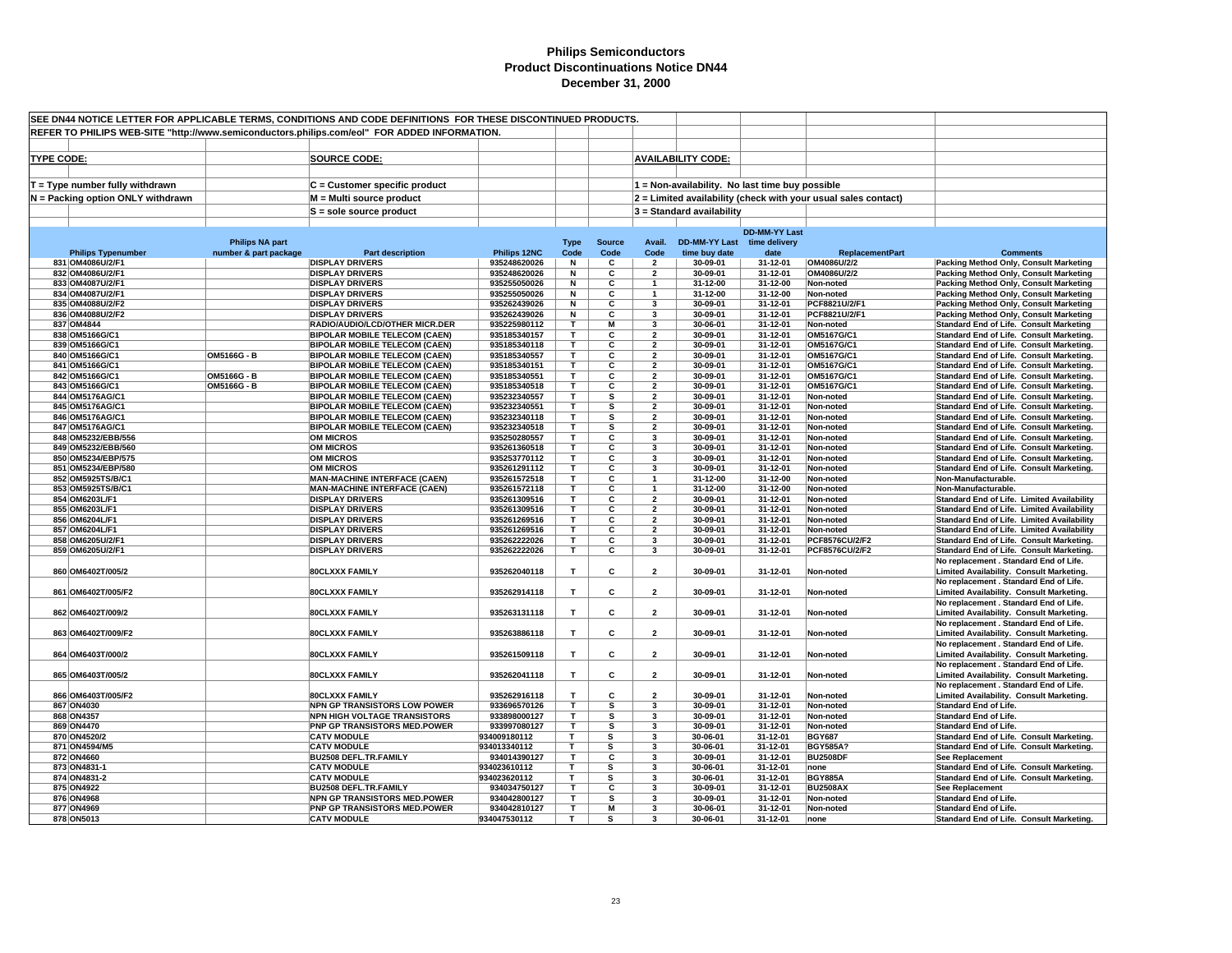| SEE DN44 NOTICE LETTER FOR APPLICABLE TERMS, CONDITIONS AND CODE DEFINITIONS FOR THESE DISCONTINUED PRODUCTS. |                        |                                                                        |                              |             |                         |                              |                                                 |                      |                                                                |                                                                                      |
|---------------------------------------------------------------------------------------------------------------|------------------------|------------------------------------------------------------------------|------------------------------|-------------|-------------------------|------------------------------|-------------------------------------------------|----------------------|----------------------------------------------------------------|--------------------------------------------------------------------------------------|
| REFER TO PHILIPS WEB-SITE "http://www.semiconductors.philips.com/eol" FOR ADDED INFORMATION.                  |                        |                                                                        |                              |             |                         |                              |                                                 |                      |                                                                |                                                                                      |
|                                                                                                               |                        |                                                                        |                              |             |                         |                              |                                                 |                      |                                                                |                                                                                      |
|                                                                                                               |                        |                                                                        |                              |             |                         |                              |                                                 |                      |                                                                |                                                                                      |
| <b>TYPE CODE:</b>                                                                                             |                        | <b>SOURCE CODE:</b>                                                    |                              |             |                         |                              | <b>AVAILABILITY CODE:</b>                       |                      |                                                                |                                                                                      |
|                                                                                                               |                        |                                                                        |                              |             |                         |                              |                                                 |                      |                                                                |                                                                                      |
| T = Type number fully withdrawn                                                                               |                        | C = Customer specific product                                          |                              |             |                         |                              | 1 = Non-availability. No last time buy possible |                      |                                                                |                                                                                      |
|                                                                                                               |                        |                                                                        |                              |             |                         |                              |                                                 |                      |                                                                |                                                                                      |
| N = Packing option ONLY withdrawn                                                                             |                        | M = Multi source product                                               |                              |             |                         |                              |                                                 |                      | 2 = Limited availability (check with your usual sales contact) |                                                                                      |
|                                                                                                               |                        | S = sole source product                                                |                              |             |                         |                              | $3$ = Standard availability                     |                      |                                                                |                                                                                      |
|                                                                                                               |                        |                                                                        |                              |             |                         |                              |                                                 |                      |                                                                |                                                                                      |
|                                                                                                               |                        |                                                                        |                              |             |                         |                              |                                                 | <b>DD-MM-YY Last</b> |                                                                |                                                                                      |
|                                                                                                               | <b>Philips NA part</b> |                                                                        |                              | <b>Type</b> | <b>Source</b>           | Avail.                       | <b>DD-MM-YY Last</b>                            | time delivery        |                                                                |                                                                                      |
| <b>Philips Typenumber</b>                                                                                     | number & part package  | <b>Part description</b>                                                | Philips 12NC                 | Code        | Code                    | Code                         | time buy date                                   | date                 | <b>ReplacementPart</b>                                         | <b>Comments</b>                                                                      |
| 831 OM4086U/2/F1                                                                                              |                        | <b>DISPLAY DRIVERS</b>                                                 | 935248620026                 | N           | C                       | $\overline{\mathbf{2}}$      | 30-09-01                                        | 31-12-01             | OM4086U/2/2                                                    | Packing Method Only, Consult Marketing                                               |
| 832 OM4086U/2/F1                                                                                              |                        | <b>DISPLAY DRIVERS</b>                                                 | 935248620026                 | N           | c                       | $\overline{\mathbf{2}}$      | 30-09-01                                        | 31-12-01             | OM4086U/2/2                                                    | Packing Method Only, Consult Marketing                                               |
| 833 OM4087U/2/F1                                                                                              |                        | <b>DISPLAY DRIVERS</b>                                                 | 935255050026                 | N           | С                       |                              | 31-12-00                                        | 31-12-00             | Non-noted                                                      | Packing Method Only, Consult Marketing                                               |
| 834 OM4087U/2/F1                                                                                              |                        | <b>DISPLAY DRIVERS</b>                                                 | 935255050026                 | N           | C                       | $\overline{\mathbf{3}}$      | 31-12-00                                        | 31-12-00             | Non-noted                                                      | Packing Method Only, Consult Marketing                                               |
| 835 OM4088U/2/F2<br>836 OM4088U/2/F2                                                                          |                        | <b>DISPLAY DRIVERS</b><br><b>DISPLAY DRIVERS</b>                       | 935262439026                 | N           | С<br>C                  | $\overline{\mathbf{3}}$      | 30-09-01<br>30-09-01                            | 31-12-01<br>31-12-01 | PCF8821U/2/F1<br>PCF8821U/2/F1                                 | Packing Method Only, Consult Marketing                                               |
|                                                                                                               |                        |                                                                        | 935262439026                 | N<br>T.     | M                       |                              |                                                 |                      |                                                                | Packing Method Only, Consult Marketing                                               |
| 837 OM4844<br>838 OM5166G/C1                                                                                  |                        | RADIO/AUDIO/LCD/OTHER MICR.DER<br><b>BIPOLAR MOBILE TELECOM (CAEN)</b> | 935225980112<br>935185340157 | т           | С                       | 3<br>$\overline{\mathbf{2}}$ | 30-06-01<br>30-09-01                            | 31-12-01<br>31-12-01 | Non-noted<br>OM5167G/C1                                        | <b>Standard End of Life. Consult Marketing</b>                                       |
| 839 OM5166G/C1                                                                                                |                        | <b>BIPOLAR MOBILE TELECOM (CAEN)</b>                                   | 935185340118                 | т           | С                       | $\overline{2}$               | 30-09-01                                        | 31-12-01             | OM5167G/C1                                                     | Standard End of Life. Consult Marketing.<br>Standard End of Life. Consult Marketing. |
| 840 OM5166G/C1                                                                                                | OM5166G - B            | <b>BIPOLAR MOBILE TELECOM (CAEN)</b>                                   | 935185340557                 | T.          | С                       | $\overline{\mathbf{2}}$      | 30-09-01                                        | 31-12-01             | OM5167G/C1                                                     | Standard End of Life. Consult Marketing.                                             |
| 841 OM5166G/C1                                                                                                |                        | <b>BIPOLAR MOBILE TELECOM (CAEN)</b>                                   | 935185340151                 | т           | С                       | $\overline{\mathbf{2}}$      | 30-09-01                                        | 31-12-01             | OM5167G/C1                                                     | Standard End of Life. Consult Marketing.                                             |
| 842 OM5166G/C1                                                                                                | OM5166G - B            | <b>BIPOLAR MOBILE TELECOM (CAEN)</b>                                   | 935185340551                 | T           | C                       | $\overline{2}$               | 30-09-01                                        | 31-12-01             | OM5167G/C1                                                     | Standard End of Life. Consult Marketing.                                             |
| 843 OM5166G/C1                                                                                                | OM5166G - B            | <b>BIPOLAR MOBILE TELECOM (CAEN)</b>                                   | 935185340518                 | т           | С                       | $\overline{2}$               | 30-09-01                                        | 31-12-01             | OM5167G/C1                                                     | Standard End of Life. Consult Marketing.                                             |
| 844 OM5176AG/C1                                                                                               |                        | <b>BIPOLAR MOBILE TELECOM (CAEN)</b>                                   | 935232340557                 | T.          | s                       | $\overline{2}$               | 30-09-01                                        | 31-12-01             | Non-noted                                                      | Standard End of Life. Consult Marketing.                                             |
| 845 OM5176AG/C1                                                                                               |                        | <b>BIPOLAR MOBILE TELECOM (CAEN)</b>                                   | 935232340551                 | т           | s                       | $\overline{\mathbf{2}}$      | 30-09-01                                        | 31-12-01             | Non-noted                                                      | Standard End of Life. Consult Marketing.                                             |
| 846 OM5176AG/C1                                                                                               |                        | <b>BIPOLAR MOBILE TELECOM (CAEN)</b>                                   | 935232340118                 | T.          | s                       | $\overline{2}$               | 30-09-01                                        | 31-12-01             | Non-noted                                                      | Standard End of Life. Consult Marketing.                                             |
| 847 OM5176AG/C1                                                                                               |                        | <b>BIPOLAR MOBILE TELECOM (CAEN)</b>                                   | 935232340518                 | T.          | s                       | $\overline{2}$               | 30-09-01                                        | 31-12-01             | Non-noted                                                      | Standard End of Life. Consult Marketing.                                             |
| 848 OM5232/EBB/556                                                                                            |                        | <b>OM MICROS</b>                                                       | 935250280557                 | T           | С                       | 3                            | 30-09-01                                        | 31-12-01             | Non-noted                                                      | Standard End of Life. Consult Marketing.                                             |
| 849 OM5232/EBB/560                                                                                            |                        | <b>OM MICROS</b>                                                       | 935261360518                 | T.          | C                       | $\overline{\mathbf{3}}$      | 30-09-01                                        | 31-12-01             | Non-noted                                                      | Standard End of Life. Consult Marketing.                                             |
| 850 OM5234/EBP/575                                                                                            |                        | <b>OM MICROS</b>                                                       | 935253770112                 | т           | C                       | $\overline{\mathbf{3}}$      | 30-09-01                                        | 31-12-01             | Non-noted                                                      | Standard End of Life. Consult Marketing.                                             |
| 851 OM5234/EBP/580                                                                                            |                        | <b>OM MICROS</b>                                                       | 935261291112                 | т           | С                       | 3                            | 30-09-01                                        | 31-12-01             | Non-noted                                                      | Standard End of Life. Consult Marketing.                                             |
| 852 OM5925TS/B/C1                                                                                             |                        | <b>MAN-MACHINE INTERFACE (CAEN)</b>                                    | 935261572518                 | T           | С                       | $\mathbf{1}$                 | 31-12-00                                        | 31-12-00             | Non-noted                                                      | Non-Manufacturable.                                                                  |
| 853 OM5925TS/B/C1                                                                                             |                        | <b>MAN-MACHINE INTERFACE (CAEN)</b>                                    | 935261572118                 | T.          | C                       |                              | 31-12-00                                        | 31-12-00             | Non-noted                                                      | Non-Manufacturable.                                                                  |
| 854 OM6203L/F1                                                                                                |                        | <b>DISPLAY DRIVERS</b>                                                 | 935261309516                 | т           | С                       | $\overline{\mathbf{2}}$      | 30-09-01                                        | 31-12-01             | Non-noted                                                      | Standard End of Life. Limited Availability                                           |
| 855 OM6203L/F1                                                                                                |                        | <b>DISPLAY DRIVERS</b>                                                 | 935261309516                 | т           | С                       | $\overline{2}$               | 30-09-01                                        | 31-12-01             | Non-noted                                                      | Standard End of Life. Limited Availability                                           |
| 856 OM6204L/F1                                                                                                |                        | <b>DISPLAY DRIVERS</b>                                                 | 935261269516                 | T.          | С                       | $\overline{2}$               | 30-09-01                                        | 31-12-01             | Non-noted                                                      | Standard End of Life. Limited Availability                                           |
| 857 OM6204L/F1                                                                                                |                        | <b>DISPLAY DRIVERS</b>                                                 | 935261269516                 | т           | С                       | $\overline{\mathbf{2}}$      | 30-09-01                                        | 31-12-01             | Non-noted                                                      | Standard End of Life. Limited Availability                                           |
| 858 OM6205U/2/F1                                                                                              |                        | <b>DISPLAY DRIVERS</b>                                                 | 935262222026                 | T.          | С                       | 3                            | 30-09-01                                        | 31-12-01             | PCF8576CU/2/F2                                                 | Standard End of Life. Consult Marketing.                                             |
| 859 OM6205U/2/F1                                                                                              |                        | <b>DISPLAY DRIVERS</b>                                                 | 935262222026                 | T.          | С                       | $\mathbf{3}$                 | 30-09-01                                        | 31-12-01             | PCF8576CU/2/F2                                                 | Standard End of Life. Consult Marketing.                                             |
|                                                                                                               |                        |                                                                        |                              |             |                         |                              |                                                 |                      |                                                                | No replacement . Standard End of Life.                                               |
| 860 OM6402T/005/2                                                                                             |                        | 80CLXXX FAMILY                                                         | 935262040118                 | T.          | c                       | $\overline{2}$               | 30-09-01                                        | 31-12-01             | Non-noted                                                      | Limited Availability. Consult Marketing.                                             |
|                                                                                                               |                        |                                                                        |                              |             |                         |                              |                                                 |                      |                                                                | No replacement . Standard End of Life.                                               |
| 861 OM6402T/005/F2                                                                                            |                        | 80CLXXX FAMILY                                                         | 935262914118                 | Т           | c                       | $\overline{\mathbf{2}}$      | 30-09-01                                        | 31-12-01             | Non-noted                                                      | Limited Availability. Consult Marketing.                                             |
|                                                                                                               |                        |                                                                        |                              |             |                         |                              |                                                 |                      |                                                                | No replacement . Standard End of Life.                                               |
| 862 OM6402T/009/2                                                                                             |                        | 80CLXXX FAMILY                                                         | 935263131118                 | T           | С                       | $\overline{\mathbf{2}}$      | 30-09-01                                        | 31-12-01             | Non-noted                                                      | Limited Availability. Consult Marketing.                                             |
|                                                                                                               |                        |                                                                        |                              |             |                         |                              |                                                 |                      |                                                                | No replacement . Standard End of Life.                                               |
| 863 OM6402T/009/F2                                                                                            |                        | <b>80CLXXX FAMILY</b>                                                  | 935263886118                 | T           | C                       | $\overline{2}$               | 30-09-01                                        | 31-12-01             | Non-noted                                                      | Limited Availability. Consult Marketing.                                             |
|                                                                                                               |                        |                                                                        |                              |             |                         |                              |                                                 |                      |                                                                | No replacement . Standard End of Life.                                               |
| 864 OM6403T/000/2                                                                                             |                        | 80CLXXX FAMILY                                                         | 935261509118                 | Т           | c                       | $\overline{\mathbf{2}}$      | 30-09-01                                        | 31-12-01             | Non-noted                                                      | Limited Availability. Consult Marketing.                                             |
|                                                                                                               |                        |                                                                        |                              |             |                         |                              |                                                 |                      |                                                                | No replacement . Standard End of Life.                                               |
| 865 OM6403T/005/2                                                                                             |                        | 80CLXXX FAMILY                                                         | 935262041118                 | T           | C                       | $\overline{2}$               | 30-09-01                                        | 31-12-01             | Non-noted                                                      | Limited Availability. Consult Marketing.                                             |
|                                                                                                               |                        |                                                                        |                              |             |                         |                              |                                                 |                      |                                                                | No replacement . Standard End of Life.                                               |
| 866 OM6403T/005/F2                                                                                            |                        | <b>80CLXXX FAMILY</b>                                                  | 935262916118                 | T.          | C                       | $\overline{2}$               | 30-09-01                                        | 31-12-01             | Non-noted                                                      | Limited Availability. Consult Marketing.                                             |
| 867 ON4030                                                                                                    |                        | NPN GP TRANSISTORS LOW POWER                                           | 933696570126                 | т           | $\overline{\mathbf{s}}$ | 3                            | 30-09-01                                        | 31-12-01             | Non-noted                                                      | Standard End of Life.                                                                |
| 868 ON4357                                                                                                    |                        | <b>NPN HIGH VOLTAGE TRANSISTORS</b>                                    | 933898000127                 | T.          | s                       | 3                            | 30-09-01                                        | 31-12-01             | Non-noted                                                      | <b>Standard End of Life.</b>                                                         |
| 869 ON4470                                                                                                    |                        | PNP GP TRANSISTORS MED.POWER                                           | 933997080127                 | T           | s                       | $\mathbf{3}$                 | 30-09-01                                        | 31-12-01             | Non-noted                                                      | <b>Standard End of Life.</b>                                                         |
| 870 ON4520/2                                                                                                  |                        | <b>CATV MODULE</b>                                                     | 934009180112                 | т           | s                       | $\overline{\mathbf{3}}$      | 30-06-01                                        | 31-12-01             | <b>BGY687</b>                                                  | Standard End of Life. Consult Marketing.                                             |
| 871 ON4594/M5                                                                                                 |                        | <b>CATV MODULE</b>                                                     | 934013340112                 | Т           | s                       | 3                            | 30-06-01                                        | 31-12-01             | <b>BGY585A?</b>                                                | Standard End of Life. Consult Marketing.                                             |
| 872 ON4660                                                                                                    |                        | <b>BU2508 DEFL.TR.FAMILY</b>                                           | 934014390127                 | T.          | C                       | $\overline{\mathbf{3}}$      | 30-09-01                                        | 31-12-01             | <b>BU2508DF</b>                                                | See Replacement                                                                      |
| 873 ON4831-1                                                                                                  |                        | <b>CATV MODULE</b>                                                     | 934023610112                 | т           | s                       | -3                           | 30-06-01                                        | 31-12-01             | none                                                           | Standard End of Life. Consult Marketing.                                             |
| 874 ON4831-2                                                                                                  |                        | <b>CATV MODULE</b>                                                     | 934023620112                 | т           | s                       | 3                            | 30-06-01                                        | 31-12-01             | <b>BGY885A</b>                                                 | Standard End of Life. Consult Marketing.                                             |
| 875 ON4922                                                                                                    |                        | <b>BU2508 DEFL.TR.FAMILY</b>                                           | 934034750127                 | т           | C                       | 3                            | 30-09-01                                        | 31-12-01             | <b>BU2508AX</b>                                                | <b>See Replacement</b>                                                               |
| 876 ON4968                                                                                                    |                        | NPN GP TRANSISTORS MED.POWER                                           | 934042800127                 | T           | s                       | 3                            | 30-09-01                                        | 31-12-01             | Non-noted                                                      | Standard End of Life.                                                                |
| 877 ON4969                                                                                                    |                        | PNP GP TRANSISTORS MED.POWER                                           | 934042810127                 | T.          | M                       | 3                            | 30-06-01                                        | 31-12-01             | Non-noted                                                      | Standard End of Life.                                                                |
| 878 ON5013                                                                                                    |                        | <b>CATV MODULE</b>                                                     | 934047530112                 | т           | s                       | $\mathbf{3}$                 | 30-06-01                                        | 31-12-01             | none                                                           | Standard End of Life. Consult Marketing.                                             |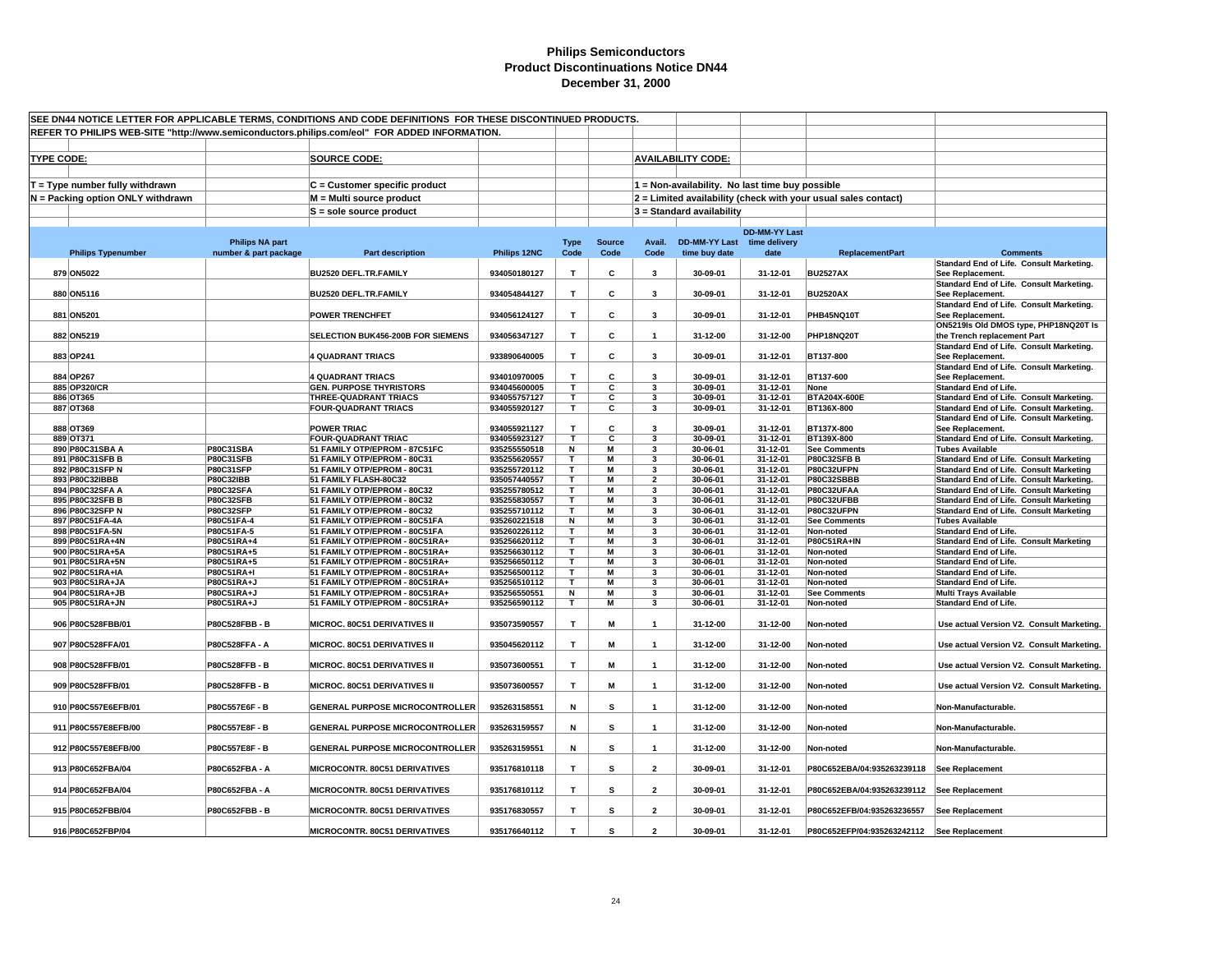| SEE DN44 NOTICE LETTER FOR APPLICABLE TERMS, CONDITIONS AND CODE DEFINITIONS FOR THESE DISCONTINUED PRODUCTS.<br>REFER TO PHILIPS WEB-SITE "http://www.semiconductors.philips.com/eol" FOR ADDED INFORMATION. |                                                                      |                                                 |                                                                  |                              |                     |                       |                              |                                                 |                      |                                                                |                                                                                                  |
|---------------------------------------------------------------------------------------------------------------------------------------------------------------------------------------------------------------|----------------------------------------------------------------------|-------------------------------------------------|------------------------------------------------------------------|------------------------------|---------------------|-----------------------|------------------------------|-------------------------------------------------|----------------------|----------------------------------------------------------------|--------------------------------------------------------------------------------------------------|
|                                                                                                                                                                                                               |                                                                      |                                                 |                                                                  |                              |                     |                       |                              |                                                 |                      |                                                                |                                                                                                  |
|                                                                                                                                                                                                               |                                                                      |                                                 |                                                                  |                              |                     |                       |                              |                                                 |                      |                                                                |                                                                                                  |
| <b>TYPE CODE:</b>                                                                                                                                                                                             |                                                                      |                                                 | <b>SOURCE CODE:</b>                                              |                              |                     |                       |                              | <b>AVAILABILITY CODE:</b>                       |                      |                                                                |                                                                                                  |
|                                                                                                                                                                                                               |                                                                      |                                                 |                                                                  |                              |                     |                       |                              |                                                 |                      |                                                                |                                                                                                  |
|                                                                                                                                                                                                               | T = Type number fully withdrawn<br>N = Packing option ONLY withdrawn |                                                 | $C =$ Customer specific product<br>M = Multi source product      |                              |                     |                       |                              | 1 = Non-availability. No last time buy possible |                      | 2 = Limited availability (check with your usual sales contact) |                                                                                                  |
|                                                                                                                                                                                                               |                                                                      |                                                 | S = sole source product                                          |                              |                     |                       |                              | 3 = Standard availability                       |                      |                                                                |                                                                                                  |
|                                                                                                                                                                                                               |                                                                      |                                                 |                                                                  |                              |                     |                       |                              |                                                 |                      |                                                                |                                                                                                  |
|                                                                                                                                                                                                               |                                                                      |                                                 |                                                                  |                              |                     |                       |                              |                                                 | <b>DD-MM-YY Last</b> |                                                                |                                                                                                  |
|                                                                                                                                                                                                               | <b>Philips Typenumber</b>                                            | <b>Philips NA part</b><br>number & part package | <b>Part description</b>                                          | Philips 12NC                 | <b>Type</b><br>Code | <b>Source</b><br>Code | Avail.<br>Code               | DD-MM-YY Last time delivery<br>time buy date    | date                 | <b>ReplacementPart</b>                                         | <b>Comments</b>                                                                                  |
|                                                                                                                                                                                                               |                                                                      |                                                 |                                                                  |                              |                     |                       |                              |                                                 |                      |                                                                | Standard End of Life. Consult Marketing.                                                         |
|                                                                                                                                                                                                               | 879 ON5022                                                           |                                                 | BU2520 DEFL.TR.FAMILY                                            | 934050180127                 | T                   | c                     | $\mathbf{3}$                 | 30-09-01                                        | 31-12-01             | <b>BU2527AX</b>                                                | See Replacement.                                                                                 |
|                                                                                                                                                                                                               | 880 ON5116                                                           |                                                 | BU2520 DEFL.TR.FAMILY                                            | 934054844127                 | T                   | С                     | 3                            | 30-09-01                                        | 31-12-01             | <b>BU2520AX</b>                                                | Standard End of Life. Consult Marketing.<br>See Replacement.                                     |
|                                                                                                                                                                                                               |                                                                      |                                                 |                                                                  |                              |                     |                       |                              |                                                 |                      |                                                                | Standard End of Life. Consult Marketing.                                                         |
|                                                                                                                                                                                                               | 881 ON5201                                                           |                                                 | <b>POWER TRENCHFET</b>                                           | 934056124127                 | T                   | С                     | 3                            | 30-09-01                                        | 31-12-01             | PHB45NQ10T                                                     | See Replacement.                                                                                 |
|                                                                                                                                                                                                               |                                                                      |                                                 |                                                                  |                              |                     |                       |                              |                                                 |                      |                                                                | ON5219Is Old DMOS type, PHP18NQ20T Is                                                            |
|                                                                                                                                                                                                               | 882 ON5219                                                           |                                                 | SELECTION BUK456-200B FOR SIEMENS                                | 934056347127                 | T                   | С                     | $\overline{1}$               | 31-12-00                                        | 31-12-00             | PHP18NQ20T                                                     | the Trench replacement Part<br>Standard End of Life. Consult Marketing.                          |
|                                                                                                                                                                                                               | 883 OP241                                                            |                                                 | <b>4 QUADRANT TRIACS</b>                                         | 933890640005                 | T                   | С                     | 3                            | 30-09-01                                        | 31-12-01             | BT137-800                                                      | See Replacement.                                                                                 |
|                                                                                                                                                                                                               |                                                                      |                                                 |                                                                  |                              |                     |                       |                              |                                                 |                      |                                                                | Standard End of Life. Consult Marketing.                                                         |
|                                                                                                                                                                                                               | 884 OP267                                                            |                                                 | <b>4 QUADRANT TRIACS</b>                                         | 934010970005                 | T.                  | C                     | $\overline{\mathbf{3}}$      | 30-09-01                                        | 31-12-01             | BT137-600                                                      | See Replacement.                                                                                 |
|                                                                                                                                                                                                               | 885 OP320/CR<br>886 OT365                                            |                                                 | <b>GEN. PURPOSE THYRISTORS</b><br><b>THREE-QUADRANT TRIACS</b>   | 934045600005<br>934055757127 | T.<br>т             | С<br>С                | 3<br>3                       | 30-09-01<br>30-09-01                            | 31-12-01<br>31-12-01 | None<br>BTA204X-600E                                           | <b>Standard End of Life.</b><br>Standard End of Life. Consult Marketing.                         |
|                                                                                                                                                                                                               | 887 OT368                                                            |                                                 | <b>FOUR-QUADRANT TRIACS</b>                                      | 934055920127                 | T.                  | C                     | 3                            | 30-09-01                                        | 31-12-01             | BT136X-800                                                     | Standard End of Life. Consult Marketing.                                                         |
|                                                                                                                                                                                                               |                                                                      |                                                 |                                                                  |                              |                     |                       |                              |                                                 |                      |                                                                | Standard End of Life. Consult Marketing.                                                         |
|                                                                                                                                                                                                               | 888 OT369                                                            |                                                 | <b>POWER TRIAC</b>                                               | 934055921127                 | T.                  | c                     | $\overline{\mathbf{3}}$<br>3 | 30-09-01                                        | 31-12-01             | BT137X-800                                                     | See Replacement.                                                                                 |
|                                                                                                                                                                                                               | 889 OT371<br>890 P80C31SBA A                                         | P80C31SBA                                       | <b>FOUR-QUADRANT TRIAC</b><br>51 FAMILY OTP/EPROM - 87C51FC      | 934055923127<br>935255550518 | T<br>N              | С<br>M                | 3                            | 30-09-01<br>30-06-01                            | 31-12-01<br>31-12-01 | BT139X-800<br><b>See Comments</b>                              | Standard End of Life. Consult Marketing.<br><b>Tubes Available</b>                               |
|                                                                                                                                                                                                               | 891 P80C31SFB B                                                      | P80C31SFB                                       | 51 FAMILY OTP/EPROM - 80C31                                      | 935255620557                 | T                   | M                     | $\overline{\mathbf{3}}$      | 30-06-01                                        | 31-12-01             | <b>P80C32SFB B</b>                                             | <b>Standard End of Life. Consult Marketing</b>                                                   |
|                                                                                                                                                                                                               | 892 P80C31SFP N                                                      | P80C31SFP                                       | 51 FAMILY OTP/EPROM - 80C31                                      | 935255720112                 | т                   | М                     | 3                            | 30-06-01                                        | 31-12-01             | P80C32UFPN                                                     | Standard End of Life. Consult Marketing                                                          |
|                                                                                                                                                                                                               | 893 P80C32IBBB                                                       | <b>P80C32IBB</b>                                | 51 FAMILY FLASH-80C32                                            | 935057440557                 | т                   | М                     | $\overline{\mathbf{2}}$      | 30-06-01                                        | 31-12-01             | P80C32SBBB                                                     | Standard End of Life. Consult Marketing.                                                         |
|                                                                                                                                                                                                               | 894 P80C32SFA A<br>895 P80C32SFB B                                   | <b>P80C32SFA</b><br><b>P80C32SFB</b>            | 51 FAMILY OTP/EPROM - 80C32<br>51 FAMILY OTP/EPROM - 80C32       | 935255780512<br>935255830557 | т<br>$\mathbf{r}$   | M<br>M                | 3<br>$\mathbf{3}$            | 30-06-01<br>30-06-01                            | 31-12-01<br>31-12-01 | P80C32UFAA<br>P80C32UFBB                                       | <b>Standard End of Life. Consult Marketing</b><br><b>Standard End of Life. Consult Marketing</b> |
|                                                                                                                                                                                                               | 896 P80C32SFP N                                                      | <b>P80C32SFP</b>                                | 51 FAMILY OTP/EPROM - 80C32                                      | 935255710112                 | T                   | M                     | 3                            | 30-06-01                                        | 31-12-01             | P80C32UFPN                                                     | <b>Standard End of Life. Consult Marketing</b>                                                   |
|                                                                                                                                                                                                               | 897 P80C51FA-4A                                                      | P80C51FA-4                                      | 51 FAMILY OTP/EPROM - 80C51FA                                    | 935260221518                 | N                   | $\overline{M}$        | 3                            | 30-06-01                                        | 31-12-01             | <b>See Comments</b>                                            | <b>Tubes Available</b>                                                                           |
|                                                                                                                                                                                                               | 898 P80C51FA-5N                                                      | P80C51FA-5                                      | 51 FAMILY OTP/EPROM - 80C51FA                                    | 935260226112                 | т<br>т              | M<br>М                | 3<br>3                       | 30-06-01                                        | 31-12-01             | Non-noted                                                      | <b>Standard End of Life.</b>                                                                     |
|                                                                                                                                                                                                               | 899 P80C51RA+4N<br>900 P80C51RA+5A                                   | P80C51RA+4<br>P80C51RA+5                        | 51 FAMILY OTP/EPROM - 80C51RA+<br>51 FAMILY OTP/EPROM - 80C51RA+ | 935256620112<br>935256630112 | т                   | M                     | 3                            | 30-06-01<br>30-06-01                            | 31-12-01<br>31-12-01 | <b>P80C51RA+IN</b><br>Non-noted                                | <b>Standard End of Life. Consult Marketing</b><br><b>Standard End of Life.</b>                   |
|                                                                                                                                                                                                               | 901 P80C51RA+5N                                                      | P80C51RA+5                                      | 51 FAMILY OTP/EPROM - 80C51RA+                                   | 935256650112                 | т                   | M                     | 3                            | 30-06-01                                        | 31-12-01             | Non-noted                                                      | <b>Standard End of Life.</b>                                                                     |
|                                                                                                                                                                                                               | 902 P80C51RA+IA                                                      | <b>P80C51RA+I</b>                               | 51 FAMILY OTP/EPROM - 80C51RA+                                   | 935256500112                 | т                   | м                     | 3                            | 30-06-01                                        | 31-12-01             | Non-noted                                                      | <b>Standard End of Life.</b>                                                                     |
|                                                                                                                                                                                                               | 903 P80C51RA+JA                                                      | P80C51RA+J                                      | 51 FAMILY OTP/EPROM - 80C51RA+                                   | 935256510112                 | т                   | м                     | 3                            | 30-06-01                                        | 31-12-01             | Non-noted                                                      | <b>Standard End of Life.</b>                                                                     |
|                                                                                                                                                                                                               | 904 P80C51RA+JB<br>905 P80C51RA+JN                                   | P80C51RA+J<br>P80C51RA+J                        | 51 FAMILY OTP/EPROM - 80C51RA+<br>51 FAMILY OTP/EPROM - 80C51RA+ | 935256550551<br>935256590112 | N<br>T              | M<br>M                | 3<br>3                       | 30-06-01<br>30-06-01                            | 31-12-01<br>31-12-01 | <b>See Comments</b><br>Non-noted                               | <b>Multi Trays Available</b><br><b>Standard End of Life.</b>                                     |
|                                                                                                                                                                                                               |                                                                      |                                                 |                                                                  |                              |                     |                       |                              |                                                 |                      |                                                                |                                                                                                  |
|                                                                                                                                                                                                               | 906 P80C528FBB/01                                                    | P80C528FBB - B                                  | MICROC. 80C51 DERIVATIVES II                                     | 935073590557                 | T                   | M                     | $\overline{1}$               | 31-12-00                                        | 31-12-00             | Non-noted                                                      | Use actual Version V2. Consult Marketing.                                                        |
|                                                                                                                                                                                                               |                                                                      |                                                 |                                                                  |                              |                     |                       |                              |                                                 |                      |                                                                |                                                                                                  |
|                                                                                                                                                                                                               | 907 P80C528FFA/01                                                    | P80C528FFA - A                                  | MICROC. 80C51 DERIVATIVES II                                     | 935045620112                 | $\mathbf{T}$        | M                     | $\overline{\mathbf{1}}$      | 31-12-00                                        | 31-12-00             | Non-noted                                                      | Use actual Version V2. Consult Marketing.                                                        |
|                                                                                                                                                                                                               | 908 P80C528FFB/01                                                    | P80C528FFB-B                                    | <b>MICROC, 80C51 DERIVATIVES II</b>                              | 935073600551                 | T                   | М                     | $\overline{1}$               | 31-12-00                                        | 31-12-00             | Non-noted                                                      | Use actual Version V2. Consult Marketing.                                                        |
|                                                                                                                                                                                                               |                                                                      |                                                 |                                                                  |                              |                     |                       |                              |                                                 |                      |                                                                |                                                                                                  |
|                                                                                                                                                                                                               | 909 P80C528FFB/01                                                    | P80C528FFB-B                                    | MICROC. 80C51 DERIVATIVES II                                     | 935073600557                 | $\mathbf{T}$        | М                     | $\mathbf{1}$                 | 31-12-00                                        | 31-12-00             | Non-noted                                                      | Use actual Version V2. Consult Marketing.                                                        |
|                                                                                                                                                                                                               | 910 P80C557E6EFB/01                                                  | P80C557E6F - B                                  | GENERAL PURPOSE MICROCONTROLLER                                  | 935263158551                 | N                   | s                     | $\overline{1}$               | 31-12-00                                        | 31-12-00             | Non-noted                                                      | Non-Manufacturable.                                                                              |
|                                                                                                                                                                                                               |                                                                      |                                                 |                                                                  |                              |                     |                       |                              |                                                 |                      |                                                                |                                                                                                  |
|                                                                                                                                                                                                               | 911 P80C557E8EFB/00                                                  | P80C557E8F - B                                  | <b>GENERAL PURPOSE MICROCONTROLLER</b>                           | 935263159557                 | Ν                   | s                     | $\mathbf{1}$                 | 31-12-00                                        | 31-12-00             | Non-noted                                                      | Non-Manufacturable.                                                                              |
|                                                                                                                                                                                                               |                                                                      |                                                 |                                                                  |                              |                     |                       |                              |                                                 |                      |                                                                | Non-Manufacturable.                                                                              |
|                                                                                                                                                                                                               | 912 P80C557E8EFB/00                                                  | P80C557E8F - B                                  | <b>GENERAL PURPOSE MICROCONTROLLER</b>                           | 935263159551                 | N                   | s                     | $\mathbf{1}$                 | 31-12-00                                        | 31-12-00             | Non-noted                                                      |                                                                                                  |
|                                                                                                                                                                                                               | 913 P80C652FBA/04                                                    | P80C652FBA - A                                  | <b>MICROCONTR. 80C51 DERIVATIVES</b>                             | 935176810118                 | T                   | s                     | $\overline{\mathbf{2}}$      | 30-09-01                                        | 31-12-01             | P80C652EBA/04:935263239118                                     | See Replacement                                                                                  |
|                                                                                                                                                                                                               |                                                                      |                                                 |                                                                  |                              |                     |                       |                              |                                                 |                      |                                                                |                                                                                                  |
|                                                                                                                                                                                                               | 914 P80C652FBA/04                                                    | P80C652FBA - A                                  | MICROCONTR. 80C51 DERIVATIVES                                    | 935176810112                 | T                   | s                     | $\overline{\mathbf{2}}$      | 30-09-01                                        | 31-12-01             | P80C652EBA/04:935263239112 See Replacement                     |                                                                                                  |
|                                                                                                                                                                                                               | 915 P80C652FBB/04                                                    | P80C652FBB - B                                  | MICROCONTR. 80C51 DERIVATIVES                                    | 935176830557                 | T                   | s                     | $\overline{2}$               | 30-09-01                                        | 31-12-01             | P80C652EFB/04:935263236557                                     | <b>See Replacement</b>                                                                           |
|                                                                                                                                                                                                               |                                                                      |                                                 |                                                                  |                              |                     |                       |                              |                                                 |                      |                                                                |                                                                                                  |
|                                                                                                                                                                                                               | 916 P80C652FBP/04                                                    |                                                 | <b>MICROCONTR. 80C51 DERIVATIVES</b>                             | 935176640112                 | T.                  | s                     | $\overline{\phantom{a}}$     | 30-09-01                                        | 31-12-01             | P80C652EFP/04:935263242112                                     | See Replacement                                                                                  |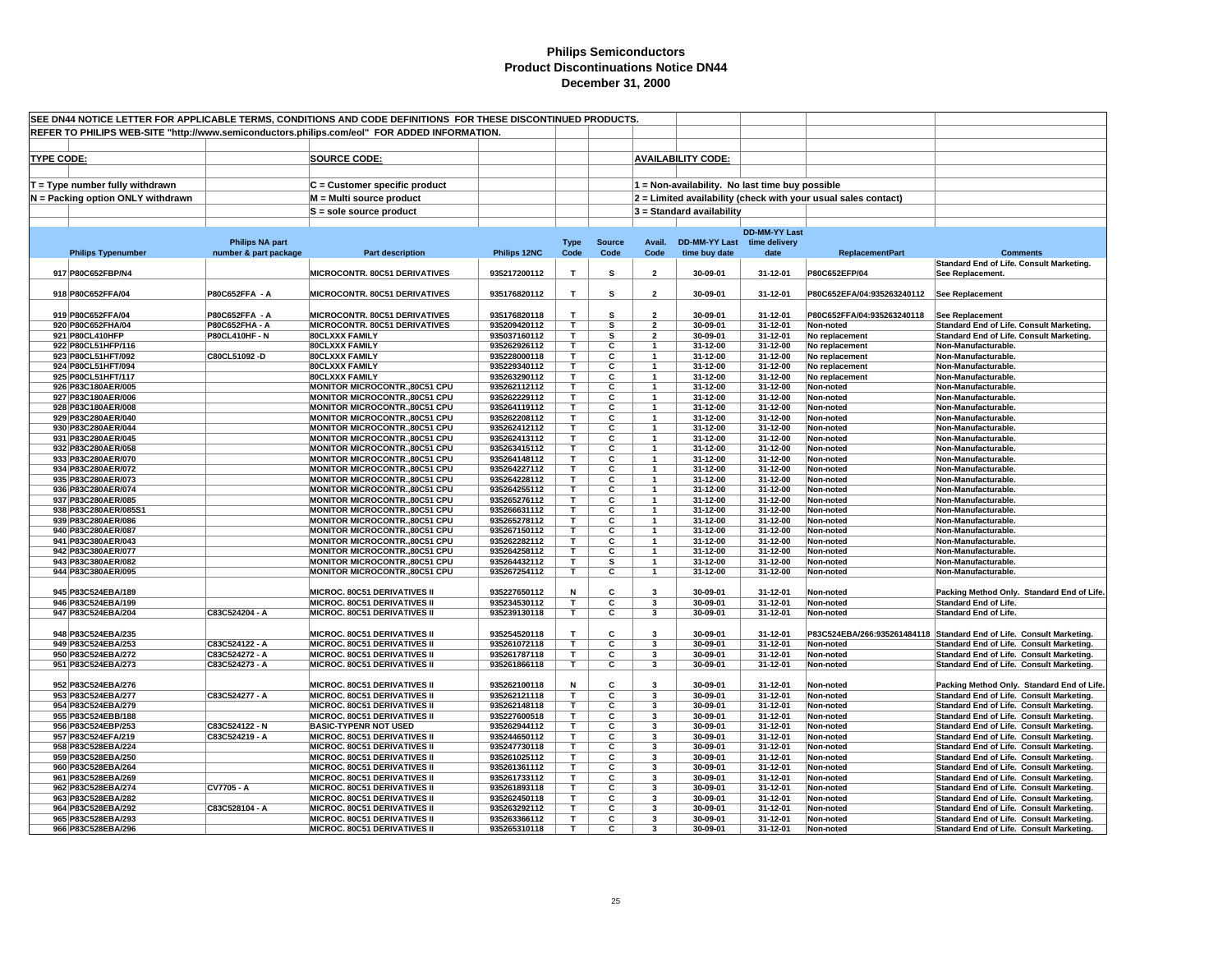|                   |                                            |                                         | SEE DN44 NOTICE LETTER FOR APPLICABLE TERMS, CONDITIONS AND CODE DEFINITIONS FOR THESE DISCONTINUED PRODUCTS. |                              |                         |                         |                                  |                                                 |                      |                                                                |                                                                                        |
|-------------------|--------------------------------------------|-----------------------------------------|---------------------------------------------------------------------------------------------------------------|------------------------------|-------------------------|-------------------------|----------------------------------|-------------------------------------------------|----------------------|----------------------------------------------------------------|----------------------------------------------------------------------------------------|
|                   |                                            |                                         | REFER TO PHILIPS WEB-SITE "http://www.semiconductors.philips.com/eol" FOR ADDED INFORMATION.                  |                              |                         |                         |                                  |                                                 |                      |                                                                |                                                                                        |
| <b>TYPE CODE:</b> |                                            |                                         | <b>SOURCE CODE:</b>                                                                                           |                              |                         |                         |                                  | <b>AVAILABILITY CODE:</b>                       |                      |                                                                |                                                                                        |
|                   |                                            |                                         |                                                                                                               |                              |                         |                         |                                  |                                                 |                      |                                                                |                                                                                        |
|                   | $T = Type$ number fully withdrawn          |                                         | $C =$ Customer specific product                                                                               |                              |                         |                         |                                  | 1 = Non-availability. No last time buy possible |                      |                                                                |                                                                                        |
|                   | N = Packing option ONLY withdrawn          |                                         | M = Multi source product                                                                                      |                              |                         |                         |                                  |                                                 |                      | 2 = Limited availability (check with your usual sales contact) |                                                                                        |
|                   |                                            |                                         | S = sole source product                                                                                       |                              |                         |                         |                                  | 3 = Standard availability                       |                      |                                                                |                                                                                        |
|                   |                                            |                                         |                                                                                                               |                              |                         |                         |                                  |                                                 | <b>DD-MM-YY Last</b> |                                                                |                                                                                        |
|                   |                                            | <b>Philips NA part</b>                  |                                                                                                               |                              | <b>Type</b>             | <b>Source</b>           | Avail.                           | <b>DD-MM-YY Last</b>                            | time delivery        |                                                                |                                                                                        |
|                   | <b>Philips Typenumber</b>                  | number & part package                   | <b>Part description</b>                                                                                       | Philips 12NC                 | Code                    | Code                    | Code                             | time buy date                                   | date                 | <b>ReplacementPart</b>                                         | <b>Comments</b><br>Standard End of Life. Consult Marketing.                            |
|                   | 917 P80C652FBP/N4                          |                                         | MICROCONTR. 80C51 DERIVATIVES                                                                                 | 935217200112                 | т                       | s                       | $\overline{\mathbf{2}}$          | 30-09-01                                        | 31-12-01             | P80C652EFP/04                                                  | See Replacement.                                                                       |
|                   | 918 P80C652FFA/04                          | P80C652FFA - A                          | MICROCONTR. 80C51 DERIVATIVES                                                                                 | 935176820112                 | T                       | s                       | $\overline{2}$                   | 30-09-01                                        | 31-12-01             | P80C652EFA/04:935263240112                                     | <b>See Replacement</b>                                                                 |
|                   |                                            |                                         |                                                                                                               |                              |                         |                         |                                  |                                                 |                      |                                                                |                                                                                        |
|                   | 919 P80C652FFA/04                          | P80C652FFA - A                          | <b>MICROCONTR. 80C51 DERIVATIVES</b>                                                                          | 935176820118                 | T                       | s                       | $\overline{2}$                   | 30-09-01                                        | 31-12-01             | P80C652FFA/04:935263240118                                     | <b>See Replacement</b>                                                                 |
|                   | 920 P80C652FHA/04<br>921 P80CL410HFP       | P80C652FHA - A<br><b>P80CL410HF - N</b> | MICROCONTR. 80C51 DERIVATIVES<br><b>80CLXXX FAMILY</b>                                                        | 935209420112<br>935037160112 | T<br>Τ                  | s<br>s                  | $\overline{2}$<br>$\overline{2}$ | 30-09-01<br>30-09-01                            | 31-12-01<br>31-12-01 | Non-noted<br>No replacement                                    | Standard End of Life. Consult Marketing.<br>Standard End of Life. Consult Marketing.   |
|                   | 922 P80CL51HFP/116                         |                                         | <b>80CLXXX FAMILY</b>                                                                                         | 935262926112                 | T.                      | C                       |                                  | 31-12-00                                        | 31-12-00             | No replacement                                                 | Non-Manufacturable.                                                                    |
|                   | 923 P80CL51HFT/092                         | C80CL51092-D                            | <b>80CLXXX FAMILY</b>                                                                                         | 935228000118                 | $\overline{\mathsf{T}}$ | $\overline{\mathbf{c}}$ | $\mathbf{1}$                     | 31-12-00                                        | 31-12-00             | No replacement                                                 | Non-Manufacturable.                                                                    |
|                   | 924 P80CL51HFT/094                         |                                         | <b>80CLXXX FAMILY</b>                                                                                         | 935229340112                 | т                       | C                       | $\overline{1}$                   | 31-12-00                                        | 31-12-00             | No replacement                                                 | Non-Manufacturable.                                                                    |
|                   | 925 P80CL51HFT/117                         |                                         | <b>80CLXXX FAMILY</b>                                                                                         | 935263290112                 | T.                      | C                       | $\mathbf{1}$                     | 31-12-00                                        | 31-12-00             | No replacement                                                 | Non-Manufacturable.                                                                    |
|                   | 926 P83C180AER/005                         |                                         | MONITOR MICROCONTR.,80C51 CPU                                                                                 | 935262112112                 | т                       | C                       | $\mathbf{1}$                     | 31-12-00                                        | 31-12-00             | Non-noted                                                      | Non-Manufacturable.                                                                    |
|                   | 927 P83C180AER/006                         |                                         | MONITOR MICROCONTR.,80C51 CPU                                                                                 | 935262229112                 | T.<br>т                 | C                       | $\mathbf{1}$                     | 31-12-00                                        | 31-12-00             | Non-noted                                                      | Non-Manufacturable.                                                                    |
|                   | 928 P83C180AER/008<br>929 P83C280AER/040   |                                         | MONITOR MICROCONTR.,80C51 CPU<br>MONITOR MICROCONTR.,80C51 CPU                                                | 935264119112<br>935262208112 | т                       | С<br>C                  | $\mathbf{1}$<br>$\mathbf{1}$     | 31-12-00<br>31-12-00                            | 31-12-00<br>31-12-00 | Non-noted<br>Non-noted                                         | Non-Manufacturable.<br>Non-Manufacturable.                                             |
|                   | 930 P83C280AER/044                         |                                         | <b>MONITOR MICROCONTR.,80C51 CPU</b>                                                                          | 935262412112                 | T.                      | С                       | $\mathbf{1}$                     | 31-12-00                                        | 31-12-00             | Non-noted                                                      | Non-Manufacturable                                                                     |
|                   | 931 P83C280AER/045                         |                                         | MONITOR MICROCONTR., 80C51 CPU                                                                                | 935262413112                 | T.                      | C                       |                                  | 31-12-00                                        | 31-12-00             | Non-noted                                                      | Non-Manufacturable.                                                                    |
|                   | 932 P83C280AER/058                         |                                         | MONITOR MICROCONTR.,80C51 CPU                                                                                 | 935263415112                 | T.                      | C                       |                                  | 31-12-00                                        | 31-12-00             | Non-noted                                                      | Non-Manufacturable.                                                                    |
|                   | 933 P83C280AER/070                         |                                         | MONITOR MICROCONTR.,80C51 CPU                                                                                 | 935264148112                 | т                       | C                       | $\mathbf{1}$                     | 31-12-00                                        | 31-12-00             | Non-noted                                                      | Non-Manufacturable.                                                                    |
|                   | 934 P83C280AER/072                         |                                         | MONITOR MICROCONTR.,80C51 CPU                                                                                 | 935264227112                 | т                       | C                       | $\overline{1}$                   | 31-12-00                                        | 31-12-00             | Non-noted                                                      | Non-Manufacturable.                                                                    |
|                   | 935 P83C280AER/073                         |                                         | MONITOR MICROCONTR.,80C51 CPU                                                                                 | 935264228112                 | T                       | C                       | $\mathbf{1}$                     | 31-12-00                                        | 31-12-00             | Non-noted                                                      | Non-Manufacturable.                                                                    |
|                   | 936 P83C280AER/074                         |                                         | MONITOR MICROCONTR.,80C51 CPU                                                                                 | 935264255112                 | T.                      | C<br>C                  | -1                               | 31-12-00                                        | 31-12-00             | Non-noted                                                      | Non-Manufacturable.                                                                    |
|                   | 937 P83C280AER/085<br>938 P83C280AER/085S1 |                                         | MONITOR MICROCONTR.,80C51 CPU<br>MONITOR MICROCONTR.,80C51 CPU                                                | 935265276112<br>935266631112 | T.<br>т                 | C                       | $\mathbf{1}$<br>$\mathbf{1}$     | 31-12-00<br>31-12-00                            | 31-12-00<br>31-12-00 | Non-noted<br>Non-noted                                         | Non-Manufacturable.<br>Non-Manufacturable.                                             |
|                   | 939 P83C280AER/086                         |                                         | MONITOR MICROCONTR.,80C51 CPU                                                                                 | 935265278112                 | T.                      | C                       |                                  | 31-12-00                                        | 31-12-00             | Non-noted                                                      | Non-Manufacturable.                                                                    |
|                   | 940 P83C280AER/087                         |                                         | MONITOR MICROCONTR.,80C51 CPU                                                                                 | 935267150112                 | T.                      | C                       | $\overline{1}$                   | 31-12-00                                        | 31-12-00             | Non-noted                                                      | Non-Manufacturable.                                                                    |
|                   | 941 P83C380AER/043                         |                                         | MONITOR MICROCONTR.,80C51 CPU                                                                                 | 935262282112                 | $\overline{\mathsf{r}}$ | $\overline{\mathbf{c}}$ | $\overline{1}$                   | 31-12-00                                        | 31-12-00             | Non-noted                                                      | Non-Manufacturable.                                                                    |
|                   | 942 P83C380AER/077                         |                                         | MONITOR MICROCONTR.,80C51 CPU                                                                                 | 935264258112                 | т                       | C                       | $\mathbf{1}$                     | 31-12-00                                        | 31-12-00             | Non-noted                                                      | Non-Manufacturable.                                                                    |
|                   | 943 P83C380AER/082                         |                                         | MONITOR MICROCONTR.,80C51 CPU                                                                                 | 935264432112                 | Τ                       | s                       | $\mathbf{1}$                     | 31-12-00                                        | 31-12-00             | Non-noted                                                      | Non-Manufacturable.                                                                    |
|                   | 944 P83C380AER/095                         |                                         | MONITOR MICROCONTR.,80C51 CPU                                                                                 | 935267254112                 | T.                      | C                       | $\mathbf{1}$                     | 31-12-00                                        | 31-12-00             | Non-noted                                                      | Non-Manufacturable.                                                                    |
|                   | 945 P83C524EBA/189                         |                                         | <b>MICROC. 80C51 DERIVATIVES II</b>                                                                           | 935227650112                 | Ν                       | C                       | -3                               | 30-09-01                                        | 31-12-01             | Non-noted                                                      | Packing Method Only. Standard End of Life.                                             |
|                   | 946 P83C524EBA/199                         |                                         | <b>MICROC. 80C51 DERIVATIVES II</b>                                                                           | 935234530112                 | т                       | C                       | 3                                | 30-09-01                                        | 31-12-01             | Non-noted                                                      | <b>Standard End of Life.</b>                                                           |
|                   | 947 P83C524EBA/204                         | C83C524204 - A                          | MICROC. 80C51 DERIVATIVES II                                                                                  | 935239130118                 | T                       | C                       | $\overline{\mathbf{3}}$          | 30-09-01                                        | 31-12-01             | Non-noted                                                      | <b>Standard End of Life.</b>                                                           |
|                   | 948 P83C524EBA/235                         |                                         | <b>MICROC. 80C51 DERIVATIVES II</b>                                                                           | 935254520118                 | т                       | C                       | 3                                | 30-09-01                                        | 31-12-01             |                                                                | P83C524EBA/266:935261484118 Standard End of Life. Consult Marketing.                   |
|                   | 949 P83C524EBA/253                         | C83C524122 - A                          | <b>MICROC. 80C51 DERIVATIVES II</b>                                                                           | 935261072118                 | т                       | С                       | 3                                | 30-09-01                                        | 31-12-01             | Non-noted                                                      | Standard End of Life. Consult Marketing.                                               |
|                   | 950 P83C524EBA/272                         | C83C524272 - A                          | MICROC. 80C51 DERIVATIVES II                                                                                  | 935261787118                 | T                       | C                       | 3                                | 30-09-01                                        | 31-12-01             | Non-noted                                                      | Standard End of Life. Consult Marketing.                                               |
|                   | 951 P83C524EBA/273                         | C83C524273 - A                          | MICROC. 80C51 DERIVATIVES II                                                                                  | 935261866118                 | T                       | С                       | 3                                | 30-09-01                                        | 31-12-01             | Non-noted                                                      | Standard End of Life. Consult Marketing.                                               |
|                   |                                            |                                         |                                                                                                               |                              |                         |                         |                                  |                                                 |                      |                                                                |                                                                                        |
|                   | 952 P83C524EBA/276<br>953 P83C524EBA/277   | C83C524277 - A                          | <b>MICROC. 80C51 DERIVATIVES II</b><br>MICROC. 80C51 DERIVATIVES II                                           | 935262100118<br>935262121118 | Ν<br>T                  | С<br>C                  | 3<br>3                           | 30-09-01<br>30-09-01                            | 31-12-01<br>31-12-01 | Non-noted<br>Non-noted                                         | Packing Method Only. Standard End of Life.<br>Standard End of Life. Consult Marketing. |
|                   | 954 P83C524EBA/279                         |                                         | MICROC. 80C51 DERIVATIVES II                                                                                  | 935262148118                 | T.                      | C                       | 3                                | 30-09-01                                        | 31-12-01             | Non-noted                                                      | Standard End of Life. Consult Marketing.                                               |
|                   | 955 P83C524EBB/188                         |                                         | MICROC. 80C51 DERIVATIVES II                                                                                  | 935227600518                 | T.                      | C                       | 3                                | 30-09-01                                        | 31-12-01             | Non-noted                                                      | Standard End of Life. Consult Marketing.                                               |
|                   | 956 P83C524EBP/253                         | C83C524122 - N                          | <b>BASIC-TYPENR NOT USED</b>                                                                                  | 935262944112                 | т                       | $\overline{\mathbf{c}}$ | 3                                | 30-09-01                                        | 31-12-01             | Non-noted                                                      | Standard End of Life. Consult Marketing.                                               |
|                   | 957 P83C524EFA/219                         | C83C524219 - A                          | MICROC. 80C51 DERIVATIVES II                                                                                  | 935244650112                 | T                       | C                       | 3                                | 30-09-01                                        | 31-12-01             | Non-noted                                                      | Standard End of Life. Consult Marketing.                                               |
|                   | 958 P83C528EBA/224                         |                                         | <b>MICROC. 80C51 DERIVATIVES II</b>                                                                           | 935247730118                 | т                       | C                       | 3                                | 30-09-01                                        | 31-12-01             | Non-noted                                                      | Standard End of Life. Consult Marketing.                                               |
|                   | 959 P83C528EBA/250                         |                                         | <b>MICROC. 80C51 DERIVATIVES II</b>                                                                           | 935261025112                 | T.                      | C                       | 3                                | 30-09-01                                        | 31-12-01             | Non-noted                                                      | Standard End of Life. Consult Marketing.                                               |
|                   | 960 P83C528EBA/264                         |                                         | <b>MICROC. 80C51 DERIVATIVES II</b>                                                                           | 935261361112                 | т<br>T.                 | С<br>C                  | 3<br>3                           | 30-09-01                                        | 31-12-01             | Non-noted                                                      | Standard End of Life. Consult Marketing.                                               |
|                   | 961 P83C528EBA/269<br>962 P83C528EBA/274   | CV7705 - A                              | <b>MICROC. 80C51 DERIVATIVES II</b><br><b>MICROC. 80C51 DERIVATIVES II</b>                                    | 935261733112<br>935261893118 | т                       | C                       | 3                                | 30-09-01<br>30-09-01                            | 31-12-01<br>31-12-01 | Non-noted<br>Non-noted                                         | Standard End of Life. Consult Marketing.<br>Standard End of Life. Consult Marketing.   |
|                   | 963 P83C528EBA/282                         |                                         | MICROC. 80C51 DERIVATIVES II                                                                                  | 935262450118                 | T.                      | C                       | 3                                | 30-09-01                                        | 31-12-01             | Non-noted                                                      | Standard End of Life. Consult Marketing.                                               |
|                   | 964 P83C528EBA/292                         | C83C528104 - A                          | MICROC. 80C51 DERIVATIVES II                                                                                  | 935263292112                 | T                       | C                       | 3                                | 30-09-01                                        | 31-12-01             | Non-noted                                                      | Standard End of Life. Consult Marketing.                                               |
|                   | 965 P83C528EBA/293                         |                                         | <b>MICROC. 80C51 DERIVATIVES II</b>                                                                           | 935263366112                 | т                       | C                       | 3                                | 30-09-01                                        | 31-12-01             | Non-noted                                                      | Standard End of Life. Consult Marketing.                                               |
|                   | 966 P83C528EBA/296                         |                                         | <b>MICROC. 80C51 DERIVATIVES II</b>                                                                           | 935265310118                 | T                       | С                       | 3                                | 30-09-01                                        | 31-12-01             | Non-noted                                                      | Standard End of Life. Consult Marketing.                                               |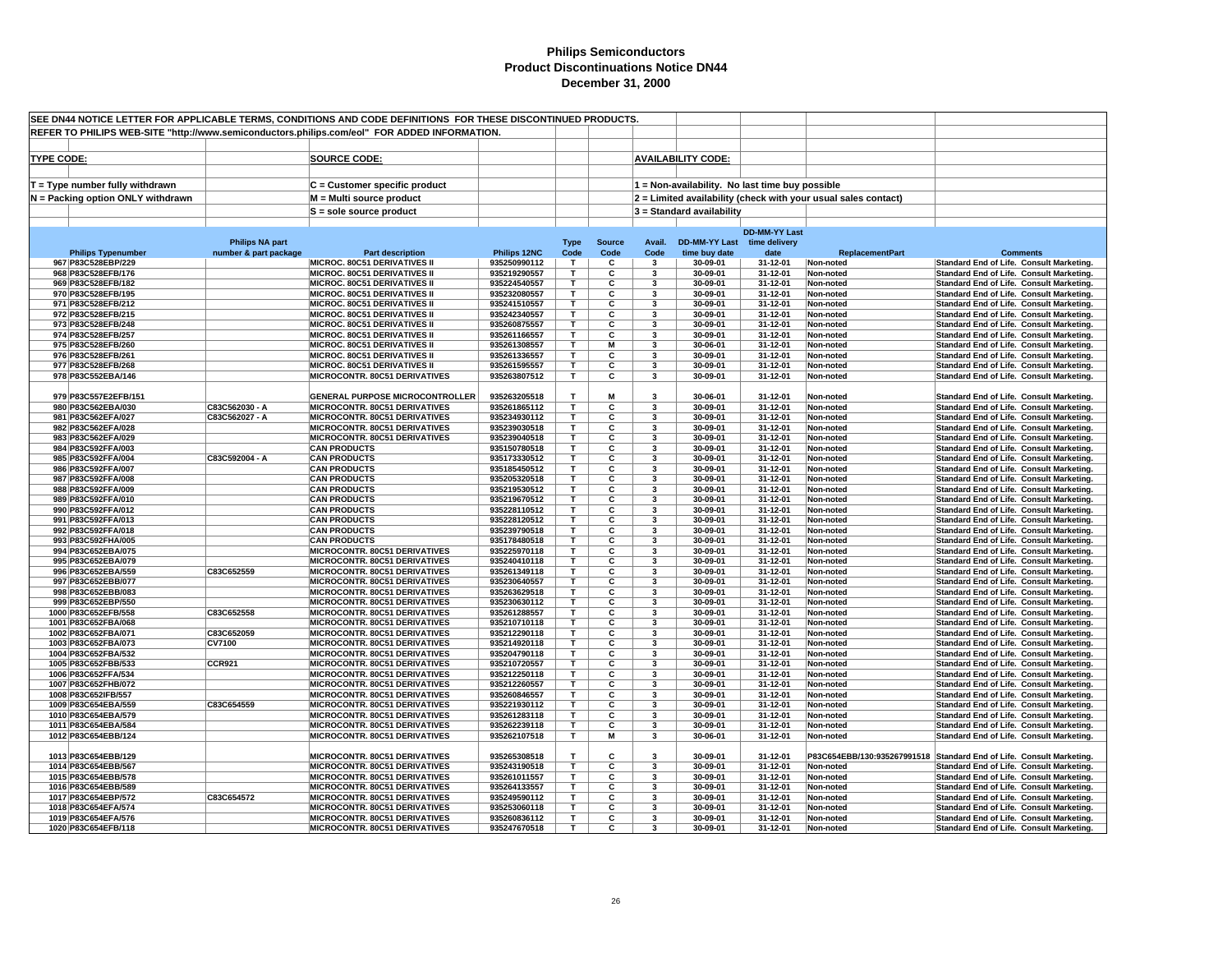| SEE DN44 NOTICE LETTER FOR APPLICABLE TERMS, CONDITIONS AND CODE DEFINITIONS FOR THESE DISCONTINUED PRODUCTS. |                                                 |                                                                                              |                              |                     |                       |                              |                                       |                                                 |                                                                |                                                                                      |
|---------------------------------------------------------------------------------------------------------------|-------------------------------------------------|----------------------------------------------------------------------------------------------|------------------------------|---------------------|-----------------------|------------------------------|---------------------------------------|-------------------------------------------------|----------------------------------------------------------------|--------------------------------------------------------------------------------------|
|                                                                                                               |                                                 | REFER TO PHILIPS WEB-SITE "http://www.semiconductors.philips.com/eol" FOR ADDED INFORMATION. |                              |                     |                       |                              |                                       |                                                 |                                                                |                                                                                      |
|                                                                                                               |                                                 |                                                                                              |                              |                     |                       |                              |                                       |                                                 |                                                                |                                                                                      |
| <b>TYPE CODE:</b>                                                                                             |                                                 | <b>SOURCE CODE:</b>                                                                          |                              |                     |                       |                              | <b>AVAILABILITY CODE:</b>             |                                                 |                                                                |                                                                                      |
|                                                                                                               |                                                 |                                                                                              |                              |                     |                       |                              |                                       |                                                 |                                                                |                                                                                      |
|                                                                                                               |                                                 |                                                                                              |                              |                     |                       |                              |                                       |                                                 |                                                                |                                                                                      |
| $T = Type$ number fully withdrawn                                                                             |                                                 | C = Customer specific product                                                                |                              |                     |                       |                              |                                       | 1 = Non-availability. No last time buy possible |                                                                |                                                                                      |
| N = Packing option ONLY withdrawn                                                                             |                                                 | M = Multi source product                                                                     |                              |                     |                       |                              |                                       |                                                 | 2 = Limited availability (check with your usual sales contact) |                                                                                      |
|                                                                                                               |                                                 | $S =$ sole source product                                                                    |                              |                     |                       |                              | 3 = Standard availability             |                                                 |                                                                |                                                                                      |
|                                                                                                               |                                                 |                                                                                              |                              |                     |                       |                              |                                       |                                                 |                                                                |                                                                                      |
|                                                                                                               |                                                 |                                                                                              |                              |                     |                       |                              |                                       | <b>DD-MM-YY Last</b>                            |                                                                |                                                                                      |
| <b>Philips Typenumber</b>                                                                                     | <b>Philips NA part</b><br>number & part package | <b>Part description</b>                                                                      | Philips 12NC                 | <b>Type</b><br>Code | <b>Source</b><br>Code | Avail.<br>Code               | <b>DD-MM-YY Last</b><br>time buy date | time delivery<br>date                           | <b>ReplacementPart</b>                                         | <b>Comments</b>                                                                      |
| 967 P83C528EBP/229                                                                                            |                                                 | MICROC. 80C51 DERIVATIVES II                                                                 | 935250990112                 | T                   | c                     | $\mathbf{3}$                 | 30-09-01                              | 31-12-01                                        | Non-noted                                                      | Standard End of Life. Consult Marketing.                                             |
| 968 P83C528EFB/176                                                                                            |                                                 | MICROC. 80C51 DERIVATIVES II                                                                 | 935219290557                 | T                   | c                     | 3                            | 30-09-01                              | 31-12-01                                        | Non-noted                                                      | Standard End of Life. Consult Marketing.                                             |
| 969 P83C528EFB/182                                                                                            |                                                 | <b>MICROC. 80C51 DERIVATIVES II</b>                                                          | 935224540557                 | т                   | С                     | 3                            | 30-09-01                              | 31-12-01                                        | Non-noted                                                      | Standard End of Life. Consult Marketing.                                             |
| 970 P83C528EFB/195                                                                                            |                                                 | MICROC. 80C51 DERIVATIVES II                                                                 | 935232080557                 | T                   | С                     | $\overline{\mathbf{3}}$      | 30-09-01                              | 31-12-01                                        | Non-noted                                                      | Standard End of Life. Consult Marketing.                                             |
| 971 P83C528EFB/212                                                                                            |                                                 | MICROC. 80C51 DERIVATIVES II                                                                 | 935241510557                 | T.                  | С                     | 3                            | 30-09-01                              | 31-12-01                                        | Non-noted                                                      | Standard End of Life. Consult Marketing.                                             |
| 972 P83C528EFB/215                                                                                            |                                                 | <b>MICROC. 80C51 DERIVATIVES II</b>                                                          | 935242340557                 | T                   | C                     | 3                            | 30-09-01                              | 31-12-01                                        | Non-noted                                                      | Standard End of Life. Consult Marketing.                                             |
| 973 P83C528EFB/248                                                                                            |                                                 | <b>MICROC, 80C51 DERIVATIVES II</b>                                                          | 935260875557                 | T                   | C                     | 3                            | 30-09-01                              | 31-12-01                                        | Non-noted                                                      | Standard End of Life. Consult Marketing.                                             |
| 974 P83C528EFB/257                                                                                            |                                                 | MICROC. 80C51 DERIVATIVES II                                                                 | 935261166557                 | T.                  | C                     | 3                            | 30-09-01                              | 31-12-01                                        | Non-noted                                                      | Standard End of Life. Consult Marketing.                                             |
| 975 P83C528EFB/260<br>976 P83C528EFB/261                                                                      |                                                 | MICROC. 80C51 DERIVATIVES II<br><b>MICROC. 80C51 DERIVATIVES II</b>                          | 935261308557<br>935261336557 | T.<br>т             | M<br>C                | $\overline{\mathbf{3}}$<br>3 | 30-06-01<br>30-09-01                  | 31-12-01<br>31-12-01                            | Non-noted<br>Non-noted                                         | Standard End of Life. Consult Marketing.<br>Standard End of Life. Consult Marketing. |
| 977 P83C528EFB/268                                                                                            |                                                 | MICROC. 80C51 DERIVATIVES II                                                                 | 935261595557                 | T                   | C                     | 3                            | 30-09-01                              | 31-12-01                                        | Non-noted                                                      | Standard End of Life. Consult Marketing.                                             |
| 978 P83C552EBA/146                                                                                            |                                                 | MICROCONTR. 80C51 DERIVATIVES                                                                | 935263807512                 | T                   | С                     | 3                            | 30-09-01                              | 31-12-01                                        | Non-noted                                                      | Standard End of Life. Consult Marketing.                                             |
|                                                                                                               |                                                 |                                                                                              |                              |                     |                       |                              |                                       |                                                 |                                                                |                                                                                      |
| 979 P83C557E2EFB/151                                                                                          |                                                 | <b>GENERAL PURPOSE MICROCONTROLLER</b>                                                       | 935263205518                 | т                   | M                     | 3                            | 30-06-01                              | 31-12-01                                        | Non-noted                                                      | Standard End of Life. Consult Marketing.                                             |
| 980 P83C562EBA/030                                                                                            | C83C562030 - A                                  | <b>MICROCONTR. 80C51 DERIVATIVES</b>                                                         | 935261865112                 | T                   | C                     | $\overline{\mathbf{3}}$      | 30-09-01                              | 31-12-01                                        | Non-noted                                                      | Standard End of Life. Consult Marketing.                                             |
| 981 P83C562EFA/027                                                                                            | C83C562027 - A                                  | MICROCONTR. 80C51 DERIVATIVES                                                                | 935234930112                 | T.                  | C                     | 3                            | 30-09-01                              | 31-12-01                                        | Non-noted                                                      | Standard End of Life. Consult Marketing.                                             |
| 982 P83C562EFA/028                                                                                            |                                                 | MICROCONTR. 80C51 DERIVATIVES                                                                | 935239030518                 | T                   | С                     | 3                            | 30-09-01                              | 31-12-01                                        | Non-noted                                                      | Standard End of Life. Consult Marketing.                                             |
| 983 P83C562EFA/029                                                                                            |                                                 | MICROCONTR. 80C51 DERIVATIVES                                                                | 935239040518                 | т                   | С<br>C                | 3                            | 30-09-01                              | 31-12-01                                        | Non-noted                                                      | Standard End of Life. Consult Marketing.                                             |
| 984 P83C592FFA/003<br>985 P83C592FFA/004                                                                      | C83C592004 - A                                  | <b>CAN PRODUCTS</b><br><b>CAN PRODUCTS</b>                                                   | 935150780518<br>935173330512 | T<br>T              | С                     | 3<br>$\overline{\mathbf{3}}$ | 30-09-01<br>30-09-01                  | 31-12-01<br>31-12-01                            | Non-noted<br>Non-noted                                         | Standard End of Life. Consult Marketing.<br>Standard End of Life. Consult Marketing. |
| 986 P83C592FFA/007                                                                                            |                                                 | <b>CAN PRODUCTS</b>                                                                          | 935185450512                 | T.                  | С                     | 3                            | 30-09-01                              | 31-12-01                                        | Non-noted                                                      | Standard End of Life. Consult Marketing.                                             |
| 987 P83C592FFA/008                                                                                            |                                                 | <b>CAN PRODUCTS</b>                                                                          | 935205320518                 | т                   | С                     | 3                            | 30-09-01                              | 31-12-01                                        | Non-noted                                                      | Standard End of Life. Consult Marketing.                                             |
| 988 P83C592FFA/009                                                                                            |                                                 | <b>CAN PRODUCTS</b>                                                                          | 935219530512                 | T                   | С                     | 3                            | 30-09-01                              | 31-12-01                                        | Non-noted                                                      | Standard End of Life. Consult Marketing.                                             |
| 989 P83C592FFA/010                                                                                            |                                                 | <b>CAN PRODUCTS</b>                                                                          | 935219670512                 | т                   | C                     | $\overline{\mathbf{3}}$      | 30-09-01                              | 31-12-01                                        | Non-noted                                                      | Standard End of Life. Consult Marketing.                                             |
| 990 P83C592FFA/012                                                                                            |                                                 | <b>CAN PRODUCTS</b>                                                                          | 935228110512                 | т                   | C                     | 3                            | 30-09-01                              | 31-12-01                                        | Non-noted                                                      | Standard End of Life. Consult Marketing.                                             |
| 991 P83C592FFA/013                                                                                            |                                                 | <b>CAN PRODUCTS</b>                                                                          | 935228120512                 | т                   | C                     | 3                            | 30-09-01                              | 31-12-01                                        | Non-noted                                                      | Standard End of Life. Consult Marketing.                                             |
| 992 P83C592FFA/018                                                                                            |                                                 | <b>CAN PRODUCTS</b>                                                                          | 935239790518                 | T<br>T.             | С                     | 3                            | 30-09-01                              | 31-12-01                                        | Non-noted                                                      | Standard End of Life. Consult Marketing.                                             |
| 993 P83C592FHA/005<br>994 P83C652EBA/075                                                                      |                                                 | <b>CAN PRODUCTS</b><br><b>MICROCONTR. 80C51 DERIVATIVES</b>                                  | 935178480518<br>935225970118 | т                   | C<br>C                | 3<br>-3                      | 30-09-01<br>30-09-01                  | 31-12-01<br>31-12-01                            | Non-noted<br>Non-noted                                         | Standard End of Life. Consult Marketing.<br>Standard End of Life. Consult Marketing. |
| 995 P83C652EBA/079                                                                                            |                                                 | MICROCONTR. 80C51 DERIVATIVES                                                                | 935240410118                 | т                   | C                     | 3                            | 30-09-01                              | 31-12-01                                        | Non-noted                                                      | Standard End of Life. Consult Marketing.                                             |
| 996 P83C652EBA/559                                                                                            | C83C652559                                      | MICROCONTR. 80C51 DERIVATIVES                                                                | 935261349118                 | т                   | С                     | 3                            | 30-09-01                              | 31-12-01                                        | Non-noted                                                      | Standard End of Life. Consult Marketing.                                             |
| 997 P83C652EBB/077                                                                                            |                                                 | MICROCONTR. 80C51 DERIVATIVES                                                                | 935230640557                 | т                   | C                     | $\overline{\mathbf{3}}$      | 30-09-01                              | 31-12-01                                        | Non-noted                                                      | Standard End of Life. Consult Marketing.                                             |
| 998 P83C652EBB/083                                                                                            |                                                 | MICROCONTR. 80C51 DERIVATIVES                                                                | 935263629518                 | т                   | C                     | 3                            | 30-09-01                              | 31-12-01                                        | Non-noted                                                      | Standard End of Life. Consult Marketing.                                             |
| 999 P83C652EBP/550                                                                                            |                                                 | <b>MICROCONTR. 80C51 DERIVATIVES</b>                                                         | 935230630112                 | T                   | C                     | 3                            | 30-09-01                              | 31-12-01                                        | Non-noted                                                      | Standard End of Life. Consult Marketing.                                             |
| 1000 P83C652EFB/558                                                                                           | C83C652558                                      | MICROCONTR. 80C51 DERIVATIVES                                                                | 935261288557                 | T                   | С                     | 3                            | 30-09-01                              | 31-12-01                                        | Non-noted                                                      | Standard End of Life. Consult Marketing.                                             |
| 1001 P83C652FBA/068                                                                                           |                                                 | MICROCONTR. 80C51 DERIVATIVES                                                                | 935210710118                 | T<br>T              | С                     | 3                            | 30-09-01                              | 31-12-01                                        | Non-noted                                                      | Standard End of Life. Consult Marketing.                                             |
| 1002 P83C652FBA/071<br>1003 P83C652FBA/073                                                                    | C83C652059<br><b>CV7100</b>                     | MICROCONTR. 80C51 DERIVATIVES<br>MICROCONTR. 80C51 DERIVATIVES                               | 935212290118<br>935214920118 | T.                  | С<br>С                | 3<br>3                       | 30-09-01<br>30-09-01                  | 31-12-01<br>31-12-01                            | Non-noted<br>Non-noted                                         | Standard End of Life. Consult Marketing.<br>Standard End of Life. Consult Marketing. |
| 1004 P83C652FBA/532                                                                                           |                                                 | MICROCONTR. 80C51 DERIVATIVES                                                                | 935204790118                 | T.                  | С                     | 3                            | 30-09-01                              | 31-12-01                                        | Non-noted                                                      | Standard End of Life. Consult Marketing.                                             |
| 1005 P83C652FBB/533                                                                                           | <b>CCR921</b>                                   | MICROCONTR. 80C51 DERIVATIVES                                                                | 935210720557                 | T                   | C                     | $\overline{\mathbf{3}}$      | 30-09-01                              | 31-12-01                                        | Non-noted                                                      | Standard End of Life. Consult Marketing.                                             |
| 1006 P83C652FFA/534                                                                                           |                                                 | MICROCONTR. 80C51 DERIVATIVES                                                                | 935212250118                 | T.                  | C                     | 3                            | 30-09-01                              | 31-12-01                                        | Non-noted                                                      | Standard End of Life. Consult Marketing.                                             |
| 1007 P83C652FHB/072                                                                                           |                                                 | MICROCONTR. 80C51 DERIVATIVES                                                                | 935212260557                 | т                   | C                     | 3                            | 30-09-01                              | 31-12-01                                        | Non-noted                                                      | Standard End of Life. Consult Marketing.                                             |
| 1008 P83C652IFB/557                                                                                           |                                                 | MICROCONTR. 80C51 DERIVATIVES                                                                | 935260846557                 | T                   | C                     | 3                            | 30-09-01                              | 31-12-01                                        | Non-noted                                                      | Standard End of Life. Consult Marketing.                                             |
| 1009 P83C654EBA/559                                                                                           | C83C654559                                      | MICROCONTR. 80C51 DERIVATIVES                                                                | 935221930112                 | т                   | С                     | 3                            | 30-09-01                              | 31-12-01                                        | Non-noted                                                      | Standard End of Life. Consult Marketing.                                             |
| 1010 P83C654EBA/579                                                                                           |                                                 | MICROCONTR. 80C51 DERIVATIVES                                                                | 935261283118                 | т                   | C                     | 3                            | 30-09-01                              | 31-12-01                                        | Non-noted                                                      | Standard End of Life. Consult Marketing.                                             |
| 1011 P83C654EBA/584<br>1012 P83C654EBB/124                                                                    |                                                 | <b>MICROCONTR. 80C51 DERIVATIVES</b><br>MICROCONTR. 80C51 DERIVATIVES                        | 935262239118<br>935262107518 | т                   | С                     | 3                            | 30-09-01<br>30-06-01                  | 31-12-01<br>31-12-01                            | Non-noted                                                      | Standard End of Life. Consult Marketing.<br>Standard End of Life. Consult Marketing. |
|                                                                                                               |                                                 |                                                                                              |                              | Τ                   | М                     | 3                            |                                       |                                                 | Non-noted                                                      |                                                                                      |
| 1013 P83C654EBB/129                                                                                           |                                                 | MICROCONTR. 80C51 DERIVATIVES                                                                | 935265308518                 | T                   | C                     | 3                            | 30-09-01                              | 31-12-01                                        |                                                                | P83C654EBB/130:935267991518 Standard End of Life. Consult Marketing.                 |
| 1014 P83C654EBB/567                                                                                           |                                                 | MICROCONTR. 80C51 DERIVATIVES                                                                | 935243190518                 | T                   | С                     | 3                            | 30-09-01                              | 31-12-01                                        | Non-noted                                                      | Standard End of Life. Consult Marketing.                                             |
| 1015 P83C654EBB/578                                                                                           |                                                 | MICROCONTR. 80C51 DERIVATIVES                                                                | 935261011557                 | T                   | c                     | 3                            | 30-09-01                              | 31-12-01                                        | Non-noted                                                      | Standard End of Life. Consult Marketing.                                             |
| 1016 P83C654EBB/589                                                                                           |                                                 | MICROCONTR. 80C51 DERIVATIVES                                                                | 935264133557                 | T                   | С                     | $\overline{\mathbf{3}}$      | 30-09-01                              | 31-12-01                                        | Non-noted                                                      | Standard End of Life. Consult Marketing.                                             |
| 1017 P83C654EBP/572                                                                                           | C83C654572                                      | MICROCONTR. 80C51 DERIVATIVES                                                                | 935249590112                 | т                   | C                     | 3                            | 30-09-01                              | 31-12-01                                        | Non-noted                                                      | Standard End of Life. Consult Marketing.                                             |
| 1018 P83C654EFA/574                                                                                           |                                                 | <b>MICROCONTR. 80C51 DERIVATIVES</b>                                                         | 935253060118                 | т                   | С                     | 3                            | 30-09-01                              | 31-12-01                                        | Non-noted                                                      | Standard End of Life. Consult Marketing.                                             |
| 1019 P83C654EFA/576                                                                                           |                                                 | MICROCONTR. 80C51 DERIVATIVES                                                                | 935260836112                 | T.                  | С                     | 3                            | 30-09-01                              | 31-12-01                                        | Non-noted                                                      | Standard End of Life. Consult Marketing.                                             |
| 1020 P83C654EFB/118                                                                                           |                                                 | MICROCONTR. 80C51 DERIVATIVES                                                                | 935247670518                 | T.                  | C                     | 3                            | 30-09-01                              | 31-12-01                                        | Non-noted                                                      | Standard End of Life. Consult Marketing.                                             |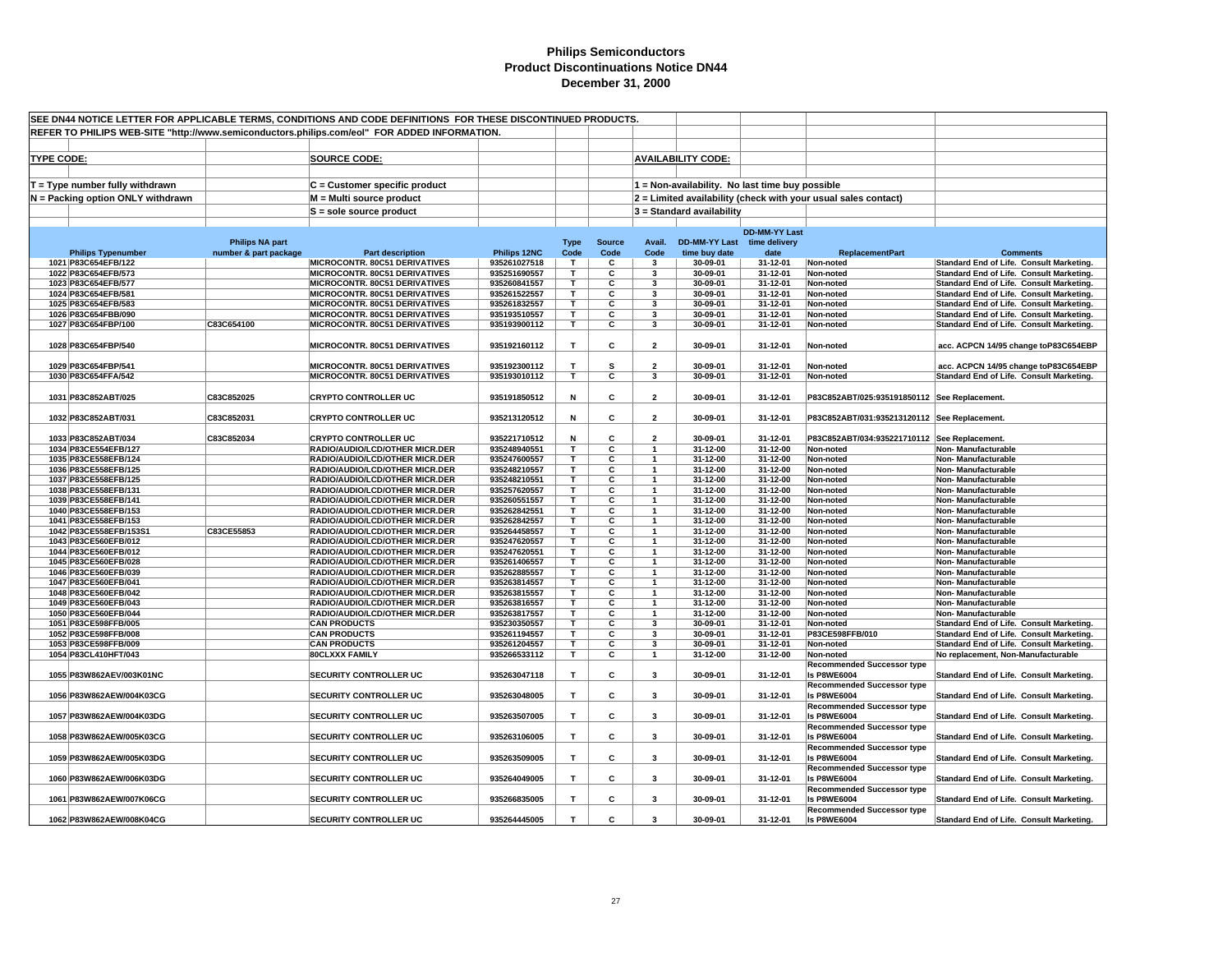| SEE DN44 NOTICE LETTER FOR APPLICABLE TERMS, CONDITIONS AND CODE DEFINITIONS FOR THESE DISCONTINUED PRODUCTS. |                                              |                        |                                                                                              |                              |                         |                         |                                            |                                                 |                      |                                                                |                                                                                      |
|---------------------------------------------------------------------------------------------------------------|----------------------------------------------|------------------------|----------------------------------------------------------------------------------------------|------------------------------|-------------------------|-------------------------|--------------------------------------------|-------------------------------------------------|----------------------|----------------------------------------------------------------|--------------------------------------------------------------------------------------|
|                                                                                                               |                                              |                        | REFER TO PHILIPS WEB-SITE "http://www.semiconductors.philips.com/eol" FOR ADDED INFORMATION. |                              |                         |                         |                                            |                                                 |                      |                                                                |                                                                                      |
|                                                                                                               |                                              |                        |                                                                                              |                              |                         |                         |                                            |                                                 |                      |                                                                |                                                                                      |
|                                                                                                               |                                              |                        |                                                                                              |                              |                         |                         |                                            |                                                 |                      |                                                                |                                                                                      |
| <b>TYPE CODE:</b>                                                                                             |                                              |                        | SOURCE CODE:                                                                                 |                              |                         |                         |                                            | <b>AVAILABILITY CODE:</b>                       |                      |                                                                |                                                                                      |
|                                                                                                               |                                              |                        |                                                                                              |                              |                         |                         |                                            |                                                 |                      |                                                                |                                                                                      |
|                                                                                                               | $T = Type$ number fully withdrawn            |                        | C = Customer specific product                                                                |                              |                         |                         |                                            | 1 = Non-availability. No last time buy possible |                      |                                                                |                                                                                      |
|                                                                                                               | N = Packing option ONLY withdrawn            |                        | M = Multi source product                                                                     |                              |                         |                         |                                            |                                                 |                      | 2 = Limited availability (check with your usual sales contact) |                                                                                      |
|                                                                                                               |                                              |                        | S = sole source product                                                                      |                              |                         |                         |                                            | $3 =$ Standard availability                     |                      |                                                                |                                                                                      |
|                                                                                                               |                                              |                        |                                                                                              |                              |                         |                         |                                            |                                                 |                      |                                                                |                                                                                      |
|                                                                                                               |                                              |                        |                                                                                              |                              |                         |                         |                                            |                                                 | <b>DD-MM-YY Last</b> |                                                                |                                                                                      |
|                                                                                                               |                                              | <b>Philips NA part</b> |                                                                                              |                              | <b>Type</b>             | <b>Source</b>           | Avail.                                     | <b>DD-MM-YY Last</b>                            | time delivery        |                                                                |                                                                                      |
|                                                                                                               | <b>Philips Typenumber</b>                    | number & part package  | Part description                                                                             | Philips 12NC                 | Code                    | Code                    | Code                                       | time buy date                                   | date                 | <b>ReplacementPart</b>                                         | <b>Comments</b>                                                                      |
|                                                                                                               | 1021 P83C654EFB/122                          |                        | MICROCONTR. 80C51 DERIVATIVES                                                                | 935261027518                 | $\mathbf{T}$            | C                       | 3                                          | 30-09-01                                        | 31-12-01             | Non-noted                                                      | Standard End of Life. Consult Marketing.                                             |
|                                                                                                               | 1022 P83C654EFB/573                          |                        | MICROCONTR. 80C51 DERIVATIVES                                                                | 935251690557                 | T                       | C                       | 3                                          | 30-09-01                                        | 31-12-01             | Non-noted                                                      | Standard End of Life. Consult Marketing.                                             |
|                                                                                                               | 1023 P83C654EFB/577                          |                        | MICROCONTR. 80C51 DERIVATIVES                                                                | 935260841557                 | Т                       | C                       | 3                                          | 30-09-01                                        | 31-12-01             | Non-noted                                                      | Standard End of Life. Consult Marketing.                                             |
|                                                                                                               | 1024 P83C654EFB/581                          |                        | <b>MICROCONTR. 80C51 DERIVATIVES</b>                                                         | 935261522557                 | T.                      | C                       | $\overline{\mathbf{3}}$                    | 30-09-01                                        | 31-12-01             | Non-noted                                                      | Standard End of Life. Consult Marketing.                                             |
|                                                                                                               | 1025 P83C654EFB/583                          |                        | MICROCONTR. 80C51 DERIVATIVES                                                                | 935261832557                 | T.<br>T.                | С<br>С                  | 3                                          | 30-09-01<br>30-09-01                            | 31-12-01             | Non-noted                                                      | Standard End of Life. Consult Marketing.                                             |
|                                                                                                               | 1026 P83C654FBB/090<br>1027 P83C654FBP/100   | C83C654100             | <b>MICROCONTR. 80C51 DERIVATIVES</b><br>MICROCONTR. 80C51 DERIVATIVES                        | 935193510557<br>935193900112 | T.                      | c                       | 3<br>3                                     | 30-09-01                                        | 31-12-01<br>31-12-01 | Non-noted<br>Non-noted                                         | Standard End of Life. Consult Marketing.<br>Standard End of Life. Consult Marketing. |
|                                                                                                               |                                              |                        |                                                                                              |                              |                         |                         |                                            |                                                 |                      |                                                                |                                                                                      |
|                                                                                                               | 1028 P83C654FBP/540                          |                        | MICROCONTR. 80C51 DERIVATIVES                                                                | 935192160112                 | T                       | С                       | $\overline{\mathbf{2}}$                    | 30-09-01                                        | 31-12-01             | Non-noted                                                      | acc. ACPCN 14/95 change toP83C654EBP                                                 |
|                                                                                                               |                                              |                        |                                                                                              |                              |                         |                         |                                            |                                                 |                      |                                                                |                                                                                      |
|                                                                                                               | 1029 P83C654FBP/541                          |                        | MICROCONTR. 80C51 DERIVATIVES                                                                | 935192300112                 | T.                      | s                       | $\overline{2}$                             | 30-09-01                                        | 31-12-01             | Non-noted                                                      | acc. ACPCN 14/95 change toP83C654EBP                                                 |
|                                                                                                               | 1030 P83C654FFA/542                          |                        | MICROCONTR. 80C51 DERIVATIVES                                                                | 935193010112                 | $\overline{\mathsf{r}}$ | $\overline{\mathbf{c}}$ | 3                                          | 30-09-01                                        | 31-12-01             | Non-noted                                                      | Standard End of Life. Consult Marketing.                                             |
|                                                                                                               |                                              |                        |                                                                                              |                              |                         |                         |                                            |                                                 |                      |                                                                |                                                                                      |
|                                                                                                               | 1031 P83C852ABT/025                          | C83C852025             | <b>CRYPTO CONTROLLER UC</b>                                                                  | 935191850512                 | N                       | с                       | $\overline{2}$                             | 30-09-01                                        | 31-12-01             | P83C852ABT/025:935191850112 See Replacement.                   |                                                                                      |
|                                                                                                               |                                              |                        |                                                                                              |                              |                         |                         |                                            |                                                 |                      |                                                                |                                                                                      |
|                                                                                                               | 1032 P83C852ABT/031                          | C83C852031             | <b>CRYPTO CONTROLLER UC</b>                                                                  | 935213120512                 | N                       | c                       | $\overline{\mathbf{2}}$                    | 30-09-01                                        | 31-12-01             | P83C852ABT/031:935213120112 See Replacement.                   |                                                                                      |
|                                                                                                               |                                              |                        |                                                                                              |                              |                         |                         |                                            |                                                 |                      |                                                                |                                                                                      |
|                                                                                                               | 1033 P83C852ABT/034                          | C83C852034             | <b>CRYPTO CONTROLLER UC</b><br>RADIO/AUDIO/LCD/OTHER MICR.DER                                | 935221710512<br>935248940551 | N<br>Т                  | C<br>С                  | $\overline{\phantom{a}}$<br>$\overline{1}$ | 30-09-01                                        | 31-12-01<br>31-12-00 | P83C852ABT/034:935221710112 See Replacement.                   |                                                                                      |
|                                                                                                               | 1034 P83CE554EFB/127<br>1035 P83CE558EFB/124 |                        | RADIO/AUDIO/LCD/OTHER MICR.DER                                                               | 935247600557                 | T.                      | C                       | $\mathbf{1}$                               | 31-12-00<br>31-12-00                            | 31-12-00             | Non-noted<br>Non-noted                                         | <b>Non-Manufacturable</b><br>Non-Manufacturable                                      |
|                                                                                                               | 1036 P83CE558EFB/125                         |                        | RADIO/AUDIO/LCD/OTHER MICR.DER                                                               | 935248210557                 | т                       | C                       |                                            | 31-12-00                                        | 31-12-00             | Non-noted                                                      | Non-Manufacturable                                                                   |
|                                                                                                               | 1037 P83CE558EFB/125                         |                        | <b>RADIO/AUDIO/LCD/OTHER MICR.DER</b>                                                        | 935248210551                 | т                       | С                       | -1                                         | 31-12-00                                        | 31-12-00             | Non-noted                                                      | Non- Manufacturable                                                                  |
|                                                                                                               | 1038 P83CE558EFB/131                         |                        | RADIO/AUDIO/LCD/OTHER MICR.DER                                                               | 935257620557                 | т                       | С                       | $\overline{1}$                             | 31-12-00                                        | 31-12-00             | Non-noted                                                      | Non-Manufacturable                                                                   |
|                                                                                                               | 1039 P83CE558EFB/141                         |                        | RADIO/AUDIO/LCD/OTHER MICR.DER                                                               | 935260551557                 | T                       | c                       | $\mathbf{1}$                               | 31-12-00                                        | 31-12-00             | Non-noted                                                      | Non-Manufacturable                                                                   |
|                                                                                                               | 1040 P83CE558EFB/153                         |                        | RADIO/AUDIO/LCD/OTHER MICR.DER                                                               | 935262842551                 | T.                      | С                       | $\overline{1}$                             | 31-12-00                                        | 31-12-00             | Non-noted                                                      | Non-Manufacturable                                                                   |
|                                                                                                               | 1041 P83CE558EFB/153                         |                        | RADIO/AUDIO/LCD/OTHER MICR.DER                                                               | 935262842557                 | Т                       | С                       | $\overline{1}$                             | 31-12-00                                        | 31-12-00             | Non-noted                                                      | <b>Non-Manufacturable</b>                                                            |
|                                                                                                               | 1042 P83CE558EFB/153S1                       | C83CE55853             | RADIO/AUDIO/LCD/OTHER MICR.DER                                                               | 935264458557                 | T.                      | С                       | $\overline{1}$                             | 31-12-00                                        | 31-12-00             | Non-noted                                                      | Non-Manufacturable                                                                   |
|                                                                                                               | 1043 P83CE560EFB/012                         |                        | RADIO/AUDIO/LCD/OTHER MICR.DER                                                               | 935247620557                 | T                       | $\overline{\mathbf{c}}$ | $\mathbf{1}$                               | 31-12-00                                        | 31-12-00             | Non-noted                                                      | Non-Manufacturable                                                                   |
|                                                                                                               | 1044 P83CE560EFB/012                         |                        | RADIO/AUDIO/LCD/OTHER MICR.DER                                                               | 935247620551<br>935261406557 | Т<br>T.                 | С<br>С                  | $\overline{1}$<br>$\mathbf{1}$             | 31-12-00                                        | 31-12-00<br>31-12-00 | Non-noted                                                      | Non- Manufacturable                                                                  |
|                                                                                                               | 1045 P83CE560EFB/028<br>1046 P83CE560EFB/039 |                        | RADIO/AUDIO/LCD/OTHER MICR.DER<br>RADIO/AUDIO/LCD/OTHER MICR.DER                             | 935262885557                 | T.                      | С                       |                                            | 31-12-00<br>31-12-00                            | 31-12-00             | Non-noted<br>Non-noted                                         | Non-Manufacturable<br>Non-Manufacturable                                             |
|                                                                                                               | 1047 P83CE560EFB/041                         |                        | RADIO/AUDIO/LCD/OTHER MICR.DER                                                               | 935263814557                 | T.                      | С                       | $\overline{1}$                             | 31-12-00                                        | 31-12-00             | Non-noted                                                      | Non-Manufacturable                                                                   |
|                                                                                                               | 1048 P83CE560EFB/042                         |                        | RADIO/AUDIO/LCD/OTHER MICR.DER                                                               | 935263815557                 | т                       | С                       | $\mathbf{1}$                               | 31-12-00                                        | 31-12-00             | Non-noted                                                      | Non-Manufacturable                                                                   |
|                                                                                                               | 1049 P83CE560EFB/043                         |                        | RADIO/AUDIO/LCD/OTHER MICR.DER                                                               | 935263816557                 | T.                      | C                       | $\mathbf{1}$                               | 31-12-00                                        | 31-12-00             | Non-noted                                                      | Non-Manufacturable                                                                   |
|                                                                                                               | 1050 P83CE560EFB/044                         |                        | RADIO/AUDIO/LCD/OTHER MICR.DER                                                               | 935263817557                 | т                       | C                       | $\mathbf{1}$                               | 31-12-00                                        | 31-12-00             | Non-noted                                                      | Non-Manufacturable                                                                   |
|                                                                                                               | 1051 P83CE598FFB/005                         |                        | <b>CAN PRODUCTS</b>                                                                          | 935230350557                 | т                       | С                       | 3                                          | 30-09-01                                        | 31-12-01             | Non-noted                                                      | Standard End of Life. Consult Marketing.                                             |
|                                                                                                               | 1052 P83CE598FFB/008                         |                        | <b>CAN PRODUCTS</b>                                                                          | 935261194557                 | т                       | С                       | 3                                          | 30-09-01                                        | 31-12-01             | P83CE598FFB/010                                                | Standard End of Life. Consult Marketing.                                             |
|                                                                                                               | 1053 P83CE598FFB/009                         |                        | <b>CAN PRODUCTS</b>                                                                          | 935261204557                 | T.                      | С                       | 3                                          | 30-09-01                                        | 31-12-01             | Non-noted                                                      | Standard End of Life. Consult Marketing.                                             |
|                                                                                                               | 1054 P83CL410HFT/043                         |                        | <b>80CLXXX FAMILY</b>                                                                        | 935266533112                 | T                       | $\overline{\mathbf{c}}$ | $\overline{1}$                             | 31-12-00                                        | 31-12-00             | Non-noted                                                      | No replacement, Non-Manufacturable                                                   |
|                                                                                                               |                                              |                        |                                                                                              |                              |                         |                         |                                            |                                                 |                      | <b>Recommended Successor type</b>                              |                                                                                      |
|                                                                                                               | 1055 P83W862AEV/003K01NC                     |                        | <b>SECURITY CONTROLLER UC</b>                                                                | 935263047118                 | T                       | c                       | 3                                          | 30-09-01                                        | 31-12-01             | <b>Is P8WE6004</b>                                             | Standard End of Life. Consult Marketing.                                             |
|                                                                                                               | 1056 P83W862AEW/004K03CG                     |                        | <b>SECURITY CONTROLLER UC</b>                                                                | 935263048005                 | T.                      | С                       | 3                                          | 30-09-01                                        | 31-12-01             | <b>Recommended Successor type</b><br><b>Is P8WE6004</b>        | Standard End of Life. Consult Marketing.                                             |
|                                                                                                               |                                              |                        |                                                                                              |                              |                         |                         |                                            |                                                 |                      | <b>Recommended Successor type</b>                              |                                                                                      |
|                                                                                                               | 1057 P83W862AEW/004K03DG                     |                        | <b>SECURITY CONTROLLER UC</b>                                                                | 935263507005                 | T                       | c                       | 3                                          | 30-09-01                                        | 31-12-01             | <b>Is P8WE6004</b>                                             | Standard End of Life. Consult Marketing.                                             |
|                                                                                                               |                                              |                        |                                                                                              |                              |                         |                         |                                            |                                                 |                      | <b>Recommended Successor type</b>                              |                                                                                      |
|                                                                                                               | 1058 P83W862AEW/005K03CG                     |                        | <b>SECURITY CONTROLLER UC</b>                                                                | 935263106005                 | T                       | c                       | 3                                          | 30-09-01                                        | 31-12-01             | <b>Is P8WE6004</b>                                             | Standard End of Life. Consult Marketing.                                             |
|                                                                                                               |                                              |                        |                                                                                              |                              |                         |                         |                                            |                                                 |                      | <b>Recommended Successor type</b>                              |                                                                                      |
|                                                                                                               | 1059 P83W862AEW/005K03DG                     |                        | <b>SECURITY CONTROLLER UC</b>                                                                | 935263509005                 | T                       | c                       | 3                                          | 30-09-01                                        | 31-12-01             | <b>Is P8WE6004</b>                                             | Standard End of Life. Consult Marketing.                                             |
|                                                                                                               |                                              |                        |                                                                                              |                              |                         |                         |                                            |                                                 |                      | <b>Recommended Successor type</b>                              |                                                                                      |
|                                                                                                               | 1060 P83W862AEW/006K03DG                     |                        | <b>SECURITY CONTROLLER UC</b>                                                                | 935264049005                 | T                       | c                       | 3                                          | 30-09-01                                        | 31-12-01             | <b>Is P8WE6004</b>                                             | Standard End of Life. Consult Marketing.                                             |
|                                                                                                               |                                              |                        |                                                                                              |                              |                         |                         |                                            |                                                 |                      | <b>Recommended Successor type</b>                              |                                                                                      |
|                                                                                                               | 1061 P83W862AEW/007K06CG                     |                        | <b>SECURITY CONTROLLER UC</b>                                                                | 935266835005                 | T.                      | С                       | 3                                          | 30-09-01                                        | 31-12-01             | <b>Is P8WE6004</b>                                             | Standard End of Life. Consult Marketing.                                             |
|                                                                                                               |                                              |                        |                                                                                              |                              |                         |                         |                                            |                                                 |                      | <b>Recommended Successor type</b>                              |                                                                                      |
|                                                                                                               | 1062 P83W862AEW/008K04CG                     |                        | <b>SECURITY CONTROLLER UC</b>                                                                | 935264445005                 | T.                      | C                       | $\mathbf{3}$                               | 30-09-01                                        | 31-12-01             | <b>Is P8WE6004</b>                                             | Standard End of Life. Consult Marketing.                                             |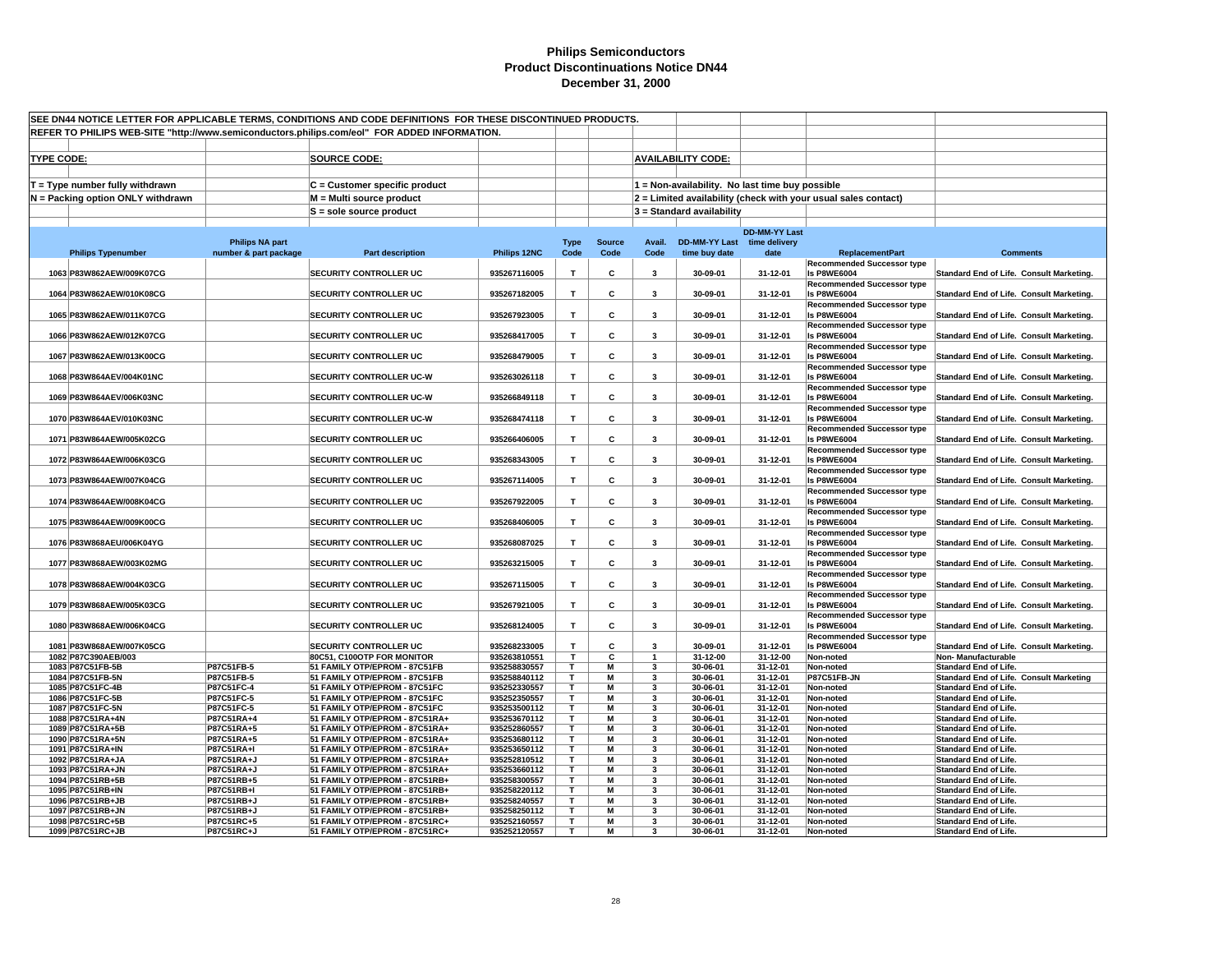| SEE DN44 NOTICE LETTER FOR APPLICABLE TERMS, CONDITIONS AND CODE DEFINITIONS FOR THESE DISCONTINUED PRODUCTS. |                                                                                              |                                                                  |                              |                   |                |                                           |                             |                                                 |                                                                |                                                                |
|---------------------------------------------------------------------------------------------------------------|----------------------------------------------------------------------------------------------|------------------------------------------------------------------|------------------------------|-------------------|----------------|-------------------------------------------|-----------------------------|-------------------------------------------------|----------------------------------------------------------------|----------------------------------------------------------------|
|                                                                                                               | REFER TO PHILIPS WEB-SITE "http://www.semiconductors.philips.com/eol" FOR ADDED INFORMATION. |                                                                  |                              |                   |                |                                           |                             |                                                 |                                                                |                                                                |
|                                                                                                               |                                                                                              |                                                                  |                              |                   |                |                                           |                             |                                                 |                                                                |                                                                |
| <b>TYPE CODE:</b>                                                                                             |                                                                                              | <b>SOURCE CODE:</b>                                              |                              |                   |                |                                           | <b>AVAILABILITY CODE:</b>   |                                                 |                                                                |                                                                |
|                                                                                                               |                                                                                              |                                                                  |                              |                   |                |                                           |                             |                                                 |                                                                |                                                                |
| $T = Type$ number fully withdrawn                                                                             |                                                                                              | C = Customer specific product                                    |                              |                   |                |                                           |                             | 1 = Non-availability. No last time buy possible |                                                                |                                                                |
| N = Packing option ONLY withdrawn                                                                             |                                                                                              | M = Multi source product                                         |                              |                   |                |                                           |                             |                                                 | 2 = Limited availability (check with your usual sales contact) |                                                                |
|                                                                                                               |                                                                                              | S = sole source product                                          |                              |                   |                |                                           | $3$ = Standard availability |                                                 |                                                                |                                                                |
|                                                                                                               |                                                                                              |                                                                  |                              |                   |                |                                           |                             |                                                 |                                                                |                                                                |
|                                                                                                               | <b>Philips NA part</b>                                                                       |                                                                  |                              | <b>Type</b>       | <b>Source</b>  | Avail.                                    | DD-MM-YY Last time delivery | <b>DD-MM-YY Last</b>                            |                                                                |                                                                |
| <b>Philips Typenumber</b>                                                                                     | number & part package                                                                        | <b>Part description</b>                                          | Philips 12NC                 | Code              | Code           | Code                                      | time buy date               | date                                            | <b>ReplacementPart</b>                                         | <b>Comments</b>                                                |
|                                                                                                               |                                                                                              |                                                                  |                              |                   |                |                                           |                             |                                                 | <b>Recommended Successor type</b>                              |                                                                |
| 1063 P83W862AEW/009K07CG                                                                                      |                                                                                              | <b>SECURITY CONTROLLER UC</b>                                    | 935267116005                 | T                 | C              | 3                                         | 30-09-01                    | 31-12-01                                        | <b>Is P8WE6004</b>                                             | Standard End of Life. Consult Marketing.                       |
| 1064 P83W862AEW/010K08CG                                                                                      |                                                                                              | <b>SECURITY CONTROLLER UC</b>                                    | 935267182005                 | $\mathbf{T}$      | c              | 3                                         | 30-09-01                    | 31-12-01                                        | <b>Recommended Successor type</b><br><b>Is P8WE6004</b>        | Standard End of Life. Consult Marketing.                       |
|                                                                                                               |                                                                                              |                                                                  |                              |                   |                |                                           |                             |                                                 | <b>Recommended Successor type</b>                              |                                                                |
| 1065 P83W862AEW/011K07CG                                                                                      |                                                                                              | SECURITY CONTROLLER UC                                           | 935267923005                 | $\mathbf{T}$      | c              | 3                                         | 30-09-01                    | 31-12-01                                        | <b>Is P8WE6004</b>                                             | Standard End of Life. Consult Marketing.                       |
|                                                                                                               |                                                                                              |                                                                  |                              |                   |                |                                           |                             |                                                 | <b>Recommended Successor type</b>                              |                                                                |
| 1066 P83W862AEW/012K07CG                                                                                      |                                                                                              | SECURITY CONTROLLER UC                                           | 935268417005                 | T                 | C              | 3                                         | 30-09-01                    | 31-12-01                                        | <b>Is P8WE6004</b><br><b>Recommended Successor type</b>        | Standard End of Life. Consult Marketing.                       |
| 1067 P83W862AEW/013K00CG                                                                                      |                                                                                              | SECURITY CONTROLLER UC                                           | 935268479005                 | T                 | c              | 3                                         | 30-09-01                    | 31-12-01                                        | <b>Is P8WE6004</b>                                             | Standard End of Life. Consult Marketing.                       |
|                                                                                                               |                                                                                              |                                                                  |                              |                   |                |                                           |                             |                                                 | <b>Recommended Successor type</b>                              |                                                                |
| 1068 P83W864AEV/004K01NC                                                                                      |                                                                                              | SECURITY CONTROLLER UC-W                                         | 935263026118                 | $\mathbf{T}$      | c              | 3                                         | 30-09-01                    | 31-12-01                                        | <b>Is P8WE6004</b>                                             | Standard End of Life. Consult Marketing.                       |
| 1069 P83W864AEV/006K03NC                                                                                      |                                                                                              | SECURITY CONTROLLER UC-W                                         | 935266849118                 | т                 | c              | 3                                         | 30-09-01                    | 31-12-01                                        | <b>Recommended Successor type</b><br><b>Is P8WE6004</b>        | Standard End of Life. Consult Marketing.                       |
|                                                                                                               |                                                                                              |                                                                  |                              |                   |                |                                           |                             |                                                 | <b>Recommended Successor type</b>                              |                                                                |
| 1070 P83W864AEV/010K03NC                                                                                      |                                                                                              | SECURITY CONTROLLER UC-W                                         | 935268474118                 | T                 | c              | 3                                         | 30-09-01                    | 31-12-01                                        | <b>Is P8WE6004</b>                                             | Standard End of Life. Consult Marketing.                       |
|                                                                                                               |                                                                                              |                                                                  |                              |                   |                |                                           |                             |                                                 | <b>Recommended Successor type</b>                              |                                                                |
| 1071 P83W864AEW/005K02CG                                                                                      |                                                                                              | <b>SECURITY CONTROLLER UC</b>                                    | 935266406005                 | $\mathbf{T}$      | c              | 3                                         | 30-09-01                    | 31-12-01                                        | <b>Is P8WE6004</b><br><b>Recommended Successor type</b>        | Standard End of Life. Consult Marketing.                       |
| 1072 P83W864AEW/006K03CG                                                                                      |                                                                                              | <b>SECURITY CONTROLLER UC</b>                                    | 935268343005                 | $\mathbf{T}$      | c              | 3                                         | 30-09-01                    | 31-12-01                                        | <b>Is P8WE6004</b>                                             | Standard End of Life. Consult Marketing.                       |
|                                                                                                               |                                                                                              |                                                                  |                              |                   |                |                                           |                             |                                                 | <b>Recommended Successor type</b>                              |                                                                |
| 1073 P83W864AEW/007K04CG                                                                                      |                                                                                              | SECURITY CONTROLLER UC                                           | 935267114005                 | T                 | c              | 3                                         | 30-09-01                    | 31-12-01                                        | <b>Is P8WE6004</b>                                             | Standard End of Life. Consult Marketing.                       |
| 1074 P83W864AEW/008K04CG                                                                                      |                                                                                              | SECURITY CONTROLLER UC                                           | 935267922005                 | T                 | c              | 3                                         | 30-09-01                    | 31-12-01                                        | <b>Recommended Successor type</b><br><b>Is P8WE6004</b>        |                                                                |
|                                                                                                               |                                                                                              |                                                                  |                              |                   |                |                                           |                             |                                                 | <b>Recommended Successor type</b>                              | Standard End of Life. Consult Marketing.                       |
| 1075 P83W864AEW/009K00CG                                                                                      |                                                                                              | SECURITY CONTROLLER UC                                           | 935268406005                 | $\mathbf{T}$      | C              | 3                                         | 30-09-01                    | 31-12-01                                        | <b>Is P8WE6004</b>                                             | Standard End of Life. Consult Marketing.                       |
|                                                                                                               |                                                                                              |                                                                  |                              |                   |                |                                           |                             |                                                 | <b>Recommended Successor type</b>                              |                                                                |
| 1076 P83W868AEU/006K04YG                                                                                      |                                                                                              | SECURITY CONTROLLER UC                                           | 935268087025                 | T                 | c              | 3                                         | 30-09-01                    | 31-12-01                                        | <b>Is P8WE6004</b><br><b>Recommended Successor type</b>        | Standard End of Life. Consult Marketing.                       |
| 1077 P83W868AEW/003K02MG                                                                                      |                                                                                              | SECURITY CONTROLLER UC                                           | 935263215005                 | T                 | C              | 3                                         | 30-09-01                    | 31-12-01                                        | <b>Is P8WE6004</b>                                             | Standard End of Life. Consult Marketing.                       |
|                                                                                                               |                                                                                              |                                                                  |                              |                   |                |                                           |                             |                                                 | <b>Recommended Successor type</b>                              |                                                                |
| 1078 P83W868AEW/004K03CG                                                                                      |                                                                                              | <b>SECURITY CONTROLLER UC</b>                                    | 935267115005                 | $\mathbf{T}$      | c              | 3                                         | 30-09-01                    | 31-12-01                                        | <b>Is P8WE6004</b>                                             | Standard End of Life. Consult Marketing.                       |
| 1079 P83W868AEW/005K03CG                                                                                      |                                                                                              | SECURITY CONTROLLER UC                                           | 935267921005                 | $\mathbf{T}$      | c              | 3                                         | 30-09-01                    | 31-12-01                                        | <b>Recommended Successor type</b><br><b>Is P8WE6004</b>        | Standard End of Life. Consult Marketing.                       |
|                                                                                                               |                                                                                              |                                                                  |                              |                   |                |                                           |                             |                                                 | <b>Recommended Successor type</b>                              |                                                                |
| 1080 P83W868AEW/006K04CG                                                                                      |                                                                                              | <b>SECURITY CONTROLLER UC</b>                                    | 935268124005                 | $\mathbf T$       | c              | 3                                         | 30-09-01                    | 31-12-01                                        | <b>Is P8WE6004</b>                                             | Standard End of Life. Consult Marketing.                       |
|                                                                                                               |                                                                                              |                                                                  |                              |                   |                |                                           |                             |                                                 | <b>Recommended Successor type</b>                              |                                                                |
| 1081 P83W868AEW/007K05CG<br>1082 P87C390AEB/003                                                               |                                                                                              | SECURITY CONTROLLER UC<br>80C51, C100OTP FOR MONITOR             | 935268233005<br>935263810551 | $\mathbf{T}$<br>T | C<br>С         | $\overline{\mathbf{3}}$<br>$\overline{1}$ | 30-09-01<br>31-12-00        | 31-12-01<br>31-12-00                            | <b>Is P8WE6004</b><br>Non-noted                                | Standard End of Life. Consult Marketing.<br>Non-Manufacturable |
| 1083 P87C51FB-5B                                                                                              | P87C51FB-5                                                                                   | 51 FAMILY OTP/EPROM - 87C51FB                                    | 935258830557                 | T                 | $\overline{M}$ | 3                                         | 30-06-01                    | 31-12-01                                        | Non-noted                                                      | <b>Standard End of Life.</b>                                   |
| 1084 P87C51FB-5N                                                                                              | P87C51FB-5                                                                                   | 51 FAMILY OTP/EPROM - 87C51FB                                    | 935258840112                 | T                 | M              | 3                                         | 30-06-01                    | 31-12-01                                        | <b>P87C51FB-JN</b>                                             | <b>Standard End of Life. Consult Marketing</b>                 |
| 1085 P87C51FC-4B                                                                                              | P87C51FC-4                                                                                   | 51 FAMILY OTP/EPROM - 87C51FC                                    | 935252330557                 | T.                | M              | 3                                         | 30-06-01                    | 31-12-01                                        | Non-noted                                                      | <b>Standard End of Life.</b>                                   |
| 1086 P87C51FC-5B                                                                                              | P87C51FC-5                                                                                   | 51 FAMILY OTP/EPROM - 87C51FC                                    | 935252350557                 | т                 | M              | 3                                         | 30-06-01                    | 31-12-01                                        | Non-noted                                                      | <b>Standard End of Life.</b>                                   |
| 1087 P87C51FC-5N                                                                                              | P87C51FC-5                                                                                   | 51 FAMILY OTP/EPROM - 87C51FC                                    | 935253500112                 | т                 | M              | 3                                         | 30-06-01                    | 31-12-01                                        | Non-noted                                                      | <b>Standard End of Life.</b>                                   |
| 1088 P87C51RA+4N                                                                                              | P87C51RA+4                                                                                   | 51 FAMILY OTP/EPROM - 87C51RA+                                   | 935253670112                 | т                 | м              | 3                                         | 30-06-01                    | 31-12-01                                        | Non-noted                                                      | <b>Standard End of Life.</b>                                   |
| 1089 P87C51RA+5B                                                                                              | P87C51RA+5                                                                                   | 51 FAMILY OTP/EPROM - 87C51RA+                                   | 935252860557                 | т                 | м              | 3                                         | 30-06-01                    | 31-12-01                                        | Non-noted                                                      | <b>Standard End of Life.</b>                                   |
| 1090 P87C51RA+5N                                                                                              | P87C51RA+5                                                                                   | 51 FAMILY OTP/EPROM - 87C51RA+                                   | 935253680112                 | $\mathbf{r}$      | М              | $\mathbf{3}$                              | 30-06-01                    | 31-12-01                                        | Non-noted                                                      | <b>Standard End of Life.</b>                                   |
| 1091 P87C51RA+IN                                                                                              | P87C51RA+I                                                                                   | 51 FAMILY OTP/EPROM - 87C51RA+<br>51 FAMILY OTP/EPROM - 87C51RA+ | 935253650112                 | $\mathbf{T}$      | M<br>M         | 3<br>3                                    | 30-06-01                    | 31-12-01<br>31-12-01                            | Non-noted                                                      | <b>Standard End of Life.</b>                                   |
| 1092 P87C51RA+JA<br>1093 P87C51RA+JN                                                                          | P87C51RA+J<br>P87C51RA+J                                                                     | 51 FAMILY OTP/EPROM - 87C51RA+                                   | 935252810512<br>935253660112 | T<br>T            | M              | 3                                         | 30-06-01<br>30-06-01        | 31-12-01                                        | Non-noted<br>Non-noted                                         | <b>Standard End of Life.</b><br><b>Standard End of Life.</b>   |
| 1094 P87C51RB+5B                                                                                              | P87C51RB+5                                                                                   | 51 FAMILY OTP/EPROM - 87C51RB+                                   | 935258300557                 | T                 | M              | 3                                         | 30-06-01                    | 31-12-01                                        | Non-noted                                                      | <b>Standard End of Life.</b>                                   |
| 1095 P87C51RB+IN                                                                                              | P87C51RB+I                                                                                   | 51 FAMILY OTP/EPROM - 87C51RB+                                   | 935258220112                 | $\mathbf{T}$      | M              | 3                                         | 30-06-01                    | 31-12-01                                        | Non-noted                                                      | <b>Standard End of Life.</b>                                   |
| 1096 P87C51RB+JB                                                                                              | P87C51RB+J                                                                                   | 51 FAMILY OTP/EPROM - 87C51RB+                                   | 935258240557                 | т                 | M              | 3                                         | 30-06-01                    | 31-12-01                                        | Non-noted                                                      | <b>Standard End of Life.</b>                                   |
| 1097 P87C51RB+JN                                                                                              | P87C51RB+J                                                                                   | 51 FAMILY OTP/EPROM - 87C51RB+                                   | 935258250112                 | $\mathbf{T}$      | M              | 3                                         | 30-06-01                    | 31-12-01                                        | Non-noted                                                      | <b>Standard End of Life.</b>                                   |
| 1098 P87C51RC+5B                                                                                              | P87C51RC+5                                                                                   | 51 FAMILY OTP/EPROM - 87C51RC+                                   | 935252160557                 | T                 | м              | 3                                         | 30-06-01                    | 31-12-01                                        | Non-noted                                                      | <b>Standard End of Life.</b>                                   |
| 1099 P87C51RC+JB                                                                                              | P87C51RC+J                                                                                   | 51 FAMILY OTP/EPROM - 87C51RC+                                   | 935252120557                 | T                 | М              | $\mathbf{3}$                              | 30-06-01                    | 31-12-01                                        | Non-noted                                                      | <b>Standard End of Life.</b>                                   |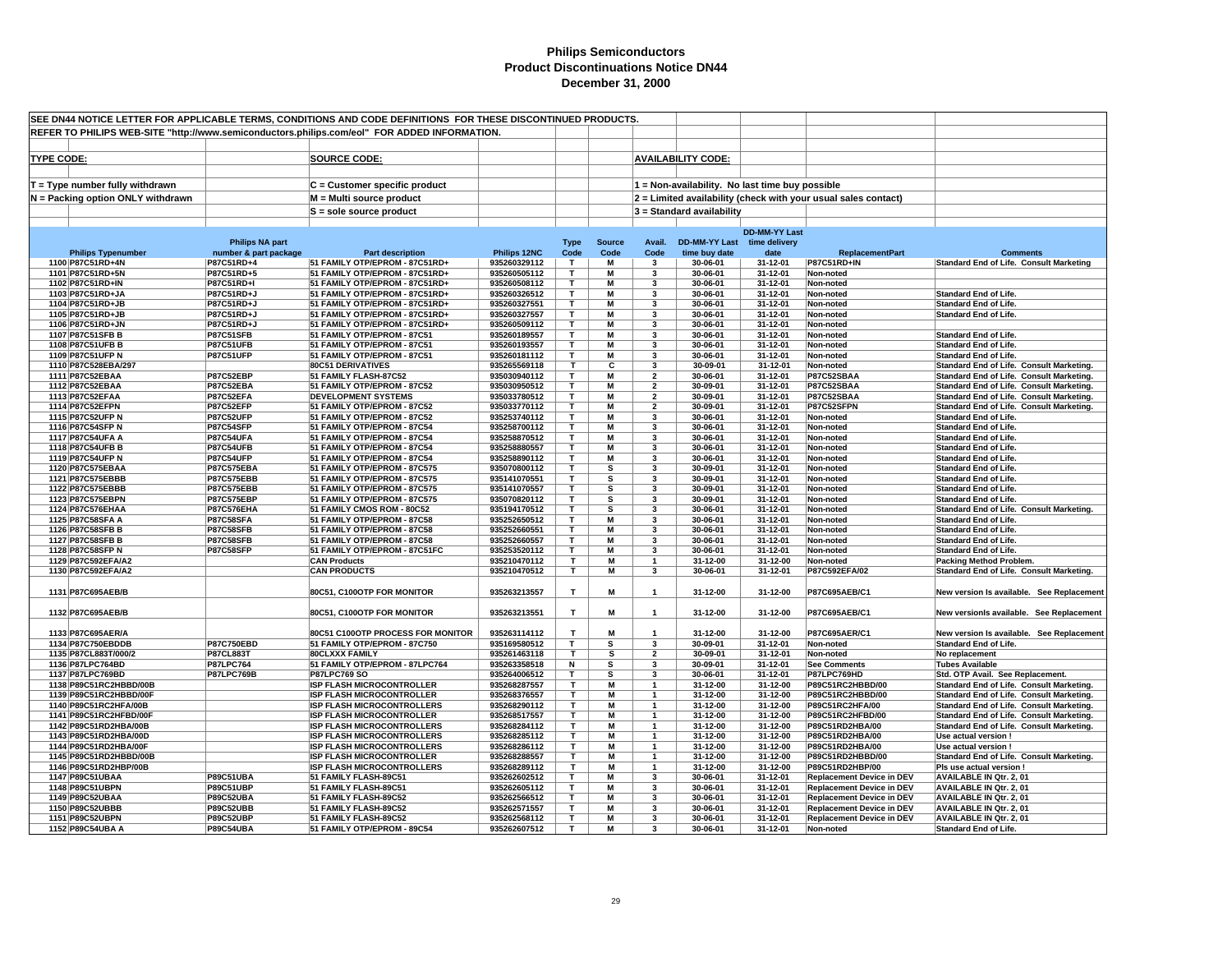|                   |                                                |                                       | SEE DN44 NOTICE LETTER FOR APPLICABLE TERMS, CONDITIONS AND CODE DEFINITIONS FOR THESE DISCONTINUED PRODUCTS. |                              |                              |               |                                           |                                                 |                      |                                                                      |                                                                                      |
|-------------------|------------------------------------------------|---------------------------------------|---------------------------------------------------------------------------------------------------------------|------------------------------|------------------------------|---------------|-------------------------------------------|-------------------------------------------------|----------------------|----------------------------------------------------------------------|--------------------------------------------------------------------------------------|
|                   |                                                |                                       | REFER TO PHILIPS WEB-SITE "http://www.semiconductors.philips.com/eol" FOR ADDED INFORMATION.                  |                              |                              |               |                                           |                                                 |                      |                                                                      |                                                                                      |
|                   |                                                |                                       |                                                                                                               |                              |                              |               |                                           |                                                 |                      |                                                                      |                                                                                      |
| <b>TYPE CODE:</b> |                                                |                                       | <b>SOURCE CODE:</b>                                                                                           |                              |                              |               |                                           | <b>AVAILABILITY CODE:</b>                       |                      |                                                                      |                                                                                      |
|                   |                                                |                                       |                                                                                                               |                              |                              |               |                                           |                                                 |                      |                                                                      |                                                                                      |
|                   | $T = Type$ number fully withdrawn              |                                       | $C =$ Customer specific product                                                                               |                              |                              |               |                                           | 1 = Non-availability. No last time buy possible |                      |                                                                      |                                                                                      |
|                   | N = Packing option ONLY withdrawn              |                                       | M = Multi source product                                                                                      |                              |                              |               |                                           |                                                 |                      | 2 = Limited availability (check with your usual sales contact)       |                                                                                      |
|                   |                                                |                                       | S = sole source product                                                                                       |                              |                              |               |                                           | 3 = Standard availability                       |                      |                                                                      |                                                                                      |
|                   |                                                |                                       |                                                                                                               |                              |                              |               |                                           |                                                 |                      |                                                                      |                                                                                      |
|                   |                                                |                                       |                                                                                                               |                              |                              |               |                                           |                                                 | <b>DD-MM-YY Last</b> |                                                                      |                                                                                      |
|                   |                                                | <b>Philips NA part</b>                |                                                                                                               | Philips 12NC                 | <b>Type</b>                  | <b>Source</b> | Avail.                                    | DD-MM-YY Last time delivery                     |                      | <b>ReplacementPart</b>                                               | <b>Comments</b>                                                                      |
|                   | <b>Philips Typenumber</b><br>1100 P87C51RD+4N  | number & part package<br>P87C51RD+4   | <b>Part description</b><br>51 FAMILY OTP/EPROM - 87C51RD+                                                     | 935260329112                 | Code<br>т                    | Code<br>M     | Code<br>-3                                | time buy date<br>30-06-01                       | date<br>31-12-01     | <b>P87C51RD+IN</b>                                                   | <b>Standard End of Life. Consult Marketing</b>                                       |
|                   | 1101 P87C51RD+5N                               | P87C51RD+5                            | 51 FAMILY OTP/EPROM - 87C51RD+                                                                                | 935260505112                 | $\mathbf{T}$                 | M             | 3                                         | 30-06-01                                        | 31-12-01             | Non-noted                                                            |                                                                                      |
|                   | 1102 P87C51RD+IN                               | P87C51RD+I                            | 51 FAMILY OTP/EPROM - 87C51RD+                                                                                | 935260508112                 | T                            | M             | 3                                         | 30-06-01                                        | 31-12-01             | Non-noted                                                            |                                                                                      |
|                   | 1103 P87C51RD+JA                               | P87C51RD+J                            | 51 FAMILY OTP/EPROM - 87C51RD+                                                                                | 935260326512                 | T                            | м             | 3                                         | 30-06-01                                        | 31-12-01             | Non-noted                                                            | <b>Standard End of Life.</b>                                                         |
|                   | 1104 P87C51RD+JB                               | P87C51RD+J                            | 51 FAMILY OTP/EPROM - 87C51RD+                                                                                | 935260327551                 | $\mathbf{T}$                 | M             | 3                                         | 30-06-01                                        | 31-12-01             | Non-noted                                                            | <b>Standard End of Life.</b>                                                         |
|                   | 1105 P87C51RD+JB<br>1106 P87C51RD+JN           | P87C51RD+J<br>P87C51RD+J              | 51 FAMILY OTP/EPROM - 87C51RD+<br>51 FAMILY OTP/EPROM - 87C51RD+                                              | 935260327557<br>935260509112 | т<br>T                       | M<br>M        | 3<br>3                                    | 30-06-01<br>30-06-01                            | 31-12-01<br>31-12-01 | Non-noted<br>Non-noted                                               | <b>Standard End of Life.</b>                                                         |
|                   | 1107 P87C51SFB B                               | <b>P87C51SFB</b>                      | 51 FAMILY OTP/EPROM - 87C51                                                                                   | 935260189557                 | T.                           | M             | 3                                         | 30-06-01                                        | 31-12-01             | Non-noted                                                            | <b>Standard End of Life.</b>                                                         |
|                   | 1108 P87C51UFB B                               | <b>P87C51UFB</b>                      | 51 FAMILY OTP/EPROM - 87C51                                                                                   | 935260193557                 | т                            | M             | 3                                         | 30-06-01                                        | 31-12-01             | Non-noted                                                            | <b>Standard End of Life.</b>                                                         |
|                   | 1109 P87C51UFP N                               | <b>P87C51UFP</b>                      | 51 FAMILY OTP/EPROM - 87C51                                                                                   | 935260181112                 | т                            | M             | 3                                         | 30-06-01                                        | 31-12-01             | Non-noted                                                            | <b>Standard End of Life.</b>                                                         |
|                   | 1110 P87C528EBA/297                            |                                       | 80C51 DERIVATIVES                                                                                             | 935265569118                 | т                            | C             | 3                                         | 30-09-01                                        | 31-12-01             | Non-noted                                                            | Standard End of Life. Consult Marketing.                                             |
|                   | 1111 P87C52EBAA                                | P87C52EBP                             | 51 FAMILY FLASH-87C52                                                                                         | 935030940112                 | T                            | M             | $\overline{2}$                            | 30-06-01                                        | 31-12-01             | P87C52SBAA                                                           | Standard End of Life. Consult Marketing.                                             |
|                   | 1112 P87C52EBAA<br>1113 P87C52EFAA             | P87C52EBA<br>P87C52EFA                | 51 FAMILY OTP/EPROM - 87C52<br><b>DEVELOPMENT SYSTEMS</b>                                                     | 935030950512<br>935033780512 | т<br>т                       | M<br>M        | $\overline{\mathbf{2}}$<br>$\overline{2}$ | 30-09-01<br>30-09-01                            | 31-12-01<br>31-12-01 | P87C52SBAA<br>P87C52SBAA                                             | Standard End of Life. Consult Marketing.<br>Standard End of Life. Consult Marketing. |
|                   | 1114 P87C52EFPN                                | <b>P87C52EFP</b>                      | 51 FAMILY OTP/EPROM - 87C52                                                                                   | 935033770112                 | т                            | м             | $\overline{2}$                            | 30-09-01                                        | 31-12-01             | P87C52SFPN                                                           | Standard End of Life. Consult Marketing.                                             |
|                   | 1115 P87C52UFP N                               | P87C52UFP                             | 51 FAMILY OTP/EPROM - 87C52                                                                                   | 935253740112                 | $\mathbf{r}$                 | М             | $\mathbf{3}$                              | 30-06-01                                        | 31-12-01             | Non-noted                                                            | <b>Standard End of Life.</b>                                                         |
|                   | 1116 P87C54SFP N                               | <b>P87C54SFP</b>                      | 51 FAMILY OTP/EPROM - 87C54                                                                                   | 935258700112                 | т                            | M             | 3                                         | 30-06-01                                        | 31-12-01             | Non-noted                                                            | <b>Standard End of Life.</b>                                                         |
|                   | 1117 P87C54UFA A                               | <b>P87C54UFA</b>                      | 51 FAMILY OTP/EPROM - 87C54                                                                                   | 935258870512                 | T                            | M             | 3                                         | 30-06-01                                        | 31-12-01             | Non-noted                                                            | <b>Standard End of Life.</b>                                                         |
|                   | 1118 P87C54UFB B                               | <b>P87C54UFB</b>                      | 51 FAMILY OTP/EPROM - 87C54                                                                                   | 935258880557                 | T<br>T                       | M<br>M        | 3<br>$\overline{\mathbf{3}}$              | 30-06-01<br>30-06-01                            | 31-12-01<br>31-12-01 | Non-noted                                                            | <b>Standard End of Life.</b>                                                         |
|                   | 1119 P87C54UFP N<br>1120 P87C575EBAA           | <b>P87C54UFP</b><br><b>P87C575EBA</b> | 51 FAMILY OTP/EPROM - 87C54<br>51 FAMILY OTP/EPROM - 87C575                                                   | 935258890112<br>935070800112 | $\mathbf \tau$               | s             | 3                                         | 30-09-01                                        | 31-12-01             | Non-noted<br>Non-noted                                               | <b>Standard End of Life.</b><br><b>Standard End of Life.</b>                         |
|                   | 1121 P87C575EBBB                               | <b>P87C575EBB</b>                     | 51 FAMILY OTP/EPROM - 87C575                                                                                  | 935141070551                 | T                            | s             | 3                                         | 30-09-01                                        | 31-12-01             | Non-noted                                                            | <b>Standard End of Life.</b>                                                         |
|                   | 1122 P87C575EBBB                               | <b>P87C575EBB</b>                     | 51 FAMILY OTP/EPROM - 87C575                                                                                  | 935141070557                 | $\mathbf{T}$                 | s             | 3                                         | 30-09-01                                        | 31-12-01             | Non-noted                                                            | <b>Standard End of Life.</b>                                                         |
|                   | 1123 P87C575EBPN                               | <b>P87C575EBP</b>                     | 51 FAMILY OTP/EPROM - 87C575                                                                                  | 935070820112                 | $\mathbf{r}$                 | s             | 3                                         | 30-09-01                                        | 31-12-01             | Non-noted                                                            | <b>Standard End of Life.</b>                                                         |
|                   | 1124 P87C576EHAA                               | <b>P87C576EHA</b>                     | 51 FAMILY CMOS ROM - 80C52                                                                                    | 935194170512                 | $\mathbf{r}$                 | s             | 3                                         | 30-06-01                                        | 31-12-01             | Non-noted                                                            | Standard End of Life. Consult Marketing.                                             |
|                   | 1125 P87C58SFA A                               | <b>P87C58SFA</b>                      | 51 FAMILY OTP/EPROM - 87C58                                                                                   | 935252650512                 | т                            | M             | 3<br>3                                    | 30-06-01                                        | 31-12-01             | Non-noted                                                            | <b>Standard End of Life.</b>                                                         |
|                   | 1126 P87C58SFB B<br>1127 P87C58SFB B           | <b>P87C58SFB</b><br><b>P87C58SFB</b>  | 51 FAMILY OTP/EPROM - 87C58<br>51 FAMILY OTP/EPROM - 87C58                                                    | 935252660551<br>935252660557 | т<br>т                       | M<br>M        | $\overline{\mathbf{3}}$                   | 30-06-01<br>30-06-01                            | 31-12-01<br>31-12-01 | Non-noted<br>Non-noted                                               | <b>Standard End of Life.</b><br><b>Standard End of Life.</b>                         |
|                   | 1128 P87C58SFP N                               | <b>P87C58SFP</b>                      | 51 FAMILY OTP/EPROM - 87C51FC                                                                                 | 935253520112                 | т                            | M             | 3                                         | 30-06-01                                        | 31-12-01             | Non-noted                                                            | <b>Standard End of Life.</b>                                                         |
|                   | 1129 P87C592EFA/A2                             |                                       | <b>CAN Products</b>                                                                                           | 935210470112                 | т                            | М             |                                           | 31-12-00                                        | 31-12-00             | Non-noted                                                            | <b>Packing Method Problem.</b>                                                       |
|                   | 1130 P87C592EFA/A2                             |                                       | <b>CAN PRODUCTS</b>                                                                                           | 935210470512                 | T.                           | М             | 3                                         | 30-06-01                                        | 31-12-01             | P87C592EFA/02                                                        | Standard End of Life. Consult Marketing.                                             |
|                   |                                                |                                       |                                                                                                               |                              |                              |               |                                           |                                                 |                      |                                                                      |                                                                                      |
|                   | 1131 P87C695AEB/B                              |                                       | 80C51, C100OTP FOR MONITOR                                                                                    | 935263213557                 | $\mathbf{T}$                 | M             | $\mathbf{1}$                              | 31-12-00                                        | 31-12-00             | P87C695AEB/C1                                                        | New version Is available. See Replacement                                            |
|                   | 1132 P87C695AEB/B                              |                                       | 80C51, C100OTP FOR MONITOR                                                                                    | 935263213551                 | $\mathbf{T}$                 | М             | $\overline{1}$                            | 31-12-00                                        | 31-12-00             | P87C695AEB/C1                                                        | New versionls available. See Replacement                                             |
|                   |                                                |                                       |                                                                                                               |                              |                              |               |                                           |                                                 |                      |                                                                      |                                                                                      |
|                   | 1133 P87C695AER/A                              |                                       | 80C51 C100OTP PROCESS FOR MONITOR                                                                             | 935263114112                 | T                            | M             |                                           | 31-12-00                                        | 31-12-00             | P87C695AER/C1                                                        | New version Is available. See Replacement                                            |
|                   | 1134 P87C750EBDDB                              | <b>P87C750EBD</b>                     | 51 FAMILY OTP/EPROM - 87C750                                                                                  | 935169580512                 | T                            | s             | 3                                         | 30-09-01                                        | 31-12-01             | Non-noted                                                            | <b>Standard End of Life.</b>                                                         |
|                   | 1135 P87CL883T/000/2                           | <b>P87CL883T</b>                      | <b>80CLXXX FAMILY</b>                                                                                         | 935261463118                 | T                            | s             | $\overline{2}$                            | 30-09-01                                        | 31-12-01             | Non-noted                                                            | No replacement                                                                       |
|                   | 1136 P87LPC764BD<br>1137 P87LPC769BD           | <b>P87LPC764</b><br><b>P87LPC769B</b> | 51 FAMILY OTP/EPROM - 87LPC764<br><b>P87LPC769 SO</b>                                                         | 935263358518<br>935264006512 | $\overline{\mathsf{N}}$<br>T | s<br>s        | 3<br>3                                    | 30-09-01<br>30-06-01                            | 31-12-01<br>31-12-01 | <b>See Comments</b><br>P87LPC769HD                                   | <b>Tubes Available</b><br>Std. OTP Avail. See Replacement.                           |
|                   | 1138 P89C51RC2HBBD/00B                         |                                       | <b>ISP FLASH MICROCONTROLLER</b>                                                                              | 935268287557                 | T.                           | М             | $\mathbf{1}$                              | 31-12-00                                        | 31-12-00             | P89C51RC2HBBD/00                                                     | Standard End of Life. Consult Marketing.                                             |
|                   | 1139 P89C51RC2HBBD/00F                         |                                       | <b>ISP FLASH MICROCONTROLLER</b>                                                                              | 935268376557                 | т                            | M             | 1                                         | 31-12-00                                        | 31-12-00             | P89C51RC2HBBD/00                                                     | Standard End of Life. Consult Marketing.                                             |
|                   | 1140 P89C51RC2HFA/00B                          |                                       | <b>ISP FLASH MICROCONTROLLERS</b>                                                                             | 935268290112                 | т                            | М             | -1                                        | 31-12-00                                        | 31-12-00             | P89C51RC2HFA/00                                                      | Standard End of Life. Consult Marketing.                                             |
|                   | 1141 P89C51RC2HFBD/00F                         |                                       | <b>ISP FLASH MICROCONTROLLER</b>                                                                              | 935268517557                 | т                            | М             | $\mathbf{1}$                              | 31-12-00                                        | 31-12-00             | P89C51RC2HFBD/00                                                     | Standard End of Life. Consult Marketing.                                             |
|                   | 1142 P89C51RD2HBA/00B                          |                                       | <b>ISP FLASH MICROCONTROLLERS</b>                                                                             | 935268284112                 | T.                           | М             |                                           | 31-12-00                                        | 31-12-00             | P89C51RD2HBA/00                                                      | Standard End of Life. Consult Marketing.                                             |
|                   | 1143 P89C51RD2HBA/00D<br>1144 P89C51RD2HBA/00F |                                       | <b>ISP FLASH MICROCONTROLLERS</b><br><b>ISP FLASH MICROCONTROLLERS</b>                                        | 935268285112<br>935268286112 | т<br>T                       | М<br>М        | $\mathbf{1}$                              | 31-12-00<br>31-12-00                            | 31-12-00<br>31-12-00 | P89C51RD2HBA/00<br>P89C51RD2HBA/00                                   | Use actual version                                                                   |
|                   | 1145 P89C51RD2HBBD/00B                         |                                       | <b>ISP FLASH MICROCONTROLLER</b>                                                                              | 935268288557                 | т                            | М             |                                           | 31-12-00                                        | 31-12-00             | P89C51RD2HBBD/00                                                     | Use actual version !<br>Standard End of Life. Consult Marketing.                     |
|                   | 1146 P89C51RD2HBP/00B                          |                                       | <b>ISP FLASH MICROCONTROLLERS</b>                                                                             | 935268289112                 | т                            | М             | $\mathbf{1}$                              | 31-12-00                                        | 31-12-00             | P89C51RD2HBP/00                                                      | Pls use actual version !                                                             |
|                   | 1147 P89C51UBAA                                | <b>P89C51UBA</b>                      | 51 FAMILY FLASH-89C51                                                                                         | 935262602512                 | T                            | м             | 3                                         | 30-06-01                                        | 31-12-01             | <b>Replacement Device in DEV</b>                                     | <b>AVAILABLE IN Qtr. 2, 01</b>                                                       |
|                   | 1148 P89C51UBPN                                | <b>P89C51UBP</b>                      | 51 FAMILY FLASH-89C51                                                                                         | 935262605112                 | т                            | м             | 3                                         | 30-06-01                                        | 31-12-01             | <b>Replacement Device in DEV</b>                                     | <b>AVAILABLE IN Qtr. 2, 01</b>                                                       |
|                   | 1149 P89C52UBAA                                | <b>P89C52UBA</b>                      | 51 FAMILY FLASH-89C52                                                                                         | 935262566512                 | т                            | M             | 3                                         | 30-06-01                                        | 31-12-01             | <b>Replacement Device in DEV</b>                                     | <b>AVAILABLE IN Qtr. 2, 01</b>                                                       |
|                   | 1150 P89C52UBBB<br>1151 P89C52UBPN             | <b>P89C52UBB</b><br><b>P89C52UBP</b>  | 51 FAMILY FLASH-89C52<br>51 FAMILY FLASH-89C52                                                                | 935262571557<br>935262568112 | T<br>T.                      | M<br>M        | 3<br>$\overline{\mathbf{3}}$              | 30-06-01<br>30-06-01                            | 31-12-01<br>31-12-01 | <b>Replacement Device in DEV</b><br><b>Replacement Device in DEV</b> | <b>AVAILABLE IN Qtr. 2, 01</b><br><b>AVAILABLE IN Qtr. 2, 01</b>                     |
|                   | 1152 P89C54UBA A                               | <b>P89C54UBA</b>                      | 51 FAMILY OTP/EPROM - 89C54                                                                                   | 935262607512                 | $\mathbf{r}$                 | М             | $\mathbf{3}$                              | 30-06-01                                        | 31-12-01             | Non-noted                                                            | <b>Standard End of Life.</b>                                                         |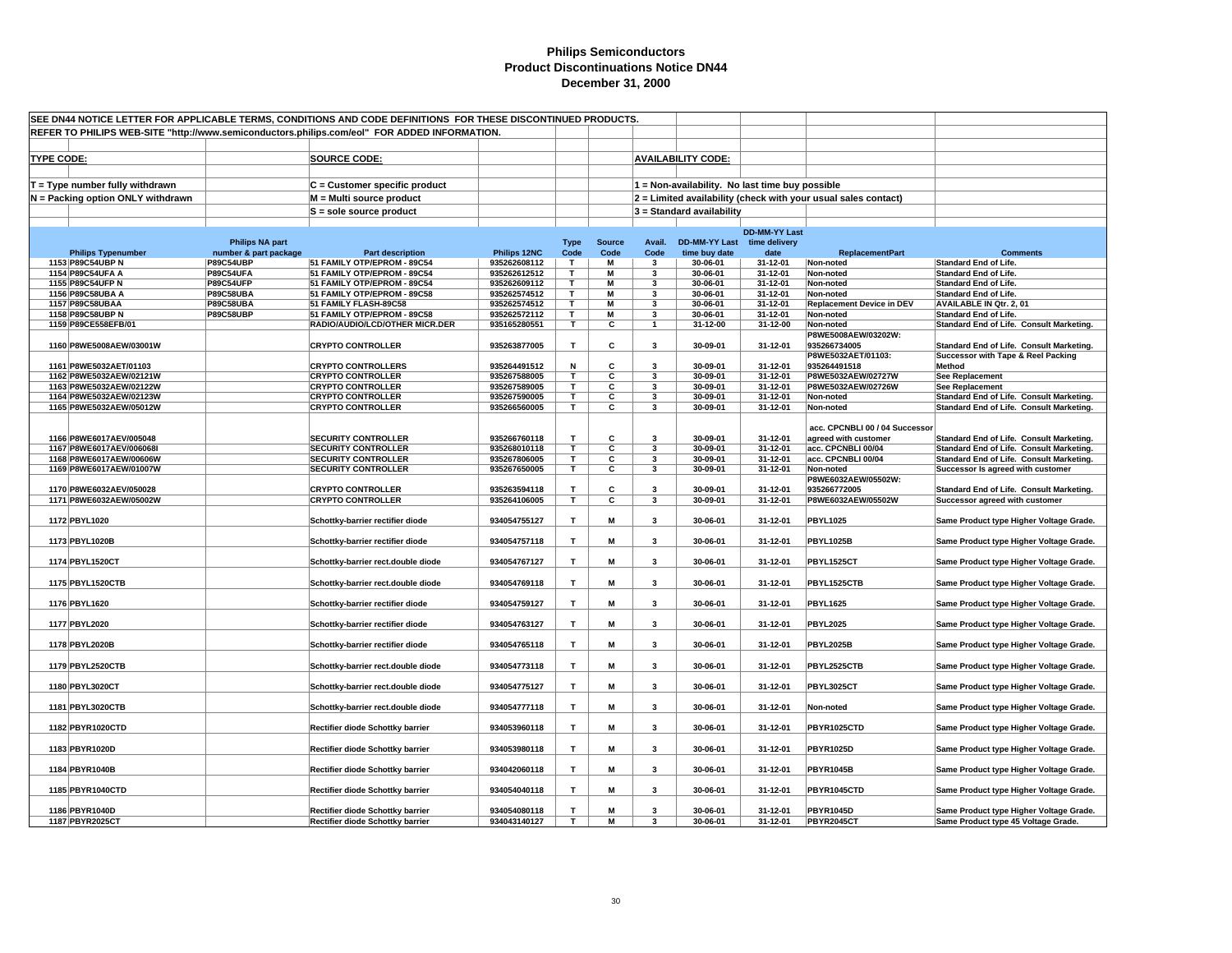|                   |                                                     |                                                 | SEE DN44 NOTICE LETTER FOR APPLICABLE TERMS, CONDITIONS AND CODE DEFINITIONS FOR THESE DISCONTINUED PRODUCTS. |                              |                         |                         |                         |                                                 |                       |                                                                |                                                                                      |
|-------------------|-----------------------------------------------------|-------------------------------------------------|---------------------------------------------------------------------------------------------------------------|------------------------------|-------------------------|-------------------------|-------------------------|-------------------------------------------------|-----------------------|----------------------------------------------------------------|--------------------------------------------------------------------------------------|
|                   |                                                     |                                                 | REFER TO PHILIPS WEB-SITE "http://www.semiconductors.philips.com/eol" FOR ADDED INFORMATION.                  |                              |                         |                         |                         |                                                 |                       |                                                                |                                                                                      |
|                   |                                                     |                                                 |                                                                                                               |                              |                         |                         |                         |                                                 |                       |                                                                |                                                                                      |
| <b>TYPE CODE:</b> |                                                     |                                                 | <b>SOURCE CODE:</b>                                                                                           |                              |                         |                         |                         | <b>AVAILABILITY CODE:</b>                       |                       |                                                                |                                                                                      |
|                   |                                                     |                                                 |                                                                                                               |                              |                         |                         |                         |                                                 |                       |                                                                |                                                                                      |
|                   | $T = Type$ number fully withdrawn                   |                                                 | C = Customer specific product                                                                                 |                              |                         |                         |                         | 1 = Non-availability. No last time buy possible |                       |                                                                |                                                                                      |
|                   | $N =$ Packing option ONLY withdrawn                 |                                                 | M = Multi source product                                                                                      |                              |                         |                         |                         |                                                 |                       | 2 = Limited availability (check with your usual sales contact) |                                                                                      |
|                   |                                                     |                                                 | S = sole source product                                                                                       |                              |                         |                         |                         | 3 = Standard availability                       |                       |                                                                |                                                                                      |
|                   |                                                     |                                                 |                                                                                                               |                              |                         |                         |                         |                                                 |                       |                                                                |                                                                                      |
|                   |                                                     |                                                 |                                                                                                               |                              |                         |                         |                         |                                                 | <b>DD-MM-YY Last</b>  |                                                                |                                                                                      |
|                   | <b>Philips Typenumber</b>                           | <b>Philips NA part</b><br>number & part package | <b>Part description</b>                                                                                       | Philips 12NC                 | <b>Type</b><br>Code     | <b>Source</b><br>Code   | Avail.<br>Code          | <b>DD-MM-YY Last</b><br>time buy date           | time delivery<br>date | <b>ReplacementPart</b>                                         | <b>Comments</b>                                                                      |
|                   | 1153 P89C54UBP N                                    | <b>P89C54UBP</b>                                | 51 FAMILY OTP/EPROM - 89C54                                                                                   | 935262608112                 | T.                      | М                       | 3                       | 30-06-01                                        | 31-12-01              | Non-noted                                                      | <b>Standard End of Life.</b>                                                         |
|                   | 1154 P89C54UFA A                                    | <b>P89C54UFA</b>                                | 51 FAMILY OTP/EPROM - 89C54                                                                                   | 935262612512                 | $\mathbf{T}$            | M                       | 3                       | 30-06-01                                        | 31-12-01              | Non-noted                                                      | <b>Standard End of Life.</b>                                                         |
|                   | 1155 P89C54UFP N                                    | <b>P89C54UFP</b>                                | 51 FAMILY OTP/EPROM - 89C54                                                                                   | 935262609112                 | т                       | M                       | 3                       | 30-06-01                                        | 31-12-01              | Non-noted                                                      | <b>Standard End of Life.</b>                                                         |
|                   | 1156 P89C58UBA A                                    | <b>P89C58UBA</b>                                | 51 FAMILY OTP/EPROM - 89C58                                                                                   | 935262574512                 | T                       | M                       | 3                       | 30-06-01                                        | 31-12-01              | Non-noted                                                      | <b>Standard End of Life.</b>                                                         |
|                   | 1157 P89C58UBAA<br>1158 P89C58UBP N                 | <b>P89C58UBA</b><br><b>P89C58UBP</b>            | 51 FAMILY FLASH-89C58                                                                                         | 935262574512<br>935262572112 | T.<br>т                 | M<br>M                  | 3<br>3                  | 30-06-01<br>30-06-01                            | 31-12-01<br>31-12-01  | <b>Replacement Device in DEV</b><br>Non-noted                  | AVAILABLE IN Qtr. 2, 01<br><b>Standard End of Life.</b>                              |
|                   | 1159 P89CE558EFB/01                                 |                                                 | 51 FAMILY OTP/EPROM - 89C58<br>RADIO/AUDIO/LCD/OTHER MICR.DER                                                 | 935165280551                 | T.                      | С                       | $\mathbf{1}$            | 31-12-00                                        | 31-12-00              | Non-noted                                                      | Standard End of Life. Consult Marketing.                                             |
|                   |                                                     |                                                 |                                                                                                               |                              |                         |                         |                         |                                                 |                       | P8WE5008AEW/03202W:                                            |                                                                                      |
|                   | 1160 P8WE5008AEW/03001W                             |                                                 | <b>CRYPTO CONTROLLER</b>                                                                                      | 935263877005                 | Т                       | С                       | 3                       | 30-09-01                                        | 31-12-01              | 935266734005                                                   | Standard End of Life. Consult Marketing.                                             |
|                   |                                                     |                                                 |                                                                                                               |                              |                         |                         |                         |                                                 |                       | P8WE5032AET/01103:                                             | Successor with Tape & Reel Packing                                                   |
|                   | 1161 P8WE5032AET/01103                              |                                                 | <b>CRYPTO CONTROLLERS</b>                                                                                     | 935264491512                 | N                       | C                       | $\overline{\mathbf{3}}$ | 30-09-01                                        | 31-12-01              | 935264491518                                                   | Method                                                                               |
|                   | 1162 P8WE5032AEW/02121W<br>1163 P8WE5032AEW/02122W  |                                                 | <b>CRYPTO CONTROLLER</b><br><b>CRYPTO CONTROLLER</b>                                                          | 935267588005<br>935267589005 | T<br>т                  | С<br>С                  | 3<br>3                  | 30-09-01<br>30-09-01                            | 31-12-01<br>31-12-01  | P8WE5032AEW/02727W<br>P8WE5032AEW/02726W                       | <b>See Replacement</b><br><b>See Replacement</b>                                     |
|                   | 1164 P8WE5032AEW/02123W                             |                                                 | <b>CRYPTO CONTROLLER</b>                                                                                      | 935267590005                 | T.                      | С                       | 3                       | 30-09-01                                        | 31-12-01              | Non-noted                                                      | Standard End of Life. Consult Marketing.                                             |
|                   | 1165 P8WE5032AEW/05012W                             |                                                 | <b>CRYPTO CONTROLLER</b>                                                                                      | 935266560005                 | $\overline{\mathsf{T}}$ | $\overline{\mathbf{c}}$ | 3                       | 30-09-01                                        | 31-12-01              | Non-noted                                                      | Standard End of Life. Consult Marketing.                                             |
|                   |                                                     |                                                 |                                                                                                               |                              |                         |                         |                         |                                                 |                       |                                                                |                                                                                      |
|                   |                                                     |                                                 |                                                                                                               |                              |                         |                         |                         |                                                 |                       | acc. CPCNBLI 00 / 04 Successor                                 |                                                                                      |
|                   | 1166 P8WE6017AEV/005048<br>1167 P8WE6017AEV/006068I |                                                 | <b>SECURITY CONTROLLER</b><br><b>SECURITY CONTROLLER</b>                                                      | 935266760118<br>935268010118 | T.<br>T.                | С<br>С                  | 3<br>3                  | 30-09-01<br>30-09-01                            | 31-12-01<br>31-12-01  | agreed with customer<br>acc. CPCNBLI 00/04                     | Standard End of Life. Consult Marketing.<br>Standard End of Life. Consult Marketing. |
|                   | 1168 P8WE6017AEW/00606W                             |                                                 | <b>SECURITY CONTROLLER</b>                                                                                    | 935267806005                 | T.                      | С                       | 3                       | 30-09-01                                        | 31-12-01              | acc. CPCNBLI 00/04                                             | Standard End of Life. Consult Marketing.                                             |
|                   | 1169 P8WE6017AEW/01007W                             |                                                 | <b>SECURITY CONTROLLER</b>                                                                                    | 935267650005                 | T.                      | C                       | 3                       | 30-09-01                                        | 31-12-01              | Non-noted                                                      | Successor Is agreed with customer                                                    |
|                   |                                                     |                                                 |                                                                                                               |                              |                         |                         |                         |                                                 |                       | P8WE6032AEW/05502W:                                            |                                                                                      |
|                   | 1170 P8WE6032AEV/050028                             |                                                 | <b>CRYPTO CONTROLLER</b>                                                                                      | 935263594118                 | т                       | c                       | 3                       | 30-09-01                                        | 31-12-01              | 935266772005                                                   | Standard End of Life. Consult Marketing.                                             |
|                   | 1171 P8WE6032AEW/05002W                             |                                                 | <b>CRYPTO CONTROLLER</b>                                                                                      | 935264106005                 | T                       | С                       | $\overline{\mathbf{3}}$ | 30-09-01                                        | 31-12-01              | P8WE6032AEW/05502W                                             | Successor agreed with customer                                                       |
|                   | 1172 PBYL1020                                       |                                                 | Schottky-barrier rectifier diode                                                                              | 934054755127                 | T                       | М                       | $\overline{\mathbf{3}}$ | 30-06-01                                        | 31-12-01              | <b>PBYL1025</b>                                                | Same Product type Higher Voltage Grade.                                              |
|                   |                                                     |                                                 |                                                                                                               |                              |                         |                         |                         |                                                 |                       |                                                                |                                                                                      |
|                   | 1173 PBYL1020B                                      |                                                 | Schottky-barrier rectifier diode                                                                              | 934054757118                 | T                       | М                       | 3                       | 30-06-01                                        | 31-12-01              | <b>PBYL1025B</b>                                               | Same Product type Higher Voltage Grade.                                              |
|                   |                                                     |                                                 |                                                                                                               |                              |                         |                         |                         |                                                 |                       |                                                                |                                                                                      |
|                   | 1174 PBYL1520CT                                     |                                                 | Schottky-barrier rect.double diode                                                                            | 934054767127                 | T                       | M                       | 3                       | 30-06-01                                        | 31-12-01              | <b>PBYL1525CT</b>                                              | Same Product type Higher Voltage Grade.                                              |
|                   | 1175 PBYL1520CTB                                    |                                                 | Schottky-barrier rect.double diode                                                                            | 934054769118                 | T                       | М                       | 3                       | 30-06-01                                        | 31-12-01              | PBYL1525CTB                                                    | Same Product type Higher Voltage Grade.                                              |
|                   |                                                     |                                                 |                                                                                                               |                              |                         |                         |                         |                                                 |                       |                                                                |                                                                                      |
|                   | 1176 PBYL1620                                       |                                                 | Schottky-barrier rectifier diode                                                                              | 934054759127                 | T                       | M                       | 3                       | 30-06-01                                        | 31-12-01              | <b>PBYL1625</b>                                                | Same Product type Higher Voltage Grade.                                              |
|                   |                                                     |                                                 |                                                                                                               |                              |                         |                         |                         |                                                 |                       |                                                                |                                                                                      |
|                   | 1177 PBYL2020                                       |                                                 | Schottky-barrier rectifier diode                                                                              | 934054763127                 | T                       | M                       | $\mathbf{3}$            | 30-06-01                                        | 31-12-01              | <b>PBYL2025</b>                                                | Same Product type Higher Voltage Grade.                                              |
|                   | 1178 PBYL2020B                                      |                                                 |                                                                                                               |                              | T                       | М                       | 3                       | 30-06-01                                        | 31-12-01              | <b>PBYL2025B</b>                                               |                                                                                      |
|                   |                                                     |                                                 | Schottky-barrier rectifier diode                                                                              | 934054765118                 |                         |                         |                         |                                                 |                       |                                                                | Same Product type Higher Voltage Grade.                                              |
|                   | 1179 PBYL2520CTB                                    |                                                 | Schottky-barrier rect.double diode                                                                            | 934054773118                 | Т                       | M                       | 3                       | 30-06-01                                        | 31-12-01              | PBYL2525CTB                                                    | Same Product type Higher Voltage Grade.                                              |
|                   |                                                     |                                                 |                                                                                                               |                              |                         |                         |                         |                                                 |                       |                                                                |                                                                                      |
|                   | 1180 PBYL3020CT                                     |                                                 | Schottky-barrier rect.double diode                                                                            | 934054775127                 | T                       | M                       | $\overline{\mathbf{3}}$ | 30-06-01                                        | 31-12-01              | PBYL3025CT                                                     | Same Product type Higher Voltage Grade.                                              |
|                   |                                                     |                                                 |                                                                                                               |                              |                         |                         |                         |                                                 |                       |                                                                |                                                                                      |
|                   | 1181 PBYL3020CTB                                    |                                                 | Schottky-barrier rect.double diode                                                                            | 934054777118                 | т                       | М                       | 3                       | 30-06-01                                        | 31-12-01              | Non-noted                                                      | Same Product type Higher Voltage Grade.                                              |
|                   | 1182 PBYR1020CTD                                    |                                                 | Rectifier diode Schottky barrier                                                                              | 934053960118                 | T                       | M                       | 3                       | 30-06-01                                        | 31-12-01              | PBYR1025CTD                                                    | Same Product type Higher Voltage Grade.                                              |
|                   |                                                     |                                                 |                                                                                                               |                              |                         |                         |                         |                                                 |                       |                                                                |                                                                                      |
|                   | 1183 PBYR1020D                                      |                                                 | Rectifier diode Schottky barrier                                                                              | 934053980118                 | T                       | M                       | $\mathbf{3}$            | 30-06-01                                        | 31-12-01              | <b>PBYR1025D</b>                                               | Same Product type Higher Voltage Grade.                                              |
|                   |                                                     |                                                 |                                                                                                               |                              |                         |                         |                         |                                                 |                       |                                                                |                                                                                      |
|                   | 1184 PBYR1040B                                      |                                                 | Rectifier diode Schottky barrier                                                                              | 934042060118                 | T                       | М                       | $\overline{\mathbf{3}}$ | 30-06-01                                        | 31-12-01              | <b>PBYR1045B</b>                                               | Same Product type Higher Voltage Grade.                                              |
|                   | 1185 PBYR1040CTD                                    |                                                 | Rectifier diode Schottky barrier                                                                              | 934054040118                 | T                       | M                       | 3                       | 30-06-01                                        | 31-12-01              | PBYR1045CTD                                                    | Same Product type Higher Voltage Grade.                                              |
|                   |                                                     |                                                 |                                                                                                               |                              |                         |                         |                         |                                                 |                       |                                                                |                                                                                      |
|                   | 1186 PBYR1040D                                      |                                                 | Rectifier diode Schottky barrier                                                                              | 934054080118                 | T                       | M                       | 3                       | 30-06-01                                        | 31-12-01              | <b>PBYR1045D</b>                                               | Same Product type Higher Voltage Grade.                                              |
|                   | 1187 PBYR2025CT                                     |                                                 | Rectifier diode Schottky barrier                                                                              | 934043140127                 | T                       | $\overline{M}$          | $\overline{\mathbf{3}}$ | 30-06-01                                        | 31-12-01              | <b>PBYR2045CT</b>                                              | Same Product type 45 Voltage Grade.                                                  |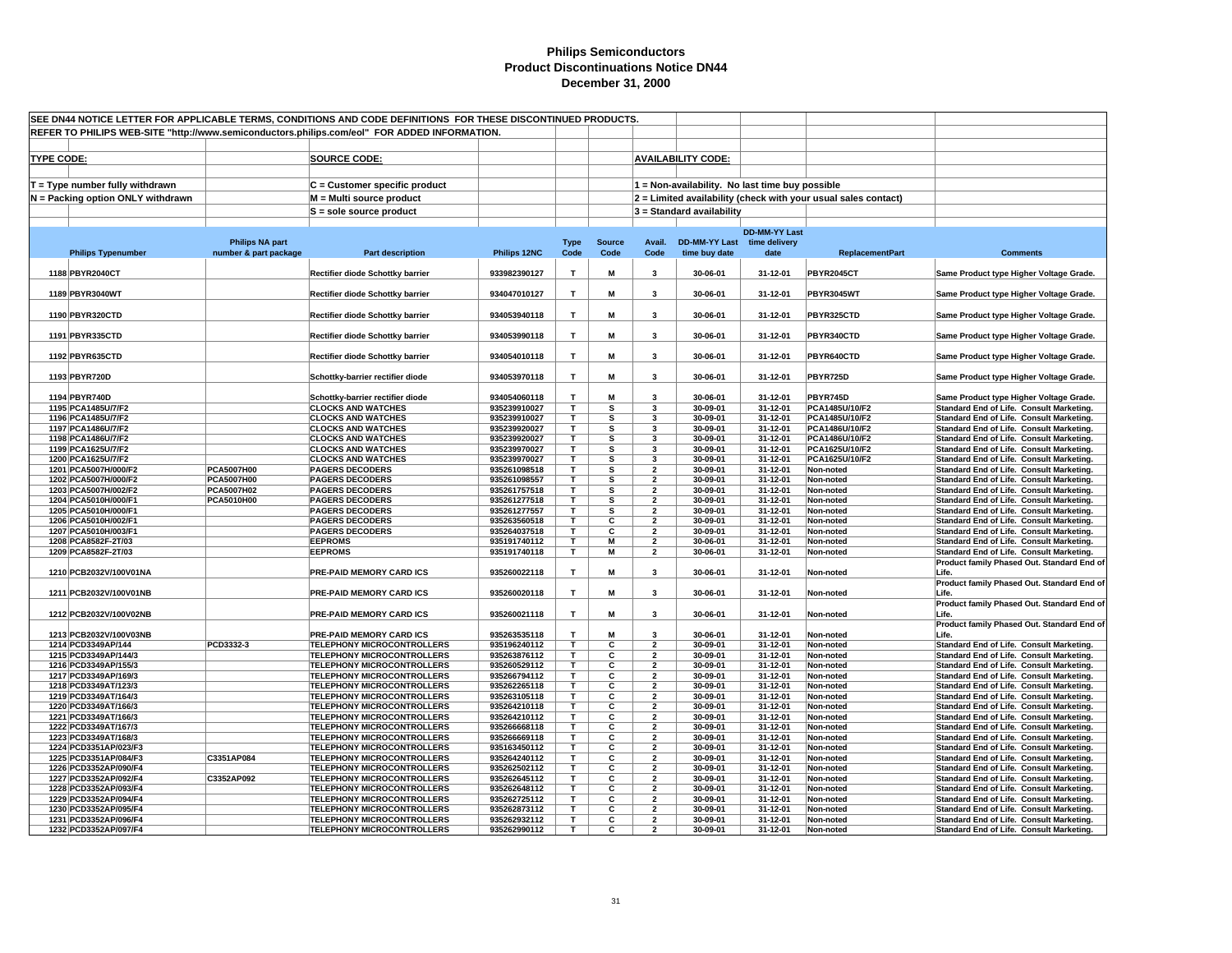|                   | SEE DN44 NOTICE LETTER FOR APPLICABLE TERMS, CONDITIONS AND CODE DEFINITIONS FOR THESE DISCONTINUED PRODUCTS.<br>REFER TO PHILIPS WEB-SITE "http://www.semiconductors.philips.com/eol" FOR ADDED INFORMATION. |                                                                        |                              |              |                         |                                                    |                                                 |                      |                                                                |                                                                                      |
|-------------------|---------------------------------------------------------------------------------------------------------------------------------------------------------------------------------------------------------------|------------------------------------------------------------------------|------------------------------|--------------|-------------------------|----------------------------------------------------|-------------------------------------------------|----------------------|----------------------------------------------------------------|--------------------------------------------------------------------------------------|
|                   |                                                                                                                                                                                                               |                                                                        |                              |              |                         |                                                    |                                                 |                      |                                                                |                                                                                      |
| <b>TYPE CODE:</b> |                                                                                                                                                                                                               | <b>SOURCE CODE:</b>                                                    |                              |              |                         |                                                    | <b>AVAILABILITY CODE:</b>                       |                      |                                                                |                                                                                      |
|                   |                                                                                                                                                                                                               |                                                                        |                              |              |                         |                                                    |                                                 |                      |                                                                |                                                                                      |
|                   |                                                                                                                                                                                                               |                                                                        |                              |              |                         |                                                    |                                                 |                      |                                                                |                                                                                      |
|                   | $T = Type$ number fully withdrawn                                                                                                                                                                             | C = Customer specific product                                          |                              |              |                         |                                                    | 1 = Non-availability. No last time buy possible |                      |                                                                |                                                                                      |
|                   | N = Packing option ONLY withdrawn                                                                                                                                                                             | M = Multi source product                                               |                              |              |                         |                                                    |                                                 |                      | 2 = Limited availability (check with your usual sales contact) |                                                                                      |
|                   |                                                                                                                                                                                                               | S = sole source product                                                |                              |              |                         |                                                    | $3 =$ Standard availability                     |                      |                                                                |                                                                                      |
|                   |                                                                                                                                                                                                               |                                                                        |                              |              |                         |                                                    |                                                 |                      |                                                                |                                                                                      |
|                   |                                                                                                                                                                                                               |                                                                        |                              |              |                         |                                                    |                                                 | <b>DD-MM-YY Last</b> |                                                                |                                                                                      |
|                   | <b>Philips NA part</b>                                                                                                                                                                                        |                                                                        |                              | <b>Type</b>  | <b>Source</b>           | Avail.                                             | DD-MM-YY Last time delivery                     |                      |                                                                |                                                                                      |
|                   | number & part package<br><b>Philips Typenumber</b>                                                                                                                                                            | <b>Part description</b>                                                | Philips 12NC                 | Code         | Code                    | Code                                               | time buy date                                   | date                 | <b>ReplacementPart</b>                                         | <b>Comments</b>                                                                      |
|                   | 1188 PBYR2040CT                                                                                                                                                                                               | Rectifier diode Schottky barrier                                       | 933982390127                 | $\mathbf{T}$ | M                       | 3                                                  | 30-06-01                                        | 31-12-01             | <b>PBYR2045CT</b>                                              | Same Product type Higher Voltage Grade.                                              |
|                   |                                                                                                                                                                                                               |                                                                        |                              |              |                         |                                                    |                                                 |                      |                                                                |                                                                                      |
|                   | 1189 PBYR3040WT                                                                                                                                                                                               | Rectifier diode Schottky barrier                                       | 934047010127                 | T            | M                       | $\overline{\mathbf{3}}$                            | 30-06-01                                        | 31-12-01             | <b>PBYR3045WT</b>                                              | Same Product type Higher Voltage Grade.                                              |
|                   |                                                                                                                                                                                                               |                                                                        |                              |              |                         |                                                    |                                                 |                      |                                                                |                                                                                      |
|                   | 1190 PBYR320CTD                                                                                                                                                                                               | Rectifier diode Schottky barrier                                       | 934053940118                 | $\mathsf T$  | M                       | 3                                                  | 30-06-01                                        | 31-12-01             | PBYR325CTD                                                     | Same Product type Higher Voltage Grade.                                              |
|                   |                                                                                                                                                                                                               |                                                                        |                              |              |                         |                                                    |                                                 |                      |                                                                |                                                                                      |
|                   | 1191 PBYR335CTD                                                                                                                                                                                               | Rectifier diode Schottky barrier                                       | 934053990118                 | T            | M                       | 3                                                  | 30-06-01                                        | 31-12-01             | PBYR340CTD                                                     | Same Product type Higher Voltage Grade.                                              |
|                   | 1192 PBYR635CTD                                                                                                                                                                                               |                                                                        | 934054010118                 | $\mathbf{T}$ | M                       | 3                                                  | 30-06-01                                        | 31-12-01             | PBYR640CTD                                                     |                                                                                      |
|                   |                                                                                                                                                                                                               | Rectifier diode Schottky barrier                                       |                              |              |                         |                                                    |                                                 |                      |                                                                | Same Product type Higher Voltage Grade.                                              |
|                   | 1193 PBYR720D                                                                                                                                                                                                 | Schottky-barrier rectifier diode                                       | 934053970118                 | $\mathsf T$  | M                       | 3                                                  | 30-06-01                                        | 31-12-01             | PBYR725D                                                       | Same Product type Higher Voltage Grade.                                              |
|                   |                                                                                                                                                                                                               |                                                                        |                              |              |                         |                                                    |                                                 |                      |                                                                |                                                                                      |
|                   | 1194 PBYR740D                                                                                                                                                                                                 | Schottky-barrier rectifier diode                                       | 934054060118                 | т            | M                       | 3                                                  | 30-06-01                                        | 31-12-01             | PBYR745D                                                       | Same Product type Higher Voltage Grade.                                              |
|                   | 1195 PCA1485U/7/F2                                                                                                                                                                                            | <b>CLOCKS AND WATCHES</b>                                              | 935239910027                 | T.           | s                       | $\overline{\mathbf{3}}$                            | 30-09-01                                        | 31-12-01             | PCA1485U/10/F2                                                 | Standard End of Life. Consult Marketing.                                             |
|                   | 1196 PCA1485U/7/F2                                                                                                                                                                                            | <b>CLOCKS AND WATCHES</b>                                              | 935239910027                 | T            | s                       | 3                                                  | 30-09-01                                        | 31-12-01             | PCA1485U/10/F2                                                 | Standard End of Life. Consult Marketing.                                             |
|                   | 1197 PCA1486U/7/F2                                                                                                                                                                                            | <b>CLOCKS AND WATCHES</b>                                              | 935239920027                 | т            | s                       | 3                                                  | 30-09-01                                        | 31-12-01             | PCA1486U/10/F2                                                 | Standard End of Life. Consult Marketing.                                             |
|                   | 1198 PCA1486U/7/F2                                                                                                                                                                                            | <b>CLOCKS AND WATCHES</b>                                              | 935239920027                 | T            | s                       | 3                                                  | 30-09-01                                        | 31-12-01             | PCA1486U/10/F2                                                 | Standard End of Life. Consult Marketing.                                             |
|                   | 1199 PCA1625U/7/F2                                                                                                                                                                                            | <b>CLOCKS AND WATCHES</b>                                              | 935239970027                 | T.           | s                       | 3                                                  | 30-09-01                                        | 31-12-01             | PCA1625U/10/F2                                                 | Standard End of Life. Consult Marketing.                                             |
|                   | 1200 PCA1625U/7/F2<br><b>PCA5007H00</b>                                                                                                                                                                       | <b>CLOCKS AND WATCHES</b>                                              | 935239970027                 | T.<br>т      | s                       | $\overline{\mathbf{3}}$<br>$\overline{\mathbf{2}}$ | 30-09-01                                        | 31-12-01<br>31-12-01 | PCA1625U/10/F2                                                 | Standard End of Life. Consult Marketing.                                             |
|                   | 1201 PCA5007H/000/F2<br><b>PCA5007H00</b><br>1202 PCA5007H/000/F2                                                                                                                                             | <b>PAGERS DECODERS</b><br><b>PAGERS DECODERS</b>                       | 935261098518<br>935261098557 | т            | s<br>s                  | $\overline{\mathbf{2}}$                            | 30-09-01<br>30-09-01                            | 31-12-01             | Non-noted<br>Non-noted                                         | Standard End of Life. Consult Marketing.<br>Standard End of Life. Consult Marketing. |
|                   | 1203 PCA5007H/002/F2<br>PCA5007H02                                                                                                                                                                            | <b>PAGERS DECODERS</b>                                                 | 935261757518                 | T            | s                       | $\overline{2}$                                     | 30-09-01                                        | 31-12-01             | Non-noted                                                      | Standard End of Life. Consult Marketing.                                             |
|                   | 1204 PCA5010H/000/F1<br>PCA5010H00                                                                                                                                                                            | <b>PAGERS DECODERS</b>                                                 | 935261277518                 | T.           | s                       | $\overline{2}$                                     | 30-09-01                                        | 31-12-01             | Non-noted                                                      | Standard End of Life. Consult Marketing.                                             |
|                   | 1205 PCA5010H/000/F1                                                                                                                                                                                          | <b>PAGERS DECODERS</b>                                                 | 935261277557                 | T.           | s                       | $\overline{2}$                                     | 30-09-01                                        | 31-12-01             | Non-noted                                                      | Standard End of Life. Consult Marketing.                                             |
|                   | 1206 PCA5010H/002/F1                                                                                                                                                                                          | <b>PAGERS DECODERS</b>                                                 | 935263560518                 | T            | С                       | $\overline{\mathbf{2}}$                            | 30-09-01                                        | 31-12-01             | Non-noted                                                      | Standard End of Life. Consult Marketing.                                             |
|                   | 1207 PCA5010H/003/F1                                                                                                                                                                                          | <b>PAGERS DECODERS</b>                                                 | 935264037518                 | T.           | С                       | $\overline{2}$                                     | 30-09-01                                        | 31-12-01             | Non-noted                                                      | Standard End of Life. Consult Marketing.                                             |
|                   | 1208 PCA8582F-2T/03                                                                                                                                                                                           | <b>EEPROMS</b>                                                         | 935191740112                 | T.           | M                       | $\overline{2}$                                     | 30-06-01                                        | 31-12-01             | Non-noted                                                      | Standard End of Life. Consult Marketing.                                             |
|                   | 1209 PCA8582F-2T/03                                                                                                                                                                                           | <b>EEPROMS</b>                                                         | 935191740118                 | T.           | M                       | $\overline{\mathbf{2}}$                            | 30-06-01                                        | 31-12-01             | Non-noted                                                      | Standard End of Life. Consult Marketing.                                             |
|                   |                                                                                                                                                                                                               |                                                                        |                              |              |                         |                                                    |                                                 |                      |                                                                | Product family Phased Out. Standard End of                                           |
|                   | 1210 PCB2032V/100V01NA                                                                                                                                                                                        | PRE-PAID MEMORY CARD ICS                                               | 935260022118                 | T.           | M                       | 3                                                  | 30-06-01                                        | 31-12-01             | Non-noted                                                      | Life.<br>Product family Phased Out. Standard End of                                  |
|                   | 1211 PCB2032V/100V01NB                                                                                                                                                                                        | <b>PRE-PAID MEMORY CARD ICS</b>                                        | 935260020118                 | T            | M                       | 3                                                  | 30-06-01                                        | 31-12-01             | Non-noted                                                      | Life.                                                                                |
|                   |                                                                                                                                                                                                               |                                                                        |                              |              |                         |                                                    |                                                 |                      |                                                                | Product family Phased Out. Standard End of                                           |
|                   | 1212 PCB2032V/100V02NB                                                                                                                                                                                        | PRE-PAID MEMORY CARD ICS                                               | 935260021118                 | T            | M                       | 3                                                  | 30-06-01                                        | 31-12-01             | Non-noted                                                      | Life.                                                                                |
|                   |                                                                                                                                                                                                               |                                                                        |                              |              |                         |                                                    |                                                 |                      |                                                                | Product family Phased Out. Standard End of                                           |
|                   | 1213 PCB2032V/100V03NB                                                                                                                                                                                        | PRE-PAID MEMORY CARD ICS                                               | 935263535118                 | T            | M                       | 3                                                  | 30-06-01                                        | 31-12-01             | Non-noted                                                      | Life.                                                                                |
|                   | 1214 PCD3349AP/144<br>PCD3332-3                                                                                                                                                                               | <b>TELEPHONY MICROCONTROLLERS</b>                                      | 935196240112                 | T.           | c                       | $\overline{2}$                                     | 30-09-01                                        | 31-12-01             | Non-noted                                                      | Standard End of Life. Consult Marketing.                                             |
|                   | 1215 PCD3349AP/144/3                                                                                                                                                                                          | <b>TELEPHONY MICROCONTROLLERS</b>                                      | 935263876112                 | т            | С                       | $\overline{2}$                                     | 30-09-01                                        | 31-12-01             | Non-noted                                                      | Standard End of Life. Consult Marketing.                                             |
|                   | 1216 PCD3349AP/155/3                                                                                                                                                                                          | <b>TELEPHONY MICROCONTROLLERS</b>                                      | 935260529112                 | T            | С                       | $\overline{\mathbf{2}}$                            | 30-09-01                                        | 31-12-01             | Non-noted                                                      | Standard End of Life. Consult Marketing.                                             |
|                   | 1217 PCD3349AP/169/3<br>1218 PCD3349AT/123/3                                                                                                                                                                  | <b>TELEPHONY MICROCONTROLLERS</b>                                      | 935266794112                 | T.<br>T.     | С<br>C                  | $\overline{2}$<br>$\overline{2}$                   | 30-09-01<br>30-09-01                            | 31-12-01<br>31-12-01 | Non-noted                                                      | Standard End of Life. Consult Marketing.                                             |
|                   | 1219 PCD3349AT/164/3                                                                                                                                                                                          | <b>TELEPHONY MICROCONTROLLERS</b><br><b>TELEPHONY MICROCONTROLLERS</b> | 935262265118<br>935263105118 | T.           | C                       | $\overline{\mathbf{2}}$                            | 30-09-01                                        | 31-12-01             | Non-noted<br>Non-noted                                         | Standard End of Life. Consult Marketing.<br>Standard End of Life. Consult Marketing. |
|                   | 1220 PCD3349AT/166/3                                                                                                                                                                                          | <b>TELEPHONY MICROCONTROLLERS</b>                                      | 935264210118                 | т            | С                       | $\overline{\mathbf{2}}$                            | 30-09-01                                        | 31-12-01             | Non-noted                                                      | Standard End of Life. Consult Marketing.                                             |
|                   | 1221 PCD3349AT/166/3                                                                                                                                                                                          | <b>TELEPHONY MICROCONTROLLERS</b>                                      | 935264210112                 | т            | С                       | $\overline{\mathbf{2}}$                            | 30-09-01                                        | 31-12-01             | Non-noted                                                      | Standard End of Life. Consult Marketing.                                             |
|                   | 1222 PCD3349AT/167/3                                                                                                                                                                                          | <b>TELEPHONY MICROCONTROLLERS</b>                                      | 935266668118                 | T            | C                       | $\overline{2}$                                     | 30-09-01                                        | 31-12-01             | Non-noted                                                      | Standard End of Life. Consult Marketing.                                             |
|                   | 1223 PCD3349AT/168/3                                                                                                                                                                                          | <b>TELEPHONY MICROCONTROLLERS</b>                                      | 935266669118                 | T.           | С                       | $\overline{\mathbf{2}}$                            | 30-09-01                                        | 31-12-01             | Non-noted                                                      | Standard End of Life. Consult Marketing.                                             |
|                   | 1224 PCD3351AP/023/F3                                                                                                                                                                                         | <b>TELEPHONY MICROCONTROLLERS</b>                                      | 935163450112                 | T.           | С                       | $\overline{2}$                                     | 30-09-01                                        | 31-12-01             | Non-noted                                                      | Standard End of Life. Consult Marketing.                                             |
|                   | C3351AP084<br>1225 PCD3351AP/084/F3                                                                                                                                                                           | <b>TELEPHONY MICROCONTROLLERS</b>                                      | 935264240112                 | T            | С                       | $\overline{\mathbf{2}}$                            | 30-09-01                                        | 31-12-01             | Non-noted                                                      | Standard End of Life. Consult Marketing.                                             |
|                   | 1226 PCD3352AP/090/F4                                                                                                                                                                                         | <b>TELEPHONY MICROCONTROLLERS</b>                                      | 935262502112                 | T.           | С                       | $\overline{2}$                                     | 30-09-01                                        | 31-12-01             | Non-noted                                                      | Standard End of Life. Consult Marketing.                                             |
|                   | 1227 PCD3352AP/092/F4<br>C3352AP092                                                                                                                                                                           | <b>TELEPHONY MICROCONTROLLERS</b>                                      | 935262645112                 | T.           | С                       | $\overline{2}$                                     | 30-09-01                                        | 31-12-01             | Non-noted                                                      | Standard End of Life. Consult Marketing.                                             |
|                   | 1228 PCD3352AP/093/F4                                                                                                                                                                                         | <b>TELEPHONY MICROCONTROLLERS</b>                                      | 935262648112                 | т<br>т       | $\overline{\mathbf{c}}$ | $\overline{\mathbf{2}}$<br>$\overline{2}$          | 30-09-01                                        | 31-12-01             | Non-noted                                                      | Standard End of Life. Consult Marketing.                                             |
|                   | 1229 PCD3352AP/094/F4<br>1230 PCD3352AP/095/F4                                                                                                                                                                | <b>TELEPHONY MICROCONTROLLERS</b><br><b>TELEPHONY MICROCONTROLLERS</b> | 935262725112<br>935262873112 | т            | С<br>С                  | $\mathbf{2}$                                       | 30-09-01<br>30-09-01                            | 31-12-01<br>31-12-01 | Non-noted<br>Non-noted                                         | Standard End of Life. Consult Marketing.<br>Standard End of Life. Consult Marketing. |
|                   | 1231 PCD3352AP/096/F4                                                                                                                                                                                         | <b>TELEPHONY MICROCONTROLLERS</b>                                      | 935262932112                 | T.           | C                       | $\overline{2}$                                     | 30-09-01                                        | 31-12-01             | Non-noted                                                      | Standard End of Life. Consult Marketing.                                             |
|                   | 1232 PCD3352AP/097/F4                                                                                                                                                                                         | <b>TELEPHONY MICROCONTROLLERS</b>                                      | 935262990112                 | T            | C.                      | $\mathbf{z}$                                       | 30-09-01                                        | 31-12-01             | Non-noted                                                      | Standard End of Life. Consult Marketing.                                             |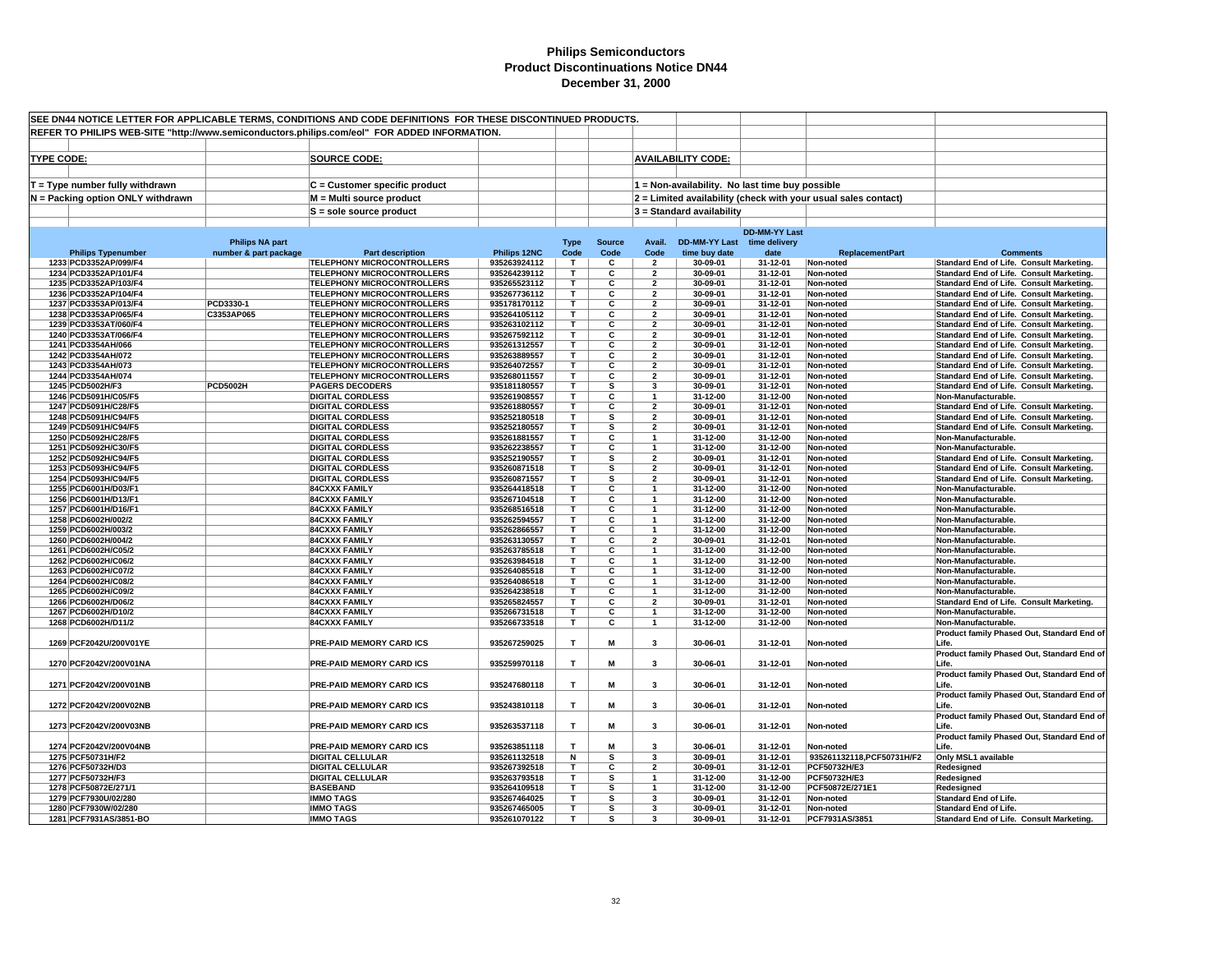| REFER TO PHILIPS WEB-SITE "http://www.semiconductors.philips.com/eol" FOR ADDED INFORMATION.<br><b>AVAILABILITY CODE:</b><br><b>TYPE CODE:</b><br><b>SOURCE CODE:</b><br>T = Type number fully withdrawn<br>C = Customer specific product<br>1 = Non-availability. No last time buy possible<br>2 = Limited availability (check with your usual sales contact)<br>N = Packing option ONLY withdrawn<br>M = Multi source product<br>3 = Standard availability<br>S = sole source product<br><b>DD-MM-YY Last</b><br><b>DD-MM-YY Last</b><br><b>Philips NA part</b><br><b>Type</b><br><b>Source</b><br>Avail.<br>time delivery<br>Philips 12NC<br>Code<br><b>Philips Typenumber</b><br>number & part package<br>Code<br>Code<br>time buy date<br>date<br><b>ReplacementPart</b><br><b>Comments</b><br><b>Part description</b><br>1233 PCD3352AP/099/F4<br><b>TELEPHONY MICROCONTROLLERS</b><br>935263924112<br>T<br>c<br>30-09-01<br>31-12-01<br>Non-noted<br>Standard End of Life. Consult Marketing.<br>$\overline{2}$<br>1234 PCD3352AP/101/F4<br><b>TELEPHONY MICROCONTROLLERS</b><br>935264239112<br>T<br>С<br>30-09-01<br>Standard End of Life. Consult Marketing.<br>$\overline{2}$<br>31-12-01<br>Non-noted<br><b>TELEPHONY MICROCONTROLLERS</b><br>935265523112<br>С<br>30-09-01<br>1235 PCD3352AP/103/F4<br>т<br>31-12-01<br>Standard End of Life. Consult Marketing.<br>$\overline{\mathbf{2}}$<br>Non-noted<br>1236 PCD3352AP/104/F4<br><b>TELEPHONY MICROCONTROLLERS</b><br>935267736112<br>T.<br>С<br>30-09-01<br>31-12-01<br>Standard End of Life. Consult Marketing.<br>$\mathbf{z}$<br>Non-noted<br>1237 PCD3353AP/013/F4<br>PCD3330-1<br><b>TELEPHONY MICROCONTROLLERS</b><br>935178170112<br>T.<br>С<br>$\overline{2}$<br>30-09-01<br>31-12-01<br>Non-noted<br>Standard End of Life. Consult Marketing.<br>$\overline{\mathbf{c}}$<br>C3353AP065<br><b>TELEPHONY MICROCONTROLLERS</b><br>T.<br>30-09-01<br>1238 PCD3353AP/065/F4<br>935264105112<br>$\overline{2}$<br>31-12-01<br>Non-noted<br>Standard End of Life. Consult Marketing.<br>1239 PCD3353AT/060/F4<br><b>TELEPHONY MICROCONTROLLERS</b><br>935263102112<br>T<br>C<br>30-09-01<br>31-12-01<br>Standard End of Life. Consult Marketing.<br>$\overline{2}$<br>Non-noted<br>1240 PCD3353AT/066/F4<br><b>TELEPHONY MICROCONTROLLERS</b><br>935267592112<br>T.<br>c<br>$\overline{\mathbf{2}}$<br>30-09-01<br>31-12-01<br>Non-noted<br>Standard End of Life. Consult Marketing.<br>C<br>1241 PCD3354AH/066<br><b>TELEPHONY MICROCONTROLLERS</b><br>935261312557<br>30-09-01<br>31-12-01<br>Non-noted<br>Standard End of Life. Consult Marketing.<br>т<br>$\overline{\mathbf{2}}$<br>1242 PCD3354AH/072<br><b>TELEPHONY MICROCONTROLLERS</b><br>935263889557<br>т<br>С<br>$\overline{2}$<br>30-09-01<br>31-12-01<br>Non-noted<br>Standard End of Life. Consult Marketing.<br>1243 PCD3354AH/073<br><b>TELEPHONY MICROCONTROLLERS</b><br>935264072557<br>T.<br>С<br>$\overline{2}$<br>30-09-01<br>31-12-01<br>Standard End of Life. Consult Marketing.<br>Non-noted<br>1244 PCD3354AH/074<br><b>TELEPHONY MICROCONTROLLERS</b><br>C<br>935268011557<br>т<br>$\overline{2}$<br>30-09-01<br>31-12-01<br>Standard End of Life. Consult Marketing.<br>Non-noted<br><b>PCD5002H</b><br>1245 PCD5002H/F3<br><b>PAGERS DECODERS</b><br>935181180557<br>T.<br>s<br>3<br>30-09-01<br>31-12-01<br>Non-noted<br>Standard End of Life. Consult Marketing.<br><b>DIGITAL CORDLESS</b><br>1246 PCD5091H/C05/F5<br>935261908557<br>T.<br>С<br>31-12-00<br>31-12-00<br>Non-noted<br>Non-Manufacturable.<br>$\mathbf{1}$<br><b>DIGITAL CORDLESS</b><br>С<br>$\overline{2}$<br>30-09-01<br>1247 PCD5091H/C28/F5<br>935261880557<br>т<br>31-12-01<br>Non-noted<br>Standard End of Life. Consult Marketing.<br><b>DIGITAL CORDLESS</b><br>s<br>30-09-01<br>31-12-01<br>1248 PCD5091H/C94/F5<br>935252180518<br>т<br>$\overline{2}$<br>Non-noted<br>Standard End of Life. Consult Marketing.<br>1249 PCD5091H/C94/F5<br><b>DIGITAL CORDLESS</b><br>935252180557<br>T.<br>s<br>$\overline{2}$<br>30-09-01<br>31-12-01<br>Non-noted<br>Standard End of Life. Consult Marketing.<br><b>DIGITAL CORDLESS</b><br>T.<br>С<br>31-12-00<br>31-12-00<br>1250 PCD5092H/C28/F5<br>935261881557<br>Non-noted<br>Non-Manufacturable.<br><b>DIGITAL CORDLESS</b><br>T.<br>C<br>31-12-00<br>31-12-00<br>1251 PCD5092H/C30/F5<br>935262238557<br>$\overline{\mathbf{1}}$<br>Non-noted<br>Non-Manufacturable.<br>1252 PCD5092H/C94/F5<br><b>DIGITAL CORDLESS</b><br>935252190557<br>s<br>$\overline{2}$<br>30-09-01<br>31-12-01<br>Standard End of Life. Consult Marketing.<br>Τ<br>Non-noted<br><b>DIGITAL CORDLESS</b><br>s<br>$\overline{2}$<br>30-09-01<br>31-12-01<br>1253 PCD5093H/C94/F5<br>935260871518<br>т<br>Non-noted<br>Standard End of Life. Consult Marketing.<br>30-09-01<br>31-12-01<br>1254 PCD5093H/C94/F5<br><b>DIGITAL CORDLESS</b><br>935260871557<br>т<br>s<br>$\overline{2}$<br>Non-noted<br>Standard End of Life. Consult Marketing.<br>1255 PCD6001H/D03/F1<br><b>84CXXX FAMILY</b><br>935264418518<br>С<br>31-12-00<br>31-12-00<br>Τ<br>Non-noted<br>Non-Manufacturable.<br>935267104518<br>T.<br>C<br>31-12-00<br>31-12-00<br>1256 PCD6001H/D13/F1<br><b>84CXXX FAMILY</b><br>$\overline{1}$<br>Non-noted<br>Non-Manufacturable.<br>935268516518<br>T.<br>С<br>31-12-00<br>31-12-00<br>1257 PCD6001H/D16/F1<br><b>84CXXX FAMILY</b><br>$\overline{1}$<br>Non-noted<br>Non-Manufacturable.<br>1258 PCD6002H/002/2<br><b>84CXXX FAMILY</b><br>935262594557<br>т<br>С<br>31-12-00<br>31-12-00<br>$\mathbf{1}$<br>Non-noted<br>Non-Manufacturable.<br>1259 PCD6002H/003/2<br><b>84CXXX FAMILY</b><br>935262866557<br>T<br>С<br>31-12-00<br>31-12-00<br>Non-noted<br>Non-Manufacturable.<br>-1<br>1260 PCD6002H/004/2<br>С<br>30-09-01<br><b>84CXXX FAMILY</b><br>935263130557<br>т<br>$\overline{2}$<br>31-12-01<br>Non-Manufacturable.<br>Non-noted<br>1261 PCD6002H/C05/2<br><b>84CXXX FAMILY</b><br>935263785518<br>С<br>31-12-00<br>31-12-00<br>Non-Manufacturable.<br>т<br>$\mathbf{1}$<br>Non-noted<br>C<br>1262 PCD6002H/C06/2<br><b>84CXXX FAMILY</b><br>935263984518<br>T.<br>31-12-00<br>31-12-00<br>Non-noted<br>Non-Manufacturable.<br>$\overline{\mathbf{c}}$<br>1263 PCD6002H/C07/2<br><b>84CXXX FAMILY</b><br>935264085518<br>T.<br>31-12-00<br>31-12-00<br>Non-noted<br>Non-Manufacturable.<br>1264 PCD6002H/C08/2<br><b>84CXXX FAMILY</b><br>935264086518<br>т<br>c<br>31-12-00<br>31-12-00<br>Non-Manufacturable.<br>$\mathbf{1}$<br>Non-noted<br>31-12-00<br>1265 PCD6002H/C09/2<br><b>84CXXX FAMILY</b><br>935264238518<br>T.<br>C<br>31-12-00<br>Non-noted<br>Non-Manufacturable.<br>$\mathbf{1}$<br>935265824557<br>C<br>30-09-01<br>31-12-01<br>Standard End of Life. Consult Marketing.<br>1266 PCD6002H/D06/2<br><b>84CXXX FAMILY</b><br>т<br>$\overline{2}$<br>Non-noted<br>С<br>1267 PCD6002H/D10/2<br><b>84CXXX FAMILY</b><br>935266731518<br>т<br>31-12-00<br>31-12-00<br>Non-noted<br>Non-Manufacturable.<br>-1<br>1268 PCD6002H/D11/2<br>935266733518<br>31-12-00<br>31-12-00<br><b>84CXXX FAMILY</b><br>Τ<br>С<br>$\overline{1}$<br>Non-noted<br>Non-Manufacturable.<br>T<br>M<br>1269 PCF2042U/200V01YE<br>PRE-PAID MEMORY CARD ICS<br>935267259025<br>3<br>30-06-01<br>31-12-01<br>Life.<br>Non-noted<br>Product family Phased Out, Standard End of<br>1270 PCF2042V/200V01NA<br>PRE-PAID MEMORY CARD ICS<br>935259970118<br>T<br>М<br>30-06-01<br>31-12-01<br>3<br>Non-noted<br>Life.<br>Product family Phased Out, Standard End of<br>1271 PCF2042V/200V01NB<br>PRE-PAID MEMORY CARD ICS<br>935247680118<br>T<br>M<br>$\overline{\mathbf{3}}$<br>30-06-01<br>31-12-01<br>Non-noted<br>Life.<br>Product family Phased Out, Standard End of<br>T<br>1272 PCF2042V/200V02NB<br>PRE-PAID MEMORY CARD ICS<br>935243810118<br>М<br>3<br>30-06-01<br>31-12-01<br>Non-noted<br>Life.<br>Product family Phased Out, Standard End of<br>1273 PCF2042V/200V03NB<br>PRE-PAID MEMORY CARD ICS<br>935263537118<br>M<br>30-06-01<br>31-12-01<br>T.<br>3<br>Non-noted<br>Life.<br>Product family Phased Out, Standard End of<br>1274 PCF2042V/200V04NB<br>PRE-PAID MEMORY CARD ICS<br>935263851118<br>T<br>M<br>30-06-01<br>31-12-01<br>$\overline{\mathbf{3}}$<br>Non-noted<br>Life.<br>1275 PCF50731H/F2<br><b>DIGITAL CELLULAR</b><br>935261132518<br>N<br>s<br>30-09-01<br>31-12-01<br>935261132118, PCF50731H/F2<br>Only MSL1 available<br>3<br>1276 PCF50732H/D3<br><b>DIGITAL CELLULAR</b><br>935267392518<br>С<br>$\overline{2}$<br>30-09-01<br>31-12-01<br>PCF50732H/E3<br>т<br>Redesigned<br>1277 PCF50732H/F3<br><b>DIGITAL CELLULAR</b><br>s<br>31-12-00<br>31-12-00<br>PCF50732H/E3<br>935263793518<br>T.<br>Redesigned<br>$\mathbf{1}$<br>1278 PCF50872E/271/1<br>T.<br>s<br>31-12-00<br>31-12-00<br>PCF50872E/271E1<br><b>BASEBAND</b><br>935264109518<br>Redesigned<br>1279 PCF7930U/02/280<br><b>IMMO TAGS</b><br>935267464025<br>s<br>30-09-01<br>31-12-01<br><b>Standard End of Life.</b><br>т<br>3<br>Non-noted<br>1280 PCF7930W/02/280<br><b>IMMO TAGS</b><br>935267465005<br>T.<br>S<br>30-09-01<br><b>Standard End of Life.</b><br>3<br>31-12-01<br>Non-noted<br>$\overline{\mathbf{r}}$<br>1281 PCF7931AS/3851-BO<br><b>IMMO TAGS</b><br>935261070122<br>s<br>30-09-01<br>PCF7931AS/3851<br>Standard End of Life. Consult Marketing.<br>3<br>31-12-01 | SEE DN44 NOTICE LETTER FOR APPLICABLE TERMS, CONDITIONS AND CODE DEFINITIONS FOR THESE DISCONTINUED PRODUCTS |  |  |  |  |  |  |  |  |                                            |
|------------------------------------------------------------------------------------------------------------------------------------------------------------------------------------------------------------------------------------------------------------------------------------------------------------------------------------------------------------------------------------------------------------------------------------------------------------------------------------------------------------------------------------------------------------------------------------------------------------------------------------------------------------------------------------------------------------------------------------------------------------------------------------------------------------------------------------------------------------------------------------------------------------------------------------------------------------------------------------------------------------------------------------------------------------------------------------------------------------------------------------------------------------------------------------------------------------------------------------------------------------------------------------------------------------------------------------------------------------------------------------------------------------------------------------------------------------------------------------------------------------------------------------------------------------------------------------------------------------------------------------------------------------------------------------------------------------------------------------------------------------------------------------------------------------------------------------------------------------------------------------------------------------------------------------------------------------------------------------------------------------------------------------------------------------------------------------------------------------------------------------------------------------------------------------------------------------------------------------------------------------------------------------------------------------------------------------------------------------------------------------------------------------------------------------------------------------------------------------------------------------------------------------------------------------------------------------------------------------------------------------------------------------------------------------------------------------------------------------------------------------------------------------------------------------------------------------------------------------------------------------------------------------------------------------------------------------------------------------------------------------------------------------------------------------------------------------------------------------------------------------------------------------------------------------------------------------------------------------------------------------------------------------------------------------------------------------------------------------------------------------------------------------------------------------------------------------------------------------------------------------------------------------------------------------------------------------------------------------------------------------------------------------------------------------------------------------------------------------------------------------------------------------------------------------------------------------------------------------------------------------------------------------------------------------------------------------------------------------------------------------------------------------------------------------------------------------------------------------------------------------------------------------------------------------------------------------------------------------------------------------------------------------------------------------------------------------------------------------------------------------------------------------------------------------------------------------------------------------------------------------------------------------------------------------------------------------------------------------------------------------------------------------------------------------------------------------------------------------------------------------------------------------------------------------------------------------------------------------------------------------------------------------------------------------------------------------------------------------------------------------------------------------------------------------------------------------------------------------------------------------------------------------------------------------------------------------------------------------------------------------------------------------------------------------------------------------------------------------------------------------------------------------------------------------------------------------------------------------------------------------------------------------------------------------------------------------------------------------------------------------------------------------------------------------------------------------------------------------------------------------------------------------------------------------------------------------------------------------------------------------------------------------------------------------------------------------------------------------------------------------------------------------------------------------------------------------------------------------------------------------------------------------------------------------------------------------------------------------------------------------------------------------------------------------------------------------------------------------------------------------------------------------------------------------------------------------------------------------------------------------------------------------------------------------------------------------------------------------------------------------------------------------------------------------------------------------------------------------------------------------------------------------------------------------------------------------------------------------------------------------------------------------------------------------------------------------------------------------------------------------------------------------------------------------------------------------------------------------------------------------------------------------------------------------------------------------------------------------------------------------------------------------------------------------------------------------------------------------------------------------------------------------------------------------------------------------------------------------------------------------------------------------------------------------------------------------------------------------------------------------------------------------------------------------------------------------------------------------------------------------------------------------------------------------------------------------------------------------------------------------------------------------------------------------------------------------------------------------------------------------------------------------------------------------------------------------------------------------------------------------------------------------------------------------------------------------------------------------------------------------------------------------------------------------------------------------------------------------------------------------------------------------------------------------------------------------------------------------------------------------------------------------------------------------------------------------------------------------------------------------------------------------------------------------------------------------------------------------------------------------------------------------------------------------------------------------------------------------------------------------------------------------------------------------------------------------------------------------------------------------------------------------------------------------------------------------------------------------------------------------------------------------------------------------------------------------------------------------------------------------------------------------------------------------------------------------------------------------|--------------------------------------------------------------------------------------------------------------|--|--|--|--|--|--|--|--|--------------------------------------------|
|                                                                                                                                                                                                                                                                                                                                                                                                                                                                                                                                                                                                                                                                                                                                                                                                                                                                                                                                                                                                                                                                                                                                                                                                                                                                                                                                                                                                                                                                                                                                                                                                                                                                                                                                                                                                                                                                                                                                                                                                                                                                                                                                                                                                                                                                                                                                                                                                                                                                                                                                                                                                                                                                                                                                                                                                                                                                                                                                                                                                                                                                                                                                                                                                                                                                                                                                                                                                                                                                                                                                                                                                                                                                                                                                                                                                                                                                                                                                                                                                                                                                                                                                                                                                                                                                                                                                                                                                                                                                                                                                                                                                                                                                                                                                                                                                                                                                                                                                                                                                                                                                                                                                                                                                                                                                                                                                                                                                                                                                                                                                                                                                                                                                                                                                                                                                                                                                                                                                                                                                                                                                                                                                                                                                                                                                                                                                                                                                                                                                                                                                                                                                                                                                                                                                                                                                                                                                                                                                                                                                                                                                                                                                                                                                                                                                                                                                                                                                                                                                                                                                                                                                                                                                                                                                                                                                                                                                                                                                                                                                                                                                                                                                                                                                                                                                                                                                                                                                                                                                                                                                                                                                                                                                                                                                                                                                                                                                                                                                                                                                                                                                                                                                                                                                                                                                                                                                                            |                                                                                                              |  |  |  |  |  |  |  |  |                                            |
|                                                                                                                                                                                                                                                                                                                                                                                                                                                                                                                                                                                                                                                                                                                                                                                                                                                                                                                                                                                                                                                                                                                                                                                                                                                                                                                                                                                                                                                                                                                                                                                                                                                                                                                                                                                                                                                                                                                                                                                                                                                                                                                                                                                                                                                                                                                                                                                                                                                                                                                                                                                                                                                                                                                                                                                                                                                                                                                                                                                                                                                                                                                                                                                                                                                                                                                                                                                                                                                                                                                                                                                                                                                                                                                                                                                                                                                                                                                                                                                                                                                                                                                                                                                                                                                                                                                                                                                                                                                                                                                                                                                                                                                                                                                                                                                                                                                                                                                                                                                                                                                                                                                                                                                                                                                                                                                                                                                                                                                                                                                                                                                                                                                                                                                                                                                                                                                                                                                                                                                                                                                                                                                                                                                                                                                                                                                                                                                                                                                                                                                                                                                                                                                                                                                                                                                                                                                                                                                                                                                                                                                                                                                                                                                                                                                                                                                                                                                                                                                                                                                                                                                                                                                                                                                                                                                                                                                                                                                                                                                                                                                                                                                                                                                                                                                                                                                                                                                                                                                                                                                                                                                                                                                                                                                                                                                                                                                                                                                                                                                                                                                                                                                                                                                                                                                                                                                                                            |                                                                                                              |  |  |  |  |  |  |  |  |                                            |
|                                                                                                                                                                                                                                                                                                                                                                                                                                                                                                                                                                                                                                                                                                                                                                                                                                                                                                                                                                                                                                                                                                                                                                                                                                                                                                                                                                                                                                                                                                                                                                                                                                                                                                                                                                                                                                                                                                                                                                                                                                                                                                                                                                                                                                                                                                                                                                                                                                                                                                                                                                                                                                                                                                                                                                                                                                                                                                                                                                                                                                                                                                                                                                                                                                                                                                                                                                                                                                                                                                                                                                                                                                                                                                                                                                                                                                                                                                                                                                                                                                                                                                                                                                                                                                                                                                                                                                                                                                                                                                                                                                                                                                                                                                                                                                                                                                                                                                                                                                                                                                                                                                                                                                                                                                                                                                                                                                                                                                                                                                                                                                                                                                                                                                                                                                                                                                                                                                                                                                                                                                                                                                                                                                                                                                                                                                                                                                                                                                                                                                                                                                                                                                                                                                                                                                                                                                                                                                                                                                                                                                                                                                                                                                                                                                                                                                                                                                                                                                                                                                                                                                                                                                                                                                                                                                                                                                                                                                                                                                                                                                                                                                                                                                                                                                                                                                                                                                                                                                                                                                                                                                                                                                                                                                                                                                                                                                                                                                                                                                                                                                                                                                                                                                                                                                                                                                                                                            |                                                                                                              |  |  |  |  |  |  |  |  |                                            |
|                                                                                                                                                                                                                                                                                                                                                                                                                                                                                                                                                                                                                                                                                                                                                                                                                                                                                                                                                                                                                                                                                                                                                                                                                                                                                                                                                                                                                                                                                                                                                                                                                                                                                                                                                                                                                                                                                                                                                                                                                                                                                                                                                                                                                                                                                                                                                                                                                                                                                                                                                                                                                                                                                                                                                                                                                                                                                                                                                                                                                                                                                                                                                                                                                                                                                                                                                                                                                                                                                                                                                                                                                                                                                                                                                                                                                                                                                                                                                                                                                                                                                                                                                                                                                                                                                                                                                                                                                                                                                                                                                                                                                                                                                                                                                                                                                                                                                                                                                                                                                                                                                                                                                                                                                                                                                                                                                                                                                                                                                                                                                                                                                                                                                                                                                                                                                                                                                                                                                                                                                                                                                                                                                                                                                                                                                                                                                                                                                                                                                                                                                                                                                                                                                                                                                                                                                                                                                                                                                                                                                                                                                                                                                                                                                                                                                                                                                                                                                                                                                                                                                                                                                                                                                                                                                                                                                                                                                                                                                                                                                                                                                                                                                                                                                                                                                                                                                                                                                                                                                                                                                                                                                                                                                                                                                                                                                                                                                                                                                                                                                                                                                                                                                                                                                                                                                                                                                            |                                                                                                              |  |  |  |  |  |  |  |  |                                            |
|                                                                                                                                                                                                                                                                                                                                                                                                                                                                                                                                                                                                                                                                                                                                                                                                                                                                                                                                                                                                                                                                                                                                                                                                                                                                                                                                                                                                                                                                                                                                                                                                                                                                                                                                                                                                                                                                                                                                                                                                                                                                                                                                                                                                                                                                                                                                                                                                                                                                                                                                                                                                                                                                                                                                                                                                                                                                                                                                                                                                                                                                                                                                                                                                                                                                                                                                                                                                                                                                                                                                                                                                                                                                                                                                                                                                                                                                                                                                                                                                                                                                                                                                                                                                                                                                                                                                                                                                                                                                                                                                                                                                                                                                                                                                                                                                                                                                                                                                                                                                                                                                                                                                                                                                                                                                                                                                                                                                                                                                                                                                                                                                                                                                                                                                                                                                                                                                                                                                                                                                                                                                                                                                                                                                                                                                                                                                                                                                                                                                                                                                                                                                                                                                                                                                                                                                                                                                                                                                                                                                                                                                                                                                                                                                                                                                                                                                                                                                                                                                                                                                                                                                                                                                                                                                                                                                                                                                                                                                                                                                                                                                                                                                                                                                                                                                                                                                                                                                                                                                                                                                                                                                                                                                                                                                                                                                                                                                                                                                                                                                                                                                                                                                                                                                                                                                                                                                                            |                                                                                                              |  |  |  |  |  |  |  |  |                                            |
|                                                                                                                                                                                                                                                                                                                                                                                                                                                                                                                                                                                                                                                                                                                                                                                                                                                                                                                                                                                                                                                                                                                                                                                                                                                                                                                                                                                                                                                                                                                                                                                                                                                                                                                                                                                                                                                                                                                                                                                                                                                                                                                                                                                                                                                                                                                                                                                                                                                                                                                                                                                                                                                                                                                                                                                                                                                                                                                                                                                                                                                                                                                                                                                                                                                                                                                                                                                                                                                                                                                                                                                                                                                                                                                                                                                                                                                                                                                                                                                                                                                                                                                                                                                                                                                                                                                                                                                                                                                                                                                                                                                                                                                                                                                                                                                                                                                                                                                                                                                                                                                                                                                                                                                                                                                                                                                                                                                                                                                                                                                                                                                                                                                                                                                                                                                                                                                                                                                                                                                                                                                                                                                                                                                                                                                                                                                                                                                                                                                                                                                                                                                                                                                                                                                                                                                                                                                                                                                                                                                                                                                                                                                                                                                                                                                                                                                                                                                                                                                                                                                                                                                                                                                                                                                                                                                                                                                                                                                                                                                                                                                                                                                                                                                                                                                                                                                                                                                                                                                                                                                                                                                                                                                                                                                                                                                                                                                                                                                                                                                                                                                                                                                                                                                                                                                                                                                                                            |                                                                                                              |  |  |  |  |  |  |  |  |                                            |
|                                                                                                                                                                                                                                                                                                                                                                                                                                                                                                                                                                                                                                                                                                                                                                                                                                                                                                                                                                                                                                                                                                                                                                                                                                                                                                                                                                                                                                                                                                                                                                                                                                                                                                                                                                                                                                                                                                                                                                                                                                                                                                                                                                                                                                                                                                                                                                                                                                                                                                                                                                                                                                                                                                                                                                                                                                                                                                                                                                                                                                                                                                                                                                                                                                                                                                                                                                                                                                                                                                                                                                                                                                                                                                                                                                                                                                                                                                                                                                                                                                                                                                                                                                                                                                                                                                                                                                                                                                                                                                                                                                                                                                                                                                                                                                                                                                                                                                                                                                                                                                                                                                                                                                                                                                                                                                                                                                                                                                                                                                                                                                                                                                                                                                                                                                                                                                                                                                                                                                                                                                                                                                                                                                                                                                                                                                                                                                                                                                                                                                                                                                                                                                                                                                                                                                                                                                                                                                                                                                                                                                                                                                                                                                                                                                                                                                                                                                                                                                                                                                                                                                                                                                                                                                                                                                                                                                                                                                                                                                                                                                                                                                                                                                                                                                                                                                                                                                                                                                                                                                                                                                                                                                                                                                                                                                                                                                                                                                                                                                                                                                                                                                                                                                                                                                                                                                                                                            |                                                                                                              |  |  |  |  |  |  |  |  |                                            |
|                                                                                                                                                                                                                                                                                                                                                                                                                                                                                                                                                                                                                                                                                                                                                                                                                                                                                                                                                                                                                                                                                                                                                                                                                                                                                                                                                                                                                                                                                                                                                                                                                                                                                                                                                                                                                                                                                                                                                                                                                                                                                                                                                                                                                                                                                                                                                                                                                                                                                                                                                                                                                                                                                                                                                                                                                                                                                                                                                                                                                                                                                                                                                                                                                                                                                                                                                                                                                                                                                                                                                                                                                                                                                                                                                                                                                                                                                                                                                                                                                                                                                                                                                                                                                                                                                                                                                                                                                                                                                                                                                                                                                                                                                                                                                                                                                                                                                                                                                                                                                                                                                                                                                                                                                                                                                                                                                                                                                                                                                                                                                                                                                                                                                                                                                                                                                                                                                                                                                                                                                                                                                                                                                                                                                                                                                                                                                                                                                                                                                                                                                                                                                                                                                                                                                                                                                                                                                                                                                                                                                                                                                                                                                                                                                                                                                                                                                                                                                                                                                                                                                                                                                                                                                                                                                                                                                                                                                                                                                                                                                                                                                                                                                                                                                                                                                                                                                                                                                                                                                                                                                                                                                                                                                                                                                                                                                                                                                                                                                                                                                                                                                                                                                                                                                                                                                                                                                            |                                                                                                              |  |  |  |  |  |  |  |  |                                            |
|                                                                                                                                                                                                                                                                                                                                                                                                                                                                                                                                                                                                                                                                                                                                                                                                                                                                                                                                                                                                                                                                                                                                                                                                                                                                                                                                                                                                                                                                                                                                                                                                                                                                                                                                                                                                                                                                                                                                                                                                                                                                                                                                                                                                                                                                                                                                                                                                                                                                                                                                                                                                                                                                                                                                                                                                                                                                                                                                                                                                                                                                                                                                                                                                                                                                                                                                                                                                                                                                                                                                                                                                                                                                                                                                                                                                                                                                                                                                                                                                                                                                                                                                                                                                                                                                                                                                                                                                                                                                                                                                                                                                                                                                                                                                                                                                                                                                                                                                                                                                                                                                                                                                                                                                                                                                                                                                                                                                                                                                                                                                                                                                                                                                                                                                                                                                                                                                                                                                                                                                                                                                                                                                                                                                                                                                                                                                                                                                                                                                                                                                                                                                                                                                                                                                                                                                                                                                                                                                                                                                                                                                                                                                                                                                                                                                                                                                                                                                                                                                                                                                                                                                                                                                                                                                                                                                                                                                                                                                                                                                                                                                                                                                                                                                                                                                                                                                                                                                                                                                                                                                                                                                                                                                                                                                                                                                                                                                                                                                                                                                                                                                                                                                                                                                                                                                                                                                                            |                                                                                                              |  |  |  |  |  |  |  |  |                                            |
|                                                                                                                                                                                                                                                                                                                                                                                                                                                                                                                                                                                                                                                                                                                                                                                                                                                                                                                                                                                                                                                                                                                                                                                                                                                                                                                                                                                                                                                                                                                                                                                                                                                                                                                                                                                                                                                                                                                                                                                                                                                                                                                                                                                                                                                                                                                                                                                                                                                                                                                                                                                                                                                                                                                                                                                                                                                                                                                                                                                                                                                                                                                                                                                                                                                                                                                                                                                                                                                                                                                                                                                                                                                                                                                                                                                                                                                                                                                                                                                                                                                                                                                                                                                                                                                                                                                                                                                                                                                                                                                                                                                                                                                                                                                                                                                                                                                                                                                                                                                                                                                                                                                                                                                                                                                                                                                                                                                                                                                                                                                                                                                                                                                                                                                                                                                                                                                                                                                                                                                                                                                                                                                                                                                                                                                                                                                                                                                                                                                                                                                                                                                                                                                                                                                                                                                                                                                                                                                                                                                                                                                                                                                                                                                                                                                                                                                                                                                                                                                                                                                                                                                                                                                                                                                                                                                                                                                                                                                                                                                                                                                                                                                                                                                                                                                                                                                                                                                                                                                                                                                                                                                                                                                                                                                                                                                                                                                                                                                                                                                                                                                                                                                                                                                                                                                                                                                                                            |                                                                                                              |  |  |  |  |  |  |  |  |                                            |
|                                                                                                                                                                                                                                                                                                                                                                                                                                                                                                                                                                                                                                                                                                                                                                                                                                                                                                                                                                                                                                                                                                                                                                                                                                                                                                                                                                                                                                                                                                                                                                                                                                                                                                                                                                                                                                                                                                                                                                                                                                                                                                                                                                                                                                                                                                                                                                                                                                                                                                                                                                                                                                                                                                                                                                                                                                                                                                                                                                                                                                                                                                                                                                                                                                                                                                                                                                                                                                                                                                                                                                                                                                                                                                                                                                                                                                                                                                                                                                                                                                                                                                                                                                                                                                                                                                                                                                                                                                                                                                                                                                                                                                                                                                                                                                                                                                                                                                                                                                                                                                                                                                                                                                                                                                                                                                                                                                                                                                                                                                                                                                                                                                                                                                                                                                                                                                                                                                                                                                                                                                                                                                                                                                                                                                                                                                                                                                                                                                                                                                                                                                                                                                                                                                                                                                                                                                                                                                                                                                                                                                                                                                                                                                                                                                                                                                                                                                                                                                                                                                                                                                                                                                                                                                                                                                                                                                                                                                                                                                                                                                                                                                                                                                                                                                                                                                                                                                                                                                                                                                                                                                                                                                                                                                                                                                                                                                                                                                                                                                                                                                                                                                                                                                                                                                                                                                                                                            |                                                                                                              |  |  |  |  |  |  |  |  |                                            |
|                                                                                                                                                                                                                                                                                                                                                                                                                                                                                                                                                                                                                                                                                                                                                                                                                                                                                                                                                                                                                                                                                                                                                                                                                                                                                                                                                                                                                                                                                                                                                                                                                                                                                                                                                                                                                                                                                                                                                                                                                                                                                                                                                                                                                                                                                                                                                                                                                                                                                                                                                                                                                                                                                                                                                                                                                                                                                                                                                                                                                                                                                                                                                                                                                                                                                                                                                                                                                                                                                                                                                                                                                                                                                                                                                                                                                                                                                                                                                                                                                                                                                                                                                                                                                                                                                                                                                                                                                                                                                                                                                                                                                                                                                                                                                                                                                                                                                                                                                                                                                                                                                                                                                                                                                                                                                                                                                                                                                                                                                                                                                                                                                                                                                                                                                                                                                                                                                                                                                                                                                                                                                                                                                                                                                                                                                                                                                                                                                                                                                                                                                                                                                                                                                                                                                                                                                                                                                                                                                                                                                                                                                                                                                                                                                                                                                                                                                                                                                                                                                                                                                                                                                                                                                                                                                                                                                                                                                                                                                                                                                                                                                                                                                                                                                                                                                                                                                                                                                                                                                                                                                                                                                                                                                                                                                                                                                                                                                                                                                                                                                                                                                                                                                                                                                                                                                                                                                            |                                                                                                              |  |  |  |  |  |  |  |  |                                            |
|                                                                                                                                                                                                                                                                                                                                                                                                                                                                                                                                                                                                                                                                                                                                                                                                                                                                                                                                                                                                                                                                                                                                                                                                                                                                                                                                                                                                                                                                                                                                                                                                                                                                                                                                                                                                                                                                                                                                                                                                                                                                                                                                                                                                                                                                                                                                                                                                                                                                                                                                                                                                                                                                                                                                                                                                                                                                                                                                                                                                                                                                                                                                                                                                                                                                                                                                                                                                                                                                                                                                                                                                                                                                                                                                                                                                                                                                                                                                                                                                                                                                                                                                                                                                                                                                                                                                                                                                                                                                                                                                                                                                                                                                                                                                                                                                                                                                                                                                                                                                                                                                                                                                                                                                                                                                                                                                                                                                                                                                                                                                                                                                                                                                                                                                                                                                                                                                                                                                                                                                                                                                                                                                                                                                                                                                                                                                                                                                                                                                                                                                                                                                                                                                                                                                                                                                                                                                                                                                                                                                                                                                                                                                                                                                                                                                                                                                                                                                                                                                                                                                                                                                                                                                                                                                                                                                                                                                                                                                                                                                                                                                                                                                                                                                                                                                                                                                                                                                                                                                                                                                                                                                                                                                                                                                                                                                                                                                                                                                                                                                                                                                                                                                                                                                                                                                                                                                                            |                                                                                                              |  |  |  |  |  |  |  |  |                                            |
|                                                                                                                                                                                                                                                                                                                                                                                                                                                                                                                                                                                                                                                                                                                                                                                                                                                                                                                                                                                                                                                                                                                                                                                                                                                                                                                                                                                                                                                                                                                                                                                                                                                                                                                                                                                                                                                                                                                                                                                                                                                                                                                                                                                                                                                                                                                                                                                                                                                                                                                                                                                                                                                                                                                                                                                                                                                                                                                                                                                                                                                                                                                                                                                                                                                                                                                                                                                                                                                                                                                                                                                                                                                                                                                                                                                                                                                                                                                                                                                                                                                                                                                                                                                                                                                                                                                                                                                                                                                                                                                                                                                                                                                                                                                                                                                                                                                                                                                                                                                                                                                                                                                                                                                                                                                                                                                                                                                                                                                                                                                                                                                                                                                                                                                                                                                                                                                                                                                                                                                                                                                                                                                                                                                                                                                                                                                                                                                                                                                                                                                                                                                                                                                                                                                                                                                                                                                                                                                                                                                                                                                                                                                                                                                                                                                                                                                                                                                                                                                                                                                                                                                                                                                                                                                                                                                                                                                                                                                                                                                                                                                                                                                                                                                                                                                                                                                                                                                                                                                                                                                                                                                                                                                                                                                                                                                                                                                                                                                                                                                                                                                                                                                                                                                                                                                                                                                                                            |                                                                                                              |  |  |  |  |  |  |  |  |                                            |
|                                                                                                                                                                                                                                                                                                                                                                                                                                                                                                                                                                                                                                                                                                                                                                                                                                                                                                                                                                                                                                                                                                                                                                                                                                                                                                                                                                                                                                                                                                                                                                                                                                                                                                                                                                                                                                                                                                                                                                                                                                                                                                                                                                                                                                                                                                                                                                                                                                                                                                                                                                                                                                                                                                                                                                                                                                                                                                                                                                                                                                                                                                                                                                                                                                                                                                                                                                                                                                                                                                                                                                                                                                                                                                                                                                                                                                                                                                                                                                                                                                                                                                                                                                                                                                                                                                                                                                                                                                                                                                                                                                                                                                                                                                                                                                                                                                                                                                                                                                                                                                                                                                                                                                                                                                                                                                                                                                                                                                                                                                                                                                                                                                                                                                                                                                                                                                                                                                                                                                                                                                                                                                                                                                                                                                                                                                                                                                                                                                                                                                                                                                                                                                                                                                                                                                                                                                                                                                                                                                                                                                                                                                                                                                                                                                                                                                                                                                                                                                                                                                                                                                                                                                                                                                                                                                                                                                                                                                                                                                                                                                                                                                                                                                                                                                                                                                                                                                                                                                                                                                                                                                                                                                                                                                                                                                                                                                                                                                                                                                                                                                                                                                                                                                                                                                                                                                                                                            |                                                                                                              |  |  |  |  |  |  |  |  |                                            |
|                                                                                                                                                                                                                                                                                                                                                                                                                                                                                                                                                                                                                                                                                                                                                                                                                                                                                                                                                                                                                                                                                                                                                                                                                                                                                                                                                                                                                                                                                                                                                                                                                                                                                                                                                                                                                                                                                                                                                                                                                                                                                                                                                                                                                                                                                                                                                                                                                                                                                                                                                                                                                                                                                                                                                                                                                                                                                                                                                                                                                                                                                                                                                                                                                                                                                                                                                                                                                                                                                                                                                                                                                                                                                                                                                                                                                                                                                                                                                                                                                                                                                                                                                                                                                                                                                                                                                                                                                                                                                                                                                                                                                                                                                                                                                                                                                                                                                                                                                                                                                                                                                                                                                                                                                                                                                                                                                                                                                                                                                                                                                                                                                                                                                                                                                                                                                                                                                                                                                                                                                                                                                                                                                                                                                                                                                                                                                                                                                                                                                                                                                                                                                                                                                                                                                                                                                                                                                                                                                                                                                                                                                                                                                                                                                                                                                                                                                                                                                                                                                                                                                                                                                                                                                                                                                                                                                                                                                                                                                                                                                                                                                                                                                                                                                                                                                                                                                                                                                                                                                                                                                                                                                                                                                                                                                                                                                                                                                                                                                                                                                                                                                                                                                                                                                                                                                                                                                            |                                                                                                              |  |  |  |  |  |  |  |  |                                            |
|                                                                                                                                                                                                                                                                                                                                                                                                                                                                                                                                                                                                                                                                                                                                                                                                                                                                                                                                                                                                                                                                                                                                                                                                                                                                                                                                                                                                                                                                                                                                                                                                                                                                                                                                                                                                                                                                                                                                                                                                                                                                                                                                                                                                                                                                                                                                                                                                                                                                                                                                                                                                                                                                                                                                                                                                                                                                                                                                                                                                                                                                                                                                                                                                                                                                                                                                                                                                                                                                                                                                                                                                                                                                                                                                                                                                                                                                                                                                                                                                                                                                                                                                                                                                                                                                                                                                                                                                                                                                                                                                                                                                                                                                                                                                                                                                                                                                                                                                                                                                                                                                                                                                                                                                                                                                                                                                                                                                                                                                                                                                                                                                                                                                                                                                                                                                                                                                                                                                                                                                                                                                                                                                                                                                                                                                                                                                                                                                                                                                                                                                                                                                                                                                                                                                                                                                                                                                                                                                                                                                                                                                                                                                                                                                                                                                                                                                                                                                                                                                                                                                                                                                                                                                                                                                                                                                                                                                                                                                                                                                                                                                                                                                                                                                                                                                                                                                                                                                                                                                                                                                                                                                                                                                                                                                                                                                                                                                                                                                                                                                                                                                                                                                                                                                                                                                                                                                                            |                                                                                                              |  |  |  |  |  |  |  |  |                                            |
|                                                                                                                                                                                                                                                                                                                                                                                                                                                                                                                                                                                                                                                                                                                                                                                                                                                                                                                                                                                                                                                                                                                                                                                                                                                                                                                                                                                                                                                                                                                                                                                                                                                                                                                                                                                                                                                                                                                                                                                                                                                                                                                                                                                                                                                                                                                                                                                                                                                                                                                                                                                                                                                                                                                                                                                                                                                                                                                                                                                                                                                                                                                                                                                                                                                                                                                                                                                                                                                                                                                                                                                                                                                                                                                                                                                                                                                                                                                                                                                                                                                                                                                                                                                                                                                                                                                                                                                                                                                                                                                                                                                                                                                                                                                                                                                                                                                                                                                                                                                                                                                                                                                                                                                                                                                                                                                                                                                                                                                                                                                                                                                                                                                                                                                                                                                                                                                                                                                                                                                                                                                                                                                                                                                                                                                                                                                                                                                                                                                                                                                                                                                                                                                                                                                                                                                                                                                                                                                                                                                                                                                                                                                                                                                                                                                                                                                                                                                                                                                                                                                                                                                                                                                                                                                                                                                                                                                                                                                                                                                                                                                                                                                                                                                                                                                                                                                                                                                                                                                                                                                                                                                                                                                                                                                                                                                                                                                                                                                                                                                                                                                                                                                                                                                                                                                                                                                                                            |                                                                                                              |  |  |  |  |  |  |  |  |                                            |
|                                                                                                                                                                                                                                                                                                                                                                                                                                                                                                                                                                                                                                                                                                                                                                                                                                                                                                                                                                                                                                                                                                                                                                                                                                                                                                                                                                                                                                                                                                                                                                                                                                                                                                                                                                                                                                                                                                                                                                                                                                                                                                                                                                                                                                                                                                                                                                                                                                                                                                                                                                                                                                                                                                                                                                                                                                                                                                                                                                                                                                                                                                                                                                                                                                                                                                                                                                                                                                                                                                                                                                                                                                                                                                                                                                                                                                                                                                                                                                                                                                                                                                                                                                                                                                                                                                                                                                                                                                                                                                                                                                                                                                                                                                                                                                                                                                                                                                                                                                                                                                                                                                                                                                                                                                                                                                                                                                                                                                                                                                                                                                                                                                                                                                                                                                                                                                                                                                                                                                                                                                                                                                                                                                                                                                                                                                                                                                                                                                                                                                                                                                                                                                                                                                                                                                                                                                                                                                                                                                                                                                                                                                                                                                                                                                                                                                                                                                                                                                                                                                                                                                                                                                                                                                                                                                                                                                                                                                                                                                                                                                                                                                                                                                                                                                                                                                                                                                                                                                                                                                                                                                                                                                                                                                                                                                                                                                                                                                                                                                                                                                                                                                                                                                                                                                                                                                                                                            |                                                                                                              |  |  |  |  |  |  |  |  |                                            |
|                                                                                                                                                                                                                                                                                                                                                                                                                                                                                                                                                                                                                                                                                                                                                                                                                                                                                                                                                                                                                                                                                                                                                                                                                                                                                                                                                                                                                                                                                                                                                                                                                                                                                                                                                                                                                                                                                                                                                                                                                                                                                                                                                                                                                                                                                                                                                                                                                                                                                                                                                                                                                                                                                                                                                                                                                                                                                                                                                                                                                                                                                                                                                                                                                                                                                                                                                                                                                                                                                                                                                                                                                                                                                                                                                                                                                                                                                                                                                                                                                                                                                                                                                                                                                                                                                                                                                                                                                                                                                                                                                                                                                                                                                                                                                                                                                                                                                                                                                                                                                                                                                                                                                                                                                                                                                                                                                                                                                                                                                                                                                                                                                                                                                                                                                                                                                                                                                                                                                                                                                                                                                                                                                                                                                                                                                                                                                                                                                                                                                                                                                                                                                                                                                                                                                                                                                                                                                                                                                                                                                                                                                                                                                                                                                                                                                                                                                                                                                                                                                                                                                                                                                                                                                                                                                                                                                                                                                                                                                                                                                                                                                                                                                                                                                                                                                                                                                                                                                                                                                                                                                                                                                                                                                                                                                                                                                                                                                                                                                                                                                                                                                                                                                                                                                                                                                                                                                            |                                                                                                              |  |  |  |  |  |  |  |  |                                            |
|                                                                                                                                                                                                                                                                                                                                                                                                                                                                                                                                                                                                                                                                                                                                                                                                                                                                                                                                                                                                                                                                                                                                                                                                                                                                                                                                                                                                                                                                                                                                                                                                                                                                                                                                                                                                                                                                                                                                                                                                                                                                                                                                                                                                                                                                                                                                                                                                                                                                                                                                                                                                                                                                                                                                                                                                                                                                                                                                                                                                                                                                                                                                                                                                                                                                                                                                                                                                                                                                                                                                                                                                                                                                                                                                                                                                                                                                                                                                                                                                                                                                                                                                                                                                                                                                                                                                                                                                                                                                                                                                                                                                                                                                                                                                                                                                                                                                                                                                                                                                                                                                                                                                                                                                                                                                                                                                                                                                                                                                                                                                                                                                                                                                                                                                                                                                                                                                                                                                                                                                                                                                                                                                                                                                                                                                                                                                                                                                                                                                                                                                                                                                                                                                                                                                                                                                                                                                                                                                                                                                                                                                                                                                                                                                                                                                                                                                                                                                                                                                                                                                                                                                                                                                                                                                                                                                                                                                                                                                                                                                                                                                                                                                                                                                                                                                                                                                                                                                                                                                                                                                                                                                                                                                                                                                                                                                                                                                                                                                                                                                                                                                                                                                                                                                                                                                                                                                                            |                                                                                                              |  |  |  |  |  |  |  |  |                                            |
|                                                                                                                                                                                                                                                                                                                                                                                                                                                                                                                                                                                                                                                                                                                                                                                                                                                                                                                                                                                                                                                                                                                                                                                                                                                                                                                                                                                                                                                                                                                                                                                                                                                                                                                                                                                                                                                                                                                                                                                                                                                                                                                                                                                                                                                                                                                                                                                                                                                                                                                                                                                                                                                                                                                                                                                                                                                                                                                                                                                                                                                                                                                                                                                                                                                                                                                                                                                                                                                                                                                                                                                                                                                                                                                                                                                                                                                                                                                                                                                                                                                                                                                                                                                                                                                                                                                                                                                                                                                                                                                                                                                                                                                                                                                                                                                                                                                                                                                                                                                                                                                                                                                                                                                                                                                                                                                                                                                                                                                                                                                                                                                                                                                                                                                                                                                                                                                                                                                                                                                                                                                                                                                                                                                                                                                                                                                                                                                                                                                                                                                                                                                                                                                                                                                                                                                                                                                                                                                                                                                                                                                                                                                                                                                                                                                                                                                                                                                                                                                                                                                                                                                                                                                                                                                                                                                                                                                                                                                                                                                                                                                                                                                                                                                                                                                                                                                                                                                                                                                                                                                                                                                                                                                                                                                                                                                                                                                                                                                                                                                                                                                                                                                                                                                                                                                                                                                                                            |                                                                                                              |  |  |  |  |  |  |  |  |                                            |
|                                                                                                                                                                                                                                                                                                                                                                                                                                                                                                                                                                                                                                                                                                                                                                                                                                                                                                                                                                                                                                                                                                                                                                                                                                                                                                                                                                                                                                                                                                                                                                                                                                                                                                                                                                                                                                                                                                                                                                                                                                                                                                                                                                                                                                                                                                                                                                                                                                                                                                                                                                                                                                                                                                                                                                                                                                                                                                                                                                                                                                                                                                                                                                                                                                                                                                                                                                                                                                                                                                                                                                                                                                                                                                                                                                                                                                                                                                                                                                                                                                                                                                                                                                                                                                                                                                                                                                                                                                                                                                                                                                                                                                                                                                                                                                                                                                                                                                                                                                                                                                                                                                                                                                                                                                                                                                                                                                                                                                                                                                                                                                                                                                                                                                                                                                                                                                                                                                                                                                                                                                                                                                                                                                                                                                                                                                                                                                                                                                                                                                                                                                                                                                                                                                                                                                                                                                                                                                                                                                                                                                                                                                                                                                                                                                                                                                                                                                                                                                                                                                                                                                                                                                                                                                                                                                                                                                                                                                                                                                                                                                                                                                                                                                                                                                                                                                                                                                                                                                                                                                                                                                                                                                                                                                                                                                                                                                                                                                                                                                                                                                                                                                                                                                                                                                                                                                                                                            |                                                                                                              |  |  |  |  |  |  |  |  |                                            |
|                                                                                                                                                                                                                                                                                                                                                                                                                                                                                                                                                                                                                                                                                                                                                                                                                                                                                                                                                                                                                                                                                                                                                                                                                                                                                                                                                                                                                                                                                                                                                                                                                                                                                                                                                                                                                                                                                                                                                                                                                                                                                                                                                                                                                                                                                                                                                                                                                                                                                                                                                                                                                                                                                                                                                                                                                                                                                                                                                                                                                                                                                                                                                                                                                                                                                                                                                                                                                                                                                                                                                                                                                                                                                                                                                                                                                                                                                                                                                                                                                                                                                                                                                                                                                                                                                                                                                                                                                                                                                                                                                                                                                                                                                                                                                                                                                                                                                                                                                                                                                                                                                                                                                                                                                                                                                                                                                                                                                                                                                                                                                                                                                                                                                                                                                                                                                                                                                                                                                                                                                                                                                                                                                                                                                                                                                                                                                                                                                                                                                                                                                                                                                                                                                                                                                                                                                                                                                                                                                                                                                                                                                                                                                                                                                                                                                                                                                                                                                                                                                                                                                                                                                                                                                                                                                                                                                                                                                                                                                                                                                                                                                                                                                                                                                                                                                                                                                                                                                                                                                                                                                                                                                                                                                                                                                                                                                                                                                                                                                                                                                                                                                                                                                                                                                                                                                                                                                            |                                                                                                              |  |  |  |  |  |  |  |  |                                            |
|                                                                                                                                                                                                                                                                                                                                                                                                                                                                                                                                                                                                                                                                                                                                                                                                                                                                                                                                                                                                                                                                                                                                                                                                                                                                                                                                                                                                                                                                                                                                                                                                                                                                                                                                                                                                                                                                                                                                                                                                                                                                                                                                                                                                                                                                                                                                                                                                                                                                                                                                                                                                                                                                                                                                                                                                                                                                                                                                                                                                                                                                                                                                                                                                                                                                                                                                                                                                                                                                                                                                                                                                                                                                                                                                                                                                                                                                                                                                                                                                                                                                                                                                                                                                                                                                                                                                                                                                                                                                                                                                                                                                                                                                                                                                                                                                                                                                                                                                                                                                                                                                                                                                                                                                                                                                                                                                                                                                                                                                                                                                                                                                                                                                                                                                                                                                                                                                                                                                                                                                                                                                                                                                                                                                                                                                                                                                                                                                                                                                                                                                                                                                                                                                                                                                                                                                                                                                                                                                                                                                                                                                                                                                                                                                                                                                                                                                                                                                                                                                                                                                                                                                                                                                                                                                                                                                                                                                                                                                                                                                                                                                                                                                                                                                                                                                                                                                                                                                                                                                                                                                                                                                                                                                                                                                                                                                                                                                                                                                                                                                                                                                                                                                                                                                                                                                                                                                                            |                                                                                                              |  |  |  |  |  |  |  |  |                                            |
|                                                                                                                                                                                                                                                                                                                                                                                                                                                                                                                                                                                                                                                                                                                                                                                                                                                                                                                                                                                                                                                                                                                                                                                                                                                                                                                                                                                                                                                                                                                                                                                                                                                                                                                                                                                                                                                                                                                                                                                                                                                                                                                                                                                                                                                                                                                                                                                                                                                                                                                                                                                                                                                                                                                                                                                                                                                                                                                                                                                                                                                                                                                                                                                                                                                                                                                                                                                                                                                                                                                                                                                                                                                                                                                                                                                                                                                                                                                                                                                                                                                                                                                                                                                                                                                                                                                                                                                                                                                                                                                                                                                                                                                                                                                                                                                                                                                                                                                                                                                                                                                                                                                                                                                                                                                                                                                                                                                                                                                                                                                                                                                                                                                                                                                                                                                                                                                                                                                                                                                                                                                                                                                                                                                                                                                                                                                                                                                                                                                                                                                                                                                                                                                                                                                                                                                                                                                                                                                                                                                                                                                                                                                                                                                                                                                                                                                                                                                                                                                                                                                                                                                                                                                                                                                                                                                                                                                                                                                                                                                                                                                                                                                                                                                                                                                                                                                                                                                                                                                                                                                                                                                                                                                                                                                                                                                                                                                                                                                                                                                                                                                                                                                                                                                                                                                                                                                                                            |                                                                                                              |  |  |  |  |  |  |  |  |                                            |
|                                                                                                                                                                                                                                                                                                                                                                                                                                                                                                                                                                                                                                                                                                                                                                                                                                                                                                                                                                                                                                                                                                                                                                                                                                                                                                                                                                                                                                                                                                                                                                                                                                                                                                                                                                                                                                                                                                                                                                                                                                                                                                                                                                                                                                                                                                                                                                                                                                                                                                                                                                                                                                                                                                                                                                                                                                                                                                                                                                                                                                                                                                                                                                                                                                                                                                                                                                                                                                                                                                                                                                                                                                                                                                                                                                                                                                                                                                                                                                                                                                                                                                                                                                                                                                                                                                                                                                                                                                                                                                                                                                                                                                                                                                                                                                                                                                                                                                                                                                                                                                                                                                                                                                                                                                                                                                                                                                                                                                                                                                                                                                                                                                                                                                                                                                                                                                                                                                                                                                                                                                                                                                                                                                                                                                                                                                                                                                                                                                                                                                                                                                                                                                                                                                                                                                                                                                                                                                                                                                                                                                                                                                                                                                                                                                                                                                                                                                                                                                                                                                                                                                                                                                                                                                                                                                                                                                                                                                                                                                                                                                                                                                                                                                                                                                                                                                                                                                                                                                                                                                                                                                                                                                                                                                                                                                                                                                                                                                                                                                                                                                                                                                                                                                                                                                                                                                                                                            |                                                                                                              |  |  |  |  |  |  |  |  |                                            |
|                                                                                                                                                                                                                                                                                                                                                                                                                                                                                                                                                                                                                                                                                                                                                                                                                                                                                                                                                                                                                                                                                                                                                                                                                                                                                                                                                                                                                                                                                                                                                                                                                                                                                                                                                                                                                                                                                                                                                                                                                                                                                                                                                                                                                                                                                                                                                                                                                                                                                                                                                                                                                                                                                                                                                                                                                                                                                                                                                                                                                                                                                                                                                                                                                                                                                                                                                                                                                                                                                                                                                                                                                                                                                                                                                                                                                                                                                                                                                                                                                                                                                                                                                                                                                                                                                                                                                                                                                                                                                                                                                                                                                                                                                                                                                                                                                                                                                                                                                                                                                                                                                                                                                                                                                                                                                                                                                                                                                                                                                                                                                                                                                                                                                                                                                                                                                                                                                                                                                                                                                                                                                                                                                                                                                                                                                                                                                                                                                                                                                                                                                                                                                                                                                                                                                                                                                                                                                                                                                                                                                                                                                                                                                                                                                                                                                                                                                                                                                                                                                                                                                                                                                                                                                                                                                                                                                                                                                                                                                                                                                                                                                                                                                                                                                                                                                                                                                                                                                                                                                                                                                                                                                                                                                                                                                                                                                                                                                                                                                                                                                                                                                                                                                                                                                                                                                                                                                            |                                                                                                              |  |  |  |  |  |  |  |  |                                            |
|                                                                                                                                                                                                                                                                                                                                                                                                                                                                                                                                                                                                                                                                                                                                                                                                                                                                                                                                                                                                                                                                                                                                                                                                                                                                                                                                                                                                                                                                                                                                                                                                                                                                                                                                                                                                                                                                                                                                                                                                                                                                                                                                                                                                                                                                                                                                                                                                                                                                                                                                                                                                                                                                                                                                                                                                                                                                                                                                                                                                                                                                                                                                                                                                                                                                                                                                                                                                                                                                                                                                                                                                                                                                                                                                                                                                                                                                                                                                                                                                                                                                                                                                                                                                                                                                                                                                                                                                                                                                                                                                                                                                                                                                                                                                                                                                                                                                                                                                                                                                                                                                                                                                                                                                                                                                                                                                                                                                                                                                                                                                                                                                                                                                                                                                                                                                                                                                                                                                                                                                                                                                                                                                                                                                                                                                                                                                                                                                                                                                                                                                                                                                                                                                                                                                                                                                                                                                                                                                                                                                                                                                                                                                                                                                                                                                                                                                                                                                                                                                                                                                                                                                                                                                                                                                                                                                                                                                                                                                                                                                                                                                                                                                                                                                                                                                                                                                                                                                                                                                                                                                                                                                                                                                                                                                                                                                                                                                                                                                                                                                                                                                                                                                                                                                                                                                                                                                                            |                                                                                                              |  |  |  |  |  |  |  |  |                                            |
|                                                                                                                                                                                                                                                                                                                                                                                                                                                                                                                                                                                                                                                                                                                                                                                                                                                                                                                                                                                                                                                                                                                                                                                                                                                                                                                                                                                                                                                                                                                                                                                                                                                                                                                                                                                                                                                                                                                                                                                                                                                                                                                                                                                                                                                                                                                                                                                                                                                                                                                                                                                                                                                                                                                                                                                                                                                                                                                                                                                                                                                                                                                                                                                                                                                                                                                                                                                                                                                                                                                                                                                                                                                                                                                                                                                                                                                                                                                                                                                                                                                                                                                                                                                                                                                                                                                                                                                                                                                                                                                                                                                                                                                                                                                                                                                                                                                                                                                                                                                                                                                                                                                                                                                                                                                                                                                                                                                                                                                                                                                                                                                                                                                                                                                                                                                                                                                                                                                                                                                                                                                                                                                                                                                                                                                                                                                                                                                                                                                                                                                                                                                                                                                                                                                                                                                                                                                                                                                                                                                                                                                                                                                                                                                                                                                                                                                                                                                                                                                                                                                                                                                                                                                                                                                                                                                                                                                                                                                                                                                                                                                                                                                                                                                                                                                                                                                                                                                                                                                                                                                                                                                                                                                                                                                                                                                                                                                                                                                                                                                                                                                                                                                                                                                                                                                                                                                                                            |                                                                                                              |  |  |  |  |  |  |  |  |                                            |
|                                                                                                                                                                                                                                                                                                                                                                                                                                                                                                                                                                                                                                                                                                                                                                                                                                                                                                                                                                                                                                                                                                                                                                                                                                                                                                                                                                                                                                                                                                                                                                                                                                                                                                                                                                                                                                                                                                                                                                                                                                                                                                                                                                                                                                                                                                                                                                                                                                                                                                                                                                                                                                                                                                                                                                                                                                                                                                                                                                                                                                                                                                                                                                                                                                                                                                                                                                                                                                                                                                                                                                                                                                                                                                                                                                                                                                                                                                                                                                                                                                                                                                                                                                                                                                                                                                                                                                                                                                                                                                                                                                                                                                                                                                                                                                                                                                                                                                                                                                                                                                                                                                                                                                                                                                                                                                                                                                                                                                                                                                                                                                                                                                                                                                                                                                                                                                                                                                                                                                                                                                                                                                                                                                                                                                                                                                                                                                                                                                                                                                                                                                                                                                                                                                                                                                                                                                                                                                                                                                                                                                                                                                                                                                                                                                                                                                                                                                                                                                                                                                                                                                                                                                                                                                                                                                                                                                                                                                                                                                                                                                                                                                                                                                                                                                                                                                                                                                                                                                                                                                                                                                                                                                                                                                                                                                                                                                                                                                                                                                                                                                                                                                                                                                                                                                                                                                                                                            |                                                                                                              |  |  |  |  |  |  |  |  |                                            |
|                                                                                                                                                                                                                                                                                                                                                                                                                                                                                                                                                                                                                                                                                                                                                                                                                                                                                                                                                                                                                                                                                                                                                                                                                                                                                                                                                                                                                                                                                                                                                                                                                                                                                                                                                                                                                                                                                                                                                                                                                                                                                                                                                                                                                                                                                                                                                                                                                                                                                                                                                                                                                                                                                                                                                                                                                                                                                                                                                                                                                                                                                                                                                                                                                                                                                                                                                                                                                                                                                                                                                                                                                                                                                                                                                                                                                                                                                                                                                                                                                                                                                                                                                                                                                                                                                                                                                                                                                                                                                                                                                                                                                                                                                                                                                                                                                                                                                                                                                                                                                                                                                                                                                                                                                                                                                                                                                                                                                                                                                                                                                                                                                                                                                                                                                                                                                                                                                                                                                                                                                                                                                                                                                                                                                                                                                                                                                                                                                                                                                                                                                                                                                                                                                                                                                                                                                                                                                                                                                                                                                                                                                                                                                                                                                                                                                                                                                                                                                                                                                                                                                                                                                                                                                                                                                                                                                                                                                                                                                                                                                                                                                                                                                                                                                                                                                                                                                                                                                                                                                                                                                                                                                                                                                                                                                                                                                                                                                                                                                                                                                                                                                                                                                                                                                                                                                                                                                            |                                                                                                              |  |  |  |  |  |  |  |  |                                            |
|                                                                                                                                                                                                                                                                                                                                                                                                                                                                                                                                                                                                                                                                                                                                                                                                                                                                                                                                                                                                                                                                                                                                                                                                                                                                                                                                                                                                                                                                                                                                                                                                                                                                                                                                                                                                                                                                                                                                                                                                                                                                                                                                                                                                                                                                                                                                                                                                                                                                                                                                                                                                                                                                                                                                                                                                                                                                                                                                                                                                                                                                                                                                                                                                                                                                                                                                                                                                                                                                                                                                                                                                                                                                                                                                                                                                                                                                                                                                                                                                                                                                                                                                                                                                                                                                                                                                                                                                                                                                                                                                                                                                                                                                                                                                                                                                                                                                                                                                                                                                                                                                                                                                                                                                                                                                                                                                                                                                                                                                                                                                                                                                                                                                                                                                                                                                                                                                                                                                                                                                                                                                                                                                                                                                                                                                                                                                                                                                                                                                                                                                                                                                                                                                                                                                                                                                                                                                                                                                                                                                                                                                                                                                                                                                                                                                                                                                                                                                                                                                                                                                                                                                                                                                                                                                                                                                                                                                                                                                                                                                                                                                                                                                                                                                                                                                                                                                                                                                                                                                                                                                                                                                                                                                                                                                                                                                                                                                                                                                                                                                                                                                                                                                                                                                                                                                                                                                                            |                                                                                                              |  |  |  |  |  |  |  |  |                                            |
|                                                                                                                                                                                                                                                                                                                                                                                                                                                                                                                                                                                                                                                                                                                                                                                                                                                                                                                                                                                                                                                                                                                                                                                                                                                                                                                                                                                                                                                                                                                                                                                                                                                                                                                                                                                                                                                                                                                                                                                                                                                                                                                                                                                                                                                                                                                                                                                                                                                                                                                                                                                                                                                                                                                                                                                                                                                                                                                                                                                                                                                                                                                                                                                                                                                                                                                                                                                                                                                                                                                                                                                                                                                                                                                                                                                                                                                                                                                                                                                                                                                                                                                                                                                                                                                                                                                                                                                                                                                                                                                                                                                                                                                                                                                                                                                                                                                                                                                                                                                                                                                                                                                                                                                                                                                                                                                                                                                                                                                                                                                                                                                                                                                                                                                                                                                                                                                                                                                                                                                                                                                                                                                                                                                                                                                                                                                                                                                                                                                                                                                                                                                                                                                                                                                                                                                                                                                                                                                                                                                                                                                                                                                                                                                                                                                                                                                                                                                                                                                                                                                                                                                                                                                                                                                                                                                                                                                                                                                                                                                                                                                                                                                                                                                                                                                                                                                                                                                                                                                                                                                                                                                                                                                                                                                                                                                                                                                                                                                                                                                                                                                                                                                                                                                                                                                                                                                                                            |                                                                                                              |  |  |  |  |  |  |  |  |                                            |
|                                                                                                                                                                                                                                                                                                                                                                                                                                                                                                                                                                                                                                                                                                                                                                                                                                                                                                                                                                                                                                                                                                                                                                                                                                                                                                                                                                                                                                                                                                                                                                                                                                                                                                                                                                                                                                                                                                                                                                                                                                                                                                                                                                                                                                                                                                                                                                                                                                                                                                                                                                                                                                                                                                                                                                                                                                                                                                                                                                                                                                                                                                                                                                                                                                                                                                                                                                                                                                                                                                                                                                                                                                                                                                                                                                                                                                                                                                                                                                                                                                                                                                                                                                                                                                                                                                                                                                                                                                                                                                                                                                                                                                                                                                                                                                                                                                                                                                                                                                                                                                                                                                                                                                                                                                                                                                                                                                                                                                                                                                                                                                                                                                                                                                                                                                                                                                                                                                                                                                                                                                                                                                                                                                                                                                                                                                                                                                                                                                                                                                                                                                                                                                                                                                                                                                                                                                                                                                                                                                                                                                                                                                                                                                                                                                                                                                                                                                                                                                                                                                                                                                                                                                                                                                                                                                                                                                                                                                                                                                                                                                                                                                                                                                                                                                                                                                                                                                                                                                                                                                                                                                                                                                                                                                                                                                                                                                                                                                                                                                                                                                                                                                                                                                                                                                                                                                                                                            |                                                                                                              |  |  |  |  |  |  |  |  |                                            |
|                                                                                                                                                                                                                                                                                                                                                                                                                                                                                                                                                                                                                                                                                                                                                                                                                                                                                                                                                                                                                                                                                                                                                                                                                                                                                                                                                                                                                                                                                                                                                                                                                                                                                                                                                                                                                                                                                                                                                                                                                                                                                                                                                                                                                                                                                                                                                                                                                                                                                                                                                                                                                                                                                                                                                                                                                                                                                                                                                                                                                                                                                                                                                                                                                                                                                                                                                                                                                                                                                                                                                                                                                                                                                                                                                                                                                                                                                                                                                                                                                                                                                                                                                                                                                                                                                                                                                                                                                                                                                                                                                                                                                                                                                                                                                                                                                                                                                                                                                                                                                                                                                                                                                                                                                                                                                                                                                                                                                                                                                                                                                                                                                                                                                                                                                                                                                                                                                                                                                                                                                                                                                                                                                                                                                                                                                                                                                                                                                                                                                                                                                                                                                                                                                                                                                                                                                                                                                                                                                                                                                                                                                                                                                                                                                                                                                                                                                                                                                                                                                                                                                                                                                                                                                                                                                                                                                                                                                                                                                                                                                                                                                                                                                                                                                                                                                                                                                                                                                                                                                                                                                                                                                                                                                                                                                                                                                                                                                                                                                                                                                                                                                                                                                                                                                                                                                                                                                            |                                                                                                              |  |  |  |  |  |  |  |  |                                            |
|                                                                                                                                                                                                                                                                                                                                                                                                                                                                                                                                                                                                                                                                                                                                                                                                                                                                                                                                                                                                                                                                                                                                                                                                                                                                                                                                                                                                                                                                                                                                                                                                                                                                                                                                                                                                                                                                                                                                                                                                                                                                                                                                                                                                                                                                                                                                                                                                                                                                                                                                                                                                                                                                                                                                                                                                                                                                                                                                                                                                                                                                                                                                                                                                                                                                                                                                                                                                                                                                                                                                                                                                                                                                                                                                                                                                                                                                                                                                                                                                                                                                                                                                                                                                                                                                                                                                                                                                                                                                                                                                                                                                                                                                                                                                                                                                                                                                                                                                                                                                                                                                                                                                                                                                                                                                                                                                                                                                                                                                                                                                                                                                                                                                                                                                                                                                                                                                                                                                                                                                                                                                                                                                                                                                                                                                                                                                                                                                                                                                                                                                                                                                                                                                                                                                                                                                                                                                                                                                                                                                                                                                                                                                                                                                                                                                                                                                                                                                                                                                                                                                                                                                                                                                                                                                                                                                                                                                                                                                                                                                                                                                                                                                                                                                                                                                                                                                                                                                                                                                                                                                                                                                                                                                                                                                                                                                                                                                                                                                                                                                                                                                                                                                                                                                                                                                                                                                                            |                                                                                                              |  |  |  |  |  |  |  |  |                                            |
|                                                                                                                                                                                                                                                                                                                                                                                                                                                                                                                                                                                                                                                                                                                                                                                                                                                                                                                                                                                                                                                                                                                                                                                                                                                                                                                                                                                                                                                                                                                                                                                                                                                                                                                                                                                                                                                                                                                                                                                                                                                                                                                                                                                                                                                                                                                                                                                                                                                                                                                                                                                                                                                                                                                                                                                                                                                                                                                                                                                                                                                                                                                                                                                                                                                                                                                                                                                                                                                                                                                                                                                                                                                                                                                                                                                                                                                                                                                                                                                                                                                                                                                                                                                                                                                                                                                                                                                                                                                                                                                                                                                                                                                                                                                                                                                                                                                                                                                                                                                                                                                                                                                                                                                                                                                                                                                                                                                                                                                                                                                                                                                                                                                                                                                                                                                                                                                                                                                                                                                                                                                                                                                                                                                                                                                                                                                                                                                                                                                                                                                                                                                                                                                                                                                                                                                                                                                                                                                                                                                                                                                                                                                                                                                                                                                                                                                                                                                                                                                                                                                                                                                                                                                                                                                                                                                                                                                                                                                                                                                                                                                                                                                                                                                                                                                                                                                                                                                                                                                                                                                                                                                                                                                                                                                                                                                                                                                                                                                                                                                                                                                                                                                                                                                                                                                                                                                                                            |                                                                                                              |  |  |  |  |  |  |  |  |                                            |
|                                                                                                                                                                                                                                                                                                                                                                                                                                                                                                                                                                                                                                                                                                                                                                                                                                                                                                                                                                                                                                                                                                                                                                                                                                                                                                                                                                                                                                                                                                                                                                                                                                                                                                                                                                                                                                                                                                                                                                                                                                                                                                                                                                                                                                                                                                                                                                                                                                                                                                                                                                                                                                                                                                                                                                                                                                                                                                                                                                                                                                                                                                                                                                                                                                                                                                                                                                                                                                                                                                                                                                                                                                                                                                                                                                                                                                                                                                                                                                                                                                                                                                                                                                                                                                                                                                                                                                                                                                                                                                                                                                                                                                                                                                                                                                                                                                                                                                                                                                                                                                                                                                                                                                                                                                                                                                                                                                                                                                                                                                                                                                                                                                                                                                                                                                                                                                                                                                                                                                                                                                                                                                                                                                                                                                                                                                                                                                                                                                                                                                                                                                                                                                                                                                                                                                                                                                                                                                                                                                                                                                                                                                                                                                                                                                                                                                                                                                                                                                                                                                                                                                                                                                                                                                                                                                                                                                                                                                                                                                                                                                                                                                                                                                                                                                                                                                                                                                                                                                                                                                                                                                                                                                                                                                                                                                                                                                                                                                                                                                                                                                                                                                                                                                                                                                                                                                                                                            |                                                                                                              |  |  |  |  |  |  |  |  |                                            |
|                                                                                                                                                                                                                                                                                                                                                                                                                                                                                                                                                                                                                                                                                                                                                                                                                                                                                                                                                                                                                                                                                                                                                                                                                                                                                                                                                                                                                                                                                                                                                                                                                                                                                                                                                                                                                                                                                                                                                                                                                                                                                                                                                                                                                                                                                                                                                                                                                                                                                                                                                                                                                                                                                                                                                                                                                                                                                                                                                                                                                                                                                                                                                                                                                                                                                                                                                                                                                                                                                                                                                                                                                                                                                                                                                                                                                                                                                                                                                                                                                                                                                                                                                                                                                                                                                                                                                                                                                                                                                                                                                                                                                                                                                                                                                                                                                                                                                                                                                                                                                                                                                                                                                                                                                                                                                                                                                                                                                                                                                                                                                                                                                                                                                                                                                                                                                                                                                                                                                                                                                                                                                                                                                                                                                                                                                                                                                                                                                                                                                                                                                                                                                                                                                                                                                                                                                                                                                                                                                                                                                                                                                                                                                                                                                                                                                                                                                                                                                                                                                                                                                                                                                                                                                                                                                                                                                                                                                                                                                                                                                                                                                                                                                                                                                                                                                                                                                                                                                                                                                                                                                                                                                                                                                                                                                                                                                                                                                                                                                                                                                                                                                                                                                                                                                                                                                                                                                            |                                                                                                              |  |  |  |  |  |  |  |  |                                            |
|                                                                                                                                                                                                                                                                                                                                                                                                                                                                                                                                                                                                                                                                                                                                                                                                                                                                                                                                                                                                                                                                                                                                                                                                                                                                                                                                                                                                                                                                                                                                                                                                                                                                                                                                                                                                                                                                                                                                                                                                                                                                                                                                                                                                                                                                                                                                                                                                                                                                                                                                                                                                                                                                                                                                                                                                                                                                                                                                                                                                                                                                                                                                                                                                                                                                                                                                                                                                                                                                                                                                                                                                                                                                                                                                                                                                                                                                                                                                                                                                                                                                                                                                                                                                                                                                                                                                                                                                                                                                                                                                                                                                                                                                                                                                                                                                                                                                                                                                                                                                                                                                                                                                                                                                                                                                                                                                                                                                                                                                                                                                                                                                                                                                                                                                                                                                                                                                                                                                                                                                                                                                                                                                                                                                                                                                                                                                                                                                                                                                                                                                                                                                                                                                                                                                                                                                                                                                                                                                                                                                                                                                                                                                                                                                                                                                                                                                                                                                                                                                                                                                                                                                                                                                                                                                                                                                                                                                                                                                                                                                                                                                                                                                                                                                                                                                                                                                                                                                                                                                                                                                                                                                                                                                                                                                                                                                                                                                                                                                                                                                                                                                                                                                                                                                                                                                                                                                                            |                                                                                                              |  |  |  |  |  |  |  |  |                                            |
|                                                                                                                                                                                                                                                                                                                                                                                                                                                                                                                                                                                                                                                                                                                                                                                                                                                                                                                                                                                                                                                                                                                                                                                                                                                                                                                                                                                                                                                                                                                                                                                                                                                                                                                                                                                                                                                                                                                                                                                                                                                                                                                                                                                                                                                                                                                                                                                                                                                                                                                                                                                                                                                                                                                                                                                                                                                                                                                                                                                                                                                                                                                                                                                                                                                                                                                                                                                                                                                                                                                                                                                                                                                                                                                                                                                                                                                                                                                                                                                                                                                                                                                                                                                                                                                                                                                                                                                                                                                                                                                                                                                                                                                                                                                                                                                                                                                                                                                                                                                                                                                                                                                                                                                                                                                                                                                                                                                                                                                                                                                                                                                                                                                                                                                                                                                                                                                                                                                                                                                                                                                                                                                                                                                                                                                                                                                                                                                                                                                                                                                                                                                                                                                                                                                                                                                                                                                                                                                                                                                                                                                                                                                                                                                                                                                                                                                                                                                                                                                                                                                                                                                                                                                                                                                                                                                                                                                                                                                                                                                                                                                                                                                                                                                                                                                                                                                                                                                                                                                                                                                                                                                                                                                                                                                                                                                                                                                                                                                                                                                                                                                                                                                                                                                                                                                                                                                                                            |                                                                                                              |  |  |  |  |  |  |  |  |                                            |
|                                                                                                                                                                                                                                                                                                                                                                                                                                                                                                                                                                                                                                                                                                                                                                                                                                                                                                                                                                                                                                                                                                                                                                                                                                                                                                                                                                                                                                                                                                                                                                                                                                                                                                                                                                                                                                                                                                                                                                                                                                                                                                                                                                                                                                                                                                                                                                                                                                                                                                                                                                                                                                                                                                                                                                                                                                                                                                                                                                                                                                                                                                                                                                                                                                                                                                                                                                                                                                                                                                                                                                                                                                                                                                                                                                                                                                                                                                                                                                                                                                                                                                                                                                                                                                                                                                                                                                                                                                                                                                                                                                                                                                                                                                                                                                                                                                                                                                                                                                                                                                                                                                                                                                                                                                                                                                                                                                                                                                                                                                                                                                                                                                                                                                                                                                                                                                                                                                                                                                                                                                                                                                                                                                                                                                                                                                                                                                                                                                                                                                                                                                                                                                                                                                                                                                                                                                                                                                                                                                                                                                                                                                                                                                                                                                                                                                                                                                                                                                                                                                                                                                                                                                                                                                                                                                                                                                                                                                                                                                                                                                                                                                                                                                                                                                                                                                                                                                                                                                                                                                                                                                                                                                                                                                                                                                                                                                                                                                                                                                                                                                                                                                                                                                                                                                                                                                                                                            |                                                                                                              |  |  |  |  |  |  |  |  |                                            |
|                                                                                                                                                                                                                                                                                                                                                                                                                                                                                                                                                                                                                                                                                                                                                                                                                                                                                                                                                                                                                                                                                                                                                                                                                                                                                                                                                                                                                                                                                                                                                                                                                                                                                                                                                                                                                                                                                                                                                                                                                                                                                                                                                                                                                                                                                                                                                                                                                                                                                                                                                                                                                                                                                                                                                                                                                                                                                                                                                                                                                                                                                                                                                                                                                                                                                                                                                                                                                                                                                                                                                                                                                                                                                                                                                                                                                                                                                                                                                                                                                                                                                                                                                                                                                                                                                                                                                                                                                                                                                                                                                                                                                                                                                                                                                                                                                                                                                                                                                                                                                                                                                                                                                                                                                                                                                                                                                                                                                                                                                                                                                                                                                                                                                                                                                                                                                                                                                                                                                                                                                                                                                                                                                                                                                                                                                                                                                                                                                                                                                                                                                                                                                                                                                                                                                                                                                                                                                                                                                                                                                                                                                                                                                                                                                                                                                                                                                                                                                                                                                                                                                                                                                                                                                                                                                                                                                                                                                                                                                                                                                                                                                                                                                                                                                                                                                                                                                                                                                                                                                                                                                                                                                                                                                                                                                                                                                                                                                                                                                                                                                                                                                                                                                                                                                                                                                                                                                            |                                                                                                              |  |  |  |  |  |  |  |  |                                            |
|                                                                                                                                                                                                                                                                                                                                                                                                                                                                                                                                                                                                                                                                                                                                                                                                                                                                                                                                                                                                                                                                                                                                                                                                                                                                                                                                                                                                                                                                                                                                                                                                                                                                                                                                                                                                                                                                                                                                                                                                                                                                                                                                                                                                                                                                                                                                                                                                                                                                                                                                                                                                                                                                                                                                                                                                                                                                                                                                                                                                                                                                                                                                                                                                                                                                                                                                                                                                                                                                                                                                                                                                                                                                                                                                                                                                                                                                                                                                                                                                                                                                                                                                                                                                                                                                                                                                                                                                                                                                                                                                                                                                                                                                                                                                                                                                                                                                                                                                                                                                                                                                                                                                                                                                                                                                                                                                                                                                                                                                                                                                                                                                                                                                                                                                                                                                                                                                                                                                                                                                                                                                                                                                                                                                                                                                                                                                                                                                                                                                                                                                                                                                                                                                                                                                                                                                                                                                                                                                                                                                                                                                                                                                                                                                                                                                                                                                                                                                                                                                                                                                                                                                                                                                                                                                                                                                                                                                                                                                                                                                                                                                                                                                                                                                                                                                                                                                                                                                                                                                                                                                                                                                                                                                                                                                                                                                                                                                                                                                                                                                                                                                                                                                                                                                                                                                                                                                                            |                                                                                                              |  |  |  |  |  |  |  |  | Product family Phased Out, Standard End of |
|                                                                                                                                                                                                                                                                                                                                                                                                                                                                                                                                                                                                                                                                                                                                                                                                                                                                                                                                                                                                                                                                                                                                                                                                                                                                                                                                                                                                                                                                                                                                                                                                                                                                                                                                                                                                                                                                                                                                                                                                                                                                                                                                                                                                                                                                                                                                                                                                                                                                                                                                                                                                                                                                                                                                                                                                                                                                                                                                                                                                                                                                                                                                                                                                                                                                                                                                                                                                                                                                                                                                                                                                                                                                                                                                                                                                                                                                                                                                                                                                                                                                                                                                                                                                                                                                                                                                                                                                                                                                                                                                                                                                                                                                                                                                                                                                                                                                                                                                                                                                                                                                                                                                                                                                                                                                                                                                                                                                                                                                                                                                                                                                                                                                                                                                                                                                                                                                                                                                                                                                                                                                                                                                                                                                                                                                                                                                                                                                                                                                                                                                                                                                                                                                                                                                                                                                                                                                                                                                                                                                                                                                                                                                                                                                                                                                                                                                                                                                                                                                                                                                                                                                                                                                                                                                                                                                                                                                                                                                                                                                                                                                                                                                                                                                                                                                                                                                                                                                                                                                                                                                                                                                                                                                                                                                                                                                                                                                                                                                                                                                                                                                                                                                                                                                                                                                                                                                                            |                                                                                                              |  |  |  |  |  |  |  |  |                                            |
|                                                                                                                                                                                                                                                                                                                                                                                                                                                                                                                                                                                                                                                                                                                                                                                                                                                                                                                                                                                                                                                                                                                                                                                                                                                                                                                                                                                                                                                                                                                                                                                                                                                                                                                                                                                                                                                                                                                                                                                                                                                                                                                                                                                                                                                                                                                                                                                                                                                                                                                                                                                                                                                                                                                                                                                                                                                                                                                                                                                                                                                                                                                                                                                                                                                                                                                                                                                                                                                                                                                                                                                                                                                                                                                                                                                                                                                                                                                                                                                                                                                                                                                                                                                                                                                                                                                                                                                                                                                                                                                                                                                                                                                                                                                                                                                                                                                                                                                                                                                                                                                                                                                                                                                                                                                                                                                                                                                                                                                                                                                                                                                                                                                                                                                                                                                                                                                                                                                                                                                                                                                                                                                                                                                                                                                                                                                                                                                                                                                                                                                                                                                                                                                                                                                                                                                                                                                                                                                                                                                                                                                                                                                                                                                                                                                                                                                                                                                                                                                                                                                                                                                                                                                                                                                                                                                                                                                                                                                                                                                                                                                                                                                                                                                                                                                                                                                                                                                                                                                                                                                                                                                                                                                                                                                                                                                                                                                                                                                                                                                                                                                                                                                                                                                                                                                                                                                                                            |                                                                                                              |  |  |  |  |  |  |  |  |                                            |
|                                                                                                                                                                                                                                                                                                                                                                                                                                                                                                                                                                                                                                                                                                                                                                                                                                                                                                                                                                                                                                                                                                                                                                                                                                                                                                                                                                                                                                                                                                                                                                                                                                                                                                                                                                                                                                                                                                                                                                                                                                                                                                                                                                                                                                                                                                                                                                                                                                                                                                                                                                                                                                                                                                                                                                                                                                                                                                                                                                                                                                                                                                                                                                                                                                                                                                                                                                                                                                                                                                                                                                                                                                                                                                                                                                                                                                                                                                                                                                                                                                                                                                                                                                                                                                                                                                                                                                                                                                                                                                                                                                                                                                                                                                                                                                                                                                                                                                                                                                                                                                                                                                                                                                                                                                                                                                                                                                                                                                                                                                                                                                                                                                                                                                                                                                                                                                                                                                                                                                                                                                                                                                                                                                                                                                                                                                                                                                                                                                                                                                                                                                                                                                                                                                                                                                                                                                                                                                                                                                                                                                                                                                                                                                                                                                                                                                                                                                                                                                                                                                                                                                                                                                                                                                                                                                                                                                                                                                                                                                                                                                                                                                                                                                                                                                                                                                                                                                                                                                                                                                                                                                                                                                                                                                                                                                                                                                                                                                                                                                                                                                                                                                                                                                                                                                                                                                                                                            |                                                                                                              |  |  |  |  |  |  |  |  |                                            |
|                                                                                                                                                                                                                                                                                                                                                                                                                                                                                                                                                                                                                                                                                                                                                                                                                                                                                                                                                                                                                                                                                                                                                                                                                                                                                                                                                                                                                                                                                                                                                                                                                                                                                                                                                                                                                                                                                                                                                                                                                                                                                                                                                                                                                                                                                                                                                                                                                                                                                                                                                                                                                                                                                                                                                                                                                                                                                                                                                                                                                                                                                                                                                                                                                                                                                                                                                                                                                                                                                                                                                                                                                                                                                                                                                                                                                                                                                                                                                                                                                                                                                                                                                                                                                                                                                                                                                                                                                                                                                                                                                                                                                                                                                                                                                                                                                                                                                                                                                                                                                                                                                                                                                                                                                                                                                                                                                                                                                                                                                                                                                                                                                                                                                                                                                                                                                                                                                                                                                                                                                                                                                                                                                                                                                                                                                                                                                                                                                                                                                                                                                                                                                                                                                                                                                                                                                                                                                                                                                                                                                                                                                                                                                                                                                                                                                                                                                                                                                                                                                                                                                                                                                                                                                                                                                                                                                                                                                                                                                                                                                                                                                                                                                                                                                                                                                                                                                                                                                                                                                                                                                                                                                                                                                                                                                                                                                                                                                                                                                                                                                                                                                                                                                                                                                                                                                                                                                            |                                                                                                              |  |  |  |  |  |  |  |  |                                            |
|                                                                                                                                                                                                                                                                                                                                                                                                                                                                                                                                                                                                                                                                                                                                                                                                                                                                                                                                                                                                                                                                                                                                                                                                                                                                                                                                                                                                                                                                                                                                                                                                                                                                                                                                                                                                                                                                                                                                                                                                                                                                                                                                                                                                                                                                                                                                                                                                                                                                                                                                                                                                                                                                                                                                                                                                                                                                                                                                                                                                                                                                                                                                                                                                                                                                                                                                                                                                                                                                                                                                                                                                                                                                                                                                                                                                                                                                                                                                                                                                                                                                                                                                                                                                                                                                                                                                                                                                                                                                                                                                                                                                                                                                                                                                                                                                                                                                                                                                                                                                                                                                                                                                                                                                                                                                                                                                                                                                                                                                                                                                                                                                                                                                                                                                                                                                                                                                                                                                                                                                                                                                                                                                                                                                                                                                                                                                                                                                                                                                                                                                                                                                                                                                                                                                                                                                                                                                                                                                                                                                                                                                                                                                                                                                                                                                                                                                                                                                                                                                                                                                                                                                                                                                                                                                                                                                                                                                                                                                                                                                                                                                                                                                                                                                                                                                                                                                                                                                                                                                                                                                                                                                                                                                                                                                                                                                                                                                                                                                                                                                                                                                                                                                                                                                                                                                                                                                                            |                                                                                                              |  |  |  |  |  |  |  |  |                                            |
|                                                                                                                                                                                                                                                                                                                                                                                                                                                                                                                                                                                                                                                                                                                                                                                                                                                                                                                                                                                                                                                                                                                                                                                                                                                                                                                                                                                                                                                                                                                                                                                                                                                                                                                                                                                                                                                                                                                                                                                                                                                                                                                                                                                                                                                                                                                                                                                                                                                                                                                                                                                                                                                                                                                                                                                                                                                                                                                                                                                                                                                                                                                                                                                                                                                                                                                                                                                                                                                                                                                                                                                                                                                                                                                                                                                                                                                                                                                                                                                                                                                                                                                                                                                                                                                                                                                                                                                                                                                                                                                                                                                                                                                                                                                                                                                                                                                                                                                                                                                                                                                                                                                                                                                                                                                                                                                                                                                                                                                                                                                                                                                                                                                                                                                                                                                                                                                                                                                                                                                                                                                                                                                                                                                                                                                                                                                                                                                                                                                                                                                                                                                                                                                                                                                                                                                                                                                                                                                                                                                                                                                                                                                                                                                                                                                                                                                                                                                                                                                                                                                                                                                                                                                                                                                                                                                                                                                                                                                                                                                                                                                                                                                                                                                                                                                                                                                                                                                                                                                                                                                                                                                                                                                                                                                                                                                                                                                                                                                                                                                                                                                                                                                                                                                                                                                                                                                                                            |                                                                                                              |  |  |  |  |  |  |  |  |                                            |
|                                                                                                                                                                                                                                                                                                                                                                                                                                                                                                                                                                                                                                                                                                                                                                                                                                                                                                                                                                                                                                                                                                                                                                                                                                                                                                                                                                                                                                                                                                                                                                                                                                                                                                                                                                                                                                                                                                                                                                                                                                                                                                                                                                                                                                                                                                                                                                                                                                                                                                                                                                                                                                                                                                                                                                                                                                                                                                                                                                                                                                                                                                                                                                                                                                                                                                                                                                                                                                                                                                                                                                                                                                                                                                                                                                                                                                                                                                                                                                                                                                                                                                                                                                                                                                                                                                                                                                                                                                                                                                                                                                                                                                                                                                                                                                                                                                                                                                                                                                                                                                                                                                                                                                                                                                                                                                                                                                                                                                                                                                                                                                                                                                                                                                                                                                                                                                                                                                                                                                                                                                                                                                                                                                                                                                                                                                                                                                                                                                                                                                                                                                                                                                                                                                                                                                                                                                                                                                                                                                                                                                                                                                                                                                                                                                                                                                                                                                                                                                                                                                                                                                                                                                                                                                                                                                                                                                                                                                                                                                                                                                                                                                                                                                                                                                                                                                                                                                                                                                                                                                                                                                                                                                                                                                                                                                                                                                                                                                                                                                                                                                                                                                                                                                                                                                                                                                                                                            |                                                                                                              |  |  |  |  |  |  |  |  |                                            |
|                                                                                                                                                                                                                                                                                                                                                                                                                                                                                                                                                                                                                                                                                                                                                                                                                                                                                                                                                                                                                                                                                                                                                                                                                                                                                                                                                                                                                                                                                                                                                                                                                                                                                                                                                                                                                                                                                                                                                                                                                                                                                                                                                                                                                                                                                                                                                                                                                                                                                                                                                                                                                                                                                                                                                                                                                                                                                                                                                                                                                                                                                                                                                                                                                                                                                                                                                                                                                                                                                                                                                                                                                                                                                                                                                                                                                                                                                                                                                                                                                                                                                                                                                                                                                                                                                                                                                                                                                                                                                                                                                                                                                                                                                                                                                                                                                                                                                                                                                                                                                                                                                                                                                                                                                                                                                                                                                                                                                                                                                                                                                                                                                                                                                                                                                                                                                                                                                                                                                                                                                                                                                                                                                                                                                                                                                                                                                                                                                                                                                                                                                                                                                                                                                                                                                                                                                                                                                                                                                                                                                                                                                                                                                                                                                                                                                                                                                                                                                                                                                                                                                                                                                                                                                                                                                                                                                                                                                                                                                                                                                                                                                                                                                                                                                                                                                                                                                                                                                                                                                                                                                                                                                                                                                                                                                                                                                                                                                                                                                                                                                                                                                                                                                                                                                                                                                                                                                            |                                                                                                              |  |  |  |  |  |  |  |  |                                            |
|                                                                                                                                                                                                                                                                                                                                                                                                                                                                                                                                                                                                                                                                                                                                                                                                                                                                                                                                                                                                                                                                                                                                                                                                                                                                                                                                                                                                                                                                                                                                                                                                                                                                                                                                                                                                                                                                                                                                                                                                                                                                                                                                                                                                                                                                                                                                                                                                                                                                                                                                                                                                                                                                                                                                                                                                                                                                                                                                                                                                                                                                                                                                                                                                                                                                                                                                                                                                                                                                                                                                                                                                                                                                                                                                                                                                                                                                                                                                                                                                                                                                                                                                                                                                                                                                                                                                                                                                                                                                                                                                                                                                                                                                                                                                                                                                                                                                                                                                                                                                                                                                                                                                                                                                                                                                                                                                                                                                                                                                                                                                                                                                                                                                                                                                                                                                                                                                                                                                                                                                                                                                                                                                                                                                                                                                                                                                                                                                                                                                                                                                                                                                                                                                                                                                                                                                                                                                                                                                                                                                                                                                                                                                                                                                                                                                                                                                                                                                                                                                                                                                                                                                                                                                                                                                                                                                                                                                                                                                                                                                                                                                                                                                                                                                                                                                                                                                                                                                                                                                                                                                                                                                                                                                                                                                                                                                                                                                                                                                                                                                                                                                                                                                                                                                                                                                                                                                                            |                                                                                                              |  |  |  |  |  |  |  |  |                                            |
|                                                                                                                                                                                                                                                                                                                                                                                                                                                                                                                                                                                                                                                                                                                                                                                                                                                                                                                                                                                                                                                                                                                                                                                                                                                                                                                                                                                                                                                                                                                                                                                                                                                                                                                                                                                                                                                                                                                                                                                                                                                                                                                                                                                                                                                                                                                                                                                                                                                                                                                                                                                                                                                                                                                                                                                                                                                                                                                                                                                                                                                                                                                                                                                                                                                                                                                                                                                                                                                                                                                                                                                                                                                                                                                                                                                                                                                                                                                                                                                                                                                                                                                                                                                                                                                                                                                                                                                                                                                                                                                                                                                                                                                                                                                                                                                                                                                                                                                                                                                                                                                                                                                                                                                                                                                                                                                                                                                                                                                                                                                                                                                                                                                                                                                                                                                                                                                                                                                                                                                                                                                                                                                                                                                                                                                                                                                                                                                                                                                                                                                                                                                                                                                                                                                                                                                                                                                                                                                                                                                                                                                                                                                                                                                                                                                                                                                                                                                                                                                                                                                                                                                                                                                                                                                                                                                                                                                                                                                                                                                                                                                                                                                                                                                                                                                                                                                                                                                                                                                                                                                                                                                                                                                                                                                                                                                                                                                                                                                                                                                                                                                                                                                                                                                                                                                                                                                                                            |                                                                                                              |  |  |  |  |  |  |  |  |                                            |
|                                                                                                                                                                                                                                                                                                                                                                                                                                                                                                                                                                                                                                                                                                                                                                                                                                                                                                                                                                                                                                                                                                                                                                                                                                                                                                                                                                                                                                                                                                                                                                                                                                                                                                                                                                                                                                                                                                                                                                                                                                                                                                                                                                                                                                                                                                                                                                                                                                                                                                                                                                                                                                                                                                                                                                                                                                                                                                                                                                                                                                                                                                                                                                                                                                                                                                                                                                                                                                                                                                                                                                                                                                                                                                                                                                                                                                                                                                                                                                                                                                                                                                                                                                                                                                                                                                                                                                                                                                                                                                                                                                                                                                                                                                                                                                                                                                                                                                                                                                                                                                                                                                                                                                                                                                                                                                                                                                                                                                                                                                                                                                                                                                                                                                                                                                                                                                                                                                                                                                                                                                                                                                                                                                                                                                                                                                                                                                                                                                                                                                                                                                                                                                                                                                                                                                                                                                                                                                                                                                                                                                                                                                                                                                                                                                                                                                                                                                                                                                                                                                                                                                                                                                                                                                                                                                                                                                                                                                                                                                                                                                                                                                                                                                                                                                                                                                                                                                                                                                                                                                                                                                                                                                                                                                                                                                                                                                                                                                                                                                                                                                                                                                                                                                                                                                                                                                                                                            |                                                                                                              |  |  |  |  |  |  |  |  |                                            |
|                                                                                                                                                                                                                                                                                                                                                                                                                                                                                                                                                                                                                                                                                                                                                                                                                                                                                                                                                                                                                                                                                                                                                                                                                                                                                                                                                                                                                                                                                                                                                                                                                                                                                                                                                                                                                                                                                                                                                                                                                                                                                                                                                                                                                                                                                                                                                                                                                                                                                                                                                                                                                                                                                                                                                                                                                                                                                                                                                                                                                                                                                                                                                                                                                                                                                                                                                                                                                                                                                                                                                                                                                                                                                                                                                                                                                                                                                                                                                                                                                                                                                                                                                                                                                                                                                                                                                                                                                                                                                                                                                                                                                                                                                                                                                                                                                                                                                                                                                                                                                                                                                                                                                                                                                                                                                                                                                                                                                                                                                                                                                                                                                                                                                                                                                                                                                                                                                                                                                                                                                                                                                                                                                                                                                                                                                                                                                                                                                                                                                                                                                                                                                                                                                                                                                                                                                                                                                                                                                                                                                                                                                                                                                                                                                                                                                                                                                                                                                                                                                                                                                                                                                                                                                                                                                                                                                                                                                                                                                                                                                                                                                                                                                                                                                                                                                                                                                                                                                                                                                                                                                                                                                                                                                                                                                                                                                                                                                                                                                                                                                                                                                                                                                                                                                                                                                                                                                            |                                                                                                              |  |  |  |  |  |  |  |  |                                            |
|                                                                                                                                                                                                                                                                                                                                                                                                                                                                                                                                                                                                                                                                                                                                                                                                                                                                                                                                                                                                                                                                                                                                                                                                                                                                                                                                                                                                                                                                                                                                                                                                                                                                                                                                                                                                                                                                                                                                                                                                                                                                                                                                                                                                                                                                                                                                                                                                                                                                                                                                                                                                                                                                                                                                                                                                                                                                                                                                                                                                                                                                                                                                                                                                                                                                                                                                                                                                                                                                                                                                                                                                                                                                                                                                                                                                                                                                                                                                                                                                                                                                                                                                                                                                                                                                                                                                                                                                                                                                                                                                                                                                                                                                                                                                                                                                                                                                                                                                                                                                                                                                                                                                                                                                                                                                                                                                                                                                                                                                                                                                                                                                                                                                                                                                                                                                                                                                                                                                                                                                                                                                                                                                                                                                                                                                                                                                                                                                                                                                                                                                                                                                                                                                                                                                                                                                                                                                                                                                                                                                                                                                                                                                                                                                                                                                                                                                                                                                                                                                                                                                                                                                                                                                                                                                                                                                                                                                                                                                                                                                                                                                                                                                                                                                                                                                                                                                                                                                                                                                                                                                                                                                                                                                                                                                                                                                                                                                                                                                                                                                                                                                                                                                                                                                                                                                                                                                                            |                                                                                                              |  |  |  |  |  |  |  |  |                                            |
|                                                                                                                                                                                                                                                                                                                                                                                                                                                                                                                                                                                                                                                                                                                                                                                                                                                                                                                                                                                                                                                                                                                                                                                                                                                                                                                                                                                                                                                                                                                                                                                                                                                                                                                                                                                                                                                                                                                                                                                                                                                                                                                                                                                                                                                                                                                                                                                                                                                                                                                                                                                                                                                                                                                                                                                                                                                                                                                                                                                                                                                                                                                                                                                                                                                                                                                                                                                                                                                                                                                                                                                                                                                                                                                                                                                                                                                                                                                                                                                                                                                                                                                                                                                                                                                                                                                                                                                                                                                                                                                                                                                                                                                                                                                                                                                                                                                                                                                                                                                                                                                                                                                                                                                                                                                                                                                                                                                                                                                                                                                                                                                                                                                                                                                                                                                                                                                                                                                                                                                                                                                                                                                                                                                                                                                                                                                                                                                                                                                                                                                                                                                                                                                                                                                                                                                                                                                                                                                                                                                                                                                                                                                                                                                                                                                                                                                                                                                                                                                                                                                                                                                                                                                                                                                                                                                                                                                                                                                                                                                                                                                                                                                                                                                                                                                                                                                                                                                                                                                                                                                                                                                                                                                                                                                                                                                                                                                                                                                                                                                                                                                                                                                                                                                                                                                                                                                                                            |                                                                                                              |  |  |  |  |  |  |  |  |                                            |
|                                                                                                                                                                                                                                                                                                                                                                                                                                                                                                                                                                                                                                                                                                                                                                                                                                                                                                                                                                                                                                                                                                                                                                                                                                                                                                                                                                                                                                                                                                                                                                                                                                                                                                                                                                                                                                                                                                                                                                                                                                                                                                                                                                                                                                                                                                                                                                                                                                                                                                                                                                                                                                                                                                                                                                                                                                                                                                                                                                                                                                                                                                                                                                                                                                                                                                                                                                                                                                                                                                                                                                                                                                                                                                                                                                                                                                                                                                                                                                                                                                                                                                                                                                                                                                                                                                                                                                                                                                                                                                                                                                                                                                                                                                                                                                                                                                                                                                                                                                                                                                                                                                                                                                                                                                                                                                                                                                                                                                                                                                                                                                                                                                                                                                                                                                                                                                                                                                                                                                                                                                                                                                                                                                                                                                                                                                                                                                                                                                                                                                                                                                                                                                                                                                                                                                                                                                                                                                                                                                                                                                                                                                                                                                                                                                                                                                                                                                                                                                                                                                                                                                                                                                                                                                                                                                                                                                                                                                                                                                                                                                                                                                                                                                                                                                                                                                                                                                                                                                                                                                                                                                                                                                                                                                                                                                                                                                                                                                                                                                                                                                                                                                                                                                                                                                                                                                                                                            |                                                                                                              |  |  |  |  |  |  |  |  |                                            |
|                                                                                                                                                                                                                                                                                                                                                                                                                                                                                                                                                                                                                                                                                                                                                                                                                                                                                                                                                                                                                                                                                                                                                                                                                                                                                                                                                                                                                                                                                                                                                                                                                                                                                                                                                                                                                                                                                                                                                                                                                                                                                                                                                                                                                                                                                                                                                                                                                                                                                                                                                                                                                                                                                                                                                                                                                                                                                                                                                                                                                                                                                                                                                                                                                                                                                                                                                                                                                                                                                                                                                                                                                                                                                                                                                                                                                                                                                                                                                                                                                                                                                                                                                                                                                                                                                                                                                                                                                                                                                                                                                                                                                                                                                                                                                                                                                                                                                                                                                                                                                                                                                                                                                                                                                                                                                                                                                                                                                                                                                                                                                                                                                                                                                                                                                                                                                                                                                                                                                                                                                                                                                                                                                                                                                                                                                                                                                                                                                                                                                                                                                                                                                                                                                                                                                                                                                                                                                                                                                                                                                                                                                                                                                                                                                                                                                                                                                                                                                                                                                                                                                                                                                                                                                                                                                                                                                                                                                                                                                                                                                                                                                                                                                                                                                                                                                                                                                                                                                                                                                                                                                                                                                                                                                                                                                                                                                                                                                                                                                                                                                                                                                                                                                                                                                                                                                                                                                            |                                                                                                              |  |  |  |  |  |  |  |  |                                            |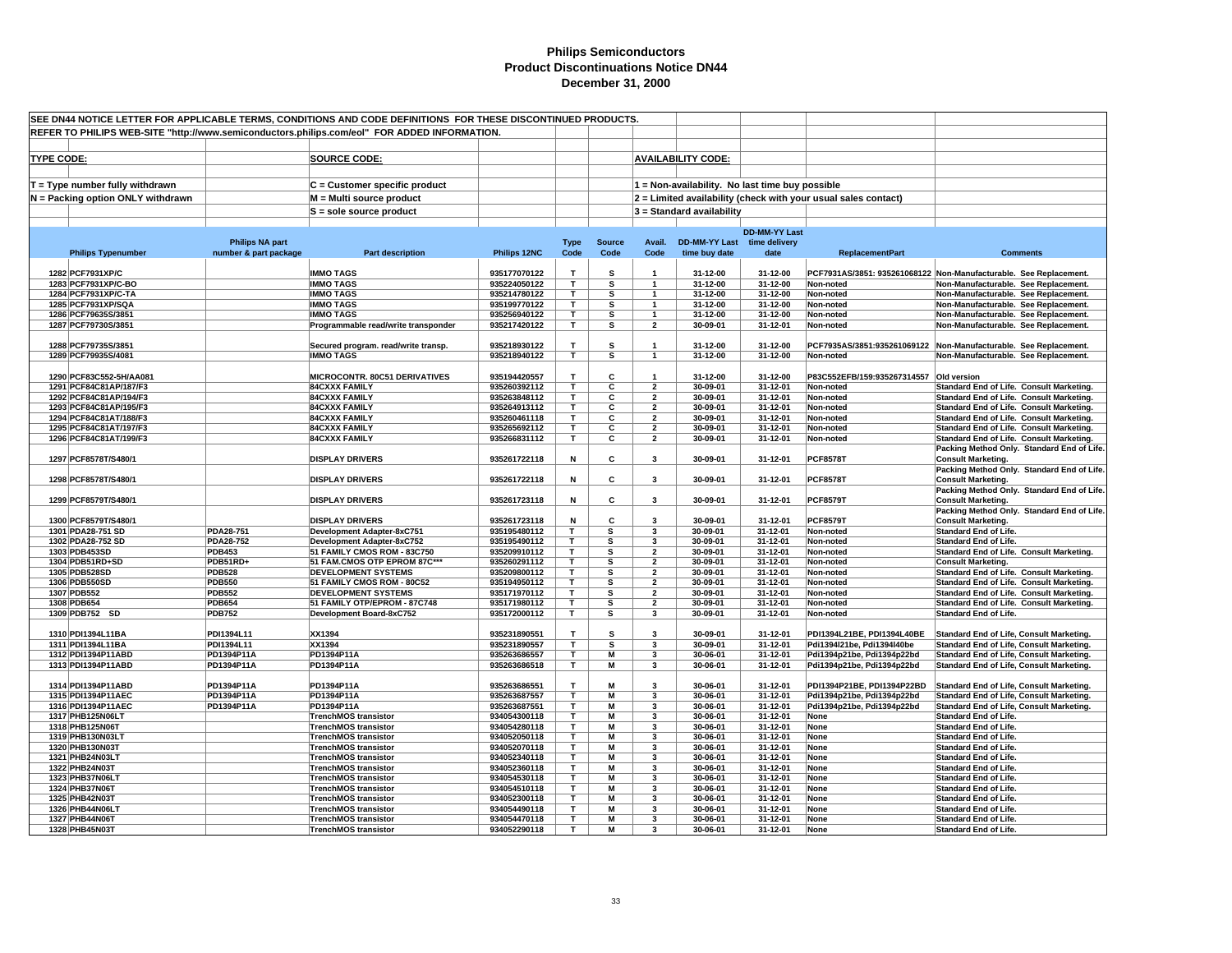|                   | SEE DN44 NOTICE LETTER FOR APPLICABLE TERMS, CONDITIONS AND CODE DEFINITIONS FOR THESE DISCONTINUED PRODUCTS. |                                |                                                                                              |                              |                         |                         |                                           |                                                 |                      |                                                                |                                                                                        |
|-------------------|---------------------------------------------------------------------------------------------------------------|--------------------------------|----------------------------------------------------------------------------------------------|------------------------------|-------------------------|-------------------------|-------------------------------------------|-------------------------------------------------|----------------------|----------------------------------------------------------------|----------------------------------------------------------------------------------------|
|                   |                                                                                                               |                                | REFER TO PHILIPS WEB-SITE "http://www.semiconductors.philips.com/eol" FOR ADDED INFORMATION. |                              |                         |                         |                                           |                                                 |                      |                                                                |                                                                                        |
|                   |                                                                                                               |                                |                                                                                              |                              |                         |                         |                                           |                                                 |                      |                                                                |                                                                                        |
|                   |                                                                                                               |                                |                                                                                              |                              |                         |                         |                                           |                                                 |                      |                                                                |                                                                                        |
| <b>TYPE CODE:</b> |                                                                                                               |                                | <b>SOURCE CODE:</b>                                                                          |                              |                         |                         |                                           | <b>AVAILABILITY CODE:</b>                       |                      |                                                                |                                                                                        |
|                   |                                                                                                               |                                |                                                                                              |                              |                         |                         |                                           |                                                 |                      |                                                                |                                                                                        |
|                   | $T = Type$ number fully withdrawn                                                                             |                                | C = Customer specific product                                                                |                              |                         |                         |                                           | 1 = Non-availability. No last time buy possible |                      |                                                                |                                                                                        |
|                   | N = Packing option ONLY withdrawn                                                                             |                                | M = Multi source product                                                                     |                              |                         |                         |                                           |                                                 |                      | 2 = Limited availability (check with your usual sales contact) |                                                                                        |
|                   |                                                                                                               |                                | S = sole source product                                                                      |                              |                         |                         |                                           | $3 =$ Standard availability                     |                      |                                                                |                                                                                        |
|                   |                                                                                                               |                                |                                                                                              |                              |                         |                         |                                           |                                                 |                      |                                                                |                                                                                        |
|                   |                                                                                                               |                                |                                                                                              |                              |                         |                         |                                           |                                                 | <b>DD-MM-YY Last</b> |                                                                |                                                                                        |
|                   |                                                                                                               | <b>Philips NA part</b>         |                                                                                              |                              | <b>Type</b>             | <b>Source</b>           | Avail.                                    | <b>DD-MM-YY Last</b>                            | time delivery        |                                                                |                                                                                        |
|                   | <b>Philips Typenumber</b>                                                                                     | number & part package          | <b>Part description</b>                                                                      | Philips 12NC                 | Code                    | Code                    | Code                                      | time buy date                                   | date                 | <b>ReplacementPart</b>                                         | <b>Comments</b>                                                                        |
|                   |                                                                                                               |                                |                                                                                              |                              |                         |                         |                                           |                                                 |                      |                                                                |                                                                                        |
|                   | 1282 PCF7931XP/C                                                                                              |                                | <b>IMMO TAGS</b><br><b>IMMO TAGS</b>                                                         | 935177070122<br>935224050122 | $\mathbf{r}$            | s                       | $\overline{\mathbf{1}}$<br>$\overline{1}$ | 31-12-00                                        | 31-12-00             | Non-noted                                                      | PCF7931AS/3851: 935261068122 Non-Manufacturable. See Replacement                       |
|                   | 1283 PCF7931XP/C-BO<br>1284 PCF7931XP/C-TA                                                                    |                                | <b>IMMO TAGS</b>                                                                             | 935214780122                 | T<br>T.                 | s<br>s                  | $\mathbf{1}$                              | 31-12-00<br>31-12-00                            | 31-12-00<br>31-12-00 | Non-noted                                                      | Non-Manufacturable. See Replacement.<br>Non-Manufacturable. See Replacement.           |
|                   | 1285 PCF7931XP/SQA                                                                                            |                                | <b>IMMO TAGS</b>                                                                             | 935199770122                 | T.                      | s                       | $\mathbf{1}$                              | 31-12-00                                        | 31-12-00             | Non-noted                                                      | Non-Manufacturable. See Replacement.                                                   |
|                   | 1286 PCF79635S/3851                                                                                           |                                | <b>IMMO TAGS</b>                                                                             | 935256940122                 | т                       | s                       | $\mathbf{1}$                              | 31-12-00                                        | 31-12-00             | Non-noted                                                      | Non-Manufacturable. See Replacement.                                                   |
|                   | 1287 PCF79730S/3851                                                                                           |                                | Programmable read/write transponder                                                          | 935217420122                 | T.                      | s                       | $\overline{2}$                            | 30-09-01                                        | 31-12-01             | Non-noted                                                      | Non-Manufacturable. See Replacement.                                                   |
|                   |                                                                                                               |                                |                                                                                              |                              |                         |                         |                                           |                                                 |                      |                                                                |                                                                                        |
|                   | 1288 PCF79735S/3851                                                                                           |                                | Secured program. read/write transp.                                                          | 935218930122                 | T.                      | s                       | $\mathbf{1}$                              | 31-12-00                                        | 31-12-00             |                                                                | PCF7935AS/3851:935261069122 Non-Manufacturable. See Replacement.                       |
|                   | 1289 PCF79935S/4081                                                                                           |                                | <b>IMMO TAGS</b>                                                                             | 935218940122                 | T.                      | s                       | $\mathbf{1}$                              | 31-12-00                                        | 31-12-00             | Non-noted                                                      | Non-Manufacturable. See Replacement.                                                   |
|                   |                                                                                                               |                                |                                                                                              |                              |                         |                         |                                           |                                                 |                      |                                                                |                                                                                        |
|                   | 1290 PCF83C552-5H/AA081                                                                                       |                                | MICROCONTR. 80C51 DERIVATIVES                                                                | 935194420557                 | т                       | C                       |                                           | 31-12-00                                        | 31-12-00             | P83C552EFB/159:935267314557 Old version                        |                                                                                        |
|                   | 1291 PCF84C81AP/187/F3                                                                                        |                                | <b>84CXXX FAMILY</b>                                                                         | 935260392112                 | т                       | C                       | $\overline{2}$                            | 30-09-01                                        | 31-12-01             | Non-noted                                                      | Standard End of Life. Consult Marketing.                                               |
|                   | 1292 PCF84C81AP/194/F3                                                                                        |                                | <b>84CXXX FAMILY</b>                                                                         | 935263848112                 | T.                      | C                       | $\overline{2}$                            | 30-09-01                                        | 31-12-01             | Non-noted                                                      | Standard End of Life. Consult Marketing.                                               |
|                   | 1293 PCF84C81AP/195/F3                                                                                        |                                | <b>84CXXX FAMILY</b>                                                                         | 935264913112                 | T.                      | C                       | $\overline{2}$                            | 30-09-01                                        | 31-12-01             | Non-noted                                                      | Standard End of Life. Consult Marketing.                                               |
|                   | 1294 PCF84C81AT/188/F3                                                                                        |                                | <b>84CXXX FAMILY</b>                                                                         | 935260461118                 | $\overline{\mathsf{r}}$ | $\overline{\mathbf{c}}$ | $\overline{2}$                            | 30-09-01                                        | 31-12-01             | Non-noted                                                      | Standard End of Life. Consult Marketing.                                               |
|                   | 1295 PCF84C81AT/197/F3                                                                                        |                                | <b>84CXXX FAMILY</b>                                                                         | 935265692112                 | T.                      | C                       | $\overline{2}$                            | 30-09-01                                        | 31-12-01             | Non-noted                                                      | Standard End of Life. Consult Marketing.                                               |
|                   | 1296 PCF84C81AT/199/F3                                                                                        |                                | <b>84CXXX FAMILY</b>                                                                         | 935266831112                 | T                       | С                       | $\overline{\mathbf{2}}$                   | 30-09-01                                        | 31-12-01             | Non-noted                                                      | Standard End of Life. Consult Marketing.<br>Packing Method Only. Standard End of Life. |
|                   | 1297 PCF8578T/S480/1                                                                                          |                                | <b>DISPLAY DRIVERS</b>                                                                       | 935261722118                 | Ν                       | C                       | 3                                         | 30-09-01                                        | 31-12-01             | <b>PCF8578T</b>                                                | <b>Consult Marketing.</b>                                                              |
|                   |                                                                                                               |                                |                                                                                              |                              |                         |                         |                                           |                                                 |                      |                                                                | Packing Method Only. Standard End of Life.                                             |
|                   | 1298 PCF8578T/S480/1                                                                                          |                                | <b>DISPLAY DRIVERS</b>                                                                       | 935261722118                 | N                       | C                       | $\overline{\mathbf{3}}$                   | 30-09-01                                        | 31-12-01             | <b>PCF8578T</b>                                                | <b>Consult Marketing.</b>                                                              |
|                   |                                                                                                               |                                |                                                                                              |                              |                         |                         |                                           |                                                 |                      |                                                                | Packing Method Only. Standard End of Life.                                             |
|                   | 1299 PCF8579T/S480/1                                                                                          |                                | <b>DISPLAY DRIVERS</b>                                                                       | 935261723118                 | N                       | C                       | $\overline{\mathbf{3}}$                   | 30-09-01                                        | 31-12-01             | <b>PCF8579T</b>                                                | <b>Consult Marketing.</b>                                                              |
|                   |                                                                                                               |                                |                                                                                              |                              |                         |                         |                                           |                                                 |                      |                                                                | Packing Method Only. Standard End of Life.                                             |
|                   | 1300 PCF8579T/S480/1                                                                                          |                                | <b>DISPLAY DRIVERS</b>                                                                       | 935261723118                 | N                       | C                       | $\mathbf{3}$                              | 30-09-01                                        | 31-12-01             | <b>PCF8579T</b>                                                | <b>Consult Marketing.</b>                                                              |
|                   | 1301 PDA28-751 SD                                                                                             | <b>PDA28-751</b>               | Development Adapter-8xC751                                                                   | 935195480112                 | T                       | s                       | 3                                         | 30-09-01                                        | 31-12-01             | Non-noted                                                      | <b>Standard End of Life.</b>                                                           |
|                   | 1302 PDA28-752 SD                                                                                             | PDA28-752                      | Development Adapter-8xC752                                                                   | 935195490112                 | т                       | s                       | 3                                         | 30-09-01                                        | 31-12-01             | Non-noted                                                      | <b>Standard End of Life.</b>                                                           |
|                   | 1303 PDB453SD                                                                                                 | <b>PDB453</b>                  | 51 FAMILY CMOS ROM - 83C750                                                                  | 935209910112                 | т                       | s                       | $\overline{2}$                            | 30-09-01                                        | 31-12-01             | Non-noted                                                      | Standard End of Life. Consult Marketing.                                               |
|                   | 1304 PDB51RD+SD                                                                                               | PDB51RD+                       | 51 FAM.CMOS OTP EPROM 87C***                                                                 | 935260291112                 | T.                      | s                       | $\overline{2}$                            | 30-09-01                                        | 31-12-01             | Non-noted                                                      | <b>Consult Marketing.</b>                                                              |
|                   | 1305 PDB528SD                                                                                                 | <b>PDB528</b>                  | <b>DEVELOPMENT SYSTEMS</b>                                                                   | 935209800112                 | T                       | s<br>s                  | $\overline{2}$<br>$\mathbf{2}$            | 30-09-01                                        | 31-12-01             | Non-noted                                                      | Standard End of Life. Consult Marketing.                                               |
|                   | 1306 PDB550SD<br>1307 PDB552                                                                                  | <b>PDB550</b><br><b>PDB552</b> | 51 FAMILY CMOS ROM - 80C52<br><b>DEVELOPMENT SYSTEMS</b>                                     | 935194950112<br>935171970112 | T<br>T.                 | s                       | $\overline{\mathbf{2}}$                   | 30-09-01<br>30-09-01                            | 31-12-01<br>31-12-01 | Non-noted<br>Non-noted                                         | Standard End of Life. Consult Marketing.<br>Standard End of Life. Consult Marketing.   |
|                   | 1308 PDB654                                                                                                   | <b>PDB654</b>                  | 51 FAMILY OTP/EPROM - 87C748                                                                 | 935171980112                 | T                       | s                       | $\overline{\mathbf{2}}$                   | 30-09-01                                        | 31-12-01             | Non-noted                                                      | Standard End of Life. Consult Marketing.                                               |
|                   | 1309 PDB752 SD                                                                                                | <b>PDB752</b>                  | Development Board-8xC752                                                                     | 935172000112                 | т                       | s                       | 3                                         | 30-09-01                                        | 31-12-01             | Non-noted                                                      | <b>Standard End of Life.</b>                                                           |
|                   |                                                                                                               |                                |                                                                                              |                              |                         |                         |                                           |                                                 |                      |                                                                |                                                                                        |
|                   | 1310 PDI1394L11BA                                                                                             | PDI1394L11                     | XX1394                                                                                       | 935231890551                 | T.                      | s                       | $\overline{\mathbf{3}}$                   | 30-09-01                                        | 31-12-01             | PDI1394L21BE. PDI1394L40BE                                     | Standard End of Life, Consult Marketing.                                               |
|                   | 1311 PDI1394L11BA                                                                                             | PDI1394L11                     | XX1394                                                                                       | 935231890557                 | T.                      | s                       | $\overline{\mathbf{3}}$                   | 30-09-01                                        | 31-12-01             | Pdi1394l21be, Pdi1394l40be                                     | Standard End of Life, Consult Marketing.                                               |
|                   | 1312 PDI1394P11ABD                                                                                            | PD1394P11A                     | PD1394P11A                                                                                   | 935263686557                 | T.                      | M                       | 3                                         | 30-06-01                                        | 31-12-01             | Pdi1394p21be, Pdi1394p22bd                                     | Standard End of Life, Consult Marketing.                                               |
|                   | 1313 PDI1394P11ABD                                                                                            | PD1394P11A                     | PD1394P11A                                                                                   | 935263686518                 | т                       | М                       | 3                                         | 30-06-01                                        | 31-12-01             | Pdi1394p21be, Pdi1394p22bd                                     | <b>Standard End of Life, Consult Marketing.</b>                                        |
|                   |                                                                                                               |                                |                                                                                              |                              |                         |                         |                                           |                                                 |                      |                                                                |                                                                                        |
|                   | 1314 PDI1394P11ABD                                                                                            | PD1394P11A                     | PD1394P11A                                                                                   | 935263686551                 | т                       | М                       | $\overline{\mathbf{3}}$                   | 30-06-01                                        | 31-12-01             | PDI1394P21BE, PDI1394P22BD                                     | Standard End of Life, Consult Marketing.                                               |
|                   | 1315 PDI1394P11AEC                                                                                            | PD1394P11A                     | PD1394P11A                                                                                   | 935263687557                 | т                       | М                       | 3                                         | 30-06-01                                        | 31-12-01             | Pdi1394p21be, Pdi1394p22bd                                     | <b>Standard End of Life, Consult Marketing.</b>                                        |
|                   | 1316 PDI1394P11AEC                                                                                            | PD1394P11A                     | PD1394P11A                                                                                   | 935263687551                 | T.                      | М                       | 3<br>$\overline{\mathbf{3}}$              | 30-06-01                                        | 31-12-01             | Pdi1394p21be, Pdi1394p22bd                                     | Standard End of Life, Consult Marketing,                                               |
|                   | 1317 PHB125N06LT<br>1318 PHB125N06T                                                                           |                                | <b>TrenchMOS transistor</b>                                                                  | 934054300118                 | т<br>T.                 | M<br>$\overline{M}$     | 3                                         | 30-06-01                                        | 31-12-01             | None                                                           | <b>Standard End of Life.</b>                                                           |
|                   | 1319 PHB130N03LT                                                                                              |                                | <b>TrenchMOS transistor</b><br><b>TrenchMOS transistor</b>                                   | 934054280118<br>934052050118 | т                       | M                       | 3                                         | 30-06-01<br>30-06-01                            | 31-12-01<br>31-12-01 | None<br>None                                                   | <b>Standard End of Life.</b><br><b>Standard End of Life.</b>                           |
|                   | 1320 PHB130N03T                                                                                               |                                | <b>TrenchMOS transistor</b>                                                                  | 934052070118                 | т                       | M                       | 3                                         | 30-06-01                                        | 31-12-01             | None                                                           | <b>Standard End of Life.</b>                                                           |
|                   | 1321 PHB24N03LT                                                                                               |                                | <b>TrenchMOS transistor</b>                                                                  | 934052340118                 | T.                      | М                       | 3                                         | 30-06-01                                        | 31-12-01             | None                                                           | <b>Standard End of Life.</b>                                                           |
|                   | 1322 PHB24N03T                                                                                                |                                | <b>TrenchMOS transistor</b>                                                                  | 934052360118                 | T.                      | M                       | 3                                         | 30-06-01                                        | 31-12-01             | None                                                           | <b>Standard End of Life.</b>                                                           |
|                   | 1323 PHB37N06LT                                                                                               |                                | <b>TrenchMOS transistor</b>                                                                  | 934054530118                 | T.                      | М                       | 3                                         | 30-06-01                                        | 31-12-01             | None                                                           | <b>Standard End of Life.</b>                                                           |
|                   | 1324 PHB37N06T                                                                                                |                                | <b>TrenchMOS transistor</b>                                                                  | 934054510118                 | T.                      | М                       | 3                                         | 30-06-01                                        | 31-12-01             | None                                                           | <b>Standard End of Life.</b>                                                           |
|                   | 1325 PHB42N03T                                                                                                |                                | <b>TrenchMOS transistor</b>                                                                  | 934052300118                 | T.                      | M                       | $\overline{\mathbf{3}}$                   | 30-06-01                                        | 31-12-01             | None                                                           | Standard End of Life.                                                                  |
|                   | 1326 PHB44N06LT                                                                                               |                                | <b>TrenchMOS transistor</b>                                                                  | 934054490118                 | T.                      | М                       | 3                                         | 30-06-01                                        | 31-12-01             | None                                                           | <b>Standard End of Life.</b>                                                           |
|                   | 1327 PHB44N06T                                                                                                |                                | <b>TrenchMOS transistor</b>                                                                  | 934054470118                 | T.                      | М                       | 3                                         | 30-06-01                                        | 31-12-01             | None                                                           | <b>Standard End of Life.</b>                                                           |
|                   | 1328 PHB45N03T                                                                                                |                                | <b>TrenchMOS transistor</b>                                                                  | 934052290118                 | T.                      | М                       | 3                                         | 30-06-01                                        | 31-12-01             | None                                                           | <b>Standard End of Life.</b>                                                           |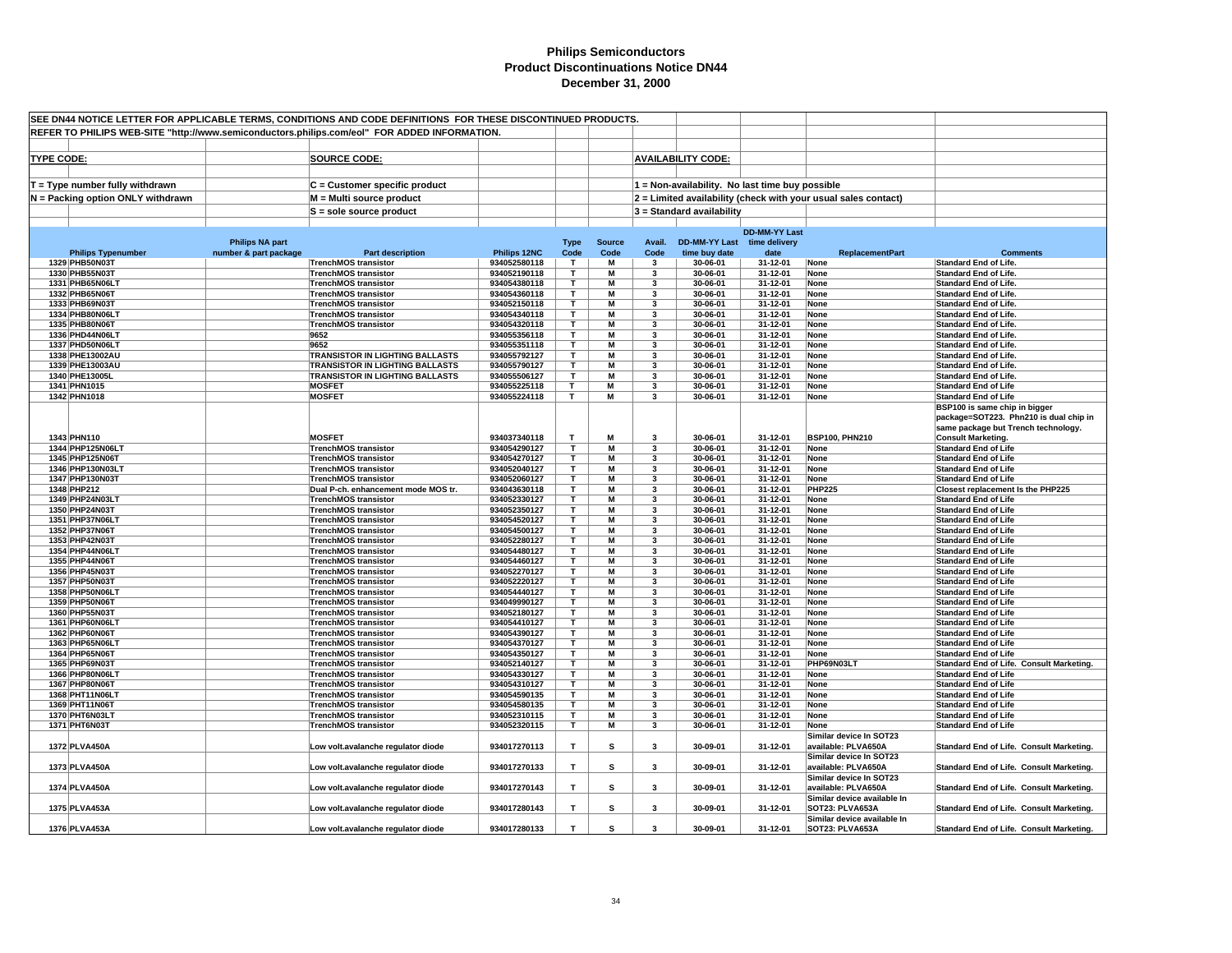| SEE DN44 NOTICE LETTER FOR APPLICABLE TERMS, CONDITIONS AND CODE DEFINITIONS FOR THESE DISCONTINUED PRODUCTS. |                        |                                                                    |                              |                         |                         |                         |                             |                                                 |                                                                |                                                                         |
|---------------------------------------------------------------------------------------------------------------|------------------------|--------------------------------------------------------------------|------------------------------|-------------------------|-------------------------|-------------------------|-----------------------------|-------------------------------------------------|----------------------------------------------------------------|-------------------------------------------------------------------------|
| REFER TO PHILIPS WEB-SITE "http://www.semiconductors.philips.com/eol" FOR ADDED INFORMATION.                  |                        |                                                                    |                              |                         |                         |                         |                             |                                                 |                                                                |                                                                         |
|                                                                                                               |                        |                                                                    |                              |                         |                         |                         |                             |                                                 |                                                                |                                                                         |
| <b>TYPE CODE:</b>                                                                                             |                        | <b>SOURCE CODE:</b>                                                |                              |                         |                         |                         | <b>AVAILABILITY CODE:</b>   |                                                 |                                                                |                                                                         |
|                                                                                                               |                        |                                                                    |                              |                         |                         |                         |                             |                                                 |                                                                |                                                                         |
| $T = Type$ number fully withdrawn                                                                             |                        | C = Customer specific product                                      |                              |                         |                         |                         |                             | 1 = Non-availability. No last time buy possible |                                                                |                                                                         |
| N = Packing option ONLY withdrawn                                                                             |                        | M = Multi source product                                           |                              |                         |                         |                         |                             |                                                 | 2 = Limited availability (check with your usual sales contact) |                                                                         |
|                                                                                                               |                        |                                                                    |                              |                         |                         |                         |                             |                                                 |                                                                |                                                                         |
|                                                                                                               |                        | $S =$ sole source product                                          |                              |                         |                         |                         | $3$ = Standard availability |                                                 |                                                                |                                                                         |
|                                                                                                               |                        |                                                                    |                              |                         |                         |                         |                             | <b>DD-MM-YY Last</b>                            |                                                                |                                                                         |
|                                                                                                               | <b>Philips NA part</b> |                                                                    |                              | <b>Type</b>             | <b>Source</b>           | Avail.                  | DD-MM-YY Last time delivery |                                                 |                                                                |                                                                         |
| <b>Philips Typenumber</b>                                                                                     | number & part package  | <b>Part description</b>                                            | Philips 12NC                 | Code                    | Code                    | Code                    | time buy date               | date                                            | <b>ReplacementPart</b>                                         | <b>Comments</b>                                                         |
| 1329 PHB50N03T                                                                                                |                        | <b>TrenchMOS transistor</b>                                        | 934052580118                 | $\mathbf{T}$            | М                       | 3                       | 30-06-01                    | 31-12-01                                        | None                                                           | <b>Standard End of Life.</b>                                            |
| 1330 PHB55N03T                                                                                                |                        | <b>TrenchMOS transistor</b>                                        | 934052190118                 | T                       | M                       | 3                       | 30-06-01                    | 31-12-01                                        | None                                                           | <b>Standard End of Life</b>                                             |
| 1331 PHB65N06LT                                                                                               |                        | <b>TrenchMOS transistor</b>                                        | 934054380118                 | T                       | M                       | 3                       | 30-06-01                    | 31-12-01                                        | None                                                           | <b>Standard End of Life.</b>                                            |
| 1332 PHB65N06T<br>1333 PHB69N03T                                                                              |                        | <b>TrenchMOS transistor</b><br><b>TrenchMOS transistor</b>         | 934054360118<br>934052150118 | т<br>T                  | М<br>M                  | 3<br>3                  | 30-06-01<br>30-06-01        | 31-12-01<br>31-12-01                            | None<br>None                                                   | <b>Standard End of Life.</b><br><b>Standard End of Life.</b>            |
| 1334 PHB80N06LT                                                                                               |                        | <b>TrenchMOS transistor</b>                                        | 934054340118                 | T.                      | M                       | 3                       | 30-06-01                    | 31-12-01                                        | None                                                           | Standard End of Life.                                                   |
| 1335 PHB80N06T                                                                                                |                        | <b>TrenchMOS transistor</b>                                        | 934054320118                 | T.                      | M                       | 3                       | 30-06-01                    | 31-12-01                                        | None                                                           | <b>Standard End of Life.</b>                                            |
| 1336 PHD44N06LT                                                                                               |                        | 9652                                                               | 934055356118                 | т                       | М                       | 3                       | 30-06-01                    | 31-12-01                                        | None                                                           | <b>Standard End of Life.</b>                                            |
| 1337 PHD50N06LT                                                                                               |                        | 9652                                                               | 934055351118                 | T.                      | М                       | 3                       | 30-06-01                    | 31-12-01                                        | None                                                           | <b>Standard End of Life.</b>                                            |
| 1338 PHE13002AU                                                                                               |                        | TRANSISTOR IN LIGHTING BALLASTS                                    | 934055792127                 | T.                      | M                       | 3                       | 30-06-01                    | 31-12-01                                        | None                                                           | <b>Standard End of Life.</b>                                            |
| 1339 PHE13003AU                                                                                               |                        | <b>TRANSISTOR IN LIGHTING BALLASTS</b>                             | 934055790127                 | т                       | $\overline{\mathsf{M}}$ | 3                       | 30-06-01                    | 31-12-01                                        | None                                                           | <b>Standard End of Life</b>                                             |
| 1340 PHE13005L                                                                                                |                        | TRANSISTOR IN LIGHTING BALLASTS                                    | 934055506127                 | T                       | М                       | 3                       | 30-06-01                    | 31-12-01                                        | None                                                           | <b>Standard End of Life.</b>                                            |
| 1341 PHN1015<br>1342 PHN1018                                                                                  |                        | <b>MOSFET</b><br><b>MOSFET</b>                                     | 934055225118<br>934055224118 | T.<br>T.                | M<br>M                  | 3<br>3                  | 30-06-01<br>30-06-01        | 31-12-01<br>31-12-01                            | None<br>None                                                   | <b>Standard End of Life</b><br><b>Standard End of Life</b>              |
|                                                                                                               |                        |                                                                    |                              |                         |                         |                         |                             |                                                 |                                                                | BSP100 is same chip in bigger                                           |
|                                                                                                               |                        |                                                                    |                              |                         |                         |                         |                             |                                                 |                                                                | package=SOT223. Phn210 is dual chip in                                  |
|                                                                                                               |                        |                                                                    |                              |                         |                         |                         |                             |                                                 |                                                                | same package but Trench technology.                                     |
| 1343 PHN110                                                                                                   |                        | <b>MOSFET</b>                                                      | 934037340118                 | $\mathbf{T}$            | M                       | $\overline{\mathbf{3}}$ | 30-06-01                    | 31-12-01                                        | <b>BSP100, PHN210</b>                                          | <b>Consult Marketing.</b>                                               |
| 1344 PHP125N06LT                                                                                              |                        | <b>TrenchMOS transistor</b>                                        | 934054290127                 | T                       | $\overline{M}$          | 3                       | 30-06-01                    | 31-12-01                                        | None                                                           | <b>Standard End of Life</b>                                             |
| 1345 PHP125N06T                                                                                               |                        | <b>TrenchMOS transistor</b>                                        | 934054270127                 | т                       | М                       | 3                       | 30-06-01                    | 31-12-01                                        | None                                                           | <b>Standard End of Life</b>                                             |
| 1346 PHP130N03LT                                                                                              |                        | <b>TrenchMOS transistor</b>                                        | 934052040127                 | T                       | М                       | 3                       | 30-06-01                    | 31-12-01                                        | None                                                           | <b>Standard End of Life</b>                                             |
| 1347 PHP130N03T                                                                                               |                        | <b>TrenchMOS transistor</b>                                        | 934052060127                 | т<br>т                  | M                       | 3                       | 30-06-01                    | 31-12-01                                        | None                                                           | <b>Standard End of Life</b>                                             |
| 1348 PHP212<br>1349 PHP24N03LT                                                                                |                        | Dual P-ch. enhancement mode MOS tr.<br><b>TrenchMOS transistor</b> | 934043630118<br>934052330127 | т                       | M<br>М                  | 3<br>3                  | 30-06-01<br>30-06-01        | 31-12-01<br>31-12-01                            | <b>PHP225</b><br>None                                          | Closest replacement Is the PHP225<br><b>Standard End of Life</b>        |
| 1350 PHP24N03T                                                                                                |                        | <b>TrenchMOS transistor</b>                                        | 934052350127                 | T.                      | M                       | $\mathbf{3}$            | 30-06-01                    | 31-12-01                                        | None                                                           | <b>Standard End of Life</b>                                             |
| 1351 PHP37N06LT                                                                                               |                        | <b>TrenchMOS transistor</b>                                        | 934054520127                 | T.                      | M                       | 3                       | 30-06-01                    | 31-12-01                                        | None                                                           | <b>Standard End of Life</b>                                             |
| 1352 PHP37N06T                                                                                                |                        | <b>TrenchMOS transistor</b>                                        | 934054500127                 | $\overline{\mathsf{r}}$ | M                       | 3                       | $30 - 06 - 01$              | 31-12-01                                        | None                                                           | <b>Standard End of Life</b>                                             |
| 1353 PHP42N03T                                                                                                |                        | <b>TrenchMOS transistor</b>                                        | 934052280127                 | T.                      | М                       | 3                       | 30-06-01                    | 31-12-01                                        | None                                                           | <b>Standard End of Life</b>                                             |
| 1354 PHP44N06LT                                                                                               |                        | <b>TrenchMOS transistor</b>                                        | 934054480127                 | Τ                       | М                       | 3                       | 30-06-01                    | 31-12-01                                        | None                                                           | <b>Standard End of Life</b>                                             |
| 1355 PHP44N06T                                                                                                |                        | <b>TrenchMOS transistor</b>                                        | 934054460127                 | т                       | M                       | 3                       | 30-06-01                    | 31-12-01                                        | None                                                           | <b>Standard End of Life</b>                                             |
| 1356 PHP45N03T<br>1357 PHP50N03T                                                                              |                        | <b>TrenchMOS transistor</b>                                        | 934052270127<br>934052220127 | т<br>т                  | M<br>М                  | 3<br>3                  | 30-06-01<br>30-06-01        | 31-12-01<br>31-12-01                            | None<br>None                                                   | <b>Standard End of Life</b><br><b>Standard End of Life</b>              |
| 1358 PHP50N06L1                                                                                               |                        | <b>TrenchMOS transistor</b><br><b>TrenchMOS transistor</b>         | 934054440127                 | т                       | M                       | 3                       | 30-06-01                    | 31-12-01                                        | None                                                           | <b>Standard End of Life</b>                                             |
| 1359 PHP50N06T                                                                                                |                        | <b>TrenchMOS transistor</b>                                        | 934049990127                 | T.                      | М                       | 3                       | 30-06-01                    | 31-12-01                                        | None                                                           | <b>Standard End of Life</b>                                             |
| 1360 PHP55N03T                                                                                                |                        | <b>TrenchMOS transistor</b>                                        | 934052180127                 | т                       | $\overline{M}$          | 3                       | 30-06-01                    | 31-12-01                                        | None                                                           | <b>Standard End of Life</b>                                             |
| 1361 PHP60N06LT                                                                                               |                        | <b>TrenchMOS transistor</b>                                        | 934054410127                 | T.                      | M                       | 3                       | 30-06-01                    | 31-12-01                                        | None                                                           | <b>Standard End of Life</b>                                             |
| 1362 PHP60N06T                                                                                                |                        | <b>TrenchMOS transistor</b>                                        | 934054390127                 | т                       | М                       | 3                       | 30-06-01                    | 31-12-01                                        | None                                                           | <b>Standard End of Life</b>                                             |
| 1363 PHP65N06LT                                                                                               |                        | <b>TrenchMOS transistor</b>                                        | 934054370127                 | T.                      | M                       | $\overline{\mathbf{3}}$ | 30-06-01                    | 31-12-01                                        | None                                                           | <b>Standard End of Life</b>                                             |
| 1364 PHP65N06T                                                                                                |                        | <b>TrenchMOS transistor</b>                                        | 934054350127                 | T.                      | М                       | 3                       | 30-06-01                    | 31-12-01                                        | None                                                           | <b>Standard End of Life</b>                                             |
| 1365 PHP69N03T<br>1366 PHP80N06LT                                                                             |                        | <b>TrenchMOS transistor</b><br><b>TrenchMOS transistor</b>         | 934052140127<br>934054330127 | т<br>т                  | M<br>M                  | 3<br>3                  | 30-06-01<br>30-06-01        | 31-12-01<br>31-12-01                            | PHP69N03LT<br>None                                             | Standard End of Life. Consult Marketing.<br><b>Standard End of Life</b> |
| 1367 PHP80N06T                                                                                                |                        | <b>TrenchMOS transistor</b>                                        | 934054310127                 | T.                      | М                       | 3                       | 30-06-01                    | 31-12-01                                        | None                                                           | <b>Standard End of Life</b>                                             |
| 1368 PHT11N06LT                                                                                               |                        | <b>TrenchMOS transistor</b>                                        | 934054590135                 | $\overline{\mathsf{r}}$ | M                       | 3                       | $30 - 06 - 01$              | 31-12-01                                        | None                                                           | <b>Standard End of Life</b>                                             |
| 1369 PHT11N06T                                                                                                |                        | <b>TrenchMOS transistor</b>                                        | 934054580135                 | T                       | $\overline{M}$          | 3                       | 30-06-01                    | 31-12-01                                        | None                                                           | <b>Standard End of Life</b>                                             |
| 1370 PHT6N03LT                                                                                                |                        | <b>TrenchMOS transistor</b>                                        | 934052310115                 | Τ                       | М                       | 3                       | 30-06-01                    | 31-12-01                                        | None                                                           | <b>Standard End of Life</b>                                             |
| 1371 PHT6N03T                                                                                                 |                        | <b>TrenchMOS transistor</b>                                        | 934052320115                 | T                       | M                       | 3                       | 30-06-01                    | 31-12-01                                        | None                                                           | <b>Standard End of Life</b>                                             |
| 1372 PLVA450A                                                                                                 |                        | Low volt.avalanche regulator diode                                 | 934017270113                 | T                       | s                       | 3                       | 30-09-01                    | 31-12-01                                        | Similar device In SOT23<br>available: PLVA650A                 | Standard End of Life. Consult Marketing.                                |
| 1373 PLVA450A                                                                                                 |                        | Low volt.avalanche regulator diode                                 | 934017270133                 | T                       | s                       | 3                       | 30-09-01                    | 31-12-01                                        | Similar device In SOT23<br>available: PLVA650A                 | Standard End of Life. Consult Marketing.                                |
| 1374 PLVA450A                                                                                                 |                        | Low volt.avalanche regulator diode                                 | 934017270143                 | $\mathbf{T}$            | s                       | 3                       | 30-09-01                    | 31-12-01                                        | Similar device In SOT23<br>available: PLVA650A                 | Standard End of Life. Consult Marketing.                                |
| 1375 PLVA453A                                                                                                 |                        | Low volt.avalanche regulator diode                                 | 934017280143                 | т                       | s                       | 3                       | 30-09-01                    | 31-12-01                                        | Similar device available In<br><b>SOT23: PLVA653A</b>          | Standard End of Life. Consult Marketing.                                |
| 1376 PLVA453A                                                                                                 |                        | Low volt.avalanche regulator diode                                 | 934017280133                 | T                       | s                       | 3                       | 30-09-01                    | 31-12-01                                        | Similar device available In<br>SOT23: PLVA653A                 | Standard End of Life. Consult Marketing.                                |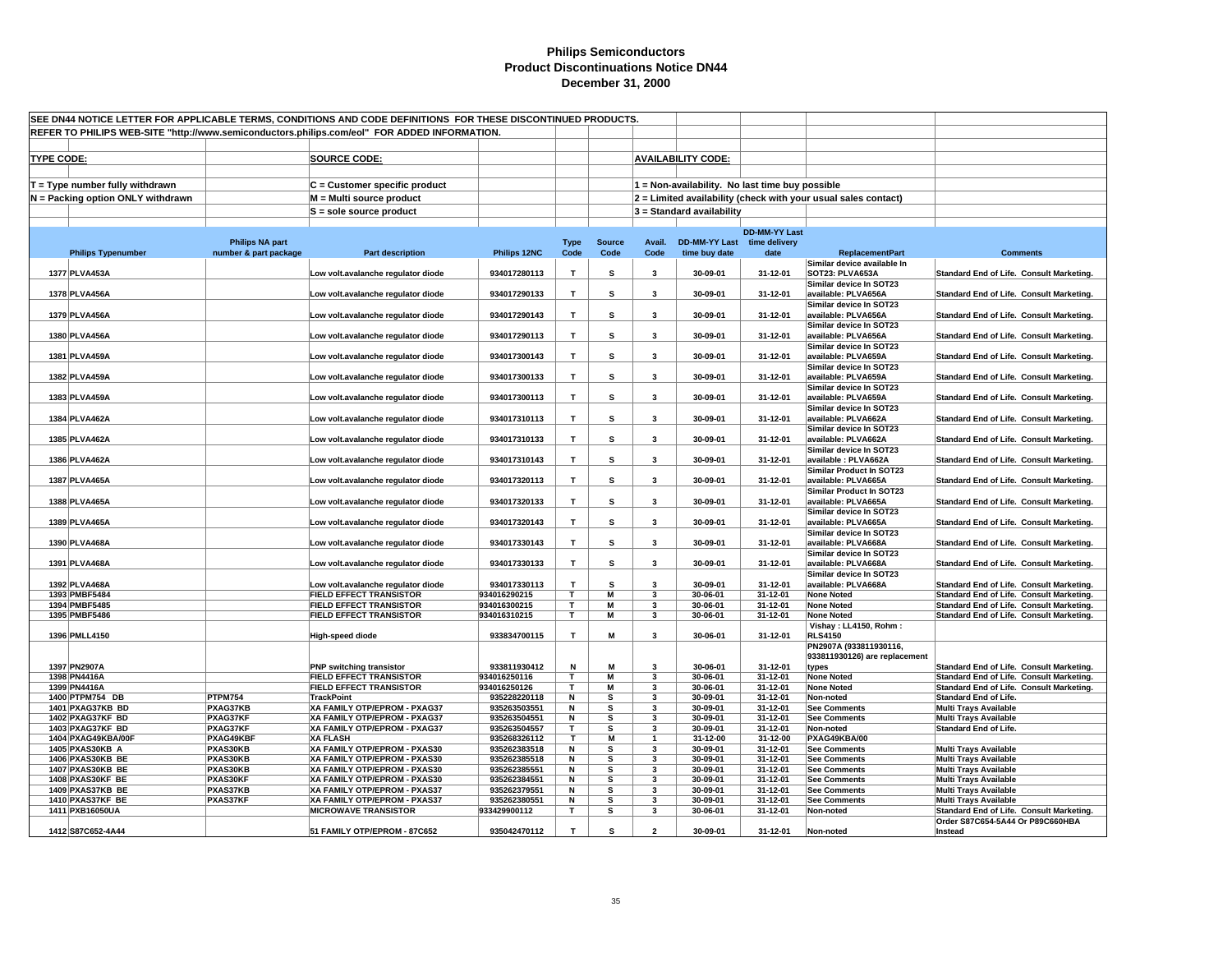| SEE DN44 NOTICE LETTER FOR APPLICABLE TERMS, CONDITIONS AND CODE DEFINITIONS FOR THESE DISCONTINUED PRODUCTS. |                                      |                                                                                              |                                                                     |                              |              |               |                          |                                                 |                      |                                                                |                                                                                      |
|---------------------------------------------------------------------------------------------------------------|--------------------------------------|----------------------------------------------------------------------------------------------|---------------------------------------------------------------------|------------------------------|--------------|---------------|--------------------------|-------------------------------------------------|----------------------|----------------------------------------------------------------|--------------------------------------------------------------------------------------|
|                                                                                                               |                                      | REFER TO PHILIPS WEB-SITE "http://www.semiconductors.philips.com/eol" FOR ADDED INFORMATION. |                                                                     |                              |              |               |                          |                                                 |                      |                                                                |                                                                                      |
|                                                                                                               |                                      |                                                                                              |                                                                     |                              |              |               |                          |                                                 |                      |                                                                |                                                                                      |
| <b>TYPE CODE:</b>                                                                                             |                                      |                                                                                              | <b>SOURCE CODE:</b>                                                 |                              |              |               |                          | <b>AVAILABILITY CODE:</b>                       |                      |                                                                |                                                                                      |
|                                                                                                               |                                      |                                                                                              |                                                                     |                              |              |               |                          |                                                 |                      |                                                                |                                                                                      |
|                                                                                                               |                                      |                                                                                              |                                                                     |                              |              |               |                          |                                                 |                      |                                                                |                                                                                      |
|                                                                                                               | $T = Type$ number fully withdrawn    |                                                                                              | C = Customer specific product                                       |                              |              |               |                          | 1 = Non-availability. No last time buy possible |                      |                                                                |                                                                                      |
|                                                                                                               | N = Packing option ONLY withdrawn    |                                                                                              | M = Multi source product                                            |                              |              |               |                          |                                                 |                      | 2 = Limited availability (check with your usual sales contact) |                                                                                      |
|                                                                                                               |                                      |                                                                                              | S = sole source product                                             |                              |              |               |                          | $3 =$ Standard availability                     |                      |                                                                |                                                                                      |
|                                                                                                               |                                      |                                                                                              |                                                                     |                              |              |               |                          |                                                 |                      |                                                                |                                                                                      |
|                                                                                                               |                                      |                                                                                              |                                                                     |                              |              |               |                          |                                                 | <b>DD-MM-YY Last</b> |                                                                |                                                                                      |
|                                                                                                               |                                      | <b>Philips NA part</b>                                                                       |                                                                     |                              | <b>Type</b>  | <b>Source</b> | Avail.                   | DD-MM-YY Last time delivery                     |                      |                                                                |                                                                                      |
|                                                                                                               | <b>Philips Typenumber</b>            | number & part package                                                                        | <b>Part description</b>                                             | Philips 12NC                 | Code         | Code          | Code                     | time buy date                                   | date                 | <b>ReplacementPart</b><br>Similar device available In          | <b>Comments</b>                                                                      |
|                                                                                                               | 1377 PLVA453A                        |                                                                                              | Low volt.avalanche regulator diode                                  | 934017280113                 | T            | s             | 3                        | 30-09-01                                        | 31-12-01             | <b>SOT23: PLVA653A</b>                                         | Standard End of Life. Consult Marketing.                                             |
|                                                                                                               |                                      |                                                                                              |                                                                     |                              |              |               |                          |                                                 |                      | Similar device In SOT23                                        |                                                                                      |
|                                                                                                               | 1378 PLVA456A                        |                                                                                              | Low volt.avalanche regulator diode                                  | 934017290133                 | T            | s             | 3                        | 30-09-01                                        | 31-12-01             | available: PLVA656A                                            | Standard End of Life. Consult Marketing.                                             |
|                                                                                                               |                                      |                                                                                              |                                                                     |                              |              |               |                          |                                                 |                      | Similar device In SOT23                                        |                                                                                      |
|                                                                                                               | 1379 PLVA456A                        |                                                                                              | Low volt.avalanche regulator diode                                  | 934017290143                 | $\mathsf T$  | s             | 3                        | 30-09-01                                        | 31-12-01             | available: PLVA656A                                            | Standard End of Life. Consult Marketing.                                             |
|                                                                                                               |                                      |                                                                                              |                                                                     |                              |              |               |                          |                                                 |                      | Similar device In SOT23                                        |                                                                                      |
|                                                                                                               | 1380 PLVA456A                        |                                                                                              | Low volt.avalanche regulator diode                                  | 934017290113                 | T            | s             | 3                        | 30-09-01                                        | 31-12-01             | available: PLVA656A                                            | Standard End of Life. Consult Marketing.                                             |
|                                                                                                               |                                      |                                                                                              |                                                                     |                              |              |               |                          |                                                 |                      | Similar device In SOT23                                        |                                                                                      |
|                                                                                                               | 1381 PLVA459A                        |                                                                                              | Low volt.avalanche regulator diode                                  | 934017300143                 | T.           | s             | 3                        | 30-09-01                                        | 31-12-01             | available: PLVA659A                                            | Standard End of Life. Consult Marketing.                                             |
|                                                                                                               | 1382 PLVA459A                        |                                                                                              | Low volt.avalanche regulator diode                                  | 934017300133                 | T            | s             | 3                        | 30-09-01                                        | 31-12-01             | Similar device In SOT23<br>available: PLVA659A                 | Standard End of Life. Consult Marketing.                                             |
|                                                                                                               |                                      |                                                                                              |                                                                     |                              |              |               |                          |                                                 |                      | Similar device In SOT23                                        |                                                                                      |
|                                                                                                               | 1383 PLVA459A                        |                                                                                              | Low volt.avalanche regulator diode                                  | 934017300113                 | $\mathsf T$  | s             | 3                        | 30-09-01                                        | 31-12-01             | available: PLVA659A                                            | Standard End of Life. Consult Marketing.                                             |
|                                                                                                               |                                      |                                                                                              |                                                                     |                              |              |               |                          |                                                 |                      | Similar device In SOT23                                        |                                                                                      |
|                                                                                                               | 1384 PLVA462A                        |                                                                                              | Low volt.avalanche regulator diode                                  | 934017310113                 | T            | s             | 3                        | 30-09-01                                        | 31-12-01             | available: PLVA662A                                            | Standard End of Life. Consult Marketing.                                             |
|                                                                                                               |                                      |                                                                                              |                                                                     |                              |              |               |                          |                                                 |                      | Similar device In SOT23                                        |                                                                                      |
|                                                                                                               | 1385 PLVA462A                        |                                                                                              | Low volt.avalanche regulator diode                                  | 934017310133                 | T            | s             | 3                        | 30-09-01                                        | 31-12-01             | available: PLVA662A                                            | Standard End of Life. Consult Marketing.                                             |
|                                                                                                               |                                      |                                                                                              |                                                                     |                              |              |               |                          |                                                 |                      | Similar device In SOT23                                        |                                                                                      |
|                                                                                                               | 1386 PLVA462A                        |                                                                                              | Low volt.avalanche regulator diode                                  | 934017310143                 | $\mathsf T$  | s             | 3                        | 30-09-01                                        | 31-12-01             | available : PLVA662A                                           | Standard End of Life. Consult Marketing.                                             |
|                                                                                                               |                                      |                                                                                              |                                                                     |                              |              |               |                          |                                                 |                      | Similar Product In SOT23                                       |                                                                                      |
|                                                                                                               | 1387 PLVA465A                        |                                                                                              | Low volt.avalanche regulator diode                                  | 934017320113                 | Т            | s             | 3                        | 30-09-01                                        | 31-12-01             | available: PLVA665A<br>Similar Product In SOT23                | Standard End of Life. Consult Marketing.                                             |
|                                                                                                               | 1388 PLVA465A                        |                                                                                              | Low volt.avalanche regulator diode                                  | 934017320133                 | T.           | s             | $\overline{\mathbf{3}}$  | 30-09-01                                        | 31-12-01             | available: PLVA665A                                            | Standard End of Life. Consult Marketing.                                             |
|                                                                                                               |                                      |                                                                                              |                                                                     |                              |              |               |                          |                                                 |                      | Similar device In SOT23                                        |                                                                                      |
|                                                                                                               | 1389 PLVA465A                        |                                                                                              | Low volt.avalanche regulator diode                                  | 934017320143                 | $\mathsf T$  | s             | 3                        | 30-09-01                                        | 31-12-01             | available: PLVA665A                                            | Standard End of Life. Consult Marketing.                                             |
|                                                                                                               |                                      |                                                                                              |                                                                     |                              |              |               |                          |                                                 |                      | Similar device In SOT23                                        |                                                                                      |
|                                                                                                               | 1390 PLVA468A                        |                                                                                              | Low volt.avalanche regulator diode                                  | 934017330143                 | T            | s             | 3                        | 30-09-01                                        | 31-12-01             | available: PLVA668A                                            | Standard End of Life. Consult Marketing.                                             |
|                                                                                                               |                                      |                                                                                              |                                                                     |                              |              |               |                          |                                                 |                      | Similar device In SOT23                                        |                                                                                      |
|                                                                                                               | 1391 PLVA468A                        |                                                                                              | Low volt.avalanche regulator diode                                  | 934017330133                 | T.           | s             | 3                        | 30-09-01                                        | 31-12-01             | available: PLVA668A                                            | Standard End of Life. Consult Marketing.                                             |
|                                                                                                               |                                      |                                                                                              |                                                                     |                              |              |               |                          |                                                 |                      | Similar device In SOT23                                        |                                                                                      |
|                                                                                                               | 1392 PLVA468A                        |                                                                                              | Low volt.avalanche regulator diode                                  | 934017330113                 | $\mathsf T$  | s             | $\overline{\mathbf{3}}$  | 30-09-01                                        | 31-12-01             | available: PLVA668A                                            | Standard End of Life. Consult Marketing.                                             |
|                                                                                                               | 1393 PMBF5484                        |                                                                                              | <b>FIELD EFFECT TRANSISTOR</b>                                      | 934016290215                 | T            | M<br>M        | 3                        | 30-06-01                                        | 31-12-01             | <b>None Noted</b>                                              | Standard End of Life. Consult Marketing.                                             |
|                                                                                                               | 1394 PMBF5485<br>1395 PMBF5486       |                                                                                              | <b>FIELD EFFECT TRANSISTOR</b><br><b>FIELD EFFECT TRANSISTOR</b>    | 934016300215<br>934016310215 | Т<br>T       | M             | 3<br>3                   | 30-06-01<br>30-06-01                            | 31-12-01<br>31-12-01 | <b>None Noted</b><br><b>None Noted</b>                         | Standard End of Life. Consult Marketing.<br>Standard End of Life. Consult Marketing. |
|                                                                                                               |                                      |                                                                                              |                                                                     |                              |              |               |                          |                                                 |                      | Vishay: LL4150, Rohm:                                          |                                                                                      |
|                                                                                                               | 1396 PMLL4150                        |                                                                                              | <b>High-speed diode</b>                                             | 933834700115                 | Т            | M             | 3                        | 30-06-01                                        | 31-12-01             | <b>RLS4150</b>                                                 |                                                                                      |
|                                                                                                               |                                      |                                                                                              |                                                                     |                              |              |               |                          |                                                 |                      | PN2907A (933811930116,                                         |                                                                                      |
|                                                                                                               |                                      |                                                                                              |                                                                     |                              |              |               |                          |                                                 |                      | 933811930126) are replacement                                  |                                                                                      |
|                                                                                                               | 1397 PN2907A                         |                                                                                              | <b>PNP switching transistor</b>                                     | 933811930412                 | N            | M             | $\overline{\mathbf{3}}$  | 30-06-01                                        | 31-12-01             | types                                                          | Standard End of Life. Consult Marketing.                                             |
|                                                                                                               | 1398 PN4416A                         |                                                                                              | <b>FIELD EFFECT TRANSISTOR</b>                                      | 934016250116                 | T            | M             | 3                        | 30-06-01                                        | 31-12-01             | <b>None Noted</b>                                              | Standard End of Life. Consult Marketing.                                             |
|                                                                                                               | 1399 PN4416A                         |                                                                                              | <b>FIELD EFFECT TRANSISTOR</b>                                      | 934016250126                 | Т            | M             | 3                        | 30-06-01                                        | 31-12-01             | <b>None Noted</b>                                              | Standard End of Life. Consult Marketing.                                             |
|                                                                                                               | 1400 PTPM754 DB                      | <b>PTPM754</b>                                                                               | <b>TrackPoint</b>                                                   | 935228220118                 | N            | s             | 3                        | 30-09-01                                        | 31-12-01             | Non-noted                                                      | <b>Standard End of Life.</b>                                                         |
|                                                                                                               | 1401 PXAG37KB BD                     | PXAG37KB<br>PXAG37KF                                                                         | XA FAMILY OTP/EPROM - PXAG37                                        | 935263503551<br>935263504551 | N<br>N       | s<br>s        | 3                        | 30-09-01<br>30-09-01                            | 31-12-01<br>31-12-01 | <b>See Comments</b>                                            | <b>Multi Trays Available</b>                                                         |
|                                                                                                               | 1402 PXAG37KF BD<br>1403 PXAG37KF BD | PXAG37KF                                                                                     | <b>XA FAMILY OTP/EPROM - PXAG37</b><br>XA FAMILY OTP/EPROM - PXAG37 | 935263504557                 | $\mathbf{r}$ | s             | 3<br>3                   | 30-09-01                                        | 31-12-01             | <b>See Comments</b><br>Non-noted                               | <b>Multi Trays Available</b><br><b>Standard End of Life.</b>                         |
|                                                                                                               | 1404 PXAG49KBA/00F                   | PXAG49KBF                                                                                    | <b>XA FLASH</b>                                                     | 935268326112                 | T.           | M             | $\mathbf{1}$             | 31-12-00                                        | 31-12-00             | PXAG49KBA/00                                                   |                                                                                      |
|                                                                                                               | 1405 PXAS30KB A                      | PXAS30KB                                                                                     | XA FAMILY OTP/EPROM - PXAS30                                        | 935262383518                 | N            | s             | 3                        | 30-09-01                                        | 31-12-01             | <b>See Comments</b>                                            | <b>Multi Trays Available</b>                                                         |
|                                                                                                               | 1406 PXAS30KB BE                     | PXAS30KB                                                                                     | XA FAMILY OTP/EPROM - PXAS30                                        | 935262385518                 | N            | s             | 3                        | 30-09-01                                        | 31-12-01             | <b>See Comments</b>                                            | <b>Multi Trays Available</b>                                                         |
|                                                                                                               | 1407 PXAS30KB BE                     | PXAS30KB                                                                                     | XA FAMILY OTP/EPROM - PXAS30                                        | 935262385551                 | N            | s             | 3                        | 30-09-01                                        | 31-12-01             | <b>See Comments</b>                                            | <b>Multi Trays Available</b>                                                         |
|                                                                                                               | 1408 PXAS30KF BE                     | PXAS30KF                                                                                     | XA FAMILY OTP/EPROM - PXAS30                                        | 935262384551                 | N            | s             | 3                        | 30-09-01                                        | 31-12-01             | <b>See Comments</b>                                            | <b>Multi Trays Available</b>                                                         |
|                                                                                                               | 1409 PXAS37KB BE                     | PXAS37KB                                                                                     | XA FAMILY OTP/EPROM - PXAS37                                        | 935262379551                 | N            | s             | 3                        | 30-09-01                                        | 31-12-01             | <b>See Comments</b>                                            | <b>Multi Trays Available</b>                                                         |
|                                                                                                               | 1410 PXAS37KF BE                     | PXAS37KF                                                                                     | XA FAMILY OTP/EPROM - PXAS37                                        | 935262380551                 | N            | s             | 3                        | 30-09-01                                        | 31-12-01             | <b>See Comments</b>                                            | <b>Multi Trays Available</b>                                                         |
|                                                                                                               | 1411 PXB16050UA                      |                                                                                              | <b>MICROWAVE TRANSISTOR</b>                                         | 933429900112                 | т            | s             | 3                        | 30-06-01                                        | 31-12-01             | Non-noted                                                      | Standard End of Life. Consult Marketing.                                             |
|                                                                                                               | 1412 S87C652-4A44                    |                                                                                              | 51 FAMILY OTP/EPROM - 87C652                                        | 935042470112                 | T.           | s             | $\overline{\phantom{a}}$ | 30-09-01                                        | 31-12-01             | Non-noted                                                      | Order S87C654-5A44 Or P89C660HBA<br>Instead                                          |
|                                                                                                               |                                      |                                                                                              |                                                                     |                              |              |               |                          |                                                 |                      |                                                                |                                                                                      |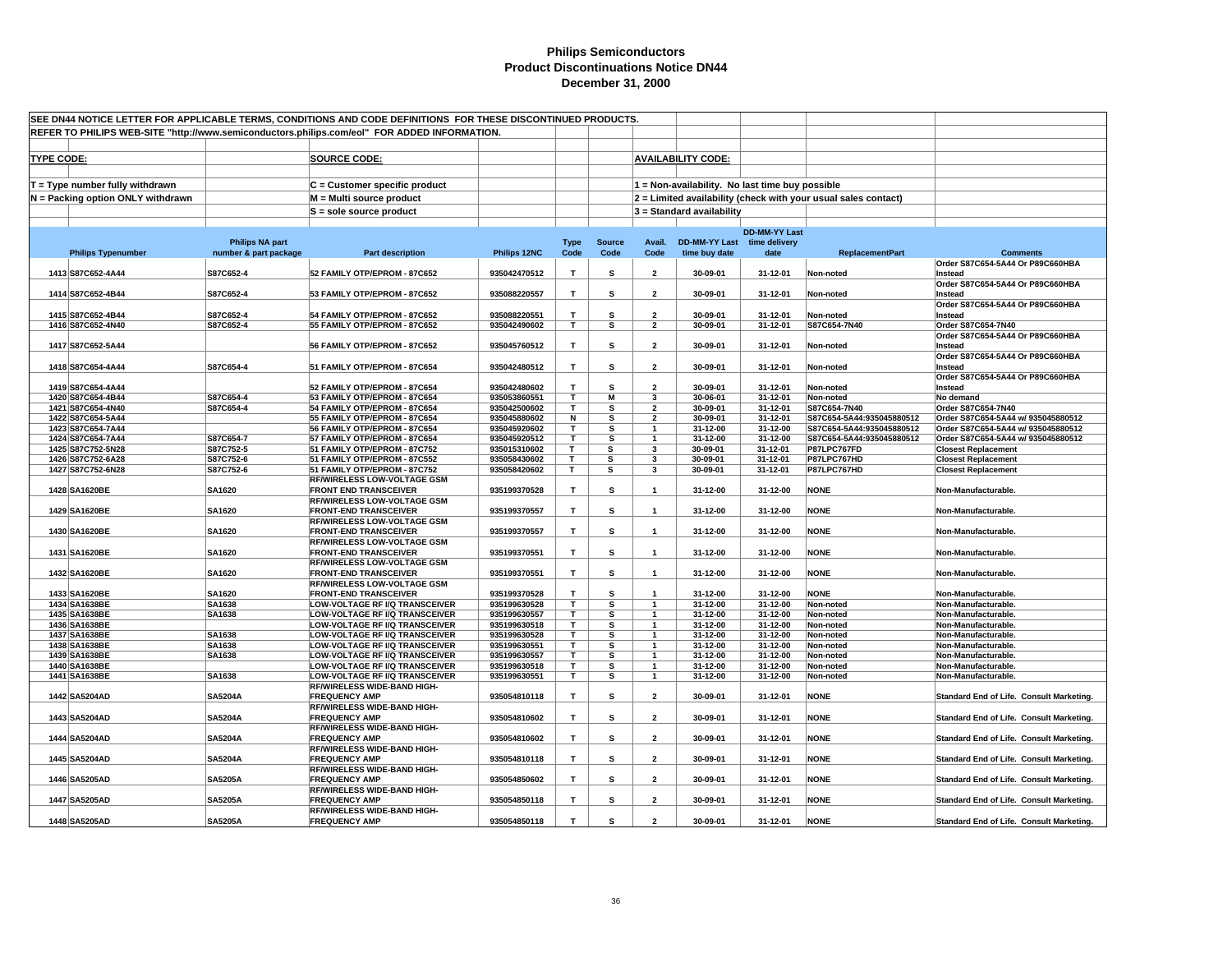| SEE DN44 NOTICE LETTER FOR APPLICABLE TERMS, CONDITIONS AND CODE DEFINITIONS FOR THESE DISCONTINUED PRODUCTS.<br>REFER TO PHILIPS WEB-SITE "http://www.semiconductors.philips.com/eol" FOR ADDED INFORMATION. |                        |                                                                         |                              |              |               |                         |                             |                                                 |                                                                |                                             |
|---------------------------------------------------------------------------------------------------------------------------------------------------------------------------------------------------------------|------------------------|-------------------------------------------------------------------------|------------------------------|--------------|---------------|-------------------------|-----------------------------|-------------------------------------------------|----------------------------------------------------------------|---------------------------------------------|
|                                                                                                                                                                                                               |                        |                                                                         |                              |              |               |                         |                             |                                                 |                                                                |                                             |
|                                                                                                                                                                                                               |                        |                                                                         |                              |              |               |                         |                             |                                                 |                                                                |                                             |
| <b>TYPE CODE:</b>                                                                                                                                                                                             |                        | <b>SOURCE CODE:</b>                                                     |                              |              |               |                         | <b>AVAILABILITY CODE:</b>   |                                                 |                                                                |                                             |
|                                                                                                                                                                                                               |                        |                                                                         |                              |              |               |                         |                             |                                                 |                                                                |                                             |
| $T = Type$ number fully withdrawn                                                                                                                                                                             |                        | C = Customer specific product                                           |                              |              |               |                         |                             | 1 = Non-availability. No last time buy possible |                                                                |                                             |
| N = Packing option ONLY withdrawn                                                                                                                                                                             |                        | M = Multi source product                                                |                              |              |               |                         |                             |                                                 | 2 = Limited availability (check with your usual sales contact) |                                             |
|                                                                                                                                                                                                               |                        | $S =$ sole source product                                               |                              |              |               |                         | $3$ = Standard availability |                                                 |                                                                |                                             |
|                                                                                                                                                                                                               |                        |                                                                         |                              |              |               |                         |                             |                                                 |                                                                |                                             |
|                                                                                                                                                                                                               |                        |                                                                         |                              |              |               |                         |                             | <b>DD-MM-YY Last</b>                            |                                                                |                                             |
|                                                                                                                                                                                                               | <b>Philips NA part</b> |                                                                         |                              | <b>Type</b>  | <b>Source</b> | Avail.                  | DD-MM-YY Last time delivery |                                                 |                                                                |                                             |
| <b>Philips Typenumber</b>                                                                                                                                                                                     | number & part package  | <b>Part description</b>                                                 | Philips 12NC                 | Code         | Code          | Code                    | time buy date               | date                                            | <b>ReplacementPart</b>                                         | <b>Comments</b>                             |
|                                                                                                                                                                                                               |                        |                                                                         |                              |              |               |                         |                             |                                                 |                                                                | Order S87C654-5A44 Or P89C660HBA            |
| 1413 S87C652-4A44                                                                                                                                                                                             | S87C652-4              | 52 FAMILY OTP/EPROM - 87C652                                            | 935042470512                 | $\mathbf{T}$ | s             | $\overline{2}$          | 30-09-01                    | 31-12-01                                        | Non-noted                                                      | Instead                                     |
| 1414 S87C652-4B44                                                                                                                                                                                             | S87C652-4              | 53 FAMILY OTP/EPROM - 87C652                                            | 935088220557                 | T            | s             |                         | 30-09-01                    | 31-12-01                                        |                                                                | Order S87C654-5A44 Or P89C660HBA            |
|                                                                                                                                                                                                               |                        |                                                                         |                              |              |               | $\overline{\mathbf{2}}$ |                             |                                                 | Non-noted                                                      | Instead<br>Order S87C654-5A44 Or P89C660HBA |
| 1415 S87C652-4B44                                                                                                                                                                                             | S87C652-4              | 54 FAMILY OTP/EPROM - 87C652                                            | 935088220551                 | T            | s             | $\overline{2}$          | 30-09-01                    | 31-12-01                                        | Non-noted                                                      | Instead                                     |
| 1416 S87C652-4N40                                                                                                                                                                                             | S87C652-4              | 55 FAMILY OTP/EPROM - 87C652                                            | 935042490602                 | T            | s             | $\overline{\mathbf{2}}$ | 30-09-01                    | 31-12-01                                        | S87C654-7N40                                                   | Order S87C654-7N40                          |
|                                                                                                                                                                                                               |                        |                                                                         |                              |              |               |                         |                             |                                                 |                                                                | Order S87C654-5A44 Or P89C660HBA            |
| 1417 S87C652-5A44                                                                                                                                                                                             |                        | 56 FAMILY OTP/EPROM - 87C652                                            | 935045760512                 | $\mathbf{T}$ | s             | $\overline{2}$          | 30-09-01                    | 31-12-01                                        | Non-noted                                                      | Instead                                     |
|                                                                                                                                                                                                               |                        |                                                                         |                              |              |               |                         |                             |                                                 |                                                                | Order S87C654-5A44 Or P89C660HBA            |
| 1418 S87C654-4A44                                                                                                                                                                                             | S87C654-4              | 51 FAMILY OTP/EPROM - 87C654                                            | 935042480512                 | T            | s             | $\overline{2}$          | 30-09-01                    | 31-12-01                                        | Non-noted                                                      | Instead                                     |
|                                                                                                                                                                                                               |                        |                                                                         |                              |              |               |                         |                             |                                                 |                                                                | Order S87C654-5A44 Or P89C660HBA            |
| 1419 S87C654-4A44                                                                                                                                                                                             |                        | 52 FAMILY OTP/EPROM - 87C654                                            | 935042480602                 | $\mathbf{T}$ | s             | $\overline{2}$          | 30-09-01                    | 31-12-01                                        | Non-noted                                                      | Instead                                     |
| 1420 S87C654-4B44                                                                                                                                                                                             | S87C654-4              | 53 FAMILY OTP/EPROM - 87C654                                            | 935053860551                 | T            | М             | 3                       | 30-06-01                    | 31-12-01                                        | Non-noted                                                      | No demand                                   |
| 1421 S87C654-4N40                                                                                                                                                                                             | S87C654-4              | 54 FAMILY OTP/EPROM - 87C654                                            | 935042500602                 | т            | s             | $\overline{2}$          | 30-09-01                    | 31-12-01                                        | S87C654-7N40                                                   | Order S87C654-7N40                          |
| 1422 S87C654-5A44                                                                                                                                                                                             |                        | 55 FAMILY OTP/EPROM - 87C654                                            | 935045880602                 | N            | s             | $\overline{\mathbf{2}}$ | $30 - 09 - 01$              | 31-12-01                                        | S87C654-5A44:935045880512                                      | Order S87C654-5A44 w/ 935045880512          |
| 1423 S87C654-7A44                                                                                                                                                                                             |                        | 56 FAMILY OTP/EPROM - 87C654                                            | 935045920602                 | т            | s             | $\mathbf{1}$            | 31-12-00                    | 31-12-00                                        | S87C654-5A44:935045880512                                      | Order S87C654-5A44 w/ 935045880512          |
| 1424 S87C654-7A44                                                                                                                                                                                             | S87C654-7              | 57 FAMILY OTP/EPROM - 87C654                                            | 935045920512                 | T.           | s             | $\overline{1}$          | 31-12-00                    | 31-12-00                                        | S87C654-5A44:935045880512                                      | Order S87C654-5A44 w/ 935045880512          |
| 1425 S87C752-5N28                                                                                                                                                                                             | S87C752-5              | 51 FAMILY OTP/EPROM - 87C752                                            | 935015310602                 | T.           | s             | $\mathbf{3}$            | 30-09-01                    | 31-12-01                                        | P87LPC767FD                                                    | <b>Closest Replacement</b>                  |
| 1426 S87C752-6A28                                                                                                                                                                                             | S87C752-6              | 51 FAMILY OTP/EPROM - 87C552                                            | 935058430602                 | T            | s             | 3                       | 30-09-01                    | 31-12-01                                        | P87LPC767HD                                                    | <b>Closest Replacement</b>                  |
| 1427 S87C752-6N28                                                                                                                                                                                             | S87C752-6              | 51 FAMILY OTP/EPROM - 87C752                                            | 935058420602                 | T            | s             | 3                       | 30-09-01                    | 31-12-01                                        | P87LPC767HD                                                    | <b>Closest Replacement</b>                  |
|                                                                                                                                                                                                               |                        | <b>RF/WIRELESS LOW-VOLTAGE GSM</b>                                      |                              |              |               |                         |                             |                                                 |                                                                |                                             |
| 1428 SA1620BE                                                                                                                                                                                                 | SA1620                 | <b>FRONT END TRANSCEIVER</b><br><b>RF/WIRELESS LOW-VOLTAGE GSM</b>      | 935199370528                 | T            | s             | $\mathbf{1}$            | 31-12-00                    | 31-12-00                                        | <b>NONE</b>                                                    | Non-Manufacturable.                         |
| 1429 SA1620BE                                                                                                                                                                                                 | SA1620                 | <b>FRONT-END TRANSCEIVER</b>                                            | 935199370557                 | T            | s             | $\mathbf{1}$            | 31-12-00                    | 31-12-00                                        | <b>NONE</b>                                                    | Non-Manufacturable.                         |
|                                                                                                                                                                                                               |                        | <b>RF/WIRELESS LOW-VOLTAGE GSM</b>                                      |                              |              |               |                         |                             |                                                 |                                                                |                                             |
| 1430 SA1620BE                                                                                                                                                                                                 | SA1620                 | <b>FRONT-END TRANSCEIVER</b>                                            | 935199370557                 | $\mathbf{T}$ | s             | $\overline{1}$          | 31-12-00                    | 31-12-00                                        | <b>NONE</b>                                                    | Non-Manufacturable.                         |
|                                                                                                                                                                                                               |                        | RF/WIRELESS LOW-VOLTAGE GSM                                             |                              |              |               |                         |                             |                                                 |                                                                |                                             |
| 1431 SA1620BE                                                                                                                                                                                                 | SA1620                 | <b>FRONT-END TRANSCEIVER</b>                                            | 935199370551                 | $\mathbf T$  | s             | $\mathbf{1}$            | 31-12-00                    | 31-12-00                                        | <b>NONE</b>                                                    | Non-Manufacturable.                         |
|                                                                                                                                                                                                               |                        | <b>RF/WIRELESS LOW-VOLTAGE GSM</b>                                      |                              |              |               |                         |                             |                                                 |                                                                |                                             |
| 1432 SA1620BE                                                                                                                                                                                                 | SA1620                 | <b>FRONT-END TRANSCEIVER</b>                                            | 935199370551                 | $\mathbf{T}$ | s             | $\overline{1}$          | 31-12-00                    | 31-12-00                                        | <b>NONE</b>                                                    | Non-Manufacturable.                         |
|                                                                                                                                                                                                               |                        | <b>RF/WIRELESS LOW-VOLTAGE GSM</b>                                      |                              |              |               |                         |                             |                                                 |                                                                |                                             |
| 1433 SA1620BE                                                                                                                                                                                                 | SA1620                 | <b>FRONT-END TRANSCEIVER</b>                                            | 935199370528                 | T.           | s             | $\mathbf{1}$            | 31-12-00                    | 31-12-00                                        | <b>NONE</b>                                                    | Non-Manufacturable.                         |
| 1434 SA1638BE                                                                                                                                                                                                 | SA1638                 | LOW-VOLTAGE RF I/Q TRANSCEIVER                                          | 935199630528                 | T            | s             | $\mathbf{1}$            | 31-12-00                    | 31-12-00                                        | Non-noted                                                      | Non-Manufacturable.                         |
| 1435 SA1638BE                                                                                                                                                                                                 | SA1638                 | LOW-VOLTAGE RF I/Q TRANSCEIVER                                          | 935199630557                 | т            | s             | $\mathbf{1}$            | 31-12-00                    | 31-12-00                                        | Non-noted                                                      | Non-Manufacturable.                         |
| 1436 SA1638BE                                                                                                                                                                                                 |                        | LOW-VOLTAGE RF I/Q TRANSCEIVER                                          | 935199630518                 | T.           | s             | $\mathbf{1}$            | 31-12-00                    | 31-12-00                                        | Non-noted                                                      | Non-Manufacturable.                         |
| 1437 SA1638BE                                                                                                                                                                                                 | SA1638                 | LOW-VOLTAGE RF I/Q TRANSCEIVER                                          | 935199630528                 | Τ            | s             | $\overline{1}$          | 31-12-00                    | 31-12-00                                        | Non-noted                                                      | Non-Manufacturable.                         |
| 1438 SA1638BE                                                                                                                                                                                                 | SA1638                 | LOW-VOLTAGE RF I/Q TRANSCEIVER                                          | 935199630551                 | T.           | s             | $\overline{1}$          | 31-12-00                    | 31-12-00                                        | Non-noted                                                      | Non-Manufacturable.                         |
| 1439 SA1638BE                                                                                                                                                                                                 | SA1638                 | LOW-VOLTAGE RF I/Q TRANSCEIVER                                          | 935199630557                 | $\mathbf{T}$ | s             | $\mathbf{1}$            | 31-12-00                    | 31-12-00                                        | Non-noted                                                      | Non-Manufacturable.                         |
| 1440 SA1638BE<br>1441 SA1638BE                                                                                                                                                                                | SA1638                 | <b>LOW-VOLTAGE RF I/Q TRANSCEIVER</b><br>LOW-VOLTAGE RF I/Q TRANSCEIVER | 935199630518<br>935199630551 | T<br>T       | s             | $\mathbf{1}$            | 31-12-00<br>31-12-00        | 31-12-00<br>31-12-00                            | Non-noted<br>Non-noted                                         | Non-Manufacturable.                         |
|                                                                                                                                                                                                               |                        | RF/WIRELESS WIDE-BAND HIGH-                                             |                              |              | s             | $\mathbf{1}$            |                             |                                                 |                                                                | Non-Manufacturable.                         |
| 1442 SA5204AD                                                                                                                                                                                                 | <b>SA5204A</b>         | <b>FREQUENCY AMP</b>                                                    | 935054810118                 | T            | s             | $\overline{\mathbf{2}}$ | 30-09-01                    | 31-12-01                                        | <b>NONE</b>                                                    | Standard End of Life. Consult Marketing.    |
|                                                                                                                                                                                                               |                        | RF/WIRELESS WIDE-BAND HIGH-                                             |                              |              |               |                         |                             |                                                 |                                                                |                                             |
| 1443 SA5204AD                                                                                                                                                                                                 | <b>SA5204A</b>         | <b>FREQUENCY AMP</b>                                                    | 935054810602                 | $\mathbf T$  | s             | $\overline{2}$          | 30-09-01                    | 31-12-01                                        | <b>NONE</b>                                                    | Standard End of Life. Consult Marketing.    |
|                                                                                                                                                                                                               |                        | <b>RF/WIRELESS WIDE-BAND HIGH-</b>                                      |                              |              |               |                         |                             |                                                 |                                                                |                                             |
| 1444 SA5204AD                                                                                                                                                                                                 | <b>SA5204A</b>         | <b>FREQUENCY AMP</b>                                                    | 935054810602                 | T            | s             | $\overline{2}$          | 30-09-01                    | 31-12-01                                        | <b>NONE</b>                                                    | Standard End of Life. Consult Marketing.    |
|                                                                                                                                                                                                               |                        | RF/WIRELESS WIDE-BAND HIGH-                                             |                              |              |               |                         |                             |                                                 |                                                                |                                             |
| 1445 SA5204AD                                                                                                                                                                                                 | <b>SA5204A</b>         | <b>FREQUENCY AMP</b>                                                    | 935054810118                 | T            | s             | $\overline{2}$          | 30-09-01                    | 31-12-01                                        | <b>NONE</b>                                                    | Standard End of Life. Consult Marketing.    |
|                                                                                                                                                                                                               |                        | RF/WIRELESS WIDE-BAND HIGH-                                             |                              |              |               |                         |                             |                                                 |                                                                |                                             |
| 1446 SA5205AD                                                                                                                                                                                                 | <b>SA5205A</b>         | <b>FREQUENCY AMP</b>                                                    | 935054850602                 | T            | s             | $\mathbf 2$             | 30-09-01                    | 31-12-01                                        | <b>NONE</b>                                                    | Standard End of Life. Consult Marketing.    |
|                                                                                                                                                                                                               |                        | <b>RF/WIRELESS WIDE-BAND HIGH-</b>                                      |                              |              |               |                         |                             |                                                 |                                                                |                                             |
| 1447 SA5205AD                                                                                                                                                                                                 | <b>SA5205A</b>         | <b>FREQUENCY AMP</b>                                                    | 935054850118                 | $\mathbf{T}$ | s             | $\overline{\mathbf{2}}$ | 30-09-01                    | 31-12-01                                        | <b>NONE</b>                                                    | Standard End of Life. Consult Marketing.    |
|                                                                                                                                                                                                               |                        | RF/WIRELESS WIDE-BAND HIGH-                                             |                              |              |               |                         |                             |                                                 |                                                                |                                             |
| 1448 SA5205AD                                                                                                                                                                                                 | <b>SA5205A</b>         | <b>FREQUENCY AMP</b>                                                    | 935054850118                 | T            | s             | $\overline{2}$          | 30-09-01                    | 31-12-01                                        | <b>NONE</b>                                                    | Standard End of Life. Consult Marketing.    |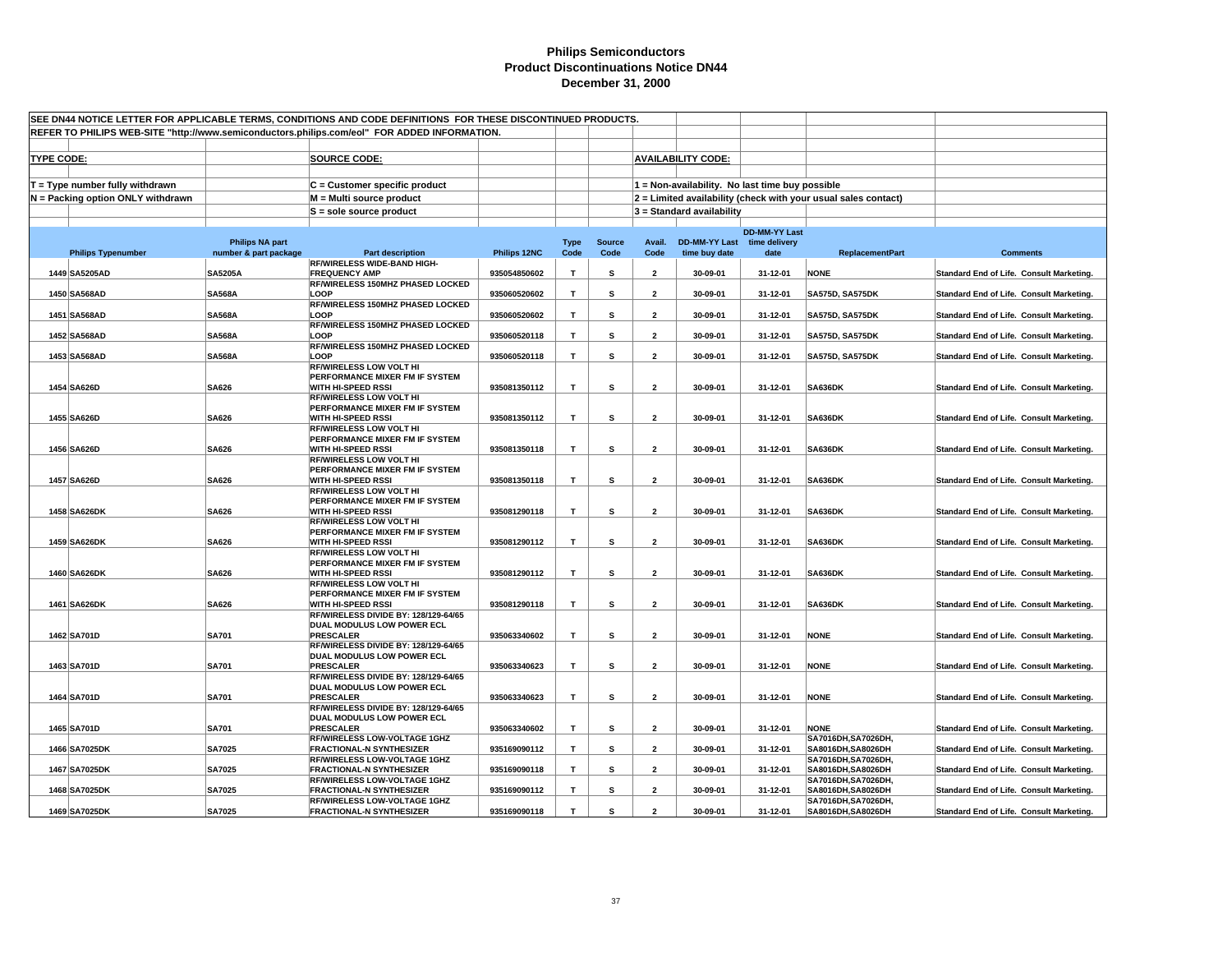|                   | SEE DN44 NOTICE LETTER FOR APPLICABLE TERMS, CONDITIONS AND CODE DEFINITIONS FOR THESE DISCONTINUED PRODUCTS. |                        |                                                                                              |              |             |               |                         |                                                 |                      |                                                                |                                          |
|-------------------|---------------------------------------------------------------------------------------------------------------|------------------------|----------------------------------------------------------------------------------------------|--------------|-------------|---------------|-------------------------|-------------------------------------------------|----------------------|----------------------------------------------------------------|------------------------------------------|
|                   |                                                                                                               |                        | REFER TO PHILIPS WEB-SITE "http://www.semiconductors.philips.com/eol" FOR ADDED INFORMATION. |              |             |               |                         |                                                 |                      |                                                                |                                          |
|                   |                                                                                                               |                        |                                                                                              |              |             |               |                         |                                                 |                      |                                                                |                                          |
| <b>TYPE CODE:</b> |                                                                                                               |                        | <b>SOURCE CODE:</b>                                                                          |              |             |               |                         | <b>AVAILABILITY CODE:</b>                       |                      |                                                                |                                          |
|                   |                                                                                                               |                        |                                                                                              |              |             |               |                         |                                                 |                      |                                                                |                                          |
|                   | $T = Type$ number fully withdrawn                                                                             |                        | C = Customer specific product                                                                |              |             |               |                         | 1 = Non-availability. No last time buy possible |                      |                                                                |                                          |
|                   | N = Packing option ONLY withdrawn                                                                             |                        | M = Multi source product                                                                     |              |             |               |                         |                                                 |                      | 2 = Limited availability (check with your usual sales contact) |                                          |
|                   |                                                                                                               |                        | $S =$ sole source product                                                                    |              |             |               |                         | 3 = Standard availability                       |                      |                                                                |                                          |
|                   |                                                                                                               |                        |                                                                                              |              |             |               |                         |                                                 |                      |                                                                |                                          |
|                   |                                                                                                               | <b>Philips NA part</b> |                                                                                              |              | <b>Type</b> | <b>Source</b> |                         | Avail. DD-MM-YY Last time delivery              | <b>DD-MM-YY Last</b> |                                                                |                                          |
|                   | <b>Philips Typenumber</b>                                                                                     | number & part package  | <b>Part description</b>                                                                      | Philips 12NC | Code        | Code          | Code                    | time buy date                                   | date                 | <b>ReplacementPart</b>                                         | <b>Comments</b>                          |
|                   |                                                                                                               |                        | <b>RF/WIRELESS WIDE-BAND HIGH-</b>                                                           |              |             |               |                         |                                                 |                      |                                                                |                                          |
|                   | 1449 SA5205AD                                                                                                 | <b>SA5205A</b>         | <b>FREQUENCY AMP</b><br>RF/WIRELESS 150MHZ PHASED LOCKED                                     | 935054850602 | T.          | S             | $\overline{2}$          | 30-09-01                                        | 31-12-01             | <b>NONE</b>                                                    | Standard End of Life. Consult Marketing. |
|                   | 1450 SA568AD                                                                                                  | <b>SA568A</b>          | LOOP                                                                                         | 935060520602 | T.          | s             | $\overline{2}$          | 30-09-01                                        | 31-12-01             | <b>SA575D, SA575DK</b>                                         | Standard End of Life. Consult Marketing. |
|                   |                                                                                                               |                        | RF/WIRELESS 150MHZ PHASED LOCKED                                                             |              |             |               |                         |                                                 |                      |                                                                |                                          |
|                   | 1451 SA568AD                                                                                                  | <b>SA568A</b>          | LOOP                                                                                         | 935060520602 | T           | s             | $\overline{2}$          | 30-09-01                                        | 31-12-01             | <b>SA575D, SA575DK</b>                                         | Standard End of Life. Consult Marketing. |
|                   | 1452 SA568AD                                                                                                  | <b>SA568A</b>          | RF/WIRELESS 150MHZ PHASED LOCKED<br>LOOP                                                     | 935060520118 | T           | s             | $\overline{\mathbf{2}}$ | 30-09-01                                        | 31-12-01             | <b>SA575D, SA575DK</b>                                         | Standard End of Life. Consult Marketing. |
|                   |                                                                                                               |                        | RF/WIRELESS 150MHZ PHASED LOCKED                                                             |              |             |               |                         |                                                 |                      |                                                                |                                          |
|                   | 1453 SA568AD                                                                                                  | <b>SA568A</b>          | LOOP                                                                                         | 935060520118 | T.          | s             | $\overline{2}$          | 30-09-01                                        | 31-12-01             | <b>SA575D, SA575DK</b>                                         | Standard End of Life. Consult Marketing. |
|                   |                                                                                                               |                        | <b>RF/WIRELESS LOW VOLT HI</b>                                                               |              |             |               |                         |                                                 |                      |                                                                |                                          |
|                   | 1454 SA626D                                                                                                   | SA626                  | PERFORMANCE MIXER FM IF SYSTEM<br>WITH HI-SPEED RSSI                                         | 935081350112 | т           | s             | $\overline{\mathbf{2}}$ | 30-09-01                                        | 31-12-01             | <b>SA636DK</b>                                                 | Standard End of Life. Consult Marketing. |
|                   |                                                                                                               |                        | <b>RF/WIRELESS LOW VOLT HI</b>                                                               |              |             |               |                         |                                                 |                      |                                                                |                                          |
|                   |                                                                                                               |                        | PERFORMANCE MIXER FM IF SYSTEM                                                               |              |             |               |                         |                                                 |                      |                                                                |                                          |
|                   | 1455 SA626D                                                                                                   | SA626                  | <b>WITH HI-SPEED RSSI</b><br>RF/WIRELESS LOW VOLT HI                                         | 935081350112 | T           | s             | $\overline{2}$          | 30-09-01                                        | 31-12-01             | <b>SA636DK</b>                                                 | Standard End of Life. Consult Marketing. |
|                   |                                                                                                               |                        | PERFORMANCE MIXER FM IF SYSTEM                                                               |              |             |               |                         |                                                 |                      |                                                                |                                          |
|                   | 1456 SA626D                                                                                                   | <b>SA626</b>           | <b>WITH HI-SPEED RSSI</b>                                                                    | 935081350118 | т           | s             | $\overline{2}$          | 30-09-01                                        | 31-12-01             | <b>SA636DK</b>                                                 | Standard End of Life. Consult Marketing. |
|                   |                                                                                                               |                        | <b>RF/WIRELESS LOW VOLT HI</b>                                                               |              |             |               |                         |                                                 |                      |                                                                |                                          |
|                   | 1457 SA626D                                                                                                   | <b>SA626</b>           | PERFORMANCE MIXER FM IF SYSTEM<br>WITH HI-SPEED RSSI                                         | 935081350118 | T.          | s             | $\overline{2}$          | 30-09-01                                        | 31-12-01             | <b>SA636DK</b>                                                 | Standard End of Life. Consult Marketing. |
|                   |                                                                                                               |                        | RF/WIRELESS LOW VOLT HI                                                                      |              |             |               |                         |                                                 |                      |                                                                |                                          |
|                   |                                                                                                               |                        | PERFORMANCE MIXER FM IF SYSTEM                                                               |              |             |               |                         |                                                 |                      |                                                                |                                          |
|                   | 1458 SA626DK                                                                                                  | SA626                  | WITH HI-SPEED RSSI                                                                           | 935081290118 | T.          | s             | $\overline{2}$          | 30-09-01                                        | 31-12-01             | SA636DK                                                        | Standard End of Life. Consult Marketing. |
|                   |                                                                                                               |                        | <b>RF/WIRELESS LOW VOLT HI</b><br>PERFORMANCE MIXER FM IF SYSTEM                             |              |             |               |                         |                                                 |                      |                                                                |                                          |
|                   | 1459 SA626DK                                                                                                  | SA626                  | WITH HI-SPEED RSSI                                                                           | 935081290112 | T           | s             | $\overline{\mathbf{2}}$ | 30-09-01                                        | 31-12-01             | SA636DK                                                        | Standard End of Life. Consult Marketing. |
|                   |                                                                                                               |                        | <b>RF/WIRELESS LOW VOLT HI</b>                                                               |              |             |               |                         |                                                 |                      |                                                                |                                          |
|                   |                                                                                                               |                        | PERFORMANCE MIXER FM IF SYSTEM                                                               |              |             |               |                         |                                                 |                      |                                                                |                                          |
|                   | 1460 SA626DK                                                                                                  | <b>SA626</b>           | WITH HI-SPEED RSSI<br><b>RF/WIRELESS LOW VOLT HI</b>                                         | 935081290112 | T           | s             | $\overline{2}$          | 30-09-01                                        | 31-12-01             | <b>SA636DK</b>                                                 | Standard End of Life. Consult Marketing. |
|                   |                                                                                                               |                        | PERFORMANCE MIXER FM IF SYSTEM                                                               |              |             |               |                         |                                                 |                      |                                                                |                                          |
|                   | 1461 SA626DK                                                                                                  | SA626                  | WITH HI-SPEED RSSI                                                                           | 935081290118 | T           | s             | $\overline{2}$          | 30-09-01                                        | 31-12-01             | <b>SA636DK</b>                                                 | Standard End of Life. Consult Marketing. |
|                   |                                                                                                               |                        | RF/WIRELESS DIVIDE BY: 128/129-64/65<br>DUAL MODULUS LOW POWER ECL                           |              |             |               |                         |                                                 |                      |                                                                |                                          |
|                   | 1462 SA701D                                                                                                   | <b>SA701</b>           | <b>PRESCALER</b>                                                                             | 935063340602 | T           | s             | $\overline{2}$          | 30-09-01                                        | 31-12-01             | <b>NONE</b>                                                    | Standard End of Life. Consult Marketing. |
|                   |                                                                                                               |                        | RF/WIRELESS DIVIDE BY: 128/129-64/65                                                         |              |             |               |                         |                                                 |                      |                                                                |                                          |
|                   |                                                                                                               |                        | DUAL MODULUS LOW POWER ECL                                                                   |              |             |               |                         |                                                 |                      |                                                                |                                          |
|                   | 1463 SA701D                                                                                                   | <b>SA701</b>           | <b>PRESCALER</b><br>RF/WIRELESS DIVIDE BY: 128/129-64/65                                     | 935063340623 | T           | s             | $\overline{2}$          | 30-09-01                                        | 31-12-01             | <b>NONE</b>                                                    | Standard End of Life. Consult Marketing. |
|                   |                                                                                                               |                        | DUAL MODULUS LOW POWER ECL                                                                   |              |             |               |                         |                                                 |                      |                                                                |                                          |
|                   | 1464 SA701D                                                                                                   | <b>SA701</b>           | <b>PRESCALER</b>                                                                             | 935063340623 | T.          | s             | $\overline{2}$          | 30-09-01                                        | 31-12-01             | <b>NONE</b>                                                    | Standard End of Life. Consult Marketing. |
|                   |                                                                                                               |                        | RF/WIRELESS DIVIDE BY: 128/129-64/65                                                         |              |             |               |                         |                                                 |                      |                                                                |                                          |
|                   | 1465 SA701D                                                                                                   | <b>SA701</b>           | DUAL MODULUS LOW POWER ECL<br><b>PRESCALER</b>                                               | 935063340602 | T.          | s             | $\overline{2}$          | 30-09-01                                        | 31-12-01             | <b>NONE</b>                                                    | Standard End of Life. Consult Marketing. |
|                   |                                                                                                               |                        | RF/WIRELESS LOW-VOLTAGE 1GHZ                                                                 |              |             |               |                         |                                                 |                      | SA7016DH, SA7026DH,                                            |                                          |
|                   | 1466 SA7025DK                                                                                                 | <b>SA7025</b>          | <b>FRACTIONAL-N SYNTHESIZER</b>                                                              | 935169090112 | T           | s             | $\overline{\mathbf{2}}$ | 30-09-01                                        | 31-12-01             | SA8016DH.SA8026DH                                              | Standard End of Life. Consult Marketing. |
|                   |                                                                                                               |                        | RF/WIRELESS LOW-VOLTAGE 1GHZ                                                                 |              |             |               |                         |                                                 |                      | SA7016DH, SA7026DH,                                            |                                          |
|                   | 1467 SA7025DK                                                                                                 | <b>SA7025</b>          | <b>FRACTIONAL-N SYNTHESIZER</b><br>RF/WIRELESS LOW-VOLTAGE 1GHZ                              | 935169090118 | т           | s             | $\mathbf{2}$            | 30-09-01                                        | 31-12-01             | SA8016DH, SA8026DH<br>SA7016DH, SA7026DH,                      | Standard End of Life. Consult Marketing. |
|                   | 1468 SA7025DK                                                                                                 | <b>SA7025</b>          | <b>FRACTIONAL-N SYNTHESIZER</b>                                                              | 935169090112 | T           | s             | $\overline{2}$          | 30-09-01                                        | 31-12-01             | SA8016DH, SA8026DH                                             | Standard End of Life. Consult Marketing. |
|                   |                                                                                                               |                        | <b>RF/WIRELESS LOW-VOLTAGE 1GHZ</b>                                                          |              |             |               |                         |                                                 |                      | SA7016DH.SA7026DH.                                             |                                          |
|                   | 1469 SA7025DK                                                                                                 | <b>SA7025</b>          | <b>FRACTIONAL-N SYNTHESIZER</b>                                                              | 935169090118 | T           | s             | $\mathfrak{p}$          | 30-09-01                                        | 31-12-01             | SA8016DH, SA8026DH                                             | Standard End of Life. Consult Marketing. |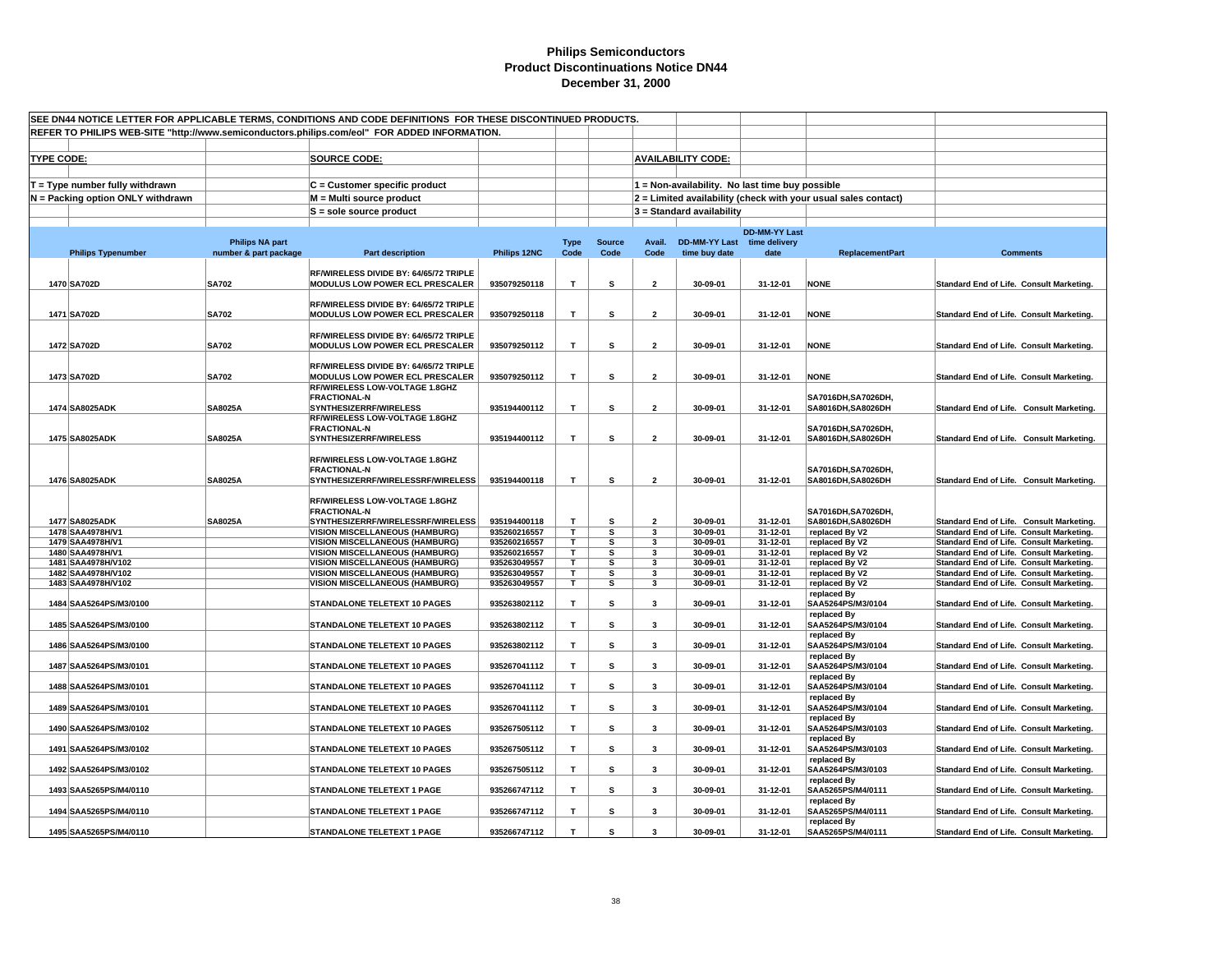| SEE DN44 NOTICE LETTER FOR APPLICABLE TERMS, CONDITIONS AND CODE DEFINITIONS FOR THESE DISCONTINUED PRODUCTS. |                                          |                        |                                                                                              |                              |                   |               |                              |                             |                                                 |                                                                |                                                                                      |
|---------------------------------------------------------------------------------------------------------------|------------------------------------------|------------------------|----------------------------------------------------------------------------------------------|------------------------------|-------------------|---------------|------------------------------|-----------------------------|-------------------------------------------------|----------------------------------------------------------------|--------------------------------------------------------------------------------------|
|                                                                                                               |                                          |                        | REFER TO PHILIPS WEB-SITE "http://www.semiconductors.philips.com/eol" FOR ADDED INFORMATION. |                              |                   |               |                              |                             |                                                 |                                                                |                                                                                      |
|                                                                                                               |                                          |                        |                                                                                              |                              |                   |               |                              |                             |                                                 |                                                                |                                                                                      |
| <b>TYPE CODE:</b>                                                                                             |                                          |                        | <b>SOURCE CODE:</b>                                                                          |                              |                   |               |                              | <b>AVAILABILITY CODE:</b>   |                                                 |                                                                |                                                                                      |
|                                                                                                               |                                          |                        |                                                                                              |                              |                   |               |                              |                             |                                                 |                                                                |                                                                                      |
|                                                                                                               | T = Type number fully withdrawn          |                        | C = Customer specific product                                                                |                              |                   |               |                              |                             | 1 = Non-availability. No last time buy possible |                                                                |                                                                                      |
|                                                                                                               | N = Packing option ONLY withdrawn        |                        | M = Multi source product                                                                     |                              |                   |               |                              |                             |                                                 | 2 = Limited availability (check with your usual sales contact) |                                                                                      |
|                                                                                                               |                                          |                        | S = sole source product                                                                      |                              |                   |               |                              | $3$ = Standard availability |                                                 |                                                                |                                                                                      |
|                                                                                                               |                                          |                        |                                                                                              |                              |                   |               |                              |                             | <b>DD-MM-YY Last</b>                            |                                                                |                                                                                      |
|                                                                                                               |                                          | <b>Philips NA part</b> |                                                                                              |                              | <b>Type</b>       | <b>Source</b> | Avail.                       | DD-MM-YY Last time delivery |                                                 |                                                                |                                                                                      |
|                                                                                                               | <b>Philips Typenumber</b>                | number & part package  | Part description                                                                             | Philips 12NC                 | Code              | Code          | Code                         | time buy date               | date                                            | <b>ReplacementPart</b>                                         | <b>Comments</b>                                                                      |
|                                                                                                               |                                          |                        | RF/WIRELESS DIVIDE BY: 64/65/72 TRIPLE                                                       |                              |                   |               |                              |                             |                                                 |                                                                |                                                                                      |
|                                                                                                               | 1470 SA702D                              | <b>SA702</b>           | MODULUS LOW POWER ECL PRESCALER                                                              | 935079250118                 | T                 | s             | $\overline{\mathbf{2}}$      | 30-09-01                    | 31-12-01                                        | <b>NONE</b>                                                    | Standard End of Life. Consult Marketing.                                             |
|                                                                                                               |                                          |                        | RF/WIRELESS DIVIDE BY: 64/65/72 TRIPLE                                                       |                              |                   |               |                              |                             |                                                 |                                                                |                                                                                      |
|                                                                                                               | 1471 SA702D                              | <b>SA702</b>           | MODULUS LOW POWER ECL PRESCALER                                                              | 935079250118                 | T                 | s             | $\overline{\mathbf{2}}$      | 30-09-01                    | 31-12-01                                        | <b>NONE</b>                                                    | Standard End of Life. Consult Marketing.                                             |
|                                                                                                               |                                          |                        |                                                                                              |                              |                   |               |                              |                             |                                                 |                                                                |                                                                                      |
|                                                                                                               |                                          |                        | RF/WIRELESS DIVIDE BY: 64/65/72 TRIPLE                                                       |                              |                   |               |                              |                             |                                                 |                                                                |                                                                                      |
|                                                                                                               | 1472 SA702D                              | <b>SA702</b>           | MODULUS LOW POWER ECL PRESCALER                                                              | 935079250112                 | $\mathbf{T}$      | s             | $\overline{2}$               | 30-09-01                    | 31-12-01                                        | <b>NONE</b>                                                    | Standard End of Life. Consult Marketing.                                             |
|                                                                                                               |                                          |                        | RF/WIRELESS DIVIDE BY: 64/65/72 TRIPLE                                                       |                              |                   |               |                              |                             |                                                 |                                                                |                                                                                      |
|                                                                                                               | 1473 SA702D                              | <b>SA702</b>           | MODULUS LOW POWER ECL PRESCALER                                                              | 935079250112                 | T                 | s             | $\overline{\mathbf{2}}$      | 30-09-01                    | 31-12-01                                        | <b>NONE</b>                                                    | Standard End of Life. Consult Marketing.                                             |
|                                                                                                               |                                          |                        | RF/WIRELESS LOW-VOLTAGE 1.8GHZ<br><b>FRACTIONAL-N</b>                                        |                              |                   |               |                              |                             |                                                 | SA7016DH, SA7026DH,                                            |                                                                                      |
|                                                                                                               | 1474 SA8025ADK                           | <b>SA8025A</b>         | SYNTHESIZERRF/WIRELESS                                                                       | 935194400112                 | $\mathbf T$       | s             | $\overline{\mathbf{2}}$      | 30-09-01                    | 31-12-01                                        | SA8016DH, SA8026DH                                             | Standard End of Life. Consult Marketing.                                             |
|                                                                                                               |                                          |                        | RF/WIRELESS LOW-VOLTAGE 1.8GHZ                                                               |                              |                   |               |                              |                             |                                                 |                                                                |                                                                                      |
|                                                                                                               | 1475 SA8025ADK                           | <b>SA8025A</b>         | <b>FRACTIONAL-N</b><br>SYNTHESIZERRF/WIRELESS                                                | 935194400112                 | T                 | s             | $\overline{\mathbf{2}}$      | 30-09-01                    | 31-12-01                                        | SA7016DH, SA7026DH,<br>SA8016DH.SA8026DH                       | Standard End of Life. Consult Marketing.                                             |
|                                                                                                               |                                          |                        |                                                                                              |                              |                   |               |                              |                             |                                                 |                                                                |                                                                                      |
|                                                                                                               |                                          |                        | RF/WIRELESS LOW-VOLTAGE 1.8GHZ                                                               |                              |                   |               |                              |                             |                                                 |                                                                |                                                                                      |
|                                                                                                               | 1476 SA8025ADK                           |                        | <b>FRACTIONAL-N</b><br>SYNTHESIZERRF/WIRELESSRF/WIRELESS                                     | 935194400118                 | T                 | s             | $\overline{\mathbf{2}}$      | 30-09-01                    | 31-12-01                                        | SA7016DH.SA7026DH.<br>SA8016DH, SA8026DH                       |                                                                                      |
|                                                                                                               |                                          | <b>SA8025A</b>         |                                                                                              |                              |                   |               |                              |                             |                                                 |                                                                | Standard End of Life. Consult Marketing.                                             |
|                                                                                                               |                                          |                        | RF/WIRELESS LOW-VOLTAGE 1.8GHZ                                                               |                              |                   |               |                              |                             |                                                 |                                                                |                                                                                      |
|                                                                                                               |                                          |                        | <b>FRACTIONAL-N</b>                                                                          |                              |                   |               |                              |                             |                                                 | SA7016DH.SA7026DH.                                             |                                                                                      |
|                                                                                                               | 1477 SA8025ADK<br>1478 SAA4978H/V1       | SA8025A                | SYNTHESIZERRF/WIRELESSRF/WIRELESS<br><b>VISION MISCELLANEOUS (HAMBURG)</b>                   | 935194400118<br>935260216557 | $\mathbf{T}$<br>T | s<br>s        | $\overline{\mathbf{2}}$<br>3 | 30-09-01<br>30-09-01        | 31-12-01<br>31-12-01                            | SA8016DH, SA8026DH<br>replaced By V2                           | Standard End of Life. Consult Marketing.<br>Standard End of Life. Consult Marketing. |
|                                                                                                               | 1479 SAA4978H/V1                         |                        | <b>VISION MISCELLANEOUS (HAMBURG)</b>                                                        | 935260216557                 | Τ                 | s             | 3                            | 30-09-01                    | 31-12-01                                        | replaced By V2                                                 | Standard End of Life. Consult Marketing.                                             |
|                                                                                                               | 1480 SAA4978H/V1                         |                        | <b>VISION MISCELLANEOUS (HAMBURG)</b>                                                        | 935260216557                 | т                 | s             | 3                            | 30-09-01                    | 31-12-01                                        | replaced By V2                                                 | Standard End of Life. Consult Marketing.                                             |
|                                                                                                               | 1481 SAA4978H/V102                       |                        | <b>VISION MISCELLANEOUS (HAMBURG)</b>                                                        | 935263049557                 | т                 | s             | 3                            | 30-09-01                    | 31-12-01                                        | replaced By V2                                                 | Standard End of Life. Consult Marketing.                                             |
|                                                                                                               | 1482 SAA4978H/V102<br>1483 SAA4978H/V102 |                        | <b>VISION MISCELLANEOUS (HAMBURG)</b><br><b>VISION MISCELLANEOUS (HAMBURG)</b>               | 935263049557<br>935263049557 | Τ<br>T.           | s<br>s        | 3<br>3                       | 30-09-01<br>30-09-01        | 31-12-01<br>31-12-01                            | replaced By V2<br>replaced By V2                               | Standard End of Life. Consult Marketing.<br>Standard End of Life. Consult Marketing. |
|                                                                                                               |                                          |                        |                                                                                              |                              |                   |               |                              |                             |                                                 | replaced By                                                    |                                                                                      |
|                                                                                                               | 1484 SAA5264PS/M3/0100                   |                        | STANDALONE TELETEXT 10 PAGES                                                                 | 935263802112                 | T                 | s             | 3                            | 30-09-01                    | 31-12-01                                        | SAA5264PS/M3/0104                                              | Standard End of Life. Consult Marketing.                                             |
|                                                                                                               | 1485 SAA5264PS/M3/0100                   |                        | <b>STANDALONE TELETEXT 10 PAGES</b>                                                          | 935263802112                 | T                 | s             | 3                            | 30-09-01                    | 31-12-01                                        | replaced By<br>SAA5264PS/M3/0104                               | Standard End of Life. Consult Marketing.                                             |
|                                                                                                               |                                          |                        |                                                                                              |                              |                   |               |                              |                             |                                                 | replaced By                                                    |                                                                                      |
|                                                                                                               | 1486 SAA5264PS/M3/0100                   |                        | STANDALONE TELETEXT 10 PAGES                                                                 | 935263802112                 | T                 | s             | 3                            | 30-09-01                    | 31-12-01                                        | SAA5264PS/M3/0104                                              | Standard End of Life. Consult Marketing.                                             |
|                                                                                                               | 1487 SAA5264PS/M3/0101                   |                        | STANDALONE TELETEXT 10 PAGES                                                                 | 935267041112                 | $\mathbf{T}$      | s             | 3                            | 30-09-01                    | 31-12-01                                        | replaced By<br>SAA5264PS/M3/0104                               | Standard End of Life. Consult Marketing.                                             |
|                                                                                                               |                                          |                        |                                                                                              |                              |                   |               |                              |                             |                                                 | replaced By                                                    |                                                                                      |
|                                                                                                               | 1488 SAA5264PS/M3/0101                   |                        | <b>STANDALONE TELETEXT 10 PAGES</b>                                                          | 935267041112                 | T                 | s             | $\overline{\mathbf{3}}$      | 30-09-01                    | 31-12-01                                        | SAA5264PS/M3/0104                                              | Standard End of Life. Consult Marketing.                                             |
|                                                                                                               |                                          |                        |                                                                                              |                              |                   |               |                              |                             |                                                 | replaced By                                                    |                                                                                      |
|                                                                                                               | 1489 SAA5264PS/M3/0101                   |                        | STANDALONE TELETEXT 10 PAGES                                                                 | 935267041112                 | T                 | s             | 3                            | 30-09-01                    | 31-12-01                                        | SAA5264PS/M3/0104<br>replaced By                               | Standard End of Life. Consult Marketing.                                             |
|                                                                                                               | 1490 SAA5264PS/M3/0102                   |                        | <b>STANDALONE TELETEXT 10 PAGES</b>                                                          | 935267505112                 | T                 | s             | 3                            | 30-09-01                    | 31-12-01                                        | SAA5264PS/M3/0103                                              | Standard End of Life. Consult Marketing.                                             |
|                                                                                                               |                                          |                        |                                                                                              |                              |                   |               |                              |                             |                                                 | replaced By                                                    |                                                                                      |
|                                                                                                               | 1491 SAA5264PS/M3/0102                   |                        | STANDALONE TELETEXT 10 PAGES                                                                 | 935267505112                 | T                 | s             | 3                            | 30-09-01                    | 31-12-01                                        | SAA5264PS/M3/0103<br>replaced By                               | Standard End of Life. Consult Marketing.                                             |
|                                                                                                               | 1492 SAA5264PS/M3/0102                   |                        | STANDALONE TELETEXT 10 PAGES                                                                 | 935267505112                 | T                 | s             | 3                            | 30-09-01                    | 31-12-01                                        | SAA5264PS/M3/0103                                              | Standard End of Life. Consult Marketing.                                             |
|                                                                                                               |                                          |                        |                                                                                              |                              |                   |               |                              |                             |                                                 | replaced By                                                    |                                                                                      |
|                                                                                                               | 1493 SAA5265PS/M4/0110                   |                        | <b>STANDALONE TELETEXT 1 PAGE</b>                                                            | 935266747112                 | T                 | s             | 3                            | 30-09-01                    | 31-12-01                                        | SAA5265PS/M4/0111<br>replaced By                               | Standard End of Life. Consult Marketing.                                             |
|                                                                                                               | 1494 SAA5265PS/M4/0110                   |                        | <b>STANDALONE TELETEXT 1 PAGE</b>                                                            | 935266747112                 | T                 | s             | 3                            | 30-09-01                    | 31-12-01                                        | SAA5265PS/M4/0111                                              | Standard End of Life. Consult Marketing.                                             |
|                                                                                                               |                                          |                        |                                                                                              |                              |                   |               |                              |                             |                                                 | replaced By                                                    |                                                                                      |
|                                                                                                               | 1495 SAA5265PS/M4/0110                   |                        | <b>STANDALONE TELETEXT 1 PAGE</b>                                                            | 935266747112                 | T                 | s             | $\mathbf{3}$                 | 30-09-01                    | 31-12-01                                        | SAA5265PS/M4/0111                                              | Standard End of Life. Consult Marketing.                                             |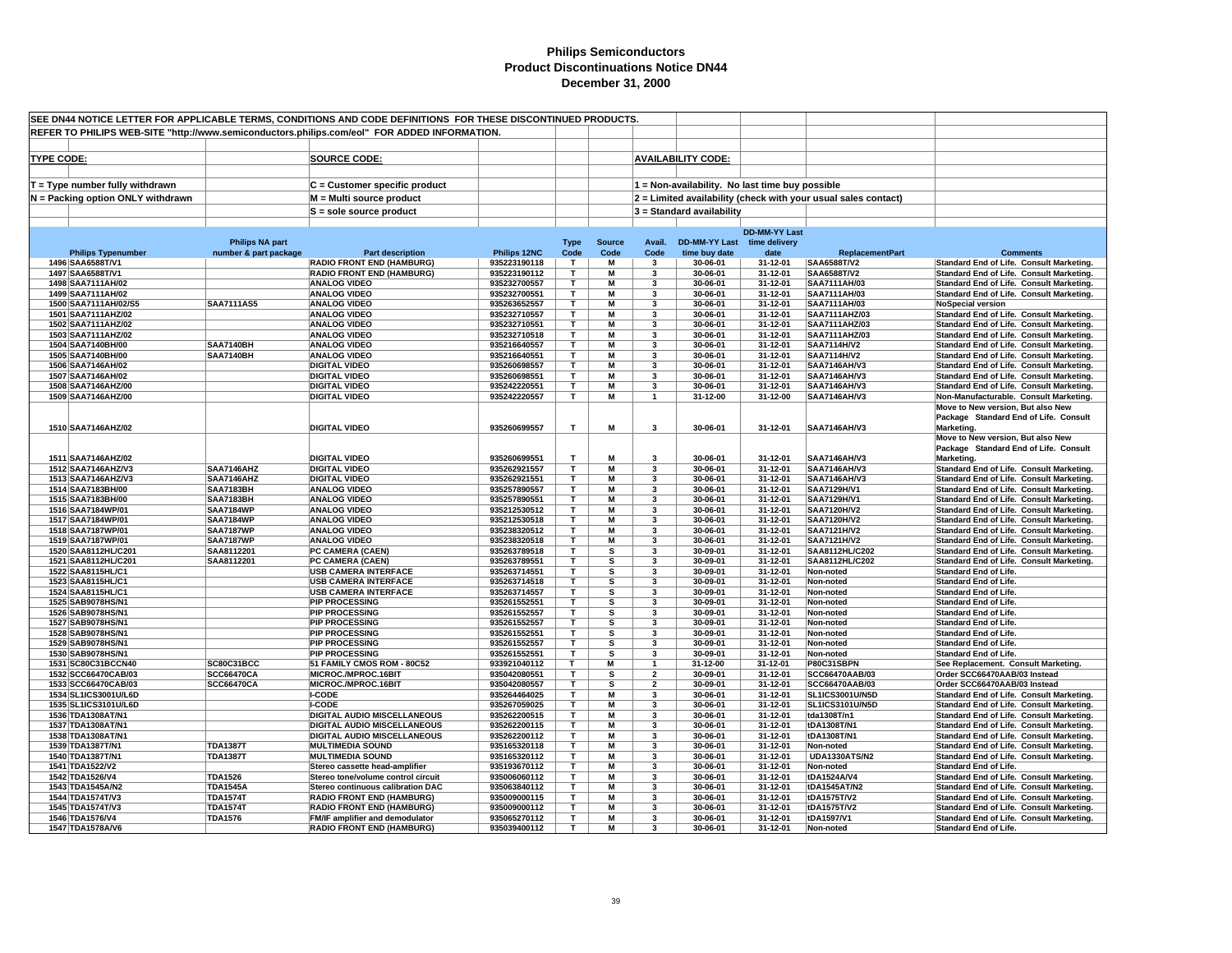| SEE DN44 NOTICE LETTER FOR APPLICABLE TERMS, CONDITIONS AND CODE DEFINITIONS FOR THESE DISCONTINUED PRODUCTS. |                                                 |                                                                      |                              |                     |                       |                         |                                              |                                                 |                                                                |                                                                                      |
|---------------------------------------------------------------------------------------------------------------|-------------------------------------------------|----------------------------------------------------------------------|------------------------------|---------------------|-----------------------|-------------------------|----------------------------------------------|-------------------------------------------------|----------------------------------------------------------------|--------------------------------------------------------------------------------------|
| REFER TO PHILIPS WEB-SITE "http://www.semiconductors.philips.com/eol" FOR ADDED INFORMATION.                  |                                                 |                                                                      |                              |                     |                       |                         |                                              |                                                 |                                                                |                                                                                      |
|                                                                                                               |                                                 |                                                                      |                              |                     |                       |                         |                                              |                                                 |                                                                |                                                                                      |
| <b>TYPE CODE:</b>                                                                                             |                                                 |                                                                      |                              |                     |                       |                         | <b>AVAILABILITY CODE:</b>                    |                                                 |                                                                |                                                                                      |
|                                                                                                               |                                                 | <b>SOURCE CODE:</b>                                                  |                              |                     |                       |                         |                                              |                                                 |                                                                |                                                                                      |
|                                                                                                               |                                                 |                                                                      |                              |                     |                       |                         |                                              |                                                 |                                                                |                                                                                      |
| $T = Type$ number fully withdrawn                                                                             |                                                 | C = Customer specific product                                        |                              |                     |                       |                         |                                              | 1 = Non-availability. No last time buy possible |                                                                |                                                                                      |
| N = Packing option ONLY withdrawn                                                                             |                                                 | M = Multi source product                                             |                              |                     |                       |                         |                                              |                                                 | 2 = Limited availability (check with your usual sales contact) |                                                                                      |
|                                                                                                               |                                                 | S = sole source product                                              |                              |                     |                       |                         | 3 = Standard availability                    |                                                 |                                                                |                                                                                      |
|                                                                                                               |                                                 |                                                                      |                              |                     |                       |                         |                                              |                                                 |                                                                |                                                                                      |
|                                                                                                               |                                                 |                                                                      |                              |                     |                       |                         |                                              | <b>DD-MM-YY Last</b>                            |                                                                |                                                                                      |
| <b>Philips Typenumber</b>                                                                                     | <b>Philips NA part</b><br>number & part package | <b>Part description</b>                                              | Philips 12NC                 | <b>Type</b><br>Code | <b>Source</b><br>Code | Avail.<br>Code          | DD-MM-YY Last time delivery<br>time buy date | date                                            | <b>ReplacementPart</b>                                         | <b>Comments</b>                                                                      |
| 1496 SAA6588T/V1                                                                                              |                                                 | <b>RADIO FRONT END (HAMBURG)</b>                                     | 935223190118                 | T                   | M                     | 3                       | 30-06-01                                     | 31-12-01                                        | SAA6588T/V2                                                    | Standard End of Life. Consult Marketing.                                             |
| 1497 SAA6588T/V1                                                                                              |                                                 | <b>RADIO FRONT END (HAMBURG)</b>                                     | 935223190112                 | $\mathbf{T}$        | M                     | 3                       | 30-06-01                                     | 31-12-01                                        | SAA6588T/V2                                                    | Standard End of Life. Consult Marketing.                                             |
| 1498 SAA7111AH/02                                                                                             |                                                 | <b>ANALOG VIDEO</b>                                                  | 935232700557                 | T                   | M                     | 3                       | 30-06-01                                     | 31-12-01                                        | SAA7111AH/03                                                   | Standard End of Life. Consult Marketing.                                             |
| 1499 SAA7111AH/02                                                                                             |                                                 | <b>ANALOG VIDEO</b>                                                  | 935232700551                 | T                   | M                     | 3                       | 30-06-01                                     | 31-12-01                                        | SAA7111AH/03                                                   | Standard End of Life. Consult Marketing.                                             |
| 1500 SAA7111AH/02/S5                                                                                          | <b>SAA7111AS5</b>                               | <b>ANALOG VIDEO</b>                                                  | 935263652557                 | T                   | M                     | 3                       | 30-06-01                                     | 31-12-01                                        | SAA7111AH/03                                                   | <b>NoSpecial version</b>                                                             |
| 1501 SAA7111AHZ/02                                                                                            |                                                 | <b>ANALOG VIDEO</b>                                                  | 935232710557                 | T.                  | M                     | 3                       | 30-06-01                                     | 31-12-01                                        | SAA7111AHZ/03                                                  | Standard End of Life. Consult Marketing.                                             |
| 1502 SAA7111AHZ/02                                                                                            |                                                 | <b>ANALOG VIDEO</b>                                                  | 935232710551                 | T.                  | M                     | 3                       | 30-06-01                                     | 31-12-01                                        | SAA7111AHZ/03                                                  | Standard End of Life. Consult Marketing.                                             |
| 1503 SAA7111AHZ/02                                                                                            |                                                 | <b>ANALOG VIDEO</b>                                                  | 935232710518                 | T                   | M                     | 3                       | 30-06-01                                     | 31-12-01                                        | SAA7111AHZ/03                                                  | Standard End of Life. Consult Marketing.                                             |
| 1504 SAA7140BH/00<br>1505 SAA7140BH/00                                                                        | <b>SAA7140BH</b><br><b>SAA7140BH</b>            | <b>ANALOG VIDEO</b><br><b>ANALOG VIDEO</b>                           | 935216640557<br>935216640551 | T.<br>T             | M<br>M                | 3<br>3                  | 30-06-01<br>30-06-01                         | 31-12-01<br>31-12-01                            | <b>SAA7114H/V2</b><br><b>SAA7114H/V2</b>                       | Standard End of Life. Consult Marketing.<br>Standard End of Life. Consult Marketing. |
| 1506 SAA7146AH/02                                                                                             |                                                 | <b>DIGITAL VIDEO</b>                                                 | 935260698557                 | T                   | M                     | 3                       | 30-06-01                                     | 31-12-01                                        | <b>SAA7146AH/V3</b>                                            | Standard End of Life. Consult Marketing.                                             |
| 1507 SAA7146AH/02                                                                                             |                                                 | <b>DIGITAL VIDEO</b>                                                 | 935260698551                 | T.                  | M                     | 3                       | 30-06-01                                     | 31-12-01                                        | <b>SAA7146AH/V3</b>                                            | Standard End of Life. Consult Marketing.                                             |
| 1508 SAA7146AHZ/00                                                                                            |                                                 | <b>DIGITAL VIDEO</b>                                                 | 935242220551                 | т                   | M                     | 3                       | 30-06-01                                     | 31-12-01                                        | <b>SAA7146AH/V3</b>                                            | Standard End of Life. Consult Marketing.                                             |
| 1509 SAA7146AHZ/00                                                                                            |                                                 | <b>DIGITAL VIDEO</b>                                                 | 935242220557                 | Τ                   | M                     | $\mathbf{1}$            | 31-12-00                                     | 31-12-00                                        | <b>SAA7146AH/V3</b>                                            | Non-Manufacturable. Consult Marketing.                                               |
|                                                                                                               |                                                 |                                                                      |                              |                     |                       |                         |                                              |                                                 |                                                                | Move to New version. But also New                                                    |
|                                                                                                               |                                                 |                                                                      |                              |                     |                       |                         |                                              |                                                 |                                                                | Package Standard End of Life. Consult                                                |
| 1510 SAA7146AHZ/02                                                                                            |                                                 | <b>DIGITAL VIDEO</b>                                                 | 935260699557                 | T                   | M                     | 3                       | 30-06-01                                     | 31-12-01                                        | SAA7146AH/V3                                                   | Marketing.                                                                           |
|                                                                                                               |                                                 |                                                                      |                              |                     |                       |                         |                                              |                                                 |                                                                | Move to New version, But also New                                                    |
| 1511 SAA7146AHZ/02                                                                                            |                                                 |                                                                      | 935260699551                 | T                   | M                     | $\overline{\mathbf{3}}$ | 30-06-01                                     | 31-12-01                                        | <b>SAA7146AH/V3</b>                                            | Package Standard End of Life. Consult                                                |
| 1512 SAA7146AHZ/V3                                                                                            | SAA7146AHZ                                      | <b>DIGITAL VIDEO</b><br><b>DIGITAL VIDEO</b>                         | 935262921557                 | T                   | M                     | 3                       | 30-06-01                                     | 31-12-01                                        | <b>SAA7146AH/V3</b>                                            | Marketing.<br>Standard End of Life. Consult Marketing.                               |
| 1513 SAA7146AHZ/V3                                                                                            | SAA7146AHZ                                      | <b>DIGITAL VIDEO</b>                                                 | 935262921551                 | т                   | М                     | 3                       | 30-06-01                                     | 31-12-01                                        | <b>SAA7146AH/V3</b>                                            | Standard End of Life. Consult Marketing.                                             |
| 1514 SAA7183BH/00                                                                                             | <b>SAA7183BH</b>                                | <b>ANALOG VIDEO</b>                                                  | 935257890557                 | T                   | M                     | 3                       | 30-06-01                                     | 31-12-01                                        | SAA7129H/V1                                                    | Standard End of Life. Consult Marketing.                                             |
| 1515 SAA7183BH/00                                                                                             | <b>SAA7183BH</b>                                | <b>ANALOG VIDEO</b>                                                  | 935257890551                 | T.                  | M                     | $\mathbf{3}$            | 30-06-01                                     | 31-12-01                                        | SAA7129H/V1                                                    | Standard End of Life. Consult Marketing.                                             |
| 1516 SAA7184WP/01                                                                                             | <b>SAA7184WP</b>                                | <b>ANALOG VIDEO</b>                                                  | 935212530512                 | T.                  | M                     | 3                       | 30-06-01                                     | 31-12-01                                        | <b>SAA7120H/V2</b>                                             | Standard End of Life. Consult Marketing.                                             |
| 1517 SAA7184WP/01                                                                                             | <b>SAA7184WP</b>                                | <b>ANALOG VIDEO</b>                                                  | 935212530518                 | т                   | M                     | 3                       | 30-06-01                                     | 31-12-01                                        | <b>SAA7120H/V2</b>                                             | Standard End of Life. Consult Marketing.                                             |
| 1518 SAA7187WP/01                                                                                             | <b>SAA7187WP</b>                                | <b>ANALOG VIDEO</b>                                                  | 935238320512                 | Τ                   | M                     | 3                       | 30-06-01                                     | 31-12-01                                        | SAA7121H/V2                                                    | Standard End of Life. Consult Marketing.                                             |
| 1519 SAA7187WP/01                                                                                             | <b>SAA7187WP</b>                                | <b>ANALOG VIDEO</b>                                                  | 935238320518                 | т                   | M                     | 3                       | 30-06-01                                     | 31-12-01                                        | <b>SAA7121H/V2</b>                                             | Standard End of Life. Consult Marketing.                                             |
| 1520 SAA8112HL/C201                                                                                           | SAA8112201                                      | PC CAMERA (CAEN)                                                     | 935263789518                 | т<br>т              | s<br>s                | 3<br>3                  | 30-09-01                                     | 31-12-01                                        | SAA8112HL/C202                                                 | Standard End of Life. Consult Marketing.                                             |
| 1521 SAA8112HL/C201<br>1522 SAA8115HL/C1                                                                      | SAA8112201                                      | PC CAMERA (CAEN)<br><b>USB CAMERA INTERFACE</b>                      | 935263789551<br>935263714551 | т                   | s                     | 3                       | 30-09-01<br>30-09-01                         | 31-12-01<br>31-12-01                            | SAA8112HL/C202<br>Non-noted                                    | Standard End of Life. Consult Marketing.<br><b>Standard End of Life.</b>             |
| 1523 SAA8115HL/C1                                                                                             |                                                 | <b>USB CAMERA INTERFACE</b>                                          | 935263714518                 | T.                  | s                     | 3                       | 30-09-01                                     | 31-12-01                                        | Non-noted                                                      | <b>Standard End of Life</b>                                                          |
| 1524 SAA8115HL/C1                                                                                             |                                                 | <b>USB CAMERA INTERFACE</b>                                          | 935263714557                 | T                   | s                     | 3                       | 30-09-01                                     | 31-12-01                                        | Non-noted                                                      | <b>Standard End of Life.</b>                                                         |
| 1525 SAB9078HS/N1                                                                                             |                                                 | <b>PIP PROCESSING</b>                                                | 935261552551                 | T                   | s                     | 3                       | 30-09-01                                     | 31-12-01                                        | Non-noted                                                      | <b>Standard End of Life.</b>                                                         |
| 1526 SAB9078HS/N1                                                                                             |                                                 | <b>PIP PROCESSING</b>                                                | 935261552557                 | T                   | s                     | 3                       | 30-09-01                                     | 31-12-01                                        | Non-noted                                                      | <b>Standard End of Life.</b>                                                         |
| 1527 SAB9078HS/N1                                                                                             |                                                 | <b>PIP PROCESSING</b>                                                | 935261552557                 | T                   | s                     | 3                       | 30-09-01                                     | 31-12-01                                        | Non-noted                                                      | Standard End of Life.                                                                |
| 1528 SAB9078HS/N1                                                                                             |                                                 | <b>PIP PROCESSING</b>                                                | 935261552551                 | T.                  | s                     | 3                       | 30-09-01                                     | 31-12-01                                        | Non-noted                                                      | <b>Standard End of Life.</b>                                                         |
| 1529 SAB9078HS/N1                                                                                             |                                                 | <b>PIP PROCESSING</b>                                                | 935261552557                 | T                   | s                     | 3                       | 30-09-01                                     | 31-12-01                                        | Non-noted                                                      | <b>Standard End of Life.</b>                                                         |
| 1530 SAB9078HS/N1                                                                                             |                                                 | <b>PIP PROCESSING</b>                                                | 935261552551                 | T<br>T.             | s<br>M                | 3<br>$\overline{ }$     | 30-09-01                                     | 31-12-01                                        | Non-noted                                                      | <b>Standard End of Life.</b>                                                         |
| 1531 SC80C31BCCN40<br>1532 SCC66470CAB/03                                                                     | SC80C31BCC<br><b>SCC66470CA</b>                 | 51 FAMILY CMOS ROM - 80C52<br>MICROC./MPROC.16BIT                    | 933921040112<br>935042080551 | T                   | s                     | $\overline{2}$          | 31-12-00<br>30-09-01                         | 31-12-01<br>31-12-01                            | P80C31SBPN<br>SCC66470AAB/03                                   | See Replacement. Consult Marketing.<br>Order SCC66470AAB/03 Instead                  |
| 1533 SCC66470CAB/03                                                                                           | <b>SCC66470CA</b>                               | MICROC./MPROC.16BIT                                                  | 935042080557                 | T                   | s                     | $\overline{2}$          | 30-09-01                                     | 31-12-01                                        | SCC66470AAB/03                                                 | Order SCC66470AAB/03 Instead                                                         |
| 1534 SL1ICS3001U/L6D                                                                                          |                                                 | <b>I-CODE</b>                                                        | 935264464025                 | T                   | м                     | 3                       | 30-06-01                                     | 31-12-01                                        | SL1ICS3001U/N5D                                                | Standard End of Life. Consult Marketing.                                             |
| 1535 SL1ICS3101U/L6D                                                                                          |                                                 | <b>I-CODE</b>                                                        | 935267059025                 | т                   | M                     | 3                       | 30-06-01                                     | 31-12-01                                        | SL1ICS3101U/N5D                                                | Standard End of Life. Consult Marketing.                                             |
| 1536 TDA1308AT/N1                                                                                             |                                                 | DIGITAL AUDIO MISCELLANEOUS                                          | 935262200515                 | т                   | M                     | 3                       | 30-06-01                                     | 31-12-01                                        | tda1308T/n1                                                    | Standard End of Life. Consult Marketing.                                             |
| 1537 TDA1308AT/N1                                                                                             |                                                 | <b>DIGITAL AUDIO MISCELLANEOUS</b>                                   | 935262200115                 | т                   | М                     | 3                       | 30-06-01                                     | 31-12-01                                        | tDA1308T/N1                                                    | Standard End of Life. Consult Marketing.                                             |
| 1538 TDA1308AT/N1                                                                                             |                                                 | <b>DIGITAL AUDIO MISCELLANEOUS</b>                                   | 935262200112                 | т                   | M                     | 3                       | 30-06-01                                     | 31-12-01                                        | tDA1308T/N1                                                    | Standard End of Life. Consult Marketing.                                             |
| 1539 TDA1387T/N1                                                                                              | <b>TDA1387T</b>                                 | <b>MULTIMEDIA SOUND</b>                                              | 935165320118                 | T.                  | М                     | $\mathbf{3}$            | 30-06-01                                     | 31-12-01                                        | Non-noted                                                      | Standard End of Life. Consult Marketing.                                             |
| 1540 TDA1387T/N1                                                                                              | <b>TDA1387T</b>                                 | <b>MULTIMEDIA SOUND</b>                                              | 935165320112                 | T.                  | M                     | 3                       | 30-06-01                                     | 31-12-01                                        | <b>UDA1330ATS/N2</b>                                           | Standard End of Life. Consult Marketing.                                             |
| 1541 TDA1522/V2<br>1542 TDA1526/V4                                                                            | <b>TDA1526</b>                                  | Stereo cassette head-amplifier<br>Stereo tone/volume control circuit | 935193670112<br>935006060112 | T<br>T              | M<br>М                | 3<br>3                  | 30-06-01<br>30-06-01                         | 31-12-01<br>31-12-01                            | Non-noted<br>tDA1524A/V4                                       | <b>Standard End of Life.</b><br>Standard End of Life. Consult Marketing.             |
| 1543 TDA1545A/N2                                                                                              | <b>TDA1545A</b>                                 | Stereo continuous calibration DAC                                    | 935063840112                 | T                   | M                     | $\mathbf{3}$            | 30-06-01                                     | 31-12-01                                        | tDA1545AT/N2                                                   | Standard End of Life. Consult Marketing.                                             |
| 1544 TDA1574T/V3                                                                                              | <b>TDA1574T</b>                                 | <b>RADIO FRONT END (HAMBURG)</b>                                     | 935009000115                 | т                   | M                     | 3                       | 30-06-01                                     | 31-12-01                                        | tDA1575T/V2                                                    | Standard End of Life. Consult Marketing.                                             |
| 1545 TDA1574T/V3                                                                                              | <b>TDA1574T</b>                                 | <b>RADIO FRONT END (HAMBURG)</b>                                     | 935009000112                 | т                   | М                     | 3                       | 30-06-01                                     | 31-12-01                                        | tDA1575T/V2                                                    | Standard End of Life. Consult Marketing.                                             |
| 1546 TDA1576/V4                                                                                               | <b>TDA1576</b>                                  | FM/IF amplifier and demodulator                                      | 935065270112                 | T.                  | M                     | 3                       | 30-06-01                                     | 31-12-01                                        | tDA1597/V1                                                     | Standard End of Life. Consult Marketing.                                             |
| 1547 TDA1578A/V6                                                                                              |                                                 | <b>RADIO FRONT END (HAMBURG)</b>                                     | 935039400112                 | T.                  | М                     | $\mathbf{3}$            | 30-06-01                                     | 31-12-01                                        | Non-noted                                                      | <b>Standard End of Life.</b>                                                         |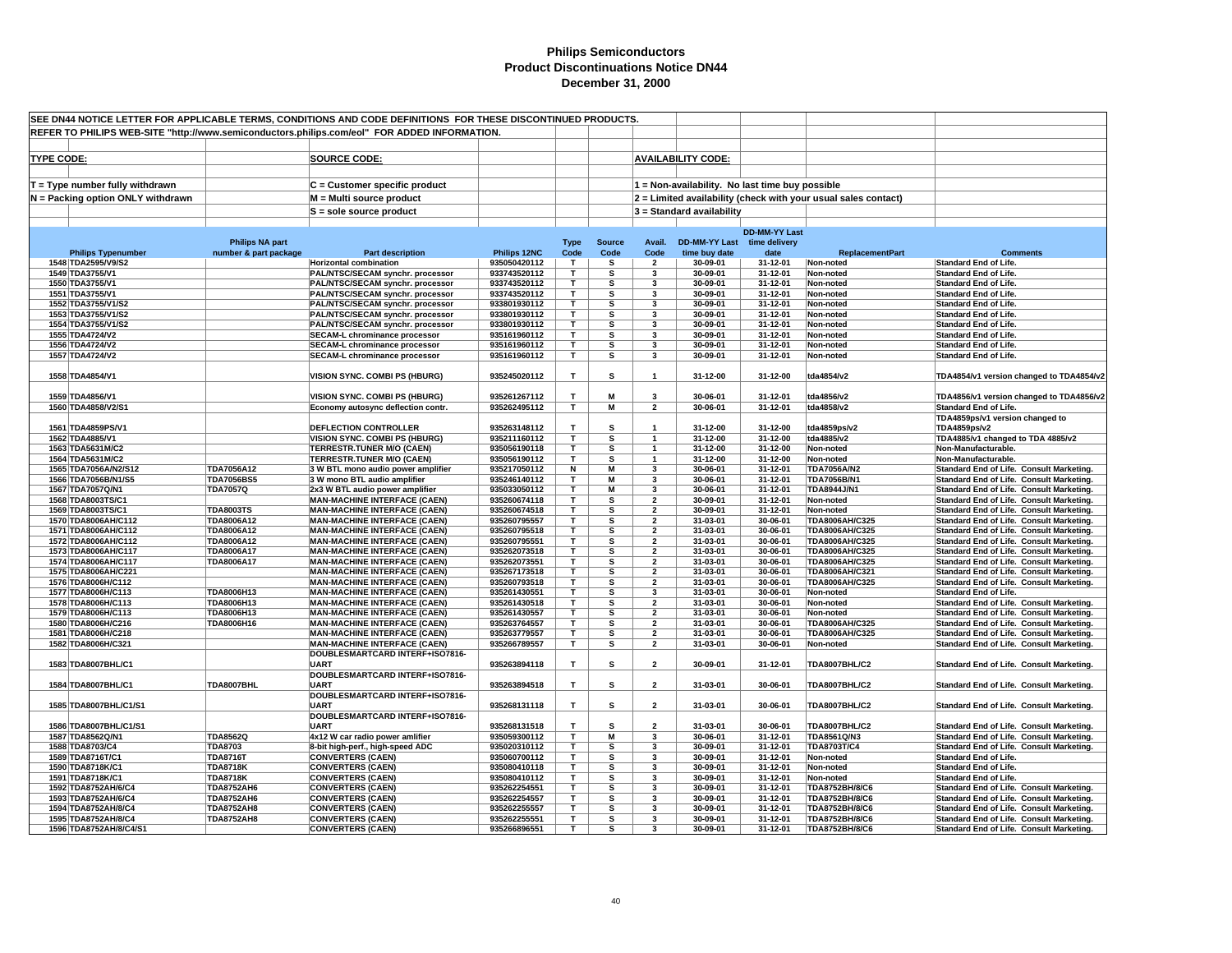| SEE DN44 NOTICE LETTER FOR APPLICABLE TERMS, CONDITIONS AND CODE DEFINITIONS FOR THESE DISCONTINUED PRODUCTS. |                        |                                                                              |                              |                         |                         |                                  |                             |                                                 |                                                                |                                                                                      |
|---------------------------------------------------------------------------------------------------------------|------------------------|------------------------------------------------------------------------------|------------------------------|-------------------------|-------------------------|----------------------------------|-----------------------------|-------------------------------------------------|----------------------------------------------------------------|--------------------------------------------------------------------------------------|
| REFER TO PHILIPS WEB-SITE "http://www.semiconductors.philips.com/eol" FOR ADDED INFORMATION.                  |                        |                                                                              |                              |                         |                         |                                  |                             |                                                 |                                                                |                                                                                      |
|                                                                                                               |                        |                                                                              |                              |                         |                         |                                  |                             |                                                 |                                                                |                                                                                      |
|                                                                                                               |                        |                                                                              |                              |                         |                         |                                  |                             |                                                 |                                                                |                                                                                      |
| <b>TYPE CODE:</b>                                                                                             |                        | <b>SOURCE CODE:</b>                                                          |                              |                         |                         |                                  | <b>AVAILABILITY CODE:</b>   |                                                 |                                                                |                                                                                      |
|                                                                                                               |                        |                                                                              |                              |                         |                         |                                  |                             |                                                 |                                                                |                                                                                      |
| $T = Type$ number fully withdrawn                                                                             |                        | C = Customer specific product                                                |                              |                         |                         |                                  |                             | 1 = Non-availability. No last time buy possible |                                                                |                                                                                      |
| N = Packing option ONLY withdrawn                                                                             |                        | M = Multi source product                                                     |                              |                         |                         |                                  |                             |                                                 | 2 = Limited availability (check with your usual sales contact) |                                                                                      |
|                                                                                                               |                        | S = sole source product                                                      |                              |                         |                         |                                  | 3 = Standard availability   |                                                 |                                                                |                                                                                      |
|                                                                                                               |                        |                                                                              |                              |                         |                         |                                  |                             |                                                 |                                                                |                                                                                      |
|                                                                                                               |                        |                                                                              |                              |                         |                         |                                  |                             | <b>DD-MM-YY Last</b>                            |                                                                |                                                                                      |
|                                                                                                               | <b>Philips NA part</b> |                                                                              |                              | <b>Type</b>             | <b>Source</b>           | Avail.                           | DD-MM-YY Last time delivery |                                                 |                                                                |                                                                                      |
| <b>Philips Typenumber</b>                                                                                     | number & part package  | <b>Part description</b>                                                      | Philips 12NC                 | Code                    | Code                    | Code                             | time buy date               | date                                            | <b>ReplacementPart</b>                                         | <b>Comments</b>                                                                      |
| 1548 TDA2595/V9/S2                                                                                            |                        | <b>Horizontal combination</b>                                                | 935050420112                 | T                       | s                       | $\overline{\mathbf{2}}$          | 30-09-01                    | 31-12-01                                        | Non-noted                                                      | <b>Standard End of Life</b>                                                          |
| 1549 TDA3755/V1                                                                                               |                        | PAL/NTSC/SECAM synchr. processor                                             | 933743520112                 | $\mathbf{T}$            | s                       | 3                                | 30-09-01                    | 31-12-01                                        | Non-noted                                                      | <b>Standard End of Life.</b>                                                         |
| 1550 TDA3755/V1                                                                                               |                        | PAL/NTSC/SECAM synchr. processor                                             | 933743520112                 | T                       | s                       | 3                                | 30-09-01                    | 31-12-01                                        | Non-noted                                                      | <b>Standard End of Life.</b>                                                         |
| 1551 TDA3755/V1                                                                                               |                        | PAL/NTSC/SECAM synchr. processor                                             | 933743520112                 | T                       | s                       | 3                                | 30-09-01                    | 31-12-01                                        | Non-noted                                                      | <b>Standard End of Life.</b>                                                         |
| 1552 TDA3755/V1/S2                                                                                            |                        | PAL/NTSC/SECAM synchr. processor                                             | 933801930112                 | T.                      | s                       | 3                                | 30-09-01                    | 31-12-01                                        | Non-noted                                                      | <b>Standard End of Life.</b>                                                         |
| 1553 TDA3755/V1/S2                                                                                            |                        | PAL/NTSC/SECAM synchr. processor                                             | 933801930112                 | т                       | s                       | 3                                | 30-09-01                    | 31-12-01                                        | Non-noted                                                      | <b>Standard End of Life.</b>                                                         |
| 1554 TDA3755/V1/S2                                                                                            |                        | PAL/NTSC/SECAM synchr. processor                                             | 933801930112                 | т<br>т                  | s                       | 3<br>3                           | 30-09-01                    | 31-12-01                                        | Non-noted                                                      | <b>Standard End of Life.</b>                                                         |
| 1555 TDA4724/V2                                                                                               |                        | <b>SECAM-L chrominance processor</b>                                         | 935161960112                 | T                       | s                       | 3                                | 30-09-01                    | 31-12-01                                        | Non-noted                                                      | <b>Standard End of Life.</b>                                                         |
| 1556 TDA4724/V2<br>1557 TDA4724/V2                                                                            |                        | <b>SECAM-L chrominance processor</b><br><b>SECAM-L chrominance processor</b> | 935161960112<br>935161960112 | T                       | s<br>s                  | 3                                | 30-09-01<br>30-09-01        | 31-12-01<br>31-12-01                            | Non-noted<br>Non-noted                                         | <b>Standard End of Life</b><br><b>Standard End of Life.</b>                          |
|                                                                                                               |                        |                                                                              |                              |                         |                         |                                  |                             |                                                 |                                                                |                                                                                      |
| 1558 TDA4854/V1                                                                                               |                        | VISION SYNC. COMBI PS (HBURG)                                                | 935245020112                 | T                       | s                       | $\mathbf{1}$                     | 31-12-00                    | 31-12-00                                        | tda4854/v2                                                     | TDA4854/v1 version changed to TDA4854/v2                                             |
|                                                                                                               |                        |                                                                              |                              |                         |                         |                                  |                             |                                                 |                                                                |                                                                                      |
| 1559 TDA4856/V1                                                                                               |                        | <b>VISION SYNC. COMBI PS (HBURG)</b>                                         | 935261267112                 | т                       | M                       | 3                                | 30-06-01                    | 31-12-01                                        | tda4856/v2                                                     | TDA4856/v1 version changed to TDA4856/v2                                             |
| 1560 TDA4858/V2/S1                                                                                            |                        | Economy autosync deflection contr.                                           | 935262495112                 | T                       | М                       | $\overline{2}$                   | 30-06-01                    | 31-12-01                                        | tda4858/v2                                                     | <b>Standard End of Life.</b>                                                         |
|                                                                                                               |                        |                                                                              |                              |                         |                         |                                  |                             |                                                 |                                                                | TDA4859ps/v1 version changed to                                                      |
| 1561 TDA4859PS/V1                                                                                             |                        | <b>DEFLECTION CONTROLLER</b>                                                 | 935263148112                 | т                       | s                       |                                  | 31-12-00                    | 31-12-00                                        | tda4859ps/v2                                                   | TDA4859ps/v2                                                                         |
| 1562 TDA4885/V1                                                                                               |                        | <b>VISION SYNC. COMBI PS (HBURG)</b>                                         | 935211160112                 | T                       | s                       | $\mathbf{1}$                     | 31-12-00                    | 31-12-00                                        | tda4885/v2                                                     | TDA4885/v1 changed to TDA 4885/v2                                                    |
| 1563 TDA5631M/C2                                                                                              |                        | TERRESTR.TUNER M/O (CAEN)                                                    | 935056190118                 | T                       | s                       | $\mathbf{1}$                     | 31-12-00                    | 31-12-00                                        | Non-noted                                                      | Non-Manufacturable.                                                                  |
| 1564 TDA5631M/C2                                                                                              |                        | <b>TERRESTR.TUNER M/O (CAEN)</b>                                             | 935056190112                 | T.                      | s                       | $\mathbf{1}$                     | 31-12-00                    | 31-12-00                                        | Non-noted                                                      | Non-Manufacturable.                                                                  |
| 1565 TDA7056A/N2/S12                                                                                          | TDA7056A12             | 3 W BTL mono audio power amplifier                                           | 935217050112                 | Ν                       | М                       | 3                                | 30-06-01                    | 31-12-01                                        | <b>TDA7056A/N2</b>                                             | <b>Standard End of Life. Consult Marketing.</b>                                      |
| 1566 TDA7056B/N1/S5                                                                                           | <b>TDA7056BS5</b>      | 3 W mono BTL audio amplifier                                                 | 935246140112                 | $\mathbf{T}$            | M                       | 3                                | 30-06-01                    | 31-12-01                                        | TDA7056B/N1                                                    | Standard End of Life. Consult Marketing.                                             |
| 1567 TDA7057Q/N1                                                                                              | <b>TDA7057Q</b>        | 2x3 W BTL audio power amplifier                                              | 935033050112                 | T.                      | М                       | 3                                | 30-06-01                    | 31-12-01                                        | <b>TDA8944J/N1</b>                                             | Standard End of Life. Consult Marketing.                                             |
| 1568 TDA8003TS/C1                                                                                             |                        | <b>MAN-MACHINE INTERFACE (CAEN)</b>                                          | 935260674118                 | $\overline{\mathsf{r}}$ | $\overline{\mathbf{s}}$ | $\overline{2}$                   | 30-09-01                    | 31-12-01                                        | Non-noted                                                      | Standard End of Life. Consult Marketing.                                             |
| 1569 TDA8003TS/C1                                                                                             | <b>TDA8003TS</b>       | <b>MAN-MACHINE INTERFACE (CAEN)</b>                                          | 935260674518                 | T.                      | S                       | $\overline{2}$                   | 30-09-01                    | 31-12-01                                        | Non-noted                                                      | Standard End of Life. Consult Marketing.                                             |
| 1570 TDA8006AH/C112                                                                                           | TDA8006A12             | <b>MAN-MACHINE INTERFACE (CAEN)</b>                                          | 935260795557                 | Τ                       | s                       | $\overline{2}$                   | 31-03-01                    | 30-06-01                                        | TDA8006AH/C325                                                 | Standard End of Life. Consult Marketing.                                             |
| 1571 TDA8006AH/C112                                                                                           | TDA8006A12             | <b>MAN-MACHINE INTERFACE (CAEN)</b>                                          | 935260795518                 | T                       | s                       | $\overline{2}$                   | 31-03-01                    | 30-06-01                                        | TDA8006AH/C325                                                 | Standard End of Life. Consult Marketing.                                             |
| 1572 TDA8006AH/C112                                                                                           | TDA8006A12             | <b>MAN-MACHINE INTERFACE (CAEN)</b>                                          | 935260795551                 | т                       | s                       | $\overline{2}$                   | 31-03-01                    | 30-06-01                                        | TDA8006AH/C325                                                 | Standard End of Life. Consult Marketing.                                             |
| 1573 TDA8006AH/C117                                                                                           | TDA8006A17             | <b>MAN-MACHINE INTERFACE (CAEN)</b>                                          | 935262073518                 | т                       | s                       | $\overline{\mathbf{2}}$          | 31-03-01                    | 30-06-01                                        | TDA8006AH/C325                                                 | Standard End of Life. Consult Marketing.                                             |
| 1574 TDA8006AH/C117                                                                                           | TDA8006A17             | <b>MAN-MACHINE INTERFACE (CAEN)</b>                                          | 935262073551                 | т                       | s                       | $\overline{\mathbf{2}}$          | 31-03-01                    | 30-06-01                                        | TDA8006AH/C325                                                 | Standard End of Life. Consult Marketing.                                             |
| 1575 TDA8006AH/C221                                                                                           |                        | <b>MAN-MACHINE INTERFACE (CAEN)</b>                                          | 935267173518                 | т                       | s                       | $\overline{2}$                   | 31-03-01                    | 30-06-01                                        | TDA8006AH/C321                                                 | Standard End of Life. Consult Marketing.                                             |
| 1576 TDA8006H/C112                                                                                            |                        | <b>MAN-MACHINE INTERFACE (CAEN)</b>                                          | 935260793518                 | т                       | s                       | $\overline{2}$                   | 31-03-01                    | 30-06-01                                        | TDA8006AH/C325                                                 | Standard End of Life. Consult Marketing.                                             |
| 1577 TDA8006H/C113                                                                                            | TDA8006H13             | <b>MAN-MACHINE INTERFACE (CAEN)</b>                                          | 935261430551                 | т                       | s                       | 3                                | 31-03-01                    | 30-06-01                                        | Non-noted                                                      | <b>Standard End of Life.</b>                                                         |
| 1578 TDA8006H/C113                                                                                            | TDA8006H13             | <b>MAN-MACHINE INTERFACE (CAEN)</b>                                          | 935261430518                 | т                       | s                       | $\overline{\mathbf{2}}$          | 31-03-01                    | 30-06-01                                        | Non-noted                                                      | Standard End of Life. Consult Marketing.                                             |
| 1579 TDA8006H/C113                                                                                            | TDA8006H13             | <b>MAN-MACHINE INTERFACE (CAEN)</b>                                          | 935261430557                 | T                       | s                       | $\overline{2}$                   | 31-03-01                    | 30-06-01                                        | Non-noted                                                      | Standard End of Life. Consult Marketing.                                             |
| 1580 TDA8006H/C216                                                                                            | TDA8006H16             | <b>MAN-MACHINE INTERFACE (CAEN)</b>                                          | 935263764557                 | т                       | s                       | $\overline{2}$                   | 31-03-01                    | 30-06-01                                        | TDA8006AH/C325                                                 | Standard End of Life. Consult Marketing.                                             |
| 1581 TDA8006H/C218<br>1582 TDA8006H/C321                                                                      |                        | <b>MAN-MACHINE INTERFACE (CAEN)</b><br><b>MAN-MACHINE INTERFACE (CAEN)</b>   | 935263779557<br>935266789557 | T<br>T                  | s<br>s                  | $\overline{2}$<br>$\overline{2}$ | 31-03-01<br>31-03-01        | 30-06-01<br>30-06-01                            | TDA8006AH/C325<br>Non-noted                                    | Standard End of Life. Consult Marketing.<br>Standard End of Life. Consult Marketing. |
|                                                                                                               |                        | DOUBLESMARTCARD INTERF+ISO7816-                                              |                              |                         |                         |                                  |                             |                                                 |                                                                |                                                                                      |
| 1583 TDA8007BHL/C1                                                                                            |                        | <b>UART</b>                                                                  | 935263894118                 | T                       | s                       | $\overline{2}$                   | 30-09-01                    | 31-12-01                                        | <b>TDA8007BHL/C2</b>                                           | Standard End of Life. Consult Marketing.                                             |
|                                                                                                               |                        | DOUBLESMARTCARD INTERF+ISO7816-                                              |                              |                         |                         |                                  |                             |                                                 |                                                                |                                                                                      |
| 1584 TDA8007BHL/C1                                                                                            | <b>TDA8007BHL</b>      | <b>UART</b>                                                                  | 935263894518                 | T                       | s                       | $\overline{2}$                   | 31-03-01                    | 30-06-01                                        | <b>TDA8007BHL/C2</b>                                           | Standard End of Life. Consult Marketing.                                             |
|                                                                                                               |                        | DOUBLESMARTCARD INTERF+ISO7816-                                              |                              |                         |                         |                                  |                             |                                                 |                                                                |                                                                                      |
| 1585 TDA8007BHL/C1/S1                                                                                         |                        | <b>UART</b>                                                                  | 935268131118                 | T                       | s                       | $\overline{\mathbf{2}}$          | 31-03-01                    | 30-06-01                                        | <b>TDA8007BHL/C2</b>                                           | Standard End of Life. Consult Marketing.                                             |
|                                                                                                               |                        | DOUBLESMARTCARD INTERF+ISO7816-                                              |                              |                         |                         |                                  |                             |                                                 |                                                                |                                                                                      |
| 1586 TDA8007BHL/C1/S1                                                                                         |                        | <b>UART</b>                                                                  | 935268131518                 | T                       | s                       | $\overline{2}$                   | 31-03-01                    | 30-06-01                                        | <b>TDA8007BHL/C2</b>                                           | Standard End of Life. Consult Marketing.                                             |
| 1587 TDA8562Q/N1                                                                                              | <b>TDA8562Q</b>        | 4x12 W car radio power amlifier                                              | 935059300112                 | т                       | M                       | 3                                | 30-06-01                    | 31-12-01                                        | TDA8561Q/N3                                                    | Standard End of Life. Consult Marketing.                                             |
| 1588 TDA8703/C4                                                                                               | <b>TDA8703</b>         | 8-bit high-perf., high-speed ADC                                             | 935020310112                 | T                       | s                       | 3                                | 30-09-01                    | 31-12-01                                        | TDA8703T/C4                                                    | Standard End of Life. Consult Marketing.                                             |
| 1589 TDA8716T/C1                                                                                              | <b>TDA8716T</b>        | <b>CONVERTERS (CAEN)</b>                                                     | 935060700112                 | T                       | s                       | 3                                | 30-09-01                    | 31-12-01                                        | Non-noted                                                      | <b>Standard End of Life.</b>                                                         |
| 1590 TDA8718K/C1                                                                                              | <b>TDA8718K</b>        | <b>CONVERTERS (CAEN)</b>                                                     | 935080410118                 | T                       | s                       | 3                                | 30-09-01                    | 31-12-01                                        | Non-noted                                                      | <b>Standard End of Life.</b>                                                         |
| 1591 TDA8718K/C1                                                                                              | <b>TDA8718K</b>        | <b>CONVERTERS (CAEN)</b>                                                     | 935080410112                 | T                       | s                       | 3                                | 30-09-01                    | 31-12-01                                        | Non-noted                                                      | <b>Standard End of Life.</b>                                                         |
| 1592 TDA8752AH/6/C4                                                                                           | <b>TDA8752AH6</b>      | <b>CONVERTERS (CAEN)</b>                                                     | 935262254551                 | т                       | s                       | 3                                | 30-09-01                    | 31-12-01                                        | TDA8752BH/8/C6                                                 | Standard End of Life. Consult Marketing.                                             |
| 1593 TDA8752AH/6/C4                                                                                           | <b>TDA8752AH6</b>      | <b>CONVERTERS (CAEN)</b>                                                     | 935262254557                 | т                       | s                       | 3                                | 30-09-01                    | 31-12-01                                        | TDA8752BH/8/C6                                                 | Standard End of Life. Consult Marketing.                                             |
| 1594 TDA8752AH/8/C4                                                                                           | <b>TDA8752AH8</b>      | <b>CONVERTERS (CAEN)</b>                                                     | 935262255557                 | т                       | s                       | 3                                | 30-09-01                    | 31-12-01                                        | TDA8752BH/8/C6                                                 | Standard End of Life. Consult Marketing.                                             |
| 1595 TDA8752AH/8/C4                                                                                           | <b>TDA8752AH8</b>      | <b>CONVERTERS (CAEN)</b>                                                     | 935262255551                 | T.                      | S                       | 3                                | 30-09-01                    | 31-12-01                                        | TDA8752BH/8/C6                                                 | Standard End of Life. Consult Marketing.                                             |
| 1596 TDA8752AH/8/C4/S1                                                                                        |                        | <b>CONVERTERS (CAEN)</b>                                                     | 935266896551                 | T                       | s                       | 3                                | 30-09-01                    | 31-12-01                                        | TDA8752BH/8/C6                                                 | Standard End of Life. Consult Marketing.                                             |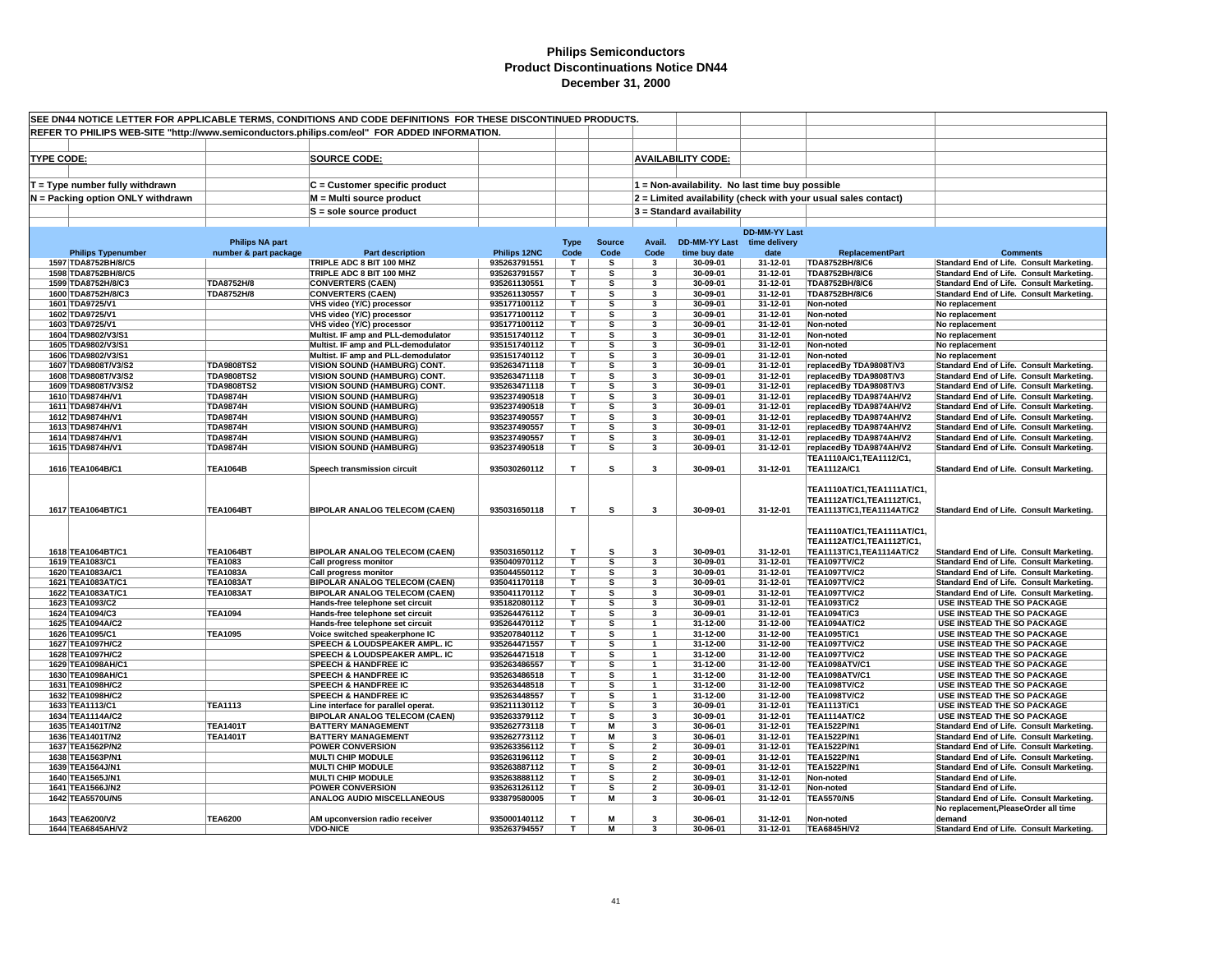| SEE DN44 NOTICE LETTER FOR APPLICABLE TERMS, CONDITIONS AND CODE DEFINITIONS FOR THESE DISCONTINUED PRODUCTS. |                                           |                        |                                                                                              |                              |                         |               |                              |                             |                                                 |                                                                |                                                                                      |
|---------------------------------------------------------------------------------------------------------------|-------------------------------------------|------------------------|----------------------------------------------------------------------------------------------|------------------------------|-------------------------|---------------|------------------------------|-----------------------------|-------------------------------------------------|----------------------------------------------------------------|--------------------------------------------------------------------------------------|
|                                                                                                               |                                           |                        | REFER TO PHILIPS WEB-SITE "http://www.semiconductors.philips.com/eol" FOR ADDED INFORMATION. |                              |                         |               |                              |                             |                                                 |                                                                |                                                                                      |
|                                                                                                               |                                           |                        |                                                                                              |                              |                         |               |                              |                             |                                                 |                                                                |                                                                                      |
| <b>TYPE CODE:</b>                                                                                             |                                           |                        | <b>SOURCE CODE:</b>                                                                          |                              |                         |               |                              | <b>AVAILABILITY CODE:</b>   |                                                 |                                                                |                                                                                      |
|                                                                                                               |                                           |                        |                                                                                              |                              |                         |               |                              |                             |                                                 |                                                                |                                                                                      |
|                                                                                                               |                                           |                        |                                                                                              |                              |                         |               |                              |                             | 1 = Non-availability. No last time buy possible |                                                                |                                                                                      |
|                                                                                                               | T = Type number fully withdrawn           |                        | $C =$ Customer specific product                                                              |                              |                         |               |                              |                             |                                                 |                                                                |                                                                                      |
|                                                                                                               | N = Packing option ONLY withdrawn         |                        | M = Multi source product                                                                     |                              |                         |               |                              |                             |                                                 | 2 = Limited availability (check with your usual sales contact) |                                                                                      |
|                                                                                                               |                                           |                        | S = sole source product                                                                      |                              |                         |               |                              | 3 = Standard availability   |                                                 |                                                                |                                                                                      |
|                                                                                                               |                                           |                        |                                                                                              |                              |                         |               |                              |                             | <b>DD-MM-YY Last</b>                            |                                                                |                                                                                      |
|                                                                                                               |                                           | <b>Philips NA part</b> |                                                                                              |                              |                         | <b>Source</b> | Avail.                       | DD-MM-YY Last time delivery |                                                 |                                                                |                                                                                      |
|                                                                                                               | <b>Philips Typenumber</b>                 | number & part package  | <b>Part description</b>                                                                      | Philips 12NC                 | <b>Type</b><br>Code     | Code          | Code                         | time buy date               | date                                            | <b>ReplacementPart</b>                                         | <b>Comments</b>                                                                      |
|                                                                                                               | 1597 TDA8752BH/8/C5                       |                        | TRIPLE ADC 8 BIT 100 MHZ                                                                     | 935263791551                 | $\mathbf{T}$            | s             | $\mathbf{3}$                 | 30-09-01                    | 31-12-01                                        | TDA8752BH/8/C6                                                 | Standard End of Life. Consult Marketing.                                             |
|                                                                                                               | 1598 TDA8752BH/8/C5                       |                        | TRIPLE ADC 8 BIT 100 MHZ                                                                     | 935263791557                 | T.                      | s             | 3                            | 30-09-01                    | 31-12-01                                        | TDA8752BH/8/C6                                                 | Standard End of Life. Consult Marketing.                                             |
|                                                                                                               | 1599 TDA8752H/8/C3                        | TDA8752H/8             | <b>CONVERTERS (CAEN)</b>                                                                     | 935261130551                 | $\overline{\mathsf{T}}$ | s             | 3                            | 30-09-01                    | 31-12-01                                        | TDA8752BH/8/C6                                                 | Standard End of Life. Consult Marketing.                                             |
|                                                                                                               | 1600 TDA8752H/8/C3                        | TDA8752H/8             | <b>CONVERTERS (CAEN)</b>                                                                     | 935261130557                 | т                       | s             | 3                            | 30-09-01                    | 31-12-01                                        | TDA8752BH/8/C6                                                 | Standard End of Life. Consult Marketing.                                             |
|                                                                                                               | 1601 TDA9725/V1                           |                        | VHS video (Y/C) processor                                                                    | 935177100112                 | Τ                       | s             | 3                            | 30-09-01                    | 31-12-01                                        | Non-noted                                                      | No replacement                                                                       |
|                                                                                                               | 1602 TDA9725/V1                           |                        | VHS video (Y/C) processor                                                                    | 935177100112                 | T                       | s             | $\overline{\mathbf{3}}$      | 30-09-01                    | 31-12-01                                        | Non-noted                                                      | No replacement                                                                       |
|                                                                                                               | 1603 TDA9725/V1                           |                        | VHS video (Y/C) processor                                                                    | 935177100112                 | T                       | s             | 3                            | 30-09-01                    | 31-12-01                                        | Non-noted                                                      | No replacement                                                                       |
|                                                                                                               | 1604 TDA9802/V3/S1                        |                        | Multist. IF amp and PLL-demodulator                                                          | 935151740112                 | т                       | s             | 3                            | 30-09-01                    | 31-12-01                                        | Non-noted                                                      | No replacement                                                                       |
|                                                                                                               | 1605 TDA9802/V3/S1                        |                        | Multist. IF amp and PLL-demodulator                                                          | 935151740112                 | T.                      | s             | 3                            | 30-09-01                    | 31-12-01                                        | Non-noted                                                      | No replacement                                                                       |
|                                                                                                               | 1606 TDA9802/V3/S1<br>1607 TDA9808T/V3/S2 | <b>TDA9808TS2</b>      | Multist. IF amp and PLL-demodulator<br>VISION SOUND (HAMBURG) CONT.                          | 935151740112<br>935263471118 | Τ<br>T.                 | s<br>s        | 3<br>3                       | 30-09-01<br>30-09-01        | 31-12-01<br>31-12-01                            | Non-noted                                                      | No replacement                                                                       |
|                                                                                                               | 1608 TDA9808T/V3/S2                       | <b>TDA9808TS2</b>      | VISION SOUND (HAMBURG) CONT.                                                                 | 935263471118                 | T                       | s             | 3                            | 30-09-01                    | 31-12-01                                        | replacedBy TDA9808T/V3<br>replacedBy TDA9808T/V3               | Standard End of Life. Consult Marketing.<br>Standard End of Life. Consult Marketing. |
|                                                                                                               | 1609 TDA9808T/V3/S2                       | <b>TDA9808TS2</b>      | VISION SOUND (HAMBURG) CONT.                                                                 | 935263471118                 | т                       | s             | 3                            | 30-09-01                    | 31-12-01                                        | replacedBy TDA9808T/V3                                         | Standard End of Life. Consult Marketing.                                             |
|                                                                                                               | 1610 TDA9874H/V1                          | <b>TDA9874H</b>        | <b>VISION SOUND (HAMBURG)</b>                                                                | 935237490518                 | T.                      | s             | 3                            | 30-09-01                    | 31-12-01                                        | replacedBy TDA9874AH/V2                                        | Standard End of Life. Consult Marketing.                                             |
|                                                                                                               | 1611 TDA9874H/V1                          | <b>TDA9874H</b>        | <b>VISION SOUND (HAMBURG)</b>                                                                | 935237490518                 | т                       | s             | 3                            | 30-09-01                    | 31-12-01                                        | replacedBy TDA9874AH/V2                                        | Standard End of Life. Consult Marketing.                                             |
|                                                                                                               | 1612 TDA9874H/V1                          | <b>TDA9874H</b>        | <b>VISION SOUND (HAMBURG)</b>                                                                | 935237490557                 | T.                      | s             | 3                            | 30-09-01                    | 31-12-01                                        | replacedBy TDA9874AH/V2                                        | Standard End of Life. Consult Marketing.                                             |
|                                                                                                               | 1613 TDA9874H/V1                          | <b>TDA9874H</b>        | <b>VISION SOUND (HAMBURG)</b>                                                                | 935237490557                 | T                       | s             | 3                            | 30-09-01                    | 31-12-01                                        | replacedBy TDA9874AH/V2                                        | Standard End of Life. Consult Marketing.                                             |
|                                                                                                               | 1614 TDA9874H/V1                          | <b>TDA9874H</b>        | <b>VISION SOUND (HAMBURG)</b>                                                                | 935237490557                 | т                       | s             | 3                            | 30-09-01                    | 31-12-01                                        | replacedBy TDA9874AH/V2                                        | Standard End of Life. Consult Marketing.                                             |
|                                                                                                               | 1615 TDA9874H/V1                          | <b>TDA9874H</b>        | <b>VISION SOUND (HAMBURG)</b>                                                                | 935237490518                 | T                       | s             | $\mathbf{3}$                 | 30-09-01                    | 31-12-01                                        | replacedBy TDA9874AH/V2                                        | Standard End of Life. Consult Marketing.                                             |
|                                                                                                               |                                           |                        |                                                                                              |                              |                         |               |                              |                             |                                                 | TEA1110A/C1, TEA1112/C1,                                       |                                                                                      |
|                                                                                                               | 1616 TEA1064B/C1                          | <b>TEA1064B</b>        | Speech transmission circuit                                                                  | 935030260112                 | T                       | s             | $\mathbf{3}$                 | 30-09-01                    | 31-12-01                                        | <b>TEA1112A/C1</b>                                             | Standard End of Life. Consult Marketing.                                             |
|                                                                                                               |                                           |                        |                                                                                              |                              |                         |               |                              |                             |                                                 |                                                                |                                                                                      |
|                                                                                                               |                                           |                        |                                                                                              |                              |                         |               |                              |                             |                                                 | TEA1110AT/C1, TEA1111AT/C1,                                    |                                                                                      |
|                                                                                                               |                                           |                        |                                                                                              |                              |                         |               |                              |                             |                                                 | TEA1112AT/C1, TEA1112T/C1,                                     |                                                                                      |
|                                                                                                               | 1617 TEA1064BT/C1                         | <b>TEA1064BT</b>       | <b>BIPOLAR ANALOG TELECOM (CAEN)</b>                                                         | 935031650118                 | т                       | s             | $\mathbf{3}$                 | 30-09-01                    | 31-12-01                                        | TEA1113T/C1, TEA1114AT/C2                                      | Standard End of Life. Consult Marketing.                                             |
|                                                                                                               |                                           |                        |                                                                                              |                              |                         |               |                              |                             |                                                 | TEA1110AT/C1, TEA1111AT/C1,                                    |                                                                                      |
|                                                                                                               |                                           |                        |                                                                                              |                              |                         |               |                              |                             |                                                 | TEA1112AT/C1, TEA1112T/C1,                                     |                                                                                      |
|                                                                                                               | 1618 TEA1064BT/C1                         | <b>TEA1064BT</b>       | <b>BIPOLAR ANALOG TELECOM (CAEN)</b>                                                         | 935031650112                 | т                       | s             | $\mathbf{3}$                 | 30-09-01                    | 31-12-01                                        | TEA1113T/C1, TEA1114AT/C2                                      | Standard End of Life. Consult Marketing.                                             |
|                                                                                                               | 1619 TEA1083/C1                           | <b>TEA1083</b>         | Call progress monitor                                                                        | 935040970112                 | T                       | s             | 3                            | 30-09-01                    | 31-12-01                                        | <b>TEA1097TV/C2</b>                                            | Standard End of Life. Consult Marketing.                                             |
|                                                                                                               | 1620 TEA1083A/C1                          | <b>TEA1083A</b>        | <b>Call progress monitor</b>                                                                 | 935044550112                 | T.                      | s             | $\overline{\mathbf{3}}$      | 30-09-01                    | 31-12-01                                        | <b>TEA1097TV/C2</b>                                            | Standard End of Life. Consult Marketing.                                             |
|                                                                                                               | 1621 TEA1083AT/C1                         | <b>TEA1083AT</b>       | <b>BIPOLAR ANALOG TELECOM (CAEN)</b>                                                         | 935041170118                 | т                       | s             | 3                            | 30-09-01                    | 31-12-01                                        | <b>TEA1097TV/C2</b>                                            | Standard End of Life. Consult Marketing.                                             |
|                                                                                                               | 1622 TEA1083AT/C1                         | <b>TEA1083AT</b>       | <b>BIPOLAR ANALOG TELECOM (CAEN)</b>                                                         | 935041170112                 | т                       | s             | 3                            | 30-09-01                    | 31-12-01                                        | <b>TEA1097TV/C2</b>                                            | Standard End of Life. Consult Marketing.                                             |
|                                                                                                               | 1623 TEA1093/C2                           |                        | Hands-free telephone set circuit                                                             | 935182080112                 | т                       | s             | 3                            | 30-09-01                    | 31-12-01                                        | <b>TEA1093T/C2</b>                                             | USE INSTEAD THE SO PACKAGE                                                           |
|                                                                                                               | 1624 TEA1094/C3                           | <b>TEA1094</b>         | Hands-free telephone set circuit                                                             | 935264476112                 | т                       | s             | 3                            | 30-09-01                    | 31-12-01                                        | <b>TEA1094T/C3</b>                                             | USE INSTEAD THE SO PACKAGE                                                           |
|                                                                                                               | 1625 TEA1094A/C2                          |                        | Hands-free telephone set circuit                                                             | 935264470112                 | T.                      | s             |                              | 31-12-00                    | 31-12-00                                        | <b>TEA1094AT/C2</b>                                            | USE INSTEAD THE SO PACKAGE                                                           |
|                                                                                                               | 1626 TEA1095/C1                           | <b>TEA1095</b>         | Voice switched speakerphone IC                                                               | 935207840112                 | T                       | s             | $\overline{1}$               | 31-12-00                    | 31-12-00                                        | TEA1095T/C1                                                    | USE INSTEAD THE SO PACKAGE                                                           |
|                                                                                                               | 1627 TEA1097H/C2                          |                        | SPEECH & LOUDSPEAKER AMPL. IC                                                                | 935264471557                 | т                       | s             | $\mathbf{1}$                 | 31-12-00                    | 31-12-00                                        | <b>TEA1097TV/C2</b>                                            | USE INSTEAD THE SO PACKAGE                                                           |
|                                                                                                               | 1628 TEA1097H/C2<br>1629 TEA1098AH/C1     |                        | SPEECH & LOUDSPEAKER AMPL. IC<br><b>SPEECH &amp; HANDFREE IC</b>                             | 935264471518<br>935263486557 | Τ<br>T                  | s<br>s        | $\mathbf{1}$<br>$\mathbf{1}$ | 31-12-00<br>31-12-00        | 31-12-00<br>31-12-00                            | <b>TEA1097TV/C2</b><br><b>TEA1098ATV/C1</b>                    | USE INSTEAD THE SO PACKAGE<br>USE INSTEAD THE SO PACKAGE                             |
|                                                                                                               | 1630 TEA1098AH/C1                         |                        | <b>SPEECH &amp; HANDFREE IC</b>                                                              | 935263486518                 | T                       | s             | $\overline{1}$               | 31-12-00                    | 31-12-00                                        | <b>TEA1098ATV/C1</b>                                           | USE INSTEAD THE SO PACKAGE                                                           |
|                                                                                                               | 1631 TEA1098H/C2                          |                        | <b>SPEECH &amp; HANDFREE IC</b>                                                              | 935263448518                 | т                       | s             | $\mathbf{1}$                 | 31-12-00                    | 31-12-00                                        | <b>TEA1098TV/C2</b>                                            | USE INSTEAD THE SO PACKAGE                                                           |
|                                                                                                               | 1632 TEA1098H/C2                          |                        | <b>SPEECH &amp; HANDFREE IC</b>                                                              | 935263448557                 | T.                      | s             | $\overline{1}$               | 31-12-00                    | 31-12-00                                        | <b>TEA1098TV/C2</b>                                            | USE INSTEAD THE SO PACKAGE                                                           |
|                                                                                                               | 1633 TEA1113/C1                           | <b>TEA1113</b>         | Line interface for parallel operat.                                                          | 935211130112                 | Τ                       | s             | 3                            | 30-09-01                    | 31-12-01                                        | <b>TEA1113T/C1</b>                                             | <b>USE INSTEAD THE SO PACKAGE</b>                                                    |
|                                                                                                               | 1634 TEA1114A/C2                          |                        | <b>BIPOLAR ANALOG TELECOM (CAEN)</b>                                                         | 935263379112                 | T.                      | s             | 3                            | 30-09-01                    | 31-12-01                                        | <b>TEA1114AT/C2</b>                                            | USE INSTEAD THE SO PACKAGE                                                           |
|                                                                                                               | 1635 TEA1401T/N2                          | <b>TEA1401T</b>        | <b>BATTERY MANAGEMENT</b>                                                                    | 935262773118                 | T                       | М             | 3                            | 30-06-01                    | 31-12-01                                        | <b>TEA1522P/N1</b>                                             | Standard End of Life. Consult Marketing.                                             |
|                                                                                                               | 1636 TEA1401T/N2                          | <b>TEA1401T</b>        | <b>BATTERY MANAGEMENT</b>                                                                    | 935262773112                 | т                       | М             | 3                            | 30-06-01                    | 31-12-01                                        | <b>TEA1522P/N1</b>                                             | Standard End of Life. Consult Marketing.                                             |
|                                                                                                               | 1637 TEA1562P/N2                          |                        | <b>POWER CONVERSION</b>                                                                      | 935263356112                 | T.                      | s             | $\overline{2}$               | 30-09-01                    | 31-12-01                                        | <b>TEA1522P/N1</b>                                             | Standard End of Life. Consult Marketing.                                             |
|                                                                                                               | 1638 TEA1563P/N1                          |                        | <b>MULTI CHIP MODULE</b>                                                                     | 935263196112                 | T.                      | s             | $\overline{2}$               | 30-09-01                    | 31-12-01                                        | <b>TEA1522P/N1</b>                                             | Standard End of Life. Consult Marketing.                                             |
|                                                                                                               | 1639 TEA1564J/N1                          |                        | <b>MULTI CHIP MODULE</b>                                                                     | 935263887112                 | T.                      | s             | $\overline{2}$               | 30-09-01                    | 31-12-01                                        | <b>TEA1522P/N1</b>                                             | Standard End of Life. Consult Marketing.                                             |
|                                                                                                               | 1640 TEA1565J/N1                          |                        | <b>MULTI CHIP MODULE</b>                                                                     | 935263888112                 | т                       | s             | $\overline{2}$               | 30-09-01                    | 31-12-01                                        | Non-noted                                                      | <b>Standard End of Life.</b>                                                         |
|                                                                                                               | 1641 TEA1566J/N2                          |                        | <b>POWER CONVERSION</b>                                                                      | 935263126112                 | T                       | s<br>М        | $\overline{2}$               | 30-09-01                    | 31-12-01                                        | Non-noted                                                      | Standard End of Life.                                                                |
|                                                                                                               | 1642 TEA5570U/N5                          |                        | ANALOG AUDIO MISCELLANEOUS                                                                   | 933879580005                 | T                       |               | $\mathbf{3}$                 | 30-06-01                    | 31-12-01                                        | <b>TEA5570/N5</b>                                              | Standard End of Life. Consult Marketing.                                             |
|                                                                                                               | 1643 TEA6200/V2                           | <b>TEA6200</b>         | AM upconversion radio receiver                                                               | 935000140112                 | T.                      | M             | 3                            | 30-06-01                    | 31-12-01                                        | Non-noted                                                      | No replacement, Please Order all time<br>demand                                      |
|                                                                                                               | 1644 TEA6845AH/V2                         |                        | <b>VDO-NICE</b>                                                                              | 935263794557                 | T                       | М             | 3                            | 30-06-01                    | 31-12-01                                        | <b>TEA6845H/V2</b>                                             | Standard End of Life. Consult Marketing.                                             |
|                                                                                                               |                                           |                        |                                                                                              |                              |                         |               |                              |                             |                                                 |                                                                |                                                                                      |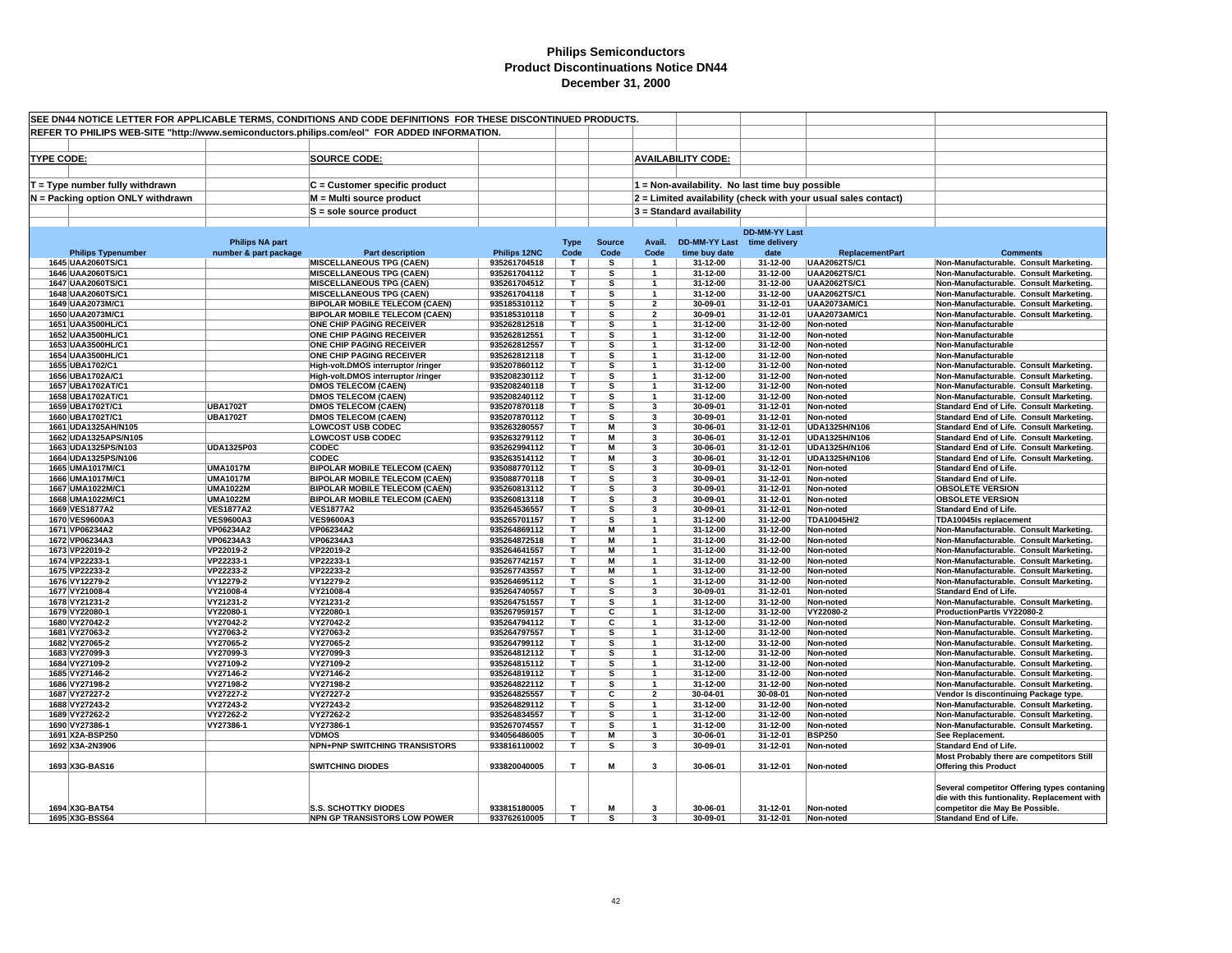| SEE DN44 NOTICE LETTER FOR APPLICABLE TERMS, CONDITIONS AND CODE DEFINITIONS FOR THESE DISCONTINUED PRODUCTS. |                        |                                                                         |                              |              |               |                                  |                                                 |                      |                                                                |                                                                                      |
|---------------------------------------------------------------------------------------------------------------|------------------------|-------------------------------------------------------------------------|------------------------------|--------------|---------------|----------------------------------|-------------------------------------------------|----------------------|----------------------------------------------------------------|--------------------------------------------------------------------------------------|
| REFER TO PHILIPS WEB-SITE "http://www.semiconductors.philips.com/eol" FOR ADDED INFORMATION.                  |                        |                                                                         |                              |              |               |                                  |                                                 |                      |                                                                |                                                                                      |
|                                                                                                               |                        |                                                                         |                              |              |               |                                  |                                                 |                      |                                                                |                                                                                      |
| <b>TYPE CODE:</b>                                                                                             |                        | <b>SOURCE CODE:</b>                                                     |                              |              |               |                                  | <b>AVAILABILITY CODE:</b>                       |                      |                                                                |                                                                                      |
|                                                                                                               |                        |                                                                         |                              |              |               |                                  |                                                 |                      |                                                                |                                                                                      |
|                                                                                                               |                        |                                                                         |                              |              |               |                                  |                                                 |                      |                                                                |                                                                                      |
| T = Type number fully withdrawn                                                                               |                        | C = Customer specific product                                           |                              |              |               |                                  | 1 = Non-availability. No last time buy possible |                      |                                                                |                                                                                      |
| N = Packing option ONLY withdrawn                                                                             |                        | M = Multi source product                                                |                              |              |               |                                  |                                                 |                      | 2 = Limited availability (check with your usual sales contact) |                                                                                      |
|                                                                                                               |                        | $S =$ sole source product                                               |                              |              |               |                                  | 3 = Standard availability                       |                      |                                                                |                                                                                      |
|                                                                                                               |                        |                                                                         |                              |              |               |                                  |                                                 | <b>DD-MM-YY Last</b> |                                                                |                                                                                      |
|                                                                                                               | <b>Philips NA part</b> |                                                                         |                              | <b>Type</b>  | <b>Source</b> | Avail.                           | <b>DD-MM-YY Last</b>                            | time delivery        |                                                                |                                                                                      |
| <b>Philips Typenumber</b>                                                                                     | number & part package  | <b>Part description</b>                                                 | Philips 12NC                 | Code         | Code          | Code                             | time buy date                                   | date                 | <b>ReplacementPart</b>                                         | <b>Comments</b>                                                                      |
| 1645 UAA2060TS/C1                                                                                             |                        | <b>MISCELLANEOUS TPG (CAEN)</b>                                         | 935261704518                 | T            | s             | $\mathbf{1}$                     | 31-12-00                                        | 31-12-00             | <b>UAA2062TS/C1</b>                                            | Non-Manufacturable. Consult Marketing.                                               |
| 1646 UAA2060TS/C1                                                                                             |                        | <b>MISCELLANEOUS TPG (CAEN)</b>                                         | 935261704112                 | $\mathbf{r}$ | s             | $\mathbf{1}$                     | 31-12-00                                        | 31-12-00             | <b>UAA2062TS/C1</b>                                            | Non-Manufacturable. Consult Marketing.                                               |
| 1647 UAA2060TS/C1                                                                                             |                        | <b>MISCELLANEOUS TPG (CAEN)</b>                                         | 935261704512                 | T            | s             | $\mathbf{1}$                     | 31-12-00                                        | 31-12-00             | <b>UAA2062TS/C1</b>                                            | Non-Manufacturable. Consult Marketing.                                               |
| 1648 UAA2060TS/C1                                                                                             |                        | <b>MISCELLANEOUS TPG (CAEN)</b>                                         | 935261704118                 | T.           | s             | $\overline{1}$                   | 31-12-00                                        | 31-12-00             | <b>UAA2062TS/C1</b>                                            | Non-Manufacturable. Consult Marketing.                                               |
| 1649 UAA2073M/C1                                                                                              |                        | <b>BIPOLAR MOBILE TELECOM (CAEN)</b>                                    | 935185310112                 | T<br>T.      | s<br>s        | $\overline{2}$<br>$\overline{2}$ | 30-09-01                                        | 31-12-01             | <b>UAA2073AM/C1</b>                                            | Non-Manufacturable. Consult Marketing.                                               |
| 1650 UAA2073M/C1<br>1651 UAA3500HL/C1                                                                         |                        | <b>BIPOLAR MOBILE TELECOM (CAEN)</b><br><b>ONE CHIP PAGING RECEIVER</b> | 935185310118<br>935262812518 | T.           | s             | -1                               | 30-09-01<br>31-12-00                            | 31-12-01<br>31-12-00 | <b>UAA2073AM/C1</b><br>Non-noted                               | Non-Manufacturable. Consult Marketing.<br>Non-Manufacturable                         |
| 1652 UAA3500HL/C1                                                                                             |                        | <b>ONE CHIP PAGING RECEIVER</b>                                         | 935262812551                 | т            | s             | -1                               | 31-12-00                                        | 31-12-00             | Non-noted                                                      | Non-Manufacturable                                                                   |
| 1653 UAA3500HL/C1                                                                                             |                        | <b>ONE CHIP PAGING RECEIVER</b>                                         | 935262812557                 | т            | s             | $\mathbf{1}$                     | 31-12-00                                        | 31-12-00             | Non-noted                                                      | Non-Manufacturable                                                                   |
| 1654 UAA3500HL/C1                                                                                             |                        | ONE CHIP PAGING RECEIVER                                                | 935262812118                 | т            | s             | $\mathbf{1}$                     | 31-12-00                                        | 31-12-00             | Non-noted                                                      | Non-Manufacturable                                                                   |
| 1655 UBA1702/C1                                                                                               |                        | High-volt.DMOS interruptor /ringer                                      | 935207860112                 | т            | s             | $\mathbf{1}$                     | 31-12-00                                        | 31-12-00             | Non-noted                                                      | Non-Manufacturable. Consult Marketing.                                               |
| 1656 UBA1702A/C1                                                                                              |                        | High-volt.DMOS interruptor /ringer                                      | 935208230112                 | T            | s             | $\mathbf{1}$                     | 31-12-00                                        | 31-12-00             | Non-noted                                                      | Non-Manufacturable. Consult Marketing.                                               |
| 1657 UBA1702AT/C1                                                                                             |                        | <b>DMOS TELECOM (CAEN)</b>                                              | 935208240118                 | T            | s             | $\overline{1}$                   | 31-12-00                                        | 31-12-00             | Non-noted                                                      | Non-Manufacturable. Consult Marketing.                                               |
| 1658 UBA1702AT/C1                                                                                             |                        | <b>DMOS TELECOM (CAEN)</b>                                              | 935208240112                 | T            | s             | -1                               | 31-12-00                                        | 31-12-00             | Non-noted                                                      | Non-Manufacturable. Consult Marketing.                                               |
| 1659 UBA1702T/C1                                                                                              | <b>UBA1702T</b>        | <b>DMOS TELECOM (CAEN)</b>                                              | 935207870118                 | T            | s             | 3                                | 30-09-01                                        | 31-12-01             | Non-noted                                                      | Standard End of Life. Consult Marketing.                                             |
| 1660 UBA1702T/C1                                                                                              | <b>UBA1702T</b>        | <b>DMOS TELECOM (CAEN)</b>                                              | 935207870112                 | т<br>T.      | s             | 3<br>$\mathbf{3}$                | 30-09-01                                        | 31-12-01             | Non-noted                                                      | Standard End of Life. Consult Marketing.                                             |
| 1661 UDA1325AH/N105<br>1662 UDA1325APS/N105                                                                   |                        | <b>LOWCOST USB CODEC</b><br><b>LOWCOST USB CODEC</b>                    | 935263280557<br>935263279112 | T            | M<br>M        | 3                                | 30-06-01<br>30-06-01                            | 31-12-01<br>31-12-01 | UDA1325H/N106<br>UDA1325H/N106                                 | Standard End of Life. Consult Marketing.<br>Standard End of Life. Consult Marketing. |
| 1663 UDA1325PS/N103                                                                                           | UDA1325P03             | <b>CODEC</b>                                                            | 935262994112                 | T.           | M             | 3                                | 30-06-01                                        | 31-12-01             | UDA1325H/N106                                                  | Standard End of Life. Consult Marketing.                                             |
| 1664 UDA1325PS/N106                                                                                           |                        | <b>CODEC</b>                                                            | 935263514112                 | T.           | М             | 3                                | 30-06-01                                        | 31-12-01             | UDA1325H/N106                                                  | Standard End of Life. Consult Marketing.                                             |
| 1665 UMA1017M/C1                                                                                              | <b>UMA1017M</b>        | <b>BIPOLAR MOBILE TELECOM (CAEN)</b>                                    | 935088770112                 | т            | S             | 3                                | 30-09-01                                        | 31-12-01             | Non-noted                                                      | Standard End of Life.                                                                |
| 1666 UMA1017M/C1                                                                                              | <b>UMA1017M</b>        | <b>BIPOLAR MOBILE TELECOM (CAEN)</b>                                    | 935088770118                 | т            | s             | 3                                | 30-09-01                                        | 31-12-01             | Non-noted                                                      | <b>Standard End of Life.</b>                                                         |
| 1667 UMA1022M/C1                                                                                              | <b>UMA1022M</b>        | <b>BIPOLAR MOBILE TELECOM (CAEN)</b>                                    | 935260813112                 | т            | s             | $\mathbf{3}$                     | 30-09-01                                        | 31-12-01             | Non-noted                                                      | <b>OBSOLETE VERSION</b>                                                              |
| 1668 UMA1022M/C1                                                                                              | <b>UMA1022M</b>        | <b>BIPOLAR MOBILE TELECOM (CAEN)</b>                                    | 935260813118                 | т            | s             | 3                                | 30-09-01                                        | 31-12-01             | Non-noted                                                      | <b>OBSOLETE VERSION</b>                                                              |
| 1669 VES1877A2                                                                                                | <b>VES1877A2</b>       | <b>VES1877A2</b>                                                        | 935264536557                 | T            | s             | 3                                | 30-09-01                                        | 31-12-01             | Non-noted                                                      | <b>Standard End of Life.</b>                                                         |
| 1670 VES9600A3                                                                                                | <b>VES9600A3</b>       | <b>VES9600A3</b>                                                        | 935265701157                 | T            | s             | $\mathbf{1}$                     | 31-12-00                                        | 31-12-00             | TDA10045H/2                                                    | TDA10045Is replacement                                                               |
| 1671 VP06234A2<br>1672 VP06234A3                                                                              | VP06234A2<br>VP06234A3 | VP06234A2<br>VP06234A3                                                  | 935264869112<br>935264872518 | T<br>T       | M<br>М        | -1<br>$\mathbf{1}$               | 31-12-00<br>31-12-00                            | 31-12-00<br>31-12-00 | Non-noted                                                      | Non-Manufacturable. Consult Marketing.                                               |
| 1673 VP22019-2                                                                                                | VP22019-2              | VP22019-2                                                               | 935264641557                 | $\mathbf{r}$ | M             | $\overline{1}$                   | 31-12-00                                        | 31-12-00             | Non-noted<br>Non-noted                                         | Non-Manufacturable. Consult Marketing.<br>Non-Manufacturable. Consult Marketing.     |
| 1674 VP22233-1                                                                                                | VP22233-1              | VP22233-1                                                               | 935267742157                 | T.           | М             | $\mathbf{1}$                     | 31-12-00                                        | 31-12-00             | Non-noted                                                      | Non-Manufacturable. Consult Marketing.                                               |
| 1675 VP22233-2                                                                                                | VP22233-2              | VP22233-2                                                               | 935267743557                 | T.           | M             | $\mathbf{1}$                     | 31-12-00                                        | 31-12-00             | Non-noted                                                      | Non-Manufacturable. Consult Marketing.                                               |
| 1676 VY12279-2                                                                                                | VY12279-2              | VY12279-2                                                               | 935264695112                 | T            | s             | $\mathbf 1$                      | 31-12-00                                        | 31-12-00             | Non-noted                                                      | Non-Manufacturable. Consult Marketing.                                               |
| 1677 VY21008-4                                                                                                | VY21008-4              | VY21008-4                                                               | 935264740557                 | T.           | s             | 3                                | 30-09-01                                        | 31-12-01             | Non-noted                                                      | <b>Standard End of Life.</b>                                                         |
| 1678 VY21231-2                                                                                                | VY21231-2              | VY21231-2                                                               | 935264751557                 | т            | s             | -1                               | 31-12-00                                        | 31-12-00             | Non-noted                                                      | Non-Manufacturable. Consult Marketing.                                               |
| 1679 VY22080-1                                                                                                | VY22080-1              | VY22080-1                                                               | 935267959157                 | т            | С             | -1                               | 31-12-00                                        | 31-12-00             | VY22080-2                                                      | ProductionPartIs VY22080-2                                                           |
| 1680 VY27042-2                                                                                                | VY27042-2              | VY27042-2                                                               | 935264794112                 | T.           | c             | $\mathbf{1}$                     | 31-12-00                                        | 31-12-00             | Non-noted                                                      | Non-Manufacturable. Consult Marketing.                                               |
| 1681 VY27063-2                                                                                                | VY27063-2              | VY27063-2                                                               | 935264797557                 | т            | S             |                                  | 31-12-00                                        | 31-12-00             | Non-noted                                                      | Non-Manufacturable. Consult Marketing.                                               |
| 1682 VY27065-2<br>1683 VY27099-3                                                                              | VY27065-2<br>VY27099-3 | VY27065-2<br>VY27099-3                                                  | 935264799112<br>935264812112 | Т<br>T       | s<br>s        | $\mathbf{1}$<br>$\mathbf{1}$     | 31-12-00<br>31-12-00                            | 31-12-00<br>31-12-00 | Non-noted<br>Non-noted                                         | Non-Manufacturable. Consult Marketing.<br>Non-Manufacturable. Consult Marketing.     |
| 1684 VY27109-2                                                                                                | VY27109-2              | VY27109-2                                                               | 935264815112                 | T            | s             | -1                               | 31-12-00                                        | 31-12-00             | Non-noted                                                      | Non-Manufacturable. Consult Marketing.                                               |
| 1685 VY27146-2                                                                                                | VY27146-2              | VY27146-2                                                               | 935264819112                 | T            | s             | -1                               | 31-12-00                                        | 31-12-00             | Non-noted                                                      | Non-Manufacturable. Consult Marketing.                                               |
| 1686 VY27198-2                                                                                                | VY27198-2              | VY27198-2                                                               | 935264822112                 | т            | s             | $\mathbf{1}$                     | 31-12-00                                        | 31-12-00             | Non-noted                                                      | Non-Manufacturable. Consult Marketing.                                               |
| 1687 VY27227-2                                                                                                | VY27227-2              | VY27227-2                                                               | 935264825557                 | T.           | c             | $\overline{2}$                   | 30-04-01                                        | 30-08-01             | Non-noted                                                      | Vendor Is discontinuing Package type.                                                |
| 1688 VY27243-2                                                                                                | VY27243-2              | VY27243-2                                                               | 935264829112                 | T.           | s             | $\mathbf{1}$                     | 31-12-00                                        | 31-12-00             | Non-noted                                                      | Non-Manufacturable. Consult Marketing.                                               |
| 1689 VY27262-2                                                                                                | VY27262-2              | VY27262-2                                                               | 935264834557                 | т            | s             | $\mathbf{1}$                     | 31-12-00                                        | 31-12-00             | Non-noted                                                      | Non-Manufacturable. Consult Marketing.                                               |
| 1690 VY27386-1                                                                                                | VY27386-1              | VY27386-1                                                               | 935267074557                 | T.           | s             | $\mathbf{1}$                     | 31-12-00                                        | 31-12-00             | Non-noted                                                      | Non-Manufacturable. Consult Marketing.                                               |
| 1691 X2A-BSP250                                                                                               |                        | <b>VDMOS</b>                                                            | 934056486005                 | т            | М             | 3                                | 30-06-01                                        | 31-12-01             | <b>BSP250</b>                                                  | See Replacement.                                                                     |
| 1692 X3A-2N3906                                                                                               |                        | <b>NPN+PNP SWITCHING TRANSISTORS</b>                                    | 933816110002                 | т            | s             | 3                                | 30-09-01                                        | 31-12-01             | Non-noted                                                      | Standard End of Life.                                                                |
|                                                                                                               |                        |                                                                         |                              |              | M             | 3                                |                                                 |                      |                                                                | Most Probably there are competitors Still                                            |
| 1693 X3G-BAS16                                                                                                |                        | <b>SWITCHING DIODES</b>                                                 | 933820040005                 | T            |               |                                  | 30-06-01                                        | 31-12-01             | Non-noted                                                      | <b>Offering this Product</b>                                                         |
|                                                                                                               |                        |                                                                         |                              |              |               |                                  |                                                 |                      |                                                                | Several competitor Offering types contaning                                          |
|                                                                                                               |                        |                                                                         |                              |              |               |                                  |                                                 |                      |                                                                | die with this funtionality. Replacement with                                         |
| 1694 X3G-BAT54                                                                                                |                        | <b>S.S. SCHOTTKY DIODES</b>                                             | 933815180005                 | T            | М             | 3                                | 30-06-01                                        | 31-12-01             | Non-noted                                                      | competitor die May Be Possible.                                                      |
| 1695 X3G-BSS64                                                                                                |                        | <b>NPN GP TRANSISTORS LOW POWER</b>                                     | 933762610005                 | T.           | s             | $\mathbf{3}$                     | 30-09-01                                        | 31-12-01             | Non-noted                                                      | <b>Standand End of Life.</b>                                                         |